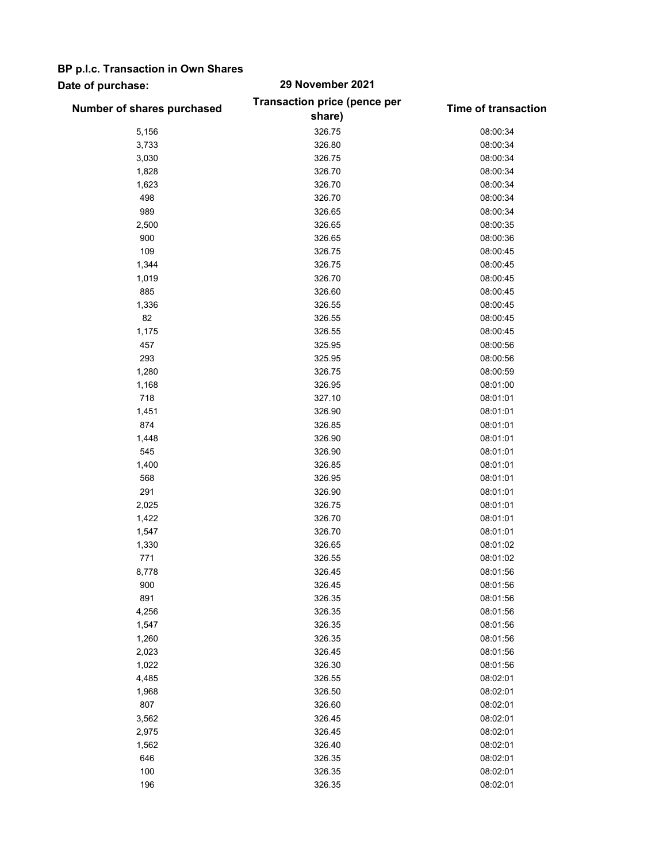## BP p.l.c. Transaction in Own Shares

## Date of purchase: 29 November 2021

|                            | <b>Transaction price (pence per</b> |                            |
|----------------------------|-------------------------------------|----------------------------|
| Number of shares purchased | share)                              | <b>Time of transaction</b> |
| 5,156                      | 326.75                              | 08:00:34                   |
| 3,733                      | 326.80                              | 08:00:34                   |
| 3,030                      | 326.75                              | 08:00:34                   |
| 1,828                      | 326.70                              | 08:00:34                   |
| 1,623                      | 326.70                              | 08:00:34                   |
| 498                        | 326.70                              | 08:00:34                   |
| 989                        | 326.65                              | 08:00:34                   |
| 2,500                      | 326.65                              | 08:00:35                   |
| 900                        | 326.65                              | 08:00:36                   |
| 109                        | 326.75                              | 08:00:45                   |
| 1,344                      | 326.75                              | 08:00:45                   |
| 1,019                      | 326.70                              | 08:00:45                   |
| 885                        | 326.60                              | 08:00:45                   |
| 1,336                      | 326.55                              | 08:00:45                   |
| 82                         | 326.55                              | 08:00:45                   |
| 1,175                      | 326.55                              | 08:00:45                   |
| 457                        | 325.95                              | 08:00:56                   |
| 293                        | 325.95                              | 08:00:56                   |
| 1,280                      | 326.75                              | 08:00:59                   |
| 1,168                      | 326.95                              | 08:01:00                   |
| 718                        | 327.10                              | 08:01:01                   |
| 1,451                      | 326.90                              | 08:01:01                   |
| 874                        |                                     | 08:01:01                   |
|                            | 326.85                              |                            |
| 1,448<br>545               | 326.90                              | 08:01:01<br>08:01:01       |
|                            | 326.90                              |                            |
| 1,400<br>568               | 326.85                              | 08:01:01                   |
|                            | 326.95                              | 08:01:01                   |
| 291                        | 326.90                              | 08:01:01                   |
| 2,025                      | 326.75                              | 08:01:01                   |
| 1,422                      | 326.70                              | 08:01:01                   |
| 1,547                      | 326.70                              | 08:01:01                   |
| 1,330                      | 326.65                              | 08:01:02                   |
| 771                        | 326.55                              | 08:01:02                   |
| 8,778                      | 326.45                              | 08:01:56                   |
| 900                        | 326.45                              | 08:01:56                   |
| 891                        | 326.35                              | 08:01:56                   |
| 4,256                      | 326.35                              | 08:01:56                   |
| 1,547                      | 326.35                              | 08:01:56                   |
| 1,260                      | 326.35                              | 08:01:56                   |
| 2,023                      | 326.45                              | 08:01:56                   |
| 1,022                      | 326.30                              | 08:01:56                   |
| 4,485                      | 326.55                              | 08:02:01                   |
| 1,968                      | 326.50                              | 08:02:01                   |
| 807                        | 326.60                              | 08:02:01                   |
| 3,562                      | 326.45                              | 08:02:01                   |
| 2,975                      | 326.45                              | 08:02:01                   |
| 1,562                      | 326.40                              | 08:02:01                   |
| 646                        | 326.35                              | 08:02:01                   |
| 100                        | 326.35                              | 08:02:01                   |
| 196                        | 326.35                              | 08:02:01                   |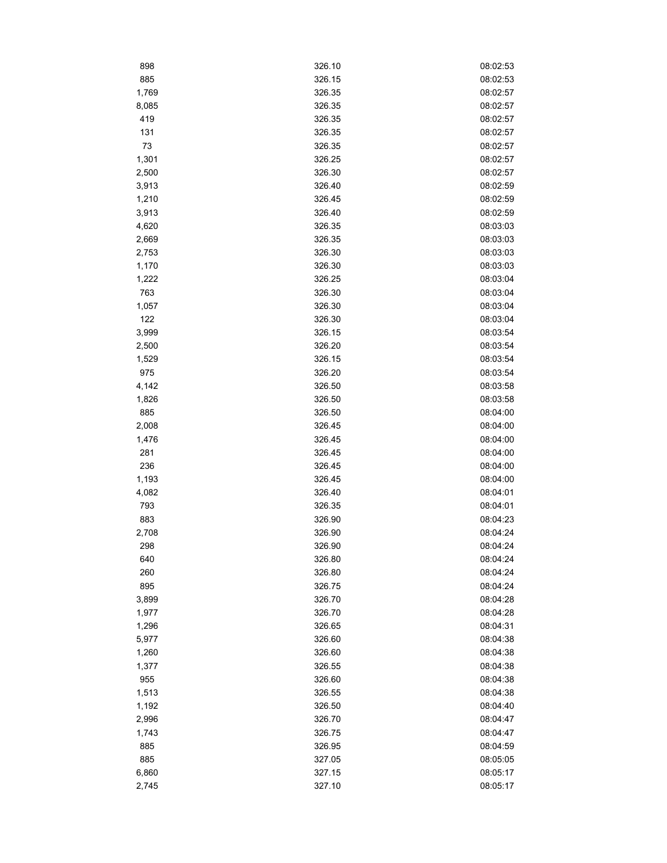| 898   | 326.10 | 08:02:53 |
|-------|--------|----------|
| 885   | 326.15 | 08:02:53 |
| 1,769 | 326.35 | 08:02:57 |
| 8,085 | 326.35 | 08:02:57 |
| 419   | 326.35 | 08:02:57 |
| 131   | 326.35 | 08:02:57 |
| 73    | 326.35 | 08:02:57 |
| 1,301 | 326.25 | 08:02:57 |
| 2,500 | 326.30 | 08:02:57 |
| 3,913 | 326.40 | 08:02:59 |
| 1,210 | 326.45 | 08:02:59 |
| 3,913 | 326.40 | 08:02:59 |
| 4,620 | 326.35 | 08:03:03 |
| 2,669 | 326.35 | 08:03:03 |
| 2,753 | 326.30 | 08:03:03 |
| 1,170 | 326.30 | 08:03:03 |
| 1,222 | 326.25 | 08:03:04 |
| 763   | 326.30 | 08:03:04 |
| 1,057 | 326.30 | 08:03:04 |
| 122   | 326.30 | 08:03:04 |
| 3,999 | 326.15 | 08:03:54 |
| 2,500 | 326.20 | 08:03:54 |
| 1,529 | 326.15 | 08:03:54 |
| 975   | 326.20 | 08:03:54 |
|       |        |          |
| 4,142 | 326.50 | 08:03:58 |
| 1,826 | 326.50 | 08:03:58 |
| 885   | 326.50 | 08:04:00 |
| 2,008 | 326.45 | 08:04:00 |
| 1,476 | 326.45 | 08:04:00 |
| 281   | 326.45 | 08:04:00 |
| 236   | 326.45 | 08:04:00 |
| 1,193 | 326.45 | 08:04:00 |
| 4,082 | 326.40 | 08:04:01 |
| 793   | 326.35 | 08:04:01 |
| 883   | 326.90 | 08:04:23 |
| 2,708 | 326.90 | 08:04:24 |
| 298   | 326.90 | 08:04:24 |
| 640   | 326.80 | 08:04:24 |
| 260   | 326.80 | 08:04:24 |
| 895   | 326.75 | 08:04:24 |
| 3,899 | 326.70 | 08:04:28 |
| 1,977 | 326.70 | 08:04:28 |
| 1,296 | 326.65 | 08:04:31 |
| 5,977 | 326.60 | 08:04:38 |
| 1,260 | 326.60 | 08:04:38 |
| 1,377 | 326.55 | 08:04:38 |
| 955   | 326.60 | 08:04:38 |
| 1,513 | 326.55 | 08:04:38 |
| 1,192 | 326.50 | 08:04:40 |
| 2,996 | 326.70 | 08:04:47 |
| 1,743 | 326.75 | 08:04:47 |
| 885   | 326.95 | 08:04:59 |
| 885   | 327.05 | 08:05:05 |
| 6,860 | 327.15 | 08:05:17 |
| 2,745 | 327.10 | 08:05:17 |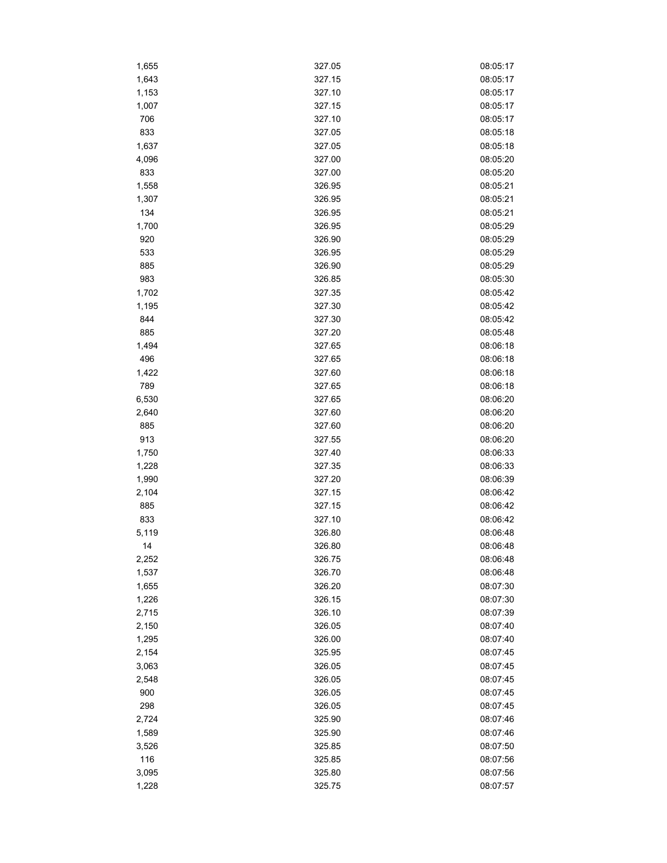| 1,655 | 327.05 | 08:05:17 |
|-------|--------|----------|
| 1,643 | 327.15 | 08:05:17 |
| 1,153 | 327.10 | 08:05:17 |
| 1,007 | 327.15 | 08:05:17 |
| 706   | 327.10 | 08:05:17 |
| 833   | 327.05 | 08:05:18 |
| 1,637 | 327.05 | 08:05:18 |
| 4,096 | 327.00 | 08:05:20 |
| 833   | 327.00 | 08:05:20 |
| 1,558 | 326.95 | 08:05:21 |
| 1,307 | 326.95 | 08:05:21 |
| 134   | 326.95 | 08:05:21 |
| 1,700 | 326.95 | 08:05:29 |
| 920   | 326.90 | 08:05:29 |
| 533   | 326.95 | 08:05:29 |
| 885   | 326.90 | 08:05:29 |
| 983   | 326.85 | 08:05:30 |
| 1,702 | 327.35 | 08:05:42 |
| 1,195 | 327.30 | 08:05:42 |
| 844   | 327.30 | 08:05:42 |
| 885   | 327.20 | 08:05:48 |
| 1,494 | 327.65 | 08:06:18 |
| 496   | 327.65 | 08:06:18 |
| 1,422 | 327.60 | 08:06:18 |
| 789   | 327.65 | 08:06:18 |
|       | 327.65 | 08:06:20 |
| 6,530 |        |          |
| 2,640 | 327.60 | 08:06:20 |
| 885   | 327.60 | 08:06:20 |
| 913   | 327.55 | 08:06:20 |
| 1,750 | 327.40 | 08:06:33 |
| 1,228 | 327.35 | 08:06:33 |
| 1,990 | 327.20 | 08:06:39 |
| 2,104 | 327.15 | 08:06:42 |
| 885   | 327.15 | 08:06:42 |
| 833   | 327.10 | 08:06:42 |
| 5,119 | 326.80 | 08:06:48 |
| 14    | 326.80 | 08:06:48 |
| 2,252 | 326.75 | 08:06:48 |
| 1,537 | 326.70 | 08:06:48 |
| 1,655 | 326.20 | 08:07:30 |
| 1,226 | 326.15 | 08:07:30 |
| 2,715 | 326.10 | 08:07:39 |
| 2,150 | 326.05 | 08:07:40 |
| 1,295 | 326.00 | 08:07:40 |
| 2,154 | 325.95 | 08:07:45 |
| 3,063 | 326.05 | 08:07:45 |
| 2,548 | 326.05 | 08:07:45 |
| 900   | 326.05 | 08:07:45 |
| 298   | 326.05 | 08:07:45 |
| 2,724 | 325.90 | 08:07:46 |
| 1,589 | 325.90 | 08:07:46 |
| 3,526 | 325.85 | 08:07:50 |
| 116   | 325.85 | 08:07:56 |
| 3,095 | 325.80 | 08:07:56 |
| 1,228 | 325.75 | 08:07:57 |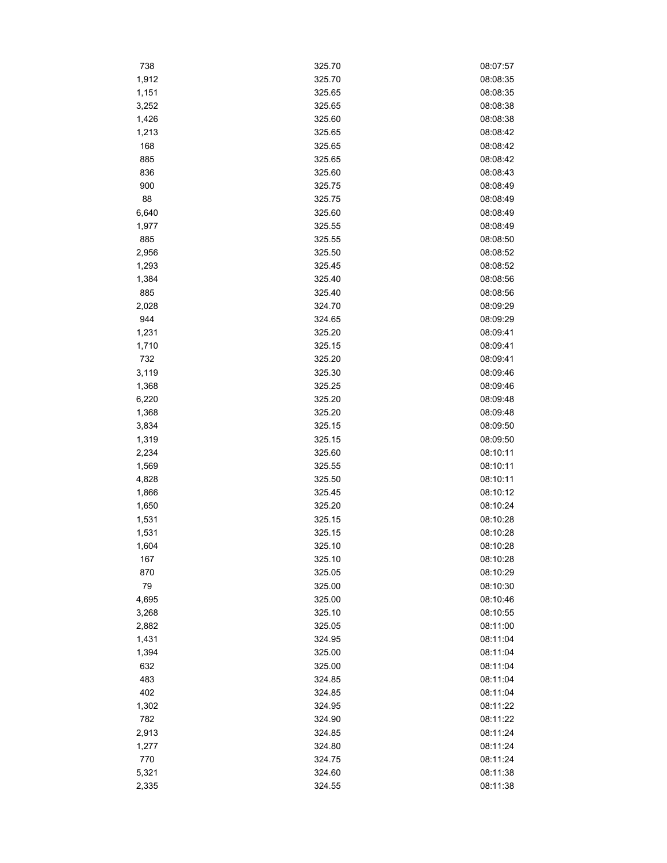| 738   | 325.70 | 08:07:57 |
|-------|--------|----------|
| 1,912 | 325.70 | 08:08:35 |
| 1,151 | 325.65 | 08:08:35 |
| 3,252 | 325.65 | 08:08:38 |
| 1,426 | 325.60 | 08:08:38 |
| 1,213 | 325.65 | 08:08:42 |
| 168   | 325.65 | 08:08:42 |
| 885   | 325.65 | 08:08:42 |
| 836   | 325.60 | 08:08:43 |
| 900   | 325.75 | 08:08:49 |
| 88    | 325.75 | 08:08:49 |
| 6,640 | 325.60 | 08:08:49 |
| 1,977 | 325.55 | 08:08:49 |
| 885   | 325.55 | 08:08:50 |
| 2,956 | 325.50 | 08:08:52 |
| 1,293 | 325.45 | 08:08:52 |
| 1,384 | 325.40 | 08:08:56 |
| 885   | 325.40 | 08:08:56 |
| 2,028 | 324.70 | 08:09:29 |
| 944   | 324.65 | 08:09:29 |
| 1,231 | 325.20 | 08:09:41 |
| 1,710 | 325.15 | 08:09:41 |
| 732   | 325.20 | 08:09:41 |
| 3,119 | 325.30 | 08:09:46 |
| 1,368 | 325.25 | 08:09:46 |
|       | 325.20 | 08:09:48 |
| 6,220 |        |          |
| 1,368 | 325.20 | 08:09:48 |
| 3,834 | 325.15 | 08:09:50 |
| 1,319 | 325.15 | 08:09:50 |
| 2,234 | 325.60 | 08:10:11 |
| 1,569 | 325.55 | 08:10:11 |
| 4,828 | 325.50 | 08:10:11 |
| 1,866 | 325.45 | 08:10:12 |
| 1,650 | 325.20 | 08:10:24 |
| 1,531 | 325.15 | 08:10:28 |
| 1,531 | 325.15 | 08:10:28 |
| 1,604 | 325.10 | 08:10:28 |
| 167   | 325.10 | 08:10:28 |
| 870   | 325.05 | 08:10:29 |
| 79    | 325.00 | 08:10:30 |
| 4,695 | 325.00 | 08:10:46 |
| 3,268 | 325.10 | 08:10:55 |
| 2,882 | 325.05 | 08:11:00 |
| 1,431 | 324.95 | 08:11:04 |
| 1,394 | 325.00 | 08:11:04 |
| 632   | 325.00 | 08:11:04 |
| 483   | 324.85 | 08:11:04 |
| 402   | 324.85 | 08:11:04 |
| 1,302 | 324.95 | 08:11:22 |
| 782   | 324.90 | 08:11:22 |
| 2,913 | 324.85 | 08:11:24 |
| 1,277 | 324.80 | 08:11:24 |
| 770   | 324.75 | 08:11:24 |
| 5,321 | 324.60 | 08:11:38 |
| 2,335 | 324.55 | 08:11:38 |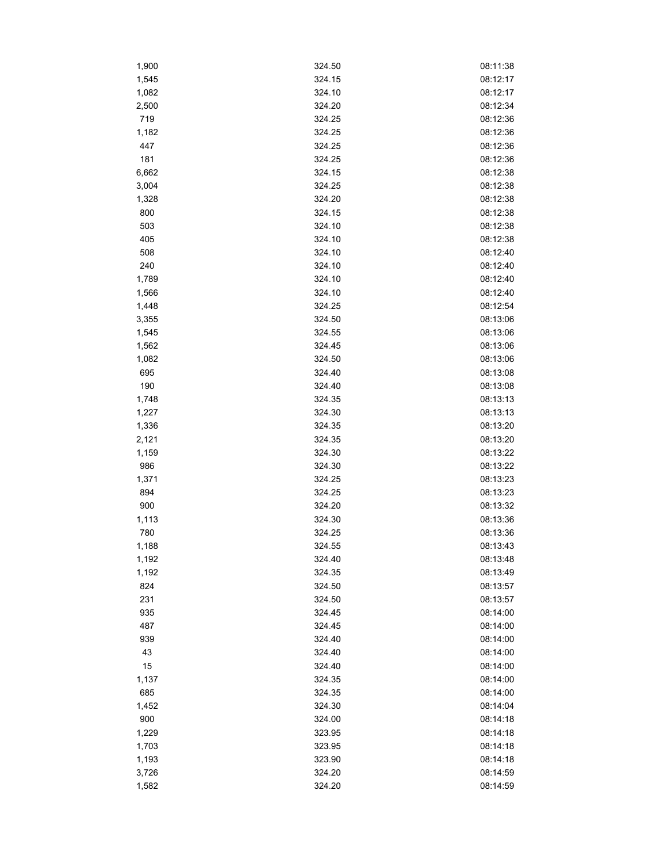| 1,900 | 324.50 | 08:11:38 |
|-------|--------|----------|
| 1,545 | 324.15 | 08:12:17 |
| 1,082 | 324.10 | 08:12:17 |
| 2,500 | 324.20 | 08:12:34 |
| 719   | 324.25 | 08:12:36 |
| 1,182 | 324.25 | 08:12:36 |
| 447   | 324.25 | 08:12:36 |
| 181   | 324.25 | 08:12:36 |
| 6,662 | 324.15 | 08:12:38 |
| 3,004 | 324.25 | 08:12:38 |
| 1,328 | 324.20 | 08:12:38 |
| 800   | 324.15 | 08:12:38 |
| 503   | 324.10 | 08:12:38 |
| 405   | 324.10 | 08:12:38 |
| 508   | 324.10 | 08:12:40 |
| 240   | 324.10 | 08:12:40 |
| 1,789 | 324.10 | 08:12:40 |
| 1,566 | 324.10 | 08:12:40 |
| 1,448 | 324.25 | 08:12:54 |
| 3,355 | 324.50 | 08:13:06 |
| 1,545 | 324.55 | 08:13:06 |
| 1,562 | 324.45 | 08:13:06 |
| 1,082 | 324.50 | 08:13:06 |
| 695   | 324.40 | 08:13:08 |
| 190   |        | 08:13:08 |
|       | 324.40 |          |
| 1,748 | 324.35 | 08:13:13 |
| 1,227 | 324.30 | 08:13:13 |
| 1,336 | 324.35 | 08:13:20 |
| 2,121 | 324.35 | 08:13:20 |
| 1,159 | 324.30 | 08:13:22 |
| 986   | 324.30 | 08:13:22 |
| 1,371 | 324.25 | 08:13:23 |
| 894   | 324.25 | 08:13:23 |
| 900   | 324.20 | 08:13:32 |
| 1,113 | 324.30 | 08:13:36 |
| 780   | 324.25 | 08:13:36 |
| 1,188 | 324.55 | 08:13:43 |
| 1,192 | 324.40 | 08:13:48 |
| 1,192 | 324.35 | 08:13:49 |
| 824   | 324.50 | 08:13:57 |
| 231   | 324.50 | 08:13:57 |
| 935   | 324.45 | 08:14:00 |
| 487   | 324.45 | 08:14:00 |
| 939   | 324.40 | 08:14:00 |
| 43    | 324.40 | 08:14:00 |
| 15    | 324.40 | 08:14:00 |
| 1,137 | 324.35 | 08:14:00 |
| 685   | 324.35 | 08:14:00 |
| 1,452 | 324.30 | 08:14:04 |
| 900   | 324.00 | 08:14:18 |
| 1,229 | 323.95 | 08:14:18 |
| 1,703 | 323.95 | 08:14:18 |
| 1,193 | 323.90 | 08:14:18 |
| 3,726 | 324.20 | 08:14:59 |
| 1,582 | 324.20 | 08:14:59 |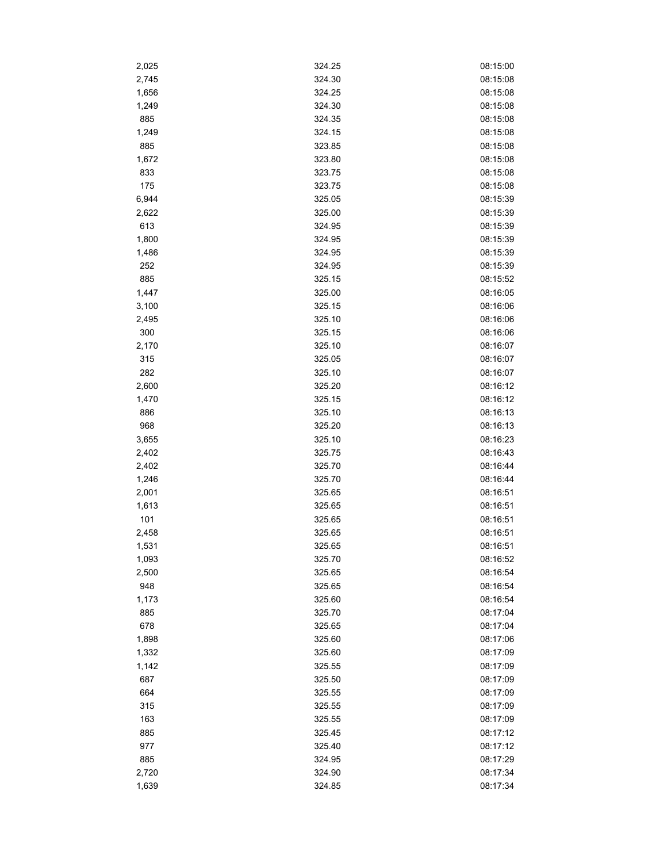| 2,025 | 324.25 | 08:15:00 |
|-------|--------|----------|
| 2,745 | 324.30 | 08:15:08 |
| 1,656 | 324.25 | 08:15:08 |
| 1,249 | 324.30 | 08:15:08 |
| 885   | 324.35 | 08:15:08 |
| 1,249 | 324.15 | 08:15:08 |
| 885   | 323.85 | 08:15:08 |
| 1,672 | 323.80 | 08:15:08 |
| 833   | 323.75 | 08:15:08 |
| 175   | 323.75 | 08:15:08 |
| 6,944 | 325.05 | 08:15:39 |
| 2,622 | 325.00 | 08:15:39 |
| 613   | 324.95 | 08:15:39 |
| 1,800 | 324.95 | 08:15:39 |
| 1,486 | 324.95 | 08:15:39 |
| 252   | 324.95 | 08:15:39 |
| 885   | 325.15 | 08:15:52 |
| 1,447 | 325.00 | 08:16:05 |
| 3,100 | 325.15 | 08:16:06 |
| 2,495 | 325.10 | 08:16:06 |
| 300   | 325.15 | 08:16:06 |
| 2,170 | 325.10 | 08:16:07 |
| 315   | 325.05 | 08:16:07 |
| 282   | 325.10 | 08:16:07 |
| 2,600 | 325.20 | 08:16:12 |
|       | 325.15 | 08:16:12 |
| 1,470 |        |          |
| 886   | 325.10 | 08:16:13 |
| 968   | 325.20 | 08:16:13 |
| 3,655 | 325.10 | 08:16:23 |
| 2,402 | 325.75 | 08:16:43 |
| 2,402 | 325.70 | 08:16:44 |
| 1,246 | 325.70 | 08:16:44 |
| 2,001 | 325.65 | 08:16:51 |
| 1,613 | 325.65 | 08:16:51 |
| 101   | 325.65 | 08:16:51 |
| 2,458 | 325.65 | 08:16:51 |
| 1,531 | 325.65 | 08:16:51 |
| 1,093 | 325.70 | 08:16:52 |
| 2,500 | 325.65 | 08:16:54 |
| 948   | 325.65 | 08:16:54 |
| 1,173 | 325.60 | 08:16:54 |
| 885   | 325.70 | 08:17:04 |
| 678   | 325.65 | 08:17:04 |
| 1,898 | 325.60 | 08:17:06 |
| 1,332 | 325.60 | 08:17:09 |
| 1,142 | 325.55 | 08:17:09 |
| 687   | 325.50 | 08:17:09 |
| 664   | 325.55 | 08:17:09 |
| 315   | 325.55 | 08:17:09 |
| 163   | 325.55 | 08:17:09 |
| 885   | 325.45 | 08:17:12 |
| 977   | 325.40 | 08:17:12 |
| 885   | 324.95 | 08:17:29 |
| 2,720 | 324.90 | 08:17:34 |
| 1,639 | 324.85 | 08:17:34 |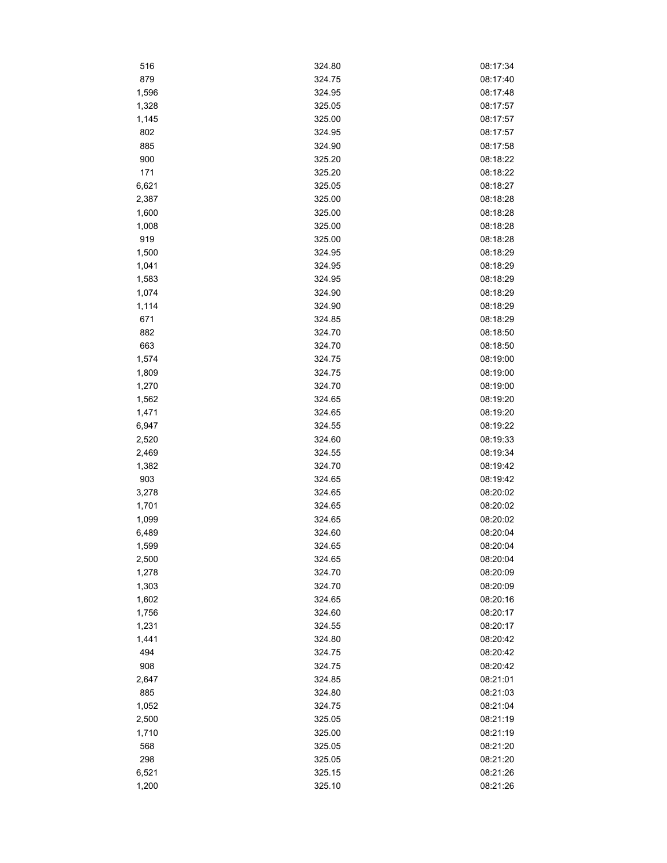| 516   | 324.80 | 08:17:34 |
|-------|--------|----------|
| 879   | 324.75 | 08:17:40 |
| 1,596 | 324.95 | 08:17:48 |
| 1,328 | 325.05 | 08:17:57 |
| 1,145 | 325.00 | 08:17:57 |
| 802   | 324.95 | 08:17:57 |
| 885   | 324.90 | 08:17:58 |
| 900   | 325.20 | 08:18:22 |
| 171   | 325.20 | 08:18:22 |
| 6,621 | 325.05 | 08:18:27 |
| 2,387 | 325.00 | 08:18:28 |
| 1,600 | 325.00 | 08:18:28 |
| 1,008 | 325.00 | 08:18:28 |
| 919   | 325.00 | 08:18:28 |
| 1,500 | 324.95 | 08:18:29 |
| 1,041 | 324.95 | 08:18:29 |
| 1,583 | 324.95 | 08:18:29 |
| 1,074 | 324.90 | 08:18:29 |
| 1,114 | 324.90 | 08:18:29 |
|       | 324.85 | 08:18:29 |
| 671   |        |          |
| 882   | 324.70 | 08:18:50 |
| 663   | 324.70 | 08:18:50 |
| 1,574 | 324.75 | 08:19:00 |
| 1,809 | 324.75 | 08:19:00 |
| 1,270 | 324.70 | 08:19:00 |
| 1,562 | 324.65 | 08:19:20 |
| 1,471 | 324.65 | 08:19:20 |
| 6,947 | 324.55 | 08:19:22 |
| 2,520 | 324.60 | 08:19:33 |
| 2,469 | 324.55 | 08:19:34 |
| 1,382 | 324.70 | 08:19:42 |
| 903   | 324.65 | 08:19:42 |
| 3,278 | 324.65 | 08:20:02 |
| 1,701 | 324.65 | 08:20:02 |
| 1,099 | 324.65 | 08:20:02 |
| 6,489 | 324.60 | 08:20:04 |
| 1,599 | 324.65 | 08:20:04 |
| 2,500 | 324.65 | 08:20:04 |
| 1,278 | 324.70 | 08:20:09 |
| 1,303 | 324.70 | 08:20:09 |
| 1,602 | 324.65 | 08:20:16 |
| 1,756 | 324.60 | 08:20:17 |
| 1,231 | 324.55 | 08:20:17 |
| 1,441 | 324.80 | 08:20:42 |
| 494   | 324.75 | 08:20:42 |
| 908   | 324.75 | 08:20:42 |
| 2,647 | 324.85 | 08:21:01 |
| 885   | 324.80 | 08:21:03 |
| 1,052 | 324.75 | 08:21:04 |
| 2,500 | 325.05 | 08:21:19 |
| 1,710 | 325.00 | 08:21:19 |
| 568   | 325.05 | 08:21:20 |
| 298   | 325.05 | 08:21:20 |
| 6,521 | 325.15 | 08:21:26 |
|       |        |          |
| 1,200 | 325.10 | 08:21:26 |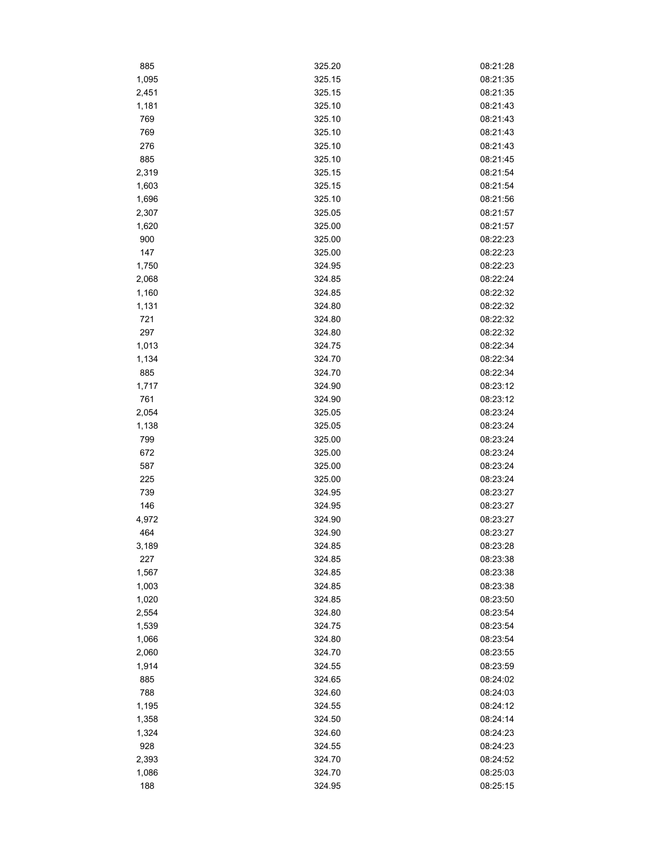| 885   | 325.20 | 08:21:28 |  |
|-------|--------|----------|--|
| 1,095 | 325.15 | 08:21:35 |  |
| 2,451 | 325.15 | 08:21:35 |  |
| 1,181 | 325.10 | 08:21:43 |  |
| 769   | 325.10 | 08:21:43 |  |
| 769   | 325.10 | 08:21:43 |  |
| 276   | 325.10 | 08:21:43 |  |
| 885   | 325.10 | 08:21:45 |  |
| 2,319 | 325.15 | 08:21:54 |  |
| 1,603 | 325.15 | 08:21:54 |  |
| 1,696 | 325.10 | 08:21:56 |  |
| 2,307 | 325.05 | 08:21:57 |  |
| 1,620 | 325.00 | 08:21:57 |  |
| 900   | 325.00 | 08:22:23 |  |
| 147   | 325.00 | 08:22:23 |  |
| 1,750 | 324.95 | 08:22:23 |  |
| 2,068 | 324.85 | 08:22:24 |  |
| 1,160 | 324.85 | 08:22:32 |  |
| 1,131 | 324.80 | 08:22:32 |  |
| 721   | 324.80 | 08:22:32 |  |
| 297   | 324.80 | 08:22:32 |  |
| 1,013 | 324.75 | 08:22:34 |  |
| 1,134 | 324.70 | 08:22:34 |  |
| 885   | 324.70 | 08:22:34 |  |
| 1,717 | 324.90 | 08:23:12 |  |
| 761   | 324.90 | 08:23:12 |  |
| 2,054 | 325.05 | 08:23:24 |  |
| 1,138 | 325.05 | 08:23:24 |  |
| 799   | 325.00 | 08:23:24 |  |
| 672   | 325.00 | 08:23:24 |  |
| 587   | 325.00 | 08:23:24 |  |
| 225   | 325.00 | 08:23:24 |  |
| 739   | 324.95 | 08:23:27 |  |
| 146   | 324.95 | 08:23:27 |  |
| 4,972 | 324.90 | 08:23:27 |  |
| 464   | 324.90 | 08:23:27 |  |
| 3,189 | 324.85 | 08:23:28 |  |
| 227   | 324.85 | 08:23:38 |  |
| 1,567 | 324.85 | 08:23:38 |  |
| 1,003 | 324.85 | 08:23:38 |  |
| 1,020 | 324.85 | 08:23:50 |  |
| 2,554 | 324.80 | 08:23:54 |  |
| 1,539 | 324.75 | 08:23:54 |  |
| 1,066 | 324.80 | 08:23:54 |  |
| 2,060 | 324.70 | 08:23:55 |  |
| 1,914 | 324.55 | 08:23:59 |  |
| 885   | 324.65 | 08:24:02 |  |
| 788   | 324.60 | 08:24:03 |  |
| 1,195 | 324.55 | 08:24:12 |  |
| 1,358 | 324.50 | 08:24:14 |  |
| 1,324 | 324.60 | 08:24:23 |  |
| 928   | 324.55 | 08:24:23 |  |
| 2,393 | 324.70 | 08:24:52 |  |
| 1,086 | 324.70 | 08:25:03 |  |
| 188   | 324.95 | 08:25:15 |  |
|       |        |          |  |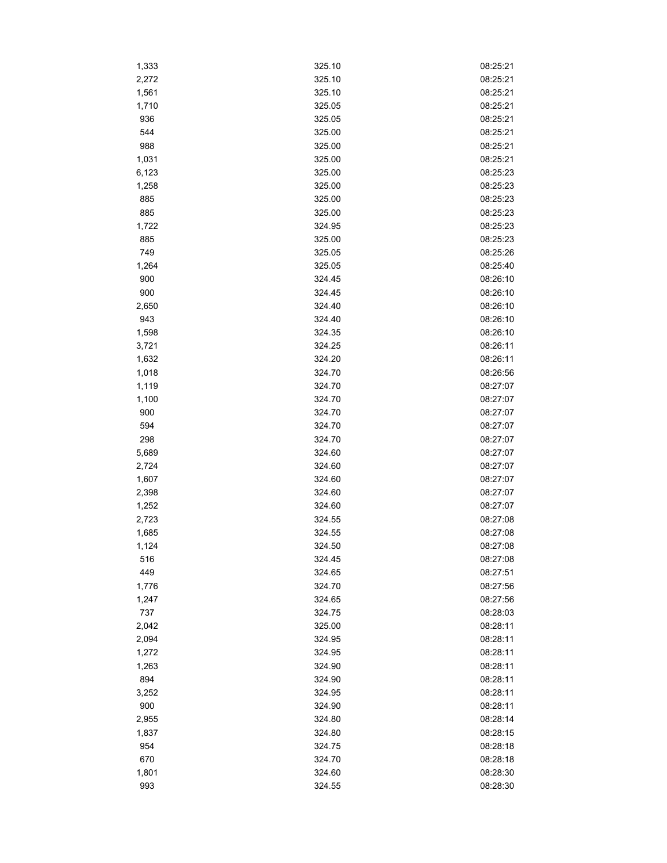| 1,333 | 325.10 | 08:25:21 |
|-------|--------|----------|
| 2,272 | 325.10 | 08:25:21 |
| 1,561 | 325.10 | 08:25:21 |
| 1,710 | 325.05 | 08:25:21 |
| 936   | 325.05 | 08:25:21 |
| 544   | 325.00 | 08:25:21 |
| 988   | 325.00 | 08:25:21 |
| 1,031 | 325.00 | 08:25:21 |
| 6,123 | 325.00 | 08:25:23 |
| 1,258 | 325.00 | 08:25:23 |
| 885   | 325.00 | 08:25:23 |
| 885   | 325.00 | 08:25:23 |
| 1,722 | 324.95 | 08:25:23 |
| 885   | 325.00 | 08:25:23 |
| 749   | 325.05 | 08:25:26 |
| 1,264 | 325.05 | 08:25:40 |
| 900   | 324.45 | 08:26:10 |
| 900   | 324.45 | 08:26:10 |
| 2,650 | 324.40 | 08:26:10 |
| 943   | 324.40 | 08:26:10 |
| 1,598 | 324.35 | 08:26:10 |
| 3,721 | 324.25 | 08:26:11 |
| 1,632 | 324.20 | 08:26:11 |
| 1,018 | 324.70 | 08:26:56 |
|       | 324.70 |          |
| 1,119 |        | 08:27:07 |
| 1,100 | 324.70 | 08:27:07 |
| 900   | 324.70 | 08:27:07 |
| 594   | 324.70 | 08:27:07 |
| 298   | 324.70 | 08:27:07 |
| 5,689 | 324.60 | 08:27:07 |
| 2,724 | 324.60 | 08:27:07 |
| 1,607 | 324.60 | 08:27:07 |
| 2,398 | 324.60 | 08:27:07 |
| 1,252 | 324.60 | 08:27:07 |
| 2,723 | 324.55 | 08:27:08 |
| 1,685 | 324.55 | 08:27:08 |
| 1,124 | 324.50 | 08:27:08 |
| 516   | 324.45 | 08:27:08 |
| 449   | 324.65 | 08:27:51 |
| 1,776 | 324.70 | 08:27:56 |
| 1,247 | 324.65 | 08:27:56 |
| 737   | 324.75 | 08:28:03 |
| 2,042 | 325.00 | 08:28:11 |
| 2,094 | 324.95 | 08:28:11 |
| 1,272 | 324.95 | 08:28:11 |
| 1,263 | 324.90 | 08:28:11 |
| 894   | 324.90 | 08:28:11 |
| 3,252 | 324.95 | 08:28:11 |
| 900   | 324.90 | 08:28:11 |
| 2,955 | 324.80 | 08:28:14 |
| 1,837 | 324.80 | 08:28:15 |
| 954   | 324.75 | 08:28:18 |
| 670   | 324.70 | 08:28:18 |
| 1,801 | 324.60 | 08:28:30 |
| 993   | 324.55 | 08:28:30 |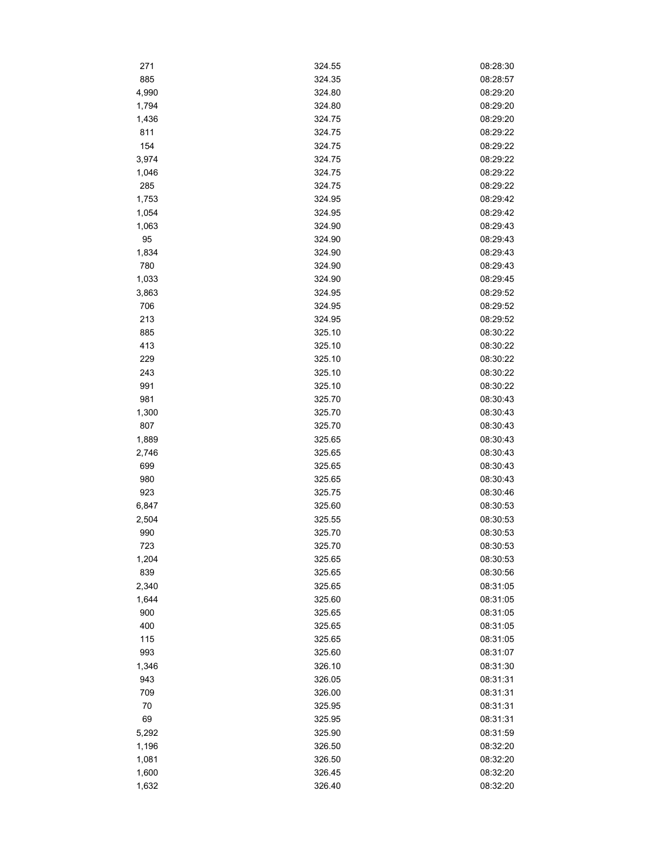| 271   | 324.55 | 08:28:30 |
|-------|--------|----------|
| 885   | 324.35 | 08:28:57 |
| 4,990 | 324.80 | 08:29:20 |
| 1,794 | 324.80 | 08:29:20 |
| 1,436 | 324.75 | 08:29:20 |
| 811   | 324.75 | 08:29:22 |
| 154   | 324.75 | 08:29:22 |
| 3,974 | 324.75 | 08:29:22 |
| 1,046 | 324.75 | 08:29:22 |
| 285   | 324.75 | 08:29:22 |
| 1,753 | 324.95 | 08:29:42 |
| 1,054 | 324.95 | 08:29:42 |
| 1,063 | 324.90 | 08:29:43 |
| 95    | 324.90 | 08:29:43 |
| 1,834 | 324.90 | 08:29:43 |
| 780   | 324.90 | 08:29:43 |
| 1,033 | 324.90 | 08:29:45 |
| 3,863 | 324.95 | 08:29:52 |
| 706   | 324.95 | 08:29:52 |
| 213   | 324.95 | 08:29:52 |
| 885   | 325.10 | 08:30:22 |
| 413   | 325.10 | 08:30:22 |
| 229   | 325.10 | 08:30:22 |
| 243   | 325.10 | 08:30:22 |
| 991   | 325.10 | 08:30:22 |
| 981   | 325.70 | 08:30:43 |
| 1,300 | 325.70 | 08:30:43 |
| 807   | 325.70 | 08:30:43 |
| 1,889 | 325.65 | 08:30:43 |
| 2,746 | 325.65 | 08:30:43 |
| 699   | 325.65 | 08:30:43 |
| 980   | 325.65 | 08:30:43 |
| 923   | 325.75 | 08:30:46 |
| 6,847 | 325.60 | 08:30:53 |
| 2,504 | 325.55 | 08:30:53 |
| 990   | 325.70 | 08:30:53 |
| 723   | 325.70 | 08:30:53 |
| 1,204 | 325.65 | 08:30:53 |
| 839   | 325.65 | 08:30:56 |
| 2,340 | 325.65 | 08:31:05 |
| 1,644 | 325.60 | 08:31:05 |
| 900   | 325.65 | 08:31:05 |
| 400   | 325.65 | 08:31:05 |
| 115   | 325.65 | 08:31:05 |
| 993   | 325.60 | 08:31:07 |
| 1,346 | 326.10 | 08:31:30 |
| 943   | 326.05 | 08:31:31 |
| 709   | 326.00 | 08:31:31 |
| 70    | 325.95 | 08:31:31 |
| 69    | 325.95 | 08:31:31 |
| 5,292 | 325.90 | 08:31:59 |
| 1,196 | 326.50 | 08:32:20 |
| 1,081 | 326.50 | 08:32:20 |
| 1,600 | 326.45 | 08:32:20 |
| 1,632 | 326.40 | 08:32:20 |
|       |        |          |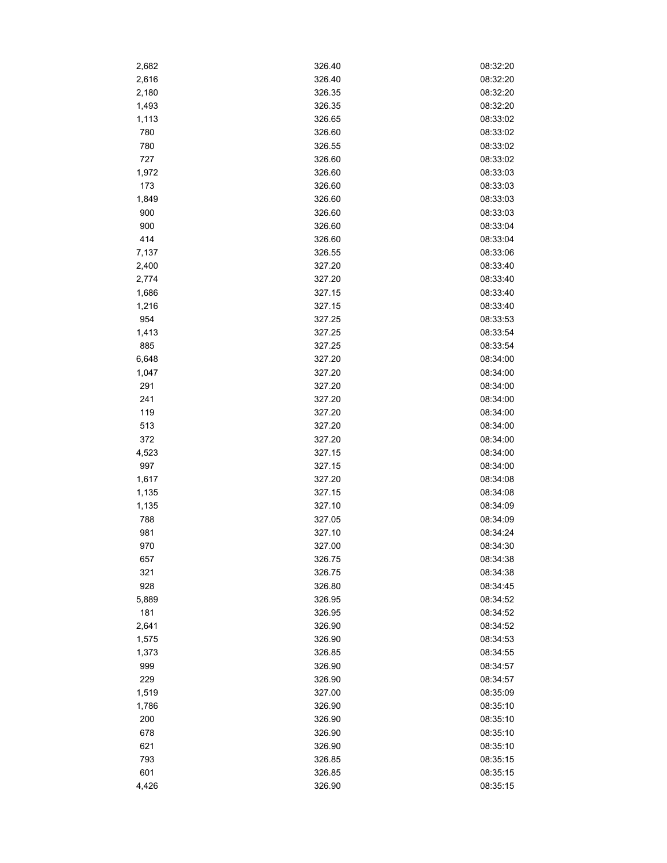| 2,682 | 326.40           | 08:32:20 |
|-------|------------------|----------|
| 2,616 | 326.40           | 08:32:20 |
| 2,180 | 326.35           | 08:32:20 |
| 1,493 | 326.35           | 08:32:20 |
| 1,113 | 326.65           | 08:33:02 |
| 780   | 326.60           | 08:33:02 |
| 780   | 326.55           | 08:33:02 |
| 727   | 326.60           | 08:33:02 |
| 1,972 | 326.60           | 08:33:03 |
| 173   | 326.60           | 08:33:03 |
| 1,849 | 326.60           | 08:33:03 |
| 900   | 326.60           | 08:33:03 |
| 900   | 326.60           | 08:33:04 |
| 414   | 326.60           | 08:33:04 |
| 7,137 | 326.55           | 08:33:06 |
| 2,400 | 327.20           | 08:33:40 |
| 2,774 | 327.20           | 08:33:40 |
|       |                  |          |
| 1,686 | 327.15           | 08:33:40 |
| 1,216 | 327.15           | 08:33:40 |
| 954   | 327.25           | 08:33:53 |
| 1,413 | 327.25<br>327.25 | 08:33:54 |
| 885   |                  | 08:33:54 |
| 6,648 | 327.20           | 08:34:00 |
| 1,047 | 327.20           | 08:34:00 |
| 291   | 327.20           | 08:34:00 |
| 241   | 327.20           | 08:34:00 |
| 119   | 327.20           | 08:34:00 |
| 513   | 327.20           | 08:34:00 |
| 372   | 327.20           | 08:34:00 |
| 4,523 | 327.15           | 08:34:00 |
| 997   | 327.15           | 08:34:00 |
| 1,617 | 327.20           | 08:34:08 |
| 1,135 | 327.15           | 08:34:08 |
| 1,135 | 327.10           | 08:34:09 |
| 788   | 327.05           | 08:34:09 |
| 981   | 327.10           | 08:34:24 |
| 970   | 327.00           | 08:34:30 |
| 657   | 326.75           | 08:34:38 |
| 321   | 326.75           | 08:34:38 |
| 928   | 326.80           | 08:34:45 |
| 5,889 | 326.95           | 08:34:52 |
| 181   | 326.95           | 08:34:52 |
| 2,641 | 326.90           | 08:34:52 |
| 1,575 | 326.90           | 08:34:53 |
| 1,373 | 326.85           | 08:34:55 |
| 999   | 326.90           | 08:34:57 |
| 229   | 326.90           | 08:34:57 |
| 1,519 | 327.00           | 08:35:09 |
| 1,786 | 326.90           | 08:35:10 |
| 200   | 326.90           | 08:35:10 |
| 678   | 326.90           | 08:35:10 |
| 621   | 326.90           | 08:35:10 |
| 793   | 326.85           | 08:35:15 |
| 601   | 326.85           | 08:35:15 |
| 4,426 | 326.90           | 08:35:15 |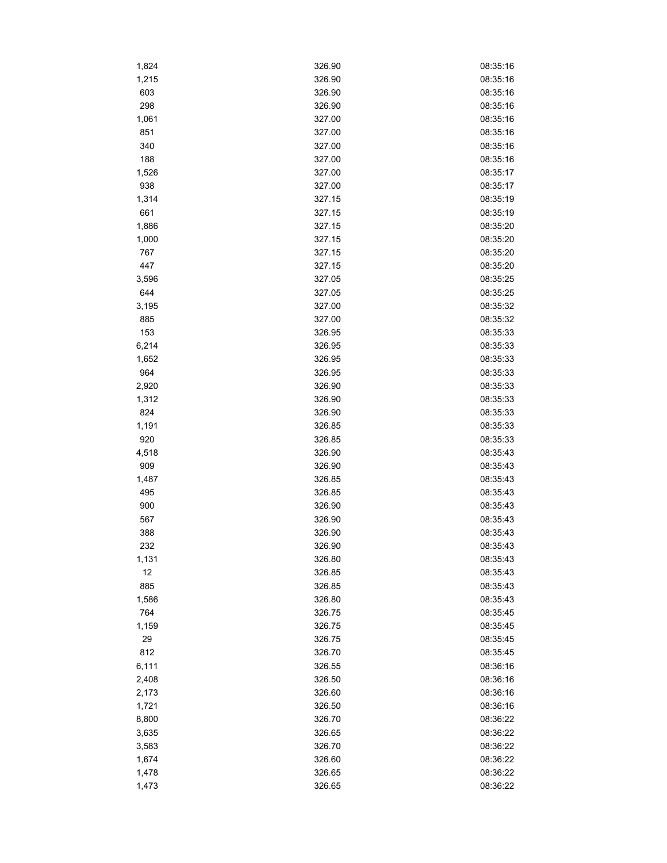| 1,824 | 326.90 | 08:35:16 |
|-------|--------|----------|
| 1,215 | 326.90 | 08:35:16 |
| 603   | 326.90 | 08:35:16 |
| 298   | 326.90 | 08:35:16 |
| 1,061 | 327.00 | 08:35:16 |
| 851   | 327.00 | 08:35:16 |
| 340   | 327.00 | 08:35:16 |
| 188   | 327.00 | 08:35:16 |
| 1,526 | 327.00 | 08:35:17 |
| 938   | 327.00 | 08:35:17 |
| 1,314 | 327.15 | 08:35:19 |
| 661   | 327.15 | 08:35:19 |
| 1,886 | 327.15 | 08:35:20 |
| 1,000 | 327.15 | 08:35:20 |
| 767   | 327.15 | 08:35:20 |
| 447   | 327.15 | 08:35:20 |
| 3,596 | 327.05 | 08:35:25 |
| 644   | 327.05 | 08:35:25 |
| 3,195 | 327.00 | 08:35:32 |
| 885   | 327.00 | 08:35:32 |
| 153   | 326.95 | 08:35:33 |
| 6,214 | 326.95 | 08:35:33 |
| 1,652 | 326.95 | 08:35:33 |
| 964   | 326.95 | 08:35:33 |
|       |        |          |
| 2,920 | 326.90 | 08:35:33 |
| 1,312 | 326.90 | 08:35:33 |
| 824   | 326.90 | 08:35:33 |
| 1,191 | 326.85 | 08:35:33 |
| 920   | 326.85 | 08:35:33 |
| 4,518 | 326.90 | 08:35:43 |
| 909   | 326.90 | 08:35:43 |
| 1,487 | 326.85 | 08:35:43 |
| 495   | 326.85 | 08:35:43 |
| 900   | 326.90 | 08:35:43 |
| 567   | 326.90 | 08:35:43 |
| 388   | 326.90 | 08:35:43 |
| 232   | 326.90 | 08:35:43 |
| 1,131 | 326.80 | 08:35:43 |
| 12    | 326.85 | 08:35:43 |
| 885   | 326.85 | 08:35:43 |
| 1,586 | 326.80 | 08:35:43 |
| 764   | 326.75 | 08:35:45 |
| 1,159 | 326.75 | 08:35:45 |
| 29    | 326.75 | 08:35:45 |
| 812   | 326.70 | 08:35:45 |
| 6,111 | 326.55 | 08:36:16 |
| 2,408 | 326.50 | 08:36:16 |
| 2,173 | 326.60 | 08:36:16 |
| 1,721 | 326.50 | 08:36:16 |
| 8,800 | 326.70 | 08:36:22 |
| 3,635 | 326.65 | 08:36:22 |
| 3,583 | 326.70 | 08:36:22 |
| 1,674 | 326.60 | 08:36:22 |
| 1,478 | 326.65 | 08:36:22 |
| 1,473 | 326.65 | 08:36:22 |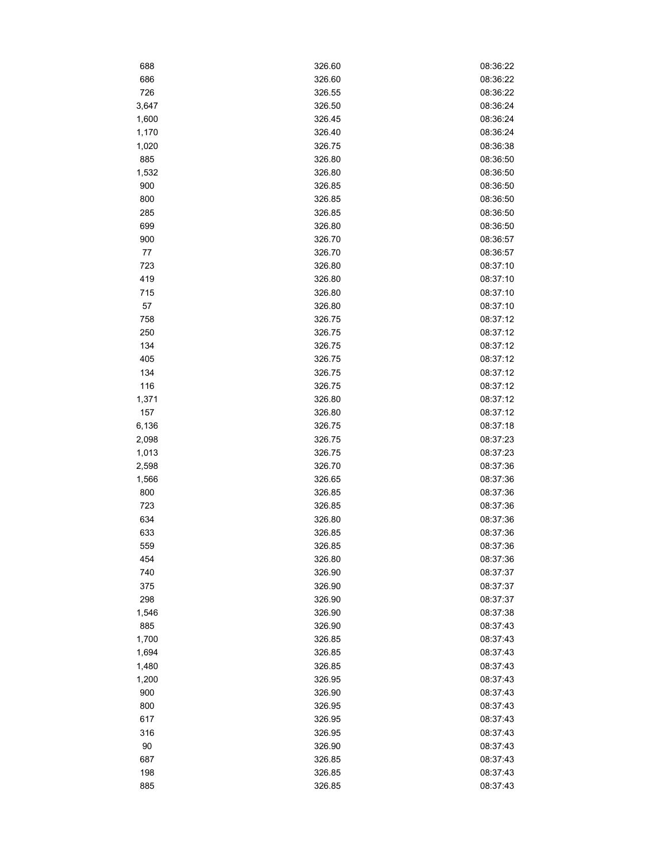| 688   | 326.60 | 08:36:22 |
|-------|--------|----------|
| 686   | 326.60 | 08:36:22 |
| 726   | 326.55 | 08:36:22 |
| 3,647 | 326.50 | 08:36:24 |
| 1,600 | 326.45 | 08:36:24 |
| 1,170 | 326.40 | 08:36:24 |
| 1,020 | 326.75 | 08:36:38 |
| 885   | 326.80 | 08:36:50 |
| 1,532 | 326.80 | 08:36:50 |
| 900   | 326.85 | 08:36:50 |
| 800   | 326.85 | 08:36:50 |
| 285   | 326.85 | 08:36:50 |
| 699   | 326.80 | 08:36:50 |
| 900   | 326.70 | 08:36:57 |
| 77    | 326.70 | 08:36:57 |
| 723   | 326.80 | 08:37:10 |
| 419   | 326.80 | 08:37:10 |
| 715   | 326.80 | 08:37:10 |
| 57    | 326.80 | 08:37:10 |
| 758   | 326.75 | 08:37:12 |
| 250   | 326.75 | 08:37:12 |
| 134   | 326.75 | 08:37:12 |
| 405   | 326.75 | 08:37:12 |
| 134   | 326.75 | 08:37:12 |
| 116   | 326.75 | 08:37:12 |
| 1,371 | 326.80 | 08:37:12 |
| 157   | 326.80 | 08:37:12 |
| 6,136 | 326.75 | 08:37:18 |
| 2,098 | 326.75 | 08:37:23 |
| 1,013 | 326.75 | 08:37:23 |
| 2,598 | 326.70 | 08:37:36 |
| 1,566 | 326.65 | 08:37:36 |
| 800   | 326.85 | 08:37:36 |
| 723   | 326.85 | 08:37:36 |
| 634   | 326.80 | 08:37:36 |
| 633   | 326.85 | 08:37:36 |
| 559   | 326.85 | 08:37:36 |
| 454   | 326.80 | 08:37:36 |
| 740   | 326.90 | 08:37:37 |
| 375   | 326.90 | 08:37:37 |
| 298   | 326.90 | 08:37:37 |
| 1,546 | 326.90 | 08:37:38 |
| 885   | 326.90 | 08:37:43 |
| 1,700 | 326.85 | 08:37:43 |
| 1,694 | 326.85 | 08:37:43 |
| 1,480 | 326.85 | 08:37:43 |
| 1,200 | 326.95 | 08:37:43 |
| 900   | 326.90 | 08:37:43 |
| 800   | 326.95 | 08:37:43 |
| 617   | 326.95 | 08:37:43 |
| 316   | 326.95 | 08:37:43 |
| 90    | 326.90 | 08:37:43 |
| 687   | 326.85 | 08:37:43 |
| 198   | 326.85 | 08:37:43 |
| 885   | 326.85 | 08:37:43 |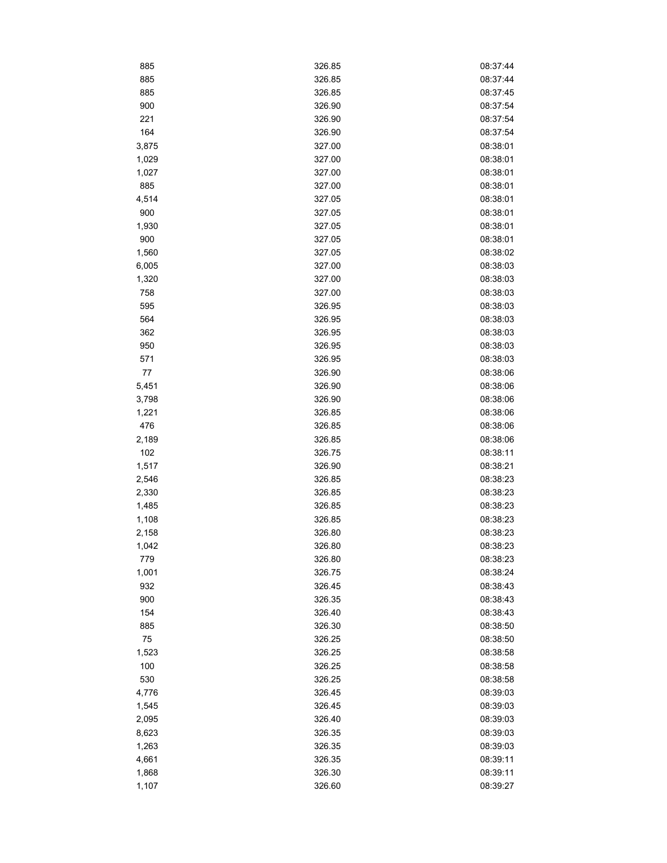| 885   | 326.85 | 08:37:44 |
|-------|--------|----------|
| 885   | 326.85 | 08:37:44 |
| 885   | 326.85 | 08:37:45 |
| 900   | 326.90 | 08:37:54 |
| 221   | 326.90 | 08:37:54 |
| 164   | 326.90 | 08:37:54 |
| 3,875 | 327.00 | 08:38:01 |
| 1,029 | 327.00 | 08:38:01 |
| 1,027 | 327.00 | 08:38:01 |
| 885   | 327.00 | 08:38:01 |
| 4,514 | 327.05 | 08:38:01 |
| 900   | 327.05 | 08:38:01 |
| 1,930 | 327.05 | 08:38:01 |
| 900   | 327.05 | 08:38:01 |
| 1,560 | 327.05 | 08:38:02 |
| 6,005 | 327.00 | 08:38:03 |
| 1,320 | 327.00 | 08:38:03 |
| 758   | 327.00 | 08:38:03 |
| 595   | 326.95 | 08:38:03 |
| 564   | 326.95 | 08:38:03 |
| 362   | 326.95 | 08:38:03 |
| 950   | 326.95 | 08:38:03 |
| 571   | 326.95 | 08:38:03 |
| 77    | 326.90 | 08:38:06 |
| 5,451 | 326.90 | 08:38:06 |
| 3,798 | 326.90 | 08:38:06 |
| 1,221 | 326.85 | 08:38:06 |
| 476   | 326.85 | 08:38:06 |
| 2,189 | 326.85 | 08:38:06 |
| 102   | 326.75 | 08:38:11 |
| 1,517 | 326.90 | 08:38:21 |
| 2,546 | 326.85 | 08:38:23 |
| 2,330 | 326.85 | 08:38:23 |
| 1,485 | 326.85 | 08:38:23 |
| 1,108 | 326.85 | 08:38:23 |
| 2,158 | 326.80 | 08:38:23 |
| 1,042 | 326.80 | 08:38:23 |
| 779   | 326.80 | 08:38:23 |
| 1,001 | 326.75 | 08:38:24 |
| 932   | 326.45 | 08:38:43 |
| 900   | 326.35 | 08:38:43 |
| 154   | 326.40 | 08:38:43 |
| 885   | 326.30 | 08:38:50 |
| 75    | 326.25 | 08:38:50 |
| 1,523 | 326.25 | 08:38:58 |
| 100   | 326.25 | 08:38:58 |
| 530   | 326.25 | 08:38:58 |
| 4,776 | 326.45 | 08:39:03 |
| 1,545 | 326.45 | 08:39:03 |
| 2,095 | 326.40 | 08:39:03 |
| 8,623 | 326.35 | 08:39:03 |
| 1,263 | 326.35 | 08:39:03 |
| 4,661 | 326.35 | 08:39:11 |
| 1,868 | 326.30 | 08:39:11 |
| 1,107 | 326.60 | 08:39:27 |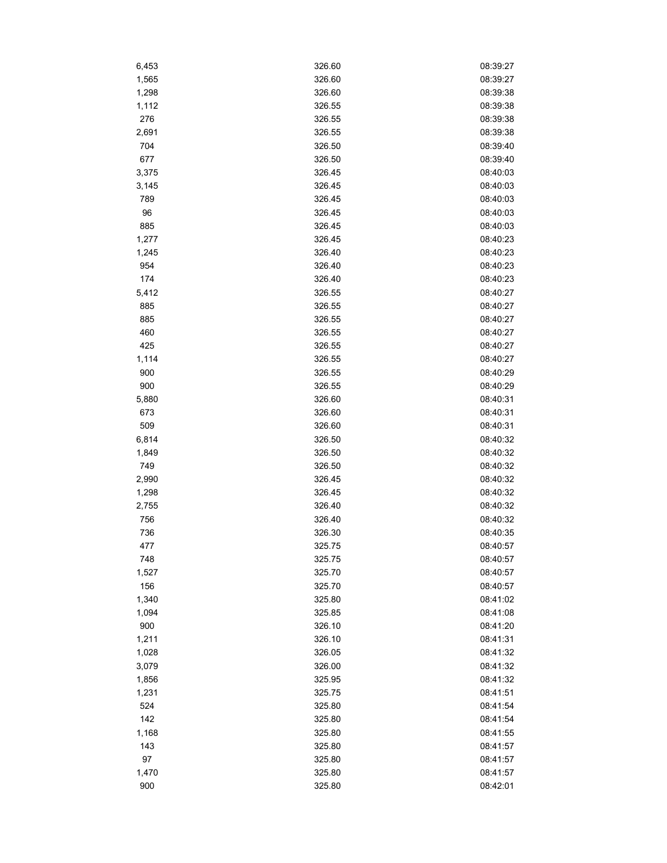| 6,453 | 326.60 | 08:39:27 |
|-------|--------|----------|
| 1,565 | 326.60 | 08:39:27 |
| 1,298 | 326.60 | 08:39:38 |
| 1,112 | 326.55 | 08:39:38 |
| 276   | 326.55 | 08:39:38 |
| 2,691 | 326.55 | 08:39:38 |
| 704   | 326.50 | 08:39:40 |
| 677   | 326.50 | 08:39:40 |
| 3,375 | 326.45 | 08:40:03 |
| 3,145 | 326.45 | 08:40:03 |
| 789   | 326.45 | 08:40:03 |
| 96    | 326.45 | 08:40:03 |
| 885   | 326.45 | 08:40:03 |
| 1,277 | 326.45 | 08:40:23 |
| 1,245 | 326.40 | 08:40:23 |
| 954   | 326.40 | 08:40:23 |
| 174   | 326.40 | 08:40:23 |
| 5,412 | 326.55 | 08:40:27 |
| 885   | 326.55 | 08:40:27 |
| 885   | 326.55 | 08:40:27 |
| 460   | 326.55 | 08:40:27 |
| 425   | 326.55 | 08:40:27 |
| 1,114 | 326.55 | 08:40:27 |
| 900   | 326.55 | 08:40:29 |
| 900   | 326.55 | 08:40:29 |
| 5,880 | 326.60 | 08:40:31 |
| 673   | 326.60 | 08:40:31 |
| 509   | 326.60 | 08:40:31 |
| 6,814 | 326.50 | 08:40:32 |
| 1,849 | 326.50 | 08:40:32 |
| 749   | 326.50 | 08:40:32 |
| 2,990 | 326.45 | 08:40:32 |
| 1,298 | 326.45 | 08:40:32 |
| 2,755 | 326.40 | 08:40:32 |
| 756   | 326.40 | 08:40:32 |
| 736   | 326.30 | 08:40:35 |
| 477   | 325.75 | 08:40:57 |
| 748   | 325.75 | 08:40:57 |
| 1,527 | 325.70 | 08:40:57 |
| 156   | 325.70 | 08:40:57 |
| 1,340 | 325.80 | 08:41:02 |
| 1,094 | 325.85 | 08:41:08 |
| 900   | 326.10 | 08:41:20 |
| 1,211 | 326.10 | 08:41:31 |
| 1,028 | 326.05 | 08:41:32 |
| 3,079 | 326.00 | 08:41:32 |
| 1,856 | 325.95 | 08:41:32 |
| 1,231 | 325.75 | 08:41:51 |
| 524   | 325.80 | 08:41:54 |
| 142   | 325.80 | 08:41:54 |
| 1,168 | 325.80 | 08:41:55 |
| 143   | 325.80 | 08:41:57 |
| 97    | 325.80 | 08:41:57 |
| 1,470 | 325.80 | 08:41:57 |
| 900   | 325.80 | 08:42:01 |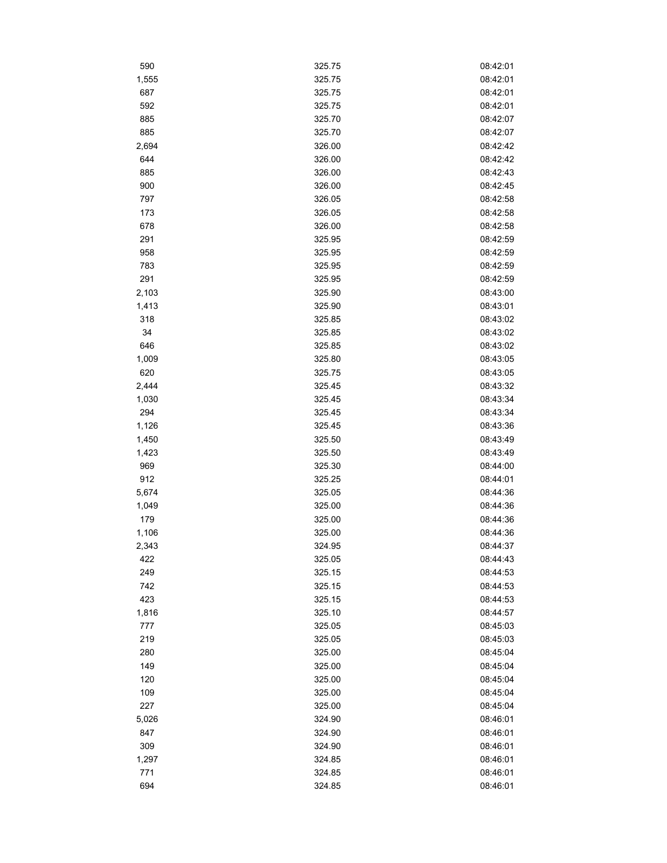| 590   | 325.75 | 08:42:01 |
|-------|--------|----------|
| 1,555 | 325.75 | 08:42:01 |
| 687   | 325.75 | 08:42:01 |
| 592   | 325.75 | 08:42:01 |
| 885   | 325.70 | 08:42:07 |
| 885   | 325.70 | 08:42:07 |
| 2,694 | 326.00 | 08:42:42 |
| 644   | 326.00 | 08:42:42 |
| 885   | 326.00 | 08:42:43 |
| 900   | 326.00 | 08:42:45 |
| 797   | 326.05 | 08:42:58 |
| 173   | 326.05 | 08:42:58 |
| 678   | 326.00 | 08:42:58 |
| 291   | 325.95 | 08:42:59 |
| 958   | 325.95 | 08:42:59 |
| 783   | 325.95 | 08:42:59 |
| 291   | 325.95 | 08:42:59 |
| 2,103 | 325.90 | 08:43:00 |
| 1,413 | 325.90 | 08:43:01 |
| 318   | 325.85 | 08:43:02 |
| 34    | 325.85 | 08:43:02 |
| 646   | 325.85 | 08:43:02 |
| 1,009 | 325.80 | 08:43:05 |
| 620   | 325.75 | 08:43:05 |
| 2,444 | 325.45 | 08:43:32 |
| 1,030 | 325.45 | 08:43:34 |
| 294   | 325.45 | 08:43:34 |
| 1,126 | 325.45 | 08:43:36 |
| 1,450 | 325.50 | 08:43:49 |
| 1,423 | 325.50 | 08:43:49 |
| 969   | 325.30 | 08:44:00 |
| 912   | 325.25 | 08:44:01 |
| 5,674 | 325.05 | 08:44:36 |
| 1,049 | 325.00 | 08:44:36 |
| 179   | 325.00 | 08:44:36 |
| 1,106 | 325.00 | 08:44:36 |
| 2,343 | 324.95 | 08:44:37 |
| 422   | 325.05 | 08:44:43 |
| 249   | 325.15 | 08:44:53 |
| 742   | 325.15 | 08:44:53 |
| 423   | 325.15 | 08:44:53 |
| 1,816 | 325.10 | 08:44:57 |
| 777   | 325.05 | 08:45:03 |
| 219   | 325.05 | 08:45:03 |
| 280   | 325.00 | 08:45:04 |
| 149   | 325.00 | 08:45:04 |
| 120   | 325.00 | 08:45:04 |
| 109   | 325.00 | 08:45:04 |
| 227   | 325.00 | 08:45:04 |
| 5,026 | 324.90 | 08:46:01 |
| 847   | 324.90 | 08:46:01 |
| 309   | 324.90 | 08:46:01 |
| 1,297 | 324.85 | 08:46:01 |
| 771   | 324.85 | 08:46:01 |
| 694   | 324.85 | 08:46:01 |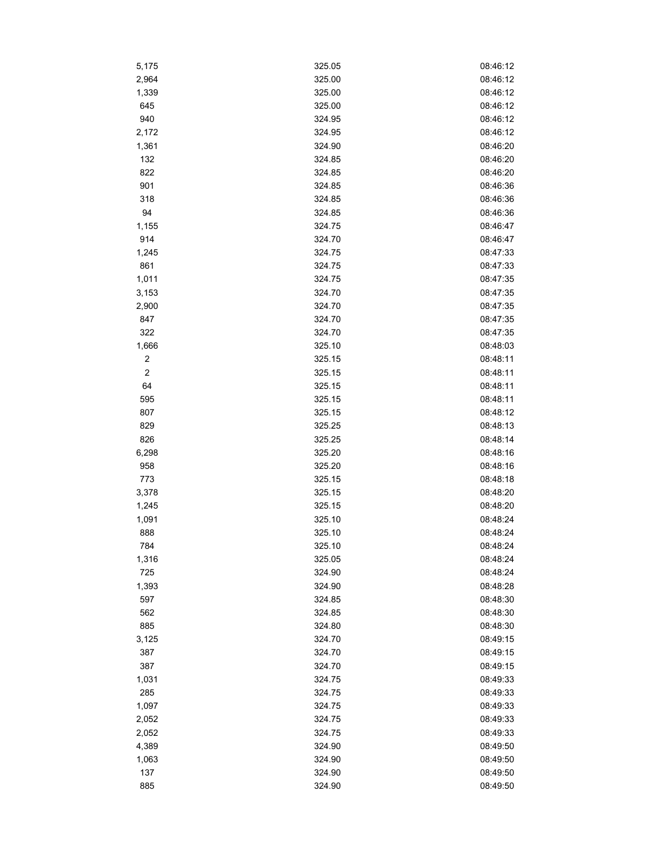| 5,175            | 325.05           | 08:46:12             |
|------------------|------------------|----------------------|
| 2,964            | 325.00           | 08:46:12             |
| 1,339            | 325.00           | 08:46:12             |
| 645              | 325.00           | 08:46:12             |
| 940              | 324.95           | 08:46:12             |
| 2,172            | 324.95           | 08:46:12             |
| 1,361            | 324.90           | 08:46:20             |
| 132              | 324.85           | 08:46:20             |
| 822              | 324.85           | 08:46:20             |
| 901              | 324.85           | 08:46:36             |
| 318              | 324.85           | 08:46:36             |
| 94               | 324.85           | 08:46:36             |
| 1,155            | 324.75           | 08:46:47             |
| 914              | 324.70           | 08:46:47             |
| 1,245            | 324.75           | 08:47:33             |
| 861              | 324.75           | 08:47:33             |
| 1,011            | 324.75           | 08:47:35             |
| 3,153            | 324.70           | 08:47:35             |
| 2,900            | 324.70           | 08:47:35             |
| 847              | 324.70           | 08:47:35             |
| 322              | 324.70           | 08:47:35             |
| 1,666            | 325.10           | 08:48:03             |
| $\sqrt{2}$       | 325.15           | 08:48:11             |
| $\boldsymbol{2}$ | 325.15           | 08:48:11             |
|                  |                  |                      |
| 64               | 325.15<br>325.15 | 08:48:11<br>08:48:11 |
| 595              |                  |                      |
| 807              | 325.15           | 08:48:12             |
| 829              | 325.25           | 08:48:13             |
| 826              | 325.25           | 08:48:14             |
| 6,298            | 325.20           | 08:48:16             |
| 958              | 325.20           | 08:48:16             |
| 773              | 325.15           | 08:48:18             |
| 3,378            | 325.15           | 08:48:20             |
| 1,245            | 325.15           | 08:48:20             |
| 1,091            | 325.10           | 08:48:24             |
| 888              | 325.10           | 08:48:24             |
| 784              | 325.10           | 08:48:24             |
| 1,316            | 325.05           | 08:48:24             |
| 725              | 324.90           | 08:48:24             |
| 1,393            | 324.90           | 08:48:28             |
| 597              | 324.85           | 08:48:30             |
| 562              | 324.85           | 08:48:30             |
| 885              | 324.80           | 08:48:30             |
| 3,125            | 324.70           | 08:49:15             |
| 387              | 324.70           | 08:49:15             |
| 387              | 324.70           | 08:49:15             |
| 1,031            | 324.75           | 08:49:33             |
| 285              | 324.75           | 08:49:33             |
| 1,097            | 324.75           | 08:49:33             |
| 2,052            | 324.75           | 08:49:33             |
| 2,052            | 324.75           | 08:49:33             |
| 4,389            | 324.90           | 08:49:50             |
| 1,063            | 324.90           | 08:49:50             |
| 137              | 324.90           | 08:49:50             |
| 885              | 324.90           | 08:49:50             |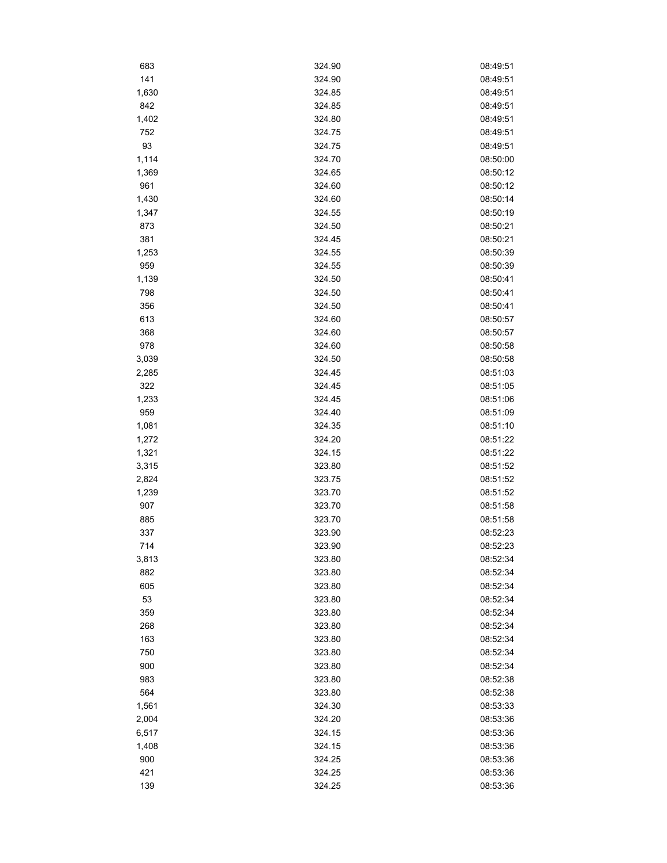| 683          | 324.90 | 08:49:51 |
|--------------|--------|----------|
| 141          | 324.90 | 08:49:51 |
| 1,630        | 324.85 | 08:49:51 |
| 842          | 324.85 | 08:49:51 |
| 1,402        | 324.80 | 08:49:51 |
| 752          | 324.75 | 08:49:51 |
| 93           | 324.75 | 08:49:51 |
| 1,114        | 324.70 | 08:50:00 |
| 1,369        | 324.65 | 08:50:12 |
| 961          | 324.60 | 08:50:12 |
| 1,430        | 324.60 | 08:50:14 |
| 1,347        | 324.55 | 08:50:19 |
| 873          | 324.50 | 08:50:21 |
| 381          | 324.45 | 08:50:21 |
| 1,253        | 324.55 | 08:50:39 |
| 959          | 324.55 | 08:50:39 |
| 1,139        | 324.50 | 08:50:41 |
| 798          | 324.50 | 08:50:41 |
| 356          | 324.50 | 08:50:41 |
| 613          | 324.60 | 08:50:57 |
| 368          | 324.60 | 08:50:57 |
| 978          | 324.60 | 08:50:58 |
| 3,039        | 324.50 | 08:50:58 |
|              | 324.45 | 08:51:03 |
| 2,285<br>322 | 324.45 | 08:51:05 |
|              |        |          |
| 1,233        | 324.45 | 08:51:06 |
| 959          | 324.40 | 08:51:09 |
| 1,081        | 324.35 | 08:51:10 |
| 1,272        | 324.20 | 08:51:22 |
| 1,321        | 324.15 | 08:51:22 |
| 3,315        | 323.80 | 08:51:52 |
| 2,824        | 323.75 | 08:51:52 |
| 1,239        | 323.70 | 08:51:52 |
| 907          | 323.70 | 08:51:58 |
| 885          | 323.70 | 08:51:58 |
| 337          | 323.90 | 08:52:23 |
| 714          | 323.90 | 08:52:23 |
| 3,813        | 323.80 | 08:52:34 |
| 882          | 323.80 | 08:52:34 |
| 605          | 323.80 | 08:52:34 |
| 53           | 323.80 | 08:52:34 |
| 359          | 323.80 | 08:52:34 |
| 268          | 323.80 | 08:52:34 |
| 163          | 323.80 | 08:52:34 |
| 750          | 323.80 | 08:52:34 |
| 900          | 323.80 | 08:52:34 |
| 983          | 323.80 | 08:52:38 |
| 564          | 323.80 | 08:52:38 |
| 1,561        | 324.30 | 08:53:33 |
| 2,004        | 324.20 | 08:53:36 |
| 6,517        | 324.15 | 08:53:36 |
| 1,408        | 324.15 | 08:53:36 |
| 900          | 324.25 | 08:53:36 |
| 421          | 324.25 | 08:53:36 |
| 139          | 324.25 | 08:53:36 |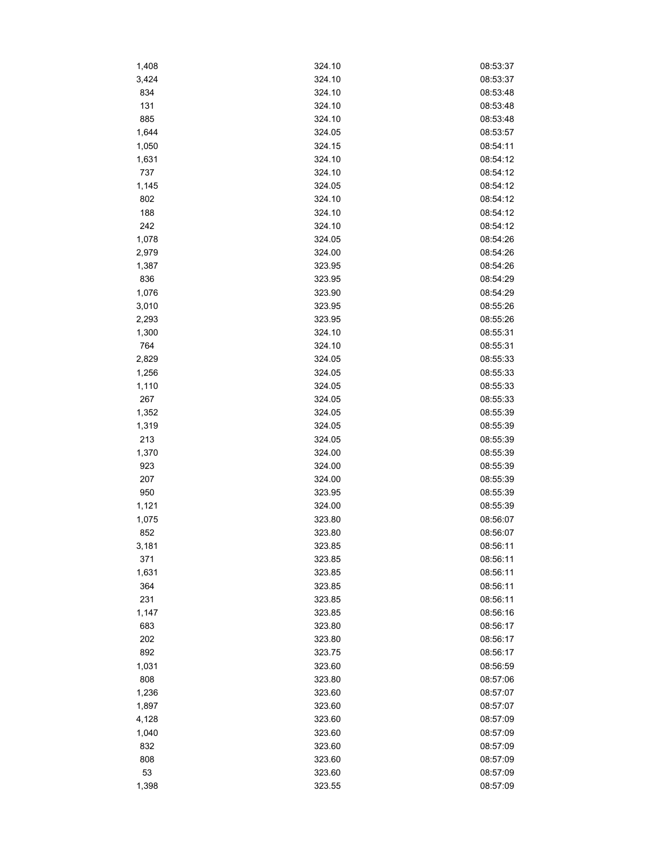| 1,408 | 324.10 | 08:53:37 |
|-------|--------|----------|
| 3,424 | 324.10 | 08:53:37 |
| 834   | 324.10 | 08:53:48 |
| 131   | 324.10 | 08:53:48 |
| 885   | 324.10 | 08:53:48 |
| 1,644 | 324.05 | 08:53:57 |
| 1,050 | 324.15 | 08:54:11 |
| 1,631 | 324.10 | 08:54:12 |
| 737   | 324.10 | 08:54:12 |
| 1,145 | 324.05 | 08:54:12 |
| 802   | 324.10 | 08:54:12 |
| 188   | 324.10 | 08:54:12 |
| 242   | 324.10 | 08:54:12 |
| 1,078 | 324.05 | 08:54:26 |
| 2,979 | 324.00 | 08:54:26 |
| 1,387 | 323.95 | 08:54:26 |
| 836   | 323.95 | 08:54:29 |
| 1,076 | 323.90 | 08:54:29 |
| 3,010 | 323.95 | 08:55:26 |
| 2,293 | 323.95 | 08:55:26 |
| 1,300 | 324.10 | 08:55:31 |
| 764   | 324.10 | 08:55:31 |
| 2,829 | 324.05 | 08:55:33 |
|       | 324.05 | 08:55:33 |
| 1,256 |        |          |
| 1,110 | 324.05 | 08:55:33 |
| 267   | 324.05 | 08:55:33 |
| 1,352 | 324.05 | 08:55:39 |
| 1,319 | 324.05 | 08:55:39 |
| 213   | 324.05 | 08:55:39 |
| 1,370 | 324.00 | 08:55:39 |
| 923   | 324.00 | 08:55:39 |
| 207   | 324.00 | 08:55:39 |
| 950   | 323.95 | 08:55:39 |
| 1,121 | 324.00 | 08:55:39 |
| 1,075 | 323.80 | 08:56:07 |
| 852   | 323.80 | 08:56:07 |
| 3,181 | 323.85 | 08:56:11 |
| 371   | 323.85 | 08:56:11 |
| 1,631 | 323.85 | 08:56:11 |
| 364   | 323.85 | 08:56:11 |
| 231   | 323.85 | 08:56:11 |
| 1,147 | 323.85 | 08:56:16 |
| 683   | 323.80 | 08:56:17 |
| 202   | 323.80 | 08:56:17 |
| 892   | 323.75 | 08:56:17 |
| 1,031 | 323.60 | 08:56:59 |
| 808   | 323.80 | 08:57:06 |
| 1,236 | 323.60 | 08:57:07 |
| 1,897 | 323.60 | 08:57:07 |
| 4,128 | 323.60 | 08:57:09 |
| 1,040 | 323.60 | 08:57:09 |
| 832   | 323.60 | 08:57:09 |
| 808   | 323.60 | 08:57:09 |
| 53    | 323.60 | 08:57:09 |
| 1,398 | 323.55 | 08:57:09 |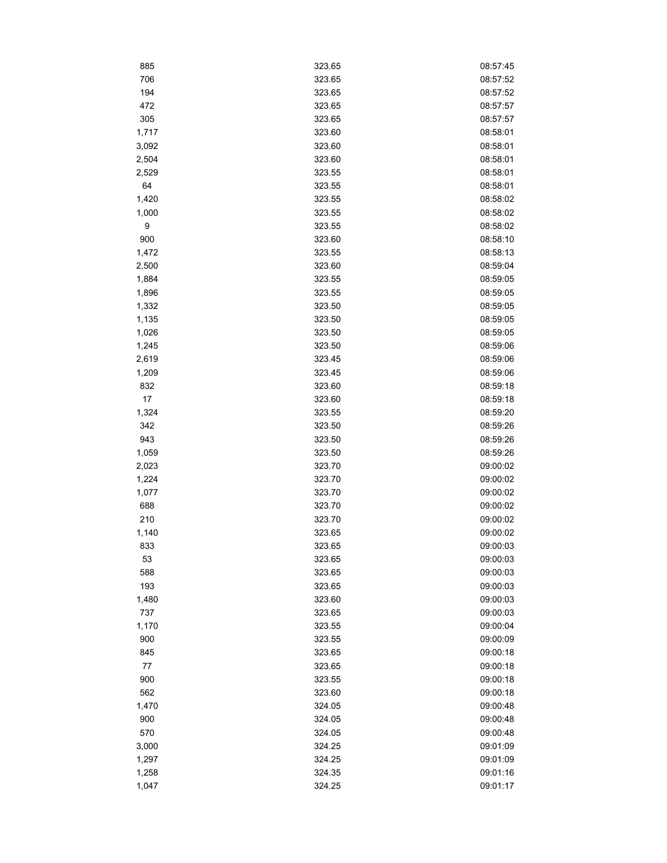| 885   | 323.65 | 08:57:45 |
|-------|--------|----------|
| 706   | 323.65 | 08:57:52 |
| 194   | 323.65 | 08:57:52 |
| 472   | 323.65 | 08:57:57 |
| 305   | 323.65 | 08:57:57 |
| 1,717 | 323.60 | 08:58:01 |
| 3,092 | 323.60 | 08:58:01 |
| 2,504 | 323.60 | 08:58:01 |
| 2,529 | 323.55 | 08:58:01 |
| 64    | 323.55 | 08:58:01 |
| 1,420 | 323.55 | 08:58:02 |
| 1,000 | 323.55 | 08:58:02 |
| 9     | 323.55 | 08:58:02 |
| 900   | 323.60 | 08:58:10 |
| 1,472 | 323.55 | 08:58:13 |
| 2,500 | 323.60 | 08:59:04 |
| 1,884 | 323.55 | 08:59:05 |
| 1,896 | 323.55 | 08:59:05 |
| 1,332 | 323.50 | 08:59:05 |
| 1,135 | 323.50 | 08:59:05 |
| 1,026 | 323.50 | 08:59:05 |
| 1,245 | 323.50 | 08:59:06 |
| 2,619 | 323.45 | 08:59:06 |
| 1,209 | 323.45 | 08:59:06 |
| 832   | 323.60 | 08:59:18 |
| 17    | 323.60 | 08:59:18 |
| 1,324 | 323.55 | 08:59:20 |
| 342   | 323.50 | 08:59:26 |
| 943   | 323.50 | 08:59:26 |
| 1,059 | 323.50 | 08:59:26 |
| 2,023 | 323.70 | 09:00:02 |
| 1,224 | 323.70 | 09:00:02 |
| 1,077 | 323.70 | 09:00:02 |
| 688   | 323.70 | 09:00:02 |
| 210   | 323.70 | 09:00:02 |
| 1,140 | 323.65 | 09:00:02 |
| 833   | 323.65 | 09:00:03 |
| 53    | 323.65 | 09:00:03 |
| 588   | 323.65 | 09:00:03 |
| 193   | 323.65 | 09:00:03 |
| 1,480 | 323.60 | 09:00:03 |
| 737   | 323.65 | 09:00:03 |
| 1,170 | 323.55 | 09:00:04 |
| 900   | 323.55 | 09:00:09 |
| 845   | 323.65 | 09:00:18 |
| 77    | 323.65 | 09:00:18 |
| 900   | 323.55 | 09:00:18 |
| 562   | 323.60 | 09:00:18 |
| 1,470 | 324.05 | 09:00:48 |
| 900   | 324.05 | 09:00:48 |
| 570   | 324.05 | 09:00:48 |
| 3,000 | 324.25 | 09:01:09 |
| 1,297 | 324.25 | 09:01:09 |
| 1,258 | 324.35 | 09:01:16 |
| 1,047 | 324.25 | 09:01:17 |
|       |        |          |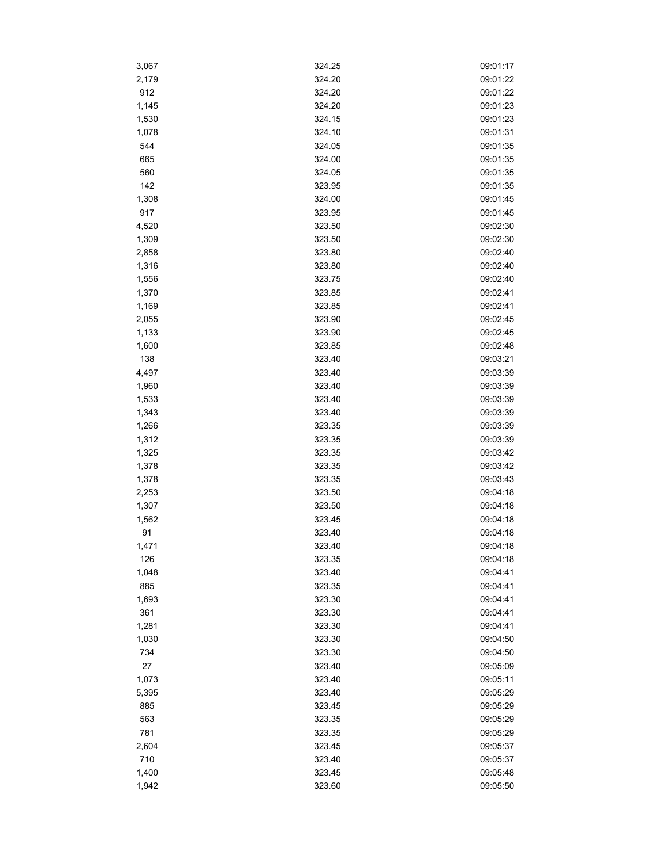| 3,067 | 324.25           | 09:01:17             |
|-------|------------------|----------------------|
| 2,179 | 324.20           | 09:01:22             |
| 912   | 324.20           | 09:01:22             |
| 1,145 | 324.20           | 09:01:23             |
| 1,530 | 324.15           | 09:01:23             |
| 1,078 | 324.10           | 09:01:31             |
| 544   | 324.05           | 09:01:35             |
| 665   | 324.00           | 09:01:35             |
| 560   | 324.05           | 09:01:35             |
| 142   | 323.95           | 09:01:35             |
| 1,308 | 324.00           | 09:01:45             |
| 917   | 323.95           | 09:01:45             |
| 4,520 | 323.50           | 09:02:30             |
| 1,309 | 323.50           | 09:02:30             |
| 2,858 | 323.80           | 09:02:40             |
| 1,316 | 323.80           | 09:02:40             |
| 1,556 | 323.75           | 09:02:40             |
| 1,370 | 323.85           | 09:02:41             |
| 1,169 | 323.85           | 09:02:41             |
| 2,055 | 323.90           | 09:02:45             |
| 1,133 | 323.90           | 09:02:45             |
| 1,600 | 323.85           | 09:02:48             |
| 138   |                  |                      |
|       | 323.40<br>323.40 | 09:03:21<br>09:03:39 |
| 4,497 | 323.40           |                      |
| 1,960 |                  | 09:03:39             |
| 1,533 | 323.40           | 09:03:39             |
| 1,343 | 323.40           | 09:03:39             |
| 1,266 | 323.35           | 09:03:39             |
| 1,312 | 323.35           | 09:03:39             |
| 1,325 | 323.35           | 09:03:42             |
| 1,378 | 323.35           | 09:03:42             |
| 1,378 | 323.35           | 09:03:43             |
| 2,253 | 323.50           | 09:04:18             |
| 1,307 | 323.50           | 09:04:18             |
| 1,562 | 323.45           | 09:04:18             |
| 91    | 323.40           | 09:04:18             |
| 1,471 | 323.40           | 09:04:18             |
| 126   | 323.35           | 09:04:18             |
| 1,048 | 323.40           | 09:04:41             |
| 885   | 323.35           | 09:04:41             |
| 1,693 | 323.30           | 09:04:41             |
| 361   | 323.30           | 09:04:41             |
| 1,281 | 323.30           | 09:04:41             |
| 1,030 | 323.30           | 09:04:50             |
| 734   | 323.30           | 09:04:50             |
| 27    | 323.40           | 09:05:09             |
| 1,073 | 323.40           | 09:05:11             |
| 5,395 | 323.40           | 09:05:29             |
| 885   | 323.45           | 09:05:29             |
| 563   | 323.35           | 09:05:29             |
| 781   | 323.35           | 09:05:29             |
| 2,604 | 323.45           | 09:05:37             |
| 710   | 323.40           | 09:05:37             |
| 1,400 | 323.45           | 09:05:48             |
| 1,942 | 323.60           | 09:05:50             |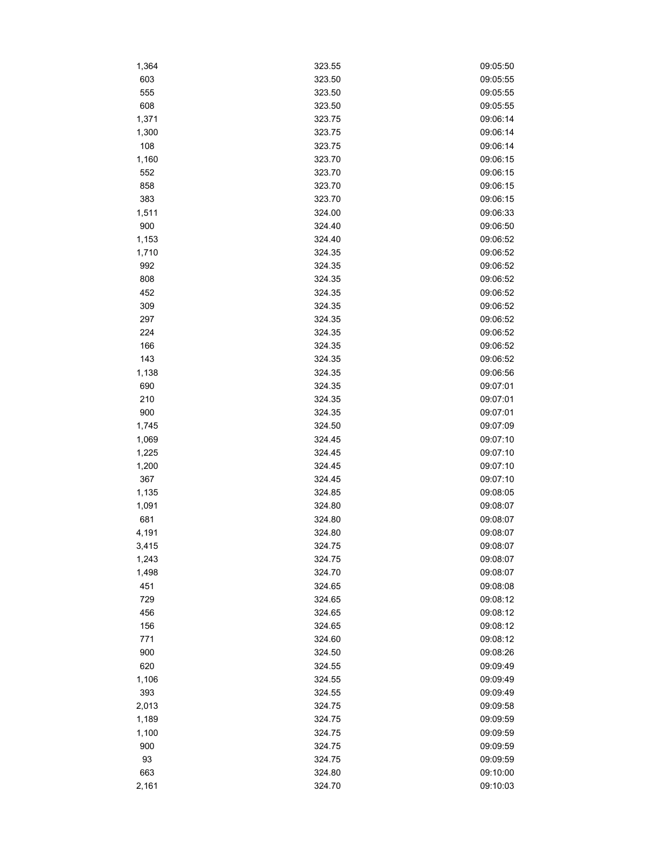| 1,364 | 323.55 | 09:05:50 |
|-------|--------|----------|
| 603   | 323.50 | 09:05:55 |
| 555   | 323.50 | 09:05:55 |
| 608   | 323.50 | 09:05:55 |
| 1,371 | 323.75 | 09:06:14 |
| 1,300 | 323.75 | 09:06:14 |
| 108   | 323.75 | 09:06:14 |
| 1,160 | 323.70 | 09:06:15 |
| 552   | 323.70 | 09:06:15 |
| 858   | 323.70 | 09:06:15 |
| 383   | 323.70 | 09:06:15 |
| 1,511 | 324.00 | 09:06:33 |
| 900   | 324.40 | 09:06:50 |
| 1,153 | 324.40 | 09:06:52 |
| 1,710 | 324.35 | 09:06:52 |
| 992   | 324.35 | 09:06:52 |
| 808   | 324.35 | 09:06:52 |
| 452   | 324.35 | 09:06:52 |
| 309   | 324.35 | 09:06:52 |
| 297   | 324.35 | 09:06:52 |
| 224   | 324.35 | 09:06:52 |
| 166   | 324.35 | 09:06:52 |
| 143   | 324.35 | 09:06:52 |
| 1,138 | 324.35 | 09:06:56 |
| 690   | 324.35 | 09:07:01 |
| 210   | 324.35 | 09:07:01 |
|       |        |          |
| 900   | 324.35 | 09:07:01 |
| 1,745 | 324.50 | 09:07:09 |
| 1,069 | 324.45 | 09:07:10 |
| 1,225 | 324.45 | 09:07:10 |
| 1,200 | 324.45 | 09:07:10 |
| 367   | 324.45 | 09:07:10 |
| 1,135 | 324.85 | 09:08:05 |
| 1,091 | 324.80 | 09:08:07 |
| 681   | 324.80 | 09:08:07 |
| 4,191 | 324.80 | 09:08:07 |
| 3,415 | 324.75 | 09:08:07 |
| 1,243 | 324.75 | 09:08:07 |
| 1,498 | 324.70 | 09:08:07 |
| 451   | 324.65 | 09:08:08 |
| 729   | 324.65 | 09:08:12 |
| 456   | 324.65 | 09:08:12 |
| 156   | 324.65 | 09:08:12 |
| 771   | 324.60 | 09:08:12 |
| 900   | 324.50 | 09:08:26 |
| 620   | 324.55 | 09:09:49 |
| 1,106 | 324.55 | 09:09:49 |
| 393   | 324.55 | 09:09:49 |
| 2,013 | 324.75 | 09:09:58 |
| 1,189 | 324.75 | 09:09:59 |
| 1,100 | 324.75 | 09:09:59 |
| 900   | 324.75 | 09:09:59 |
| 93    | 324.75 | 09:09:59 |
| 663   | 324.80 | 09:10:00 |
| 2,161 | 324.70 | 09:10:03 |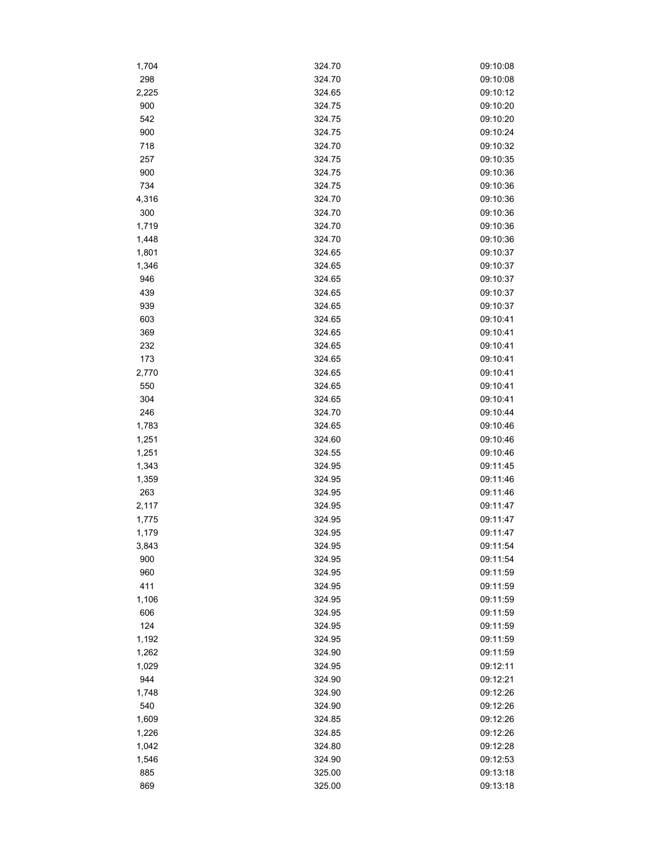| 1,704      | 324.70           | 09:10:08 |
|------------|------------------|----------|
| 298        | 324.70           | 09:10:08 |
| 2,225      | 324.65           | 09:10:12 |
| 900        | 324.75           | 09:10:20 |
| 542        | 324.75           | 09:10:20 |
| 900        | 324.75           | 09:10:24 |
| 718        | 324.70           | 09:10:32 |
| 257        | 324.75           | 09:10:35 |
| 900        | 324.75           | 09:10:36 |
| 734        | 324.75           | 09:10:36 |
| 4,316      | 324.70           | 09:10:36 |
| 300        | 324.70           | 09:10:36 |
| 1,719      | 324.70           | 09:10:36 |
| 1,448      | 324.70           | 09:10:36 |
| 1,801      | 324.65           | 09:10:37 |
| 1,346      | 324.65           | 09:10:37 |
| 946        | 324.65           | 09:10:37 |
| 439        | 324.65           | 09:10:37 |
| 939        | 324.65           | 09:10:37 |
| 603        | 324.65           | 09:10:41 |
| 369        | 324.65           | 09:10:41 |
| 232        | 324.65           | 09:10:41 |
| 173        | 324.65           | 09:10:41 |
| 2,770      | 324.65           | 09:10:41 |
|            |                  | 09:10:41 |
| 550<br>304 | 324.65<br>324.65 | 09:10:41 |
|            |                  |          |
| 246        | 324.70           | 09:10:44 |
| 1,783      | 324.65           | 09:10:46 |
| 1,251      | 324.60           | 09:10:46 |
| 1,251      | 324.55           | 09:10:46 |
| 1,343      | 324.95           | 09:11:45 |
| 1,359      | 324.95           | 09:11:46 |
| 263        | 324.95           | 09:11:46 |
| 2,117      | 324.95           | 09:11:47 |
| 1,775      | 324.95           | 09:11:47 |
| 1,179      | 324.95           | 09:11:47 |
| 3,843      | 324.95           | 09:11:54 |
| 900        | 324.95           | 09:11:54 |
| 960        | 324.95           | 09:11:59 |
| 411        | 324.95           | 09:11:59 |
| 1,106      | 324.95           | 09:11:59 |
| 606        | 324.95           | 09:11:59 |
| 124        | 324.95           | 09:11:59 |
| 1,192      | 324.95           | 09:11:59 |
| 1,262      | 324.90           | 09:11:59 |
| 1,029      | 324.95           | 09:12:11 |
| 944        | 324.90           | 09:12:21 |
| 1,748      | 324.90           | 09:12:26 |
| 540        | 324.90           | 09:12:26 |
| 1,609      | 324.85           | 09:12:26 |
| 1,226      | 324.85           | 09:12:26 |
| 1,042      | 324.80           | 09:12:28 |
| 1,546      | 324.90           | 09:12:53 |
| 885        | 325.00           | 09:13:18 |
| 869        | 325.00           | 09:13:18 |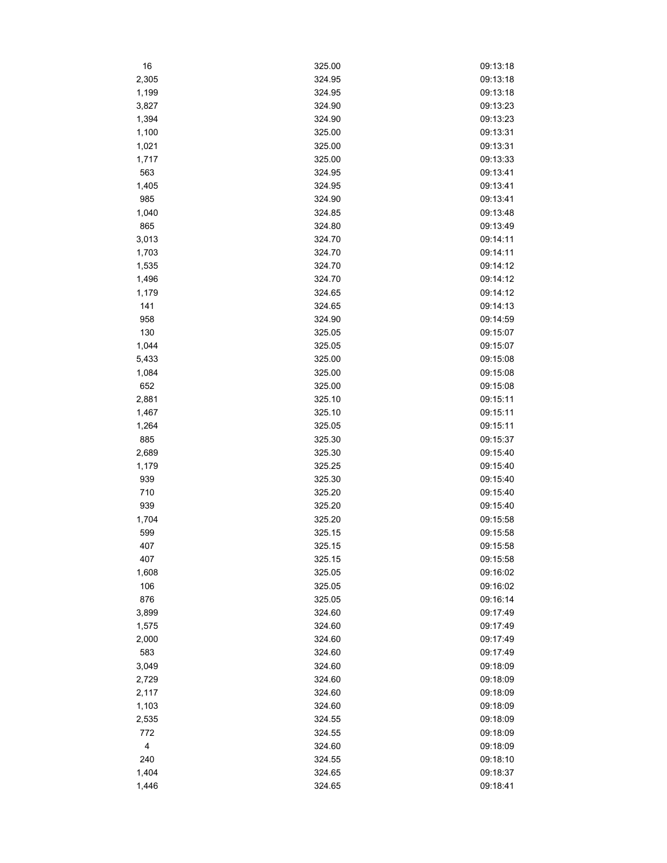| 16    | 325.00 | 09:13:18 |
|-------|--------|----------|
| 2,305 | 324.95 | 09:13:18 |
| 1,199 | 324.95 | 09:13:18 |
| 3,827 | 324.90 | 09:13:23 |
| 1,394 | 324.90 | 09:13:23 |
| 1,100 | 325.00 | 09:13:31 |
| 1,021 | 325.00 | 09:13:31 |
| 1,717 | 325.00 | 09:13:33 |
| 563   | 324.95 | 09:13:41 |
| 1,405 | 324.95 | 09:13:41 |
| 985   | 324.90 | 09:13:41 |
| 1,040 | 324.85 | 09:13:48 |
| 865   | 324.80 | 09:13:49 |
| 3,013 | 324.70 | 09:14:11 |
| 1,703 | 324.70 | 09:14:11 |
| 1,535 | 324.70 | 09:14:12 |
| 1,496 | 324.70 | 09:14:12 |
| 1,179 | 324.65 | 09:14:12 |
| 141   | 324.65 | 09:14:13 |
| 958   | 324.90 | 09:14:59 |
|       |        |          |
| 130   | 325.05 | 09:15:07 |
| 1,044 | 325.05 | 09:15:07 |
| 5,433 | 325.00 | 09:15:08 |
| 1,084 | 325.00 | 09:15:08 |
| 652   | 325.00 | 09:15:08 |
| 2,881 | 325.10 | 09:15:11 |
| 1,467 | 325.10 | 09:15:11 |
| 1,264 | 325.05 | 09:15:11 |
| 885   | 325.30 | 09:15:37 |
| 2,689 | 325.30 | 09:15:40 |
| 1,179 | 325.25 | 09:15:40 |
| 939   | 325.30 | 09:15:40 |
| 710   | 325.20 | 09:15:40 |
| 939   | 325.20 | 09:15:40 |
| 1,704 | 325.20 | 09:15:58 |
| 599   | 325.15 | 09:15:58 |
| 407   | 325.15 | 09:15:58 |
| 407   | 325.15 | 09:15:58 |
| 1,608 | 325.05 | 09:16:02 |
| 106   | 325.05 | 09:16:02 |
| 876   | 325.05 | 09:16:14 |
| 3,899 | 324.60 | 09:17:49 |
| 1,575 | 324.60 | 09:17:49 |
| 2,000 | 324.60 | 09:17:49 |
| 583   | 324.60 | 09:17:49 |
| 3,049 | 324.60 | 09:18:09 |
| 2,729 | 324.60 | 09:18:09 |
| 2,117 | 324.60 | 09:18:09 |
| 1,103 | 324.60 | 09:18:09 |
| 2,535 | 324.55 | 09:18:09 |
| 772   | 324.55 | 09:18:09 |
| 4     | 324.60 | 09:18:09 |
| 240   | 324.55 | 09:18:10 |
| 1,404 | 324.65 | 09:18:37 |
| 1,446 | 324.65 | 09:18:41 |
|       |        |          |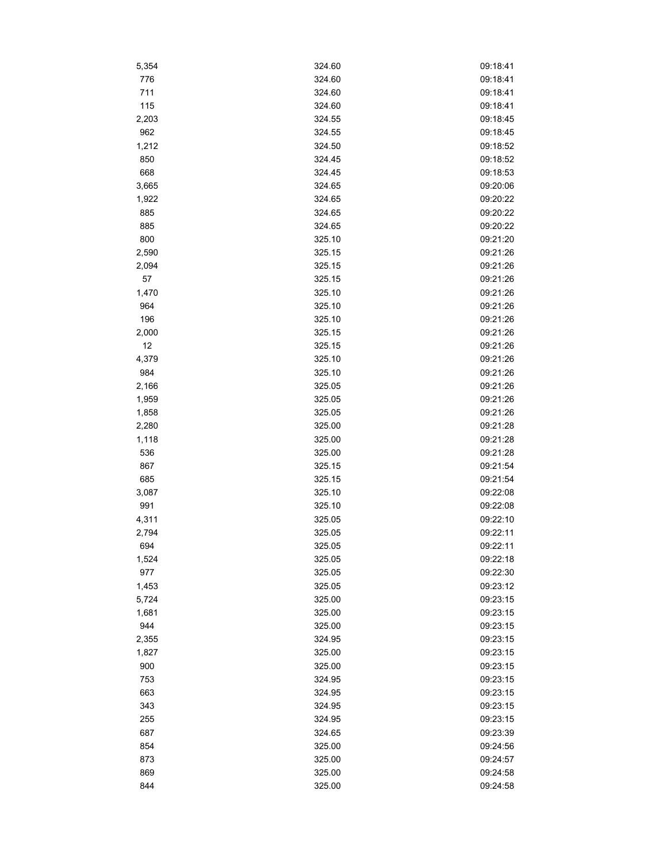| 5,354 | 324.60 | 09:18:41 |
|-------|--------|----------|
| 776   | 324.60 | 09:18:41 |
| 711   | 324.60 | 09:18:41 |
| 115   | 324.60 | 09:18:41 |
| 2,203 | 324.55 | 09:18:45 |
| 962   | 324.55 | 09:18:45 |
| 1,212 | 324.50 | 09:18:52 |
| 850   | 324.45 | 09:18:52 |
| 668   | 324.45 | 09:18:53 |
| 3,665 | 324.65 | 09:20:06 |
| 1,922 | 324.65 | 09:20:22 |
| 885   | 324.65 | 09:20:22 |
| 885   | 324.65 | 09:20:22 |
| 800   | 325.10 | 09:21:20 |
| 2,590 | 325.15 | 09:21:26 |
| 2,094 | 325.15 | 09:21:26 |
| 57    | 325.15 | 09:21:26 |
| 1,470 | 325.10 | 09:21:26 |
| 964   | 325.10 | 09:21:26 |
| 196   | 325.10 | 09:21:26 |
| 2,000 | 325.15 | 09:21:26 |
| 12    | 325.15 | 09:21:26 |
| 4,379 | 325.10 | 09:21:26 |
| 984   | 325.10 | 09:21:26 |
| 2,166 | 325.05 | 09:21:26 |
| 1,959 | 325.05 | 09:21:26 |
| 1,858 | 325.05 | 09:21:26 |
| 2,280 | 325.00 | 09:21:28 |
| 1,118 | 325.00 | 09:21:28 |
| 536   | 325.00 | 09:21:28 |
| 867   | 325.15 | 09:21:54 |
| 685   | 325.15 | 09:21:54 |
| 3,087 | 325.10 | 09:22:08 |
| 991   | 325.10 | 09:22:08 |
| 4,311 | 325.05 | 09:22:10 |
| 2,794 | 325.05 | 09:22:11 |
| 694   | 325.05 | 09:22:11 |
| 1,524 | 325.05 | 09:22:18 |
| 977   | 325.05 | 09:22:30 |
| 1,453 | 325.05 | 09:23:12 |
| 5,724 | 325.00 | 09:23:15 |
| 1,681 | 325.00 | 09:23:15 |
| 944   | 325.00 | 09:23:15 |
| 2,355 | 324.95 | 09:23:15 |
| 1,827 | 325.00 | 09:23:15 |
| 900   | 325.00 | 09:23:15 |
| 753   | 324.95 | 09:23:15 |
| 663   | 324.95 | 09:23:15 |
| 343   | 324.95 | 09:23:15 |
| 255   | 324.95 | 09:23:15 |
| 687   | 324.65 | 09:23:39 |
| 854   | 325.00 | 09:24:56 |
| 873   | 325.00 | 09:24:57 |
| 869   | 325.00 | 09:24:58 |
| 844   | 325.00 | 09:24:58 |
|       |        |          |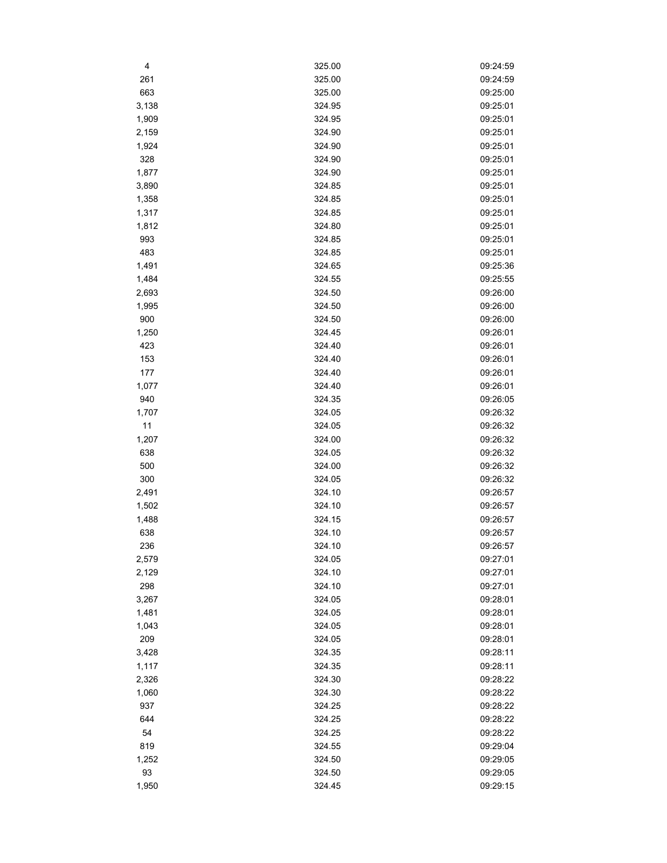| 4     | 325.00 | 09:24:59 |
|-------|--------|----------|
| 261   | 325.00 | 09:24:59 |
| 663   | 325.00 | 09:25:00 |
| 3,138 | 324.95 | 09:25:01 |
| 1,909 | 324.95 | 09:25:01 |
| 2,159 | 324.90 | 09:25:01 |
| 1,924 | 324.90 | 09:25:01 |
| 328   | 324.90 | 09:25:01 |
| 1,877 | 324.90 | 09:25:01 |
| 3,890 | 324.85 | 09:25:01 |
| 1,358 | 324.85 | 09:25:01 |
| 1,317 | 324.85 | 09:25:01 |
| 1,812 | 324.80 | 09:25:01 |
| 993   | 324.85 | 09:25:01 |
| 483   | 324.85 | 09:25:01 |
| 1,491 | 324.65 | 09:25:36 |
| 1,484 | 324.55 | 09:25:55 |
| 2,693 | 324.50 | 09:26:00 |
| 1,995 | 324.50 | 09:26:00 |
| 900   | 324.50 | 09:26:00 |
| 1,250 | 324.45 | 09:26:01 |
| 423   | 324.40 | 09:26:01 |
| 153   | 324.40 | 09:26:01 |
| 177   | 324.40 | 09:26:01 |
| 1,077 | 324.40 | 09:26:01 |
| 940   | 324.35 | 09:26:05 |
| 1,707 | 324.05 | 09:26:32 |
| 11    | 324.05 | 09:26:32 |
| 1,207 | 324.00 | 09:26:32 |
| 638   | 324.05 | 09:26:32 |
| 500   | 324.00 | 09:26:32 |
| 300   | 324.05 | 09:26:32 |
| 2,491 | 324.10 | 09:26:57 |
| 1,502 | 324.10 | 09:26:57 |
| 1,488 | 324.15 | 09:26:57 |
| 638   | 324.10 | 09:26:57 |
| 236   | 324.10 | 09:26:57 |
| 2,579 | 324.05 | 09:27:01 |
| 2,129 | 324.10 | 09:27:01 |
| 298   | 324.10 | 09:27:01 |
| 3,267 | 324.05 | 09:28:01 |
| 1,481 | 324.05 | 09:28:01 |
| 1,043 | 324.05 | 09:28:01 |
| 209   | 324.05 | 09:28:01 |
| 3,428 | 324.35 | 09:28:11 |
| 1,117 | 324.35 | 09:28:11 |
| 2,326 | 324.30 | 09:28:22 |
| 1,060 | 324.30 | 09:28:22 |
| 937   | 324.25 | 09:28:22 |
| 644   | 324.25 | 09:28:22 |
| 54    | 324.25 | 09:28:22 |
| 819   | 324.55 | 09:29:04 |
| 1,252 | 324.50 | 09:29:05 |
| 93    | 324.50 | 09:29:05 |
|       |        |          |
| 1,950 | 324.45 | 09:29:15 |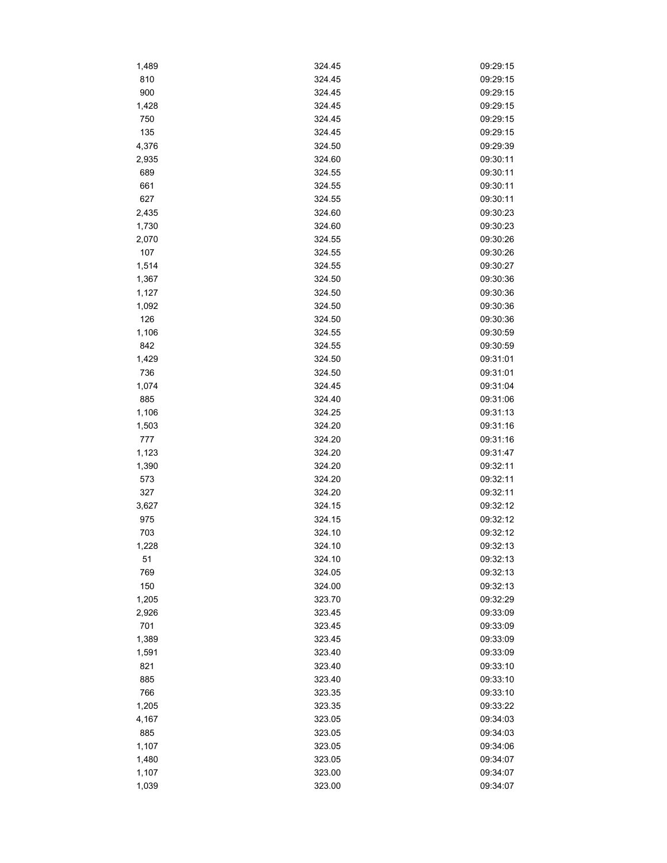| 1,489 | 324.45 | 09:29:15 |
|-------|--------|----------|
| 810   | 324.45 | 09:29:15 |
| 900   | 324.45 | 09:29:15 |
| 1,428 | 324.45 | 09:29:15 |
| 750   | 324.45 | 09:29:15 |
| 135   | 324.45 | 09:29:15 |
| 4,376 | 324.50 | 09:29:39 |
| 2,935 | 324.60 | 09:30:11 |
| 689   | 324.55 | 09:30:11 |
| 661   | 324.55 | 09:30:11 |
| 627   | 324.55 | 09:30:11 |
| 2,435 | 324.60 | 09:30:23 |
| 1,730 | 324.60 | 09:30:23 |
| 2,070 | 324.55 | 09:30:26 |
| 107   | 324.55 | 09:30:26 |
| 1,514 | 324.55 | 09:30:27 |
| 1,367 | 324.50 | 09:30:36 |
| 1,127 | 324.50 | 09:30:36 |
| 1,092 | 324.50 | 09:30:36 |
| 126   | 324.50 | 09:30:36 |
| 1,106 | 324.55 | 09:30:59 |
| 842   | 324.55 | 09:30:59 |
| 1,429 | 324.50 | 09:31:01 |
| 736   | 324.50 | 09:31:01 |
|       |        |          |
| 1,074 | 324.45 | 09:31:04 |
| 885   | 324.40 | 09:31:06 |
| 1,106 | 324.25 | 09:31:13 |
| 1,503 | 324.20 | 09:31:16 |
| 777   | 324.20 | 09:31:16 |
| 1,123 | 324.20 | 09:31:47 |
| 1,390 | 324.20 | 09:32:11 |
| 573   | 324.20 | 09:32:11 |
| 327   | 324.20 | 09:32:11 |
| 3,627 | 324.15 | 09:32:12 |
| 975   | 324.15 | 09:32:12 |
| 703   | 324.10 | 09:32:12 |
| 1,228 | 324.10 | 09:32:13 |
| 51    | 324.10 | 09:32:13 |
| 769   | 324.05 | 09:32:13 |
| 150   | 324.00 | 09:32:13 |
| 1,205 | 323.70 | 09:32:29 |
| 2,926 | 323.45 | 09:33:09 |
| 701   | 323.45 | 09:33:09 |
| 1,389 | 323.45 | 09:33:09 |
| 1,591 | 323.40 | 09:33:09 |
| 821   | 323.40 | 09:33:10 |
| 885   | 323.40 | 09:33:10 |
| 766   | 323.35 | 09:33:10 |
| 1,205 | 323.35 | 09:33:22 |
| 4,167 | 323.05 | 09:34:03 |
| 885   | 323.05 | 09:34:03 |
| 1,107 | 323.05 | 09:34:06 |
| 1,480 | 323.05 | 09:34:07 |
| 1,107 | 323.00 | 09:34:07 |
| 1,039 | 323.00 | 09:34:07 |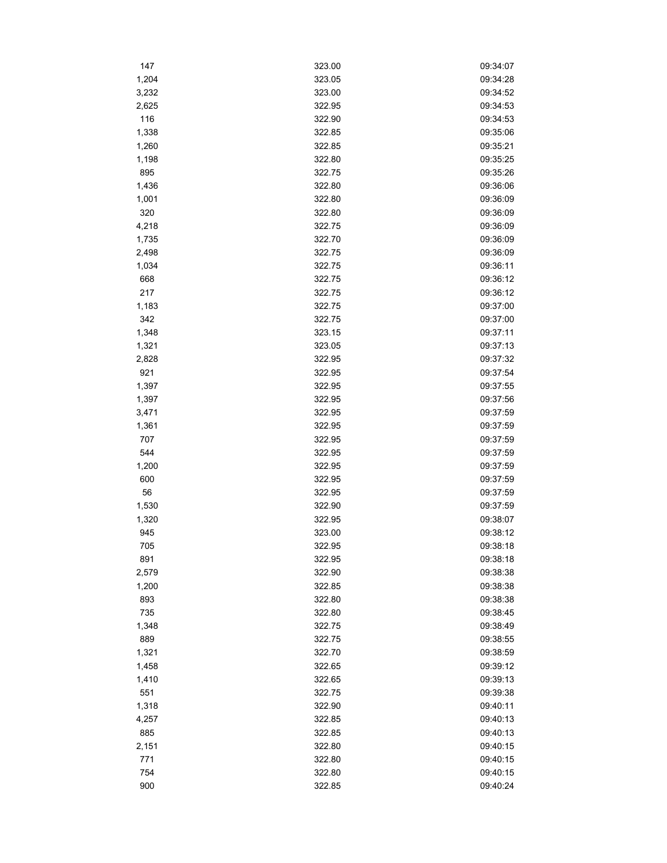| 147        | 323.00 | 09:34:07             |
|------------|--------|----------------------|
| 1,204      | 323.05 | 09:34:28             |
| 3,232      | 323.00 | 09:34:52             |
| 2,625      | 322.95 | 09:34:53             |
| 116        | 322.90 | 09:34:53             |
| 1,338      | 322.85 | 09:35:06             |
| 1,260      | 322.85 | 09:35:21             |
| 1,198      | 322.80 | 09:35:25             |
| 895        | 322.75 | 09:35:26             |
| 1,436      | 322.80 | 09:36:06             |
| 1,001      | 322.80 | 09:36:09             |
| 320        | 322.80 | 09:36:09             |
| 4,218      | 322.75 | 09:36:09             |
| 1,735      | 322.70 | 09:36:09             |
| 2,498      | 322.75 | 09:36:09             |
| 1,034      | 322.75 | 09:36:11             |
| 668        | 322.75 | 09:36:12             |
| 217        | 322.75 | 09:36:12             |
| 1,183      | 322.75 | 09:37:00             |
| 342        | 322.75 | 09:37:00             |
| 1,348      | 323.15 | 09:37:11             |
| 1,321      | 323.05 | 09:37:13             |
| 2,828      | 322.95 | 09:37:32             |
| 921        | 322.95 | 09:37:54             |
| 1,397      | 322.95 | 09:37:55             |
| 1,397      | 322.95 | 09:37:56             |
| 3,471      | 322.95 | 09:37:59             |
| 1,361      | 322.95 | 09:37:59             |
| 707        | 322.95 | 09:37:59             |
| 544        | 322.95 | 09:37:59             |
| 1,200      | 322.95 | 09:37:59             |
| 600        | 322.95 | 09:37:59             |
| 56         | 322.95 | 09:37:59             |
| 1,530      | 322.90 | 09:37:59             |
| 1,320      | 322.95 | 09:38:07             |
| 945        | 323.00 | 09:38:12             |
| 705        | 322.95 | 09:38:18             |
| 891        | 322.95 | 09:38:18             |
| 2,579      | 322.90 | 09:38:38             |
| 1,200      | 322.85 | 09:38:38             |
| 893        | 322.80 | 09:38:38             |
| 735        | 322.80 | 09:38:45             |
| 1,348      | 322.75 | 09:38:49             |
| 889        | 322.75 | 09:38:55             |
| 1,321      | 322.70 | 09:38:59             |
| 1,458      | 322.65 | 09:39:12             |
| 1,410      | 322.65 | 09:39:13             |
| 551        | 322.75 | 09:39:38             |
| 1,318      | 322.90 | 09:40:11             |
| 4,257      | 322.85 | 09:40:13             |
|            |        |                      |
| 885        | 322.85 | 09:40:13<br>09:40:15 |
| 2,151      | 322.80 |                      |
| 771<br>754 | 322.80 | 09:40:15<br>09:40:15 |
|            | 322.80 |                      |
| 900        | 322.85 | 09:40:24             |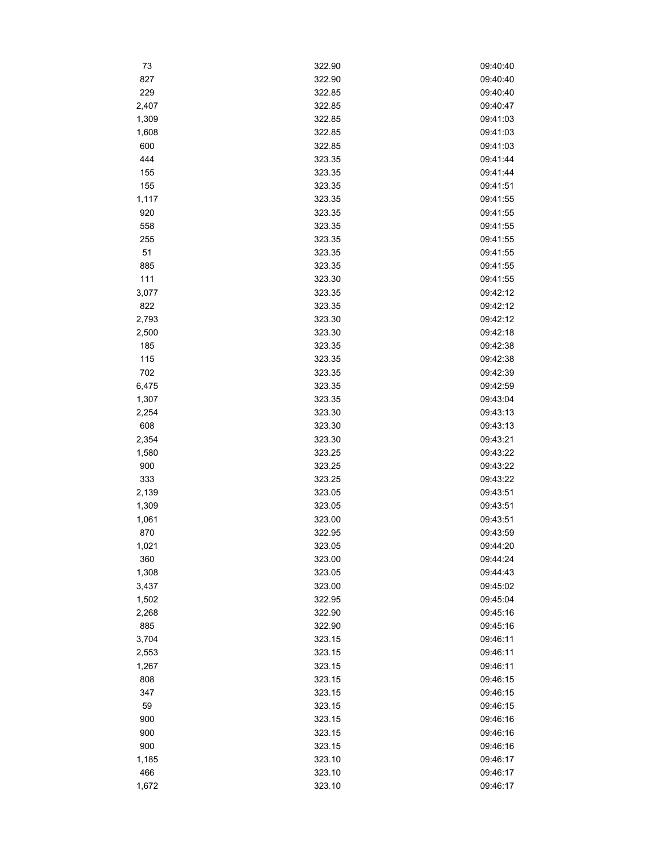| 73           | 322.90           | 09:40:40 |
|--------------|------------------|----------|
| 827          | 322.90           | 09:40:40 |
| 229          | 322.85           | 09:40:40 |
| 2,407        | 322.85           | 09:40:47 |
| 1,309        | 322.85           | 09:41:03 |
| 1,608        | 322.85           | 09:41:03 |
| 600          | 322.85           | 09:41:03 |
| 444          | 323.35           | 09:41:44 |
| 155          | 323.35           | 09:41:44 |
| 155          | 323.35           | 09:41:51 |
| 1,117        | 323.35           | 09:41:55 |
| 920          | 323.35           | 09:41:55 |
| 558          | 323.35           | 09:41:55 |
| 255          | 323.35           | 09:41:55 |
| 51           | 323.35           | 09:41:55 |
| 885          | 323.35           | 09:41:55 |
| 111          | 323.30           | 09:41:55 |
| 3,077        | 323.35           | 09:42:12 |
| 822          | 323.35           | 09:42:12 |
| 2,793        | 323.30           | 09:42:12 |
| 2,500        | 323.30           | 09:42:18 |
| 185          | 323.35           | 09:42:38 |
| 115          | 323.35           | 09:42:38 |
| 702          | 323.35           | 09:42:39 |
| 6,475        | 323.35           | 09:42:59 |
| 1,307        | 323.35           | 09:43:04 |
|              | 323.30           | 09:43:13 |
| 2,254<br>608 | 323.30           | 09:43:13 |
|              | 323.30           | 09:43:21 |
| 2,354        | 323.25           | 09:43:22 |
| 1,580<br>900 |                  | 09:43:22 |
| 333          | 323.25<br>323.25 | 09:43:22 |
|              |                  | 09:43:51 |
| 2,139        | 323.05           | 09:43:51 |
| 1,309        | 323.05           |          |
| 1,061        | 323.00<br>322.95 | 09:43:51 |
| 870          |                  | 09:43:59 |
| 1,021        | 323.05           | 09:44:20 |
| 360          | 323.00           | 09:44:24 |
| 1,308        | 323.05           | 09:44:43 |
| 3,437        | 323.00           | 09:45:02 |
| 1,502        | 322.95           | 09:45:04 |
| 2,268        | 322.90           | 09:45:16 |
| 885          | 322.90           | 09:45:16 |
| 3,704        | 323.15           | 09:46:11 |
| 2,553        | 323.15           | 09:46:11 |
| 1,267        | 323.15           | 09:46:11 |
| 808          | 323.15           | 09:46:15 |
| 347          | 323.15           | 09:46:15 |
| 59           | 323.15           | 09:46:15 |
| 900          | 323.15           | 09:46:16 |
| 900          | 323.15           | 09:46:16 |
| 900          | 323.15           | 09:46:16 |
| 1,185        | 323.10           | 09:46:17 |
| 466          | 323.10           | 09:46:17 |
| 1,672        | 323.10           | 09:46:17 |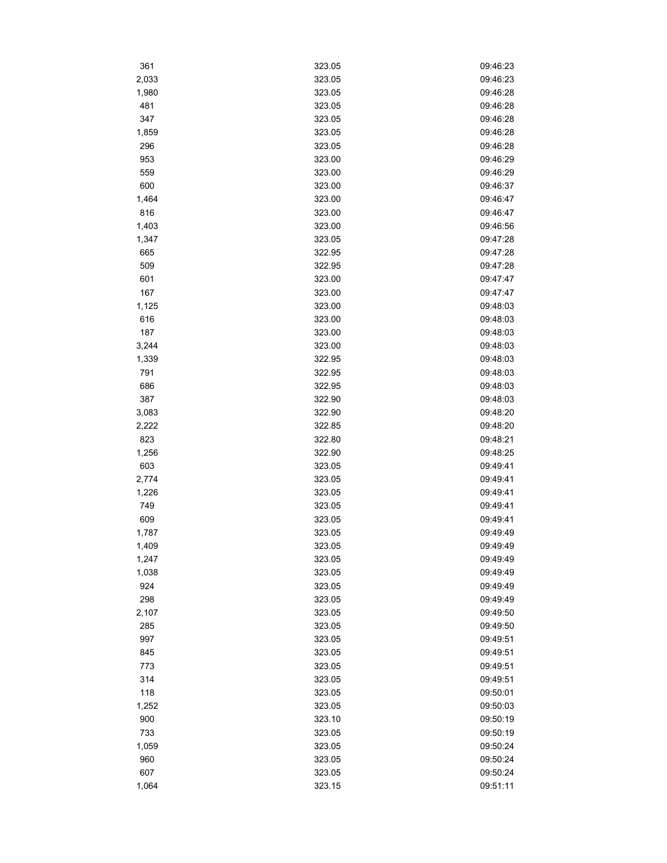| 361   | 323.05 | 09:46:23 |
|-------|--------|----------|
| 2,033 | 323.05 | 09:46:23 |
| 1,980 | 323.05 | 09:46:28 |
| 481   | 323.05 | 09:46:28 |
| 347   | 323.05 | 09:46:28 |
| 1,859 | 323.05 | 09:46:28 |
| 296   | 323.05 | 09:46:28 |
| 953   | 323.00 | 09:46:29 |
| 559   | 323.00 | 09:46:29 |
| 600   | 323.00 | 09:46:37 |
| 1,464 | 323.00 | 09:46:47 |
| 816   | 323.00 | 09:46:47 |
| 1,403 | 323.00 | 09:46:56 |
| 1,347 | 323.05 | 09:47:28 |
| 665   | 322.95 | 09:47:28 |
| 509   | 322.95 | 09:47:28 |
| 601   | 323.00 | 09:47:47 |
| 167   | 323.00 | 09:47:47 |
| 1,125 | 323.00 | 09:48:03 |
| 616   | 323.00 | 09:48:03 |
| 187   | 323.00 | 09:48:03 |
| 3,244 | 323.00 | 09:48:03 |
| 1,339 | 322.95 | 09:48:03 |
| 791   | 322.95 | 09:48:03 |
| 686   | 322.95 | 09:48:03 |
| 387   | 322.90 | 09:48:03 |
| 3,083 | 322.90 | 09:48:20 |
| 2,222 | 322.85 | 09:48:20 |
| 823   | 322.80 | 09:48:21 |
| 1,256 | 322.90 | 09:48:25 |
| 603   | 323.05 | 09:49:41 |
| 2,774 | 323.05 | 09:49:41 |
| 1,226 | 323.05 | 09:49:41 |
| 749   | 323.05 | 09:49:41 |
| 609   | 323.05 | 09:49:41 |
| 1,787 | 323.05 | 09:49:49 |
| 1,409 | 323.05 | 09:49:49 |
| 1,247 | 323.05 | 09:49:49 |
| 1,038 | 323.05 | 09:49:49 |
| 924   | 323.05 | 09:49:49 |
| 298   | 323.05 | 09:49:49 |
| 2,107 | 323.05 | 09:49:50 |
| 285   | 323.05 | 09:49:50 |
| 997   | 323.05 | 09:49:51 |
| 845   | 323.05 | 09:49:51 |
| 773   | 323.05 | 09:49:51 |
| 314   | 323.05 | 09:49:51 |
| 118   | 323.05 | 09:50:01 |
| 1,252 | 323.05 | 09:50:03 |
| 900   | 323.10 | 09:50:19 |
| 733   | 323.05 | 09:50:19 |
| 1,059 | 323.05 | 09:50:24 |
| 960   | 323.05 | 09:50:24 |
| 607   | 323.05 | 09:50:24 |
| 1,064 | 323.15 | 09:51:11 |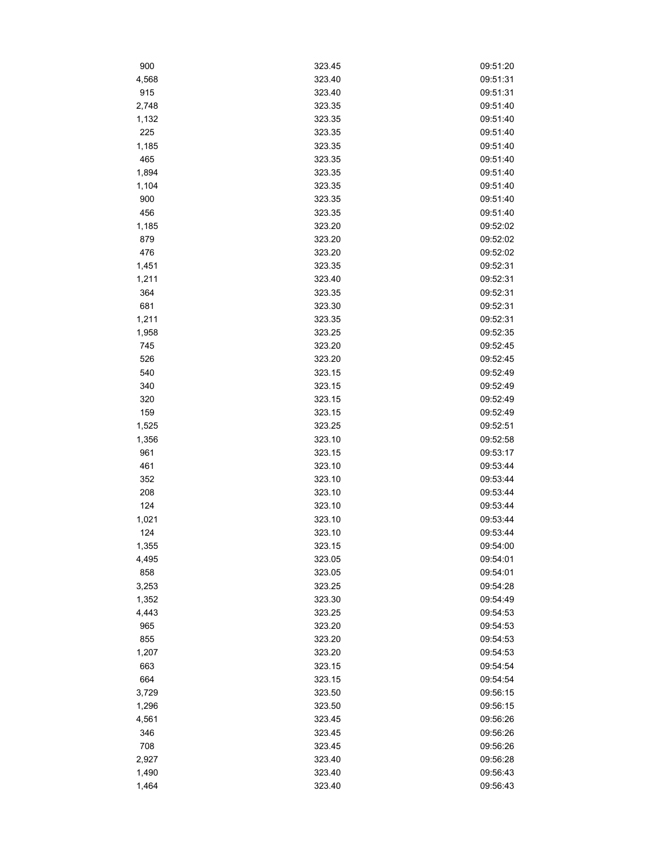| 900        | 323.45 | 09:51:20             |
|------------|--------|----------------------|
| 4,568      | 323.40 | 09:51:31             |
| 915        | 323.40 | 09:51:31             |
| 2,748      | 323.35 | 09:51:40             |
| 1,132      | 323.35 | 09:51:40             |
| 225        | 323.35 | 09:51:40             |
| 1,185      | 323.35 | 09:51:40             |
| 465        | 323.35 | 09:51:40             |
| 1,894      | 323.35 | 09:51:40             |
| 1,104      | 323.35 | 09:51:40             |
| 900        | 323.35 | 09:51:40             |
| 456        | 323.35 | 09:51:40             |
| 1,185      | 323.20 | 09:52:02             |
| 879        | 323.20 | 09:52:02             |
| 476        | 323.20 | 09:52:02             |
| 1,451      | 323.35 | 09:52:31             |
| 1,211      | 323.40 | 09:52:31             |
| 364        | 323.35 | 09:52:31             |
| 681        | 323.30 | 09:52:31             |
| 1,211      | 323.35 | 09:52:31             |
| 1,958      | 323.25 | 09:52:35             |
| 745        | 323.20 | 09:52:45             |
| 526        | 323.20 | 09:52:45             |
| 540        | 323.15 | 09:52:49             |
| 340        | 323.15 | 09:52:49             |
| 320        | 323.15 | 09:52:49             |
| 159        | 323.15 | 09:52:49             |
| 1,525      | 323.25 | 09:52:51             |
| 1,356      | 323.10 | 09:52:58             |
| 961        | 323.15 | 09:53:17             |
| 461        | 323.10 | 09:53:44             |
|            | 323.10 | 09:53:44             |
| 352<br>208 | 323.10 | 09:53:44             |
| 124        | 323.10 | 09:53:44             |
|            |        |                      |
| 1,021      | 323.10 | 09:53:44<br>09:53:44 |
| 124        | 323.10 |                      |
| 1,355      | 323.15 | 09:54:00             |
| 4,495      | 323.05 | 09:54:01             |
| 858        | 323.05 | 09:54:01             |
| 3,253      | 323.25 | 09:54:28             |
| 1,352      | 323.30 | 09:54:49             |
| 4,443      | 323.25 | 09:54:53             |
| 965        | 323.20 | 09:54:53             |
| 855        | 323.20 | 09:54:53             |
| 1,207      | 323.20 | 09:54:53             |
| 663        | 323.15 | 09:54:54             |
| 664        | 323.15 | 09:54:54             |
| 3,729      | 323.50 | 09:56:15             |
| 1,296      | 323.50 | 09:56:15             |
| 4,561      | 323.45 | 09:56:26             |
| 346        | 323.45 | 09:56:26             |
| 708        | 323.45 | 09:56:26             |
| 2,927      | 323.40 | 09:56:28             |
| 1,490      | 323.40 | 09:56:43             |
| 1,464      | 323.40 | 09:56:43             |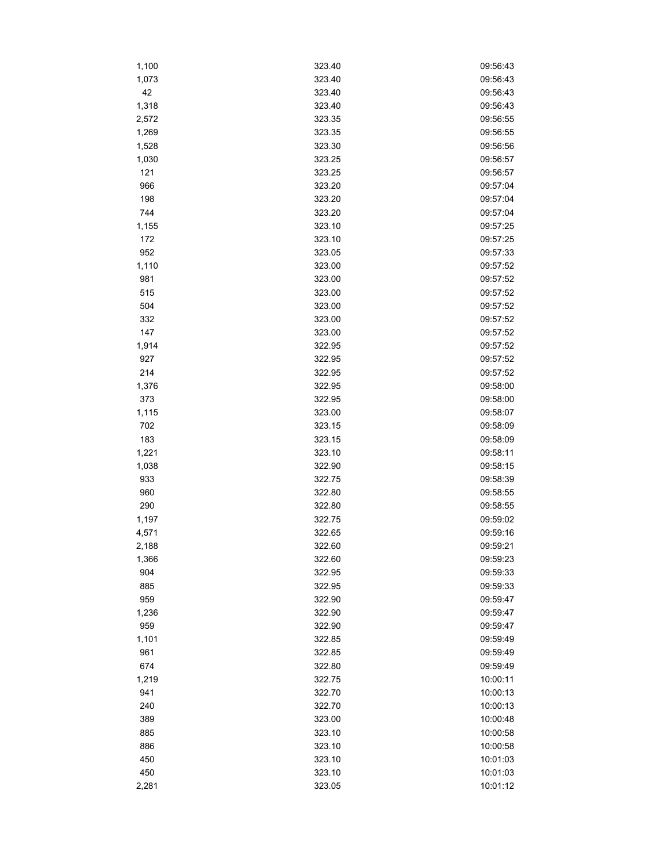| 1,100 | 323.40 | 09:56:43 |
|-------|--------|----------|
| 1,073 | 323.40 | 09:56:43 |
| 42    | 323.40 | 09:56:43 |
| 1,318 | 323.40 | 09:56:43 |
| 2,572 | 323.35 | 09:56:55 |
| 1,269 | 323.35 | 09:56:55 |
| 1,528 | 323.30 | 09:56:56 |
| 1,030 | 323.25 | 09:56:57 |
| 121   | 323.25 | 09:56:57 |
| 966   | 323.20 | 09:57:04 |
| 198   | 323.20 | 09:57:04 |
| 744   | 323.20 | 09:57:04 |
| 1,155 | 323.10 | 09:57:25 |
| 172   | 323.10 | 09:57:25 |
| 952   | 323.05 | 09:57:33 |
| 1,110 | 323.00 | 09:57:52 |
| 981   | 323.00 | 09:57:52 |
| 515   | 323.00 | 09:57:52 |
| 504   | 323.00 | 09:57:52 |
| 332   | 323.00 | 09:57:52 |
| 147   | 323.00 | 09:57:52 |
| 1,914 | 322.95 | 09:57:52 |
| 927   | 322.95 | 09:57:52 |
| 214   | 322.95 | 09:57:52 |
| 1,376 | 322.95 | 09:58:00 |
| 373   | 322.95 | 09:58:00 |
| 1,115 | 323.00 | 09:58:07 |
| 702   | 323.15 | 09:58:09 |
| 183   | 323.15 | 09:58:09 |
| 1,221 | 323.10 | 09:58:11 |
| 1,038 | 322.90 | 09:58:15 |
| 933   | 322.75 | 09:58:39 |
| 960   | 322.80 | 09:58:55 |
| 290   | 322.80 | 09:58:55 |
| 1,197 | 322.75 | 09:59:02 |
| 4,571 | 322.65 | 09:59:16 |
| 2,188 | 322.60 | 09:59:21 |
| 1,366 | 322.60 | 09:59:23 |
| 904   | 322.95 | 09:59:33 |
| 885   | 322.95 | 09:59:33 |
| 959   | 322.90 | 09:59:47 |
| 1,236 | 322.90 | 09:59:47 |
| 959   | 322.90 | 09:59:47 |
| 1,101 | 322.85 | 09:59:49 |
| 961   | 322.85 | 09:59:49 |
| 674   | 322.80 | 09:59:49 |
| 1,219 | 322.75 | 10:00:11 |
| 941   | 322.70 | 10:00:13 |
| 240   | 322.70 | 10:00:13 |
| 389   | 323.00 | 10:00:48 |
| 885   | 323.10 | 10:00:58 |
| 886   | 323.10 | 10:00:58 |
| 450   | 323.10 | 10:01:03 |
| 450   | 323.10 | 10:01:03 |
| 2,281 | 323.05 | 10:01:12 |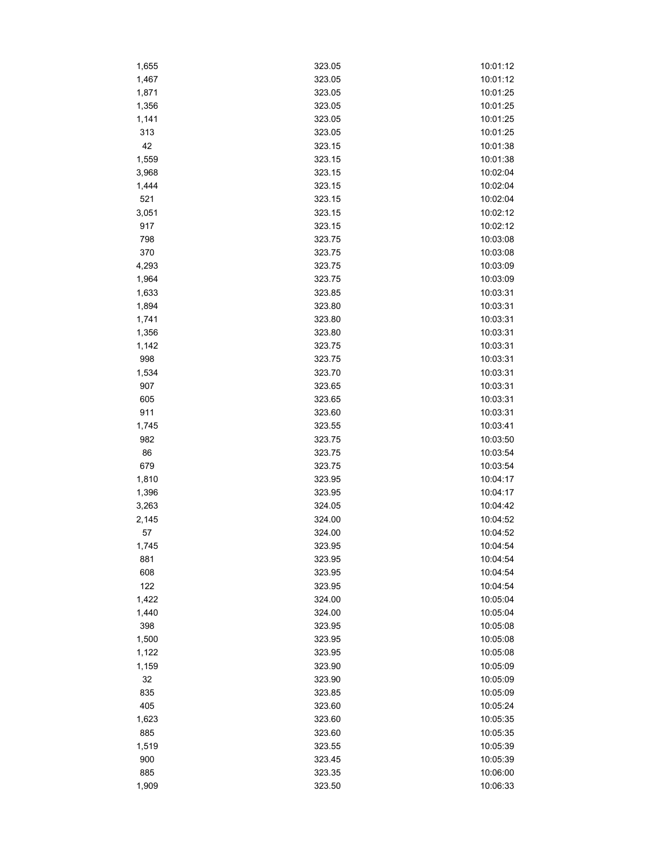| 1,655 | 323.05 | 10:01:12 |
|-------|--------|----------|
| 1,467 | 323.05 | 10:01:12 |
| 1,871 | 323.05 | 10:01:25 |
| 1,356 | 323.05 | 10:01:25 |
| 1,141 | 323.05 | 10:01:25 |
| 313   | 323.05 | 10:01:25 |
| 42    | 323.15 | 10:01:38 |
| 1,559 | 323.15 | 10:01:38 |
| 3,968 | 323.15 | 10:02:04 |
| 1,444 | 323.15 | 10:02:04 |
| 521   | 323.15 | 10:02:04 |
| 3,051 | 323.15 | 10:02:12 |
| 917   | 323.15 | 10:02:12 |
| 798   | 323.75 | 10:03:08 |
| 370   | 323.75 | 10:03:08 |
| 4,293 | 323.75 | 10:03:09 |
| 1,964 | 323.75 | 10:03:09 |
| 1,633 | 323.85 | 10:03:31 |
| 1,894 | 323.80 | 10:03:31 |
| 1,741 | 323.80 | 10:03:31 |
|       | 323.80 | 10:03:31 |
| 1,356 | 323.75 |          |
| 1,142 |        | 10:03:31 |
| 998   | 323.75 | 10:03:31 |
| 1,534 | 323.70 | 10:03:31 |
| 907   | 323.65 | 10:03:31 |
| 605   | 323.65 | 10:03:31 |
| 911   | 323.60 | 10:03:31 |
| 1,745 | 323.55 | 10:03:41 |
| 982   | 323.75 | 10:03:50 |
| 86    | 323.75 | 10:03:54 |
| 679   | 323.75 | 10:03:54 |
| 1,810 | 323.95 | 10:04:17 |
| 1,396 | 323.95 | 10:04:17 |
| 3,263 | 324.05 | 10:04:42 |
| 2,145 | 324.00 | 10:04:52 |
| 57    | 324.00 | 10:04:52 |
| 1,745 | 323.95 | 10:04:54 |
| 881   | 323.95 | 10:04:54 |
| 608   | 323.95 | 10:04:54 |
| 122   | 323.95 | 10:04:54 |
| 1,422 | 324.00 | 10:05:04 |
| 1,440 | 324.00 | 10:05:04 |
| 398   | 323.95 | 10:05:08 |
| 1,500 | 323.95 | 10:05:08 |
| 1,122 | 323.95 | 10:05:08 |
| 1,159 | 323.90 | 10:05:09 |
| 32    | 323.90 | 10:05:09 |
| 835   | 323.85 | 10:05:09 |
| 405   | 323.60 | 10:05:24 |
| 1,623 | 323.60 | 10:05:35 |
| 885   | 323.60 | 10:05:35 |
| 1,519 | 323.55 | 10:05:39 |
| 900   | 323.45 | 10:05:39 |
| 885   | 323.35 | 10:06:00 |
| 1,909 | 323.50 | 10:06:33 |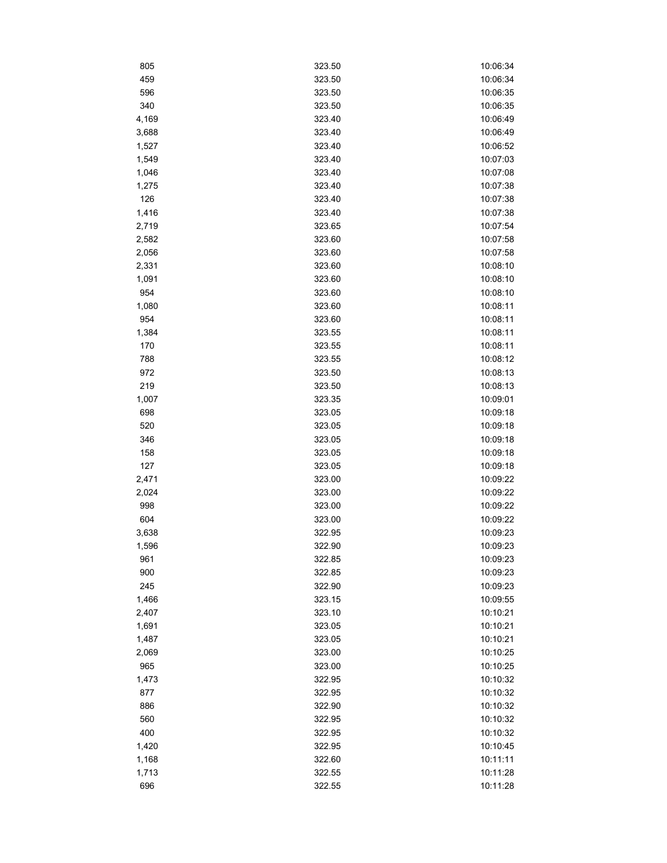| 805   | 323.50 | 10:06:34 |
|-------|--------|----------|
| 459   | 323.50 | 10:06:34 |
| 596   | 323.50 | 10:06:35 |
| 340   | 323.50 | 10:06:35 |
| 4,169 | 323.40 | 10:06:49 |
| 3,688 | 323.40 | 10:06:49 |
| 1,527 | 323.40 | 10:06:52 |
| 1,549 | 323.40 | 10:07:03 |
| 1,046 | 323.40 | 10:07:08 |
| 1,275 | 323.40 | 10:07:38 |
| 126   | 323.40 | 10:07:38 |
| 1,416 | 323.40 | 10:07:38 |
| 2,719 | 323.65 | 10:07:54 |
| 2,582 | 323.60 | 10:07:58 |
| 2,056 | 323.60 | 10:07:58 |
| 2,331 | 323.60 | 10:08:10 |
| 1,091 | 323.60 | 10:08:10 |
| 954   | 323.60 | 10:08:10 |
| 1,080 | 323.60 | 10:08:11 |
| 954   | 323.60 | 10:08:11 |
| 1,384 | 323.55 | 10:08:11 |
| 170   | 323.55 | 10:08:11 |
| 788   | 323.55 | 10:08:12 |
| 972   | 323.50 | 10:08:13 |
| 219   | 323.50 | 10:08:13 |
| 1,007 | 323.35 | 10:09:01 |
| 698   | 323.05 | 10:09:18 |
| 520   | 323.05 | 10:09:18 |
| 346   | 323.05 | 10:09:18 |
| 158   | 323.05 | 10:09:18 |
| 127   | 323.05 | 10:09:18 |
| 2,471 | 323.00 | 10:09:22 |
| 2,024 | 323.00 | 10:09:22 |
| 998   | 323.00 | 10:09:22 |
| 604   | 323.00 | 10:09:22 |
| 3,638 | 322.95 | 10:09:23 |
| 1,596 | 322.90 | 10:09:23 |
| 961   | 322.85 | 10:09:23 |
| 900   | 322.85 | 10:09:23 |
| 245   | 322.90 | 10:09:23 |
| 1,466 | 323.15 | 10:09:55 |
| 2,407 | 323.10 | 10:10:21 |
| 1,691 | 323.05 | 10:10:21 |
| 1,487 | 323.05 | 10:10:21 |
| 2,069 | 323.00 | 10:10:25 |
| 965   | 323.00 | 10:10:25 |
| 1,473 | 322.95 | 10:10:32 |
| 877   | 322.95 | 10:10:32 |
| 886   | 322.90 | 10:10:32 |
| 560   | 322.95 | 10:10:32 |
| 400   | 322.95 | 10:10:32 |
| 1,420 | 322.95 | 10:10:45 |
| 1,168 | 322.60 | 10:11:11 |
| 1,713 | 322.55 | 10:11:28 |
| 696   | 322.55 | 10:11:28 |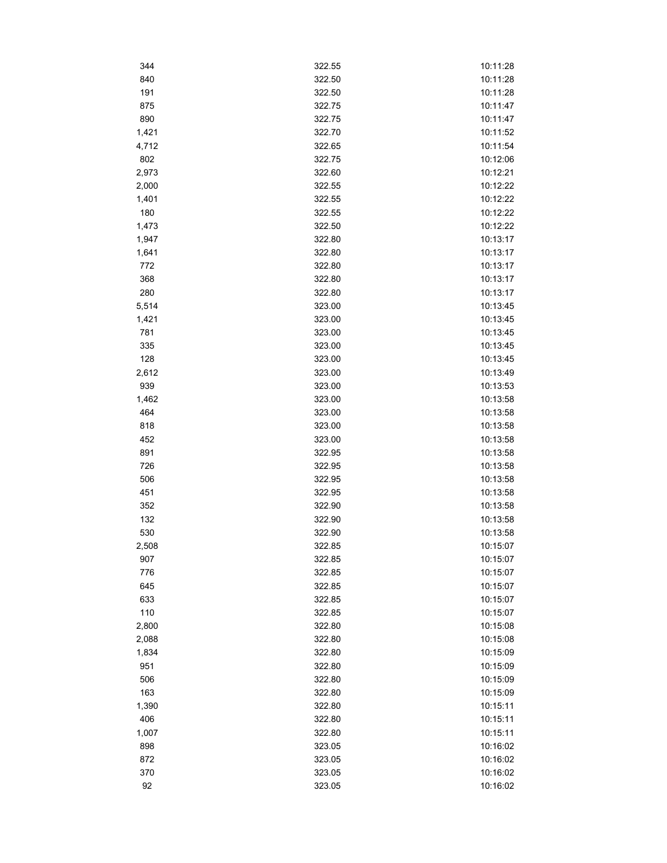| 344   | 322.55 | 10:11:28 |
|-------|--------|----------|
| 840   | 322.50 | 10:11:28 |
| 191   | 322.50 | 10:11:28 |
| 875   | 322.75 | 10:11:47 |
| 890   | 322.75 | 10:11:47 |
| 1,421 | 322.70 | 10:11:52 |
| 4,712 | 322.65 | 10:11:54 |
| 802   | 322.75 | 10:12:06 |
| 2,973 | 322.60 | 10:12:21 |
| 2,000 | 322.55 | 10:12:22 |
| 1,401 | 322.55 | 10:12:22 |
| 180   | 322.55 | 10:12:22 |
| 1,473 | 322.50 | 10:12:22 |
| 1,947 | 322.80 | 10:13:17 |
| 1,641 | 322.80 | 10:13:17 |
| 772   | 322.80 | 10:13:17 |
| 368   | 322.80 | 10:13:17 |
| 280   | 322.80 | 10:13:17 |
| 5,514 | 323.00 | 10:13:45 |
| 1,421 | 323.00 | 10:13:45 |
| 781   | 323.00 | 10:13:45 |
| 335   | 323.00 | 10:13:45 |
| 128   | 323.00 | 10:13:45 |
| 2,612 | 323.00 | 10:13:49 |
| 939   | 323.00 | 10:13:53 |
| 1,462 | 323.00 | 10:13:58 |
| 464   | 323.00 | 10:13:58 |
| 818   | 323.00 | 10:13:58 |
| 452   | 323.00 | 10:13:58 |
| 891   | 322.95 | 10:13:58 |
| 726   | 322.95 | 10:13:58 |
| 506   | 322.95 | 10:13:58 |
| 451   | 322.95 | 10:13:58 |
| 352   | 322.90 | 10:13:58 |
| 132   | 322.90 | 10:13:58 |
| 530   | 322.90 | 10:13:58 |
| 2,508 | 322.85 | 10:15:07 |
| 907   | 322.85 | 10:15:07 |
| 776   | 322.85 | 10:15:07 |
| 645   | 322.85 | 10:15:07 |
| 633   | 322.85 | 10:15:07 |
| 110   | 322.85 | 10:15:07 |
| 2,800 | 322.80 | 10:15:08 |
| 2,088 | 322.80 | 10:15:08 |
| 1,834 | 322.80 | 10:15:09 |
| 951   | 322.80 | 10:15:09 |
| 506   | 322.80 | 10:15:09 |
| 163   | 322.80 | 10:15:09 |
| 1,390 | 322.80 | 10:15:11 |
| 406   | 322.80 | 10:15:11 |
| 1,007 | 322.80 | 10:15:11 |
| 898   | 323.05 | 10:16:02 |
| 872   | 323.05 | 10:16:02 |
| 370   | 323.05 | 10:16:02 |
| 92    | 323.05 | 10:16:02 |
|       |        |          |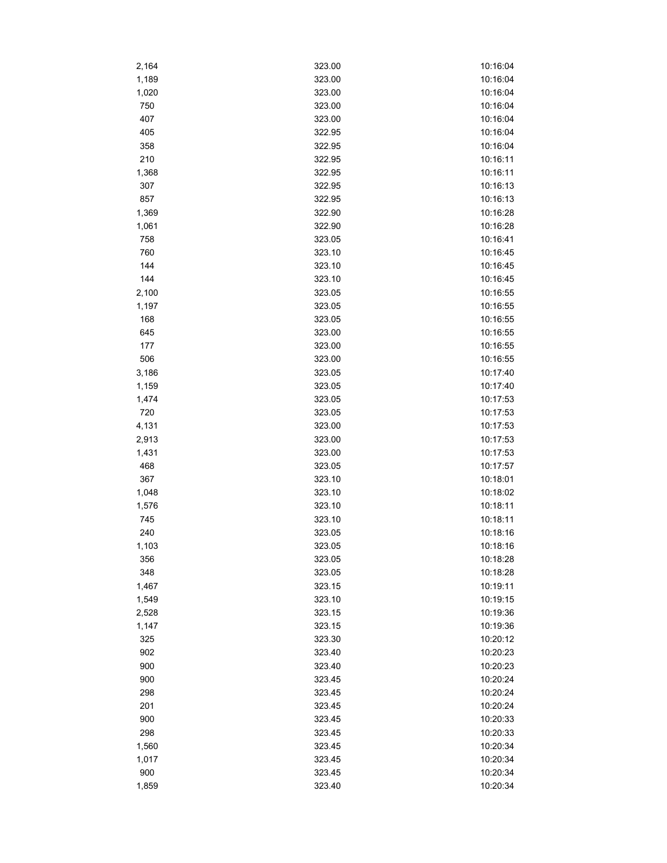| 2,164 | 323.00 | 10:16:04 |
|-------|--------|----------|
| 1,189 | 323.00 | 10:16:04 |
| 1,020 | 323.00 | 10:16:04 |
| 750   | 323.00 | 10:16:04 |
| 407   | 323.00 | 10:16:04 |
| 405   | 322.95 | 10:16:04 |
| 358   | 322.95 | 10:16:04 |
| 210   | 322.95 | 10:16:11 |
| 1,368 | 322.95 | 10:16:11 |
| 307   | 322.95 | 10:16:13 |
| 857   | 322.95 | 10:16:13 |
| 1,369 | 322.90 | 10:16:28 |
| 1,061 | 322.90 | 10:16:28 |
| 758   | 323.05 | 10:16:41 |
| 760   | 323.10 | 10:16:45 |
| 144   | 323.10 | 10:16:45 |
| 144   | 323.10 | 10:16:45 |
|       |        |          |
| 2,100 | 323.05 | 10:16:55 |
| 1,197 | 323.05 | 10:16:55 |
| 168   | 323.05 | 10:16:55 |
| 645   | 323.00 | 10:16:55 |
| 177   | 323.00 | 10:16:55 |
| 506   | 323.00 | 10:16:55 |
| 3,186 | 323.05 | 10:17:40 |
| 1,159 | 323.05 | 10:17:40 |
| 1,474 | 323.05 | 10:17:53 |
| 720   | 323.05 | 10:17:53 |
| 4,131 | 323.00 | 10:17:53 |
| 2,913 | 323.00 | 10:17:53 |
| 1,431 | 323.00 | 10:17:53 |
| 468   | 323.05 | 10:17:57 |
| 367   | 323.10 | 10:18:01 |
| 1,048 | 323.10 | 10:18:02 |
| 1,576 | 323.10 | 10:18:11 |
| 745   | 323.10 | 10:18:11 |
| 240   | 323.05 | 10:18:16 |
| 1,103 | 323.05 | 10:18:16 |
| 356   | 323.05 | 10:18:28 |
| 348   | 323.05 | 10:18:28 |
| 1,467 | 323.15 | 10:19:11 |
| 1,549 | 323.10 | 10:19:15 |
| 2,528 | 323.15 | 10:19:36 |
| 1,147 | 323.15 | 10:19:36 |
| 325   | 323.30 | 10:20:12 |
| 902   | 323.40 | 10:20:23 |
| 900   | 323.40 | 10:20:23 |
| 900   | 323.45 | 10:20:24 |
| 298   | 323.45 | 10:20:24 |
| 201   | 323.45 | 10:20:24 |
| 900   | 323.45 | 10:20:33 |
| 298   | 323.45 | 10:20:33 |
|       | 323.45 | 10:20:34 |
| 1,560 |        |          |
| 1,017 | 323.45 | 10:20:34 |
| 900   | 323.45 | 10:20:34 |
| 1,859 | 323.40 | 10:20:34 |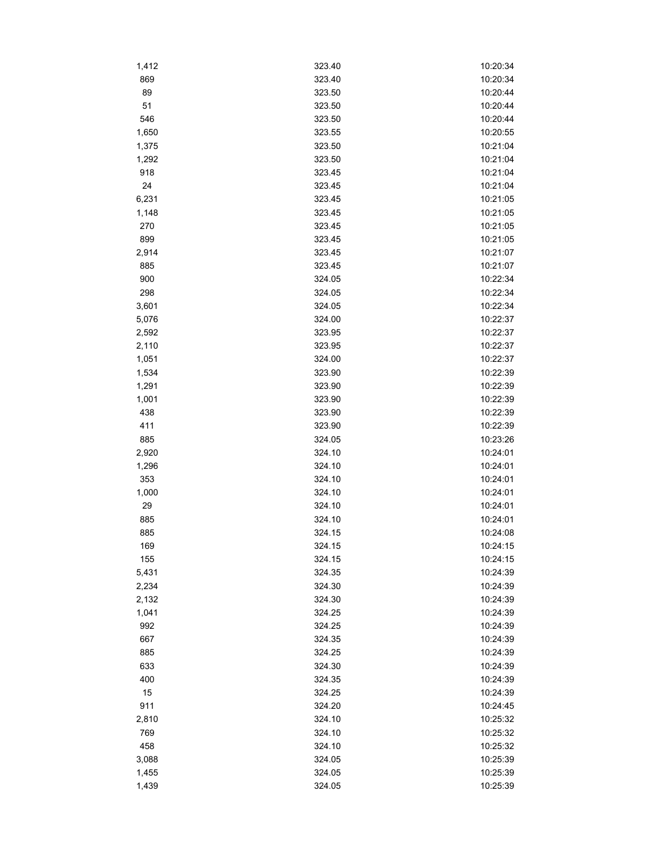| 1,412 | 323.40 | 10:20:34 |
|-------|--------|----------|
| 869   | 323.40 | 10:20:34 |
| 89    | 323.50 | 10:20:44 |
| 51    | 323.50 | 10:20:44 |
| 546   | 323.50 | 10:20:44 |
| 1,650 | 323.55 | 10:20:55 |
| 1,375 | 323.50 | 10:21:04 |
| 1,292 | 323.50 | 10:21:04 |
| 918   | 323.45 | 10:21:04 |
| 24    | 323.45 | 10:21:04 |
| 6,231 | 323.45 | 10:21:05 |
| 1,148 | 323.45 | 10:21:05 |
| 270   | 323.45 | 10:21:05 |
| 899   | 323.45 | 10:21:05 |
| 2,914 | 323.45 | 10:21:07 |
| 885   | 323.45 | 10:21:07 |
| 900   | 324.05 | 10:22:34 |
| 298   | 324.05 | 10:22:34 |
| 3,601 | 324.05 | 10:22:34 |
| 5,076 | 324.00 | 10:22:37 |
| 2,592 | 323.95 | 10:22:37 |
| 2,110 | 323.95 | 10:22:37 |
| 1,051 | 324.00 | 10:22:37 |
| 1,534 | 323.90 | 10:22:39 |
| 1,291 |        |          |
|       | 323.90 | 10:22:39 |
| 1,001 | 323.90 | 10:22:39 |
| 438   | 323.90 | 10:22:39 |
| 411   | 323.90 | 10:22:39 |
| 885   | 324.05 | 10:23:26 |
| 2,920 | 324.10 | 10:24:01 |
| 1,296 | 324.10 | 10:24:01 |
| 353   | 324.10 | 10:24:01 |
| 1,000 | 324.10 | 10:24:01 |
| 29    | 324.10 | 10:24:01 |
| 885   | 324.10 | 10:24:01 |
| 885   | 324.15 | 10:24:08 |
| 169   | 324.15 | 10:24:15 |
| 155   | 324.15 | 10:24:15 |
| 5,431 | 324.35 | 10:24:39 |
| 2,234 | 324.30 | 10:24:39 |
| 2,132 | 324.30 | 10:24:39 |
| 1,041 | 324.25 | 10:24:39 |
| 992   | 324.25 | 10:24:39 |
| 667   | 324.35 | 10:24:39 |
| 885   | 324.25 | 10:24:39 |
| 633   | 324.30 | 10:24:39 |
| 400   | 324.35 | 10:24:39 |
| 15    | 324.25 | 10:24:39 |
| 911   | 324.20 | 10:24:45 |
| 2,810 | 324.10 | 10:25:32 |
| 769   | 324.10 | 10:25:32 |
| 458   | 324.10 | 10:25:32 |
| 3,088 | 324.05 | 10:25:39 |
| 1,455 | 324.05 | 10:25:39 |
| 1,439 | 324.05 | 10:25:39 |
|       |        |          |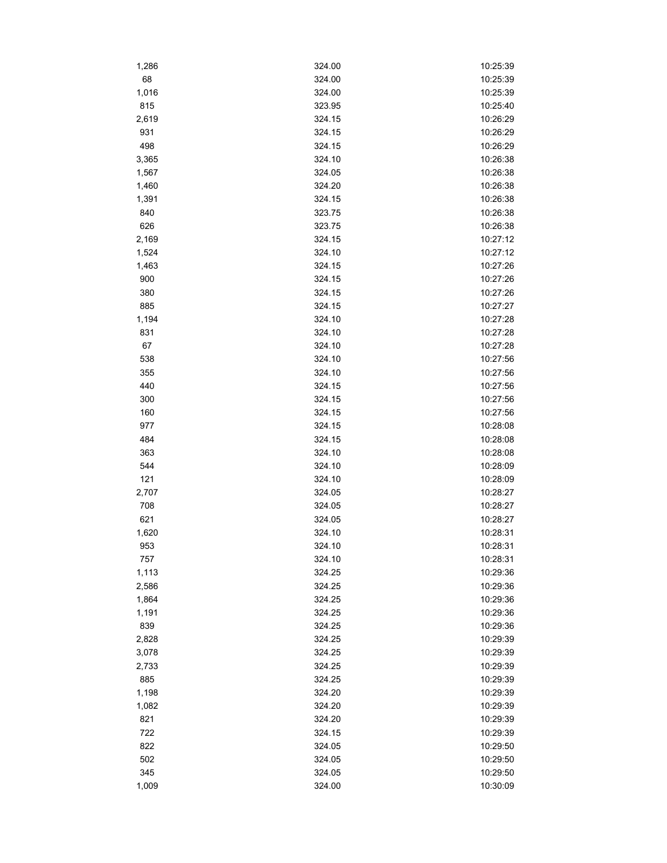| 1,286      | 324.00 | 10:25:39 |
|------------|--------|----------|
| 68         | 324.00 | 10:25:39 |
| 1,016      | 324.00 | 10:25:39 |
| 815        | 323.95 | 10:25:40 |
| 2,619      | 324.15 | 10:26:29 |
| 931        | 324.15 | 10:26:29 |
| 498        | 324.15 | 10:26:29 |
| 3,365      | 324.10 | 10:26:38 |
| 1,567      | 324.05 | 10:26:38 |
| 1,460      | 324.20 | 10:26:38 |
| 1,391      | 324.15 | 10:26:38 |
| 840        | 323.75 | 10:26:38 |
| 626        | 323.75 | 10:26:38 |
| 2,169      | 324.15 | 10:27:12 |
| 1,524      | 324.10 | 10:27:12 |
| 1,463      | 324.15 | 10:27:26 |
| 900        | 324.15 | 10:27:26 |
| 380        | 324.15 | 10:27:26 |
| 885        | 324.15 | 10:27:27 |
| 1,194      | 324.10 | 10:27:28 |
| 831        | 324.10 | 10:27:28 |
| 67         | 324.10 | 10:27:28 |
| 538        | 324.10 | 10:27:56 |
| 355        | 324.10 | 10:27:56 |
| 440        | 324.15 | 10:27:56 |
| 300        | 324.15 | 10:27:56 |
| 160        | 324.15 | 10:27:56 |
| 977        | 324.15 | 10:28:08 |
| 484        | 324.15 | 10:28:08 |
| 363        | 324.10 | 10:28:08 |
| 544        | 324.10 | 10:28:09 |
| 121        | 324.10 | 10:28:09 |
| 2,707      | 324.05 | 10:28:27 |
|            | 324.05 | 10:28:27 |
| 708<br>621 | 324.05 | 10:28:27 |
|            | 324.10 | 10:28:31 |
| 1,620      |        |          |
| 953        | 324.10 | 10:28:31 |
| 757        | 324.10 | 10:28:31 |
| 1,113      | 324.25 | 10:29:36 |
| 2,586      | 324.25 | 10:29:36 |
| 1,864      | 324.25 | 10:29:36 |
| 1,191      | 324.25 | 10:29:36 |
| 839        | 324.25 | 10:29:36 |
| 2,828      | 324.25 | 10:29:39 |
| 3,078      | 324.25 | 10:29:39 |
| 2,733      | 324.25 | 10:29:39 |
| 885        | 324.25 | 10:29:39 |
| 1,198      | 324.20 | 10:29:39 |
| 1,082      | 324.20 | 10:29:39 |
| 821        | 324.20 | 10:29:39 |
| 722        | 324.15 | 10:29:39 |
| 822        | 324.05 | 10:29:50 |
| 502        | 324.05 | 10:29:50 |
| 345        | 324.05 | 10:29:50 |
| 1,009      | 324.00 | 10:30:09 |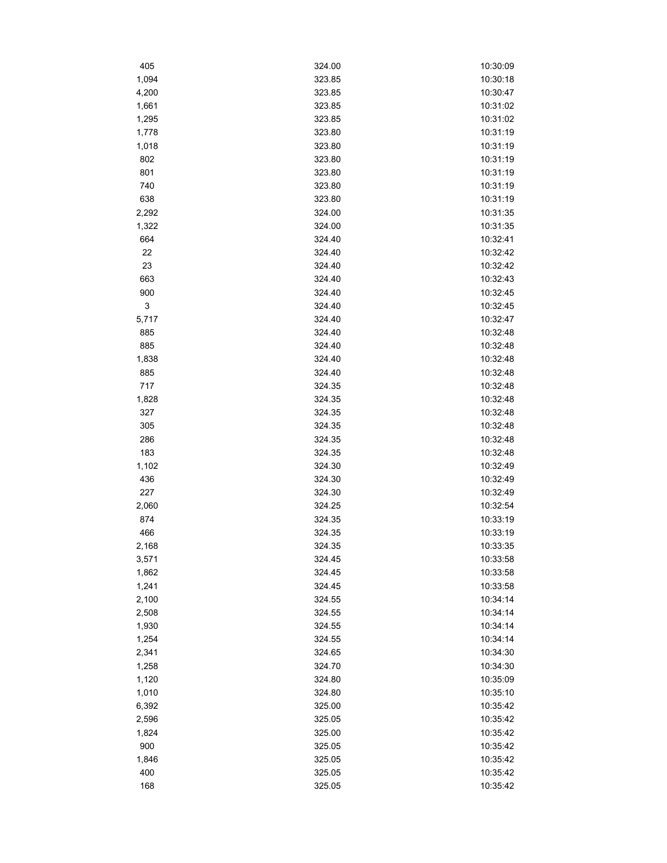| 405        | 324.00 | 10:30:09 |
|------------|--------|----------|
| 1,094      | 323.85 | 10:30:18 |
| 4,200      | 323.85 | 10:30:47 |
| 1,661      | 323.85 | 10:31:02 |
| 1,295      | 323.85 | 10:31:02 |
| 1,778      | 323.80 | 10:31:19 |
| 1,018      | 323.80 | 10:31:19 |
| 802        | 323.80 | 10:31:19 |
| 801        | 323.80 | 10:31:19 |
| 740        | 323.80 | 10:31:19 |
| 638        | 323.80 | 10:31:19 |
| 2,292      | 324.00 | 10:31:35 |
| 1,322      | 324.00 | 10:31:35 |
| 664        | 324.40 | 10:32:41 |
| 22         | 324.40 | 10:32:42 |
| 23         | 324.40 | 10:32:42 |
| 663        | 324.40 | 10:32:43 |
| 900        | 324.40 | 10:32:45 |
| 3          | 324.40 | 10:32:45 |
| 5,717      | 324.40 | 10:32:47 |
|            | 324.40 | 10:32:48 |
| 885<br>885 | 324.40 | 10:32:48 |
|            |        |          |
| 1,838      | 324.40 | 10:32:48 |
| 885        | 324.40 | 10:32:48 |
| 717        | 324.35 | 10:32:48 |
| 1,828      | 324.35 | 10:32:48 |
| 327        | 324.35 | 10:32:48 |
| 305        | 324.35 | 10:32:48 |
| 286        | 324.35 | 10:32:48 |
| 183        | 324.35 | 10:32:48 |
| 1,102      | 324.30 | 10:32:49 |
| 436        | 324.30 | 10:32:49 |
| 227        | 324.30 | 10:32:49 |
| 2,060      | 324.25 | 10:32:54 |
| 874        | 324.35 | 10:33:19 |
| 466        | 324.35 | 10:33:19 |
| 2,168      | 324.35 | 10:33:35 |
| 3,571      | 324.45 | 10:33:58 |
| 1,862      | 324.45 | 10:33:58 |
| 1,241      | 324.45 | 10:33:58 |
| 2,100      | 324.55 | 10:34:14 |
| 2,508      | 324.55 | 10:34:14 |
| 1,930      | 324.55 | 10:34:14 |
| 1,254      | 324.55 | 10:34:14 |
| 2,341      | 324.65 | 10:34:30 |
| 1,258      | 324.70 | 10:34:30 |
| 1,120      | 324.80 | 10:35:09 |
| 1,010      | 324.80 | 10:35:10 |
| 6,392      | 325.00 | 10:35:42 |
| 2,596      | 325.05 | 10:35:42 |
| 1,824      | 325.00 | 10:35:42 |
| 900        | 325.05 | 10:35:42 |
| 1,846      | 325.05 | 10:35:42 |
| 400        | 325.05 | 10:35:42 |
| 168        | 325.05 | 10:35:42 |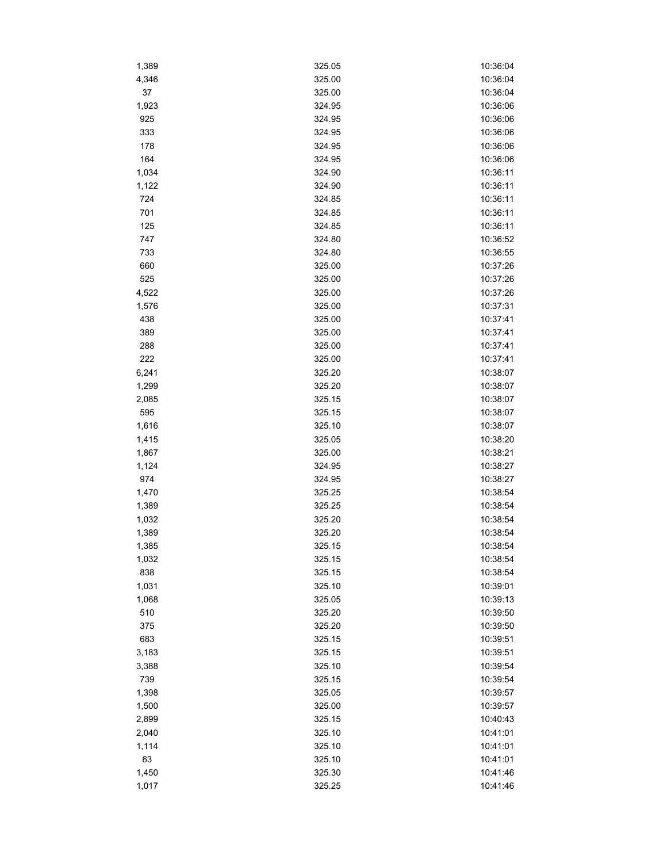| 1,389 | 325.05 | 10:36:04 |
|-------|--------|----------|
| 4,346 | 325.00 | 10:36:04 |
| 37    | 325.00 | 10:36:04 |
| 1,923 | 324.95 | 10:36:06 |
| 925   | 324.95 | 10:36:06 |
| 333   | 324.95 | 10:36:06 |
| 178   | 324.95 | 10:36:06 |
| 164   | 324.95 | 10:36:06 |
| 1,034 | 324.90 | 10:36:11 |
| 1,122 | 324.90 | 10:36:11 |
| 724   | 324.85 | 10:36:11 |
| 701   | 324.85 | 10:36:11 |
| 125   | 324.85 | 10:36:11 |
| 747   | 324.80 | 10:36:52 |
| 733   | 324.80 | 10:36:55 |
| 660   | 325.00 | 10:37:26 |
| 525   | 325.00 | 10:37:26 |
| 4,522 | 325.00 | 10:37:26 |
| 1,576 | 325.00 | 10:37:31 |
| 438   | 325.00 | 10:37:41 |
| 389   | 325.00 | 10:37:41 |
| 288   | 325.00 | 10:37:41 |
| 222   | 325.00 | 10:37:41 |
| 6,241 | 325.20 | 10:38:07 |
| 1,299 | 325.20 | 10:38:07 |
|       |        |          |
| 2,085 | 325.15 | 10:38:07 |
| 595   | 325.15 | 10:38:07 |
| 1,616 | 325.10 | 10:38:07 |
| 1,415 | 325.05 | 10:38:20 |
| 1,867 | 325.00 | 10:38:21 |
| 1,124 | 324.95 | 10:38:27 |
| 974   | 324.95 | 10:38:27 |
| 1,470 | 325.25 | 10:38:54 |
| 1,389 | 325.25 | 10:38:54 |
| 1,032 | 325.20 | 10:38:54 |
| 1,389 | 325.20 | 10:38:54 |
| 1,385 | 325.15 | 10:38:54 |
| 1,032 | 325.15 | 10:38:54 |
| 838   | 325.15 | 10:38:54 |
| 1,031 | 325.10 | 10:39:01 |
| 1,068 | 325.05 | 10:39:13 |
| 510   | 325.20 | 10:39:50 |
| 375   | 325.20 | 10:39:50 |
| 683   | 325.15 | 10:39:51 |
| 3,183 | 325.15 | 10:39:51 |
| 3,388 | 325.10 | 10:39:54 |
| 739   | 325.15 | 10:39:54 |
| 1,398 | 325.05 | 10:39:57 |
| 1,500 | 325.00 | 10:39:57 |
| 2,899 | 325.15 | 10:40:43 |
| 2,040 | 325.10 | 10:41:01 |
| 1,114 | 325.10 | 10:41:01 |
| 63    | 325.10 | 10:41:01 |
| 1,450 | 325.30 | 10:41:46 |
| 1,017 | 325.25 | 10:41:46 |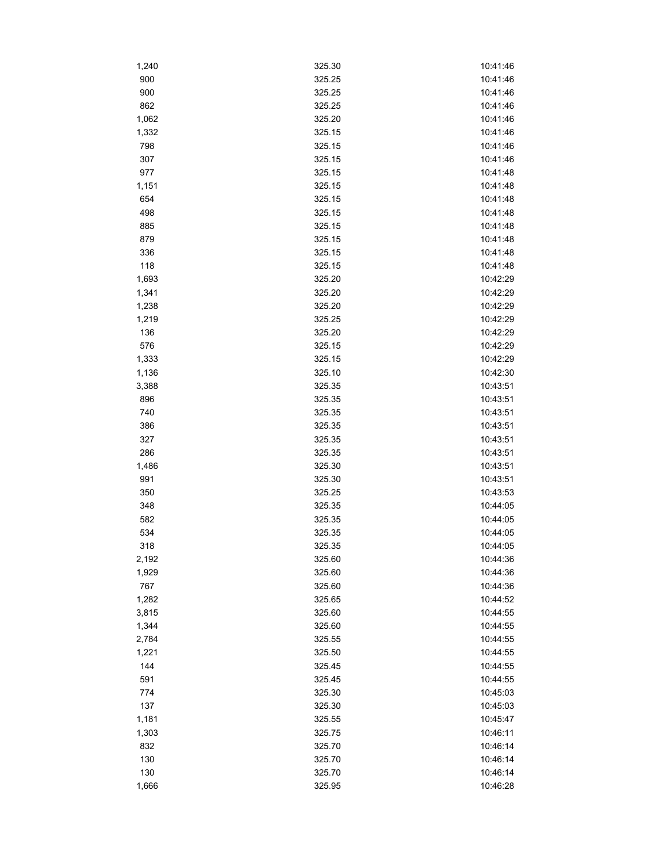| 1,240 | 325.30 | 10:41:46             |
|-------|--------|----------------------|
| 900   | 325.25 | 10:41:46             |
| 900   | 325.25 | 10:41:46             |
| 862   | 325.25 | 10:41:46             |
| 1,062 | 325.20 | 10:41:46             |
| 1,332 | 325.15 | 10:41:46             |
| 798   | 325.15 | 10:41:46             |
| 307   | 325.15 | 10:41:46             |
| 977   | 325.15 | 10:41:48             |
| 1,151 | 325.15 | 10:41:48             |
| 654   | 325.15 | 10:41:48             |
| 498   | 325.15 | 10:41:48             |
| 885   | 325.15 | 10:41:48             |
| 879   | 325.15 | 10:41:48             |
| 336   | 325.15 | 10:41:48             |
| 118   | 325.15 | 10:41:48             |
| 1,693 | 325.20 | 10:42:29             |
| 1,341 | 325.20 | 10:42:29             |
| 1,238 | 325.20 | 10:42:29             |
| 1,219 | 325.25 | 10:42:29             |
| 136   | 325.20 | 10:42:29             |
| 576   | 325.15 | 10:42:29             |
| 1,333 | 325.15 | 10:42:29             |
| 1,136 | 325.10 | 10:42:30             |
| 3,388 | 325.35 | 10:43:51             |
| 896   | 325.35 | 10:43:51             |
|       |        |                      |
| 740   | 325.35 | 10:43:51             |
| 386   | 325.35 | 10:43:51             |
| 327   | 325.35 | 10:43:51             |
| 286   | 325.35 | 10:43:51             |
| 1,486 | 325.30 | 10:43:51             |
| 991   | 325.30 | 10:43:51<br>10:43:53 |
| 350   | 325.25 |                      |
| 348   | 325.35 | 10:44:05             |
| 582   | 325.35 | 10:44:05             |
| 534   | 325.35 | 10:44:05             |
| 318   | 325.35 | 10:44:05             |
| 2,192 | 325.60 | 10:44:36             |
| 1,929 | 325.60 | 10:44:36             |
| 767   | 325.60 | 10:44:36             |
| 1,282 | 325.65 | 10:44:52             |
| 3,815 | 325.60 | 10:44:55             |
| 1,344 | 325.60 | 10:44:55             |
| 2,784 | 325.55 | 10:44:55             |
| 1,221 | 325.50 | 10:44:55             |
| 144   | 325.45 | 10:44:55             |
| 591   | 325.45 | 10:44:55             |
| 774   | 325.30 | 10:45:03             |
| 137   | 325.30 | 10:45:03             |
| 1,181 | 325.55 | 10:45:47             |
| 1,303 | 325.75 | 10:46:11             |
| 832   | 325.70 | 10:46:14             |
| 130   | 325.70 | 10:46:14             |
| 130   | 325.70 | 10:46:14             |
| 1,666 | 325.95 | 10:46:28             |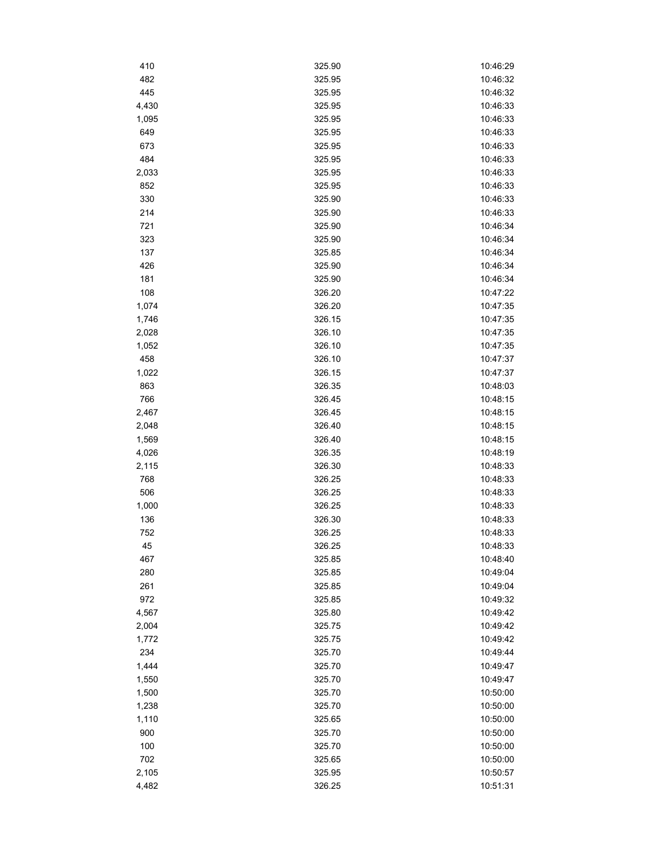| 410   | 325.90 | 10:46:29 |
|-------|--------|----------|
| 482   | 325.95 | 10:46:32 |
| 445   | 325.95 | 10:46:32 |
| 4,430 | 325.95 | 10:46:33 |
| 1,095 | 325.95 | 10:46:33 |
| 649   | 325.95 | 10:46:33 |
| 673   | 325.95 | 10:46:33 |
| 484   | 325.95 | 10:46:33 |
| 2,033 | 325.95 | 10:46:33 |
| 852   | 325.95 | 10:46:33 |
| 330   | 325.90 | 10:46:33 |
| 214   | 325.90 | 10:46:33 |
| 721   | 325.90 | 10:46:34 |
| 323   | 325.90 | 10:46:34 |
| 137   | 325.85 | 10:46:34 |
| 426   | 325.90 | 10:46:34 |
| 181   | 325.90 | 10:46:34 |
| 108   | 326.20 | 10:47:22 |
| 1,074 | 326.20 | 10:47:35 |
| 1,746 | 326.15 | 10:47:35 |
| 2,028 | 326.10 | 10:47:35 |
| 1,052 | 326.10 | 10:47:35 |
| 458   | 326.10 | 10:47:37 |
| 1,022 | 326.15 | 10:47:37 |
| 863   | 326.35 | 10:48:03 |
| 766   | 326.45 | 10:48:15 |
| 2,467 | 326.45 | 10:48:15 |
| 2,048 | 326.40 | 10:48:15 |
| 1,569 | 326.40 | 10:48:15 |
| 4,026 | 326.35 | 10:48:19 |
| 2,115 | 326.30 | 10:48:33 |
| 768   | 326.25 | 10:48:33 |
| 506   | 326.25 | 10:48:33 |
| 1,000 | 326.25 | 10:48:33 |
| 136   | 326.30 | 10:48:33 |
| 752   | 326.25 | 10:48:33 |
| 45    | 326.25 | 10:48:33 |
| 467   | 325.85 | 10:48:40 |
| 280   | 325.85 | 10:49:04 |
| 261   | 325.85 | 10:49:04 |
| 972   | 325.85 | 10:49:32 |
| 4,567 | 325.80 | 10:49:42 |
| 2,004 | 325.75 | 10:49:42 |
| 1,772 | 325.75 | 10:49:42 |
| 234   | 325.70 | 10:49:44 |
| 1,444 | 325.70 | 10:49:47 |
| 1,550 | 325.70 | 10:49:47 |
| 1,500 | 325.70 | 10:50:00 |
| 1,238 | 325.70 | 10:50:00 |
| 1,110 | 325.65 | 10:50:00 |
| 900   | 325.70 | 10:50:00 |
| 100   | 325.70 | 10:50:00 |
| 702   | 325.65 | 10:50:00 |
| 2,105 | 325.95 | 10:50:57 |
| 4,482 | 326.25 | 10:51:31 |
|       |        |          |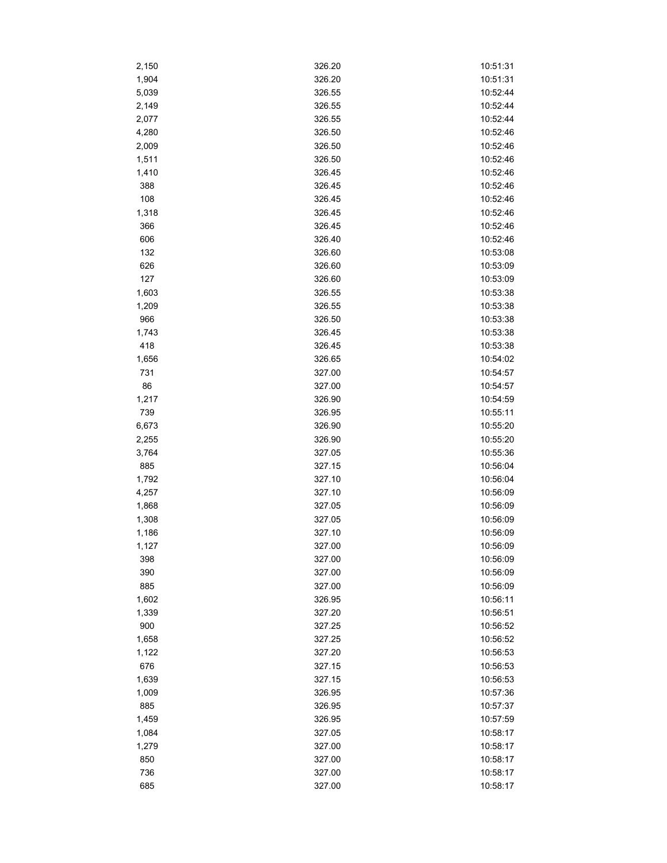| 2,150 | 326.20 | 10:51:31 |
|-------|--------|----------|
| 1,904 | 326.20 | 10:51:31 |
| 5,039 | 326.55 | 10:52:44 |
| 2,149 | 326.55 | 10:52:44 |
| 2,077 | 326.55 | 10:52:44 |
| 4,280 | 326.50 | 10:52:46 |
| 2,009 | 326.50 | 10:52:46 |
| 1,511 | 326.50 | 10:52:46 |
| 1,410 | 326.45 | 10:52:46 |
| 388   | 326.45 | 10:52:46 |
| 108   | 326.45 | 10:52:46 |
| 1,318 | 326.45 | 10:52:46 |
| 366   | 326.45 | 10:52:46 |
| 606   | 326.40 | 10:52:46 |
| 132   | 326.60 | 10:53:08 |
| 626   | 326.60 | 10:53:09 |
| 127   | 326.60 | 10:53:09 |
| 1,603 | 326.55 | 10:53:38 |
| 1,209 | 326.55 | 10:53:38 |
| 966   | 326.50 | 10:53:38 |
| 1,743 | 326.45 | 10:53:38 |
| 418   | 326.45 | 10:53:38 |
| 1,656 | 326.65 | 10:54:02 |
| 731   | 327.00 | 10:54:57 |
| 86    | 327.00 | 10:54:57 |
| 1,217 | 326.90 | 10:54:59 |
| 739   | 326.95 | 10:55:11 |
| 6,673 | 326.90 | 10:55:20 |
| 2,255 | 326.90 | 10:55:20 |
| 3,764 | 327.05 | 10:55:36 |
| 885   | 327.15 | 10:56:04 |
| 1,792 | 327.10 | 10:56:04 |
| 4,257 | 327.10 | 10:56:09 |
| 1,868 | 327.05 | 10:56:09 |
| 1,308 | 327.05 | 10:56:09 |
| 1,186 | 327.10 | 10:56:09 |
| 1,127 | 327.00 | 10:56:09 |
| 398   | 327.00 | 10:56:09 |
| 390   | 327.00 | 10:56:09 |
| 885   | 327.00 | 10:56:09 |
| 1,602 | 326.95 | 10:56:11 |
| 1,339 | 327.20 | 10:56:51 |
| 900   | 327.25 | 10:56:52 |
| 1,658 | 327.25 | 10:56:52 |
| 1,122 | 327.20 | 10:56:53 |
| 676   | 327.15 | 10:56:53 |
| 1,639 | 327.15 | 10:56:53 |
| 1,009 | 326.95 | 10:57:36 |
| 885   | 326.95 | 10:57:37 |
| 1,459 | 326.95 | 10:57:59 |
| 1,084 | 327.05 | 10:58:17 |
| 1,279 | 327.00 | 10:58:17 |
| 850   | 327.00 | 10:58:17 |
| 736   | 327.00 | 10:58:17 |
| 685   | 327.00 | 10:58:17 |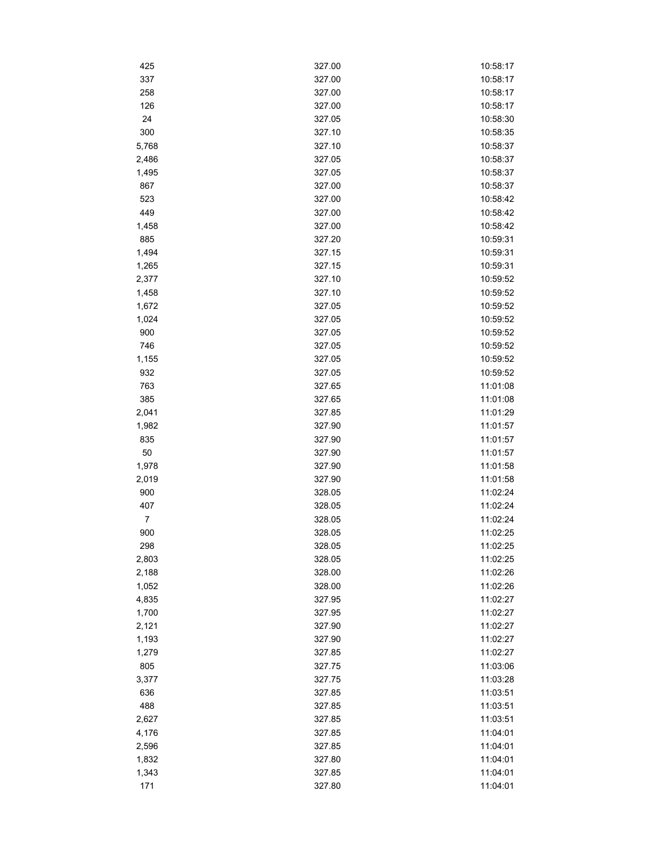| 425            | 327.00 | 10:58:17 |
|----------------|--------|----------|
| 337            | 327.00 | 10:58:17 |
| 258            | 327.00 | 10:58:17 |
| 126            | 327.00 | 10:58:17 |
| 24             | 327.05 | 10:58:30 |
| 300            | 327.10 | 10:58:35 |
| 5,768          | 327.10 | 10:58:37 |
| 2,486          | 327.05 | 10:58:37 |
| 1,495          | 327.05 | 10:58:37 |
| 867            | 327.00 | 10:58:37 |
| 523            | 327.00 | 10:58:42 |
| 449            | 327.00 | 10:58:42 |
| 1,458          | 327.00 | 10:58:42 |
| 885            | 327.20 | 10:59:31 |
| 1,494          | 327.15 | 10:59:31 |
| 1,265          | 327.15 | 10:59:31 |
| 2,377          | 327.10 | 10:59:52 |
| 1,458          | 327.10 | 10:59:52 |
| 1,672          | 327.05 | 10:59:52 |
| 1,024          | 327.05 | 10:59:52 |
| 900            | 327.05 | 10:59:52 |
| 746            | 327.05 | 10:59:52 |
| 1,155          | 327.05 | 10:59:52 |
| 932            | 327.05 | 10:59:52 |
| 763            | 327.65 | 11:01:08 |
| 385            | 327.65 | 11:01:08 |
| 2,041          | 327.85 | 11:01:29 |
| 1,982          | 327.90 | 11:01:57 |
| 835            | 327.90 | 11:01:57 |
| 50             | 327.90 | 11:01:57 |
| 1,978          | 327.90 | 11:01:58 |
| 2,019          | 327.90 | 11:01:58 |
| 900            | 328.05 | 11:02:24 |
| 407            | 328.05 | 11:02:24 |
| $\overline{7}$ | 328.05 | 11:02:24 |
| 900            | 328.05 | 11:02:25 |
| 298            | 328.05 | 11:02:25 |
| 2,803          | 328.05 | 11:02:25 |
| 2,188          | 328.00 | 11:02:26 |
| 1,052          | 328.00 | 11:02:26 |
| 4,835          | 327.95 | 11:02:27 |
| 1,700          | 327.95 | 11:02:27 |
| 2,121          | 327.90 | 11:02:27 |
| 1,193          | 327.90 | 11:02:27 |
| 1,279          | 327.85 | 11:02:27 |
| 805            | 327.75 | 11:03:06 |
| 3,377          | 327.75 | 11:03:28 |
| 636            | 327.85 | 11:03:51 |
| 488            | 327.85 | 11:03:51 |
| 2,627          | 327.85 | 11:03:51 |
| 4,176          | 327.85 | 11:04:01 |
| 2,596          | 327.85 | 11:04:01 |
| 1,832          | 327.80 | 11:04:01 |
| 1,343          | 327.85 | 11:04:01 |
| 171            | 327.80 | 11:04:01 |
|                |        |          |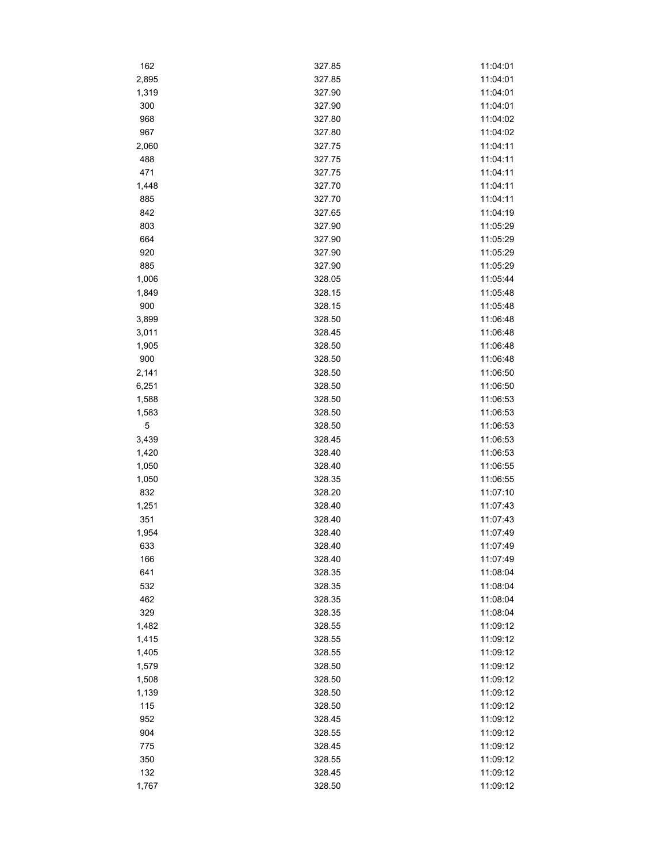| 162         | 327.85 | 11:04:01 |
|-------------|--------|----------|
| 2,895       | 327.85 | 11:04:01 |
| 1,319       | 327.90 | 11:04:01 |
| 300         | 327.90 | 11:04:01 |
| 968         | 327.80 | 11:04:02 |
| 967         | 327.80 | 11:04:02 |
| 2,060       | 327.75 | 11:04:11 |
| 488         | 327.75 | 11:04:11 |
| 471         | 327.75 | 11:04:11 |
| 1,448       | 327.70 | 11:04:11 |
| 885         | 327.70 | 11:04:11 |
| 842         | 327.65 | 11:04:19 |
| 803         | 327.90 | 11:05:29 |
| 664         | 327.90 | 11:05:29 |
| 920         | 327.90 | 11:05:29 |
| 885         | 327.90 | 11:05:29 |
| 1,006       | 328.05 | 11:05:44 |
| 1,849       | 328.15 | 11:05:48 |
| 900         | 328.15 | 11:05:48 |
| 3,899       | 328.50 | 11:06:48 |
| 3,011       | 328.45 | 11:06:48 |
| 1,905       | 328.50 | 11:06:48 |
| 900         | 328.50 | 11:06:48 |
| 2,141       | 328.50 | 11:06:50 |
| 6,251       | 328.50 | 11:06:50 |
| 1,588       | 328.50 | 11:06:53 |
| 1,583       | 328.50 | 11:06:53 |
| $\mathbf 5$ | 328.50 | 11:06:53 |
| 3,439       | 328.45 | 11:06:53 |
| 1,420       | 328.40 | 11:06:53 |
| 1,050       | 328.40 | 11:06:55 |
| 1,050       | 328.35 | 11:06:55 |
| 832         | 328.20 | 11:07:10 |
| 1,251       | 328.40 | 11:07:43 |
| 351         | 328.40 | 11:07:43 |
| 1,954       | 328.40 | 11:07:49 |
| 633         | 328.40 | 11:07:49 |
| 166         | 328.40 | 11:07:49 |
| 641         | 328.35 | 11:08:04 |
| 532         | 328.35 | 11:08:04 |
| 462         | 328.35 | 11:08:04 |
| 329         | 328.35 | 11:08:04 |
| 1,482       | 328.55 | 11:09:12 |
| 1,415       | 328.55 | 11:09:12 |
| 1,405       | 328.55 | 11:09:12 |
| 1,579       | 328.50 | 11:09:12 |
| 1,508       | 328.50 | 11:09:12 |
| 1,139       | 328.50 | 11:09:12 |
| 115         | 328.50 | 11:09:12 |
| 952         | 328.45 | 11:09:12 |
| 904         | 328.55 | 11:09:12 |
| 775         | 328.45 | 11:09:12 |
| 350         | 328.55 | 11:09:12 |
| 132         | 328.45 | 11:09:12 |
| 1,767       | 328.50 | 11:09:12 |
|             |        |          |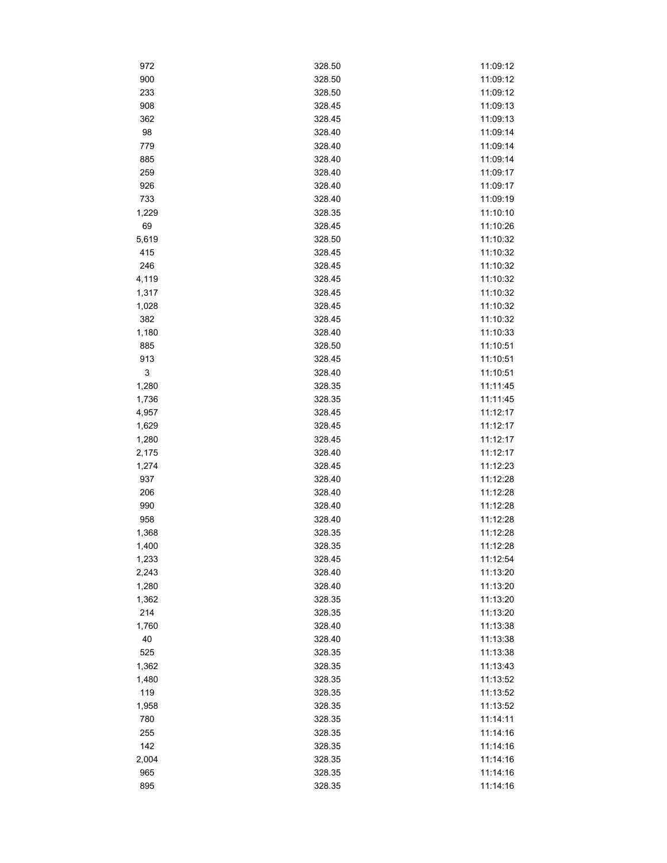| 972   | 328.50 | 11:09:12 |
|-------|--------|----------|
| 900   | 328.50 | 11:09:12 |
| 233   | 328.50 | 11:09:12 |
| 908   | 328.45 | 11:09:13 |
| 362   | 328.45 | 11:09:13 |
| 98    | 328.40 | 11:09:14 |
| 779   | 328.40 | 11:09:14 |
| 885   | 328.40 | 11:09:14 |
| 259   | 328.40 | 11:09:17 |
| 926   | 328.40 | 11:09:17 |
| 733   | 328.40 | 11:09:19 |
| 1,229 | 328.35 | 11:10:10 |
| 69    | 328.45 | 11:10:26 |
| 5,619 | 328.50 | 11:10:32 |
| 415   | 328.45 | 11:10:32 |
| 246   | 328.45 | 11:10:32 |
| 4,119 | 328.45 | 11:10:32 |
| 1,317 | 328.45 | 11:10:32 |
| 1,028 | 328.45 | 11:10:32 |
| 382   | 328.45 | 11:10:32 |
| 1,180 | 328.40 | 11:10:33 |
| 885   | 328.50 | 11:10:51 |
| 913   | 328.45 | 11:10:51 |
| 3     | 328.40 | 11:10:51 |
| 1,280 | 328.35 | 11:11:45 |
| 1,736 | 328.35 | 11:11:45 |
| 4,957 | 328.45 | 11:12:17 |
| 1,629 | 328.45 | 11:12:17 |
| 1,280 | 328.45 | 11:12:17 |
| 2,175 | 328.40 | 11:12:17 |
| 1,274 | 328.45 | 11:12:23 |
| 937   | 328.40 | 11:12:28 |
| 206   | 328.40 | 11:12:28 |
| 990   | 328.40 | 11:12:28 |
| 958   | 328.40 | 11:12:28 |
| 1,368 | 328.35 | 11:12:28 |
| 1,400 | 328.35 | 11:12:28 |
| 1,233 | 328.45 | 11:12:54 |
| 2,243 | 328.40 | 11:13:20 |
| 1,280 | 328.40 | 11:13:20 |
| 1,362 | 328.35 | 11:13:20 |
| 214   | 328.35 | 11:13:20 |
| 1,760 | 328.40 | 11:13:38 |
| 40    | 328.40 | 11:13:38 |
| 525   | 328.35 | 11:13:38 |
| 1,362 | 328.35 | 11:13:43 |
| 1,480 | 328.35 | 11:13:52 |
| 119   | 328.35 | 11:13:52 |
| 1,958 | 328.35 | 11:13:52 |
| 780   | 328.35 | 11:14:11 |
| 255   | 328.35 | 11:14:16 |
| 142   | 328.35 | 11:14:16 |
| 2,004 | 328.35 | 11:14:16 |
| 965   | 328.35 | 11:14:16 |
| 895   | 328.35 | 11:14:16 |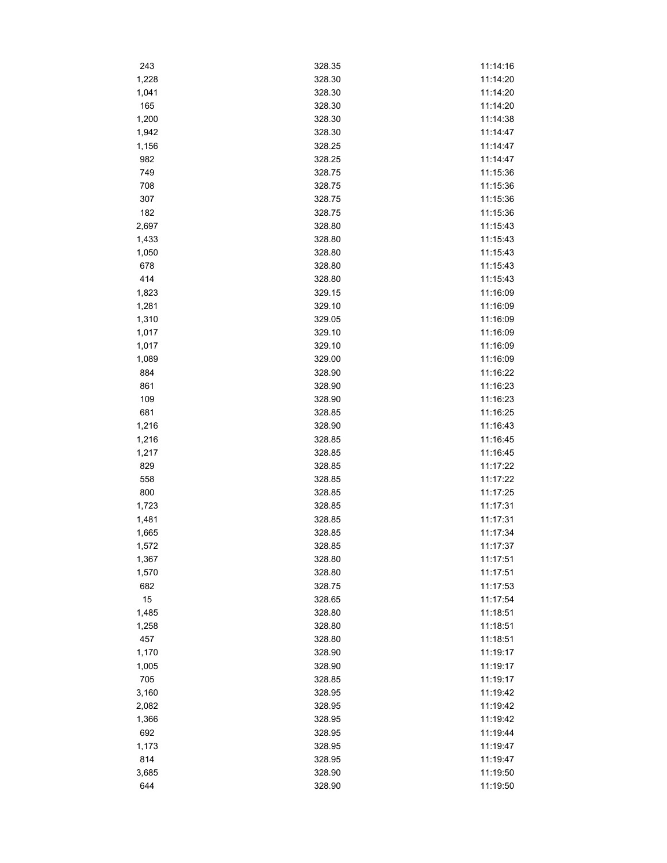| 243   | 328.35 | 11:14:16 |
|-------|--------|----------|
| 1,228 | 328.30 | 11:14:20 |
| 1,041 | 328.30 | 11:14:20 |
| 165   | 328.30 | 11:14:20 |
| 1,200 | 328.30 | 11:14:38 |
| 1,942 | 328.30 | 11:14:47 |
| 1,156 | 328.25 | 11:14:47 |
| 982   | 328.25 | 11:14:47 |
| 749   | 328.75 | 11:15:36 |
| 708   | 328.75 | 11:15:36 |
| 307   | 328.75 | 11:15:36 |
| 182   | 328.75 | 11:15:36 |
| 2,697 | 328.80 | 11:15:43 |
| 1,433 | 328.80 | 11:15:43 |
| 1,050 | 328.80 | 11:15:43 |
| 678   | 328.80 | 11:15:43 |
| 414   | 328.80 | 11:15:43 |
| 1,823 | 329.15 | 11:16:09 |
| 1,281 | 329.10 | 11:16:09 |
| 1,310 | 329.05 | 11:16:09 |
| 1,017 | 329.10 | 11:16:09 |
| 1,017 | 329.10 | 11:16:09 |
| 1,089 | 329.00 | 11:16:09 |
| 884   | 328.90 | 11:16:22 |
| 861   | 328.90 | 11:16:23 |
| 109   | 328.90 | 11:16:23 |
| 681   | 328.85 | 11:16:25 |
| 1,216 | 328.90 | 11:16:43 |
| 1,216 | 328.85 | 11:16:45 |
| 1,217 | 328.85 | 11:16:45 |
| 829   | 328.85 | 11:17:22 |
| 558   | 328.85 | 11:17:22 |
| 800   | 328.85 | 11:17:25 |
| 1,723 | 328.85 | 11:17:31 |
| 1,481 | 328.85 | 11:17:31 |
| 1,665 | 328.85 | 11:17:34 |
| 1,572 | 328.85 | 11:17:37 |
| 1,367 | 328.80 | 11:17:51 |
| 1,570 | 328.80 | 11:17:51 |
| 682   | 328.75 | 11:17:53 |
| 15    | 328.65 | 11:17:54 |
| 1,485 | 328.80 | 11:18:51 |
| 1,258 | 328.80 | 11:18:51 |
| 457   | 328.80 | 11:18:51 |
| 1,170 | 328.90 | 11:19:17 |
| 1,005 | 328.90 | 11:19:17 |
| 705   | 328.85 | 11:19:17 |
| 3,160 | 328.95 | 11:19:42 |
| 2,082 | 328.95 | 11:19:42 |
| 1,366 | 328.95 | 11:19:42 |
| 692   | 328.95 | 11:19:44 |
| 1,173 | 328.95 | 11:19:47 |
| 814   | 328.95 | 11:19:47 |
| 3,685 | 328.90 | 11:19:50 |
| 644   | 328.90 | 11:19:50 |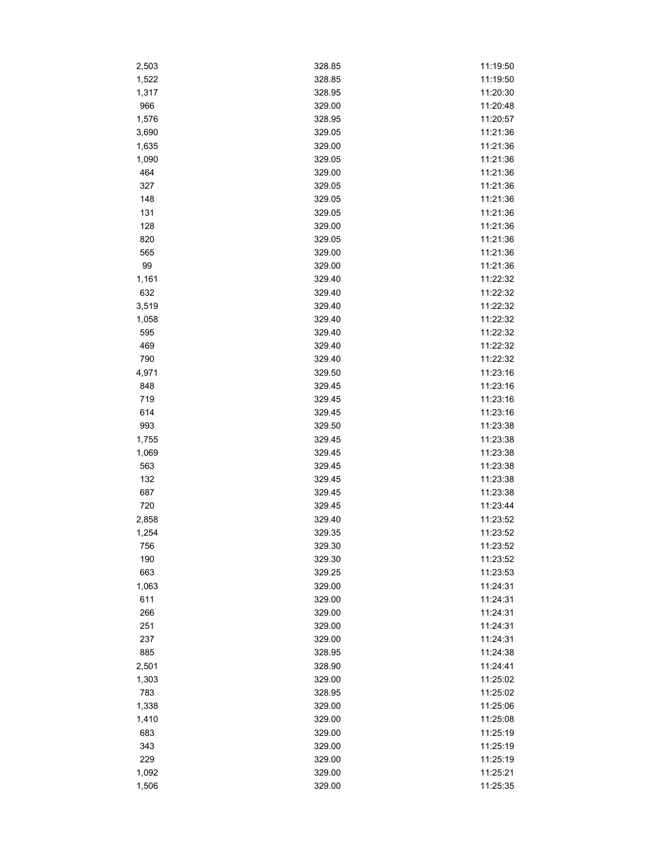| 2,503 | 328.85 | 11:19:50 |
|-------|--------|----------|
| 1,522 | 328.85 | 11:19:50 |
| 1,317 | 328.95 | 11:20:30 |
| 966   | 329.00 | 11:20:48 |
| 1,576 | 328.95 | 11:20:57 |
| 3,690 | 329.05 | 11:21:36 |
| 1,635 | 329.00 | 11:21:36 |
| 1,090 | 329.05 | 11:21:36 |
| 464   | 329.00 | 11:21:36 |
| 327   | 329.05 | 11:21:36 |
| 148   | 329.05 | 11:21:36 |
| 131   | 329.05 | 11:21:36 |
| 128   | 329.00 | 11:21:36 |
| 820   | 329.05 | 11:21:36 |
| 565   | 329.00 | 11:21:36 |
| 99    | 329.00 | 11:21:36 |
| 1,161 | 329.40 | 11:22:32 |
| 632   | 329.40 | 11:22:32 |
| 3,519 | 329.40 | 11:22:32 |
| 1,058 | 329.40 | 11:22:32 |
| 595   | 329.40 | 11:22:32 |
| 469   | 329.40 | 11:22:32 |
| 790   | 329.40 | 11:22:32 |
| 4,971 | 329.50 | 11:23:16 |
| 848   | 329.45 | 11:23:16 |
| 719   | 329.45 | 11:23:16 |
| 614   | 329.45 | 11:23:16 |
| 993   | 329.50 | 11:23:38 |
| 1,755 | 329.45 | 11:23:38 |
| 1,069 | 329.45 | 11:23:38 |
| 563   | 329.45 | 11:23:38 |
| 132   | 329.45 | 11:23:38 |
| 687   | 329.45 | 11:23:38 |
| 720   | 329.45 | 11:23:44 |
| 2,858 | 329.40 | 11:23:52 |
| 1,254 | 329.35 | 11:23:52 |
| 756   | 329.30 | 11:23:52 |
| 190   | 329.30 | 11:23:52 |
| 663   | 329.25 | 11:23:53 |
| 1,063 | 329.00 | 11:24:31 |
| 611   | 329.00 | 11:24:31 |
| 266   | 329.00 | 11:24:31 |
| 251   | 329.00 | 11:24:31 |
| 237   | 329.00 | 11:24:31 |
| 885   | 328.95 | 11:24:38 |
| 2,501 | 328.90 | 11:24:41 |
| 1,303 | 329.00 | 11:25:02 |
| 783   | 328.95 | 11:25:02 |
| 1,338 | 329.00 | 11:25:06 |
| 1,410 | 329.00 | 11:25:08 |
| 683   | 329.00 | 11:25:19 |
| 343   | 329.00 | 11:25:19 |
| 229   | 329.00 | 11:25:19 |
| 1,092 | 329.00 | 11:25:21 |
| 1,506 | 329.00 | 11:25:35 |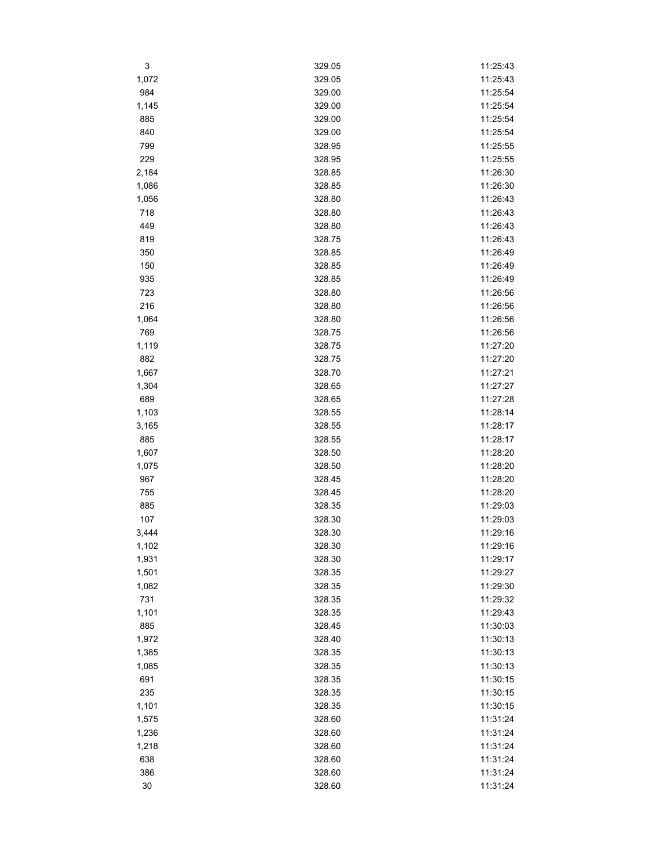| 3     | 329.05 | 11:25:43 |
|-------|--------|----------|
| 1,072 | 329.05 | 11:25:43 |
| 984   | 329.00 | 11:25:54 |
| 1,145 | 329.00 | 11:25:54 |
| 885   | 329.00 | 11:25:54 |
| 840   | 329.00 | 11:25:54 |
| 799   | 328.95 | 11:25:55 |
| 229   | 328.95 | 11:25:55 |
| 2,184 | 328.85 | 11:26:30 |
| 1,086 | 328.85 | 11:26:30 |
| 1,056 | 328.80 | 11:26:43 |
| 718   | 328.80 | 11:26:43 |
| 449   | 328.80 | 11:26:43 |
| 819   | 328.75 | 11:26:43 |
| 350   | 328.85 | 11:26:49 |
| 150   | 328.85 | 11:26:49 |
| 935   | 328.85 | 11:26:49 |
| 723   | 328.80 | 11:26:56 |
| 216   | 328.80 | 11:26:56 |
| 1,064 | 328.80 | 11:26:56 |
| 769   | 328.75 | 11:26:56 |
| 1,119 | 328.75 | 11:27:20 |
| 882   | 328.75 | 11:27:20 |
| 1,667 | 328.70 | 11:27:21 |
| 1,304 | 328.65 | 11:27:27 |
| 689   | 328.65 | 11:27:28 |
| 1,103 | 328.55 | 11:28:14 |
| 3,165 | 328.55 | 11:28:17 |
| 885   | 328.55 | 11:28:17 |
| 1,607 | 328.50 | 11:28:20 |
| 1,075 | 328.50 | 11:28:20 |
| 967   | 328.45 | 11:28:20 |
| 755   | 328.45 | 11:28:20 |
| 885   | 328.35 | 11:29:03 |
| 107   | 328.30 | 11:29:03 |
| 3,444 | 328.30 | 11:29:16 |
| 1,102 | 328.30 | 11:29:16 |
| 1,931 | 328.30 | 11:29:17 |
| 1,501 | 328.35 | 11:29:27 |
| 1,082 | 328.35 | 11:29:30 |
| 731   | 328.35 | 11:29:32 |
| 1,101 | 328.35 | 11:29:43 |
| 885   | 328.45 | 11:30:03 |
| 1,972 | 328.40 | 11:30:13 |
| 1,385 | 328.35 | 11:30:13 |
| 1,085 | 328.35 | 11:30:13 |
| 691   | 328.35 | 11:30:15 |
| 235   | 328.35 | 11:30:15 |
| 1,101 | 328.35 | 11:30:15 |
| 1,575 | 328.60 | 11:31:24 |
| 1,236 | 328.60 | 11:31:24 |
| 1,218 | 328.60 | 11:31:24 |
| 638   | 328.60 | 11:31:24 |
| 386   | 328.60 | 11:31:24 |
| 30    | 328.60 | 11:31:24 |
|       |        |          |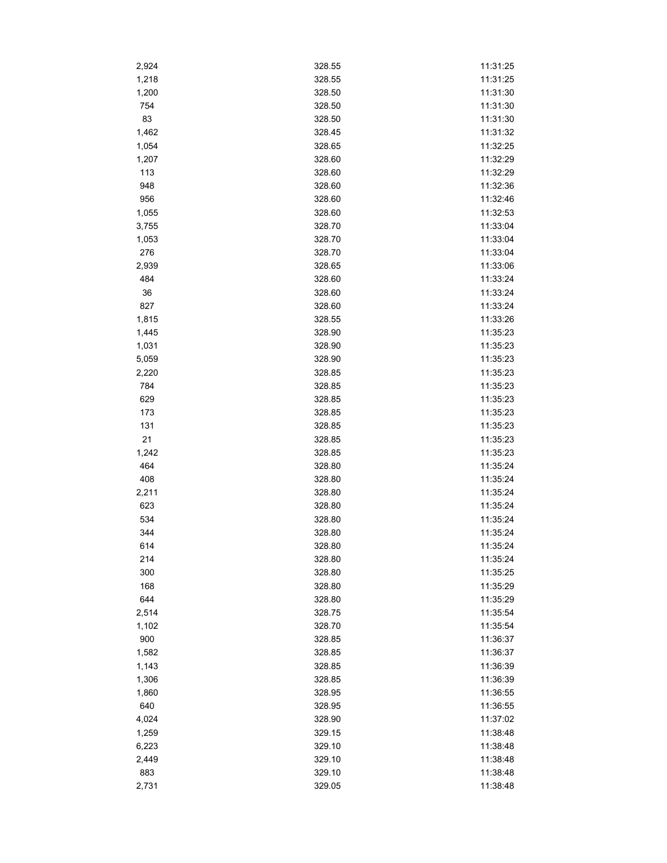| 2,924        | 328.55           | 11:31:25             |
|--------------|------------------|----------------------|
| 1,218        | 328.55           | 11:31:25             |
| 1,200        | 328.50           | 11:31:30             |
| 754          | 328.50           | 11:31:30             |
| 83           | 328.50           | 11:31:30             |
| 1,462        | 328.45           | 11:31:32             |
| 1,054        | 328.65           | 11:32:25             |
| 1,207        | 328.60           | 11:32:29             |
| 113          | 328.60           | 11:32:29             |
| 948          | 328.60           | 11:32:36             |
| 956          | 328.60           | 11:32:46             |
| 1,055        | 328.60           | 11:32:53             |
| 3,755        | 328.70           | 11:33:04             |
| 1,053        | 328.70           | 11:33:04             |
| 276          | 328.70           | 11:33:04             |
| 2,939        | 328.65           | 11:33:06             |
| 484          | 328.60           | 11:33:24             |
| $36\,$       | 328.60           | 11:33:24             |
| 827          | 328.60           | 11:33:24             |
| 1,815        | 328.55           | 11:33:26             |
| 1,445        | 328.90           | 11:35:23             |
| 1,031        | 328.90           | 11:35:23             |
| 5,059        | 328.90           | 11:35:23             |
| 2,220        | 328.85           | 11:35:23             |
| 784          | 328.85           | 11:35:23             |
|              | 328.85           | 11:35:23             |
| 629<br>173   | 328.85           | 11:35:23             |
|              |                  | 11:35:23             |
| 131<br>21    | 328.85<br>328.85 | 11:35:23             |
|              |                  |                      |
| 1,242<br>464 | 328.85<br>328.80 | 11:35:23<br>11:35:24 |
| 408          | 328.80           | 11:35:24             |
|              |                  | 11:35:24             |
| 2,211<br>623 | 328.80<br>328.80 | 11:35:24             |
|              |                  | 11:35:24             |
| 534<br>344   | 328.80<br>328.80 | 11:35:24             |
|              |                  |                      |
| 614          | 328.80           | 11:35:24             |
| 214<br>300   | 328.80<br>328.80 | 11:35:24             |
|              |                  | 11:35:25             |
| 168          | 328.80           | 11:35:29             |
| 644          | 328.80<br>328.75 | 11:35:29             |
| 2,514        |                  | 11:35:54             |
| 1,102<br>900 | 328.70<br>328.85 | 11:35:54             |
|              |                  | 11:36:37             |
| 1,582        | 328.85<br>328.85 | 11:36:37             |
| 1,143        |                  | 11:36:39             |
| 1,306        | 328.85           | 11:36:39             |
| 1,860        | 328.95           | 11:36:55             |
| 640          | 328.95           | 11:36:55             |
| 4,024        | 328.90           | 11:37:02             |
| 1,259        | 329.15           | 11:38:48             |
| 6,223        | 329.10           | 11:38:48             |
| 2,449        | 329.10           | 11:38:48             |
| 883          | 329.10           | 11:38:48             |
| 2,731        | 329.05           | 11:38:48             |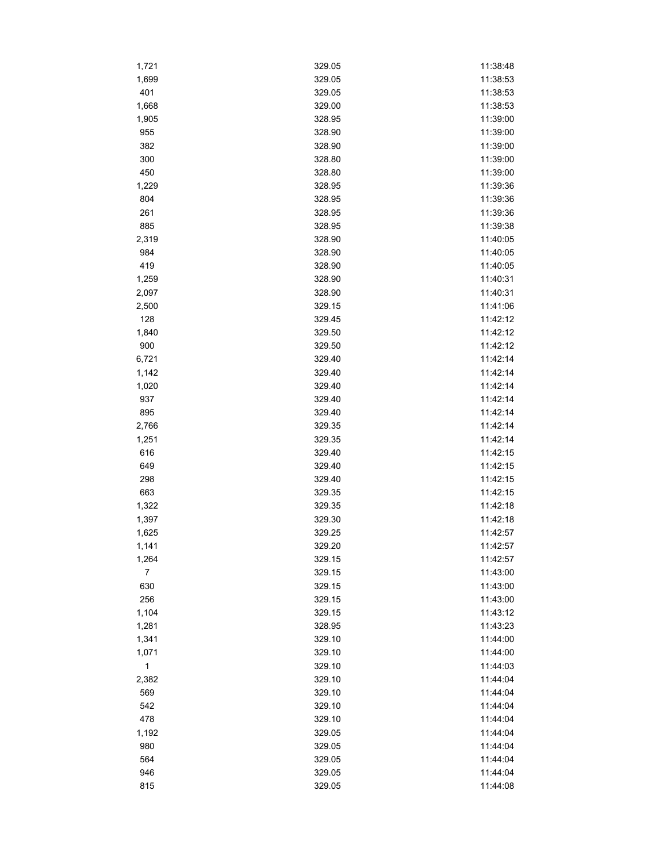| 1,721          | 329.05 | 11:38:48 |
|----------------|--------|----------|
| 1,699          | 329.05 | 11:38:53 |
| 401            | 329.05 | 11:38:53 |
| 1,668          | 329.00 | 11:38:53 |
| 1,905          | 328.95 | 11:39:00 |
| 955            | 328.90 | 11:39:00 |
| 382            | 328.90 | 11:39:00 |
| 300            | 328.80 | 11:39:00 |
| 450            | 328.80 | 11:39:00 |
| 1,229          | 328.95 | 11:39:36 |
| 804            | 328.95 | 11:39:36 |
| 261            | 328.95 | 11:39:36 |
| 885            | 328.95 | 11:39:38 |
| 2,319          | 328.90 | 11:40:05 |
| 984            | 328.90 | 11:40:05 |
| 419            | 328.90 | 11:40:05 |
| 1,259          | 328.90 | 11:40:31 |
| 2,097          | 328.90 | 11:40:31 |
| 2,500          | 329.15 | 11:41:06 |
| 128            | 329.45 | 11:42:12 |
|                | 329.50 | 11:42:12 |
| 1,840<br>900   | 329.50 | 11:42:12 |
|                |        | 11:42:14 |
| 6,721          | 329.40 |          |
| 1,142          | 329.40 | 11:42:14 |
| 1,020          | 329.40 | 11:42:14 |
| 937            | 329.40 | 11:42:14 |
| 895            | 329.40 | 11:42:14 |
| 2,766          | 329.35 | 11:42:14 |
| 1,251          | 329.35 | 11:42:14 |
| 616            | 329.40 | 11:42:15 |
| 649            | 329.40 | 11:42:15 |
| 298            | 329.40 | 11:42:15 |
| 663            | 329.35 | 11:42:15 |
| 1,322          | 329.35 | 11:42:18 |
| 1,397          | 329.30 | 11:42:18 |
| 1,625          | 329.25 | 11:42:57 |
| 1,141          | 329.20 | 11:42:57 |
| 1,264          | 329.15 | 11:42:57 |
| $\overline{7}$ | 329.15 | 11:43:00 |
| 630            | 329.15 | 11:43:00 |
| 256            | 329.15 | 11:43:00 |
| 1,104          | 329.15 | 11:43:12 |
| 1,281          | 328.95 | 11:43:23 |
| 1,341          | 329.10 | 11:44:00 |
| 1,071          | 329.10 | 11:44:00 |
| $\mathbf{1}$   | 329.10 | 11:44:03 |
| 2,382          | 329.10 | 11:44:04 |
| 569            | 329.10 | 11:44:04 |
| 542            | 329.10 | 11:44:04 |
| 478            | 329.10 | 11:44:04 |
| 1,192          | 329.05 | 11:44:04 |
| 980            | 329.05 | 11:44:04 |
| 564            | 329.05 | 11:44:04 |
| 946            | 329.05 | 11:44:04 |
| 815            | 329.05 | 11:44:08 |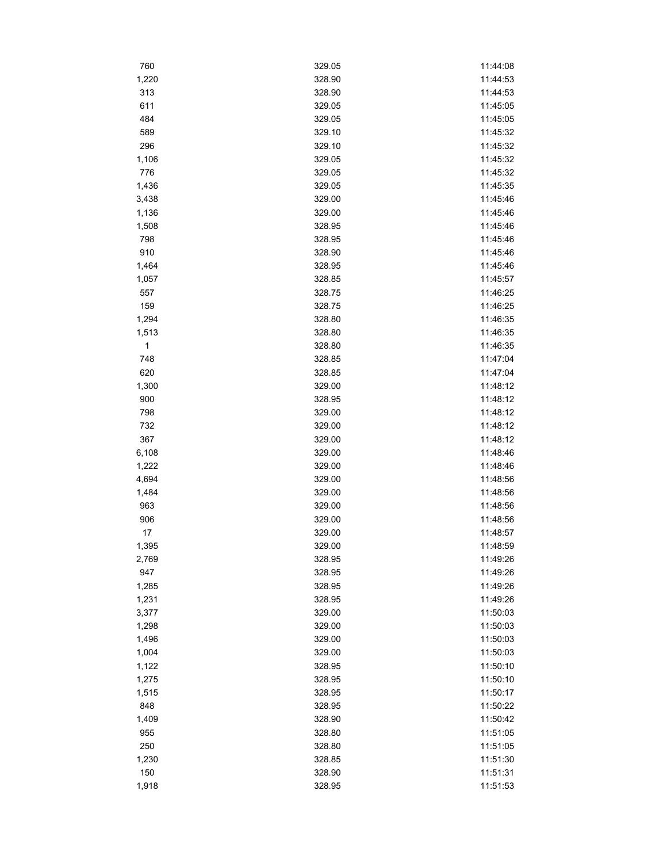| 760          | 329.05 | 11:44:08 |
|--------------|--------|----------|
| 1,220        | 328.90 | 11:44:53 |
| 313          | 328.90 | 11:44:53 |
| 611          | 329.05 | 11:45:05 |
| 484          | 329.05 | 11:45:05 |
| 589          | 329.10 | 11:45:32 |
| 296          | 329.10 | 11:45:32 |
| 1,106        | 329.05 | 11:45:32 |
| 776          | 329.05 | 11:45:32 |
| 1,436        | 329.05 | 11:45:35 |
| 3,438        | 329.00 | 11:45:46 |
| 1,136        | 329.00 | 11:45:46 |
| 1,508        | 328.95 | 11:45:46 |
| 798          | 328.95 | 11:45:46 |
| 910          | 328.90 | 11:45:46 |
| 1,464        | 328.95 | 11:45:46 |
| 1,057        | 328.85 | 11:45:57 |
| 557          | 328.75 | 11:46:25 |
| 159          | 328.75 | 11:46:25 |
| 1,294        | 328.80 | 11:46:35 |
| 1,513        | 328.80 | 11:46:35 |
| $\mathbf{1}$ | 328.80 | 11:46:35 |
| 748          | 328.85 | 11:47:04 |
| 620          | 328.85 | 11:47:04 |
|              |        | 11:48:12 |
| 1,300        | 329.00 |          |
| 900          | 328.95 | 11:48:12 |
| 798          | 329.00 | 11:48:12 |
| 732          | 329.00 | 11:48:12 |
| 367          | 329.00 | 11:48:12 |
| 6,108        | 329.00 | 11:48:46 |
| 1,222        | 329.00 | 11:48:46 |
| 4,694        | 329.00 | 11:48:56 |
| 1,484        | 329.00 | 11:48:56 |
| 963          | 329.00 | 11:48:56 |
| 906          | 329.00 | 11:48:56 |
| 17           | 329.00 | 11:48:57 |
| 1,395        | 329.00 | 11:48:59 |
| 2,769        | 328.95 | 11:49:26 |
| 947          | 328.95 | 11:49:26 |
| 1,285        | 328.95 | 11:49:26 |
| 1,231        | 328.95 | 11:49:26 |
| 3,377        | 329.00 | 11:50:03 |
| 1,298        | 329.00 | 11:50:03 |
| 1,496        | 329.00 | 11:50:03 |
| 1,004        | 329.00 | 11:50:03 |
| 1,122        | 328.95 | 11:50:10 |
| 1,275        | 328.95 | 11:50:10 |
| 1,515        | 328.95 | 11:50:17 |
| 848          | 328.95 | 11:50:22 |
| 1,409        | 328.90 | 11:50:42 |
| 955          | 328.80 | 11:51:05 |
| 250          | 328.80 | 11:51:05 |
| 1,230        | 328.85 | 11:51:30 |
| 150          | 328.90 | 11:51:31 |
| 1,918        | 328.95 | 11:51:53 |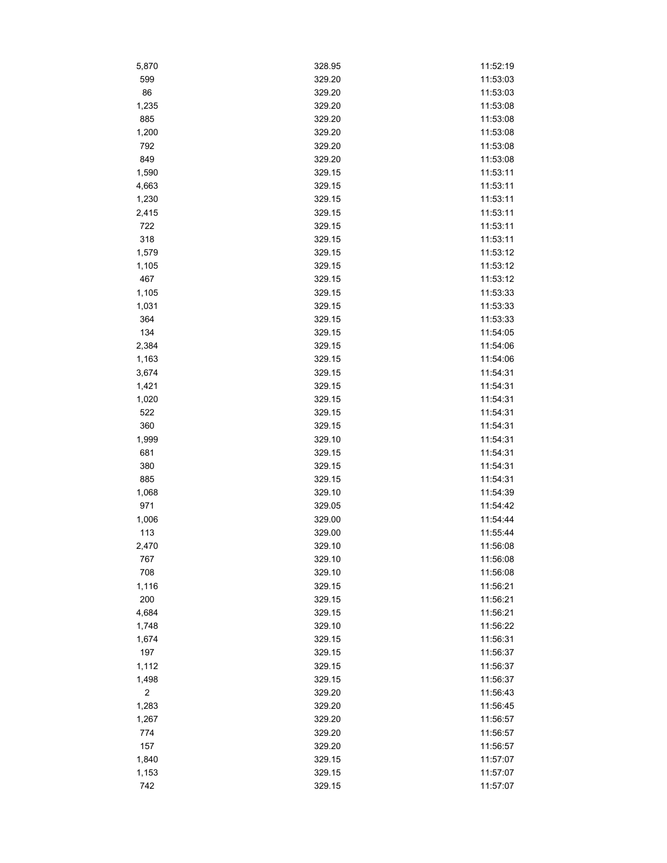| 5,870      | 328.95 | 11:52:19 |
|------------|--------|----------|
| 599        | 329.20 | 11:53:03 |
| 86         | 329.20 | 11:53:03 |
| 1,235      | 329.20 | 11:53:08 |
| 885        | 329.20 | 11:53:08 |
| 1,200      | 329.20 | 11:53:08 |
| 792        | 329.20 | 11:53:08 |
| 849        | 329.20 | 11:53:08 |
| 1,590      | 329.15 | 11:53:11 |
| 4,663      | 329.15 | 11:53:11 |
| 1,230      | 329.15 | 11:53:11 |
| 2,415      | 329.15 | 11:53:11 |
| 722        | 329.15 | 11:53:11 |
| 318        | 329.15 | 11:53:11 |
| 1,579      | 329.15 | 11:53:12 |
| 1,105      | 329.15 | 11:53:12 |
| 467        | 329.15 | 11:53:12 |
| 1,105      | 329.15 | 11:53:33 |
| 1,031      | 329.15 | 11:53:33 |
| 364        | 329.15 | 11:53:33 |
| 134        | 329.15 | 11:54:05 |
|            | 329.15 | 11:54:06 |
| 2,384      |        |          |
| 1,163      | 329.15 | 11:54:06 |
| 3,674      | 329.15 | 11:54:31 |
| 1,421      | 329.15 | 11:54:31 |
| 1,020      | 329.15 | 11:54:31 |
| 522        | 329.15 | 11:54:31 |
| 360        | 329.15 | 11:54:31 |
| 1,999      | 329.10 | 11:54:31 |
| 681        | 329.15 | 11:54:31 |
| 380        | 329.15 | 11:54:31 |
| 885        | 329.15 | 11:54:31 |
| 1,068      | 329.10 | 11:54:39 |
| 971        | 329.05 | 11:54:42 |
| 1,006      | 329.00 | 11:54:44 |
| 113        | 329.00 | 11:55:44 |
| 2,470      | 329.10 | 11:56:08 |
| 767        | 329.10 | 11:56:08 |
| 708        | 329.10 | 11:56:08 |
| 1,116      | 329.15 | 11:56:21 |
| 200        | 329.15 | 11:56:21 |
| 4,684      | 329.15 | 11:56:21 |
| 1,748      | 329.10 | 11:56:22 |
| 1,674      | 329.15 | 11:56:31 |
| 197        | 329.15 | 11:56:37 |
| 1,112      | 329.15 | 11:56:37 |
| 1,498      | 329.15 | 11:56:37 |
| $\sqrt{2}$ | 329.20 | 11:56:43 |
| 1,283      | 329.20 | 11:56:45 |
| 1,267      | 329.20 | 11:56:57 |
| 774        | 329.20 | 11:56:57 |
| 157        | 329.20 | 11:56:57 |
| 1,840      | 329.15 | 11:57:07 |
| 1,153      | 329.15 | 11:57:07 |
| 742        | 329.15 | 11:57:07 |
|            |        |          |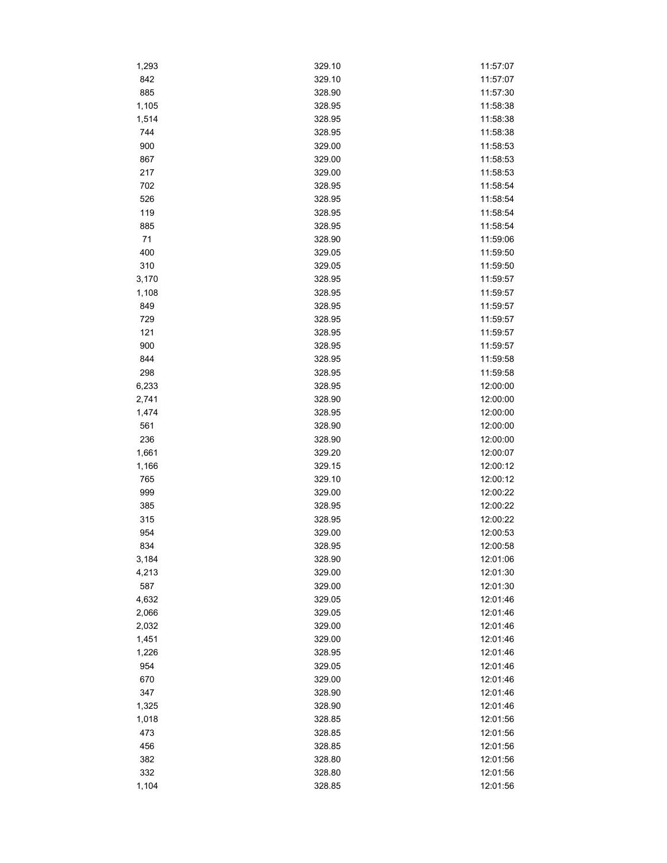| 1,293 | 329.10 | 11:57:07 |
|-------|--------|----------|
| 842   | 329.10 | 11:57:07 |
| 885   | 328.90 | 11:57:30 |
| 1,105 | 328.95 | 11:58:38 |
| 1,514 | 328.95 | 11:58:38 |
| 744   | 328.95 | 11:58:38 |
| 900   | 329.00 | 11:58:53 |
| 867   | 329.00 | 11:58:53 |
| 217   | 329.00 | 11:58:53 |
| 702   | 328.95 | 11:58:54 |
| 526   | 328.95 | 11:58:54 |
| 119   | 328.95 | 11:58:54 |
| 885   | 328.95 | 11:58:54 |
| 71    | 328.90 | 11:59:06 |
| 400   | 329.05 | 11:59:50 |
| 310   | 329.05 | 11:59:50 |
| 3,170 | 328.95 | 11:59:57 |
| 1,108 | 328.95 | 11:59:57 |
| 849   | 328.95 | 11:59:57 |
| 729   | 328.95 | 11:59:57 |
| 121   | 328.95 | 11:59:57 |
| 900   | 328.95 | 11:59:57 |
| 844   | 328.95 | 11:59:58 |
| 298   | 328.95 | 11:59:58 |
| 6,233 | 328.95 | 12:00:00 |
| 2,741 | 328.90 | 12:00:00 |
| 1,474 | 328.95 | 12:00:00 |
| 561   | 328.90 | 12:00:00 |
| 236   | 328.90 | 12:00:00 |
| 1,661 | 329.20 | 12:00:07 |
| 1,166 | 329.15 | 12:00:12 |
| 765   | 329.10 | 12:00:12 |
| 999   | 329.00 | 12:00:22 |
| 385   | 328.95 | 12:00:22 |
| 315   | 328.95 | 12:00:22 |
| 954   | 329.00 | 12:00:53 |
| 834   | 328.95 | 12:00:58 |
| 3,184 | 328.90 | 12:01:06 |
| 4,213 | 329.00 | 12:01:30 |
| 587   | 329.00 | 12:01:30 |
| 4,632 | 329.05 | 12:01:46 |
| 2,066 | 329.05 | 12:01:46 |
| 2,032 | 329.00 | 12:01:46 |
| 1,451 | 329.00 | 12:01:46 |
| 1,226 | 328.95 | 12:01:46 |
| 954   | 329.05 | 12:01:46 |
| 670   | 329.00 | 12:01:46 |
| 347   | 328.90 | 12:01:46 |
| 1,325 | 328.90 | 12:01:46 |
|       |        |          |
| 1,018 | 328.85 | 12:01:56 |
| 473   | 328.85 | 12:01:56 |
| 456   | 328.85 | 12:01:56 |
| 382   | 328.80 | 12:01:56 |
| 332   | 328.80 | 12:01:56 |
| 1,104 | 328.85 | 12:01:56 |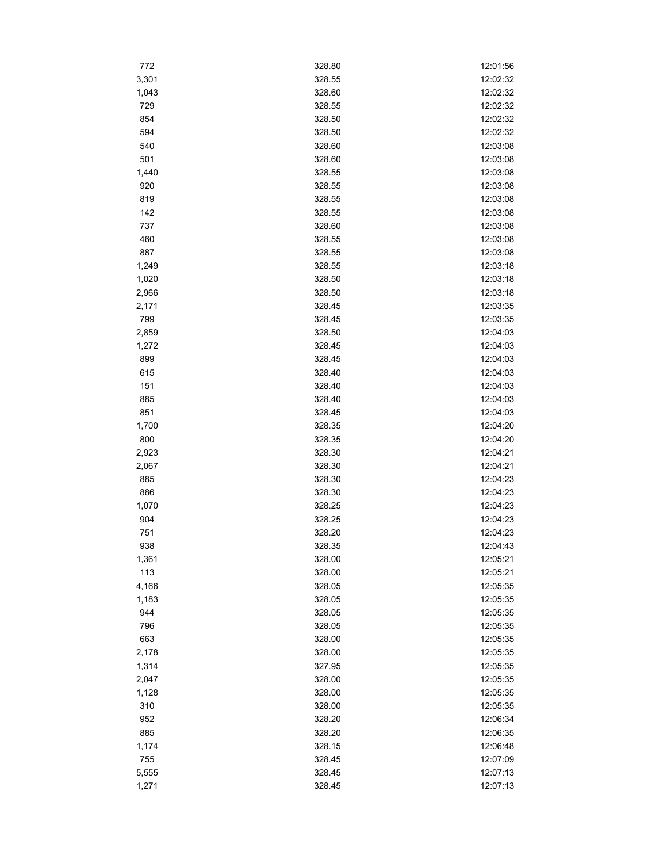| 772          | 328.80           | 12:01:56             |
|--------------|------------------|----------------------|
| 3,301        | 328.55           | 12:02:32             |
| 1,043        | 328.60           | 12:02:32             |
| 729          | 328.55           | 12:02:32             |
| 854          | 328.50           | 12:02:32             |
| 594          | 328.50           | 12:02:32             |
| 540          | 328.60           | 12:03:08             |
| 501          | 328.60           | 12:03:08             |
| 1,440        | 328.55           | 12:03:08             |
| 920          | 328.55           | 12:03:08             |
| 819          | 328.55           | 12:03:08             |
| 142          | 328.55           | 12:03:08             |
| 737          | 328.60           | 12:03:08             |
| 460          | 328.55           | 12:03:08             |
| 887          | 328.55           | 12:03:08             |
| 1,249        | 328.55           | 12:03:18             |
| 1,020        | 328.50           | 12:03:18             |
| 2,966        | 328.50           | 12:03:18             |
| 2,171        | 328.45           | 12:03:35             |
| 799          | 328.45           | 12:03:35             |
| 2,859        | 328.50           | 12:04:03             |
| 1,272        | 328.45           | 12:04:03             |
| 899          | 328.45           | 12:04:03             |
| 615          | 328.40           | 12:04:03             |
| 151          | 328.40           | 12:04:03             |
| 885          | 328.40           | 12:04:03             |
| 851          | 328.45           | 12:04:03             |
| 1,700        | 328.35           | 12:04:20             |
| 800          | 328.35           | 12:04:20             |
| 2,923        | 328.30           | 12:04:21             |
| 2,067        | 328.30           | 12:04:21             |
| 885          | 328.30           | 12:04:23             |
| 886          | 328.30           | 12:04:23             |
| 1,070        | 328.25           | 12:04:23             |
| 904          | 328.25           | 12:04:23             |
| 751          | 328.20           | 12:04:23             |
| 938          | 328.35           |                      |
|              |                  | 12:04:43             |
| 1,361<br>113 | 328.00           | 12:05:21<br>12:05:21 |
| 4,166        | 328.00           |                      |
|              | 328.05<br>328.05 | 12:05:35<br>12:05:35 |
| 1,183        | 328.05           |                      |
| 944          |                  | 12:05:35             |
| 796          | 328.05           | 12:05:35             |
| 663          | 328.00           | 12:05:35             |
| 2,178        | 328.00           | 12:05:35             |
| 1,314        | 327.95           | 12:05:35             |
| 2,047        | 328.00           | 12:05:35             |
| 1,128        | 328.00           | 12:05:35             |
| 310          | 328.00           | 12:05:35             |
| 952          | 328.20           | 12:06:34             |
| 885          | 328.20           | 12:06:35             |
| 1,174        | 328.15           | 12:06:48             |
| 755          | 328.45           | 12:07:09             |
| 5,555        | 328.45           | 12:07:13             |
| 1,271        | 328.45           | 12:07:13             |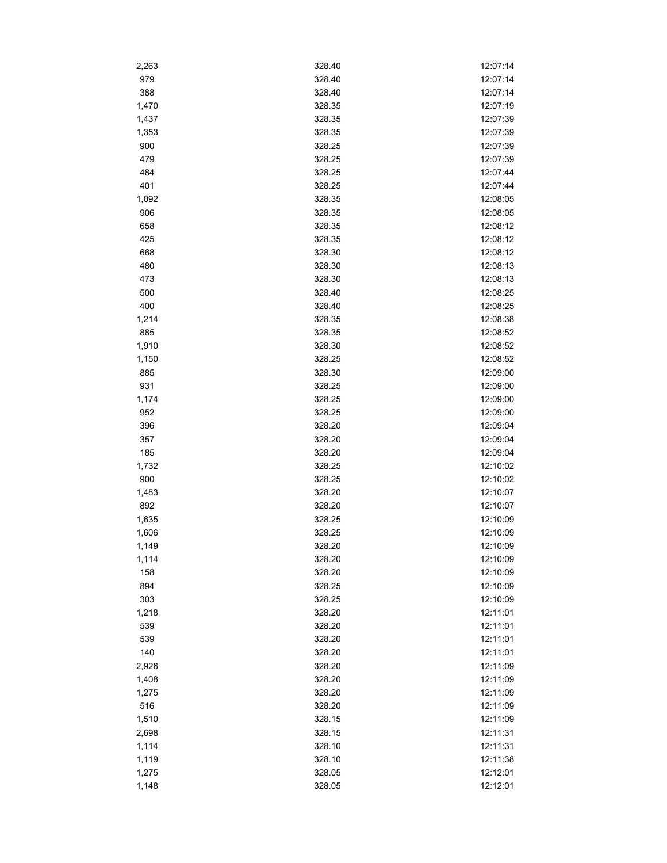| 2,263 | 328.40 | 12:07:14 |
|-------|--------|----------|
| 979   | 328.40 | 12:07:14 |
| 388   | 328.40 | 12:07:14 |
| 1,470 | 328.35 | 12:07:19 |
| 1,437 | 328.35 | 12:07:39 |
| 1,353 | 328.35 | 12:07:39 |
| 900   | 328.25 | 12:07:39 |
| 479   | 328.25 | 12:07:39 |
| 484   | 328.25 | 12:07:44 |
| 401   | 328.25 | 12:07:44 |
| 1,092 | 328.35 | 12:08:05 |
| 906   | 328.35 | 12:08:05 |
| 658   | 328.35 | 12:08:12 |
| 425   | 328.35 | 12:08:12 |
| 668   | 328.30 | 12:08:12 |
| 480   | 328.30 | 12:08:13 |
| 473   | 328.30 | 12:08:13 |
| 500   | 328.40 | 12:08:25 |
| 400   | 328.40 | 12:08:25 |
| 1,214 | 328.35 | 12:08:38 |
| 885   | 328.35 | 12:08:52 |
| 1,910 | 328.30 | 12:08:52 |
| 1,150 | 328.25 | 12:08:52 |
| 885   | 328.30 | 12:09:00 |
| 931   | 328.25 | 12:09:00 |
| 1,174 | 328.25 | 12:09:00 |
| 952   | 328.25 | 12:09:00 |
| 396   | 328.20 | 12:09:04 |
| 357   | 328.20 | 12:09:04 |
| 185   | 328.20 | 12:09:04 |
| 1,732 | 328.25 | 12:10:02 |
| 900   | 328.25 | 12:10:02 |
| 1,483 | 328.20 | 12:10:07 |
| 892   | 328.20 | 12:10:07 |
| 1,635 | 328.25 | 12:10:09 |
| 1,606 | 328.25 | 12:10:09 |
| 1,149 | 328.20 | 12:10:09 |
| 1,114 | 328.20 | 12:10:09 |
| 158   | 328.20 | 12:10:09 |
| 894   | 328.25 | 12:10:09 |
| 303   | 328.25 | 12:10:09 |
| 1,218 | 328.20 | 12:11:01 |
| 539   | 328.20 | 12:11:01 |
| 539   | 328.20 | 12:11:01 |
| 140   | 328.20 | 12:11:01 |
| 2,926 | 328.20 | 12:11:09 |
| 1,408 | 328.20 | 12:11:09 |
| 1,275 | 328.20 | 12:11:09 |
| 516   | 328.20 | 12:11:09 |
| 1,510 | 328.15 | 12:11:09 |
| 2,698 | 328.15 | 12:11:31 |
| 1,114 | 328.10 | 12:11:31 |
| 1,119 | 328.10 | 12:11:38 |
| 1,275 | 328.05 | 12:12:01 |
| 1,148 | 328.05 | 12:12:01 |
|       |        |          |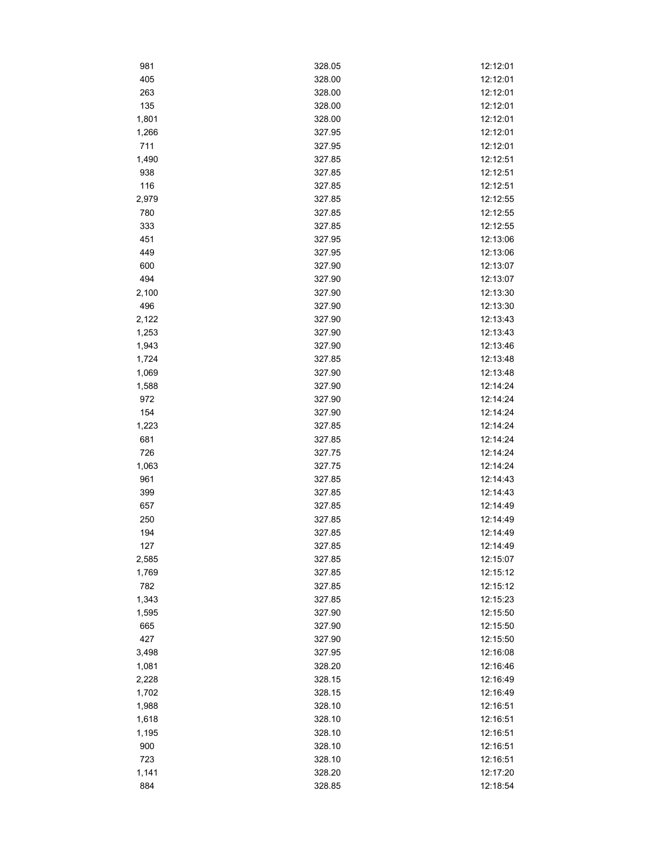| 981            | 328.05           | 12:12:01             |
|----------------|------------------|----------------------|
| 405            | 328.00           | 12:12:01             |
| 263            | 328.00           | 12:12:01             |
| 135            | 328.00           | 12:12:01             |
| 1,801          | 328.00           | 12:12:01             |
| 1,266          | 327.95           | 12:12:01             |
| 711            | 327.95           | 12:12:01             |
| 1,490          | 327.85           | 12:12:51             |
| 938            | 327.85           | 12:12:51             |
| 116            | 327.85           | 12:12:51             |
| 2,979          | 327.85           | 12:12:55             |
| 780            | 327.85           | 12:12:55             |
| 333            | 327.85           | 12:12:55             |
| 451            | 327.95           | 12:13:06             |
| 449            | 327.95           | 12:13:06             |
| 600            | 327.90           | 12:13:07             |
| 494            | 327.90           | 12:13:07             |
| 2,100          | 327.90           | 12:13:30             |
| 496            | 327.90           | 12:13:30             |
| 2,122          | 327.90           | 12:13:43             |
| 1,253          | 327.90           | 12:13:43             |
| 1,943          | 327.90           | 12:13:46             |
| 1,724          | 327.85           | 12:13:48             |
| 1,069          | 327.90           | 12:13:48             |
| 1,588          | 327.90           | 12:14:24             |
| 972            | 327.90           | 12:14:24             |
| 154            | 327.90           | 12:14:24             |
| 1,223          | 327.85           | 12:14:24             |
| 681            | 327.85           | 12:14:24             |
| 726            | 327.75           | 12:14:24             |
| 1,063          | 327.75           | 12:14:24             |
| 961            | 327.85           | 12:14:43             |
| 399            | 327.85           | 12:14:43             |
| 657            | 327.85           | 12:14:49             |
| 250            | 327.85           | 12:14:49             |
| 194            | 327.85           | 12:14:49             |
| 127            | 327.85           | 12:14:49             |
| 2,585          | 327.85           | 12:15:07             |
| 1,769          | 327.85           | 12:15:12             |
| 782            | 327.85           | 12:15:12             |
| 1,343          | 327.85           | 12:15:23             |
| 1,595          | 327.90           | 12:15:50             |
| 665            | 327.90           | 12:15:50             |
| 427            | 327.90           | 12:15:50             |
| 3,498          | 327.95           | 12:16:08             |
| 1,081          | 328.20           | 12:16:46             |
| 2,228          | 328.15           | 12:16:49             |
| 1,702          | 328.15           | 12:16:49             |
|                |                  |                      |
| 1,988<br>1,618 | 328.10<br>328.10 | 12:16:51<br>12:16:51 |
|                |                  |                      |
| 1,195          | 328.10<br>328.10 | 12:16:51             |
| 900<br>723     |                  | 12:16:51             |
|                | 328.10<br>328.20 | 12:16:51<br>12:17:20 |
| 1,141          |                  |                      |
| 884            | 328.85           | 12:18:54             |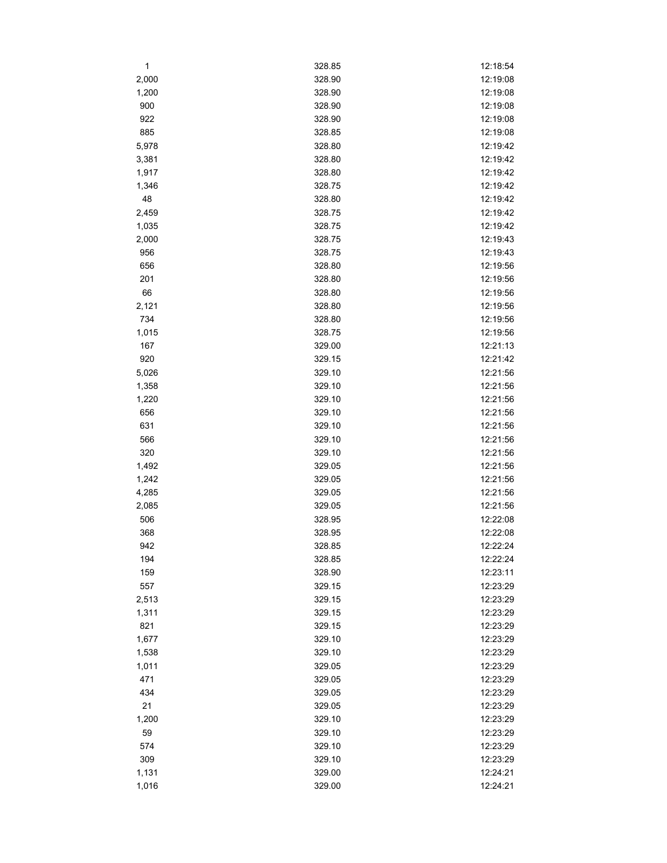| 1              | 328.85           | 12:18:54 |
|----------------|------------------|----------|
| 2,000          | 328.90           | 12:19:08 |
| 1,200          | 328.90           | 12:19:08 |
| 900            | 328.90           | 12:19:08 |
| 922            | 328.90           | 12:19:08 |
| 885            | 328.85           | 12:19:08 |
| 5,978          | 328.80           | 12:19:42 |
| 3,381          | 328.80           | 12:19:42 |
| 1,917          | 328.80           | 12:19:42 |
| 1,346          | 328.75           | 12:19:42 |
| 48             | 328.80           | 12:19:42 |
| 2,459          | 328.75           | 12:19:42 |
| 1,035          | 328.75           | 12:19:42 |
| 2,000          | 328.75           | 12:19:43 |
| 956            | 328.75           | 12:19:43 |
| 656            | 328.80           | 12:19:56 |
| 201            | 328.80           | 12:19:56 |
| 66             | 328.80           | 12:19:56 |
| 2,121          | 328.80           | 12:19:56 |
| 734            | 328.80           | 12:19:56 |
| 1,015          | 328.75           | 12:19:56 |
| 167            | 329.00           | 12:21:13 |
| 920            | 329.15           | 12:21:42 |
| 5,026          | 329.10           | 12:21:56 |
| 1,358          | 329.10           | 12:21:56 |
| 1,220          | 329.10           | 12:21:56 |
|                | 329.10           | 12:21:56 |
| 656<br>631     | 329.10           | 12:21:56 |
| 566            | 329.10           | 12:21:56 |
| 320            | 329.10           | 12:21:56 |
|                |                  | 12:21:56 |
| 1,492<br>1,242 | 329.05           | 12:21:56 |
| 4,285          | 329.05<br>329.05 | 12:21:56 |
|                |                  | 12:21:56 |
| 2,085<br>506   | 329.05<br>328.95 | 12:22:08 |
| 368            | 328.95           | 12:22:08 |
| 942            |                  | 12:22:24 |
|                | 328.85           |          |
| 194            | 328.85           | 12:22:24 |
| 159            | 328.90           | 12:23:11 |
| 557            | 329.15           | 12:23:29 |
| 2,513          | 329.15           | 12:23:29 |
| 1,311          | 329.15           | 12:23:29 |
| 821            | 329.15           | 12:23:29 |
| 1,677          | 329.10           | 12:23:29 |
| 1,538          | 329.10           | 12:23:29 |
| 1,011          | 329.05           | 12:23:29 |
| 471            | 329.05           | 12:23:29 |
| 434            | 329.05           | 12:23:29 |
| 21             | 329.05           | 12:23:29 |
| 1,200          | 329.10           | 12:23:29 |
| 59             | 329.10           | 12:23:29 |
| 574            | 329.10           | 12:23:29 |
| 309            | 329.10           | 12:23:29 |
| 1,131          | 329.00           | 12:24:21 |
| 1,016          | 329.00           | 12:24:21 |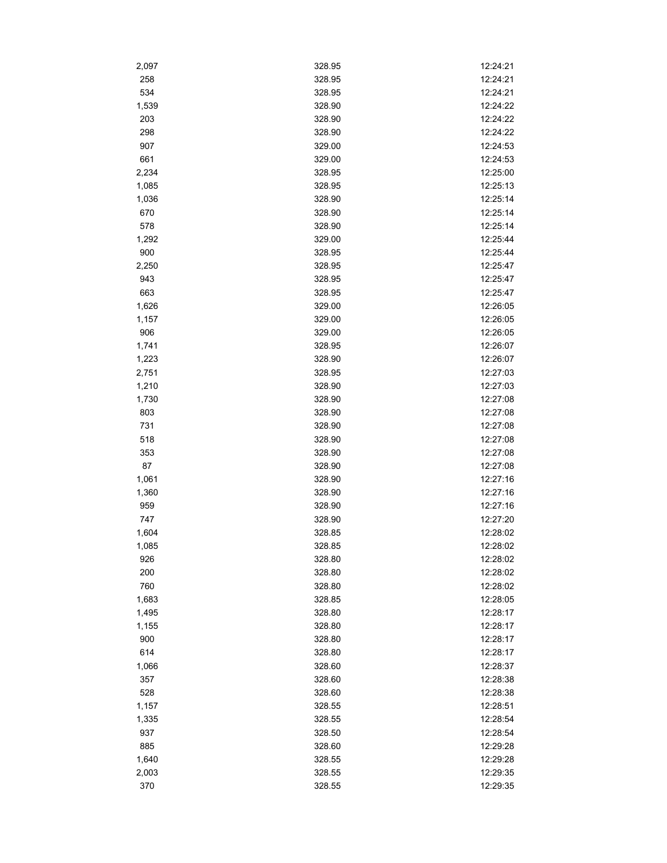| 2,097      | 328.95 | 12:24:21 |
|------------|--------|----------|
| 258        | 328.95 | 12:24:21 |
| 534        | 328.95 | 12:24:21 |
| 1,539      | 328.90 | 12:24:22 |
| 203        | 328.90 | 12:24:22 |
| 298        | 328.90 | 12:24:22 |
| 907        | 329.00 | 12:24:53 |
| 661        | 329.00 | 12:24:53 |
| 2,234      | 328.95 | 12:25:00 |
| 1,085      | 328.95 | 12:25:13 |
| 1,036      | 328.90 | 12:25:14 |
| 670        | 328.90 | 12:25:14 |
| 578        | 328.90 | 12:25:14 |
| 1,292      | 329.00 | 12:25:44 |
| 900        | 328.95 | 12:25:44 |
| 2,250      | 328.95 | 12:25:47 |
| 943        | 328.95 | 12:25:47 |
| 663        | 328.95 | 12:25:47 |
| 1,626      | 329.00 | 12:26:05 |
| 1,157      | 329.00 | 12:26:05 |
| 906        | 329.00 | 12:26:05 |
| 1,741      | 328.95 | 12:26:07 |
| 1,223      | 328.90 | 12:26:07 |
| 2,751      | 328.95 | 12:27:03 |
| 1,210      | 328.90 | 12:27:03 |
| 1,730      | 328.90 | 12:27:08 |
| 803        | 328.90 | 12:27:08 |
| 731        | 328.90 | 12:27:08 |
| 518        | 328.90 | 12:27:08 |
|            | 328.90 | 12:27:08 |
| 353<br>87  | 328.90 | 12:27:08 |
|            | 328.90 | 12:27:16 |
| 1,061      | 328.90 | 12:27:16 |
| 1,360      | 328.90 | 12:27:16 |
| 959<br>747 | 328.90 | 12:27:20 |
|            | 328.85 | 12:28:02 |
| 1,604      |        |          |
| 1,085      | 328.85 | 12:28:02 |
| 926        | 328.80 | 12:28:02 |
| 200        | 328.80 | 12:28:02 |
| 760        | 328.80 | 12:28:02 |
| 1,683      | 328.85 | 12:28:05 |
| 1,495      | 328.80 | 12:28:17 |
| 1,155      | 328.80 | 12:28:17 |
| 900        | 328.80 | 12:28:17 |
| 614        | 328.80 | 12:28:17 |
| 1,066      | 328.60 | 12:28:37 |
| 357        | 328.60 | 12:28:38 |
| 528        | 328.60 | 12:28:38 |
| 1,157      | 328.55 | 12:28:51 |
| 1,335      | 328.55 | 12:28:54 |
| 937        | 328.50 | 12:28:54 |
| 885        | 328.60 | 12:29:28 |
| 1,640      | 328.55 | 12:29:28 |
| 2,003      | 328.55 | 12:29:35 |
| 370        | 328.55 | 12:29:35 |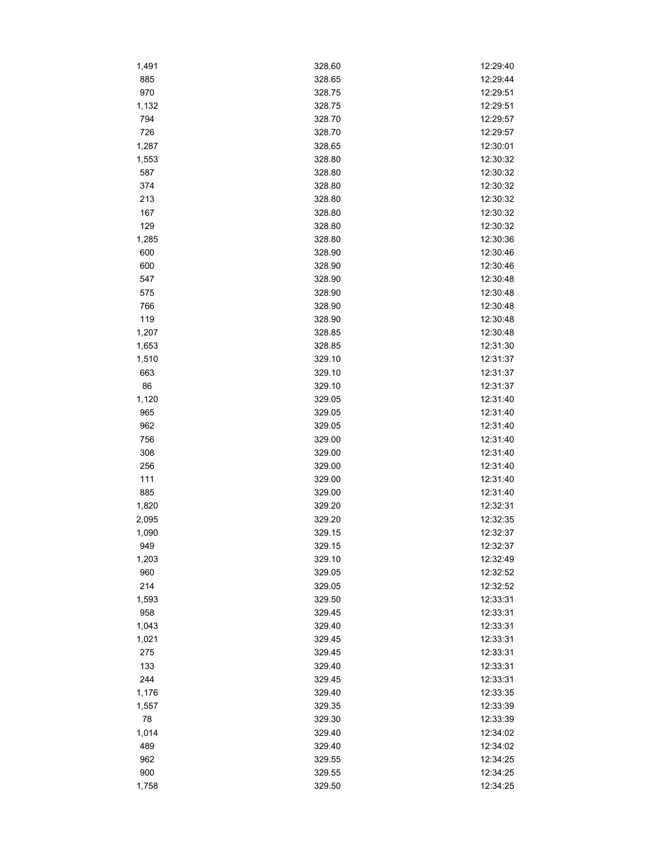| 1,491 | 328.60 | 12:29:40 |
|-------|--------|----------|
| 885   | 328.65 | 12:29:44 |
| 970   | 328.75 | 12:29:51 |
| 1,132 | 328.75 | 12:29:51 |
| 794   | 328.70 | 12:29:57 |
| 726   | 328.70 | 12:29:57 |
| 1,287 | 328.65 | 12:30:01 |
| 1,553 | 328.80 | 12:30:32 |
| 587   | 328.80 | 12:30:32 |
| 374   | 328.80 | 12:30:32 |
| 213   | 328.80 | 12:30:32 |
| 167   | 328.80 | 12:30:32 |
| 129   | 328.80 | 12:30:32 |
| 1,285 | 328.80 | 12:30:36 |
| 600   | 328.90 | 12:30:46 |
| 600   | 328.90 | 12:30:46 |
| 547   | 328.90 | 12:30:48 |
| 575   | 328.90 | 12:30:48 |
| 766   | 328.90 | 12:30:48 |
| 119   | 328.90 | 12:30:48 |
| 1,207 | 328.85 | 12:30:48 |
| 1,653 | 328.85 | 12:31:30 |
| 1,510 | 329.10 | 12:31:37 |
| 663   | 329.10 | 12:31:37 |
| 86    | 329.10 | 12:31:37 |
| 1,120 | 329.05 | 12:31:40 |
| 965   | 329.05 | 12:31:40 |
| 962   | 329.05 | 12:31:40 |
| 756   | 329.00 | 12:31:40 |
| 308   | 329.00 | 12:31:40 |
| 256   | 329.00 | 12:31:40 |
| 111   | 329.00 | 12:31:40 |
| 885   | 329.00 | 12:31:40 |
| 1,820 | 329.20 | 12:32:31 |
|       | 329.20 | 12:32:35 |
| 2,095 | 329.15 | 12:32:37 |
| 1,090 | 329.15 |          |
| 949   |        | 12:32:37 |
| 1,203 | 329.10 | 12:32:49 |
| 960   | 329.05 | 12:32:52 |
| 214   | 329.05 | 12:32:52 |
| 1,593 | 329.50 | 12:33:31 |
| 958   | 329.45 | 12:33:31 |
| 1,043 | 329.40 | 12:33:31 |
| 1,021 | 329.45 | 12:33:31 |
| 275   | 329.45 | 12:33:31 |
| 133   | 329.40 | 12:33:31 |
| 244   | 329.45 | 12:33:31 |
| 1,176 | 329.40 | 12:33:35 |
| 1,557 | 329.35 | 12:33:39 |
| 78    | 329.30 | 12:33:39 |
| 1,014 | 329.40 | 12:34:02 |
| 489   | 329.40 | 12:34:02 |
| 962   | 329.55 | 12:34:25 |
| 900   | 329.55 | 12:34:25 |
| 1,758 | 329.50 | 12:34:25 |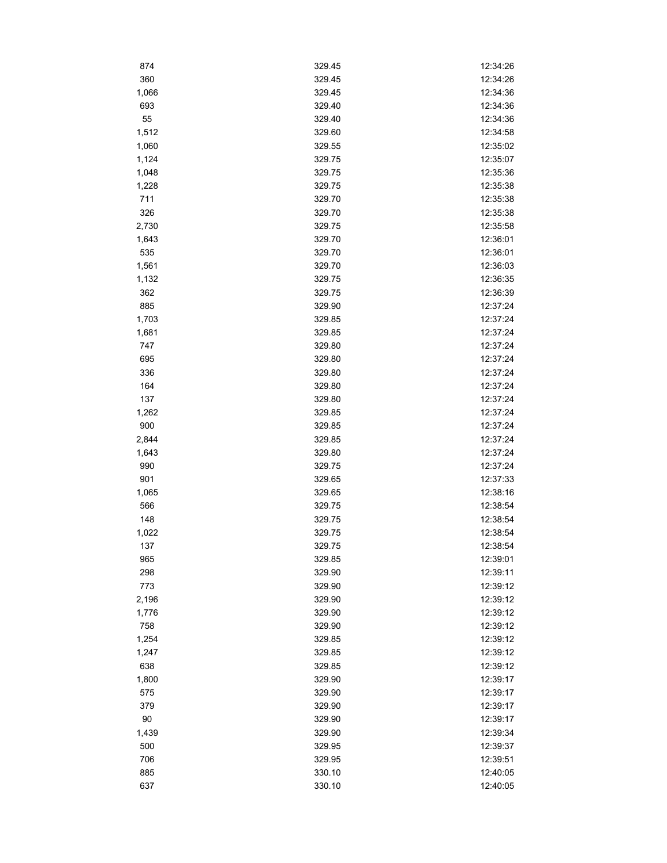| 874    | 329.45 | 12:34:26 |
|--------|--------|----------|
| 360    | 329.45 | 12:34:26 |
| 1,066  | 329.45 | 12:34:36 |
| 693    | 329.40 | 12:34:36 |
| 55     | 329.40 | 12:34:36 |
| 1,512  | 329.60 | 12:34:58 |
| 1,060  | 329.55 | 12:35:02 |
| 1,124  | 329.75 | 12:35:07 |
| 1,048  | 329.75 | 12:35:36 |
| 1,228  | 329.75 | 12:35:38 |
| 711    | 329.70 | 12:35:38 |
| 326    | 329.70 | 12:35:38 |
| 2,730  | 329.75 | 12:35:58 |
| 1,643  | 329.70 | 12:36:01 |
| 535    | 329.70 | 12:36:01 |
| 1,561  | 329.70 | 12:36:03 |
| 1,132  | 329.75 | 12:36:35 |
| 362    | 329.75 | 12:36:39 |
| 885    | 329.90 | 12:37:24 |
| 1,703  | 329.85 | 12:37:24 |
| 1,681  | 329.85 | 12:37:24 |
| 747    | 329.80 | 12:37:24 |
| 695    | 329.80 | 12:37:24 |
| 336    | 329.80 | 12:37:24 |
| 164    | 329.80 | 12:37:24 |
| 137    | 329.80 | 12:37:24 |
| 1,262  | 329.85 | 12:37:24 |
| 900    | 329.85 | 12:37:24 |
| 2,844  | 329.85 | 12:37:24 |
| 1,643  | 329.80 | 12:37:24 |
| 990    | 329.75 | 12:37:24 |
| 901    | 329.65 | 12:37:33 |
| 1,065  | 329.65 | 12:38:16 |
| 566    | 329.75 | 12:38:54 |
| 148    | 329.75 | 12:38:54 |
| 1,022  | 329.75 | 12:38:54 |
| 137    | 329.75 | 12:38:54 |
| 965    | 329.85 | 12:39:01 |
| 298    | 329.90 | 12:39:11 |
| 773    | 329.90 | 12:39:12 |
| 2,196  | 329.90 | 12:39:12 |
| 1,776  | 329.90 | 12:39:12 |
| 758    | 329.90 | 12:39:12 |
| 1,254  | 329.85 | 12:39:12 |
| 1,247  | 329.85 | 12:39:12 |
| 638    | 329.85 | 12:39:12 |
| 1,800  | 329.90 | 12:39:17 |
| 575    | 329.90 | 12:39:17 |
| 379    | 329.90 | 12:39:17 |
| $90\,$ | 329.90 | 12:39:17 |
| 1,439  | 329.90 | 12:39:34 |
| 500    | 329.95 | 12:39:37 |
| 706    | 329.95 | 12:39:51 |
| 885    | 330.10 | 12:40:05 |
| 637    | 330.10 | 12:40:05 |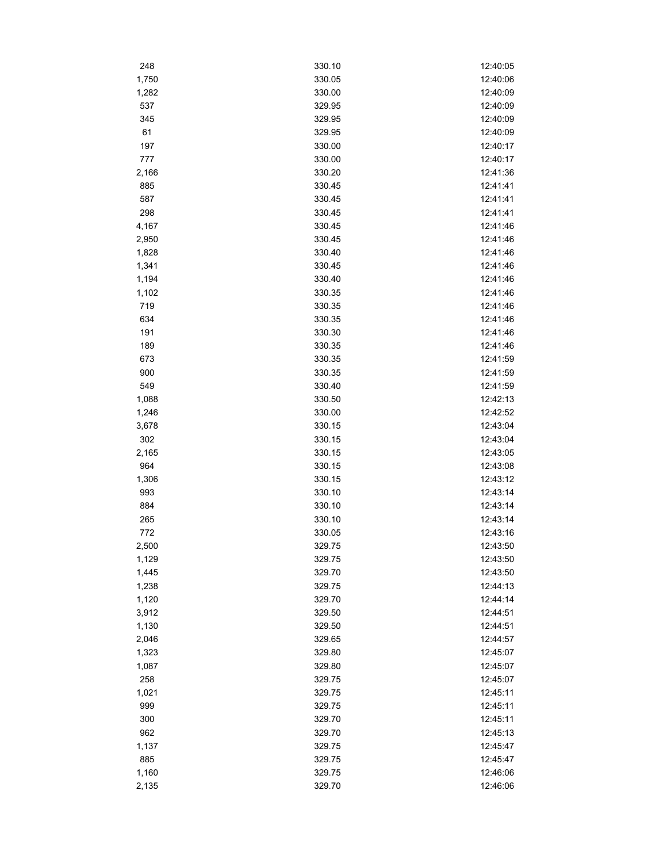| 248        | 330.10 | 12:40:05 |
|------------|--------|----------|
| 1,750      | 330.05 | 12:40:06 |
| 1,282      | 330.00 | 12:40:09 |
| 537        | 329.95 | 12:40:09 |
| 345        | 329.95 | 12:40:09 |
| 61         | 329.95 | 12:40:09 |
| 197        | 330.00 | 12:40:17 |
| 777        | 330.00 | 12:40:17 |
| 2,166      | 330.20 | 12:41:36 |
| 885        | 330.45 | 12:41:41 |
| 587        | 330.45 | 12:41:41 |
| 298        | 330.45 | 12:41:41 |
| 4,167      | 330.45 | 12:41:46 |
| 2,950      | 330.45 | 12:41:46 |
| 1,828      | 330.40 | 12:41:46 |
| 1,341      | 330.45 | 12:41:46 |
| 1,194      | 330.40 | 12:41:46 |
| 1,102      | 330.35 | 12:41:46 |
| 719        | 330.35 | 12:41:46 |
| 634        | 330.35 | 12:41:46 |
| 191        | 330.30 | 12:41:46 |
| 189        | 330.35 | 12:41:46 |
| 673        | 330.35 | 12:41:59 |
|            | 330.35 | 12:41:59 |
| 900<br>549 |        |          |
|            | 330.40 | 12:41:59 |
| 1,088      | 330.50 | 12:42:13 |
| 1,246      | 330.00 | 12:42:52 |
| 3,678      | 330.15 | 12:43:04 |
| 302        | 330.15 | 12:43:04 |
| 2,165      | 330.15 | 12:43:05 |
| 964        | 330.15 | 12:43:08 |
| 1,306      | 330.15 | 12:43:12 |
| 993        | 330.10 | 12:43:14 |
| 884        | 330.10 | 12:43:14 |
| 265        | 330.10 | 12:43:14 |
| 772        | 330.05 | 12:43:16 |
| 2,500      | 329.75 | 12:43:50 |
| 1,129      | 329.75 | 12:43:50 |
| 1,445      | 329.70 | 12:43:50 |
| 1,238      | 329.75 | 12:44:13 |
| 1,120      | 329.70 | 12:44:14 |
| 3,912      | 329.50 | 12:44:51 |
| 1,130      | 329.50 | 12:44:51 |
| 2,046      | 329.65 | 12:44:57 |
| 1,323      | 329.80 | 12:45:07 |
| 1,087      | 329.80 | 12:45:07 |
| 258        | 329.75 | 12:45:07 |
| 1,021      | 329.75 | 12:45:11 |
| 999        | 329.75 | 12:45:11 |
| 300        | 329.70 | 12:45:11 |
| 962        | 329.70 | 12:45:13 |
| 1,137      | 329.75 | 12:45:47 |
| 885        | 329.75 | 12:45:47 |
| 1,160      | 329.75 | 12:46:06 |
| 2,135      | 329.70 | 12:46:06 |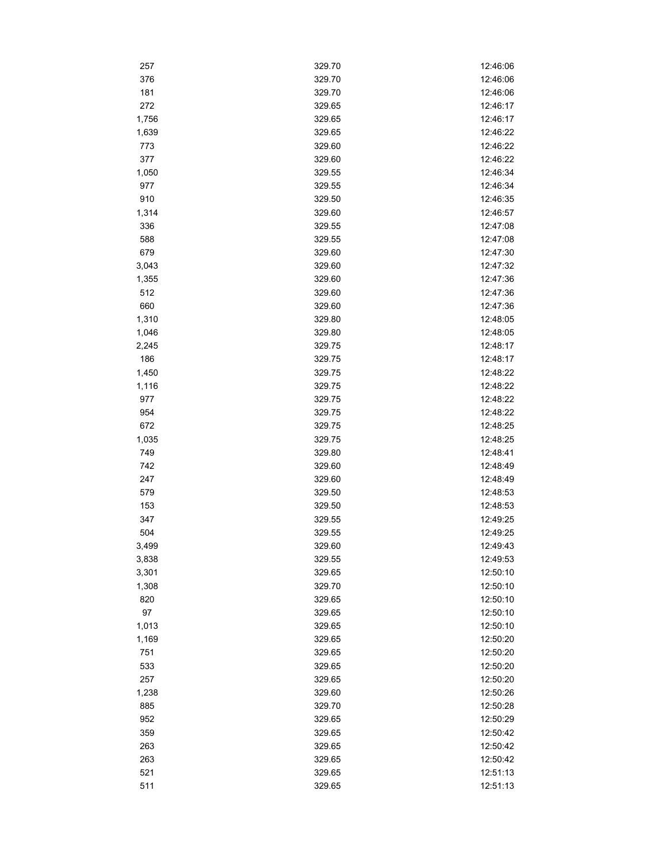| 257   | 329.70 | 12:46:06 |
|-------|--------|----------|
| 376   | 329.70 | 12:46:06 |
| 181   | 329.70 | 12:46:06 |
| 272   | 329.65 | 12:46:17 |
| 1,756 | 329.65 | 12:46:17 |
| 1,639 | 329.65 | 12:46:22 |
| 773   | 329.60 | 12:46:22 |
| 377   | 329.60 | 12:46:22 |
| 1,050 | 329.55 | 12:46:34 |
| 977   | 329.55 | 12:46:34 |
| 910   | 329.50 | 12:46:35 |
| 1,314 | 329.60 | 12:46:57 |
| 336   | 329.55 | 12:47:08 |
| 588   | 329.55 | 12:47:08 |
| 679   | 329.60 | 12:47:30 |
| 3,043 | 329.60 | 12:47:32 |
| 1,355 | 329.60 | 12:47:36 |
| 512   | 329.60 | 12:47:36 |
| 660   | 329.60 | 12:47:36 |
| 1,310 | 329.80 | 12:48:05 |
| 1,046 | 329.80 | 12:48:05 |
| 2,245 | 329.75 | 12:48:17 |
| 186   | 329.75 | 12:48:17 |
| 1,450 | 329.75 | 12:48:22 |
| 1,116 | 329.75 | 12:48:22 |
| 977   | 329.75 | 12:48:22 |
| 954   | 329.75 | 12:48:22 |
| 672   | 329.75 | 12:48:25 |
| 1,035 | 329.75 | 12:48:25 |
| 749   | 329.80 | 12:48:41 |
| 742   | 329.60 | 12:48:49 |
| 247   | 329.60 | 12:48:49 |
| 579   | 329.50 | 12:48:53 |
| 153   | 329.50 | 12:48:53 |
| 347   | 329.55 | 12:49:25 |
| 504   | 329.55 | 12:49:25 |
| 3,499 | 329.60 | 12:49:43 |
| 3,838 | 329.55 | 12:49:53 |
| 3,301 | 329.65 | 12:50:10 |
| 1,308 | 329.70 | 12:50:10 |
| 820   | 329.65 | 12:50:10 |
| 97    | 329.65 | 12:50:10 |
| 1,013 | 329.65 | 12:50:10 |
| 1,169 | 329.65 | 12:50:20 |
| 751   | 329.65 | 12:50:20 |
| 533   | 329.65 | 12:50:20 |
| 257   | 329.65 | 12:50:20 |
| 1,238 | 329.60 | 12:50:26 |
| 885   | 329.70 | 12:50:28 |
| 952   | 329.65 | 12:50:29 |
| 359   | 329.65 | 12:50:42 |
| 263   | 329.65 | 12:50:42 |
| 263   | 329.65 | 12:50:42 |
| 521   | 329.65 | 12:51:13 |
| 511   | 329.65 | 12:51:13 |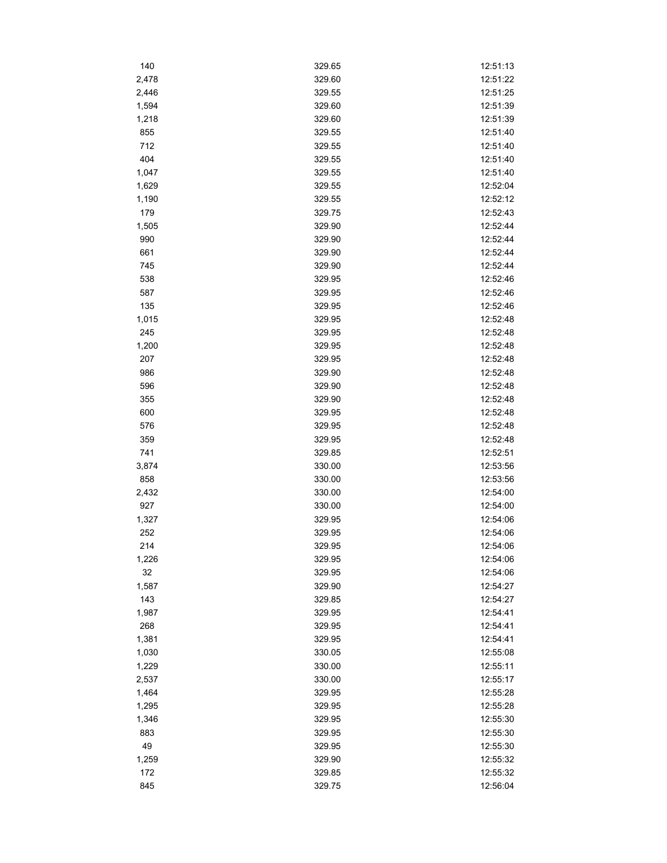| 140   | 329.65 | 12:51:13 |
|-------|--------|----------|
| 2,478 | 329.60 | 12:51:22 |
| 2,446 | 329.55 | 12:51:25 |
| 1,594 | 329.60 | 12:51:39 |
| 1,218 | 329.60 | 12:51:39 |
| 855   | 329.55 | 12:51:40 |
| 712   | 329.55 | 12:51:40 |
| 404   | 329.55 | 12:51:40 |
| 1,047 | 329.55 | 12:51:40 |
| 1,629 | 329.55 | 12:52:04 |
| 1,190 | 329.55 | 12:52:12 |
| 179   | 329.75 | 12:52:43 |
| 1,505 | 329.90 | 12:52:44 |
| 990   | 329.90 | 12:52:44 |
| 661   | 329.90 | 12:52:44 |
| 745   | 329.90 | 12:52:44 |
| 538   | 329.95 | 12:52:46 |
| 587   | 329.95 | 12:52:46 |
| 135   | 329.95 | 12:52:46 |
| 1,015 | 329.95 | 12:52:48 |
| 245   | 329.95 | 12:52:48 |
| 1,200 | 329.95 | 12:52:48 |
| 207   | 329.95 | 12:52:48 |
| 986   | 329.90 | 12:52:48 |
| 596   | 329.90 | 12:52:48 |
| 355   | 329.90 | 12:52:48 |
| 600   | 329.95 | 12:52:48 |
| 576   | 329.95 | 12:52:48 |
| 359   | 329.95 | 12:52:48 |
| 741   | 329.85 | 12:52:51 |
| 3,874 | 330.00 | 12:53:56 |
| 858   | 330.00 | 12:53:56 |
| 2,432 | 330.00 | 12:54:00 |
| 927   | 330.00 | 12:54:00 |
| 1,327 | 329.95 | 12:54:06 |
| 252   | 329.95 | 12:54:06 |
| 214   | 329.95 | 12:54:06 |
| 1,226 | 329.95 | 12:54:06 |
| 32    | 329.95 | 12:54:06 |
| 1,587 | 329.90 | 12:54:27 |
| 143   | 329.85 | 12:54:27 |
| 1,987 | 329.95 | 12:54:41 |
| 268   | 329.95 | 12:54:41 |
| 1,381 | 329.95 | 12:54:41 |
| 1,030 | 330.05 | 12:55:08 |
| 1,229 | 330.00 | 12:55:11 |
| 2,537 | 330.00 | 12:55:17 |
| 1,464 | 329.95 | 12:55:28 |
| 1,295 | 329.95 | 12:55:28 |
| 1,346 | 329.95 | 12:55:30 |
| 883   | 329.95 | 12:55:30 |
| 49    | 329.95 | 12:55:30 |
| 1,259 | 329.90 | 12:55:32 |
| 172   | 329.85 | 12:55:32 |
| 845   | 329.75 | 12:56:04 |
|       |        |          |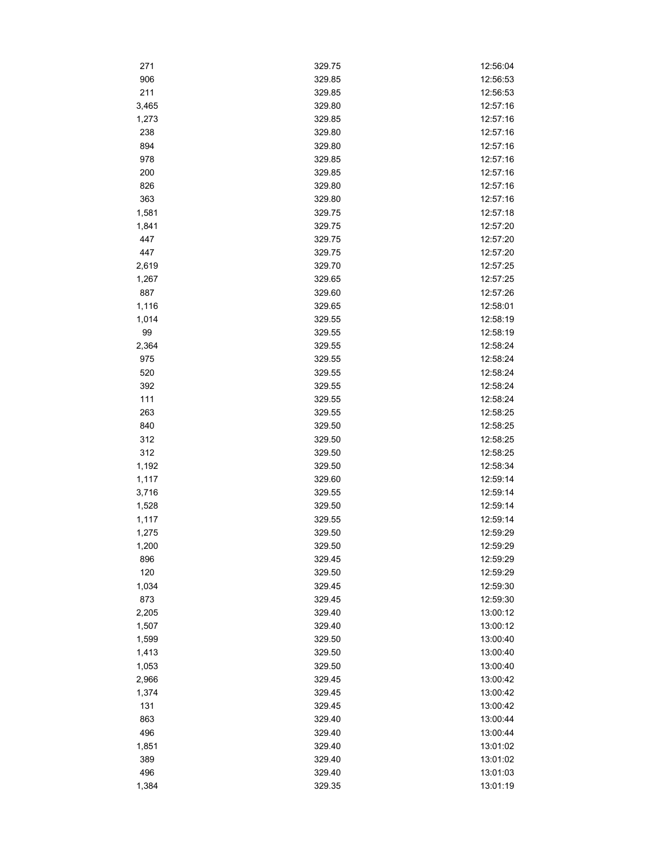| 271   | 329.75 | 12:56:04 |
|-------|--------|----------|
| 906   | 329.85 | 12:56:53 |
| 211   | 329.85 | 12:56:53 |
| 3,465 | 329.80 | 12:57:16 |
| 1,273 | 329.85 | 12:57:16 |
| 238   | 329.80 | 12:57:16 |
| 894   | 329.80 | 12:57:16 |
| 978   | 329.85 | 12:57:16 |
| 200   | 329.85 | 12:57:16 |
| 826   | 329.80 | 12:57:16 |
| 363   | 329.80 | 12:57:16 |
| 1,581 | 329.75 | 12:57:18 |
| 1,841 | 329.75 | 12:57:20 |
| 447   | 329.75 | 12:57:20 |
| 447   | 329.75 | 12:57:20 |
| 2,619 | 329.70 | 12:57:25 |
| 1,267 | 329.65 | 12:57:25 |
| 887   | 329.60 | 12:57:26 |
| 1,116 | 329.65 | 12:58:01 |
| 1,014 | 329.55 | 12:58:19 |
| 99    | 329.55 | 12:58:19 |
| 2,364 | 329.55 | 12:58:24 |
| 975   | 329.55 | 12:58:24 |
| 520   | 329.55 | 12:58:24 |
| 392   | 329.55 | 12:58:24 |
| 111   |        | 12:58:24 |
|       | 329.55 |          |
| 263   | 329.55 | 12:58:25 |
| 840   | 329.50 | 12:58:25 |
| 312   | 329.50 | 12:58:25 |
| 312   | 329.50 | 12:58:25 |
| 1,192 | 329.50 | 12:58:34 |
| 1,117 | 329.60 | 12:59:14 |
| 3,716 | 329.55 | 12:59:14 |
| 1,528 | 329.50 | 12:59:14 |
| 1,117 | 329.55 | 12:59:14 |
| 1,275 | 329.50 | 12:59:29 |
| 1,200 | 329.50 | 12.59.29 |
| 896   | 329.45 | 12:59:29 |
| 120   | 329.50 | 12:59:29 |
| 1,034 | 329.45 | 12:59:30 |
| 873   | 329.45 | 12:59:30 |
| 2,205 | 329.40 | 13:00:12 |
| 1,507 | 329.40 | 13:00:12 |
| 1,599 | 329.50 | 13:00:40 |
| 1,413 | 329.50 | 13:00:40 |
| 1,053 | 329.50 | 13:00:40 |
| 2,966 | 329.45 | 13:00:42 |
| 1,374 | 329.45 | 13:00:42 |
| 131   | 329.45 | 13:00:42 |
| 863   | 329.40 | 13:00:44 |
| 496   | 329.40 | 13:00:44 |
| 1,851 | 329.40 | 13:01:02 |
| 389   | 329.40 | 13:01:02 |
| 496   | 329.40 | 13:01:03 |
| 1,384 | 329.35 | 13:01:19 |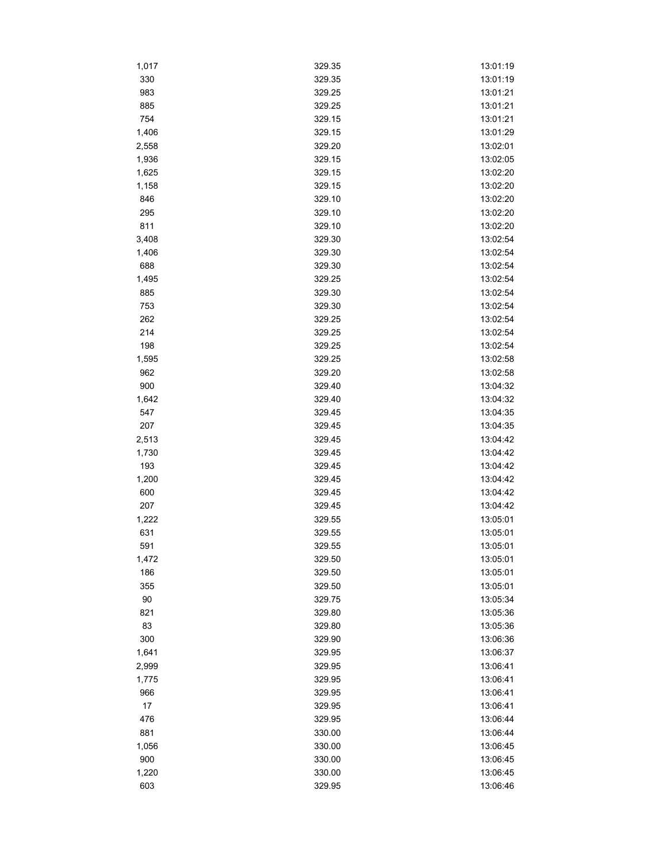| 1,017  | 329.35 | 13:01:19 |
|--------|--------|----------|
| 330    | 329.35 | 13:01:19 |
| 983    | 329.25 | 13:01:21 |
| 885    | 329.25 | 13:01:21 |
| 754    | 329.15 | 13:01:21 |
| 1,406  | 329.15 | 13:01:29 |
| 2,558  | 329.20 | 13:02:01 |
| 1,936  | 329.15 | 13:02:05 |
| 1,625  | 329.15 | 13:02:20 |
| 1,158  | 329.15 | 13:02:20 |
| 846    | 329.10 | 13:02:20 |
| 295    | 329.10 | 13:02:20 |
| 811    | 329.10 | 13:02:20 |
| 3,408  | 329.30 | 13:02:54 |
| 1,406  | 329.30 | 13:02:54 |
| 688    | 329.30 | 13:02:54 |
| 1,495  | 329.25 | 13:02:54 |
| 885    | 329.30 | 13:02:54 |
| 753    | 329.30 | 13:02:54 |
| 262    | 329.25 | 13:02:54 |
| 214    | 329.25 | 13:02:54 |
| 198    | 329.25 | 13:02:54 |
| 1,595  | 329.25 | 13:02:58 |
| 962    | 329.20 | 13:02:58 |
| 900    | 329.40 | 13:04:32 |
| 1,642  | 329.40 | 13:04:32 |
| 547    | 329.45 | 13:04:35 |
| 207    | 329.45 | 13:04:35 |
| 2,513  | 329.45 | 13:04:42 |
| 1,730  | 329.45 | 13:04:42 |
| 193    | 329.45 | 13:04:42 |
| 1,200  | 329.45 | 13:04:42 |
| 600    | 329.45 | 13:04:42 |
| 207    | 329.45 | 13:04:42 |
| 1,222  | 329.55 | 13:05:01 |
| 631    | 329.55 | 13:05:01 |
| 591    | 329.55 | 13:05:01 |
| 1,472  | 329.50 | 13:05:01 |
| 186    | 329.50 | 13:05:01 |
| 355    | 329.50 | 13:05:01 |
| $90\,$ | 329.75 | 13:05:34 |
| 821    | 329.80 | 13:05:36 |
| 83     | 329.80 | 13:05:36 |
| 300    | 329.90 | 13:06:36 |
| 1,641  | 329.95 | 13:06:37 |
| 2,999  | 329.95 | 13:06:41 |
| 1,775  | 329.95 | 13:06:41 |
| 966    | 329.95 | 13:06:41 |
| $17\,$ | 329.95 | 13:06:41 |
| 476    | 329.95 | 13:06:44 |
| 881    | 330.00 | 13:06:44 |
| 1,056  | 330.00 | 13:06:45 |
| 900    | 330.00 | 13:06:45 |
|        |        |          |
| 1,220  | 330.00 | 13:06:45 |
| 603    | 329.95 | 13:06:46 |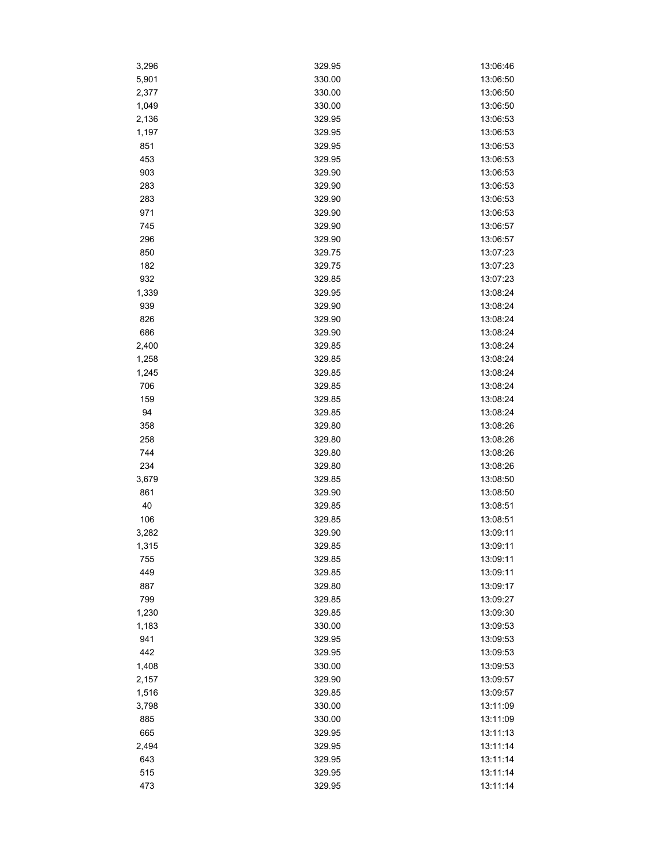| 3,296 | 329.95 | 13:06:46 |
|-------|--------|----------|
| 5,901 | 330.00 | 13:06:50 |
| 2,377 | 330.00 | 13:06:50 |
| 1,049 | 330.00 | 13:06:50 |
| 2,136 | 329.95 | 13:06:53 |
| 1,197 | 329.95 | 13:06:53 |
| 851   | 329.95 | 13:06:53 |
| 453   | 329.95 | 13:06:53 |
| 903   | 329.90 | 13:06:53 |
| 283   | 329.90 | 13:06:53 |
| 283   | 329.90 | 13:06:53 |
| 971   | 329.90 | 13:06:53 |
| 745   | 329.90 | 13:06:57 |
| 296   | 329.90 | 13:06:57 |
| 850   | 329.75 | 13:07:23 |
| 182   | 329.75 | 13:07:23 |
| 932   | 329.85 | 13:07:23 |
| 1,339 | 329.95 | 13:08:24 |
| 939   | 329.90 | 13:08:24 |
| 826   | 329.90 | 13:08:24 |
| 686   | 329.90 | 13:08:24 |
| 2,400 | 329.85 | 13:08:24 |
| 1,258 | 329.85 | 13:08:24 |
| 1,245 | 329.85 | 13:08:24 |
| 706   | 329.85 | 13:08:24 |
| 159   | 329.85 | 13:08:24 |
| 94    | 329.85 | 13:08:24 |
| 358   | 329.80 | 13:08:26 |
| 258   | 329.80 | 13:08:26 |
| 744   | 329.80 | 13:08:26 |
| 234   | 329.80 | 13:08:26 |
| 3,679 | 329.85 | 13:08:50 |
| 861   | 329.90 | 13:08:50 |
| 40    | 329.85 | 13:08:51 |
| 106   | 329.85 | 13:08:51 |
| 3,282 | 329.90 | 13:09:11 |
| 1,315 | 329.85 | 13:09:11 |
| 755   | 329.85 | 13:09:11 |
| 449   | 329.85 | 13:09:11 |
| 887   | 329.80 | 13:09:17 |
| 799   | 329.85 | 13:09:27 |
| 1,230 | 329.85 | 13:09:30 |
| 1,183 | 330.00 | 13:09:53 |
| 941   | 329.95 | 13:09:53 |
| 442   | 329.95 | 13:09:53 |
| 1,408 | 330.00 | 13:09:53 |
| 2,157 | 329.90 | 13:09:57 |
| 1,516 | 329.85 | 13:09:57 |
| 3,798 | 330.00 | 13:11:09 |
| 885   | 330.00 | 13:11:09 |
| 665   | 329.95 | 13:11:13 |
| 2,494 | 329.95 | 13:11:14 |
| 643   | 329.95 | 13:11:14 |
| 515   | 329.95 | 13:11:14 |
| 473   | 329.95 | 13:11:14 |
|       |        |          |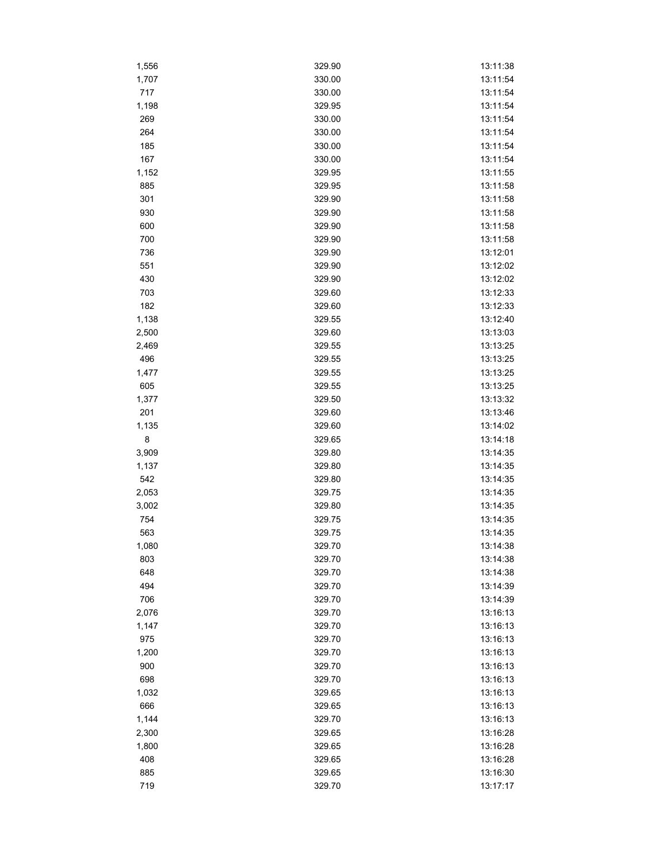| 1,556 | 329.90 | 13:11:38 |
|-------|--------|----------|
| 1,707 | 330.00 | 13:11:54 |
| 717   | 330.00 | 13:11:54 |
| 1,198 | 329.95 | 13:11:54 |
| 269   | 330.00 | 13:11:54 |
| 264   | 330.00 | 13:11:54 |
| 185   | 330.00 | 13:11:54 |
| 167   | 330.00 | 13:11:54 |
| 1,152 | 329.95 | 13:11:55 |
| 885   | 329.95 | 13:11:58 |
| 301   | 329.90 | 13:11:58 |
| 930   | 329.90 | 13:11:58 |
| 600   | 329.90 | 13:11:58 |
| 700   | 329.90 | 13:11:58 |
| 736   | 329.90 | 13:12:01 |
| 551   | 329.90 | 13:12:02 |
| 430   | 329.90 | 13:12:02 |
| 703   | 329.60 | 13:12:33 |
| 182   | 329.60 | 13:12:33 |
| 1,138 | 329.55 | 13:12:40 |
| 2,500 | 329.60 | 13:13:03 |
| 2,469 | 329.55 | 13:13:25 |
| 496   | 329.55 | 13:13:25 |
| 1,477 | 329.55 | 13:13:25 |
| 605   | 329.55 | 13:13:25 |
| 1,377 | 329.50 | 13:13:32 |
| 201   | 329.60 | 13:13:46 |
| 1,135 | 329.60 | 13:14:02 |
| 8     | 329.65 | 13:14:18 |
| 3,909 | 329.80 | 13:14:35 |
| 1,137 | 329.80 | 13:14:35 |
| 542   | 329.80 | 13:14:35 |
| 2,053 | 329.75 | 13:14:35 |
| 3,002 | 329.80 | 13:14:35 |
| 754   | 329.75 | 13:14:35 |
| 563   | 329.75 | 13:14:35 |
| 1,080 | 329.70 | 13:14:38 |
| 803   | 329.70 | 13:14:38 |
| 648   | 329.70 | 13:14:38 |
| 494   | 329.70 | 13:14:39 |
| 706   | 329.70 | 13:14:39 |
| 2,076 | 329.70 | 13:16:13 |
| 1,147 | 329.70 | 13:16:13 |
| 975   | 329.70 | 13:16:13 |
| 1,200 | 329.70 | 13:16:13 |
| 900   | 329.70 | 13:16:13 |
| 698   | 329.70 | 13:16:13 |
| 1,032 | 329.65 | 13:16:13 |
| 666   | 329.65 | 13:16:13 |
| 1,144 | 329.70 | 13:16:13 |
| 2,300 | 329.65 | 13:16:28 |
| 1,800 | 329.65 | 13:16:28 |
| 408   | 329.65 | 13:16:28 |
| 885   | 329.65 | 13:16:30 |
| 719   | 329.70 | 13:17:17 |
|       |        |          |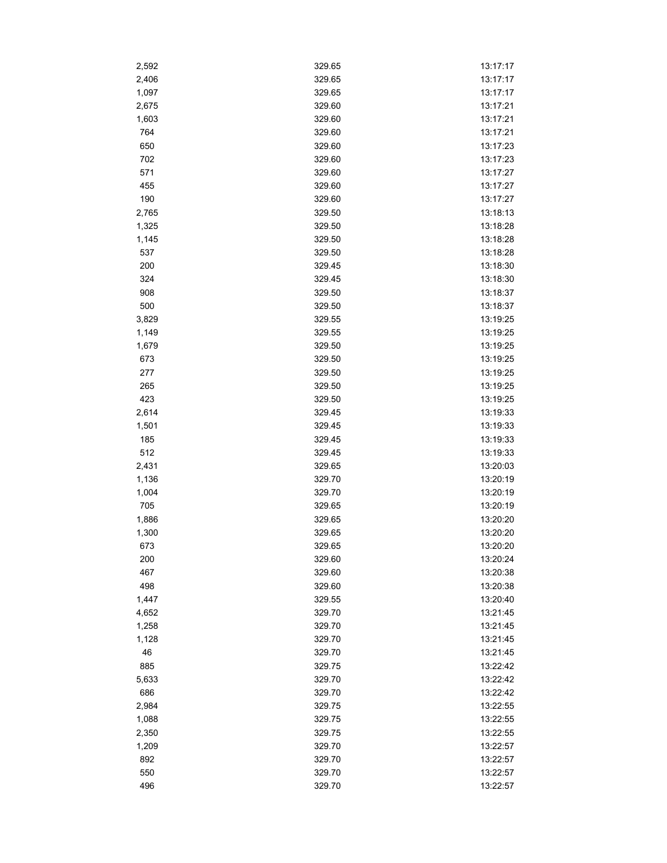| 2,592 | 329.65 | 13:17:17 |
|-------|--------|----------|
| 2,406 | 329.65 | 13:17:17 |
| 1,097 | 329.65 | 13:17:17 |
| 2,675 | 329.60 | 13:17:21 |
| 1,603 | 329.60 | 13:17:21 |
| 764   | 329.60 | 13:17:21 |
| 650   | 329.60 | 13:17:23 |
| 702   | 329.60 | 13:17:23 |
| 571   | 329.60 | 13:17:27 |
| 455   | 329.60 | 13:17:27 |
| 190   | 329.60 | 13:17:27 |
| 2,765 | 329.50 | 13:18:13 |
| 1,325 | 329.50 | 13:18:28 |
| 1,145 | 329.50 | 13:18:28 |
| 537   | 329.50 | 13:18:28 |
| 200   | 329.45 | 13:18:30 |
| 324   | 329.45 | 13:18:30 |
|       |        |          |
| 908   | 329.50 | 13:18:37 |
| 500   | 329.50 | 13:18:37 |
| 3,829 | 329.55 | 13:19:25 |
| 1,149 | 329.55 | 13:19:25 |
| 1,679 | 329.50 | 13:19:25 |
| 673   | 329.50 | 13:19:25 |
| 277   | 329.50 | 13:19:25 |
| 265   | 329.50 | 13:19:25 |
| 423   | 329.50 | 13:19:25 |
| 2,614 | 329.45 | 13:19:33 |
| 1,501 | 329.45 | 13:19:33 |
| 185   | 329.45 | 13:19:33 |
| 512   | 329.45 | 13:19:33 |
| 2,431 | 329.65 | 13:20:03 |
| 1,136 | 329.70 | 13:20:19 |
| 1,004 | 329.70 | 13:20:19 |
| 705   | 329.65 | 13:20:19 |
| 1,886 | 329.65 | 13:20:20 |
| 1,300 | 329.65 | 13:20:20 |
| 673   | 329.65 | 13:20:20 |
| 200   | 329.60 | 13:20:24 |
| 467   | 329.60 | 13:20:38 |
| 498   | 329.60 | 13:20:38 |
| 1,447 | 329.55 | 13:20:40 |
| 4,652 | 329.70 | 13:21:45 |
| 1,258 | 329.70 | 13:21:45 |
| 1,128 | 329.70 | 13:21:45 |
| 46    | 329.70 | 13:21:45 |
| 885   | 329.75 | 13:22:42 |
| 5,633 | 329.70 | 13:22:42 |
| 686   | 329.70 | 13:22:42 |
| 2,984 | 329.75 | 13:22:55 |
| 1,088 | 329.75 | 13:22:55 |
|       |        |          |
| 2,350 | 329.75 | 13:22:55 |
| 1,209 | 329.70 | 13:22:57 |
| 892   | 329.70 | 13:22:57 |
| 550   | 329.70 | 13:22:57 |
| 496   | 329.70 | 13:22:57 |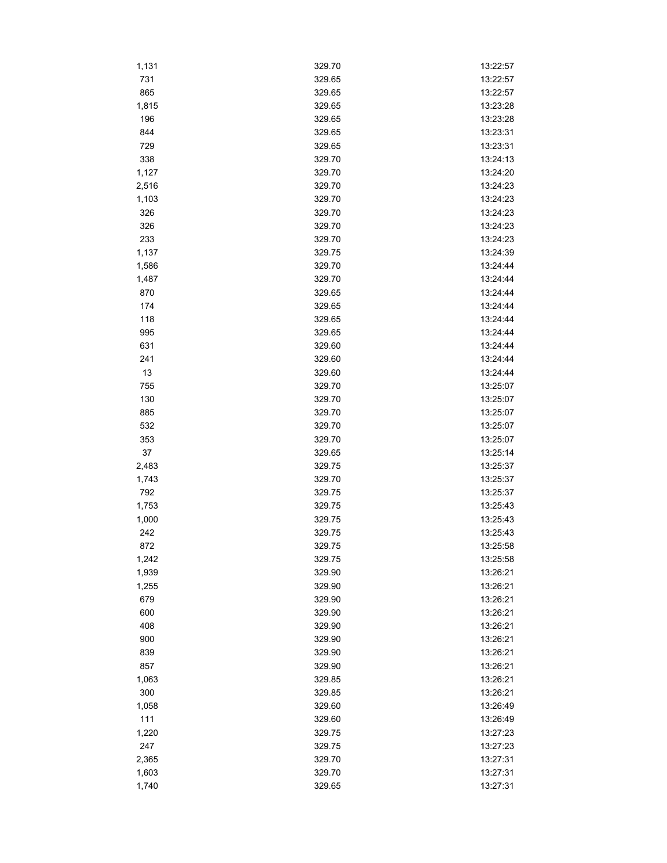| 1,131        | 329.70           | 13:22:57             |
|--------------|------------------|----------------------|
| 731          | 329.65           | 13:22:57             |
| 865          | 329.65           | 13:22:57             |
| 1,815        | 329.65           | 13:23:28             |
| 196          | 329.65           | 13:23:28             |
| 844          | 329.65           | 13:23:31             |
| 729          | 329.65           | 13:23:31             |
| 338          | 329.70           | 13:24:13             |
| 1,127        | 329.70           | 13:24:20             |
| 2,516        | 329.70           | 13:24:23             |
| 1,103        | 329.70           | 13:24:23             |
| 326          | 329.70           | 13:24:23             |
| 326          | 329.70           | 13:24:23             |
| 233          | 329.70           | 13:24:23             |
| 1,137        | 329.75           | 13:24:39             |
| 1,586        | 329.70           | 13:24:44             |
| 1,487        | 329.70           | 13:24:44             |
| 870          | 329.65           | 13:24:44             |
| 174          | 329.65           | 13:24:44             |
| 118          | 329.65           | 13:24:44             |
| 995          | 329.65           | 13:24:44             |
| 631          | 329.60           | 13:24:44             |
| 241          | 329.60           | 13:24:44             |
| 13           | 329.60           | 13:24:44             |
| 755          | 329.70           | 13:25:07             |
| 130          | 329.70           |                      |
| 885          | 329.70           | 13:25:07<br>13:25:07 |
| 532          | 329.70           | 13:25:07             |
| 353          | 329.70           | 13:25:07             |
|              |                  |                      |
| 37           | 329.65<br>329.75 | 13:25:14             |
| 2,483        | 329.70           | 13:25:37<br>13:25:37 |
| 1,743<br>792 | 329.75           | 13:25:37             |
| 1,753        | 329.75           | 13:25:43             |
|              |                  | 13:25:43             |
| 1,000        | 329.75           |                      |
| 242          | 329.75           | 13:25:43             |
| 872          | 329.75           | 13:25:58             |
| 1,242        | 329.75           | 13:25:58             |
| 1,939        | 329.90           | 13:26:21             |
| 1,255        | 329.90           | 13:26:21             |
| 679          | 329.90           | 13:26:21             |
| 600          | 329.90           | 13:26:21             |
| 408          | 329.90           | 13:26:21             |
| 900          | 329.90           | 13:26:21             |
| 839          | 329.90           | 13:26:21             |
| 857          | 329.90           | 13:26:21             |
| 1,063        | 329.85           | 13:26:21             |
| 300          | 329.85           | 13:26:21             |
| 1,058        | 329.60           | 13:26:49             |
| 111          | 329.60           | 13:26:49             |
| 1,220        | 329.75           | 13:27:23             |
| 247          | 329.75           | 13:27:23             |
| 2,365        | 329.70           | 13:27:31             |
| 1,603        | 329.70           | 13:27:31             |
| 1,740        | 329.65           | 13:27:31             |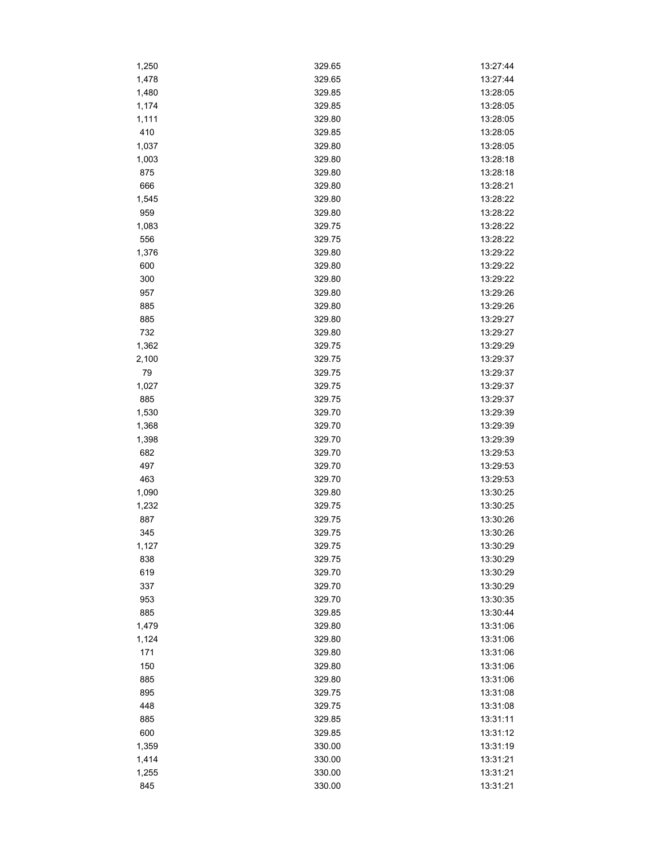| 1,250 | 329.65 | 13:27:44 |
|-------|--------|----------|
| 1,478 | 329.65 | 13:27:44 |
| 1,480 | 329.85 | 13:28:05 |
| 1,174 | 329.85 | 13:28:05 |
| 1,111 | 329.80 | 13:28:05 |
| 410   | 329.85 | 13:28:05 |
| 1,037 | 329.80 | 13:28:05 |
| 1,003 | 329.80 | 13:28:18 |
| 875   | 329.80 | 13:28:18 |
| 666   | 329.80 | 13:28:21 |
| 1,545 | 329.80 | 13:28:22 |
| 959   | 329.80 | 13:28:22 |
| 1,083 | 329.75 | 13:28:22 |
| 556   | 329.75 | 13:28:22 |
| 1,376 | 329.80 | 13:29:22 |
| 600   | 329.80 | 13:29:22 |
| 300   | 329.80 | 13:29:22 |
| 957   | 329.80 | 13:29:26 |
| 885   | 329.80 | 13:29:26 |
| 885   | 329.80 | 13:29:27 |
| 732   | 329.80 | 13:29:27 |
| 1,362 | 329.75 | 13:29:29 |
| 2,100 | 329.75 | 13:29:37 |
| 79    | 329.75 | 13:29:37 |
| 1,027 | 329.75 | 13:29:37 |
| 885   | 329.75 | 13:29:37 |
| 1,530 | 329.70 | 13:29:39 |
| 1,368 | 329.70 | 13:29:39 |
| 1,398 | 329.70 | 13:29:39 |
| 682   | 329.70 | 13:29:53 |
| 497   | 329.70 | 13:29:53 |
| 463   | 329.70 | 13:29:53 |
| 1,090 | 329.80 | 13:30:25 |
| 1,232 | 329.75 | 13:30:25 |
| 887   | 329.75 | 13:30:26 |
| 345   | 329.75 | 13:30:26 |
| 1,127 | 329.75 | 13:30:29 |
| 838   | 329.75 | 13:30:29 |
| 619   | 329.70 | 13:30:29 |
| 337   | 329.70 | 13:30:29 |
| 953   | 329.70 | 13:30:35 |
| 885   | 329.85 | 13:30:44 |
| 1,479 | 329.80 | 13:31:06 |
| 1,124 | 329.80 | 13:31:06 |
| 171   | 329.80 | 13:31:06 |
| 150   | 329.80 | 13:31:06 |
| 885   | 329.80 | 13:31:06 |
| 895   | 329.75 | 13:31:08 |
| 448   | 329.75 | 13:31:08 |
| 885   | 329.85 | 13:31:11 |
| 600   |        |          |
|       | 329.85 | 13:31:12 |
| 1,359 | 330.00 | 13:31:19 |
| 1,414 | 330.00 | 13:31:21 |
| 1,255 | 330.00 | 13:31:21 |
| 845   | 330.00 | 13:31:21 |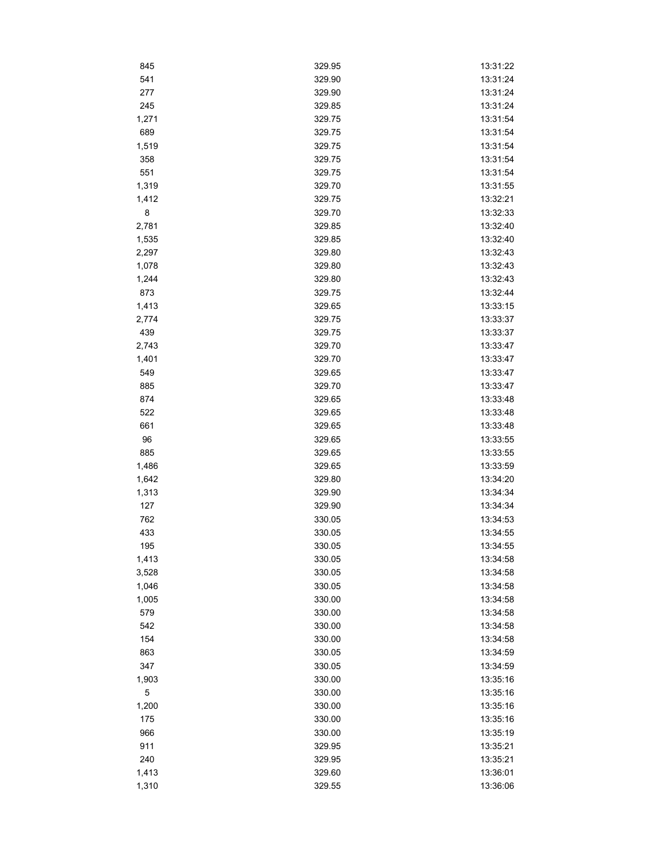| 845         | 329.95 | 13:31:22 |
|-------------|--------|----------|
| 541         | 329.90 | 13:31:24 |
| 277         | 329.90 | 13:31:24 |
| 245         | 329.85 | 13:31:24 |
| 1,271       | 329.75 | 13:31:54 |
| 689         | 329.75 | 13:31:54 |
| 1,519       | 329.75 | 13:31:54 |
| 358         | 329.75 | 13:31:54 |
| 551         | 329.75 | 13:31:54 |
| 1,319       | 329.70 | 13:31:55 |
| 1,412       | 329.75 | 13:32:21 |
| 8           | 329.70 | 13:32:33 |
| 2,781       | 329.85 | 13:32:40 |
| 1,535       | 329.85 | 13:32:40 |
| 2,297       | 329.80 | 13:32:43 |
| 1,078       | 329.80 | 13:32:43 |
| 1,244       | 329.80 | 13:32:43 |
| 873         | 329.75 | 13:32:44 |
| 1,413       | 329.65 | 13:33:15 |
| 2,774       | 329.75 | 13:33:37 |
| 439         | 329.75 | 13:33:37 |
| 2,743       | 329.70 | 13:33:47 |
|             | 329.70 | 13:33:47 |
| 1,401       |        |          |
| 549         | 329.65 | 13:33:47 |
| 885         | 329.70 | 13:33:47 |
| 874         | 329.65 | 13:33:48 |
| 522         | 329.65 | 13:33:48 |
| 661         | 329.65 | 13:33:48 |
| 96          | 329.65 | 13:33:55 |
| 885         | 329.65 | 13:33:55 |
| 1,486       | 329.65 | 13:33:59 |
| 1,642       | 329.80 | 13:34:20 |
| 1,313       | 329.90 | 13:34:34 |
| 127         | 329.90 | 13:34:34 |
| 762         | 330.05 | 13:34:53 |
| 433         | 330.05 | 13:34:55 |
| 195         | 330.05 | 13:34:55 |
| 1,413       | 330.05 | 13:34:58 |
| 3,528       | 330.05 | 13:34:58 |
| 1,046       | 330.05 | 13:34:58 |
| 1,005       | 330.00 | 13:34:58 |
| 579         | 330.00 | 13:34:58 |
| 542         | 330.00 | 13:34:58 |
| 154         | 330.00 | 13:34:58 |
| 863         | 330.05 | 13:34:59 |
| 347         | 330.05 | 13:34:59 |
| 1,903       | 330.00 | 13:35:16 |
| $\mathbf 5$ | 330.00 | 13:35:16 |
| 1,200       | 330.00 | 13:35:16 |
| 175         | 330.00 | 13:35:16 |
| 966         | 330.00 | 13:35:19 |
| 911         | 329.95 | 13:35:21 |
| 240         | 329.95 | 13:35:21 |
| 1,413       | 329.60 | 13:36:01 |
| 1,310       | 329.55 | 13:36:06 |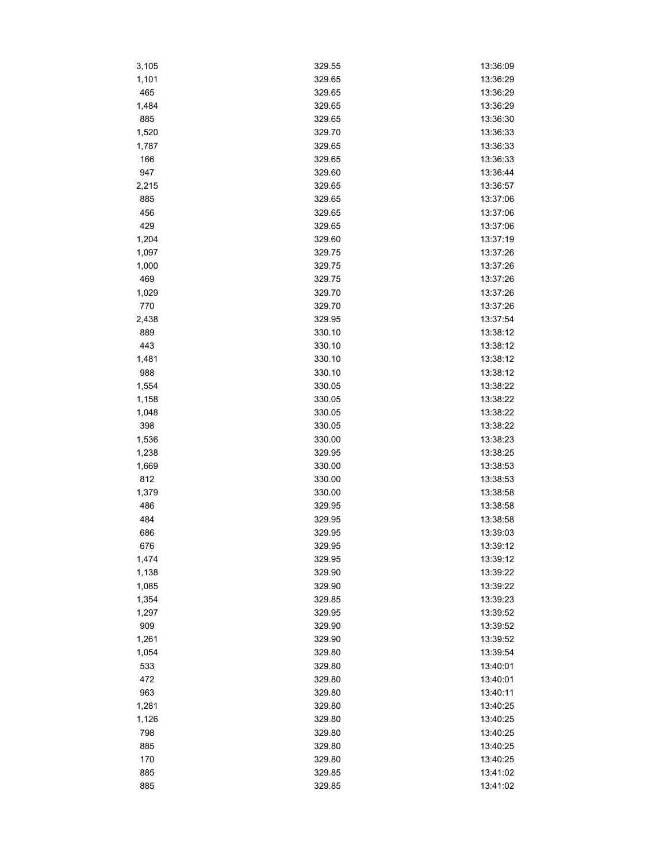| 3,105 | 329.55 | 13:36:09 |
|-------|--------|----------|
| 1,101 | 329.65 | 13:36:29 |
| 465   | 329.65 | 13:36:29 |
| 1,484 | 329.65 | 13:36:29 |
| 885   | 329.65 | 13:36:30 |
| 1,520 | 329.70 | 13:36:33 |
| 1,787 | 329.65 | 13:36:33 |
| 166   | 329.65 | 13:36:33 |
| 947   | 329.60 | 13:36:44 |
| 2,215 | 329.65 | 13:36:57 |
| 885   | 329.65 | 13:37:06 |
| 456   | 329.65 | 13:37:06 |
| 429   | 329.65 | 13:37:06 |
| 1,204 | 329.60 | 13:37:19 |
| 1,097 | 329.75 | 13:37:26 |
| 1,000 | 329.75 | 13:37:26 |
| 469   | 329.75 | 13:37:26 |
| 1,029 | 329.70 | 13:37:26 |
| 770   | 329.70 | 13:37:26 |
| 2,438 | 329.95 | 13:37:54 |
| 889   | 330.10 | 13:38:12 |
| 443   | 330.10 | 13:38:12 |
| 1,481 | 330.10 | 13:38:12 |
| 988   | 330.10 | 13:38:12 |
| 1,554 | 330.05 | 13:38:22 |
|       |        |          |
| 1,158 | 330.05 | 13:38:22 |
| 1,048 | 330.05 | 13:38:22 |
| 398   | 330.05 | 13:38:22 |
| 1,536 | 330.00 | 13:38:23 |
| 1,238 | 329.95 | 13:38:25 |
| 1,669 | 330.00 | 13:38:53 |
| 812   | 330.00 | 13:38:53 |
| 1,379 | 330.00 | 13:38:58 |
| 486   | 329.95 | 13:38:58 |
| 484   | 329.95 | 13:38:58 |
| 686   | 329.95 | 13:39:03 |
| 676   | 329.95 | 13:39:12 |
| 1,474 | 329.95 | 13:39:12 |
| 1,138 | 329.90 | 13:39:22 |
| 1,085 | 329.90 | 13:39:22 |
| 1,354 | 329.85 | 13:39:23 |
| 1,297 | 329.95 | 13:39:52 |
| 909   | 329.90 | 13:39:52 |
| 1,261 | 329.90 | 13:39:52 |
| 1,054 | 329.80 | 13:39:54 |
| 533   | 329.80 | 13:40:01 |
| 472   | 329.80 | 13:40:01 |
| 963   | 329.80 | 13:40:11 |
| 1,281 | 329.80 | 13:40:25 |
| 1,126 | 329.80 | 13:40:25 |
| 798   | 329.80 | 13:40:25 |
| 885   | 329.80 | 13:40:25 |
| 170   | 329.80 | 13:40:25 |
| 885   | 329.85 | 13:41:02 |
| 885   | 329.85 | 13:41:02 |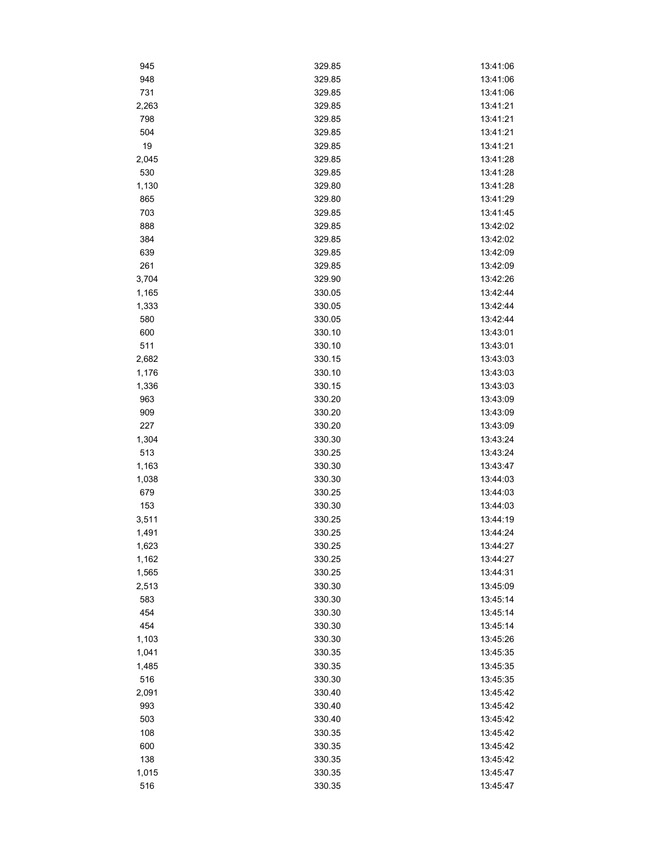| 945        | 329.85 | 13:41:06             |
|------------|--------|----------------------|
| 948        | 329.85 | 13:41:06             |
| 731        | 329.85 | 13:41:06             |
| 2,263      | 329.85 | 13:41:21             |
| 798        | 329.85 | 13:41:21             |
| 504        | 329.85 | 13:41:21             |
| 19         | 329.85 | 13:41:21             |
| 2,045      | 329.85 | 13:41:28             |
| 530        | 329.85 | 13:41:28             |
| 1,130      | 329.80 | 13:41:28             |
| 865        | 329.80 | 13:41:29             |
| 703        | 329.85 | 13:41:45             |
| 888        | 329.85 | 13:42:02             |
| 384        | 329.85 | 13:42:02             |
| 639        | 329.85 | 13:42:09             |
| 261        | 329.85 | 13:42:09             |
| 3,704      | 329.90 | 13:42:26             |
| 1,165      | 330.05 | 13:42:44             |
| 1,333      | 330.05 | 13:42:44             |
| 580        | 330.05 | 13:42:44             |
| 600        | 330.10 | 13:43:01             |
| 511        | 330.10 | 13:43:01             |
| 2,682      | 330.15 | 13:43:03             |
| 1,176      | 330.10 | 13:43:03             |
| 1,336      | 330.15 | 13:43:03             |
| 963        | 330.20 | 13:43:09             |
|            |        |                      |
| 909<br>227 | 330.20 | 13:43:09<br>13:43:09 |
|            | 330.20 |                      |
| 1,304      | 330.30 | 13:43:24             |
| 513        | 330.25 | 13:43:24<br>13:43:47 |
| 1,163      | 330.30 |                      |
| 1,038      | 330.30 | 13:44:03<br>13:44:03 |
| 679        | 330.25 |                      |
| 153        | 330.30 | 13:44:03             |
| 3,511      | 330.25 | 13:44:19             |
| 1,491      | 330.25 | 13:44:24             |
| 1,623      | 330.25 | 13:44:27             |
| 1,162      | 330.25 | 13:44:27             |
| 1,565      | 330.25 | 13:44:31             |
| 2,513      | 330.30 | 13:45:09             |
| 583        | 330.30 | 13:45:14             |
| 454        | 330.30 | 13:45:14             |
| 454        | 330.30 | 13:45:14             |
| 1,103      | 330.30 | 13:45:26             |
| 1,041      | 330.35 | 13:45:35             |
| 1,485      | 330.35 | 13:45:35             |
| 516        | 330.30 | 13:45:35             |
| 2,091      | 330.40 | 13:45:42             |
| 993        | 330.40 | 13:45:42             |
| 503        | 330.40 | 13:45:42             |
| 108        | 330.35 | 13:45:42             |
| 600        | 330.35 | 13:45:42             |
| 138        | 330.35 | 13:45:42             |
| 1,015      | 330.35 | 13:45:47             |
| 516        | 330.35 | 13:45:47             |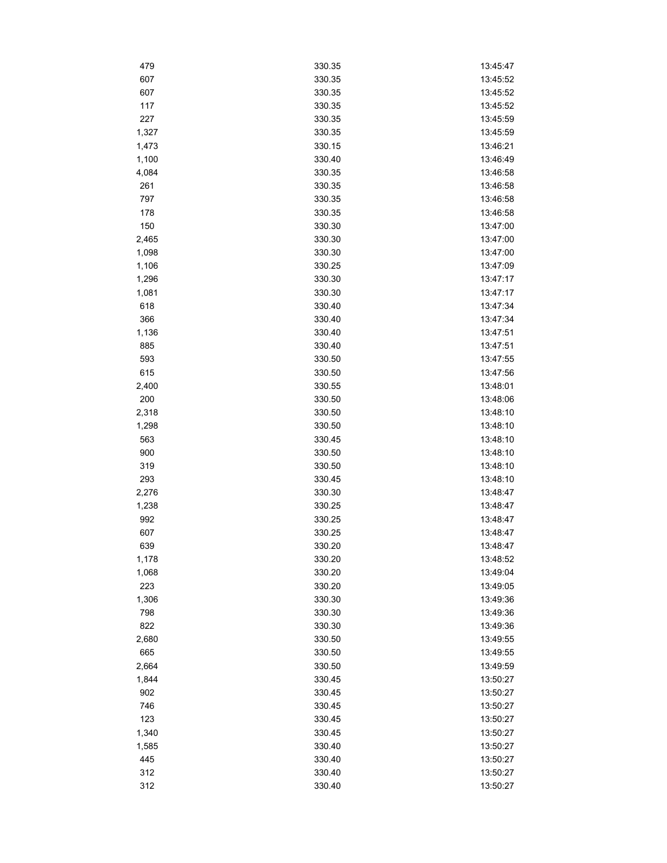| 479   | 330.35 | 13:45:47 |
|-------|--------|----------|
| 607   | 330.35 | 13:45:52 |
| 607   | 330.35 | 13:45:52 |
| 117   | 330.35 | 13:45:52 |
| 227   | 330.35 | 13:45:59 |
| 1,327 | 330.35 | 13:45:59 |
| 1,473 | 330.15 | 13:46:21 |
| 1,100 | 330.40 | 13:46:49 |
| 4,084 | 330.35 | 13:46:58 |
| 261   | 330.35 | 13:46:58 |
| 797   | 330.35 | 13:46:58 |
| 178   | 330.35 | 13:46:58 |
| 150   | 330.30 | 13:47:00 |
| 2,465 | 330.30 | 13:47:00 |
| 1,098 | 330.30 | 13:47:00 |
| 1,106 | 330.25 | 13:47:09 |
| 1,296 | 330.30 | 13:47:17 |
| 1,081 | 330.30 | 13:47:17 |
| 618   | 330.40 | 13:47:34 |
| 366   | 330.40 | 13:47:34 |
| 1,136 | 330.40 | 13:47:51 |
| 885   | 330.40 | 13:47:51 |
| 593   | 330.50 | 13:47:55 |
| 615   | 330.50 | 13:47:56 |
|       |        |          |
| 2,400 | 330.55 | 13:48:01 |
| 200   | 330.50 | 13:48:06 |
| 2,318 | 330.50 | 13:48:10 |
| 1,298 | 330.50 | 13:48:10 |
| 563   | 330.45 | 13:48:10 |
| 900   | 330.50 | 13:48:10 |
| 319   | 330.50 | 13:48:10 |
| 293   | 330.45 | 13:48:10 |
| 2,276 | 330.30 | 13:48:47 |
| 1,238 | 330.25 | 13:48:47 |
| 992   | 330.25 | 13:48:47 |
| 607   | 330.25 | 13:48:47 |
| 639   | 330.20 | 13:48:47 |
| 1,178 | 330.20 | 13:48:52 |
| 1,068 | 330.20 | 13:49:04 |
| 223   | 330.20 | 13:49:05 |
| 1,306 | 330.30 | 13:49:36 |
| 798   | 330.30 | 13:49:36 |
| 822   | 330.30 | 13:49:36 |
| 2,680 | 330.50 | 13:49:55 |
| 665   | 330.50 | 13:49:55 |
| 2,664 | 330.50 | 13:49:59 |
| 1,844 | 330.45 | 13:50:27 |
| 902   | 330.45 | 13:50:27 |
| 746   | 330.45 | 13:50:27 |
| 123   | 330.45 | 13:50:27 |
| 1,340 | 330.45 | 13:50:27 |
| 1,585 | 330.40 | 13:50:27 |
| 445   | 330.40 | 13:50:27 |
| 312   | 330.40 | 13:50:27 |
| 312   | 330.40 | 13:50:27 |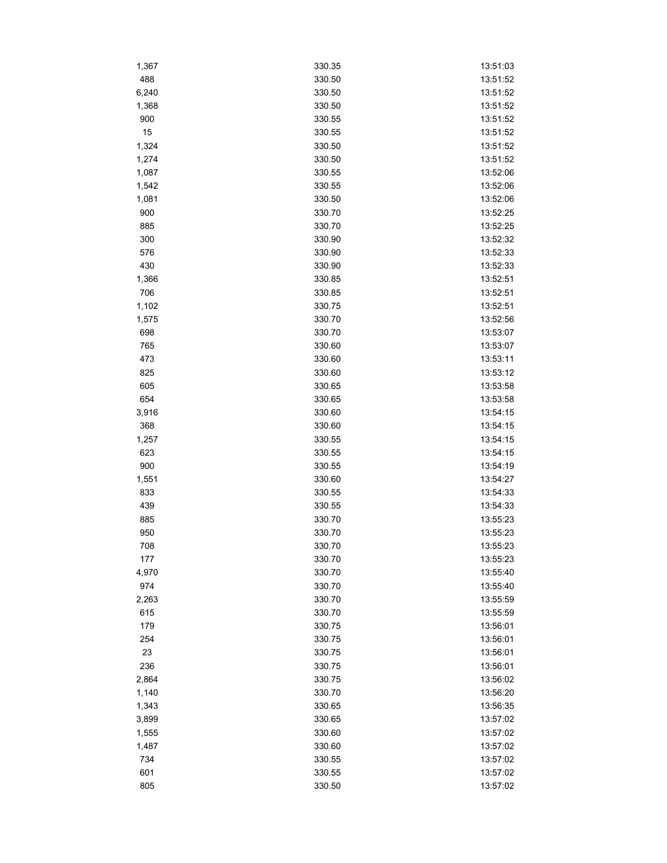| 1,367 | 330.35 | 13:51:03 |
|-------|--------|----------|
| 488   | 330.50 | 13:51:52 |
| 6,240 | 330.50 | 13:51:52 |
| 1,368 | 330.50 | 13:51:52 |
| 900   | 330.55 | 13:51:52 |
| 15    | 330.55 | 13:51:52 |
| 1,324 | 330.50 | 13:51:52 |
| 1,274 | 330.50 | 13:51:52 |
| 1,087 | 330.55 | 13:52:06 |
| 1,542 | 330.55 | 13:52:06 |
| 1,081 | 330.50 | 13:52:06 |
| 900   | 330.70 | 13:52:25 |
| 885   | 330.70 | 13:52:25 |
| 300   | 330.90 | 13:52:32 |
| 576   | 330.90 | 13:52:33 |
| 430   | 330.90 | 13:52:33 |
| 1,366 | 330.85 | 13:52:51 |
| 706   | 330.85 | 13:52:51 |
| 1,102 | 330.75 | 13:52:51 |
| 1,575 | 330.70 | 13:52:56 |
| 698   | 330.70 | 13:53:07 |
| 765   | 330.60 | 13:53:07 |
|       | 330.60 | 13:53:11 |
| 473   |        |          |
| 825   | 330.60 | 13:53:12 |
| 605   | 330.65 | 13:53:58 |
| 654   | 330.65 | 13:53:58 |
| 3,916 | 330.60 | 13:54:15 |
| 368   | 330.60 | 13:54:15 |
| 1,257 | 330.55 | 13:54:15 |
| 623   | 330.55 | 13:54:15 |
| 900   | 330.55 | 13:54:19 |
| 1,551 | 330.60 | 13:54:27 |
| 833   | 330.55 | 13:54:33 |
| 439   | 330.55 | 13:54:33 |
| 885   | 330.70 | 13:55:23 |
| 950   | 330.70 | 13:55:23 |
| 708   | 330.70 | 13:55:23 |
| 177   | 330.70 | 13:55:23 |
| 4,970 | 330.70 | 13:55:40 |
| 974   | 330.70 | 13:55:40 |
| 2,263 | 330.70 | 13:55:59 |
| 615   | 330.70 | 13:55:59 |
| 179   | 330.75 | 13:56:01 |
| 254   | 330.75 | 13:56:01 |
| 23    | 330.75 | 13:56:01 |
| 236   | 330.75 | 13:56:01 |
| 2,864 | 330.75 | 13:56:02 |
| 1,140 | 330.70 | 13:56:20 |
| 1,343 | 330.65 | 13:56:35 |
| 3,899 | 330.65 | 13:57:02 |
| 1,555 | 330.60 | 13:57:02 |
| 1,487 | 330.60 | 13:57:02 |
| 734   | 330.55 | 13:57:02 |
| 601   | 330.55 | 13:57:02 |
| 805   | 330.50 | 13:57:02 |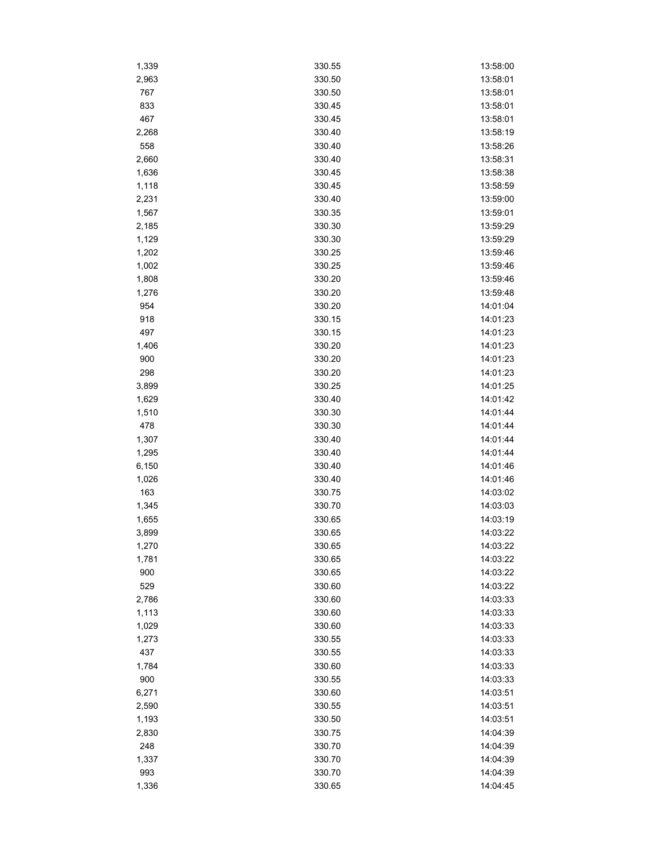| 1,339 | 330.55 | 13:58:00 |
|-------|--------|----------|
| 2,963 | 330.50 | 13:58:01 |
| 767   | 330.50 | 13:58:01 |
| 833   | 330.45 | 13:58:01 |
| 467   | 330.45 | 13:58:01 |
| 2,268 | 330.40 | 13:58:19 |
| 558   | 330.40 | 13:58:26 |
| 2,660 | 330.40 | 13:58:31 |
| 1,636 | 330.45 | 13:58:38 |
| 1,118 | 330.45 | 13:58:59 |
| 2,231 | 330.40 | 13:59:00 |
| 1,567 | 330.35 | 13:59:01 |
| 2,185 | 330.30 | 13:59:29 |
| 1,129 | 330.30 | 13:59:29 |
| 1,202 | 330.25 | 13:59:46 |
| 1,002 | 330.25 | 13:59:46 |
| 1,808 | 330.20 | 13:59:46 |
| 1,276 | 330.20 | 13:59:48 |
| 954   | 330.20 | 14:01:04 |
| 918   | 330.15 | 14:01:23 |
| 497   | 330.15 | 14:01:23 |
| 1,406 | 330.20 | 14:01:23 |
| 900   | 330.20 | 14:01:23 |
| 298   | 330.20 | 14:01:23 |
| 3,899 | 330.25 | 14:01:25 |
| 1,629 | 330.40 | 14:01:42 |
| 1,510 | 330.30 | 14:01:44 |
| 478   | 330.30 | 14:01:44 |
| 1,307 | 330.40 | 14:01:44 |
| 1,295 | 330.40 | 14:01:44 |
| 6,150 | 330.40 | 14:01:46 |
| 1,026 | 330.40 | 14:01:46 |
| 163   | 330.75 | 14:03:02 |
| 1,345 | 330.70 | 14:03:03 |
| 1,655 | 330.65 | 14:03:19 |
| 3,899 | 330.65 | 14:03:22 |
| 1,270 | 330.65 | 14:03:22 |
| 1,781 | 330.65 | 14:03:22 |
| 900   | 330.65 | 14:03:22 |
| 529   | 330.60 | 14:03:22 |
| 2,786 | 330.60 | 14:03:33 |
| 1,113 | 330.60 | 14:03:33 |
| 1,029 | 330.60 | 14:03:33 |
| 1,273 | 330.55 | 14:03:33 |
| 437   | 330.55 | 14:03:33 |
| 1,784 | 330.60 | 14:03:33 |
| 900   | 330.55 | 14:03:33 |
| 6,271 | 330.60 | 14:03:51 |
| 2,590 | 330.55 | 14:03:51 |
| 1,193 | 330.50 | 14:03:51 |
| 2,830 | 330.75 | 14:04:39 |
| 248   | 330.70 | 14:04:39 |
| 1,337 | 330.70 | 14:04:39 |
| 993   | 330.70 | 14:04:39 |
| 1,336 | 330.65 | 14:04:45 |
|       |        |          |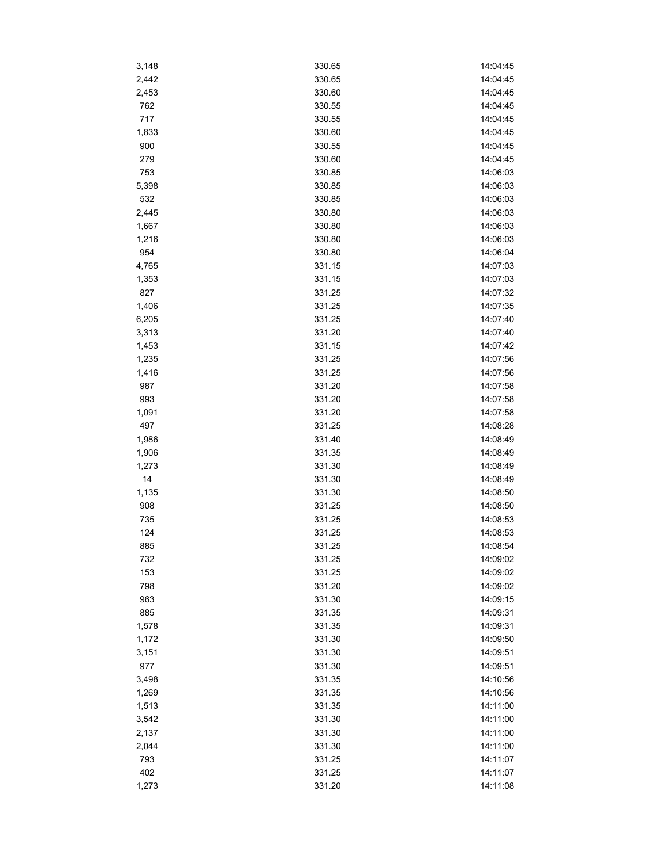| 3,148        | 330.65 | 14:04:45             |
|--------------|--------|----------------------|
| 2,442        | 330.65 | 14:04:45             |
| 2,453        | 330.60 | 14:04:45             |
| 762          | 330.55 | 14:04:45             |
| 717          | 330.55 | 14:04:45             |
| 1,833        | 330.60 | 14:04:45             |
| 900          | 330.55 | 14:04:45             |
| 279          | 330.60 | 14:04:45             |
| 753          | 330.85 | 14:06:03             |
| 5,398        | 330.85 | 14:06:03             |
| 532          | 330.85 | 14:06:03             |
| 2,445        | 330.80 | 14:06:03             |
| 1,667        | 330.80 | 14:06:03             |
| 1,216        | 330.80 | 14:06:03             |
| 954          | 330.80 | 14:06:04             |
| 4,765        | 331.15 | 14:07:03             |
| 1,353        | 331.15 | 14:07:03             |
| 827          | 331.25 | 14:07:32             |
| 1,406        | 331.25 | 14:07:35             |
| 6,205        | 331.25 | 14:07:40             |
| 3,313        | 331.20 | 14:07:40             |
| 1,453        | 331.15 | 14:07:42             |
| 1,235        | 331.25 | 14:07:56             |
| 1,416        | 331.25 | 14:07:56             |
| 987          | 331.20 | 14:07:58             |
| 993          | 331.20 | 14:07:58             |
|              | 331.20 | 14:07:58             |
| 1,091<br>497 | 331.25 | 14:08:28             |
|              | 331.40 | 14:08:49             |
| 1,986        | 331.35 | 14:08:49             |
| 1,906        |        | 14:08:49             |
| 1,273        | 331.30 |                      |
| 14           | 331.30 | 14:08:49             |
| 1,135        | 331.30 | 14:08:50<br>14:08:50 |
| 908          | 331.25 |                      |
| 735          | 331.25 | 14:08:53             |
| 124          | 331.25 | 14:08:53             |
| 885          | 331.25 | 14:08:54             |
| 732          | 331.25 | 14:09:02             |
| 153          | 331.25 | 14:09:02             |
| 798          | 331.20 | 14:09:02             |
| 963          | 331.30 | 14:09:15             |
| 885          | 331.35 | 14:09:31             |
| 1,578        | 331.35 | 14:09:31             |
| 1,172        | 331.30 | 14:09:50             |
| 3,151        | 331.30 | 14:09:51             |
| 977          | 331.30 | 14:09:51             |
| 3,498        | 331.35 | 14:10:56             |
| 1,269        | 331.35 | 14:10:56             |
| 1,513        | 331.35 | 14:11:00             |
| 3,542        | 331.30 | 14:11:00             |
| 2,137        | 331.30 | 14:11:00             |
| 2,044        | 331.30 | 14:11:00             |
| 793          | 331.25 | 14:11:07             |
| 402          | 331.25 | 14:11:07             |
| 1,273        | 331.20 | 14:11:08             |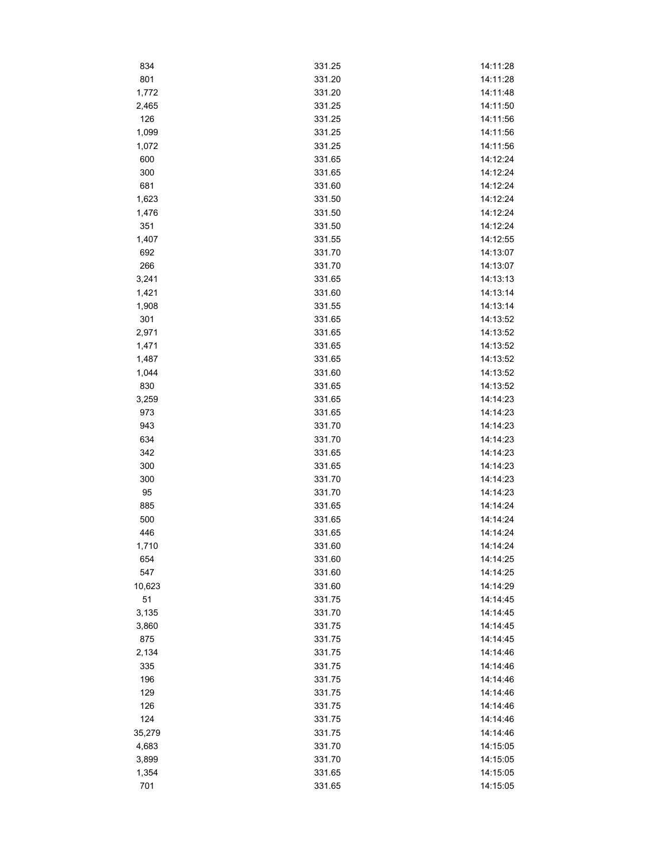| 834    | 331.25 | 14:11:28 |
|--------|--------|----------|
| 801    | 331.20 | 14:11:28 |
| 1,772  | 331.20 | 14:11:48 |
| 2,465  | 331.25 | 14:11:50 |
| 126    | 331.25 | 14:11:56 |
| 1,099  | 331.25 | 14:11:56 |
| 1,072  | 331.25 | 14:11:56 |
| 600    | 331.65 | 14:12:24 |
| 300    | 331.65 | 14:12:24 |
| 681    | 331.60 | 14:12:24 |
| 1,623  | 331.50 | 14:12:24 |
| 1,476  | 331.50 | 14:12:24 |
| 351    | 331.50 | 14:12:24 |
| 1,407  | 331.55 | 14:12:55 |
| 692    | 331.70 | 14:13:07 |
| 266    | 331.70 | 14:13:07 |
| 3,241  | 331.65 | 14:13:13 |
| 1,421  | 331.60 | 14:13:14 |
| 1,908  | 331.55 | 14:13:14 |
|        |        |          |
| 301    | 331.65 | 14:13:52 |
| 2,971  | 331.65 | 14:13:52 |
| 1,471  | 331.65 | 14:13:52 |
| 1,487  | 331.65 | 14:13:52 |
| 1,044  | 331.60 | 14:13:52 |
| 830    | 331.65 | 14:13:52 |
| 3,259  | 331.65 | 14:14:23 |
| 973    | 331.65 | 14:14:23 |
| 943    | 331.70 | 14:14:23 |
| 634    | 331.70 | 14:14:23 |
| 342    | 331.65 | 14:14:23 |
| 300    | 331.65 | 14:14:23 |
| 300    | 331.70 | 14:14:23 |
| 95     | 331.70 | 14:14:23 |
| 885    | 331.65 | 14:14:24 |
| 500    | 331.65 | 14:14:24 |
| 446    | 331.65 | 14:14:24 |
| 1,710  | 331.60 | 14:14:24 |
| 654    | 331.60 | 14:14:25 |
| 547    | 331.60 | 14:14:25 |
| 10,623 | 331.60 | 14:14:29 |
| 51     | 331.75 | 14:14:45 |
| 3,135  | 331.70 | 14:14:45 |
| 3,860  | 331.75 | 14:14:45 |
| 875    | 331.75 | 14:14:45 |
| 2,134  | 331.75 | 14:14:46 |
| 335    | 331.75 | 14:14:46 |
| 196    | 331.75 | 14:14:46 |
| 129    | 331.75 | 14:14:46 |
| 126    | 331.75 | 14:14:46 |
| 124    | 331.75 | 14:14:46 |
| 35,279 | 331.75 | 14:14:46 |
| 4,683  | 331.70 | 14:15:05 |
| 3,899  | 331.70 | 14:15:05 |
| 1,354  | 331.65 | 14:15:05 |
| 701    | 331.65 | 14:15:05 |
|        |        |          |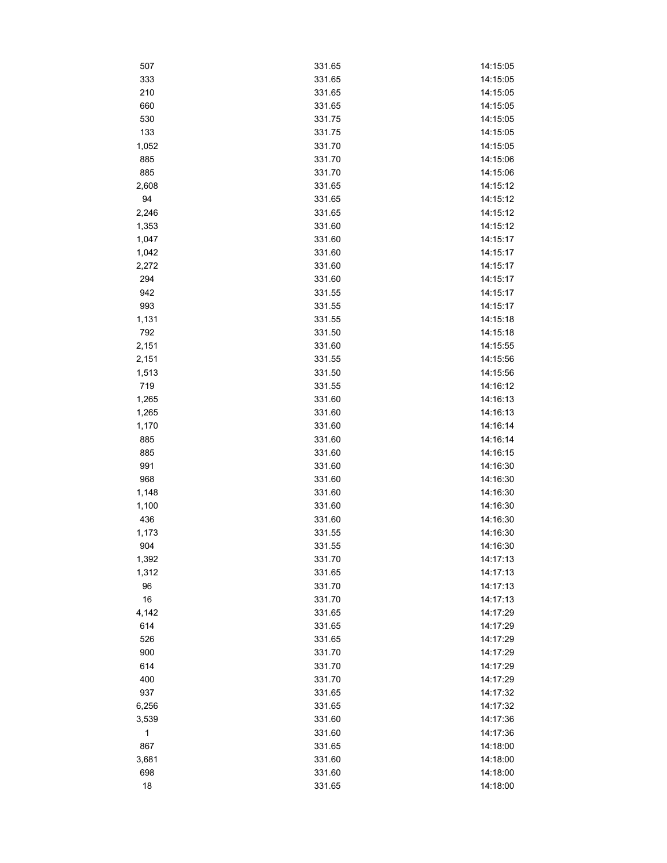| 507   | 331.65 | 14:15:05 |
|-------|--------|----------|
| 333   | 331.65 | 14:15:05 |
| 210   | 331.65 | 14:15:05 |
| 660   | 331.65 | 14:15:05 |
| 530   | 331.75 | 14:15:05 |
| 133   | 331.75 | 14:15:05 |
| 1,052 | 331.70 | 14:15:05 |
| 885   | 331.70 | 14:15:06 |
| 885   | 331.70 | 14:15:06 |
| 2,608 | 331.65 | 14:15:12 |
| 94    | 331.65 | 14:15:12 |
| 2,246 | 331.65 | 14:15:12 |
| 1,353 | 331.60 | 14:15:12 |
| 1,047 | 331.60 | 14:15:17 |
| 1,042 | 331.60 | 14:15:17 |
| 2,272 | 331.60 | 14:15:17 |
| 294   | 331.60 | 14:15:17 |
| 942   | 331.55 | 14:15:17 |
| 993   | 331.55 | 14:15:17 |
| 1,131 | 331.55 | 14:15:18 |
| 792   | 331.50 | 14:15:18 |
| 2,151 | 331.60 | 14:15:55 |
| 2,151 | 331.55 | 14:15:56 |
| 1,513 | 331.50 | 14:15:56 |
| 719   | 331.55 | 14:16:12 |
| 1,265 | 331.60 | 14:16:13 |
| 1,265 | 331.60 | 14:16:13 |
| 1,170 | 331.60 | 14:16:14 |
| 885   | 331.60 | 14:16:14 |
| 885   | 331.60 | 14:16:15 |
| 991   | 331.60 | 14:16:30 |
| 968   | 331.60 | 14:16:30 |
| 1,148 | 331.60 | 14:16:30 |
| 1,100 | 331.60 | 14:16:30 |
| 436   | 331.60 | 14:16:30 |
| 1,173 | 331.55 | 14:16:30 |
| 904   | 331.55 | 14:16:30 |
| 1,392 | 331.70 | 14:17:13 |
| 1,312 | 331.65 | 14:17:13 |
| 96    | 331.70 | 14:17:13 |
| 16    | 331.70 | 14:17:13 |
| 4,142 | 331.65 | 14:17:29 |
| 614   | 331.65 | 14:17:29 |
| 526   | 331.65 | 14:17:29 |
| 900   | 331.70 | 14:17:29 |
| 614   | 331.70 | 14:17:29 |
| 400   | 331.70 | 14:17:29 |
| 937   | 331.65 | 14:17:32 |
| 6,256 | 331.65 | 14:17:32 |
| 3,539 | 331.60 | 14:17:36 |
| 1     | 331.60 | 14:17:36 |
| 867   | 331.65 | 14:18:00 |
| 3,681 | 331.60 | 14:18:00 |
| 698   | 331.60 | 14:18:00 |
|       |        |          |
| 18    | 331.65 | 14:18:00 |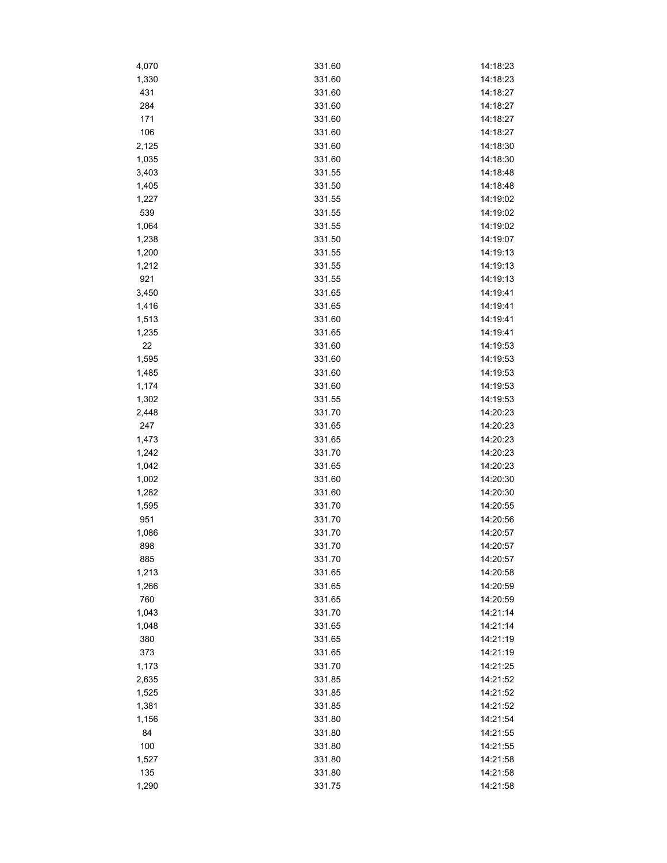| 4,070 | 331.60 | 14:18:23 |
|-------|--------|----------|
| 1,330 | 331.60 | 14:18:23 |
| 431   | 331.60 | 14:18:27 |
| 284   | 331.60 | 14:18:27 |
| 171   | 331.60 | 14:18:27 |
| 106   | 331.60 | 14:18:27 |
| 2,125 | 331.60 | 14:18:30 |
| 1,035 | 331.60 | 14:18:30 |
| 3,403 | 331.55 | 14:18:48 |
| 1,405 | 331.50 | 14:18:48 |
| 1,227 | 331.55 | 14:19:02 |
| 539   | 331.55 | 14:19:02 |
| 1,064 | 331.55 | 14:19:02 |
| 1,238 | 331.50 | 14:19:07 |
| 1,200 | 331.55 | 14:19:13 |
| 1,212 | 331.55 | 14:19:13 |
| 921   | 331.55 | 14:19:13 |
| 3,450 | 331.65 | 14:19:41 |
| 1,416 | 331.65 | 14:19:41 |
| 1,513 | 331.60 | 14:19:41 |
| 1,235 | 331.65 | 14:19:41 |
| 22    | 331.60 | 14:19:53 |
| 1,595 | 331.60 | 14:19:53 |
| 1,485 | 331.60 | 14:19:53 |
|       |        |          |
| 1,174 | 331.60 | 14:19:53 |
| 1,302 | 331.55 | 14:19:53 |
| 2,448 | 331.70 | 14:20:23 |
| 247   | 331.65 | 14:20:23 |
| 1,473 | 331.65 | 14:20:23 |
| 1,242 | 331.70 | 14:20:23 |
| 1,042 | 331.65 | 14:20:23 |
| 1,002 | 331.60 | 14:20:30 |
| 1,282 | 331.60 | 14:20:30 |
| 1,595 | 331.70 | 14:20:55 |
| 951   | 331.70 | 14:20:56 |
| 1,086 | 331.70 | 14:20:57 |
| 898   | 331.70 | 14:20:57 |
| 885   | 331.70 | 14:20:57 |
| 1,213 | 331.65 | 14:20:58 |
| 1,266 | 331.65 | 14:20:59 |
| 760   | 331.65 | 14:20:59 |
| 1,043 | 331.70 | 14:21:14 |
| 1,048 | 331.65 | 14:21:14 |
| 380   | 331.65 | 14:21:19 |
| 373   | 331.65 | 14:21:19 |
| 1,173 | 331.70 | 14:21:25 |
| 2,635 | 331.85 | 14:21:52 |
| 1,525 | 331.85 | 14:21:52 |
| 1,381 | 331.85 | 14:21:52 |
| 1,156 | 331.80 | 14:21:54 |
| 84    | 331.80 | 14:21:55 |
| 100   | 331.80 | 14:21:55 |
| 1,527 | 331.80 | 14:21:58 |
| 135   | 331.80 | 14:21:58 |
| 1,290 | 331.75 | 14:21:58 |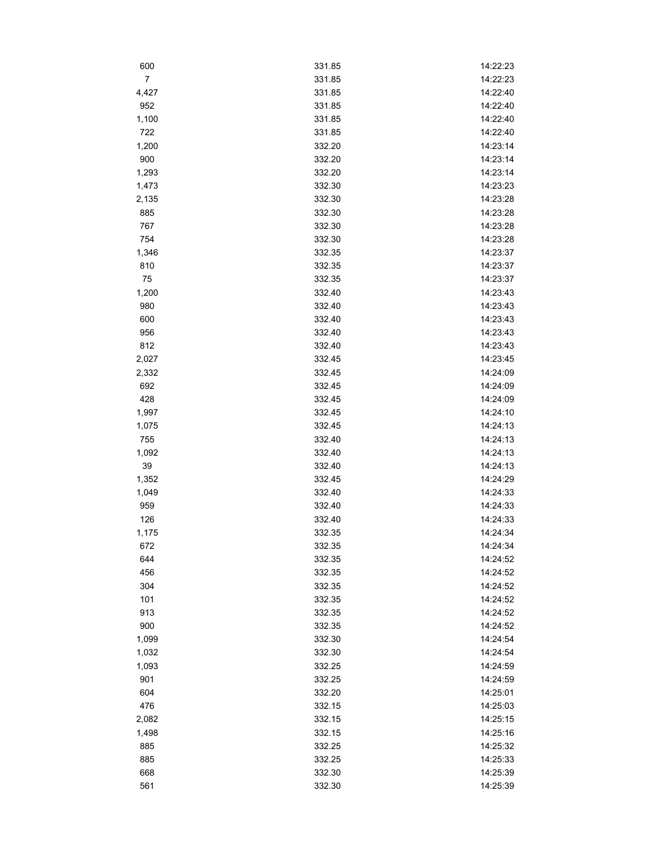| 600            | 331.85 | 14:22:23 |
|----------------|--------|----------|
| $\overline{7}$ | 331.85 | 14:22:23 |
| 4,427          | 331.85 | 14:22:40 |
| 952            | 331.85 | 14:22:40 |
| 1,100          | 331.85 | 14:22:40 |
| 722            | 331.85 | 14:22:40 |
| 1,200          | 332.20 | 14:23:14 |
| 900            | 332.20 | 14:23:14 |
| 1,293          | 332.20 | 14:23:14 |
| 1,473          | 332.30 | 14:23:23 |
| 2,135          | 332.30 | 14:23:28 |
| 885            | 332.30 | 14:23:28 |
| 767            | 332.30 | 14:23:28 |
| 754            | 332.30 | 14:23:28 |
| 1,346          | 332.35 | 14:23:37 |
| 810            | 332.35 | 14:23:37 |
| 75             | 332.35 | 14:23:37 |
| 1,200          | 332.40 | 14:23:43 |
| 980            | 332.40 | 14:23:43 |
| 600            | 332.40 | 14:23:43 |
| 956            | 332.40 | 14:23:43 |
| 812            | 332.40 | 14:23:43 |
| 2,027          | 332.45 | 14:23:45 |
| 2,332          | 332.45 | 14:24:09 |
| 692            | 332.45 | 14:24:09 |
| 428            | 332.45 | 14:24:09 |
| 1,997          | 332.45 | 14:24:10 |
| 1,075          | 332.45 | 14:24:13 |
| 755            | 332.40 | 14:24:13 |
| 1,092          | 332.40 | 14:24:13 |
| 39             | 332.40 | 14:24:13 |
| 1,352          | 332.45 | 14:24:29 |
| 1,049          | 332.40 | 14:24:33 |
| 959            | 332.40 | 14:24:33 |
| 126            | 332.40 | 14:24:33 |
| 1,175          | 332.35 | 14:24:34 |
| 672            | 332.35 | 14:24:34 |
| 644            | 332.35 | 14:24:52 |
| 456            | 332.35 | 14:24:52 |
| 304            | 332.35 | 14:24:52 |
| 101            | 332.35 | 14:24:52 |
| 913            | 332.35 | 14:24:52 |
| 900            | 332.35 | 14:24:52 |
| 1,099          | 332.30 | 14:24:54 |
| 1,032          | 332.30 | 14:24:54 |
| 1,093          | 332.25 | 14:24:59 |
| 901            | 332.25 | 14:24:59 |
| 604            | 332.20 | 14:25:01 |
| 476            | 332.15 | 14:25:03 |
| 2,082          | 332.15 | 14:25:15 |
| 1,498          | 332.15 | 14:25:16 |
| 885            | 332.25 | 14:25:32 |
| 885            | 332.25 | 14:25:33 |
| 668            | 332.30 | 14:25:39 |
| 561            | 332.30 | 14:25:39 |
|                |        |          |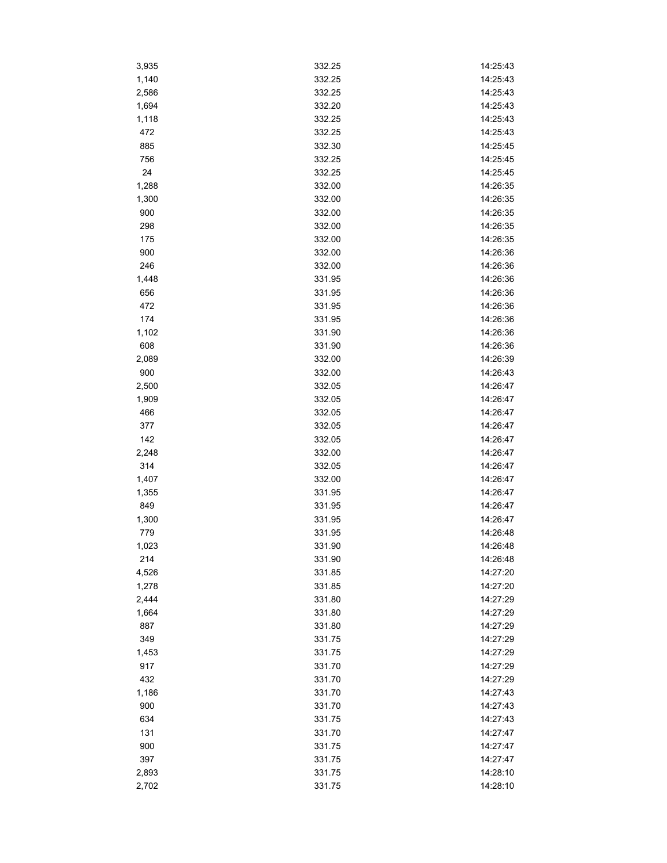| 3,935 | 332.25 | 14:25:43 |
|-------|--------|----------|
| 1,140 | 332.25 | 14:25:43 |
| 2,586 | 332.25 | 14:25:43 |
| 1,694 | 332.20 | 14:25:43 |
| 1,118 | 332.25 | 14:25:43 |
| 472   | 332.25 | 14:25:43 |
| 885   | 332.30 | 14:25:45 |
| 756   | 332.25 | 14:25:45 |
| 24    | 332.25 | 14:25:45 |
| 1,288 | 332.00 | 14:26:35 |
| 1,300 | 332.00 | 14:26:35 |
| 900   | 332.00 | 14:26:35 |
| 298   | 332.00 | 14:26:35 |
| 175   | 332.00 | 14:26:35 |
| 900   | 332.00 | 14:26:36 |
| 246   | 332.00 | 14:26:36 |
| 1,448 | 331.95 | 14:26:36 |
| 656   | 331.95 | 14:26:36 |
| 472   | 331.95 | 14:26:36 |
| 174   | 331.95 | 14:26:36 |
|       |        |          |
| 1,102 | 331.90 | 14:26:36 |
| 608   | 331.90 | 14:26:36 |
| 2,089 | 332.00 | 14:26:39 |
| 900   | 332.00 | 14:26:43 |
| 2,500 | 332.05 | 14:26:47 |
| 1,909 | 332.05 | 14:26:47 |
| 466   | 332.05 | 14:26:47 |
| 377   | 332.05 | 14:26:47 |
| 142   | 332.05 | 14:26:47 |
| 2,248 | 332.00 | 14:26:47 |
| 314   | 332.05 | 14:26:47 |
| 1,407 | 332.00 | 14:26:47 |
| 1,355 | 331.95 | 14:26:47 |
| 849   | 331.95 | 14:26:47 |
| 1,300 | 331.95 | 14:26:47 |
| 779   | 331.95 | 14:26:48 |
| 1,023 | 331.90 | 14:26:48 |
| 214   | 331.90 | 14:26:48 |
| 4,526 | 331.85 | 14:27:20 |
| 1,278 | 331.85 | 14:27:20 |
| 2,444 | 331.80 | 14:27:29 |
| 1,664 | 331.80 | 14:27:29 |
| 887   | 331.80 | 14:27:29 |
| 349   | 331.75 | 14:27:29 |
| 1,453 | 331.75 | 14:27:29 |
| 917   | 331.70 | 14:27:29 |
| 432   | 331.70 | 14:27:29 |
| 1,186 | 331.70 | 14:27:43 |
| 900   | 331.70 | 14:27:43 |
| 634   | 331.75 | 14:27:43 |
| 131   | 331.70 | 14:27:47 |
| 900   | 331.75 | 14:27:47 |
| 397   | 331.75 | 14:27:47 |
| 2,893 | 331.75 | 14:28:10 |
|       |        |          |
| 2,702 | 331.75 | 14:28:10 |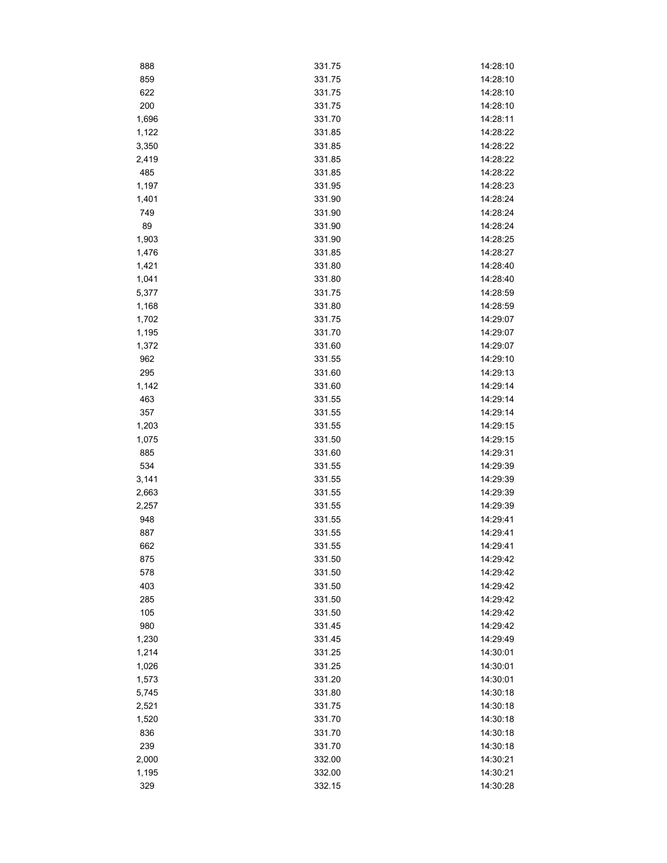| 888   | 331.75 | 14:28:10 |
|-------|--------|----------|
| 859   | 331.75 | 14:28:10 |
| 622   | 331.75 | 14:28:10 |
| 200   | 331.75 | 14:28:10 |
| 1,696 | 331.70 | 14:28:11 |
| 1,122 | 331.85 | 14:28:22 |
| 3,350 | 331.85 | 14:28:22 |
| 2,419 | 331.85 | 14:28:22 |
| 485   | 331.85 | 14:28:22 |
| 1,197 | 331.95 | 14:28:23 |
| 1,401 | 331.90 | 14:28:24 |
| 749   | 331.90 | 14:28:24 |
| 89    | 331.90 | 14:28:24 |
| 1,903 | 331.90 | 14:28:25 |
| 1,476 | 331.85 | 14:28:27 |
| 1,421 | 331.80 | 14:28:40 |
| 1,041 | 331.80 | 14:28:40 |
| 5,377 | 331.75 | 14:28:59 |
| 1,168 | 331.80 | 14:28:59 |
| 1,702 | 331.75 | 14:29:07 |
| 1,195 | 331.70 | 14:29:07 |
| 1,372 | 331.60 | 14:29:07 |
| 962   | 331.55 | 14:29:10 |
| 295   | 331.60 | 14:29:13 |
|       |        | 14:29:14 |
| 1,142 | 331.60 |          |
| 463   | 331.55 | 14:29:14 |
| 357   | 331.55 | 14:29:14 |
| 1,203 | 331.55 | 14:29:15 |
| 1,075 | 331.50 | 14:29:15 |
| 885   | 331.60 | 14:29:31 |
| 534   | 331.55 | 14:29:39 |
| 3,141 | 331.55 | 14:29:39 |
| 2,663 | 331.55 | 14:29:39 |
| 2,257 | 331.55 | 14:29:39 |
| 948   | 331.55 | 14:29:41 |
| 887   | 331.55 | 14:29:41 |
| 662   | 331.55 | 14:29:41 |
| 875   | 331.50 | 14:29:42 |
| 578   | 331.50 | 14:29:42 |
| 403   | 331.50 | 14:29:42 |
| 285   | 331.50 | 14:29:42 |
| 105   | 331.50 | 14:29:42 |
| 980   | 331.45 | 14:29:42 |
| 1,230 | 331.45 | 14:29:49 |
| 1,214 | 331.25 | 14:30:01 |
| 1,026 | 331.25 | 14:30:01 |
| 1,573 | 331.20 | 14:30:01 |
| 5,745 | 331.80 | 14:30:18 |
| 2,521 | 331.75 | 14:30:18 |
| 1,520 | 331.70 | 14:30:18 |
| 836   | 331.70 | 14:30:18 |
| 239   | 331.70 | 14:30:18 |
| 2,000 | 332.00 | 14:30:21 |
| 1,195 | 332.00 | 14:30:21 |
| 329   | 332.15 | 14:30:28 |
|       |        |          |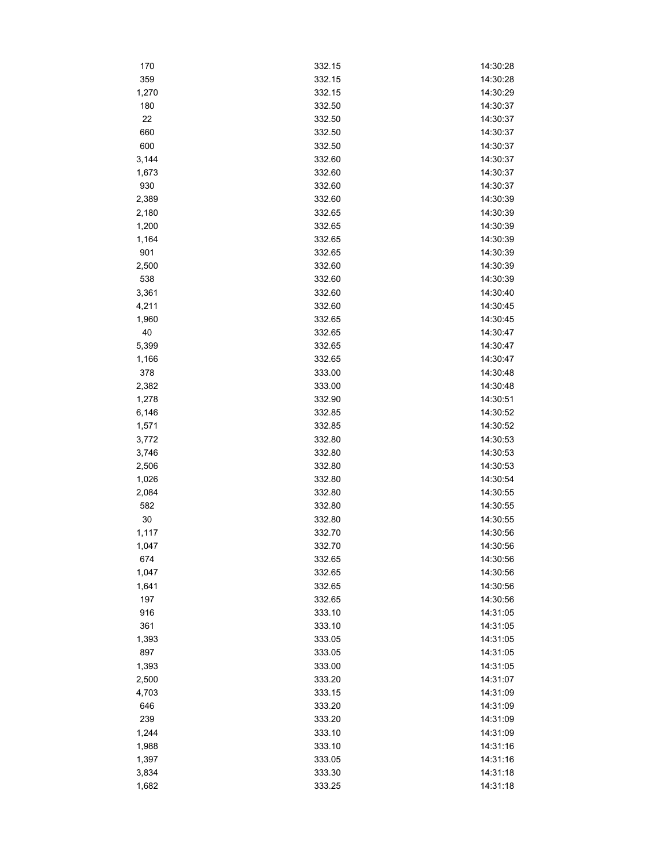| 170   | 332.15 | 14:30:28 |
|-------|--------|----------|
| 359   | 332.15 | 14:30:28 |
| 1,270 | 332.15 | 14:30:29 |
| 180   | 332.50 | 14:30:37 |
| 22    | 332.50 | 14:30:37 |
| 660   | 332.50 | 14:30:37 |
| 600   | 332.50 | 14:30:37 |
| 3,144 | 332.60 | 14:30:37 |
| 1,673 | 332.60 | 14:30:37 |
| 930   | 332.60 | 14:30:37 |
| 2,389 | 332.60 | 14:30:39 |
| 2,180 | 332.65 | 14:30:39 |
| 1,200 | 332.65 | 14:30:39 |
| 1,164 | 332.65 | 14:30:39 |
| 901   | 332.65 | 14:30:39 |
| 2,500 | 332.60 | 14:30:39 |
| 538   | 332.60 | 14:30:39 |
| 3,361 | 332.60 | 14:30:40 |
| 4,211 | 332.60 | 14:30:45 |
| 1,960 | 332.65 | 14:30:45 |
| 40    | 332.65 | 14:30:47 |
| 5,399 | 332.65 | 14:30:47 |
| 1,166 | 332.65 | 14:30:47 |
| 378   | 333.00 | 14:30:48 |
| 2,382 | 333.00 | 14:30:48 |
| 1,278 | 332.90 | 14:30:51 |
|       |        |          |
| 6,146 | 332.85 | 14:30:52 |
| 1,571 | 332.85 | 14:30:52 |
| 3,772 | 332.80 | 14:30:53 |
| 3,746 | 332.80 | 14:30:53 |
| 2,506 | 332.80 | 14:30:53 |
| 1,026 | 332.80 | 14:30:54 |
| 2,084 | 332.80 | 14:30:55 |
| 582   | 332.80 | 14:30:55 |
| 30    | 332.80 | 14:30:55 |
| 1,117 | 332.70 | 14:30:56 |
| 1,047 | 332.70 | 14:30:56 |
| 674   | 332.65 | 14:30:56 |
| 1,047 | 332.65 | 14:30:56 |
| 1,641 | 332.65 | 14:30:56 |
| 197   | 332.65 | 14:30:56 |
| 916   | 333.10 | 14:31:05 |
| 361   | 333.10 | 14:31:05 |
| 1,393 | 333.05 | 14:31:05 |
| 897   | 333.05 | 14:31:05 |
| 1,393 | 333.00 | 14:31:05 |
| 2,500 | 333.20 | 14:31:07 |
| 4,703 | 333.15 | 14:31:09 |
| 646   | 333.20 | 14:31:09 |
| 239   | 333.20 | 14:31:09 |
| 1,244 | 333.10 | 14:31:09 |
| 1,988 | 333.10 | 14:31:16 |
| 1,397 | 333.05 | 14:31:16 |
| 3,834 | 333.30 | 14:31:18 |
| 1,682 | 333.25 | 14:31:18 |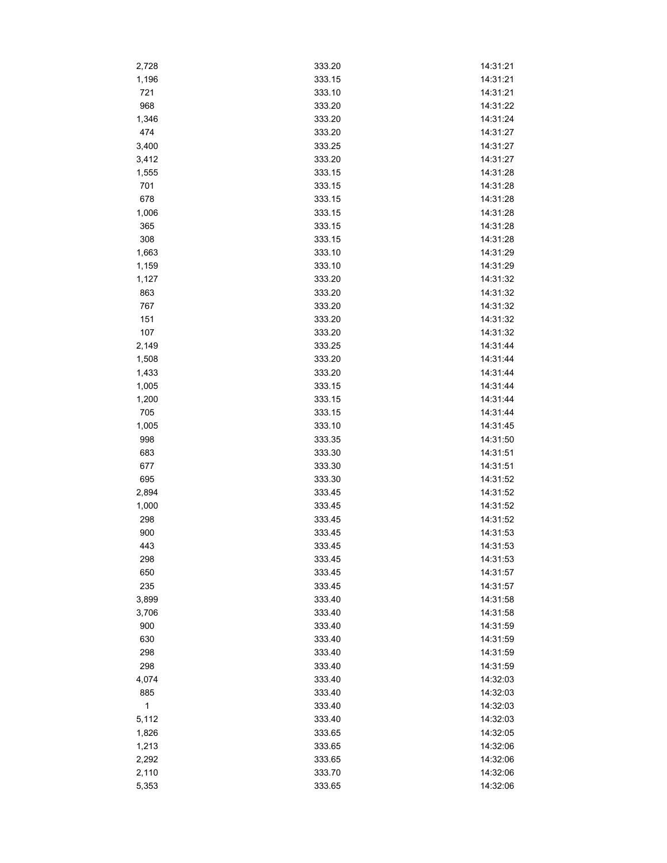| 2,728        | 333.20 | 14:31:21 |
|--------------|--------|----------|
| 1,196        | 333.15 | 14:31:21 |
| 721          | 333.10 | 14:31:21 |
| 968          | 333.20 | 14:31:22 |
| 1,346        | 333.20 | 14:31:24 |
| 474          | 333.20 | 14:31:27 |
| 3,400        | 333.25 | 14:31:27 |
| 3,412        | 333.20 | 14:31:27 |
| 1,555        | 333.15 | 14:31:28 |
| 701          | 333.15 | 14:31:28 |
| 678          | 333.15 | 14:31:28 |
| 1,006        | 333.15 | 14:31:28 |
| 365          | 333.15 | 14:31:28 |
| 308          | 333.15 | 14:31:28 |
| 1,663        | 333.10 | 14:31:29 |
| 1,159        | 333.10 | 14:31:29 |
| 1,127        | 333.20 | 14:31:32 |
| 863          | 333.20 | 14:31:32 |
| 767          | 333.20 | 14:31:32 |
| 151          | 333.20 | 14:31:32 |
| 107          | 333.20 | 14:31:32 |
| 2,149        | 333.25 | 14:31:44 |
| 1,508        | 333.20 | 14:31:44 |
| 1,433        | 333.20 | 14:31:44 |
|              |        | 14:31:44 |
| 1,005        | 333.15 |          |
| 1,200        | 333.15 | 14:31:44 |
| 705          | 333.15 | 14:31:44 |
| 1,005        | 333.10 | 14:31:45 |
| 998          | 333.35 | 14:31:50 |
| 683          | 333.30 | 14:31:51 |
| 677          | 333.30 | 14:31:51 |
| 695          | 333.30 | 14:31:52 |
| 2,894        | 333.45 | 14:31:52 |
| 1,000        | 333.45 | 14:31:52 |
| 298          | 333.45 | 14:31:52 |
| 900          | 333.45 | 14:31:53 |
| 443          | 333.45 | 14:31:53 |
| 298          | 333.45 | 14:31:53 |
| 650          | 333.45 | 14:31:57 |
| 235          | 333.45 | 14:31:57 |
| 3,899        | 333.40 | 14:31:58 |
| 3,706        | 333.40 | 14:31:58 |
| 900          | 333.40 | 14:31:59 |
| 630          | 333.40 | 14:31:59 |
| 298          | 333.40 | 14:31:59 |
| 298          | 333.40 | 14:31:59 |
| 4,074        | 333.40 | 14:32:03 |
| 885          | 333.40 | 14:32:03 |
| $\mathbf{1}$ | 333.40 | 14:32:03 |
| 5,112        | 333.40 | 14:32:03 |
| 1,826        | 333.65 | 14:32:05 |
| 1,213        | 333.65 | 14:32:06 |
| 2,292        | 333.65 | 14:32:06 |
| 2,110        | 333.70 | 14:32:06 |
| 5,353        | 333.65 | 14:32:06 |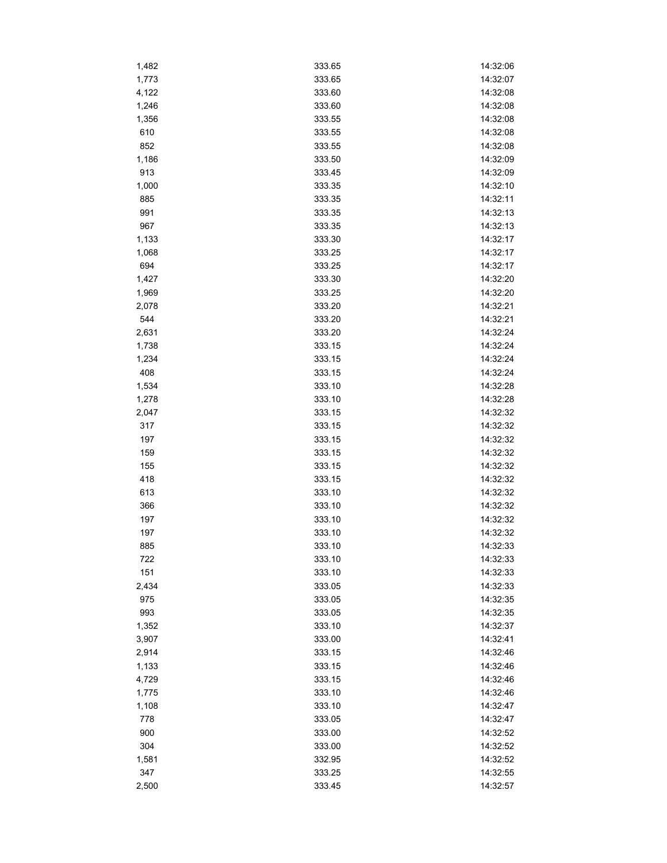| 1,482 | 333.65 | 14:32:06 |
|-------|--------|----------|
| 1,773 | 333.65 | 14:32:07 |
| 4,122 | 333.60 | 14:32:08 |
| 1,246 | 333.60 | 14:32:08 |
| 1,356 | 333.55 | 14:32:08 |
| 610   | 333.55 | 14:32:08 |
| 852   | 333.55 | 14:32:08 |
| 1,186 | 333.50 | 14:32:09 |
| 913   | 333.45 | 14:32:09 |
| 1,000 | 333.35 | 14:32:10 |
| 885   | 333.35 | 14:32:11 |
| 991   | 333.35 | 14:32:13 |
| 967   | 333.35 | 14:32:13 |
| 1,133 | 333.30 | 14:32:17 |
| 1,068 | 333.25 | 14:32:17 |
| 694   | 333.25 | 14:32:17 |
| 1,427 | 333.30 | 14:32:20 |
| 1,969 | 333.25 | 14:32:20 |
| 2,078 | 333.20 | 14:32:21 |
| 544   | 333.20 | 14:32:21 |
| 2,631 | 333.20 | 14:32:24 |
| 1,738 | 333.15 | 14:32:24 |
| 1,234 | 333.15 | 14:32:24 |
| 408   | 333.15 | 14:32:24 |
| 1,534 | 333.10 | 14:32:28 |
|       | 333.10 | 14:32:28 |
| 1,278 | 333.15 | 14:32:32 |
| 2,047 | 333.15 | 14:32:32 |
| 317   |        |          |
| 197   | 333.15 | 14:32:32 |
| 159   | 333.15 | 14:32:32 |
| 155   | 333.15 | 14:32:32 |
| 418   | 333.15 | 14:32:32 |
| 613   | 333.10 | 14:32:32 |
| 366   | 333.10 | 14:32:32 |
| 197   | 333.10 | 14:32:32 |
| 197   | 333.10 | 14:32:32 |
| 885   | 333.10 | 14:32:33 |
| 722   | 333.10 | 14:32:33 |
| 151   | 333.10 | 14:32:33 |
| 2,434 | 333.05 | 14:32:33 |
| 975   | 333.05 | 14:32:35 |
| 993   | 333.05 | 14:32:35 |
| 1,352 | 333.10 | 14:32:37 |
| 3,907 | 333.00 | 14:32:41 |
| 2,914 | 333.15 | 14:32:46 |
| 1,133 | 333.15 | 14:32:46 |
| 4,729 | 333.15 | 14:32:46 |
| 1,775 | 333.10 | 14:32:46 |
| 1,108 | 333.10 | 14:32:47 |
| 778   | 333.05 | 14:32:47 |
| 900   | 333.00 | 14:32:52 |
| 304   | 333.00 | 14:32:52 |
| 1,581 | 332.95 | 14:32:52 |
| 347   | 333.25 | 14:32:55 |
| 2,500 | 333.45 | 14:32:57 |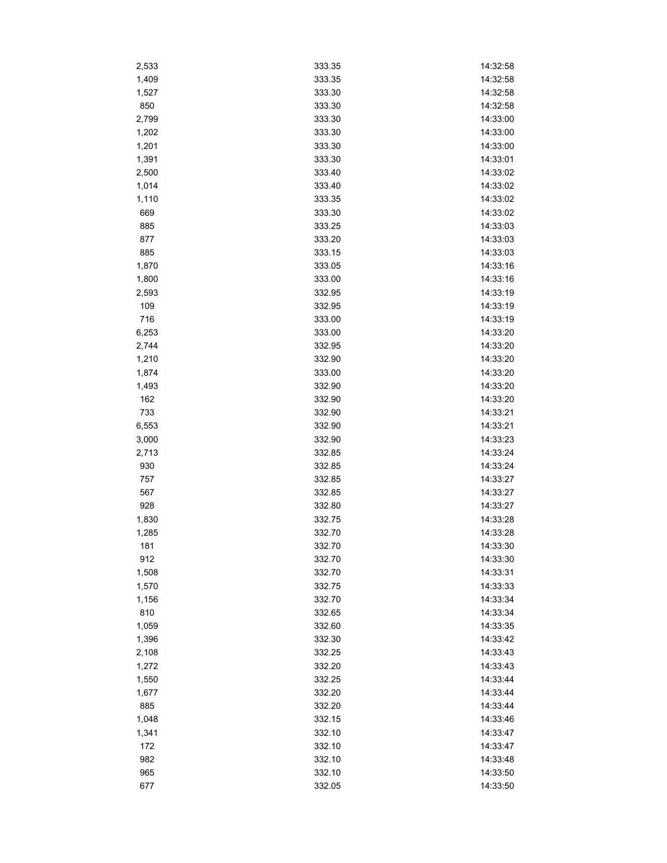| 2,533 | 333.35 | 14:32:58 |
|-------|--------|----------|
| 1,409 | 333.35 | 14:32:58 |
| 1,527 | 333.30 | 14:32:58 |
| 850   | 333.30 | 14:32:58 |
| 2,799 | 333.30 | 14:33:00 |
| 1,202 | 333.30 | 14:33:00 |
| 1,201 | 333.30 | 14:33:00 |
| 1,391 | 333.30 | 14:33:01 |
| 2,500 | 333.40 | 14:33:02 |
| 1,014 | 333.40 | 14:33:02 |
| 1,110 | 333.35 | 14:33:02 |
| 669   | 333.30 | 14:33:02 |
| 885   | 333.25 | 14:33:03 |
| 877   | 333.20 | 14:33:03 |
| 885   | 333.15 | 14:33:03 |
| 1,870 | 333.05 | 14:33:16 |
| 1,800 | 333.00 | 14:33:16 |
| 2,593 | 332.95 | 14:33:19 |
| 109   | 332.95 | 14:33:19 |
| 716   | 333.00 | 14:33:19 |
| 6,253 | 333.00 | 14:33:20 |
| 2,744 | 332.95 | 14:33:20 |
| 1,210 | 332.90 | 14:33:20 |
|       | 333.00 | 14:33:20 |
| 1,874 | 332.90 | 14:33:20 |
| 1,493 |        |          |
| 162   | 332.90 | 14:33:20 |
| 733   | 332.90 | 14:33:21 |
| 6,553 | 332.90 | 14:33:21 |
| 3,000 | 332.90 | 14:33:23 |
| 2,713 | 332.85 | 14:33:24 |
| 930   | 332.85 | 14:33:24 |
| 757   | 332.85 | 14:33:27 |
| 567   | 332.85 | 14:33:27 |
| 928   | 332.80 | 14:33:27 |
| 1,830 | 332.75 | 14:33:28 |
| 1,285 | 332.70 | 14:33:28 |
| 181   | 332.70 | 14:33:30 |
| 912   | 332.70 | 14:33:30 |
| 1,508 | 332.70 | 14:33:31 |
| 1,570 | 332.75 | 14:33:33 |
| 1,156 | 332.70 | 14:33:34 |
| 810   | 332.65 | 14:33:34 |
| 1,059 | 332.60 | 14:33:35 |
| 1,396 | 332.30 | 14:33:42 |
| 2,108 | 332.25 | 14:33:43 |
| 1,272 | 332.20 | 14:33:43 |
| 1,550 | 332.25 | 14:33:44 |
| 1,677 | 332.20 | 14:33:44 |
| 885   | 332.20 | 14:33:44 |
| 1,048 | 332.15 | 14:33:46 |
| 1,341 | 332.10 | 14:33:47 |
| 172   | 332.10 | 14:33:47 |
| 982   | 332.10 | 14:33:48 |
| 965   | 332.10 | 14:33:50 |
| 677   | 332.05 | 14:33:50 |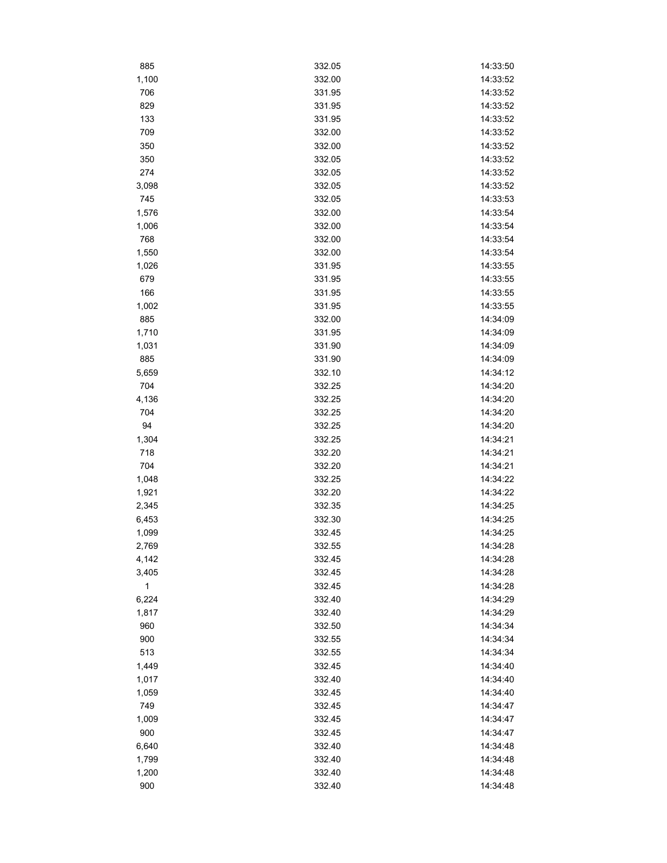| 885            | 332.05 | 14:33:50 |
|----------------|--------|----------|
| 1,100          | 332.00 | 14:33:52 |
| 706            | 331.95 | 14:33:52 |
| 829            | 331.95 | 14:33:52 |
| 133            | 331.95 | 14:33:52 |
| 709            | 332.00 | 14:33:52 |
| 350            | 332.00 | 14:33:52 |
| 350            | 332.05 | 14:33:52 |
| 274            | 332.05 | 14:33:52 |
| 3,098          | 332.05 | 14:33:52 |
| 745            | 332.05 | 14:33:53 |
| 1,576          | 332.00 | 14:33:54 |
| 1,006          | 332.00 | 14:33:54 |
| 768            | 332.00 | 14:33:54 |
| 1,550          | 332.00 | 14:33:54 |
| 1,026          | 331.95 | 14:33:55 |
| 679            | 331.95 | 14:33:55 |
| 166            | 331.95 | 14:33:55 |
| 1,002          | 331.95 | 14:33:55 |
| 885            | 332.00 | 14:34:09 |
| 1,710          | 331.95 | 14:34:09 |
| 1,031          | 331.90 | 14:34:09 |
| 885            | 331.90 | 14:34:09 |
| 5,659          | 332.10 | 14:34:12 |
| 704            | 332.25 | 14:34:20 |
| 4,136          | 332.25 | 14:34:20 |
| 704            | 332.25 | 14:34:20 |
| 94             | 332.25 | 14:34:20 |
| 1,304          | 332.25 | 14:34:21 |
| 718            | 332.20 | 14:34:21 |
| 704            | 332.20 | 14:34:21 |
|                | 332.25 | 14:34:22 |
| 1,048<br>1,921 | 332.20 | 14:34:22 |
| 2,345          | 332.35 | 14:34:25 |
|                | 332.30 | 14:34:25 |
| 6,453          | 332.45 | 14:34:25 |
| 1,099          |        | 14:34:28 |
| 2,769          | 332.55 |          |
| 4,142          | 332.45 | 14:34:28 |
| 3,405          | 332.45 | 14:34:28 |
| $\mathbf{1}$   | 332.45 | 14:34:28 |
| 6,224          | 332.40 | 14:34:29 |
| 1,817          | 332.40 | 14:34:29 |
| 960            | 332.50 | 14:34:34 |
| 900            | 332.55 | 14:34:34 |
| 513            | 332.55 | 14:34:34 |
| 1,449          | 332.45 | 14:34:40 |
| 1,017          | 332.40 | 14:34:40 |
| 1,059          | 332.45 | 14:34:40 |
| 749            | 332.45 | 14:34:47 |
| 1,009          | 332.45 | 14:34:47 |
| 900            | 332.45 | 14:34:47 |
| 6,640          | 332.40 | 14:34:48 |
| 1,799          | 332.40 | 14:34:48 |
| 1,200          | 332.40 | 14:34:48 |
| 900            | 332.40 | 14:34:48 |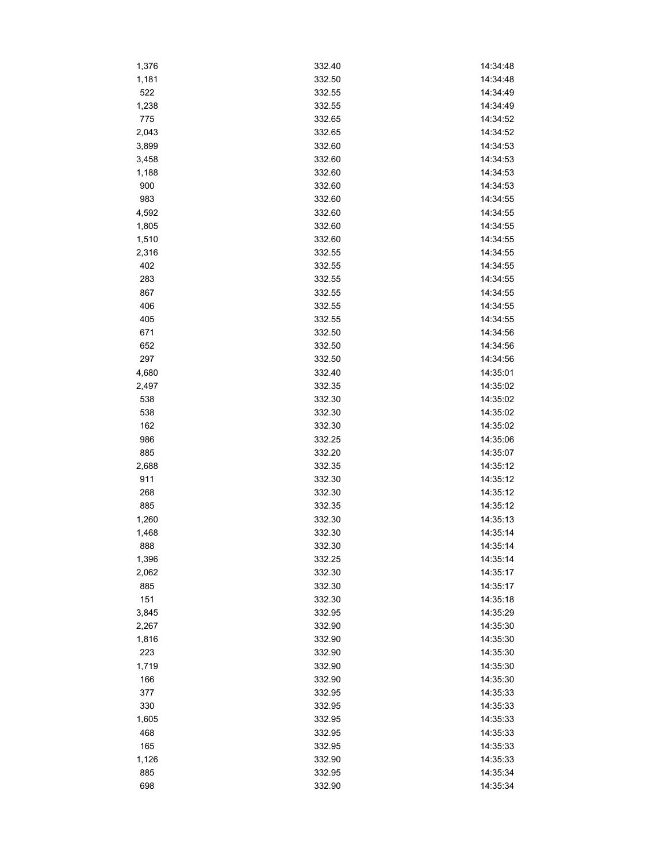| 1,376 | 332.40           | 14:34:48 |
|-------|------------------|----------|
| 1,181 | 332.50           | 14:34:48 |
| 522   | 332.55           | 14:34:49 |
| 1,238 | 332.55           | 14:34:49 |
| 775   | 332.65           | 14:34:52 |
| 2,043 | 332.65           | 14:34:52 |
| 3,899 | 332.60           | 14:34:53 |
| 3,458 | 332.60           | 14:34:53 |
| 1,188 | 332.60           | 14:34:53 |
| 900   | 332.60           | 14:34:53 |
| 983   | 332.60           | 14:34:55 |
| 4,592 | 332.60           | 14:34:55 |
| 1,805 | 332.60           | 14:34:55 |
| 1,510 | 332.60           | 14:34:55 |
| 2,316 | 332.55           | 14:34:55 |
| 402   | 332.55           | 14:34:55 |
| 283   | 332.55           | 14:34:55 |
| 867   | 332.55           | 14:34:55 |
| 406   | 332.55           | 14:34:55 |
| 405   | 332.55           | 14:34:55 |
| 671   | 332.50           | 14:34:56 |
| 652   | 332.50           | 14:34:56 |
| 297   | 332.50           | 14:34:56 |
| 4,680 | 332.40           | 14:35:01 |
| 2,497 | 332.35           | 14:35:02 |
| 538   | 332.30           | 14:35:02 |
|       |                  |          |
| 538   | 332.30           | 14:35:02 |
| 162   | 332.30           | 14:35:02 |
| 986   | 332.25           | 14:35:06 |
| 885   | 332.20           | 14:35:07 |
| 2,688 | 332.35           | 14:35:12 |
| 911   | 332.30<br>332.30 | 14:35:12 |
| 268   |                  | 14:35:12 |
| 885   | 332.35           | 14:35:12 |
| 1,260 | 332.30           | 14:35:13 |
| 1,468 | 332.30           | 14:35:14 |
| 888   | 332.30           | 14:35:14 |
| 1,396 | 332.25           | 14:35:14 |
| 2,062 | 332.30           | 14:35:17 |
| 885   | 332.30           | 14:35:17 |
| 151   | 332.30           | 14:35:18 |
| 3,845 | 332.95           | 14:35:29 |
| 2,267 | 332.90           | 14:35:30 |
| 1,816 | 332.90           | 14:35:30 |
| 223   | 332.90           | 14:35:30 |
| 1,719 | 332.90           | 14:35:30 |
| 166   | 332.90           | 14:35:30 |
| 377   | 332.95           | 14:35:33 |
| 330   | 332.95           | 14:35:33 |
| 1,605 | 332.95           | 14:35:33 |
| 468   | 332.95           | 14:35:33 |
| 165   | 332.95           | 14:35:33 |
| 1,126 | 332.90           | 14:35:33 |
| 885   | 332.95           | 14:35:34 |
| 698   | 332.90           | 14:35:34 |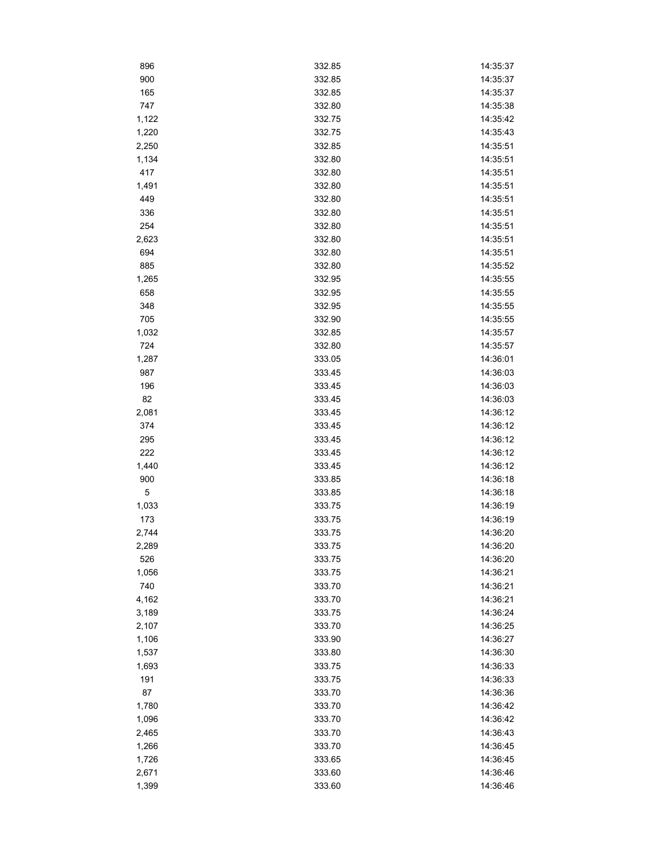| 896          | 332.85           | 14:35:37             |
|--------------|------------------|----------------------|
| 900          | 332.85           | 14:35:37             |
| 165          | 332.85           | 14:35:37             |
| 747          | 332.80           | 14:35:38             |
| 1,122        | 332.75           | 14:35:42             |
| 1,220        | 332.75           | 14:35:43             |
| 2,250        | 332.85           | 14:35:51             |
| 1,134        | 332.80           | 14:35:51             |
| 417          | 332.80           | 14:35:51             |
| 1,491        | 332.80           | 14:35:51             |
| 449          | 332.80           | 14:35:51             |
| 336          | 332.80           | 14:35:51             |
| 254          | 332.80           | 14:35:51             |
| 2,623        | 332.80           | 14:35:51             |
| 694          | 332.80           | 14:35:51             |
| 885          | 332.80           | 14:35:52             |
| 1,265        | 332.95           | 14:35:55             |
| 658          | 332.95           | 14:35:55             |
| 348          | 332.95           | 14:35:55             |
| 705          | 332.90           | 14:35:55             |
| 1,032        | 332.85           | 14:35:57             |
| 724          | 332.80           | 14:35:57             |
|              |                  |                      |
| 1,287<br>987 | 333.05<br>333.45 | 14:36:01<br>14:36:03 |
| 196          |                  | 14:36:03             |
|              | 333.45           |                      |
| 82           | 333.45           | 14:36:03             |
| 2,081        | 333.45           | 14:36:12             |
| 374          | 333.45           | 14:36:12             |
| 295          | 333.45           | 14:36:12             |
| 222          | 333.45           | 14:36:12             |
| 1,440        | 333.45           | 14:36:12             |
| 900          | 333.85           | 14:36:18             |
| $\mathbf 5$  | 333.85           | 14:36:18             |
| 1,033        | 333.75           | 14:36:19             |
| 173          | 333.75           | 14:36:19             |
| 2,744        | 333.75           | 14:36:20             |
| 2,289        | 333.75           | 14:36:20             |
| 526          | 333.75           | 14:36:20             |
| 1,056        | 333.75           | 14:36:21             |
| 740          | 333.70           | 14:36:21             |
| 4,162        | 333.70           | 14:36:21             |
| 3,189        | 333.75           | 14:36:24             |
| 2,107        | 333.70           | 14:36:25             |
| 1,106        | 333.90           | 14:36:27             |
| 1,537        | 333.80           | 14:36:30             |
| 1,693        | 333.75           | 14:36:33             |
| 191          | 333.75           | 14:36:33             |
| 87           | 333.70           | 14:36:36             |
| 1,780        | 333.70           | 14:36:42             |
| 1,096        | 333.70           | 14:36:42             |
| 2,465        | 333.70           | 14:36:43             |
| 1,266        | 333.70           | 14:36:45             |
| 1,726        | 333.65           | 14:36:45             |
| 2,671        | 333.60           | 14:36:46             |
| 1,399        | 333.60           | 14:36:46             |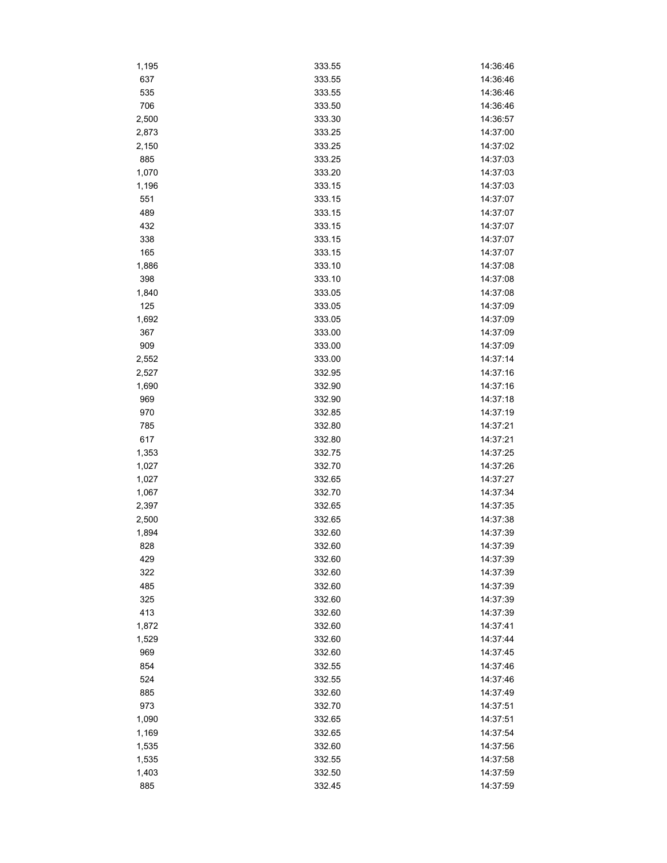| 1,195 | 333.55 | 14:36:46 |
|-------|--------|----------|
| 637   | 333.55 | 14:36:46 |
| 535   | 333.55 | 14:36:46 |
| 706   | 333.50 | 14:36:46 |
| 2,500 | 333.30 | 14:36:57 |
| 2,873 | 333.25 | 14:37:00 |
| 2,150 | 333.25 | 14:37:02 |
| 885   | 333.25 | 14:37:03 |
| 1,070 | 333.20 | 14:37:03 |
| 1,196 | 333.15 | 14:37:03 |
| 551   | 333.15 | 14:37:07 |
| 489   | 333.15 | 14:37:07 |
| 432   | 333.15 | 14:37:07 |
| 338   | 333.15 | 14:37:07 |
| 165   | 333.15 | 14:37:07 |
| 1,886 | 333.10 | 14:37:08 |
| 398   | 333.10 | 14:37:08 |
| 1,840 | 333.05 | 14:37:08 |
| 125   | 333.05 | 14:37:09 |
| 1,692 | 333.05 | 14:37:09 |
| 367   | 333.00 | 14:37:09 |
| 909   | 333.00 | 14:37:09 |
| 2,552 | 333.00 | 14:37:14 |
| 2,527 | 332.95 | 14:37:16 |
| 1,690 | 332.90 | 14:37:16 |
| 969   | 332.90 | 14:37:18 |
| 970   | 332.85 | 14:37:19 |
| 785   | 332.80 | 14:37:21 |
| 617   | 332.80 | 14:37:21 |
| 1,353 | 332.75 | 14:37:25 |
| 1,027 | 332.70 | 14:37:26 |
| 1,027 | 332.65 | 14:37:27 |
| 1,067 | 332.70 | 14:37:34 |
| 2,397 | 332.65 | 14:37:35 |
| 2,500 | 332.65 | 14:37:38 |
| 1,894 | 332.60 | 14:37:39 |
| 828   | 332.60 | 14:37:39 |
| 429   | 332.60 | 14:37:39 |
| 322   | 332.60 | 14:37:39 |
| 485   | 332.60 | 14:37:39 |
| 325   | 332.60 | 14:37:39 |
| 413   | 332.60 | 14:37:39 |
| 1,872 | 332.60 | 14:37:41 |
| 1,529 | 332.60 | 14:37:44 |
| 969   | 332.60 | 14:37:45 |
| 854   | 332.55 | 14:37:46 |
| 524   | 332.55 | 14:37:46 |
| 885   | 332.60 | 14:37:49 |
| 973   | 332.70 | 14:37:51 |
| 1,090 | 332.65 | 14:37:51 |
| 1,169 | 332.65 | 14:37:54 |
| 1,535 | 332.60 | 14:37:56 |
| 1,535 | 332.55 | 14:37:58 |
| 1,403 | 332.50 | 14:37:59 |
| 885   | 332.45 | 14:37:59 |
|       |        |          |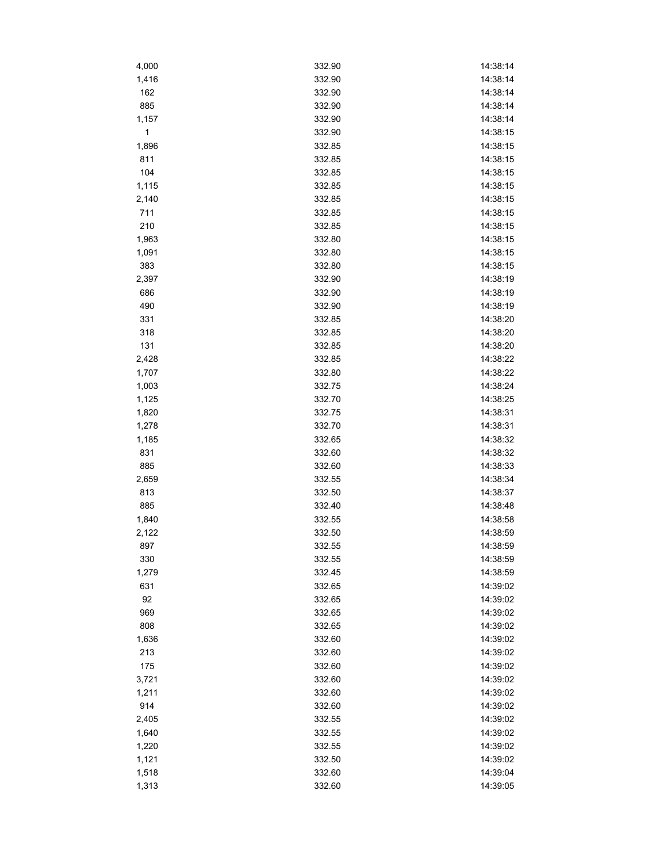| 4,000 | 332.90 | 14:38:14 |
|-------|--------|----------|
| 1,416 | 332.90 | 14:38:14 |
| 162   | 332.90 | 14:38:14 |
| 885   | 332.90 | 14:38:14 |
| 1,157 | 332.90 | 14:38:14 |
| 1     | 332.90 | 14:38:15 |
| 1,896 | 332.85 | 14:38:15 |
| 811   | 332.85 | 14:38:15 |
| 104   | 332.85 | 14:38:15 |
| 1,115 | 332.85 | 14:38:15 |
| 2,140 | 332.85 | 14:38:15 |
| 711   | 332.85 | 14:38:15 |
| 210   | 332.85 | 14:38:15 |
| 1,963 | 332.80 | 14:38:15 |
| 1,091 | 332.80 | 14:38:15 |
| 383   | 332.80 | 14:38:15 |
| 2,397 | 332.90 | 14:38:19 |
| 686   | 332.90 | 14:38:19 |
| 490   | 332.90 | 14:38:19 |
| 331   | 332.85 | 14:38:20 |
| 318   | 332.85 | 14:38:20 |
| 131   | 332.85 | 14:38:20 |
|       | 332.85 | 14:38:22 |
| 2,428 |        |          |
| 1,707 | 332.80 | 14:38:22 |
| 1,003 | 332.75 | 14:38:24 |
| 1,125 | 332.70 | 14:38:25 |
| 1,820 | 332.75 | 14:38:31 |
| 1,278 | 332.70 | 14:38:31 |
| 1,185 | 332.65 | 14:38:32 |
| 831   | 332.60 | 14:38:32 |
| 885   | 332.60 | 14:38:33 |
| 2,659 | 332.55 | 14:38:34 |
| 813   | 332.50 | 14:38:37 |
| 885   | 332.40 | 14:38:48 |
| 1,840 | 332.55 | 14:38:58 |
| 2,122 | 332.50 | 14:38:59 |
| 897   | 332.55 | 14:38:59 |
| 330   | 332.55 | 14:38:59 |
| 1,279 | 332.45 | 14:38:59 |
| 631   | 332.65 | 14:39:02 |
| 92    | 332.65 | 14:39:02 |
| 969   | 332.65 | 14:39:02 |
| 808   | 332.65 | 14:39:02 |
| 1,636 | 332.60 | 14:39:02 |
| 213   | 332.60 | 14:39:02 |
| 175   | 332.60 | 14:39:02 |
| 3,721 | 332.60 | 14:39:02 |
| 1,211 | 332.60 | 14:39:02 |
| 914   | 332.60 | 14:39:02 |
| 2,405 | 332.55 | 14:39:02 |
| 1,640 | 332.55 | 14:39:02 |
| 1,220 | 332.55 | 14:39:02 |
| 1,121 | 332.50 | 14:39:02 |
| 1,518 | 332.60 | 14:39:04 |
| 1,313 | 332.60 | 14:39:05 |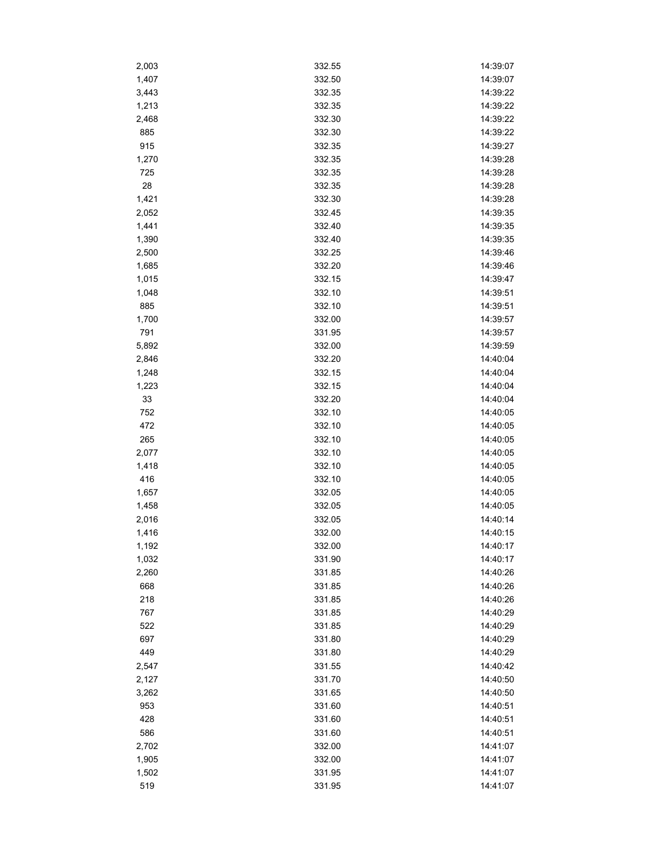| 2,003 | 332.55 | 14:39:07 |
|-------|--------|----------|
| 1,407 | 332.50 | 14:39:07 |
| 3,443 | 332.35 | 14:39:22 |
| 1,213 | 332.35 | 14:39:22 |
| 2,468 | 332.30 | 14:39:22 |
| 885   | 332.30 | 14:39:22 |
| 915   | 332.35 | 14:39:27 |
| 1,270 | 332.35 | 14:39:28 |
| 725   | 332.35 | 14:39:28 |
| 28    | 332.35 | 14:39:28 |
| 1,421 | 332.30 | 14:39:28 |
| 2,052 | 332.45 | 14:39:35 |
| 1,441 | 332.40 | 14:39:35 |
| 1,390 | 332.40 | 14:39:35 |
| 2,500 | 332.25 | 14:39:46 |
| 1,685 | 332.20 | 14:39:46 |
| 1,015 | 332.15 | 14:39:47 |
| 1,048 | 332.10 | 14:39:51 |
| 885   | 332.10 | 14:39:51 |
| 1,700 | 332.00 | 14:39:57 |
| 791   | 331.95 | 14:39:57 |
| 5,892 | 332.00 | 14:39:59 |
| 2,846 | 332.20 | 14:40:04 |
| 1,248 | 332.15 | 14:40:04 |
| 1,223 | 332.15 | 14:40:04 |
| 33    | 332.20 | 14:40:04 |
| 752   | 332.10 | 14:40:05 |
| 472   | 332.10 | 14:40:05 |
| 265   | 332.10 | 14:40:05 |
| 2,077 | 332.10 | 14:40:05 |
| 1,418 | 332.10 | 14:40:05 |
| 416   | 332.10 | 14:40:05 |
| 1,657 | 332.05 | 14:40:05 |
| 1,458 | 332.05 | 14:40:05 |
| 2,016 | 332.05 | 14:40:14 |
| 1,416 | 332.00 | 14:40:15 |
| 1,192 | 332.00 | 14:40:17 |
| 1,032 | 331.90 | 14:40:17 |
| 2,260 | 331.85 | 14:40:26 |
| 668   | 331.85 | 14:40:26 |
| 218   | 331.85 | 14:40:26 |
| 767   | 331.85 | 14:40:29 |
| 522   | 331.85 | 14:40:29 |
| 697   | 331.80 | 14:40:29 |
| 449   | 331.80 | 14:40:29 |
| 2,547 | 331.55 | 14:40:42 |
| 2,127 | 331.70 | 14:40:50 |
| 3,262 | 331.65 | 14:40:50 |
| 953   | 331.60 | 14:40:51 |
| 428   | 331.60 | 14:40:51 |
| 586   | 331.60 | 14:40:51 |
| 2,702 | 332.00 | 14:41:07 |
| 1,905 | 332.00 | 14:41:07 |
| 1,502 | 331.95 | 14:41:07 |
| 519   | 331.95 | 14:41:07 |
|       |        |          |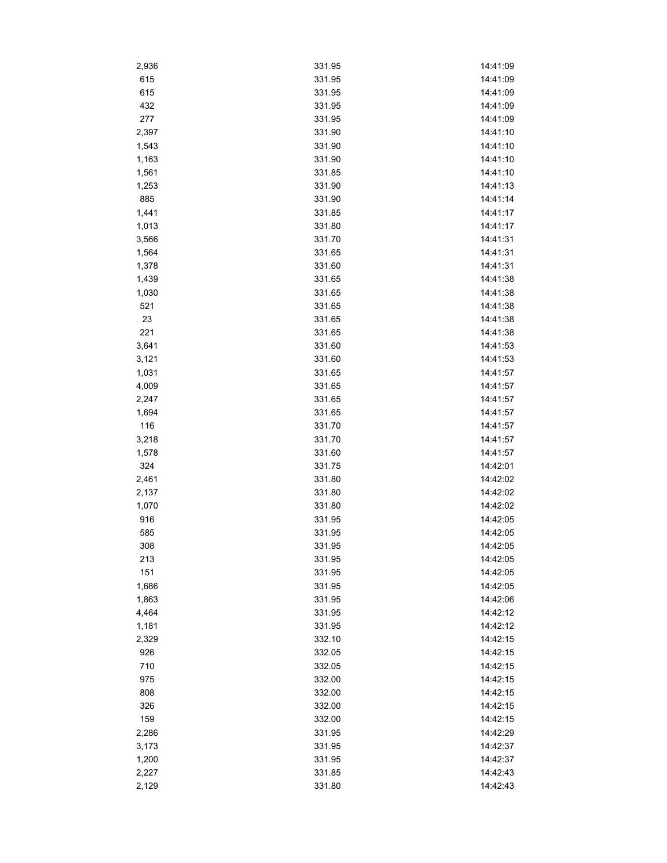| 2,936 | 331.95 | 14:41:09 |
|-------|--------|----------|
| 615   | 331.95 | 14:41:09 |
| 615   | 331.95 | 14:41:09 |
| 432   | 331.95 | 14:41:09 |
| 277   | 331.95 | 14:41:09 |
| 2,397 | 331.90 | 14:41:10 |
| 1,543 | 331.90 | 14:41:10 |
| 1,163 | 331.90 | 14:41:10 |
| 1,561 | 331.85 | 14:41:10 |
| 1,253 | 331.90 | 14:41:13 |
| 885   | 331.90 | 14:41:14 |
| 1,441 | 331.85 | 14:41:17 |
| 1,013 | 331.80 | 14:41:17 |
| 3,566 | 331.70 | 14:41:31 |
| 1,564 | 331.65 | 14:41:31 |
| 1,378 | 331.60 | 14:41:31 |
| 1,439 | 331.65 | 14:41:38 |
| 1,030 | 331.65 | 14:41:38 |
| 521   | 331.65 | 14:41:38 |
| 23    | 331.65 | 14:41:38 |
| 221   | 331.65 | 14:41:38 |
| 3,641 | 331.60 | 14:41:53 |
| 3,121 | 331.60 | 14:41:53 |
| 1,031 | 331.65 | 14:41:57 |
| 4,009 |        |          |
|       | 331.65 | 14:41:57 |
| 2,247 | 331.65 | 14:41:57 |
| 1,694 | 331.65 | 14:41:57 |
| 116   | 331.70 | 14:41:57 |
| 3,218 | 331.70 | 14:41:57 |
| 1,578 | 331.60 | 14:41:57 |
| 324   | 331.75 | 14:42:01 |
| 2,461 | 331.80 | 14:42:02 |
| 2,137 | 331.80 | 14:42:02 |
| 1,070 | 331.80 | 14:42:02 |
| 916   | 331.95 | 14:42:05 |
| 585   | 331.95 | 14:42:05 |
| 308   | 331.95 | 14:42:05 |
| 213   | 331.95 | 14:42:05 |
| 151   | 331.95 | 14:42:05 |
| 1,686 | 331.95 | 14:42:05 |
| 1,863 | 331.95 | 14:42:06 |
| 4,464 | 331.95 | 14:42:12 |
| 1,181 | 331.95 | 14:42:12 |
| 2,329 | 332.10 | 14:42:15 |
| 926   | 332.05 | 14:42:15 |
| 710   | 332.05 | 14:42:15 |
| 975   | 332.00 | 14:42:15 |
| 808   | 332.00 | 14:42:15 |
| 326   | 332.00 | 14:42:15 |
| 159   | 332.00 | 14:42:15 |
| 2,286 | 331.95 | 14:42:29 |
| 3,173 | 331.95 | 14:42:37 |
| 1,200 | 331.95 | 14:42:37 |
| 2,227 | 331.85 | 14:42:43 |
| 2,129 | 331.80 | 14:42:43 |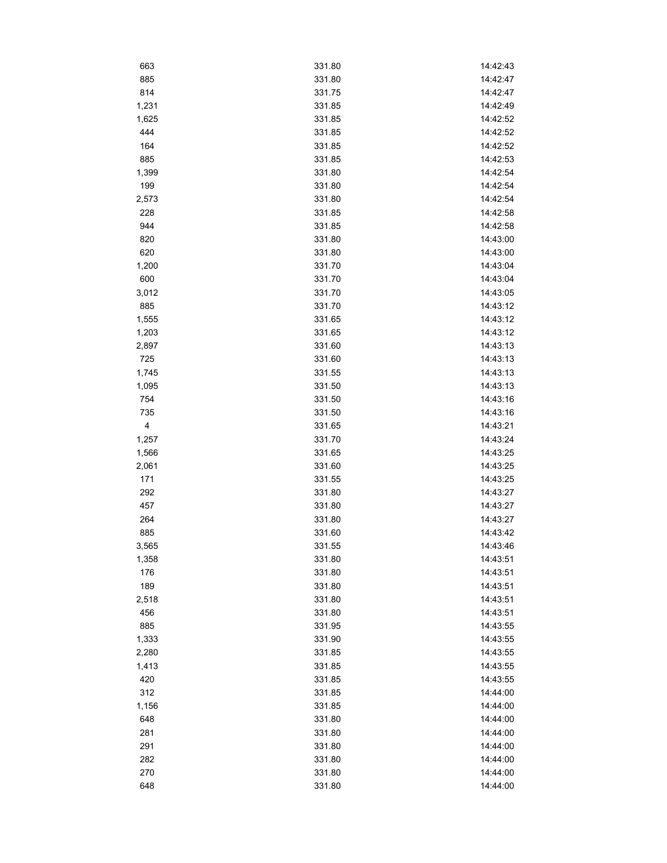| 663   | 331.80 | 14:42:43 |
|-------|--------|----------|
| 885   | 331.80 | 14:42:47 |
| 814   | 331.75 | 14:42:47 |
| 1,231 | 331.85 | 14:42:49 |
| 1,625 | 331.85 | 14:42:52 |
| 444   | 331.85 | 14:42:52 |
| 164   | 331.85 | 14:42:52 |
| 885   | 331.85 | 14:42:53 |
| 1,399 | 331.80 | 14:42:54 |
| 199   | 331.80 | 14:42:54 |
| 2,573 | 331.80 | 14:42:54 |
| 228   | 331.85 | 14:42:58 |
| 944   | 331.85 | 14:42:58 |
| 820   | 331.80 | 14:43:00 |
| 620   | 331.80 | 14:43:00 |
| 1,200 | 331.70 | 14:43:04 |
| 600   | 331.70 | 14:43:04 |
| 3,012 | 331.70 | 14:43:05 |
| 885   | 331.70 | 14:43:12 |
| 1,555 | 331.65 | 14:43:12 |
| 1,203 | 331.65 | 14:43:12 |
| 2,897 | 331.60 | 14:43:13 |
| 725   | 331.60 | 14:43:13 |
| 1,745 | 331.55 | 14:43:13 |
| 1,095 | 331.50 | 14:43:13 |
| 754   | 331.50 | 14:43:16 |
| 735   | 331.50 | 14:43:16 |
| 4     | 331.65 | 14:43:21 |
| 1,257 | 331.70 | 14:43:24 |
| 1,566 | 331.65 | 14:43:25 |
| 2,061 | 331.60 | 14:43:25 |
| 171   | 331.55 | 14:43:25 |
| 292   | 331.80 | 14:43:27 |
| 457   | 331.80 | 14:43:27 |
| 264   | 331.80 | 14:43:27 |
| 885   | 331.60 | 14:43:42 |
| 3,565 | 331.55 | 14:43:46 |
| 1,358 | 331.80 | 14:43:51 |
| 176   | 331.80 | 14:43:51 |
| 189   | 331.80 | 14:43:51 |
| 2,518 | 331.80 | 14:43:51 |
| 456   | 331.80 | 14:43:51 |
| 885   | 331.95 | 14:43:55 |
| 1,333 | 331.90 | 14:43:55 |
| 2,280 | 331.85 | 14:43:55 |
| 1,413 | 331.85 | 14:43:55 |
| 420   | 331.85 | 14:43:55 |
| 312   | 331.85 | 14:44:00 |
| 1,156 | 331.85 | 14:44:00 |
| 648   | 331.80 | 14:44:00 |
| 281   | 331.80 | 14:44:00 |
| 291   | 331.80 | 14:44:00 |
| 282   | 331.80 | 14:44:00 |
| 270   | 331.80 | 14:44:00 |
| 648   | 331.80 | 14:44:00 |
|       |        |          |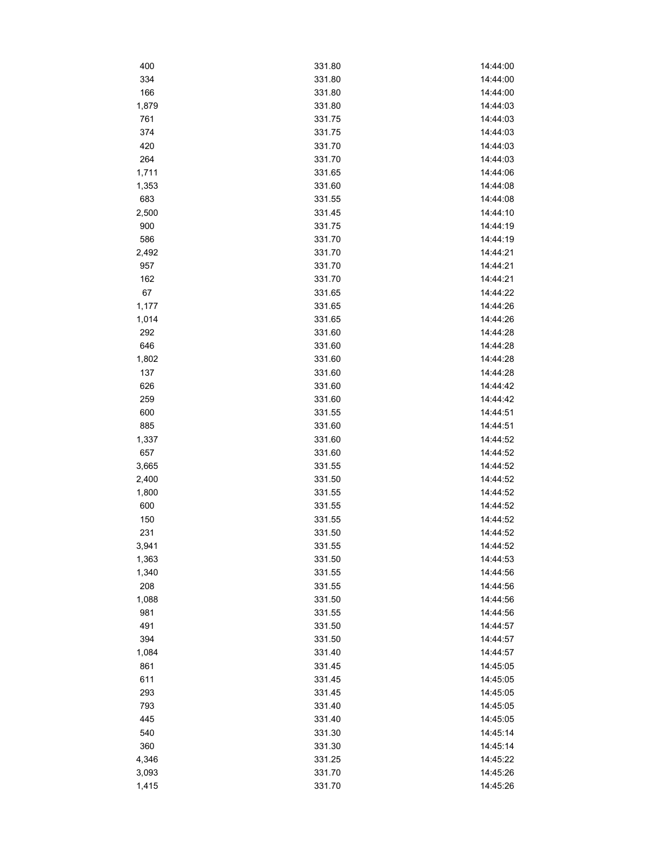| 400   | 331.80 | 14:44:00 |
|-------|--------|----------|
| 334   | 331.80 | 14:44:00 |
| 166   | 331.80 | 14:44:00 |
| 1,879 | 331.80 | 14:44:03 |
| 761   | 331.75 | 14:44:03 |
| 374   | 331.75 | 14:44:03 |
| 420   | 331.70 | 14:44:03 |
| 264   | 331.70 | 14:44:03 |
| 1,711 | 331.65 | 14:44:06 |
| 1,353 | 331.60 | 14:44:08 |
| 683   | 331.55 | 14:44:08 |
| 2,500 | 331.45 | 14:44:10 |
| 900   | 331.75 | 14:44:19 |
| 586   | 331.70 | 14:44:19 |
| 2,492 | 331.70 | 14:44:21 |
| 957   | 331.70 | 14:44:21 |
| 162   | 331.70 | 14:44:21 |
| 67    | 331.65 | 14:44:22 |
| 1,177 | 331.65 | 14:44:26 |
| 1,014 | 331.65 | 14:44:26 |
| 292   | 331.60 | 14:44:28 |
| 646   | 331.60 | 14:44:28 |
| 1,802 | 331.60 | 14:44:28 |
| 137   | 331.60 | 14:44:28 |
| 626   | 331.60 | 14:44:42 |
| 259   | 331.60 | 14:44:42 |
| 600   | 331.55 | 14:44:51 |
| 885   | 331.60 | 14:44:51 |
| 1,337 | 331.60 | 14:44:52 |
| 657   | 331.60 | 14:44:52 |
| 3,665 | 331.55 | 14:44:52 |
| 2,400 | 331.50 | 14:44:52 |
| 1,800 | 331.55 | 14:44:52 |
| 600   | 331.55 | 14:44:52 |
| 150   | 331.55 | 14:44:52 |
| 231   | 331.50 | 14:44:52 |
| 3,941 | 331.55 | 14:44:52 |
| 1,363 | 331.50 | 14:44:53 |
| 1,340 | 331.55 | 14:44:56 |
| 208   | 331.55 | 14:44:56 |
| 1,088 | 331.50 | 14:44:56 |
| 981   | 331.55 | 14:44:56 |
| 491   | 331.50 | 14:44:57 |
| 394   | 331.50 | 14:44:57 |
| 1,084 | 331.40 | 14:44:57 |
| 861   | 331.45 | 14:45:05 |
| 611   | 331.45 | 14:45:05 |
| 293   | 331.45 | 14:45:05 |
| 793   | 331.40 | 14:45:05 |
| 445   | 331.40 | 14:45:05 |
| 540   | 331.30 | 14:45:14 |
| 360   | 331.30 | 14:45:14 |
| 4,346 | 331.25 | 14:45:22 |
| 3,093 | 331.70 | 14:45:26 |
|       |        |          |
| 1,415 | 331.70 | 14:45:26 |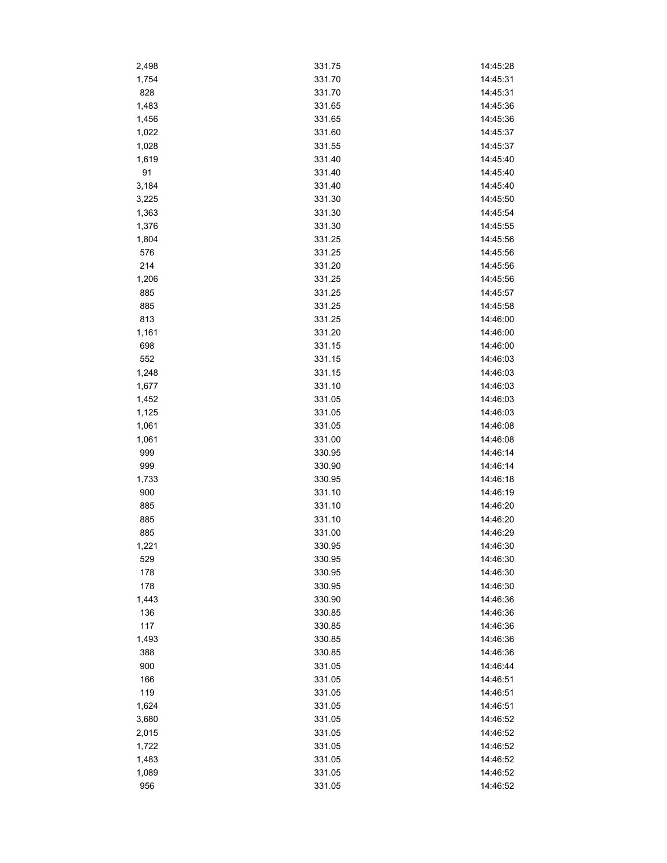| 2,498 | 331.75 | 14:45:28 |
|-------|--------|----------|
| 1,754 | 331.70 | 14:45:31 |
| 828   | 331.70 | 14:45:31 |
| 1,483 | 331.65 | 14:45:36 |
| 1,456 | 331.65 | 14:45:36 |
| 1,022 | 331.60 | 14:45:37 |
| 1,028 | 331.55 | 14:45:37 |
| 1,619 | 331.40 | 14:45:40 |
| 91    | 331.40 | 14:45:40 |
| 3,184 | 331.40 | 14:45:40 |
| 3,225 | 331.30 | 14:45:50 |
| 1,363 | 331.30 | 14:45:54 |
| 1,376 | 331.30 | 14:45:55 |
| 1,804 | 331.25 | 14:45:56 |
| 576   | 331.25 | 14:45:56 |
| 214   | 331.20 | 14:45:56 |
| 1,206 | 331.25 | 14:45:56 |
| 885   | 331.25 | 14:45:57 |
| 885   | 331.25 | 14:45:58 |
| 813   | 331.25 | 14:46:00 |
| 1,161 | 331.20 | 14:46:00 |
| 698   | 331.15 | 14:46:00 |
| 552   | 331.15 | 14:46:03 |
|       | 331.15 | 14:46:03 |
| 1,248 | 331.10 | 14:46:03 |
| 1,677 |        |          |
| 1,452 | 331.05 | 14:46:03 |
| 1,125 | 331.05 | 14:46:03 |
| 1,061 | 331.05 | 14:46:08 |
| 1,061 | 331.00 | 14:46:08 |
| 999   | 330.95 | 14:46:14 |
| 999   | 330.90 | 14:46:14 |
| 1,733 | 330.95 | 14:46:18 |
| 900   | 331.10 | 14:46:19 |
| 885   | 331.10 | 14:46:20 |
| 885   | 331.10 | 14:46:20 |
| 885   | 331.00 | 14:46:29 |
| 1,221 | 330.95 | 14:46:30 |
| 529   | 330.95 | 14:46:30 |
| 178   | 330.95 | 14:46:30 |
| 178   | 330.95 | 14:46:30 |
| 1,443 | 330.90 | 14:46:36 |
| 136   | 330.85 | 14:46:36 |
| 117   | 330.85 | 14:46:36 |
| 1,493 | 330.85 | 14:46:36 |
| 388   | 330.85 | 14:46:36 |
| 900   | 331.05 | 14:46:44 |
| 166   | 331.05 | 14:46:51 |
| 119   | 331.05 | 14:46:51 |
| 1,624 | 331.05 | 14:46:51 |
| 3,680 | 331.05 | 14:46:52 |
| 2,015 | 331.05 | 14:46:52 |
| 1,722 | 331.05 | 14:46:52 |
| 1,483 | 331.05 | 14:46:52 |
| 1,089 | 331.05 | 14:46:52 |
| 956   | 331.05 | 14:46:52 |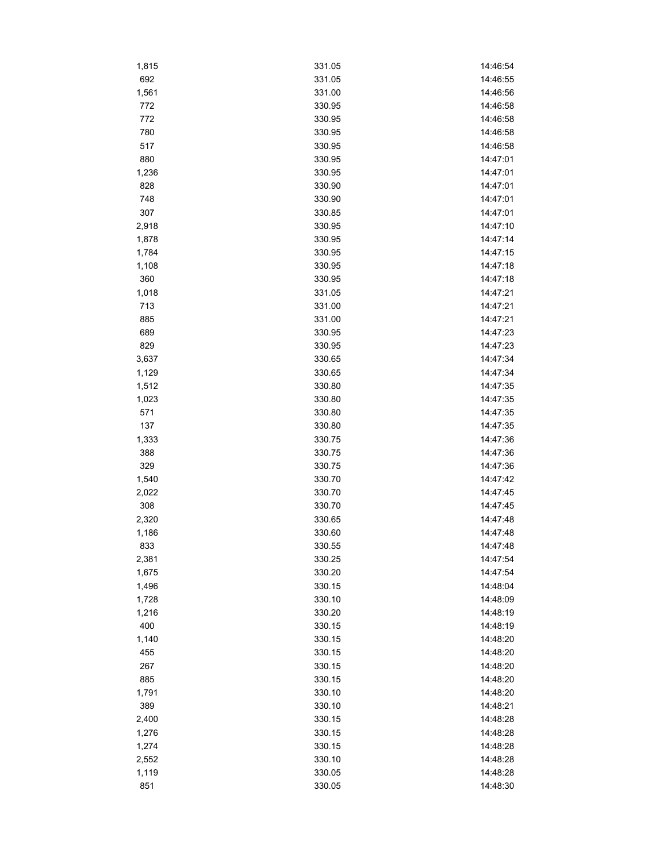| 1,815 | 331.05 | 14:46:54             |
|-------|--------|----------------------|
| 692   | 331.05 | 14:46:55             |
| 1,561 | 331.00 | 14:46:56             |
| 772   | 330.95 | 14:46:58             |
| 772   | 330.95 | 14:46:58             |
| 780   | 330.95 | 14:46:58             |
| 517   | 330.95 | 14:46:58             |
| 880   | 330.95 | 14:47:01             |
| 1,236 | 330.95 | 14:47:01             |
| 828   | 330.90 | 14:47:01             |
| 748   | 330.90 | 14:47:01             |
| 307   | 330.85 | 14:47:01             |
| 2,918 | 330.95 | 14:47:10             |
| 1,878 | 330.95 | 14:47:14             |
| 1,784 | 330.95 | 14:47:15             |
| 1,108 | 330.95 | 14:47:18             |
| 360   | 330.95 | 14:47:18             |
| 1,018 | 331.05 | 14:47:21             |
| 713   | 331.00 | 14:47:21             |
|       | 331.00 | 14:47:21             |
| 885   | 330.95 |                      |
| 689   |        | 14:47:23<br>14:47:23 |
| 829   | 330.95 |                      |
| 3,637 | 330.65 | 14:47:34             |
| 1,129 | 330.65 | 14:47:34             |
| 1,512 | 330.80 | 14:47:35             |
| 1,023 | 330.80 | 14:47:35             |
| 571   | 330.80 | 14:47:35             |
| 137   | 330.80 | 14:47:35             |
| 1,333 | 330.75 | 14:47:36             |
| 388   | 330.75 | 14:47:36             |
| 329   | 330.75 | 14:47:36             |
| 1,540 | 330.70 | 14:47:42             |
| 2,022 | 330.70 | 14:47:45             |
| 308   | 330.70 | 14:47:45             |
| 2,320 | 330.65 | 14:47:48             |
| 1,186 | 330.60 | 14:47:48             |
| 833   | 330.55 | 14:47:48             |
| 2,381 | 330.25 | 14:47:54             |
| 1,675 | 330.20 | 14:47:54             |
| 1,496 | 330.15 | 14:48:04             |
| 1,728 | 330.10 | 14:48:09             |
| 1,216 | 330.20 | 14:48:19             |
| 400   | 330.15 | 14:48:19             |
| 1,140 | 330.15 | 14:48:20             |
| 455   | 330.15 | 14:48:20             |
| 267   | 330.15 | 14:48:20             |
| 885   | 330.15 | 14:48:20             |
| 1,791 | 330.10 | 14:48:20             |
| 389   | 330.10 | 14:48:21             |
| 2,400 | 330.15 | 14:48:28             |
| 1,276 | 330.15 | 14:48:28             |
| 1,274 | 330.15 | 14:48:28             |
| 2,552 | 330.10 | 14:48:28             |
| 1,119 | 330.05 | 14:48:28             |
|       |        |                      |
| 851   | 330.05 | 14:48:30             |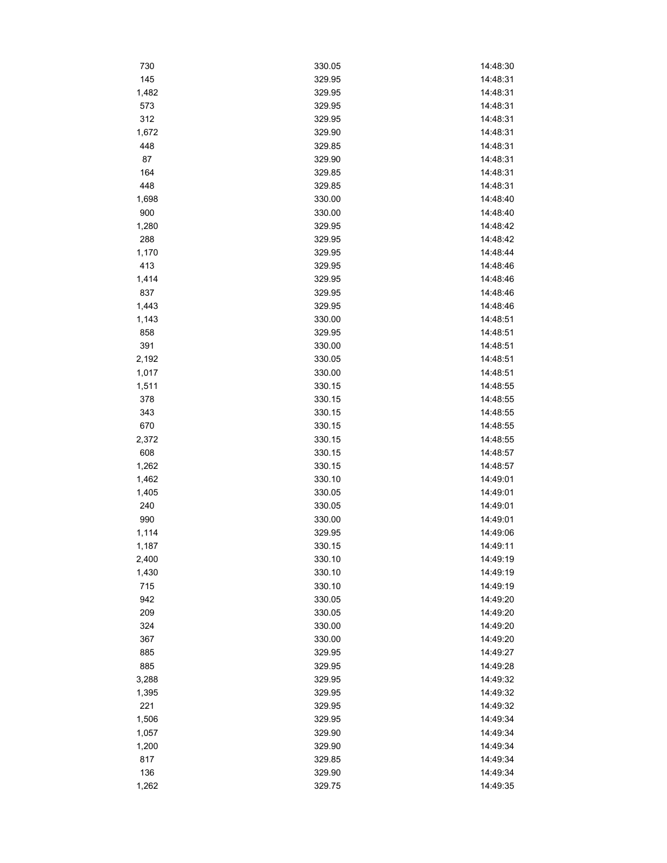| 730   | 330.05 | 14:48:30 |
|-------|--------|----------|
| 145   | 329.95 | 14:48:31 |
| 1,482 | 329.95 | 14:48:31 |
| 573   | 329.95 | 14:48:31 |
| 312   | 329.95 | 14:48:31 |
| 1,672 | 329.90 | 14:48:31 |
| 448   | 329.85 | 14:48:31 |
| 87    | 329.90 | 14:48:31 |
| 164   | 329.85 | 14:48:31 |
| 448   | 329.85 | 14:48:31 |
| 1,698 | 330.00 | 14:48:40 |
| 900   | 330.00 | 14:48:40 |
| 1,280 | 329.95 | 14:48:42 |
| 288   | 329.95 | 14:48:42 |
| 1,170 | 329.95 | 14:48:44 |
| 413   | 329.95 | 14:48:46 |
| 1,414 | 329.95 | 14:48:46 |
| 837   | 329.95 | 14:48:46 |
| 1,443 | 329.95 | 14:48:46 |
| 1,143 | 330.00 | 14:48:51 |
| 858   | 329.95 | 14:48:51 |
| 391   | 330.00 | 14:48:51 |
| 2,192 | 330.05 | 14:48:51 |
| 1,017 | 330.00 | 14:48:51 |
| 1,511 | 330.15 | 14:48:55 |
| 378   |        | 14:48:55 |
|       | 330.15 |          |
| 343   | 330.15 | 14:48:55 |
| 670   | 330.15 | 14:48:55 |
| 2,372 | 330.15 | 14:48:55 |
| 608   | 330.15 | 14:48:57 |
| 1,262 | 330.15 | 14:48:57 |
| 1,462 | 330.10 | 14:49:01 |
| 1,405 | 330.05 | 14:49:01 |
| 240   | 330.05 | 14:49:01 |
| 990   | 330.00 | 14:49:01 |
| 1,114 | 329.95 | 14:49:06 |
| 1,187 | 330.15 | 14:49:11 |
| 2,400 | 330.10 | 14:49:19 |
| 1,430 | 330.10 | 14:49:19 |
| 715   | 330.10 | 14:49:19 |
| 942   | 330.05 | 14:49:20 |
| 209   | 330.05 | 14:49:20 |
| 324   | 330.00 | 14:49:20 |
| 367   | 330.00 | 14:49:20 |
| 885   | 329.95 | 14:49:27 |
| 885   | 329.95 | 14:49:28 |
| 3,288 | 329.95 | 14:49:32 |
| 1,395 | 329.95 | 14:49:32 |
| 221   | 329.95 | 14:49:32 |
| 1,506 | 329.95 | 14:49:34 |
| 1,057 | 329.90 | 14:49:34 |
| 1,200 | 329.90 | 14:49:34 |
| 817   | 329.85 | 14:49:34 |
| 136   | 329.90 | 14:49:34 |
| 1,262 | 329.75 | 14:49:35 |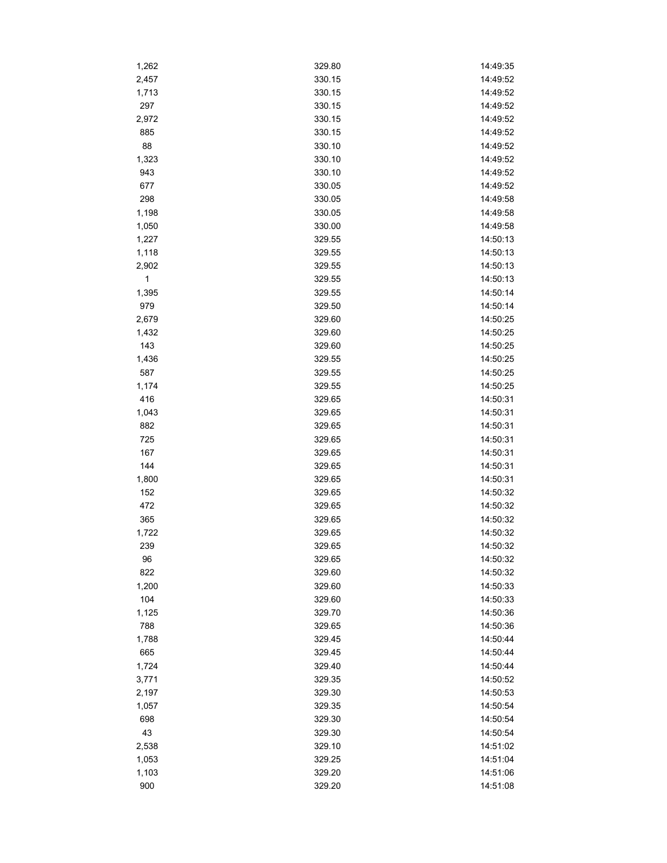| 1,262        | 329.80 | 14:49:35 |
|--------------|--------|----------|
| 2,457        | 330.15 | 14:49:52 |
| 1,713        | 330.15 | 14:49:52 |
| 297          | 330.15 | 14:49:52 |
| 2,972        | 330.15 | 14:49:52 |
| 885          | 330.15 | 14:49:52 |
| 88           | 330.10 | 14:49:52 |
| 1,323        | 330.10 | 14:49:52 |
| 943          | 330.10 | 14:49:52 |
| 677          | 330.05 | 14:49:52 |
| 298          | 330.05 | 14:49:58 |
| 1,198        | 330.05 | 14:49:58 |
| 1,050        | 330.00 | 14:49:58 |
| 1,227        | 329.55 | 14:50:13 |
| 1,118        | 329.55 | 14:50:13 |
| 2,902        | 329.55 | 14:50:13 |
| $\mathbf{1}$ | 329.55 | 14:50:13 |
| 1,395        | 329.55 | 14:50:14 |
| 979          | 329.50 | 14:50:14 |
| 2,679        | 329.60 | 14:50:25 |
| 1,432        | 329.60 | 14:50:25 |
| 143          | 329.60 | 14:50:25 |
| 1,436        | 329.55 | 14:50:25 |
| 587          | 329.55 | 14:50:25 |
| 1,174        | 329.55 | 14:50:25 |
| 416          | 329.65 | 14:50:31 |
| 1,043        | 329.65 | 14:50:31 |
| 882          | 329.65 | 14:50:31 |
| 725          | 329.65 | 14:50:31 |
| 167          | 329.65 | 14:50:31 |
| 144          | 329.65 | 14:50:31 |
| 1,800        | 329.65 | 14:50:31 |
| 152          | 329.65 | 14:50:32 |
| 472          | 329.65 | 14:50:32 |
| 365          | 329.65 | 14:50:32 |
| 1,722        | 329.65 | 14:50:32 |
| 239          | 329.65 | 14:50:32 |
| 96           | 329.65 | 14:50:32 |
| 822          | 329.60 | 14:50:32 |
| 1,200        | 329.60 | 14:50:33 |
| 104          | 329.60 | 14:50:33 |
| 1,125        | 329.70 | 14:50:36 |
| 788          | 329.65 | 14:50:36 |
| 1,788        | 329.45 | 14:50:44 |
| 665          | 329.45 | 14:50:44 |
| 1,724        | 329.40 | 14:50:44 |
| 3,771        | 329.35 | 14:50:52 |
| 2,197        | 329.30 | 14:50:53 |
| 1,057        | 329.35 | 14:50:54 |
| 698          | 329.30 | 14:50:54 |
| 43           | 329.30 | 14:50:54 |
| 2,538        | 329.10 | 14:51:02 |
| 1,053        | 329.25 | 14:51:04 |
| 1,103        | 329.20 | 14:51:06 |
| 900          | 329.20 | 14:51:08 |
|              |        |          |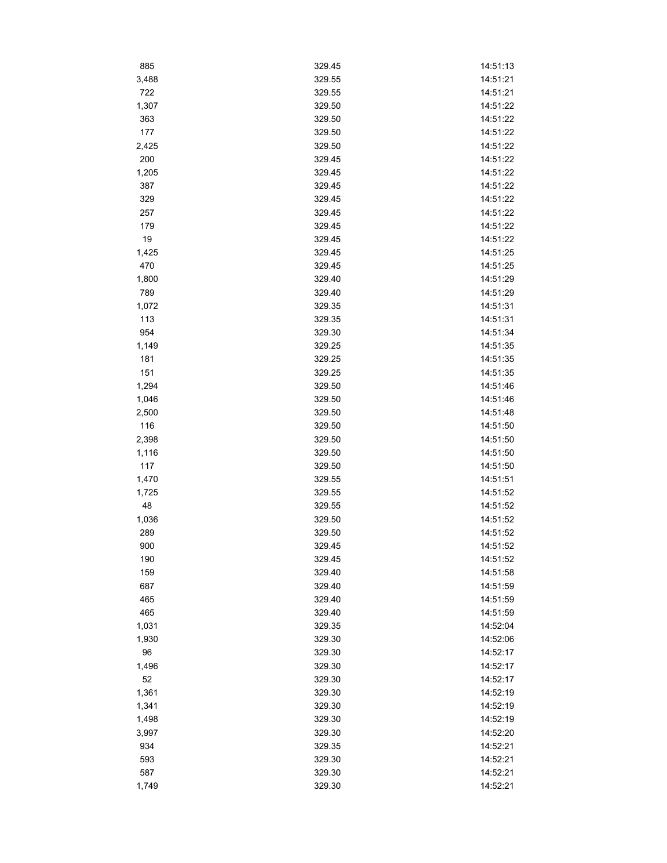| 885   | 329.45 | 14:51:13 |
|-------|--------|----------|
| 3,488 | 329.55 | 14:51:21 |
| 722   | 329.55 | 14:51:21 |
| 1,307 | 329.50 | 14:51:22 |
| 363   | 329.50 | 14:51:22 |
| 177   | 329.50 | 14:51:22 |
| 2,425 | 329.50 | 14:51:22 |
| 200   | 329.45 | 14:51:22 |
| 1,205 | 329.45 | 14:51:22 |
| 387   | 329.45 | 14:51:22 |
| 329   | 329.45 | 14:51:22 |
| 257   | 329.45 | 14:51:22 |
| 179   | 329.45 | 14:51:22 |
| 19    | 329.45 | 14:51:22 |
| 1,425 | 329.45 | 14:51:25 |
| 470   | 329.45 | 14:51:25 |
| 1,800 | 329.40 | 14:51:29 |
| 789   | 329.40 | 14:51:29 |
| 1,072 | 329.35 | 14:51:31 |
| 113   | 329.35 | 14:51:31 |
| 954   | 329.30 | 14:51:34 |
| 1,149 | 329.25 | 14:51:35 |
| 181   | 329.25 | 14:51:35 |
| 151   | 329.25 | 14:51:35 |
| 1,294 | 329.50 | 14:51:46 |
|       |        |          |
| 1,046 | 329.50 | 14:51:46 |
| 2,500 | 329.50 | 14:51:48 |
| 116   | 329.50 | 14:51:50 |
| 2,398 | 329.50 | 14:51:50 |
| 1,116 | 329.50 | 14:51:50 |
| 117   | 329.50 | 14:51:50 |
| 1,470 | 329.55 | 14:51:51 |
| 1,725 | 329.55 | 14:51:52 |
| 48    | 329.55 | 14:51:52 |
| 1,036 | 329.50 | 14:51:52 |
| 289   | 329.50 | 14:51:52 |
| 900   | 329.45 | 14:51:52 |
| 190   | 329.45 | 14:51:52 |
| 159   | 329.40 | 14:51:58 |
| 687   | 329.40 | 14:51:59 |
| 465   | 329.40 | 14:51:59 |
| 465   | 329.40 | 14:51:59 |
| 1,031 | 329.35 | 14:52:04 |
| 1,930 | 329.30 | 14:52:06 |
| 96    | 329.30 | 14:52:17 |
| 1,496 | 329.30 | 14:52:17 |
| 52    | 329.30 | 14:52:17 |
| 1,361 | 329.30 | 14:52:19 |
| 1,341 | 329.30 | 14:52:19 |
| 1,498 | 329.30 | 14:52:19 |
| 3,997 | 329.30 | 14:52:20 |
| 934   | 329.35 | 14:52:21 |
| 593   | 329.30 | 14:52:21 |
| 587   | 329.30 | 14:52:21 |
| 1,749 | 329.30 | 14:52:21 |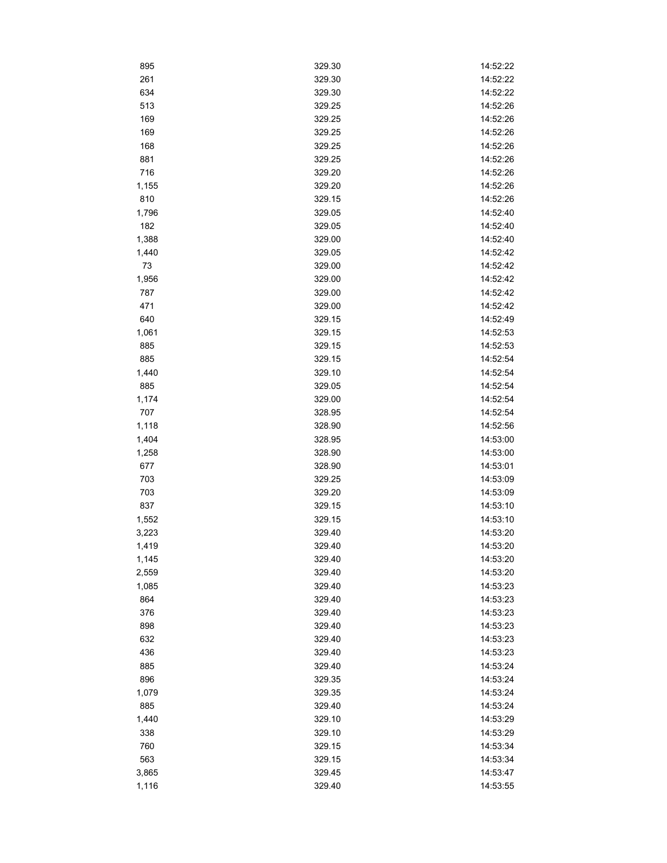| 895   | 329.30 | 14:52:22 |
|-------|--------|----------|
| 261   | 329.30 | 14:52:22 |
| 634   | 329.30 | 14:52:22 |
| 513   | 329.25 | 14:52:26 |
| 169   | 329.25 | 14:52:26 |
| 169   | 329.25 | 14:52:26 |
| 168   | 329.25 | 14:52:26 |
| 881   | 329.25 | 14:52:26 |
| 716   | 329.20 | 14:52:26 |
| 1,155 | 329.20 | 14:52:26 |
| 810   | 329.15 | 14:52:26 |
| 1,796 | 329.05 | 14:52:40 |
| 182   | 329.05 | 14:52:40 |
| 1,388 | 329.00 | 14:52:40 |
| 1,440 | 329.05 | 14:52:42 |
| 73    | 329.00 | 14:52:42 |
| 1,956 | 329.00 | 14:52:42 |
| 787   | 329.00 | 14:52:42 |
| 471   | 329.00 | 14:52:42 |
| 640   | 329.15 | 14:52:49 |
| 1,061 | 329.15 | 14:52:53 |
| 885   | 329.15 | 14:52:53 |
| 885   | 329.15 | 14:52:54 |
| 1,440 | 329.10 | 14:52:54 |
| 885   | 329.05 | 14:52:54 |
| 1,174 | 329.00 | 14:52:54 |
| 707   | 328.95 | 14:52:54 |
| 1,118 | 328.90 | 14:52:56 |
| 1,404 | 328.95 | 14:53:00 |
| 1,258 | 328.90 | 14:53:00 |
| 677   | 328.90 | 14:53:01 |
| 703   | 329.25 | 14:53:09 |
| 703   | 329.20 | 14:53:09 |
| 837   | 329.15 | 14:53:10 |
| 1,552 | 329.15 | 14:53:10 |
| 3,223 | 329.40 | 14:53:20 |
| 1,419 | 329.40 | 14:53:20 |
| 1,145 | 329.40 | 14:53:20 |
| 2,559 | 329.40 | 14:53:20 |
| 1,085 | 329.40 | 14:53:23 |
| 864   | 329.40 | 14:53:23 |
| 376   | 329.40 | 14:53:23 |
| 898   | 329.40 | 14:53:23 |
| 632   | 329.40 | 14:53:23 |
| 436   | 329.40 | 14:53:23 |
| 885   | 329.40 | 14:53:24 |
| 896   | 329.35 | 14:53:24 |
| 1,079 | 329.35 | 14:53:24 |
| 885   | 329.40 | 14:53:24 |
| 1,440 | 329.10 | 14:53:29 |
| 338   | 329.10 | 14:53:29 |
| 760   | 329.15 | 14:53:34 |
| 563   | 329.15 | 14:53:34 |
| 3,865 | 329.45 | 14:53:47 |
| 1,116 | 329.40 | 14:53:55 |
|       |        |          |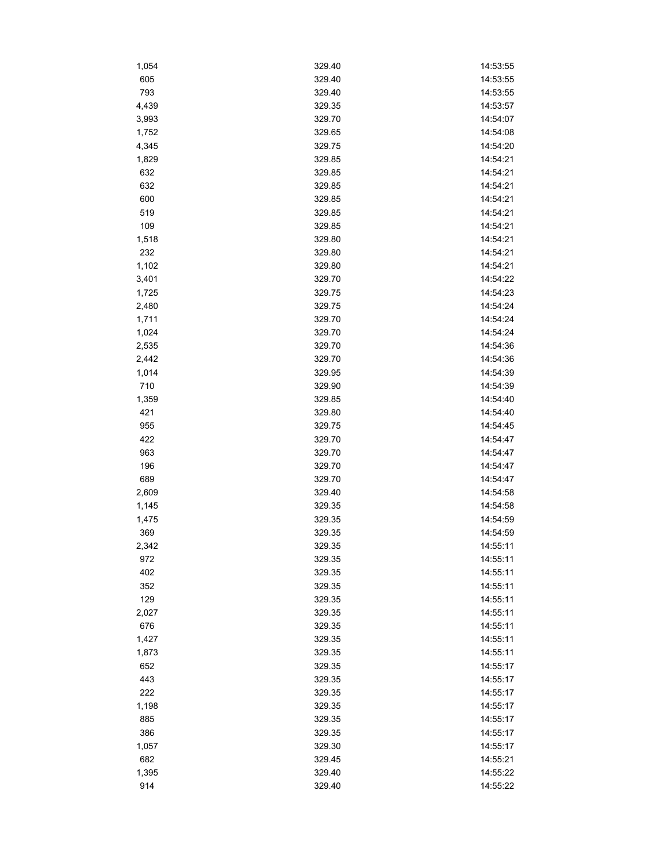| 1,054        | 329.40 | 14:53:55 |
|--------------|--------|----------|
| 605          | 329.40 | 14:53:55 |
| 793          | 329.40 | 14:53:55 |
| 4,439        | 329.35 | 14:53:57 |
| 3,993        | 329.70 | 14:54:07 |
| 1,752        | 329.65 | 14:54:08 |
| 4,345        | 329.75 | 14:54:20 |
| 1,829        | 329.85 | 14:54:21 |
| 632          | 329.85 | 14:54:21 |
| 632          | 329.85 | 14:54:21 |
| 600          | 329.85 | 14:54:21 |
| 519          | 329.85 | 14:54:21 |
| 109          | 329.85 | 14:54:21 |
| 1,518        | 329.80 | 14:54:21 |
| 232          | 329.80 | 14:54:21 |
| 1,102        | 329.80 | 14:54:21 |
| 3,401        | 329.70 | 14:54:22 |
| 1,725        | 329.75 | 14:54:23 |
| 2,480        | 329.75 | 14:54:24 |
| 1,711        | 329.70 | 14:54:24 |
| 1,024        | 329.70 | 14:54:24 |
| 2,535        | 329.70 | 14:54:36 |
| 2,442        | 329.70 | 14:54:36 |
| 1,014        | 329.95 | 14:54:39 |
| 710          | 329.90 | 14:54:39 |
| 1,359        | 329.85 | 14:54:40 |
| 421          | 329.80 | 14:54:40 |
| 955          | 329.75 | 14:54:45 |
| 422          | 329.70 | 14:54:47 |
| 963          | 329.70 | 14:54:47 |
| 196          | 329.70 | 14:54:47 |
| 689          | 329.70 | 14:54:47 |
| 2,609        | 329.40 | 14:54:58 |
|              | 329.35 | 14:54:58 |
| 1,145        | 329.35 | 14:54:59 |
| 1,475<br>369 | 329.35 | 14:54:59 |
|              | 329.35 |          |
| 2,342        |        | 14:55:11 |
| 972          | 329.35 | 14:55:11 |
| 402          | 329.35 | 14:55:11 |
| 352          | 329.35 | 14:55:11 |
| 129          | 329.35 | 14:55:11 |
| 2,027        | 329.35 | 14:55:11 |
| 676          | 329.35 | 14:55:11 |
| 1,427        | 329.35 | 14:55:11 |
| 1,873        | 329.35 | 14:55:11 |
| 652          | 329.35 | 14:55:17 |
| 443          | 329.35 | 14:55:17 |
| 222          | 329.35 | 14:55:17 |
| 1,198        | 329.35 | 14:55:17 |
| 885          | 329.35 | 14:55:17 |
| 386          | 329.35 | 14:55:17 |
| 1,057        | 329.30 | 14:55:17 |
| 682          | 329.45 | 14:55:21 |
| 1,395        | 329.40 | 14:55:22 |
| 914          | 329.40 | 14:55:22 |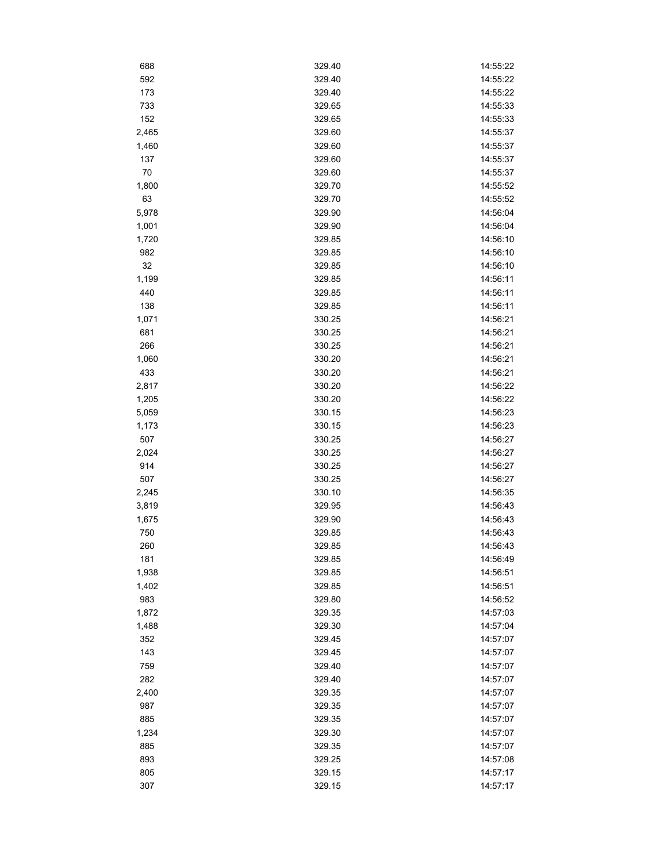| 688   | 329.40 | 14:55:22 |
|-------|--------|----------|
| 592   | 329.40 | 14:55:22 |
| 173   | 329.40 | 14:55:22 |
| 733   | 329.65 | 14:55:33 |
| 152   | 329.65 | 14:55:33 |
| 2,465 | 329.60 | 14:55:37 |
| 1,460 | 329.60 | 14:55:37 |
| 137   | 329.60 | 14:55:37 |
| 70    | 329.60 | 14:55:37 |
| 1,800 | 329.70 | 14:55:52 |
| 63    | 329.70 | 14:55:52 |
| 5,978 | 329.90 | 14:56:04 |
| 1,001 | 329.90 | 14:56:04 |
| 1,720 | 329.85 | 14:56:10 |
| 982   | 329.85 | 14:56:10 |
| 32    | 329.85 | 14:56:10 |
| 1,199 | 329.85 | 14:56:11 |
| 440   | 329.85 | 14:56:11 |
| 138   | 329.85 | 14:56:11 |
| 1,071 | 330.25 | 14:56:21 |
| 681   | 330.25 | 14:56:21 |
| 266   | 330.25 | 14:56:21 |
| 1,060 | 330.20 | 14:56:21 |
| 433   | 330.20 | 14:56:21 |
| 2,817 | 330.20 | 14:56:22 |
| 1,205 | 330.20 | 14:56:22 |
| 5,059 | 330.15 | 14:56:23 |
| 1,173 | 330.15 | 14:56:23 |
| 507   | 330.25 | 14:56:27 |
| 2,024 | 330.25 | 14:56:27 |
| 914   | 330.25 | 14:56:27 |
| 507   | 330.25 | 14:56:27 |
| 2,245 | 330.10 | 14:56:35 |
| 3,819 | 329.95 | 14:56:43 |
| 1,675 | 329.90 | 14:56:43 |
| 750   | 329.85 | 14:56:43 |
| 260   | 329.85 | 14:56:43 |
| 181   | 329.85 | 14:56:49 |
| 1,938 | 329.85 | 14:56:51 |
| 1,402 | 329.85 | 14:56:51 |
| 983   | 329.80 | 14:56:52 |
| 1,872 | 329.35 | 14:57:03 |
| 1,488 | 329.30 | 14:57:04 |
| 352   | 329.45 | 14:57:07 |
| 143   | 329.45 | 14:57:07 |
| 759   | 329.40 | 14:57:07 |
| 282   | 329.40 | 14:57:07 |
| 2,400 | 329.35 | 14:57:07 |
| 987   | 329.35 | 14:57:07 |
| 885   | 329.35 | 14:57:07 |
| 1,234 | 329.30 | 14:57:07 |
| 885   | 329.35 | 14:57:07 |
| 893   | 329.25 | 14:57:08 |
| 805   | 329.15 | 14:57:17 |
| 307   | 329.15 | 14:57:17 |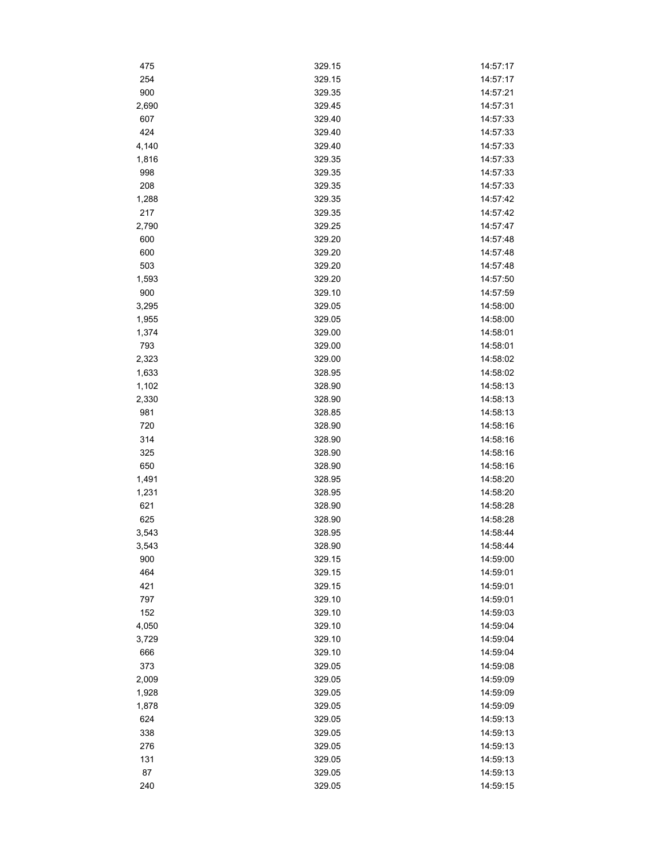| 475   | 329.15 | 14:57:17 |
|-------|--------|----------|
| 254   | 329.15 | 14:57:17 |
| 900   | 329.35 | 14:57:21 |
| 2,690 | 329.45 | 14:57:31 |
| 607   | 329.40 | 14:57:33 |
| 424   | 329.40 | 14:57:33 |
| 4,140 | 329.40 | 14:57:33 |
| 1,816 | 329.35 | 14:57:33 |
| 998   | 329.35 | 14:57:33 |
| 208   | 329.35 | 14:57:33 |
| 1,288 | 329.35 | 14:57:42 |
| 217   | 329.35 | 14:57:42 |
| 2,790 | 329.25 | 14:57:47 |
| 600   | 329.20 | 14:57:48 |
| 600   | 329.20 | 14:57:48 |
| 503   | 329.20 | 14:57:48 |
| 1,593 | 329.20 | 14:57:50 |
| 900   | 329.10 | 14:57:59 |
| 3,295 | 329.05 | 14:58:00 |
| 1,955 | 329.05 | 14:58:00 |
| 1,374 | 329.00 | 14:58:01 |
| 793   | 329.00 | 14:58:01 |
| 2,323 | 329.00 | 14:58:02 |
| 1,633 | 328.95 | 14:58:02 |
| 1,102 | 328.90 | 14:58:13 |
| 2,330 | 328.90 | 14:58:13 |
| 981   | 328.85 | 14:58:13 |
| 720   | 328.90 | 14:58:16 |
| 314   | 328.90 | 14:58:16 |
| 325   | 328.90 | 14:58:16 |
| 650   | 328.90 | 14:58:16 |
| 1,491 | 328.95 | 14:58:20 |
| 1,231 | 328.95 | 14:58:20 |
| 621   | 328.90 | 14:58:28 |
| 625   | 328.90 | 14:58:28 |
| 3,543 | 328.95 | 14:58:44 |
| 3,543 | 328.90 | 14:58:44 |
| 900   | 329.15 | 14:59:00 |
| 464   | 329.15 | 14:59:01 |
| 421   | 329.15 | 14:59:01 |
| 797   | 329.10 | 14:59:01 |
| 152   | 329.10 | 14:59:03 |
| 4,050 | 329.10 | 14:59:04 |
| 3,729 | 329.10 | 14:59:04 |
| 666   | 329.10 | 14:59:04 |
| 373   | 329.05 | 14:59:08 |
| 2,009 | 329.05 | 14:59:09 |
| 1,928 | 329.05 | 14:59:09 |
| 1,878 | 329.05 | 14:59:09 |
| 624   | 329.05 | 14:59:13 |
| 338   | 329.05 | 14:59:13 |
| 276   | 329.05 | 14:59:13 |
| 131   | 329.05 | 14:59:13 |
| 87    | 329.05 | 14:59:13 |
| 240   | 329.05 | 14:59:15 |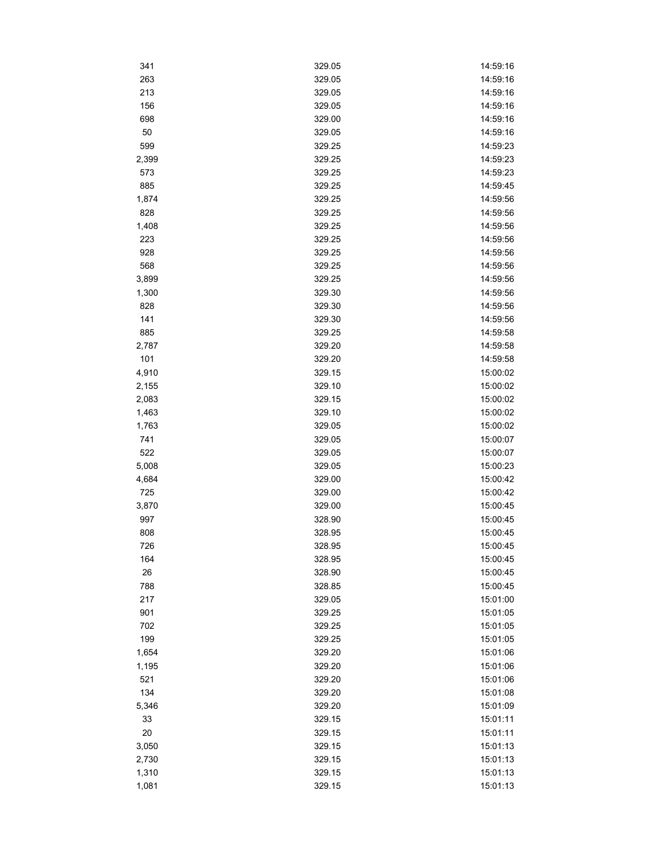| 341   | 329.05 | 14:59:16 |
|-------|--------|----------|
| 263   | 329.05 | 14:59:16 |
| 213   | 329.05 | 14:59:16 |
| 156   | 329.05 | 14:59:16 |
| 698   | 329.00 | 14:59:16 |
| 50    | 329.05 | 14:59:16 |
| 599   | 329.25 | 14:59:23 |
| 2,399 | 329.25 | 14:59:23 |
| 573   | 329.25 | 14:59:23 |
| 885   | 329.25 | 14:59:45 |
| 1,874 | 329.25 | 14:59:56 |
| 828   | 329.25 | 14:59:56 |
| 1,408 | 329.25 | 14:59:56 |
| 223   | 329.25 | 14:59:56 |
| 928   | 329.25 | 14:59:56 |
| 568   | 329.25 | 14:59:56 |
| 3,899 | 329.25 | 14:59:56 |
| 1,300 | 329.30 | 14:59:56 |
| 828   | 329.30 | 14:59:56 |
| 141   | 329.30 | 14:59:56 |
| 885   | 329.25 | 14:59:58 |
| 2,787 | 329.20 | 14:59:58 |
| 101   | 329.20 | 14:59:58 |
| 4,910 | 329.15 | 15:00:02 |
| 2,155 | 329.10 | 15:00:02 |
| 2,083 | 329.15 | 15:00:02 |
|       |        |          |
| 1,463 | 329.10 | 15:00:02 |
| 1,763 | 329.05 | 15:00:02 |
| 741   | 329.05 | 15:00:07 |
| 522   | 329.05 | 15:00:07 |
| 5,008 | 329.05 | 15:00:23 |
| 4,684 | 329.00 | 15:00:42 |
| 725   | 329.00 | 15:00:42 |
| 3,870 | 329.00 | 15:00:45 |
| 997   | 328.90 | 15:00:45 |
| 808   | 328.95 | 15:00:45 |
| 726   | 328.95 | 15:00:45 |
| 164   | 328.95 | 15:00:45 |
| 26    | 328.90 | 15:00:45 |
| 788   | 328.85 | 15:00:45 |
| 217   | 329.05 | 15:01:00 |
| 901   | 329.25 | 15:01:05 |
| 702   | 329.25 | 15:01:05 |
| 199   | 329.25 | 15:01:05 |
| 1,654 | 329.20 | 15:01:06 |
| 1,195 | 329.20 | 15:01:06 |
| 521   | 329.20 | 15:01:06 |
| 134   | 329.20 | 15:01:08 |
| 5,346 | 329.20 | 15:01:09 |
| 33    | 329.15 | 15:01:11 |
| 20    | 329.15 | 15:01:11 |
| 3,050 | 329.15 | 15:01:13 |
| 2,730 | 329.15 | 15:01:13 |
| 1,310 | 329.15 | 15:01:13 |
| 1,081 | 329.15 | 15:01:13 |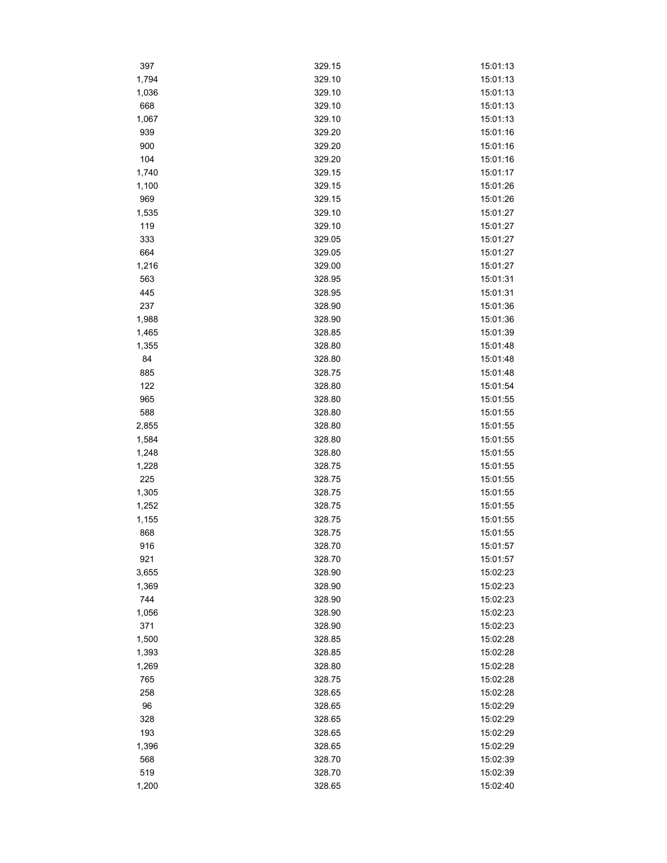| 397   | 329.15 | 15:01:13 |
|-------|--------|----------|
| 1,794 | 329.10 | 15:01:13 |
| 1,036 | 329.10 | 15:01:13 |
| 668   | 329.10 | 15:01:13 |
| 1,067 | 329.10 | 15:01:13 |
| 939   | 329.20 | 15:01:16 |
| 900   | 329.20 | 15:01:16 |
| 104   | 329.20 | 15:01:16 |
| 1,740 | 329.15 | 15:01:17 |
| 1,100 | 329.15 | 15:01:26 |
| 969   | 329.15 | 15:01:26 |
| 1,535 | 329.10 | 15:01:27 |
| 119   | 329.10 | 15:01:27 |
| 333   | 329.05 | 15:01:27 |
| 664   | 329.05 | 15:01:27 |
| 1,216 | 329.00 | 15:01:27 |
| 563   | 328.95 | 15:01:31 |
| 445   | 328.95 | 15:01:31 |
| 237   | 328.90 | 15:01:36 |
| 1,988 | 328.90 | 15:01:36 |
| 1,465 | 328.85 | 15:01:39 |
| 1,355 | 328.80 | 15:01:48 |
| 84    | 328.80 | 15:01:48 |
| 885   | 328.75 | 15:01:48 |
| 122   | 328.80 | 15:01:54 |
| 965   | 328.80 | 15:01:55 |
| 588   | 328.80 | 15:01:55 |
| 2,855 | 328.80 | 15:01:55 |
| 1,584 | 328.80 | 15:01:55 |
| 1,248 | 328.80 | 15:01:55 |
| 1,228 | 328.75 | 15:01:55 |
| 225   | 328.75 | 15:01:55 |
| 1,305 | 328.75 | 15:01:55 |
| 1,252 | 328.75 | 15:01:55 |
| 1,155 | 328.75 | 15:01:55 |
| 868   | 328.75 | 15:01:55 |
| 916   | 328.70 | 15:01:57 |
| 921   | 328.70 | 15:01:57 |
| 3,655 | 328.90 | 15:02:23 |
| 1,369 | 328.90 | 15:02:23 |
| 744   | 328.90 | 15:02:23 |
| 1,056 | 328.90 | 15:02:23 |
| 371   | 328.90 | 15:02:23 |
| 1,500 | 328.85 | 15:02:28 |
| 1,393 | 328.85 | 15:02:28 |
| 1,269 | 328.80 | 15:02:28 |
| 765   | 328.75 | 15:02:28 |
| 258   | 328.65 | 15:02:28 |
| 96    | 328.65 | 15:02:29 |
| 328   | 328.65 | 15:02:29 |
| 193   | 328.65 | 15:02:29 |
| 1,396 | 328.65 | 15:02:29 |
| 568   | 328.70 | 15:02:39 |
| 519   | 328.70 | 15:02:39 |
| 1,200 | 328.65 | 15:02:40 |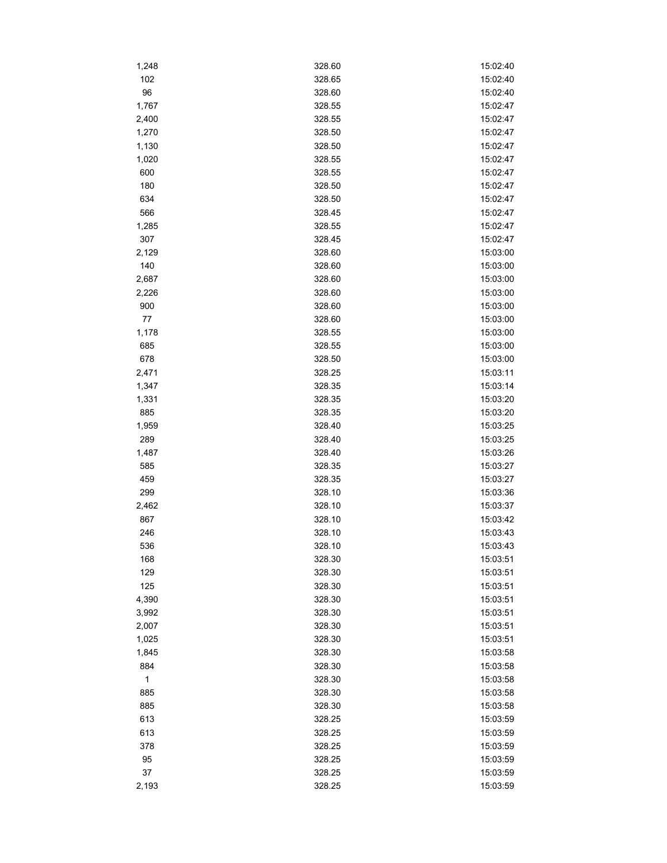| 1,248        | 328.60 | 15:02:40 |
|--------------|--------|----------|
| 102          | 328.65 | 15:02:40 |
| 96           | 328.60 | 15:02:40 |
| 1,767        | 328.55 | 15:02:47 |
| 2,400        | 328.55 | 15:02:47 |
| 1,270        | 328.50 | 15:02:47 |
| 1,130        | 328.50 | 15:02:47 |
| 1,020        | 328.55 | 15:02:47 |
| 600          | 328.55 | 15:02:47 |
| 180          | 328.50 | 15:02:47 |
| 634          | 328.50 | 15:02:47 |
| 566          | 328.45 | 15:02:47 |
| 1,285        | 328.55 | 15:02:47 |
| 307          | 328.45 | 15:02:47 |
| 2,129        | 328.60 | 15:03:00 |
| 140          | 328.60 | 15:03:00 |
| 2,687        | 328.60 | 15:03:00 |
| 2,226        | 328.60 | 15:03:00 |
| 900          | 328.60 | 15:03:00 |
| 77           | 328.60 | 15:03:00 |
| 1,178        | 328.55 | 15:03:00 |
| 685          | 328.55 | 15:03:00 |
| 678          | 328.50 | 15:03:00 |
| 2,471        | 328.25 | 15:03:11 |
| 1,347        | 328.35 | 15:03:14 |
| 1,331        | 328.35 | 15:03:20 |
| 885          | 328.35 | 15:03:20 |
| 1,959        | 328.40 | 15:03:25 |
| 289          | 328.40 | 15:03:25 |
| 1,487        | 328.40 | 15:03:26 |
| 585          | 328.35 | 15:03:27 |
| 459          | 328.35 | 15:03:27 |
| 299          | 328.10 | 15:03:36 |
| 2,462        | 328.10 | 15:03:37 |
| 867          | 328.10 | 15:03:42 |
| 246          | 328.10 | 15:03:43 |
| 536          | 328.10 | 15:03:43 |
| 168          | 328.30 | 15:03:51 |
| 129          | 328.30 | 15:03:51 |
| 125          | 328.30 | 15:03:51 |
| 4,390        | 328.30 | 15:03:51 |
| 3,992        | 328.30 | 15:03:51 |
| 2,007        | 328.30 | 15:03:51 |
| 1,025        | 328.30 | 15:03:51 |
| 1,845        | 328.30 | 15:03:58 |
| 884          | 328.30 | 15:03:58 |
| $\mathbf{1}$ | 328.30 | 15:03:58 |
| 885          | 328.30 | 15:03:58 |
| 885          | 328.30 | 15:03:58 |
| 613          | 328.25 | 15:03:59 |
| 613          | 328.25 | 15:03:59 |
| 378          | 328.25 | 15:03:59 |
| 95           | 328.25 | 15:03:59 |
| 37           | 328.25 | 15:03:59 |
| 2,193        | 328.25 | 15:03:59 |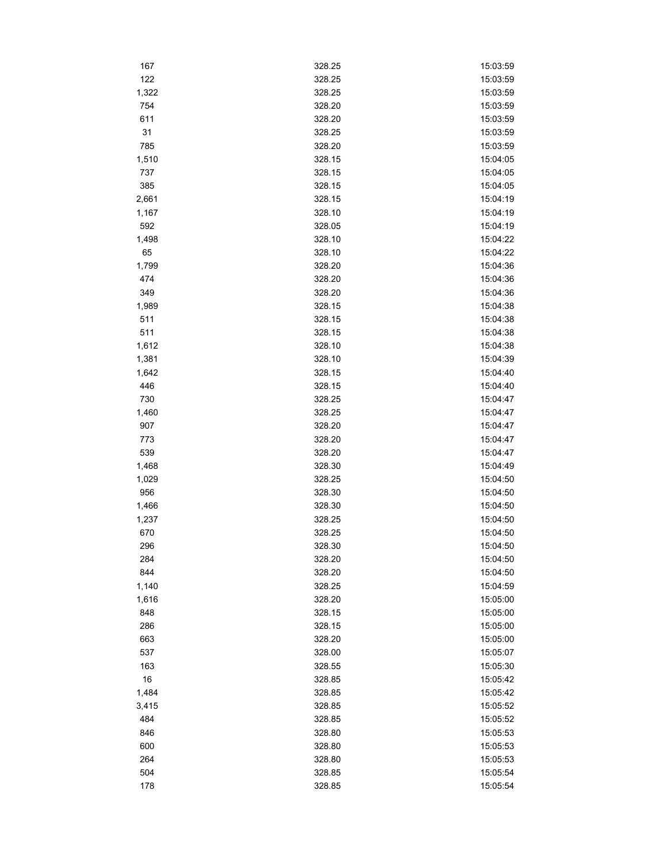| 167   | 328.25 | 15:03:59 |
|-------|--------|----------|
| 122   | 328.25 | 15:03:59 |
| 1,322 | 328.25 | 15:03:59 |
| 754   | 328.20 | 15:03:59 |
| 611   | 328.20 | 15:03:59 |
| 31    | 328.25 | 15:03:59 |
| 785   | 328.20 | 15:03:59 |
| 1,510 | 328.15 | 15:04:05 |
| 737   | 328.15 | 15:04:05 |
| 385   | 328.15 | 15:04:05 |
| 2,661 | 328.15 | 15:04:19 |
| 1,167 | 328.10 | 15:04:19 |
| 592   | 328.05 | 15:04:19 |
| 1,498 | 328.10 | 15:04:22 |
| 65    | 328.10 | 15:04:22 |
| 1,799 | 328.20 | 15:04:36 |
| 474   | 328.20 | 15:04:36 |
| 349   | 328.20 | 15:04:36 |
| 1,989 | 328.15 | 15:04:38 |
| 511   | 328.15 | 15:04:38 |
| 511   | 328.15 | 15:04:38 |
| 1,612 | 328.10 | 15:04:38 |
| 1,381 | 328.10 | 15:04:39 |
| 1,642 | 328.15 | 15:04:40 |
| 446   | 328.15 | 15:04:40 |
| 730   | 328.25 | 15:04:47 |
| 1,460 | 328.25 | 15:04:47 |
| 907   | 328.20 | 15:04:47 |
| 773   | 328.20 | 15:04:47 |
| 539   | 328.20 | 15:04:47 |
| 1,468 | 328.30 | 15:04:49 |
| 1,029 | 328.25 | 15:04:50 |
| 956   | 328.30 | 15:04:50 |
| 1,466 | 328.30 | 15:04:50 |
| 1,237 | 328.25 | 15:04:50 |
| 670   | 328.25 | 15:04:50 |
| 296   | 328.30 | 15:04:50 |
| 284   | 328.20 | 15:04:50 |
| 844   | 328.20 | 15:04:50 |
| 1,140 | 328.25 | 15:04:59 |
| 1,616 | 328.20 | 15:05:00 |
| 848   | 328.15 | 15:05:00 |
| 286   | 328.15 | 15:05:00 |
| 663   | 328.20 | 15:05:00 |
| 537   | 328.00 | 15:05:07 |
| 163   | 328.55 | 15:05:30 |
| 16    | 328.85 | 15:05:42 |
| 1,484 | 328.85 | 15:05:42 |
| 3,415 | 328.85 | 15:05:52 |
| 484   | 328.85 | 15:05:52 |
| 846   | 328.80 | 15:05:53 |
| 600   | 328.80 | 15:05:53 |
| 264   | 328.80 | 15:05:53 |
| 504   | 328.85 | 15:05:54 |
| 178   | 328.85 | 15:05:54 |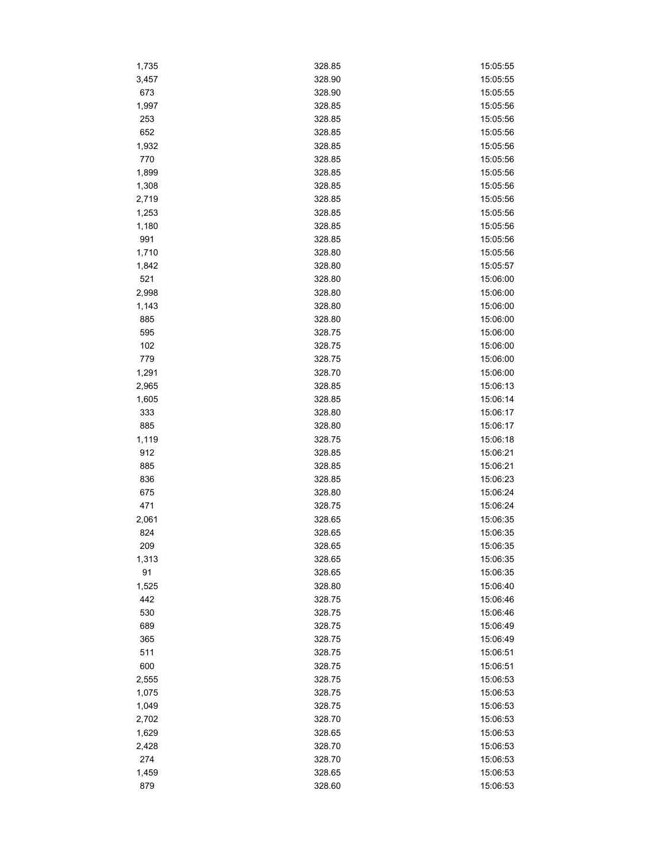| 1,735 | 328.85 | 15:05:55 |
|-------|--------|----------|
| 3,457 | 328.90 | 15:05:55 |
| 673   | 328.90 | 15:05:55 |
| 1,997 | 328.85 | 15:05:56 |
| 253   | 328.85 | 15:05:56 |
| 652   | 328.85 | 15:05:56 |
| 1,932 | 328.85 | 15:05:56 |
| 770   | 328.85 | 15:05:56 |
| 1,899 | 328.85 | 15:05:56 |
| 1,308 | 328.85 | 15:05:56 |
| 2,719 | 328.85 | 15:05:56 |
| 1,253 | 328.85 | 15:05:56 |
| 1,180 | 328.85 | 15:05:56 |
| 991   | 328.85 | 15:05:56 |
| 1,710 | 328.80 | 15:05:56 |
| 1,842 | 328.80 | 15:05:57 |
| 521   | 328.80 | 15:06:00 |
| 2,998 | 328.80 | 15:06:00 |
| 1,143 | 328.80 | 15:06:00 |
|       | 328.80 | 15:06:00 |
| 885   |        |          |
| 595   | 328.75 | 15:06:00 |
| 102   | 328.75 | 15:06:00 |
| 779   | 328.75 | 15:06:00 |
| 1,291 | 328.70 | 15:06:00 |
| 2,965 | 328.85 | 15:06:13 |
| 1,605 | 328.85 | 15:06:14 |
| 333   | 328.80 | 15:06:17 |
| 885   | 328.80 | 15:06:17 |
| 1,119 | 328.75 | 15:06:18 |
| 912   | 328.85 | 15:06:21 |
| 885   | 328.85 | 15:06:21 |
| 836   | 328.85 | 15:06:23 |
| 675   | 328.80 | 15:06:24 |
| 471   | 328.75 | 15:06:24 |
| 2,061 | 328.65 | 15:06:35 |
| 824   | 328.65 | 15:06:35 |
| 209   | 328.65 | 15:06:35 |
| 1,313 | 328.65 | 15:06:35 |
| 91    | 328.65 | 15:06:35 |
| 1,525 | 328.80 | 15:06:40 |
| 442   | 328.75 | 15:06:46 |
| 530   | 328.75 | 15:06:46 |
| 689   | 328.75 | 15:06:49 |
| 365   | 328.75 | 15:06:49 |
| 511   | 328.75 | 15:06:51 |
| 600   | 328.75 | 15:06:51 |
| 2,555 | 328.75 | 15:06:53 |
| 1,075 | 328.75 | 15:06:53 |
| 1,049 | 328.75 | 15:06:53 |
| 2,702 | 328.70 | 15:06:53 |
| 1,629 | 328.65 | 15:06:53 |
| 2,428 | 328.70 | 15:06:53 |
| 274   | 328.70 | 15:06:53 |
| 1,459 | 328.65 | 15:06:53 |
| 879   | 328.60 | 15:06:53 |
|       |        |          |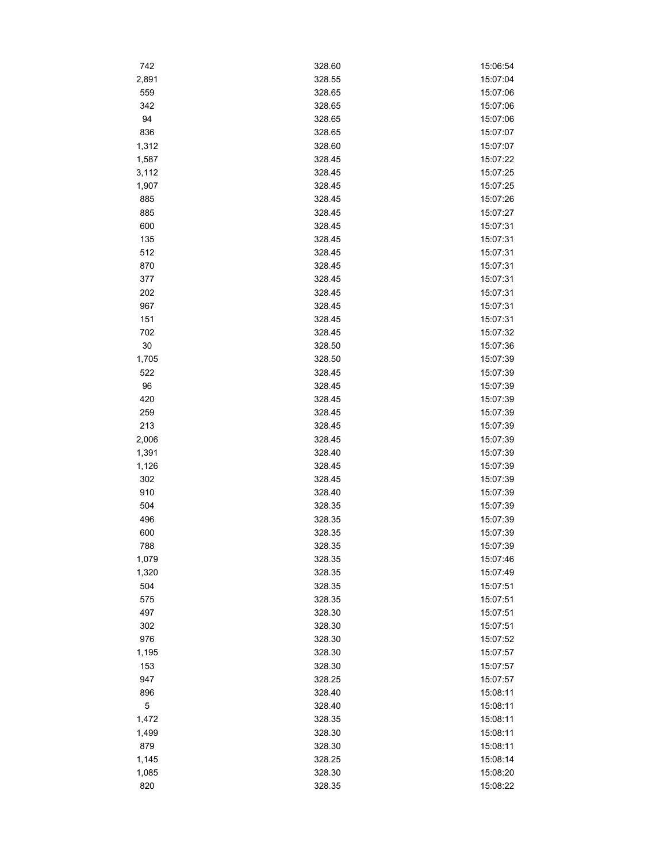| 742         | 328.60 | 15:06:54 |
|-------------|--------|----------|
| 2,891       | 328.55 | 15:07:04 |
| 559         | 328.65 | 15:07:06 |
| 342         | 328.65 | 15:07:06 |
| 94          | 328.65 | 15:07:06 |
| 836         | 328.65 | 15:07:07 |
| 1,312       | 328.60 | 15:07:07 |
| 1,587       | 328.45 | 15:07:22 |
| 3,112       | 328.45 | 15:07:25 |
| 1,907       | 328.45 | 15:07:25 |
| 885         | 328.45 | 15:07:26 |
| 885         | 328.45 | 15:07:27 |
| 600         | 328.45 | 15:07:31 |
| 135         | 328.45 | 15:07:31 |
| 512         | 328.45 | 15:07:31 |
| 870         | 328.45 | 15:07:31 |
| 377         | 328.45 | 15:07:31 |
| 202         | 328.45 | 15:07:31 |
| 967         | 328.45 | 15:07:31 |
| 151         | 328.45 | 15:07:31 |
| 702         | 328.45 | 15:07:32 |
| 30          | 328.50 | 15:07:36 |
| 1,705       | 328.50 | 15:07:39 |
| 522         | 328.45 | 15:07:39 |
| 96          | 328.45 | 15:07:39 |
| 420         |        | 15:07:39 |
|             | 328.45 |          |
| 259         | 328.45 | 15:07:39 |
| 213         | 328.45 | 15:07:39 |
| 2,006       | 328.45 | 15:07:39 |
| 1,391       | 328.40 | 15:07:39 |
| 1,126       | 328.45 | 15:07:39 |
| 302         | 328.45 | 15:07:39 |
| 910         | 328.40 | 15:07:39 |
| 504         | 328.35 | 15:07:39 |
| 496         | 328.35 | 15:07:39 |
| 600         | 328.35 | 15:07:39 |
| 788         | 328.35 | 15:07:39 |
| 1,079       | 328.35 | 15:07:46 |
| 1,320       | 328.35 | 15:07:49 |
| 504         | 328.35 | 15:07:51 |
| 575         | 328.35 | 15:07:51 |
| 497         | 328.30 | 15:07:51 |
| 302         | 328.30 | 15:07:51 |
| 976         | 328.30 | 15:07:52 |
| 1,195       | 328.30 | 15:07:57 |
| 153         | 328.30 | 15:07:57 |
| 947         | 328.25 | 15:07:57 |
| 896         | 328.40 | 15:08:11 |
| $\mathbf 5$ | 328.40 | 15:08:11 |
| 1,472       | 328.35 | 15:08:11 |
| 1,499       | 328.30 | 15:08:11 |
| 879         | 328.30 | 15:08:11 |
| 1,145       | 328.25 | 15:08:14 |
| 1,085       | 328.30 | 15:08:20 |
| 820         | 328.35 | 15:08:22 |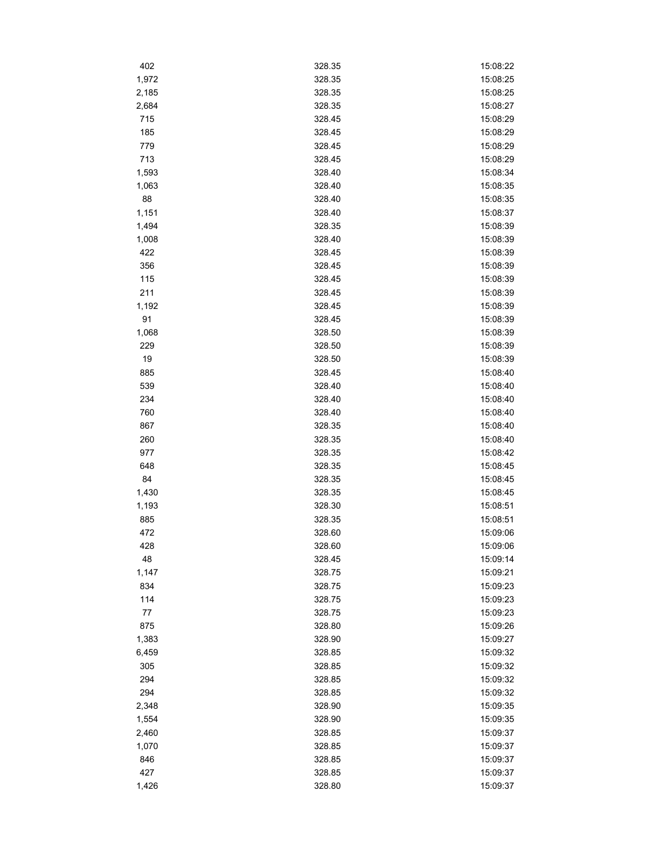| 402   | 328.35 | 15:08:22 |
|-------|--------|----------|
| 1,972 | 328.35 | 15:08:25 |
| 2,185 | 328.35 | 15:08:25 |
| 2,684 | 328.35 | 15:08:27 |
| 715   | 328.45 | 15:08:29 |
| 185   | 328.45 | 15:08:29 |
| 779   | 328.45 | 15:08:29 |
| 713   | 328.45 | 15:08:29 |
| 1,593 | 328.40 | 15:08:34 |
| 1,063 | 328.40 | 15:08:35 |
| 88    | 328.40 | 15:08:35 |
| 1,151 | 328.40 | 15:08:37 |
| 1,494 | 328.35 | 15:08:39 |
| 1,008 | 328.40 | 15:08:39 |
| 422   | 328.45 | 15:08:39 |
| 356   | 328.45 | 15:08:39 |
| 115   | 328.45 | 15:08:39 |
| 211   | 328.45 | 15:08:39 |
| 1,192 | 328.45 | 15:08:39 |
| 91    | 328.45 | 15:08:39 |
| 1,068 | 328.50 | 15:08:39 |
| 229   | 328.50 | 15:08:39 |
| 19    | 328.50 | 15:08:39 |
| 885   | 328.45 | 15:08:40 |
| 539   |        |          |
|       | 328.40 | 15:08:40 |
| 234   | 328.40 | 15:08:40 |
| 760   | 328.40 | 15:08:40 |
| 867   | 328.35 | 15:08:40 |
| 260   | 328.35 | 15:08:40 |
| 977   | 328.35 | 15:08:42 |
| 648   | 328.35 | 15:08:45 |
| 84    | 328.35 | 15:08:45 |
| 1,430 | 328.35 | 15:08:45 |
| 1,193 | 328.30 | 15:08:51 |
| 885   | 328.35 | 15:08:51 |
| 472   | 328.60 | 15:09:06 |
| 428   | 328.60 | 15:09:06 |
| 48    | 328.45 | 15:09:14 |
| 1,147 | 328.75 | 15:09:21 |
| 834   | 328.75 | 15:09:23 |
| 114   | 328.75 | 15:09:23 |
| 77    | 328.75 | 15:09:23 |
| 875   | 328.80 | 15:09:26 |
| 1,383 | 328.90 | 15:09:27 |
| 6,459 | 328.85 | 15:09:32 |
| 305   | 328.85 | 15:09:32 |
| 294   | 328.85 | 15:09:32 |
| 294   | 328.85 | 15:09:32 |
| 2,348 | 328.90 | 15:09:35 |
| 1,554 | 328.90 | 15:09:35 |
| 2,460 | 328.85 | 15:09:37 |
| 1,070 | 328.85 | 15:09:37 |
| 846   | 328.85 | 15:09:37 |
| 427   | 328.85 | 15:09:37 |
| 1,426 | 328.80 | 15:09:37 |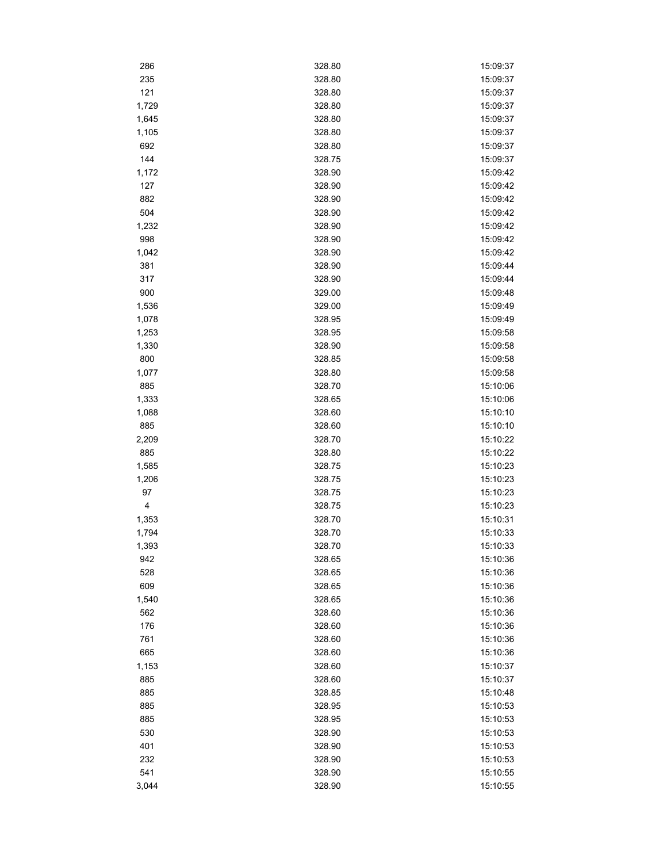| 286   | 328.80 | 15:09:37 |
|-------|--------|----------|
| 235   | 328.80 | 15:09:37 |
| 121   | 328.80 | 15:09:37 |
| 1,729 | 328.80 | 15:09:37 |
| 1,645 | 328.80 | 15:09:37 |
| 1,105 | 328.80 | 15:09:37 |
| 692   | 328.80 | 15:09:37 |
| 144   | 328.75 | 15:09:37 |
| 1,172 | 328.90 | 15:09:42 |
| 127   | 328.90 | 15:09:42 |
| 882   | 328.90 | 15:09:42 |
| 504   | 328.90 | 15:09:42 |
| 1,232 | 328.90 | 15:09:42 |
| 998   | 328.90 | 15:09:42 |
| 1,042 | 328.90 | 15:09:42 |
| 381   | 328.90 | 15:09:44 |
| 317   | 328.90 | 15:09:44 |
| 900   | 329.00 | 15:09:48 |
| 1,536 | 329.00 | 15:09:49 |
| 1,078 | 328.95 | 15:09:49 |
| 1,253 | 328.95 | 15:09:58 |
| 1,330 | 328.90 | 15:09:58 |
| 800   | 328.85 | 15:09:58 |
| 1,077 | 328.80 | 15:09:58 |
| 885   | 328.70 | 15:10:06 |
| 1,333 | 328.65 | 15:10:06 |
| 1,088 | 328.60 | 15:10:10 |
| 885   | 328.60 | 15:10:10 |
| 2,209 | 328.70 | 15:10:22 |
| 885   | 328.80 | 15:10:22 |
| 1,585 | 328.75 | 15:10:23 |
| 1,206 | 328.75 | 15:10:23 |
| 97    | 328.75 | 15:10:23 |
| 4     | 328.75 | 15:10:23 |
| 1,353 | 328.70 | 15:10:31 |
| 1,794 | 328.70 | 15:10:33 |
| 1,393 | 328.70 | 15:10:33 |
| 942   | 328.65 | 15:10:36 |
| 528   | 328.65 | 15:10:36 |
| 609   | 328.65 | 15:10:36 |
| 1,540 | 328.65 | 15:10:36 |
| 562   | 328.60 | 15:10:36 |
| 176   | 328.60 | 15:10:36 |
| 761   | 328.60 | 15:10:36 |
| 665   | 328.60 | 15:10:36 |
| 1,153 | 328.60 | 15:10:37 |
| 885   | 328.60 | 15:10:37 |
| 885   | 328.85 | 15:10:48 |
| 885   | 328.95 | 15:10:53 |
| 885   | 328.95 | 15:10:53 |
| 530   | 328.90 | 15:10:53 |
| 401   | 328.90 | 15:10:53 |
| 232   | 328.90 | 15:10:53 |
| 541   | 328.90 | 15:10:55 |
| 3,044 | 328.90 | 15:10:55 |
|       |        |          |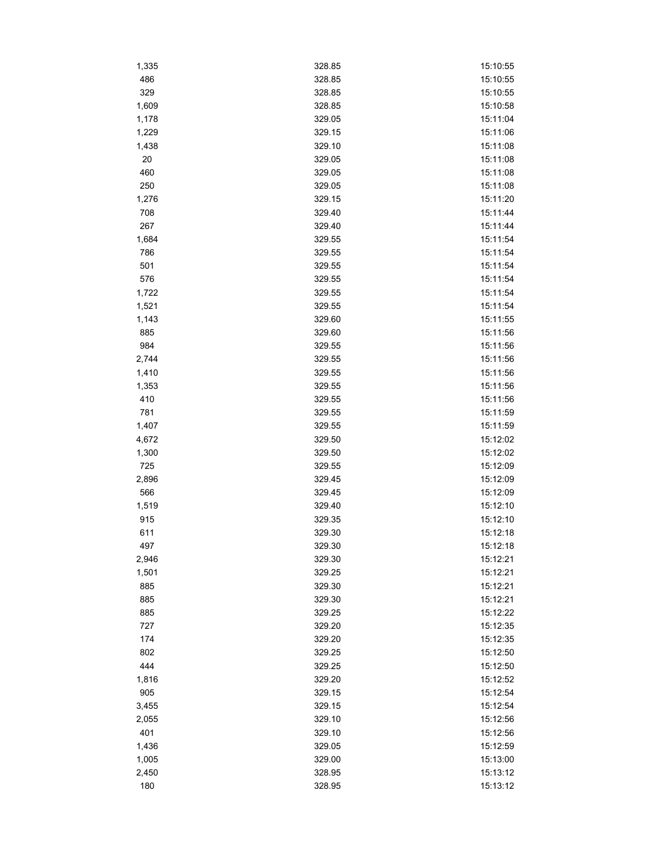| 1,335 | 328.85 | 15:10:55 |
|-------|--------|----------|
| 486   | 328.85 | 15:10:55 |
| 329   | 328.85 | 15:10:55 |
| 1,609 | 328.85 | 15:10:58 |
| 1,178 | 329.05 | 15:11:04 |
| 1,229 | 329.15 | 15:11:06 |
| 1,438 | 329.10 | 15:11:08 |
| 20    | 329.05 | 15:11:08 |
| 460   | 329.05 | 15:11:08 |
| 250   | 329.05 | 15:11:08 |
| 1,276 | 329.15 | 15:11:20 |
| 708   | 329.40 | 15:11:44 |
| 267   | 329.40 | 15:11:44 |
| 1,684 | 329.55 | 15:11:54 |
| 786   | 329.55 | 15:11:54 |
| 501   | 329.55 | 15:11:54 |
| 576   | 329.55 | 15:11:54 |
| 1,722 | 329.55 | 15:11:54 |
| 1,521 | 329.55 | 15:11:54 |
| 1,143 | 329.60 | 15:11:55 |
| 885   | 329.60 | 15:11:56 |
| 984   | 329.55 | 15:11:56 |
| 2,744 | 329.55 | 15:11:56 |
| 1,410 | 329.55 | 15:11:56 |
|       |        | 15:11:56 |
| 1,353 | 329.55 |          |
| 410   | 329.55 | 15:11:56 |
| 781   | 329.55 | 15:11:59 |
| 1,407 | 329.55 | 15:11:59 |
| 4,672 | 329.50 | 15:12:02 |
| 1,300 | 329.50 | 15:12:02 |
| 725   | 329.55 | 15:12:09 |
| 2,896 | 329.45 | 15:12:09 |
| 566   | 329.45 | 15:12:09 |
| 1,519 | 329.40 | 15:12:10 |
| 915   | 329.35 | 15:12:10 |
| 611   | 329.30 | 15:12:18 |
| 497   | 329.30 | 15:12:18 |
| 2,946 | 329.30 | 15:12:21 |
| 1,501 | 329.25 | 15:12:21 |
| 885   | 329.30 | 15:12:21 |
| 885   | 329.30 | 15:12:21 |
| 885   | 329.25 | 15:12:22 |
| 727   | 329.20 | 15:12:35 |
| 174   | 329.20 | 15:12:35 |
| 802   | 329.25 | 15:12:50 |
| 444   | 329.25 | 15:12:50 |
| 1,816 | 329.20 | 15:12:52 |
| 905   | 329.15 | 15:12:54 |
| 3,455 | 329.15 | 15:12:54 |
| 2,055 | 329.10 | 15:12:56 |
| 401   | 329.10 | 15:12:56 |
| 1,436 | 329.05 | 15:12:59 |
| 1,005 | 329.00 | 15:13:00 |
| 2,450 | 328.95 | 15:13:12 |
| 180   | 328.95 | 15:13:12 |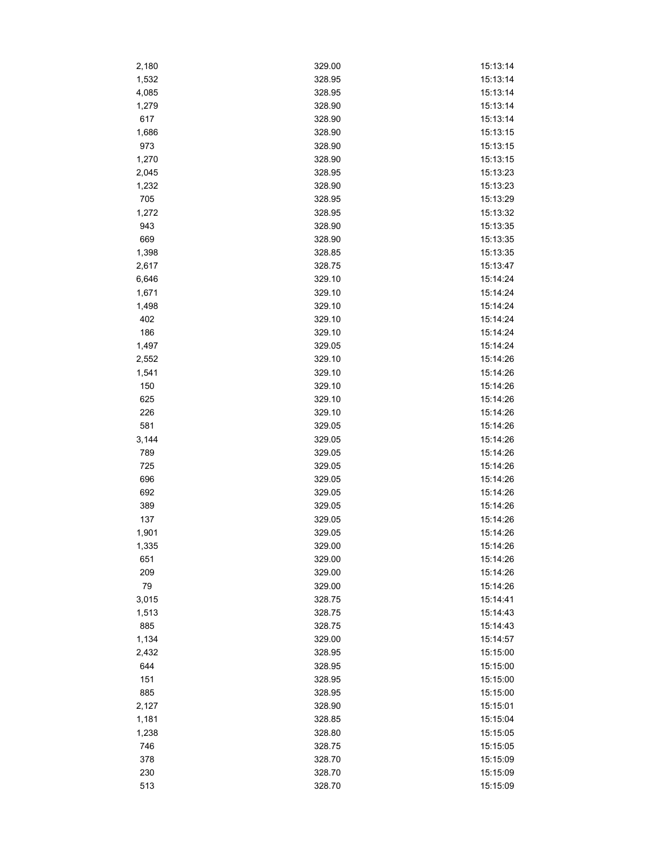| 2,180 | 329.00 | 15:13:14 |
|-------|--------|----------|
| 1,532 | 328.95 | 15:13:14 |
| 4,085 | 328.95 | 15:13:14 |
| 1,279 | 328.90 | 15:13:14 |
| 617   | 328.90 | 15:13:14 |
| 1,686 | 328.90 | 15:13:15 |
| 973   | 328.90 | 15:13:15 |
| 1,270 | 328.90 | 15:13:15 |
| 2,045 | 328.95 | 15:13:23 |
| 1,232 | 328.90 | 15:13:23 |
| 705   | 328.95 | 15:13:29 |
| 1,272 | 328.95 | 15:13:32 |
| 943   | 328.90 | 15:13:35 |
| 669   | 328.90 | 15:13:35 |
| 1,398 | 328.85 | 15:13:35 |
| 2,617 | 328.75 | 15:13:47 |
| 6,646 | 329.10 | 15:14:24 |
| 1,671 | 329.10 | 15:14:24 |
| 1,498 | 329.10 | 15:14:24 |
| 402   | 329.10 | 15:14:24 |
| 186   | 329.10 | 15:14:24 |
| 1,497 | 329.05 | 15:14:24 |
| 2,552 | 329.10 | 15:14:26 |
|       | 329.10 | 15:14:26 |
| 1,541 |        | 15:14:26 |
| 150   | 329.10 |          |
| 625   | 329.10 | 15:14:26 |
| 226   | 329.10 | 15:14:26 |
| 581   | 329.05 | 15:14:26 |
| 3,144 | 329.05 | 15:14:26 |
| 789   | 329.05 | 15:14:26 |
| 725   | 329.05 | 15:14:26 |
| 696   | 329.05 | 15:14:26 |
| 692   | 329.05 | 15:14:26 |
| 389   | 329.05 | 15:14:26 |
| 137   | 329.05 | 15:14:26 |
| 1,901 | 329.05 | 15:14:26 |
| 1,335 | 329.00 | 15:14:26 |
| 651   | 329.00 | 15:14:26 |
| 209   | 329.00 | 15:14:26 |
| 79    | 329.00 | 15:14:26 |
| 3,015 | 328.75 | 15:14:41 |
| 1,513 | 328.75 | 15:14:43 |
| 885   | 328.75 | 15:14:43 |
| 1,134 | 329.00 | 15:14:57 |
| 2,432 | 328.95 | 15:15:00 |
| 644   | 328.95 | 15:15:00 |
| 151   | 328.95 | 15:15:00 |
| 885   | 328.95 | 15:15:00 |
| 2,127 | 328.90 | 15:15:01 |
| 1,181 | 328.85 | 15:15:04 |
| 1,238 | 328.80 | 15:15:05 |
| 746   | 328.75 | 15:15:05 |
| 378   | 328.70 | 15:15:09 |
| 230   | 328.70 | 15:15:09 |
| 513   | 328.70 | 15:15:09 |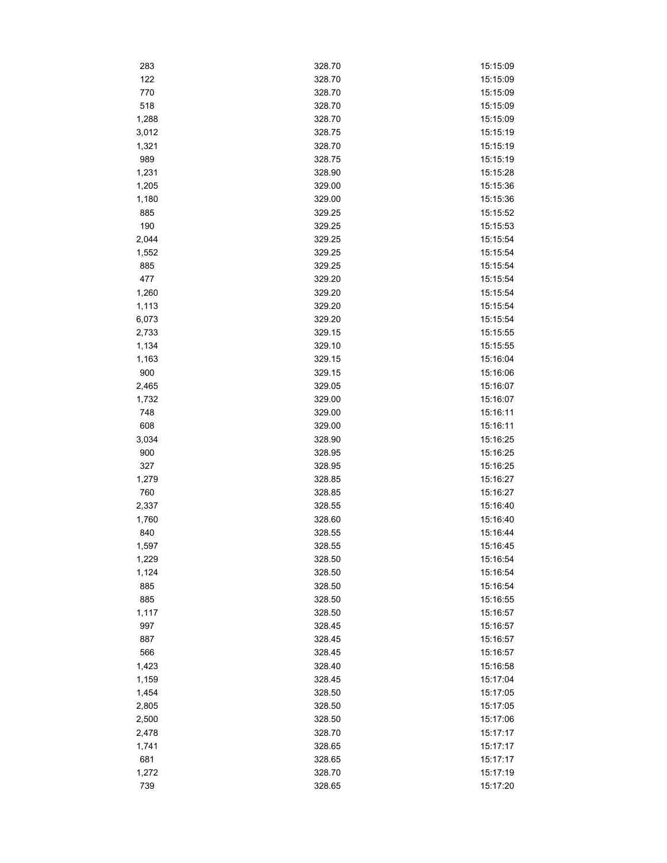| 283          | 328.70 | 15:15:09 |
|--------------|--------|----------|
| 122          | 328.70 | 15:15:09 |
| 770          | 328.70 | 15:15:09 |
| 518          | 328.70 | 15:15:09 |
| 1,288        | 328.70 | 15:15:09 |
| 3,012        | 328.75 | 15:15:19 |
| 1,321        | 328.70 | 15:15:19 |
| 989          | 328.75 | 15:15:19 |
| 1,231        | 328.90 | 15:15:28 |
| 1,205        | 329.00 | 15:15:36 |
| 1,180        | 329.00 | 15:15:36 |
| 885          | 329.25 | 15:15:52 |
| 190          | 329.25 | 15:15:53 |
| 2,044        | 329.25 | 15:15:54 |
| 1,552        | 329.25 | 15:15:54 |
| 885          | 329.25 | 15:15:54 |
| 477          | 329.20 | 15:15:54 |
| 1,260        | 329.20 | 15:15:54 |
| 1,113        | 329.20 | 15:15:54 |
| 6,073        | 329.20 | 15:15:54 |
| 2,733        | 329.15 | 15:15:55 |
| 1,134        | 329.10 | 15:15:55 |
| 1,163        | 329.15 | 15:16:04 |
| 900          | 329.15 | 15:16:06 |
| 2,465        | 329.05 | 15:16:07 |
| 1,732        | 329.00 | 15:16:07 |
| 748          | 329.00 | 15:16:11 |
| 608          | 329.00 | 15:16:11 |
| 3,034        | 328.90 | 15:16:25 |
| 900          | 328.95 | 15:16:25 |
| 327          | 328.95 | 15:16:25 |
|              | 328.85 | 15:16:27 |
| 1,279<br>760 | 328.85 | 15:16:27 |
|              | 328.55 | 15:16:40 |
| 2,337        | 328.60 | 15:16:40 |
| 1,760<br>840 | 328.55 | 15:16:44 |
|              |        |          |
| 1,597        | 328.55 | 15:16:45 |
| 1,229        | 328.50 | 15:16:54 |
| 1,124        | 328.50 | 15:16:54 |
| 885          | 328.50 | 15:16:54 |
| 885          | 328.50 | 15:16:55 |
| 1,117        | 328.50 | 15:16:57 |
| 997          | 328.45 | 15:16:57 |
| 887          | 328.45 | 15:16:57 |
| 566          | 328.45 | 15:16:57 |
| 1,423        | 328.40 | 15:16:58 |
| 1,159        | 328.45 | 15:17:04 |
| 1,454        | 328.50 | 15:17:05 |
| 2,805        | 328.50 | 15:17:05 |
| 2,500        | 328.50 | 15:17:06 |
| 2,478        | 328.70 | 15:17:17 |
| 1,741        | 328.65 | 15:17:17 |
| 681          | 328.65 | 15:17:17 |
| 1,272        | 328.70 | 15:17:19 |
| 739          | 328.65 | 15:17:20 |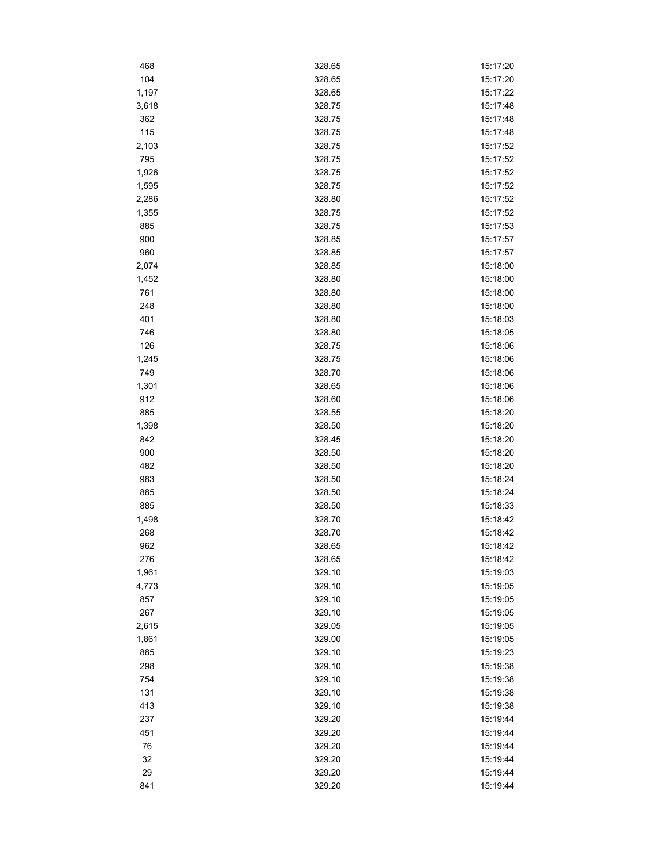| 468   | 328.65 | 15:17:20 |
|-------|--------|----------|
| 104   | 328.65 | 15:17:20 |
| 1,197 | 328.65 | 15:17:22 |
| 3,618 | 328.75 | 15:17:48 |
| 362   | 328.75 | 15:17:48 |
| 115   | 328.75 | 15:17:48 |
| 2,103 | 328.75 | 15:17:52 |
| 795   | 328.75 | 15:17:52 |
| 1,926 | 328.75 | 15:17:52 |
| 1,595 | 328.75 | 15:17:52 |
| 2,286 | 328.80 | 15:17:52 |
| 1,355 | 328.75 | 15:17:52 |
| 885   | 328.75 | 15:17:53 |
| 900   | 328.85 | 15:17:57 |
| 960   | 328.85 | 15:17:57 |
| 2,074 | 328.85 | 15:18:00 |
| 1,452 | 328.80 | 15:18:00 |
| 761   | 328.80 | 15:18:00 |
| 248   | 328.80 | 15:18:00 |
| 401   | 328.80 | 15:18:03 |
| 746   | 328.80 | 15:18:05 |
| 126   | 328.75 | 15:18:06 |
| 1,245 | 328.75 | 15:18:06 |
| 749   | 328.70 | 15:18:06 |
| 1,301 | 328.65 | 15:18:06 |
| 912   | 328.60 | 15:18:06 |
| 885   | 328.55 | 15:18:20 |
| 1,398 | 328.50 | 15:18:20 |
| 842   | 328.45 | 15:18:20 |
| 900   | 328.50 | 15:18:20 |
| 482   | 328.50 | 15:18:20 |
| 983   | 328.50 | 15:18:24 |
| 885   | 328.50 | 15:18:24 |
| 885   | 328.50 | 15:18:33 |
| 1,498 | 328.70 | 15:18:42 |
| 268   | 328.70 | 15:18:42 |
| 962   | 328.65 | 15:18:42 |
| 276   | 328.65 | 15:18:42 |
| 1,961 | 329.10 | 15:19:03 |
| 4,773 | 329.10 | 15:19:05 |
| 857   | 329.10 | 15:19:05 |
| 267   | 329.10 | 15:19:05 |
| 2,615 | 329.05 | 15:19:05 |
| 1,861 | 329.00 | 15:19:05 |
| 885   | 329.10 | 15:19:23 |
| 298   | 329.10 | 15:19:38 |
| 754   | 329.10 | 15:19:38 |
| 131   | 329.10 | 15:19:38 |
| 413   | 329.10 | 15:19:38 |
| 237   | 329.20 | 15:19:44 |
| 451   | 329.20 | 15:19:44 |
| 76    | 329.20 | 15:19:44 |
| 32    | 329.20 | 15:19:44 |
| 29    | 329.20 | 15:19:44 |
| 841   | 329.20 | 15:19:44 |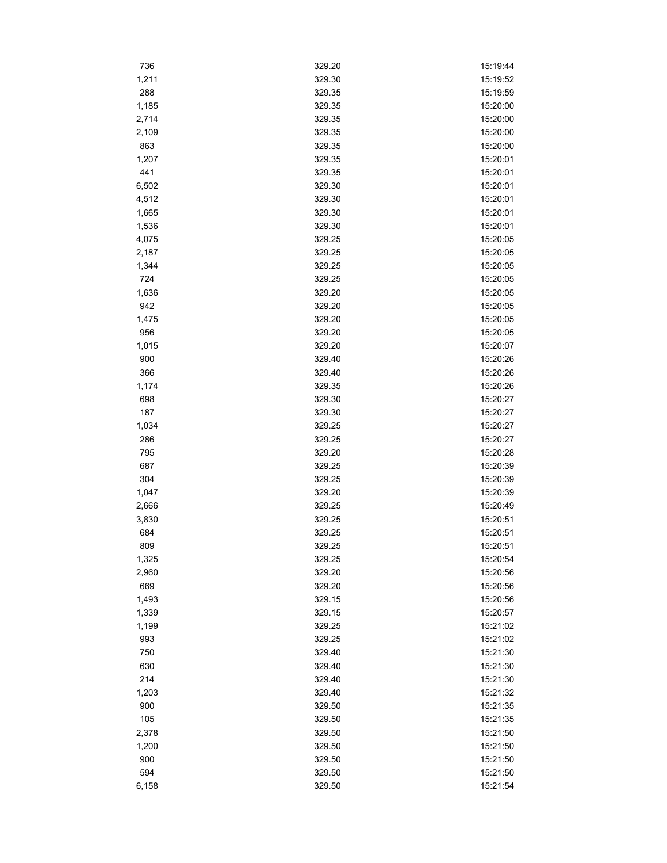| 736          | 329.20           | 15:19:44 |
|--------------|------------------|----------|
| 1,211        | 329.30           | 15:19:52 |
| 288          | 329.35           | 15:19:59 |
| 1,185        | 329.35           | 15:20:00 |
| 2,714        | 329.35           | 15:20:00 |
| 2,109        | 329.35           | 15:20:00 |
| 863          | 329.35           | 15:20:00 |
| 1,207        | 329.35           | 15:20:01 |
| 441          | 329.35           | 15:20:01 |
| 6,502        | 329.30           | 15:20:01 |
| 4,512        | 329.30           | 15:20:01 |
| 1,665        | 329.30           | 15:20:01 |
| 1,536        | 329.30           | 15:20:01 |
| 4,075        | 329.25           | 15:20:05 |
| 2,187        | 329.25           | 15:20:05 |
| 1,344        | 329.25           | 15:20:05 |
| 724          | 329.25           | 15:20:05 |
| 1,636        | 329.20           | 15:20:05 |
| 942          | 329.20           | 15:20:05 |
| 1,475        | 329.20           | 15:20:05 |
| 956          | 329.20           | 15:20:05 |
| 1,015        | 329.20           | 15:20:07 |
| 900          | 329.40           | 15:20:26 |
| 366          | 329.40           | 15:20:26 |
| 1,174        | 329.35           | 15:20:26 |
| 698          | 329.30           | 15:20:27 |
| 187          | 329.30           | 15:20:27 |
|              | 329.25           | 15:20:27 |
| 1,034<br>286 | 329.25           | 15:20:27 |
| 795          | 329.20           | 15:20:28 |
| 687          | 329.25           | 15:20:39 |
|              |                  |          |
| 304          | 329.25<br>329.20 | 15:20:39 |
| 1,047        |                  | 15:20:39 |
| 2,666        | 329.25           | 15:20:49 |
| 3,830        | 329.25           | 15:20:51 |
| 684          | 329.25           | 15:20:51 |
| 809          | 329.25           | 15:20:51 |
| 1,325        | 329.25           | 15:20:54 |
| 2,960        | 329.20           | 15:20:56 |
| 669          | 329.20           | 15:20:56 |
| 1,493        | 329.15           | 15:20:56 |
| 1,339        | 329.15           | 15:20:57 |
| 1,199        | 329.25           | 15:21:02 |
| 993          | 329.25           | 15:21:02 |
| 750          | 329.40           | 15:21:30 |
| 630          | 329.40           | 15:21:30 |
| 214          | 329.40           | 15:21:30 |
| 1,203        | 329.40           | 15:21:32 |
| 900          | 329.50           | 15:21:35 |
| 105          | 329.50           | 15:21:35 |
| 2,378        | 329.50           | 15:21:50 |
| 1,200        | 329.50           | 15:21:50 |
| 900          | 329.50           | 15:21:50 |
| 594          | 329.50           | 15:21:50 |
| 6,158        | 329.50           | 15:21:54 |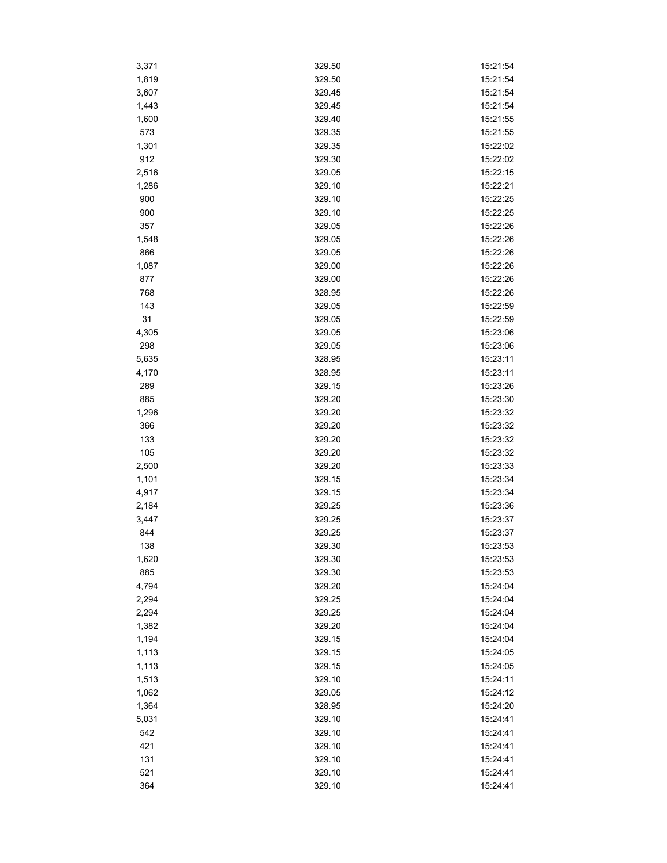| 3,371 | 329.50 | 15:21:54 |
|-------|--------|----------|
| 1,819 | 329.50 | 15:21:54 |
| 3,607 | 329.45 | 15:21:54 |
| 1,443 | 329.45 | 15:21:54 |
| 1,600 | 329.40 | 15:21:55 |
| 573   | 329.35 | 15:21:55 |
| 1,301 | 329.35 | 15:22:02 |
| 912   | 329.30 | 15:22:02 |
| 2,516 | 329.05 | 15:22:15 |
| 1,286 | 329.10 | 15:22:21 |
| 900   | 329.10 | 15:22:25 |
| 900   | 329.10 | 15:22:25 |
| 357   | 329.05 | 15:22:26 |
| 1,548 | 329.05 | 15:22:26 |
| 866   | 329.05 | 15:22:26 |
| 1,087 | 329.00 | 15:22:26 |
| 877   | 329.00 | 15:22:26 |
| 768   | 328.95 | 15:22:26 |
| 143   | 329.05 | 15:22:59 |
| 31    | 329.05 | 15:22:59 |
| 4,305 | 329.05 | 15:23:06 |
| 298   | 329.05 | 15:23:06 |
| 5,635 | 328.95 | 15:23:11 |
| 4,170 | 328.95 | 15:23:11 |
| 289   | 329.15 | 15:23:26 |
| 885   | 329.20 | 15:23:30 |
| 1,296 | 329.20 | 15:23:32 |
| 366   | 329.20 | 15:23:32 |
| 133   | 329.20 | 15:23:32 |
| 105   | 329.20 | 15:23:32 |
| 2,500 | 329.20 | 15:23:33 |
| 1,101 | 329.15 | 15:23:34 |
| 4,917 | 329.15 | 15:23:34 |
| 2,184 | 329.25 | 15:23:36 |
| 3,447 | 329.25 | 15:23:37 |
| 844   | 329.25 | 15:23:37 |
| 138   | 329.30 | 15:23:53 |
| 1,620 | 329.30 | 15:23:53 |
| 885   | 329.30 | 15:23:53 |
| 4,794 | 329.20 | 15:24:04 |
| 2,294 | 329.25 | 15:24:04 |
| 2,294 | 329.25 | 15:24:04 |
| 1,382 | 329.20 | 15:24:04 |
| 1,194 | 329.15 | 15:24:04 |
| 1,113 | 329.15 | 15:24:05 |
| 1,113 | 329.15 | 15:24:05 |
| 1,513 | 329.10 | 15:24:11 |
| 1,062 | 329.05 | 15:24:12 |
| 1,364 | 328.95 | 15:24:20 |
| 5,031 | 329.10 | 15:24:41 |
| 542   | 329.10 | 15:24:41 |
| 421   | 329.10 | 15:24:41 |
| 131   | 329.10 | 15:24:41 |
| 521   | 329.10 | 15:24:41 |
| 364   | 329.10 | 15:24:41 |
|       |        |          |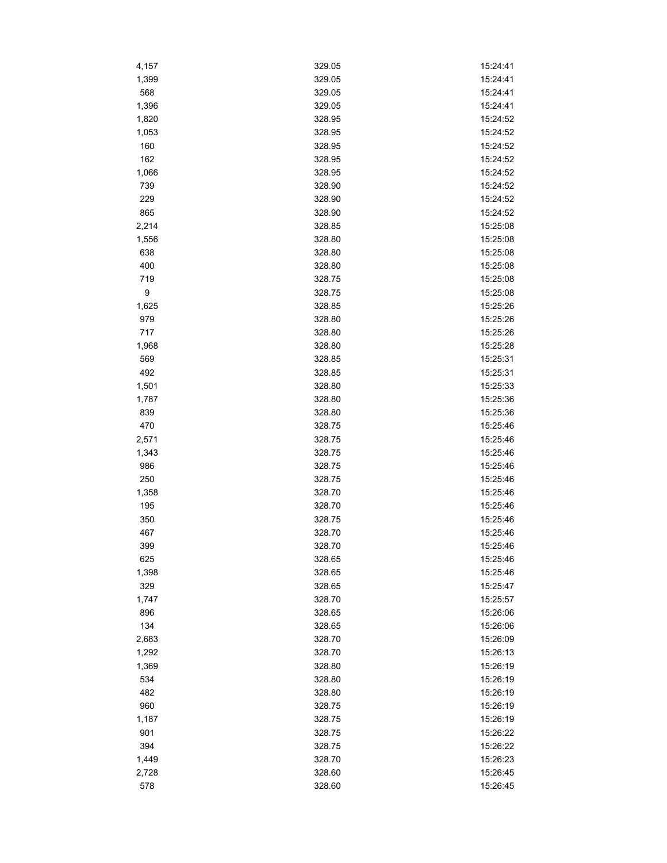| 4,157        | 329.05           | 15:24:41             |
|--------------|------------------|----------------------|
| 1,399        | 329.05           | 15:24:41             |
| 568          | 329.05           | 15:24:41             |
| 1,396        | 329.05           | 15:24:41             |
| 1,820        | 328.95           | 15:24:52             |
| 1,053        | 328.95           | 15:24:52             |
| 160          | 328.95           | 15:24:52             |
| 162          | 328.95           | 15:24:52             |
| 1,066        | 328.95           | 15:24:52             |
| 739          | 328.90           | 15:24:52             |
| 229          | 328.90           | 15:24:52             |
| 865          | 328.90           | 15:24:52             |
| 2,214        | 328.85           | 15:25:08             |
| 1,556        | 328.80           | 15:25:08             |
| 638          | 328.80           | 15:25:08             |
| 400          | 328.80           | 15:25:08             |
| 719          | 328.75           | 15:25:08             |
| 9            | 328.75           | 15:25:08             |
| 1,625        | 328.85           | 15:25:26             |
| 979          | 328.80           | 15:25:26             |
| 717          | 328.80           | 15:25:26             |
| 1,968        | 328.80           | 15:25:28             |
| 569          | 328.85           | 15:25:31             |
| 492          | 328.85           | 15:25:31             |
| 1,501        | 328.80           | 15:25:33             |
| 1,787        | 328.80           | 15:25:36             |
| 839          |                  |                      |
| 470          | 328.80<br>328.75 | 15:25:36<br>15:25:46 |
|              | 328.75           | 15:25:46             |
| 2,571        | 328.75           | 15:25:46             |
| 1,343<br>986 | 328.75           | 15:25:46             |
| 250          | 328.75           | 15:25:46             |
| 1,358        | 328.70           | 15:25:46             |
|              |                  | 15:25:46             |
| 195          | 328.70           |                      |
| 350          | 328.75           | 15:25:46             |
| 467          | 328.70           | 15:25:46             |
| 399          | 328.70           | 15:25:46             |
| 625          | 328.65           | 15:25:46             |
| 1,398        | 328.65           | 15:25:46             |
| 329          | 328.65           | 15:25:47             |
| 1,747        | 328.70           | 15:25:57             |
| 896          | 328.65           | 15:26:06             |
| 134          | 328.65           | 15:26:06             |
| 2,683        | 328.70           | 15:26:09             |
| 1,292        | 328.70           | 15:26:13             |
| 1,369        | 328.80           | 15:26:19             |
| 534          | 328.80           | 15:26:19             |
| 482          | 328.80           | 15:26:19             |
| 960          | 328.75           | 15:26:19             |
| 1,187        | 328.75           | 15:26:19             |
| 901          | 328.75           | 15:26:22             |
| 394          | 328.75           | 15:26:22             |
| 1,449        | 328.70           | 15:26:23             |
| 2,728        | 328.60           | 15:26:45             |
| 578          | 328.60           | 15:26:45             |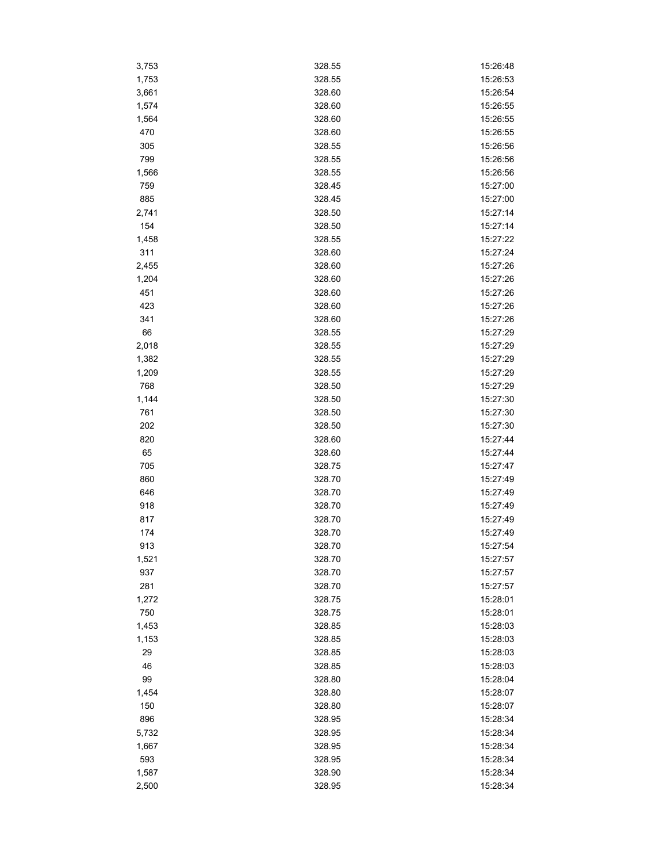| 3,753        | 328.55           | 15:26:48 |
|--------------|------------------|----------|
| 1,753        | 328.55           | 15:26:53 |
| 3,661        | 328.60           | 15:26:54 |
| 1,574        | 328.60           | 15:26:55 |
| 1,564        | 328.60           | 15:26:55 |
| 470          | 328.60           | 15:26:55 |
| 305          | 328.55           | 15:26:56 |
| 799          | 328.55           | 15:26:56 |
| 1,566        | 328.55           | 15:26:56 |
| 759          | 328.45           | 15:27:00 |
| 885          | 328.45           | 15:27:00 |
| 2,741        | 328.50           | 15:27:14 |
| 154          | 328.50           | 15:27:14 |
| 1,458        | 328.55           | 15:27:22 |
| 311          | 328.60           | 15:27:24 |
| 2,455        | 328.60           | 15:27:26 |
| 1,204        | 328.60           | 15:27:26 |
| 451          | 328.60           | 15:27:26 |
| 423          | 328.60           | 15:27:26 |
| 341          | 328.60           | 15:27:26 |
| 66           | 328.55           | 15:27:29 |
| 2,018        | 328.55           | 15:27:29 |
|              |                  | 15:27:29 |
| 1,382        | 328.55<br>328.55 | 15:27:29 |
| 1,209<br>768 |                  | 15:27:29 |
|              | 328.50           |          |
| 1,144        | 328.50           | 15:27:30 |
| 761          | 328.50           | 15:27:30 |
| 202          | 328.50           | 15:27:30 |
| 820          | 328.60           | 15:27:44 |
| 65           | 328.60           | 15:27:44 |
| 705          | 328.75           | 15:27:47 |
| 860          | 328.70           | 15:27:49 |
| 646          | 328.70           | 15:27:49 |
| 918          | 328.70           | 15:27:49 |
| 817          | 328.70           | 15:27:49 |
| 174          | 328.70           | 15:27:49 |
| 913          | 328.70           | 15:27:54 |
| 1,521        | 328.70           | 15:27:57 |
| 937          | 328.70           | 15:27:57 |
| 281          | 328.70           | 15:27:57 |
| 1,272        | 328.75           | 15:28:01 |
| 750          | 328.75           | 15:28:01 |
| 1,453        | 328.85           | 15:28:03 |
| 1,153        | 328.85           | 15:28:03 |
| 29           | 328.85           | 15:28:03 |
| 46           | 328.85           | 15:28:03 |
| 99           | 328.80           | 15:28:04 |
| 1,454        | 328.80           | 15:28:07 |
| 150          | 328.80           | 15:28:07 |
| 896          | 328.95           | 15:28:34 |
| 5,732        | 328.95           | 15:28:34 |
| 1,667        | 328.95           | 15:28:34 |
| 593          | 328.95           | 15:28:34 |
| 1,587        | 328.90           | 15:28:34 |
| 2,500        | 328.95           | 15:28:34 |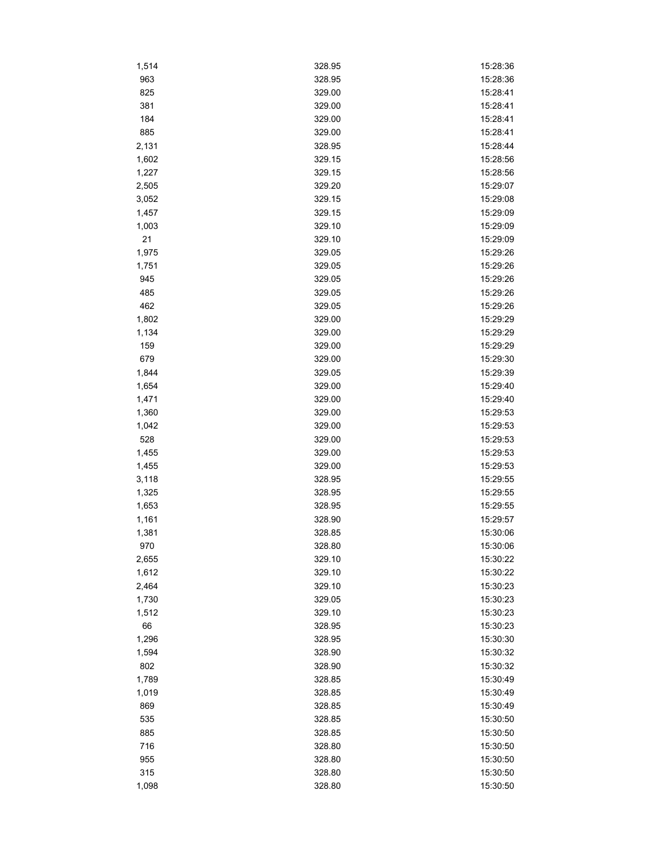| 1,514 | 328.95 | 15:28:36 |
|-------|--------|----------|
| 963   | 328.95 | 15:28:36 |
| 825   | 329.00 | 15:28:41 |
| 381   | 329.00 | 15:28:41 |
| 184   | 329.00 | 15:28:41 |
| 885   | 329.00 | 15:28:41 |
| 2,131 | 328.95 | 15:28:44 |
| 1,602 | 329.15 | 15:28:56 |
| 1,227 | 329.15 | 15:28:56 |
| 2,505 | 329.20 | 15:29:07 |
| 3,052 | 329.15 | 15:29:08 |
| 1,457 | 329.15 | 15:29:09 |
| 1,003 | 329.10 | 15:29:09 |
| 21    | 329.10 | 15:29:09 |
| 1,975 | 329.05 | 15:29:26 |
| 1,751 | 329.05 | 15:29:26 |
| 945   | 329.05 | 15:29:26 |
| 485   | 329.05 | 15:29:26 |
| 462   | 329.05 | 15:29:26 |
| 1,802 | 329.00 | 15:29:29 |
| 1,134 | 329.00 | 15:29:29 |
| 159   | 329.00 | 15:29:29 |
| 679   | 329.00 | 15:29:30 |
|       | 329.05 | 15:29:39 |
| 1,844 |        |          |
| 1,654 | 329.00 | 15:29:40 |
| 1,471 | 329.00 | 15:29:40 |
| 1,360 | 329.00 | 15:29:53 |
| 1,042 | 329.00 | 15:29:53 |
| 528   | 329.00 | 15:29:53 |
| 1,455 | 329.00 | 15:29:53 |
| 1,455 | 329.00 | 15:29:53 |
| 3,118 | 328.95 | 15:29:55 |
| 1,325 | 328.95 | 15:29:55 |
| 1,653 | 328.95 | 15:29:55 |
| 1,161 | 328.90 | 15:29:57 |
| 1,381 | 328.85 | 15:30:06 |
| 970   | 328.80 | 15:30:06 |
| 2,655 | 329.10 | 15:30:22 |
| 1,612 | 329.10 | 15:30:22 |
| 2,464 | 329.10 | 15:30:23 |
| 1,730 | 329.05 | 15:30:23 |
| 1,512 | 329.10 | 15:30:23 |
| 66    | 328.95 | 15:30:23 |
| 1,296 | 328.95 | 15:30:30 |
| 1,594 | 328.90 | 15:30:32 |
| 802   | 328.90 | 15:30:32 |
| 1,789 | 328.85 | 15:30:49 |
| 1,019 | 328.85 | 15:30:49 |
| 869   | 328.85 | 15:30:49 |
| 535   | 328.85 | 15:30:50 |
| 885   | 328.85 | 15:30:50 |
| 716   | 328.80 | 15:30:50 |
| 955   | 328.80 | 15:30:50 |
| 315   | 328.80 | 15:30:50 |
| 1,098 | 328.80 | 15:30:50 |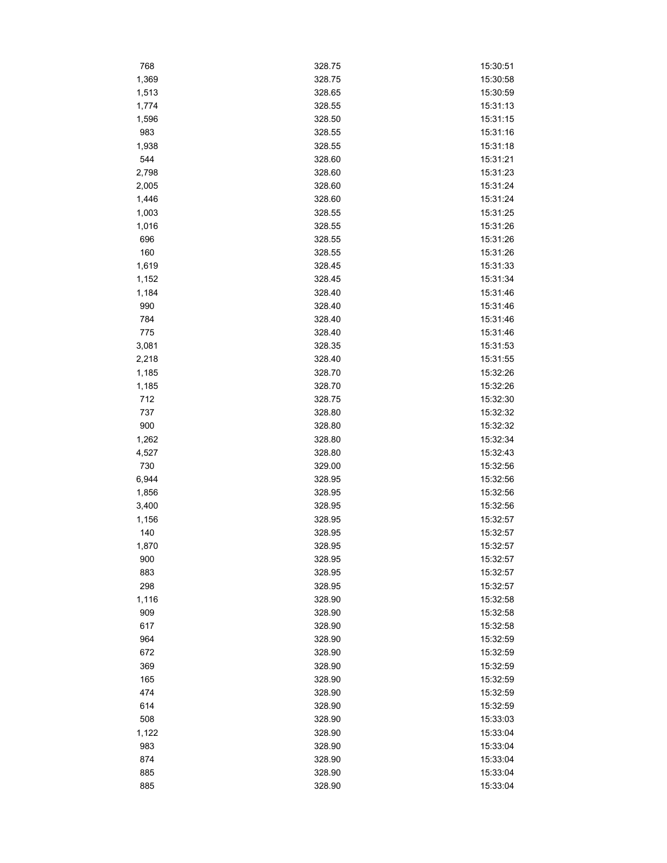| 768   | 328.75 | 15:30:51 |
|-------|--------|----------|
| 1,369 | 328.75 | 15:30:58 |
| 1,513 | 328.65 | 15:30:59 |
| 1,774 | 328.55 | 15:31:13 |
| 1,596 | 328.50 | 15:31:15 |
| 983   | 328.55 | 15:31:16 |
| 1,938 | 328.55 | 15:31:18 |
| 544   | 328.60 | 15:31:21 |
| 2,798 | 328.60 | 15:31:23 |
| 2,005 | 328.60 | 15:31:24 |
| 1,446 | 328.60 | 15:31:24 |
| 1,003 | 328.55 | 15:31:25 |
| 1,016 | 328.55 | 15:31:26 |
| 696   | 328.55 | 15:31:26 |
| 160   | 328.55 | 15:31:26 |
| 1,619 | 328.45 | 15:31:33 |
| 1,152 | 328.45 | 15:31:34 |
| 1,184 | 328.40 | 15:31:46 |
| 990   | 328.40 | 15:31:46 |
| 784   | 328.40 | 15:31:46 |
| 775   | 328.40 | 15:31:46 |
| 3,081 | 328.35 | 15:31:53 |
| 2,218 | 328.40 | 15:31:55 |
| 1,185 | 328.70 | 15:32:26 |
| 1,185 | 328.70 | 15:32:26 |
| 712   | 328.75 | 15:32:30 |
| 737   | 328.80 | 15:32:32 |
| 900   | 328.80 | 15:32:32 |
| 1,262 | 328.80 | 15:32:34 |
| 4,527 | 328.80 | 15:32:43 |
| 730   | 329.00 | 15:32:56 |
| 6,944 | 328.95 | 15:32:56 |
| 1,856 | 328.95 | 15:32:56 |
| 3,400 | 328.95 | 15:32:56 |
| 1,156 | 328.95 | 15:32:57 |
| 140   | 328.95 | 15:32:57 |
| 1,870 | 328.95 | 15:32:57 |
| 900   | 328.95 | 15:32:57 |
| 883   | 328.95 | 15:32:57 |
| 298   | 328.95 | 15:32:57 |
| 1,116 | 328.90 | 15:32:58 |
| 909   | 328.90 | 15:32:58 |
| 617   | 328.90 | 15:32:58 |
| 964   | 328.90 | 15:32:59 |
| 672   | 328.90 | 15:32:59 |
| 369   | 328.90 | 15:32:59 |
| 165   | 328.90 | 15:32:59 |
| 474   | 328.90 | 15:32:59 |
| 614   | 328.90 | 15:32:59 |
| 508   | 328.90 | 15:33:03 |
| 1,122 | 328.90 | 15:33:04 |
| 983   | 328.90 | 15:33:04 |
| 874   | 328.90 | 15:33:04 |
| 885   | 328.90 | 15:33:04 |
| 885   | 328.90 | 15:33:04 |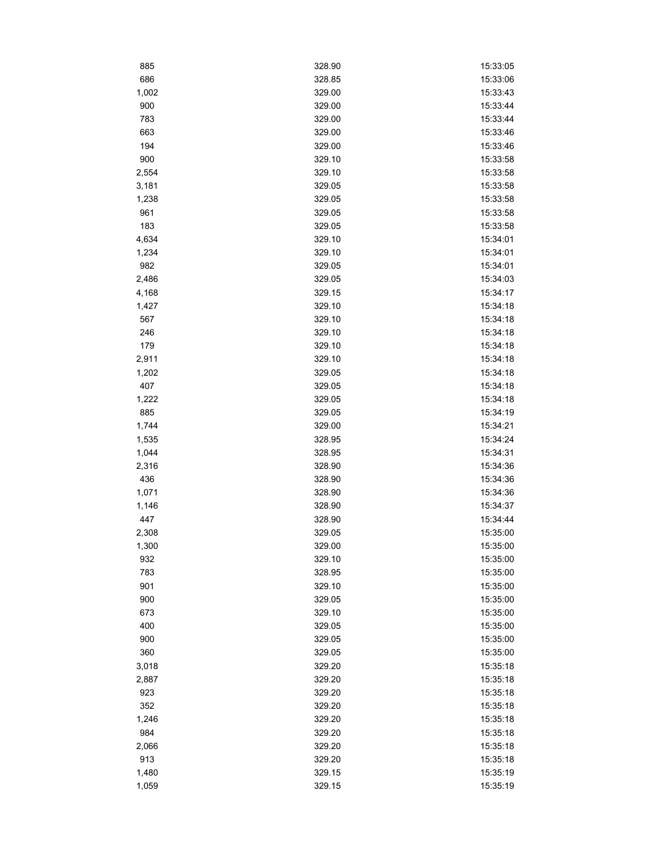| 885          | 328.90 | 15:33:05 |
|--------------|--------|----------|
| 686          | 328.85 | 15:33:06 |
| 1,002        | 329.00 | 15:33:43 |
| 900          | 329.00 | 15:33:44 |
| 783          | 329.00 | 15:33:44 |
| 663          | 329.00 | 15:33:46 |
| 194          | 329.00 | 15:33:46 |
| 900          | 329.10 | 15:33:58 |
| 2,554        | 329.10 | 15:33:58 |
| 3,181        | 329.05 | 15:33:58 |
| 1,238        | 329.05 | 15:33:58 |
| 961          | 329.05 | 15:33:58 |
| 183          | 329.05 | 15:33:58 |
| 4,634        | 329.10 | 15:34:01 |
| 1,234        | 329.10 | 15:34:01 |
| 982          | 329.05 | 15:34:01 |
| 2,486        | 329.05 | 15:34:03 |
| 4,168        | 329.15 | 15:34:17 |
| 1,427        | 329.10 | 15:34:18 |
| 567          | 329.10 | 15:34:18 |
| 246          | 329.10 | 15:34:18 |
| 179          | 329.10 | 15:34:18 |
| 2,911        | 329.10 | 15:34:18 |
| 1,202        | 329.05 | 15:34:18 |
| 407          | 329.05 | 15:34:18 |
| 1,222        | 329.05 | 15:34:18 |
| 885          | 329.05 | 15:34:19 |
| 1,744        | 329.00 | 15:34:21 |
| 1,535        | 328.95 | 15:34:24 |
| 1,044        | 328.95 | 15:34:31 |
| 2,316        | 328.90 | 15:34:36 |
| 436          | 328.90 | 15:34:36 |
| 1,071        | 328.90 | 15:34:36 |
| 1,146        | 328.90 | 15:34:37 |
| 447          | 328.90 | 15:34:44 |
| 2,308        | 329.05 | 15:35:00 |
|              | 329.00 | 15:35:00 |
| 1,300<br>932 | 329.10 | 15:35:00 |
| 783          | 328.95 | 15:35:00 |
| 901          | 329.10 | 15:35:00 |
| 900          | 329.05 | 15:35:00 |
| 673          | 329.10 | 15:35:00 |
| 400          | 329.05 | 15:35:00 |
| 900          | 329.05 | 15:35:00 |
|              | 329.05 | 15:35:00 |
| 360          | 329.20 |          |
| 3,018        |        | 15:35:18 |
| 2,887        | 329.20 | 15:35:18 |
| 923          | 329.20 | 15:35:18 |
| 352          | 329.20 | 15:35:18 |
| 1,246        | 329.20 | 15:35:18 |
| 984          | 329.20 | 15:35:18 |
| 2,066        | 329.20 | 15:35:18 |
| 913          | 329.20 | 15:35:18 |
| 1,480        | 329.15 | 15:35:19 |
| 1,059        | 329.15 | 15:35:19 |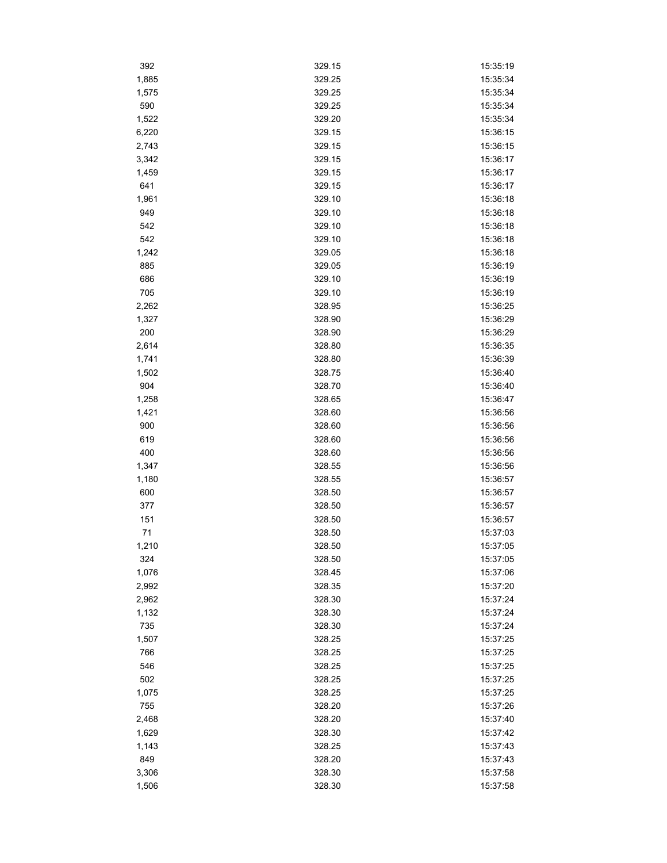| 392       | 329.15 | 15:35:19 |
|-----------|--------|----------|
| 1,885     | 329.25 | 15:35:34 |
| 1,575     | 329.25 | 15:35:34 |
| 590       | 329.25 | 15:35:34 |
| 1,522     | 329.20 | 15:35:34 |
| 6,220     | 329.15 | 15:36:15 |
| 2,743     | 329.15 | 15:36:15 |
| 3,342     | 329.15 | 15:36:17 |
| 1,459     | 329.15 | 15:36:17 |
| 641       | 329.15 | 15:36:17 |
| 1,961     | 329.10 | 15:36:18 |
| 949       | 329.10 | 15:36:18 |
| 542       | 329.10 | 15:36:18 |
| 542       | 329.10 | 15:36:18 |
| 1,242     | 329.05 | 15:36:18 |
| 885       | 329.05 | 15:36:19 |
| 686       | 329.10 | 15:36:19 |
| 705       | 329.10 | 15:36:19 |
| 2,262     | 328.95 | 15:36:25 |
| 1,327     | 328.90 | 15:36:29 |
| 200       | 328.90 | 15:36:29 |
| 2,614     | 328.80 | 15:36:35 |
| 1,741     | 328.80 | 15:36:39 |
| 1,502     | 328.75 | 15:36:40 |
| 904       | 328.70 | 15:36:40 |
| 1,258     | 328.65 | 15:36:47 |
| 1,421     | 328.60 | 15:36:56 |
| 900       | 328.60 | 15:36:56 |
| 619       | 328.60 | 15:36:56 |
| 400       | 328.60 | 15:36:56 |
| 1,347     | 328.55 | 15:36:56 |
| 1,180     | 328.55 | 15:36:57 |
| 600       | 328.50 | 15:36:57 |
| 377       | 328.50 | 15:36:57 |
|           | 328.50 | 15:36:57 |
| 151<br>71 | 328.50 | 15:37:03 |
|           |        |          |
| 1,210     | 328.50 | 15:37:05 |
| 324       | 328.50 | 15:37:05 |
| 1,076     | 328.45 | 15:37:06 |
| 2,992     | 328.35 | 15:37:20 |
| 2,962     | 328.30 | 15:37:24 |
| 1,132     | 328.30 | 15:37:24 |
| 735       | 328.30 | 15:37:24 |
| 1,507     | 328.25 | 15:37:25 |
| 766       | 328.25 | 15:37:25 |
| 546       | 328.25 | 15:37:25 |
| 502       | 328.25 | 15:37:25 |
| 1,075     | 328.25 | 15:37:25 |
| 755       | 328.20 | 15:37:26 |
| 2,468     | 328.20 | 15:37:40 |
| 1,629     | 328.30 | 15:37:42 |
| 1,143     | 328.25 | 15:37:43 |
| 849       | 328.20 | 15:37:43 |
| 3,306     | 328.30 | 15:37:58 |
| 1,506     | 328.30 | 15:37:58 |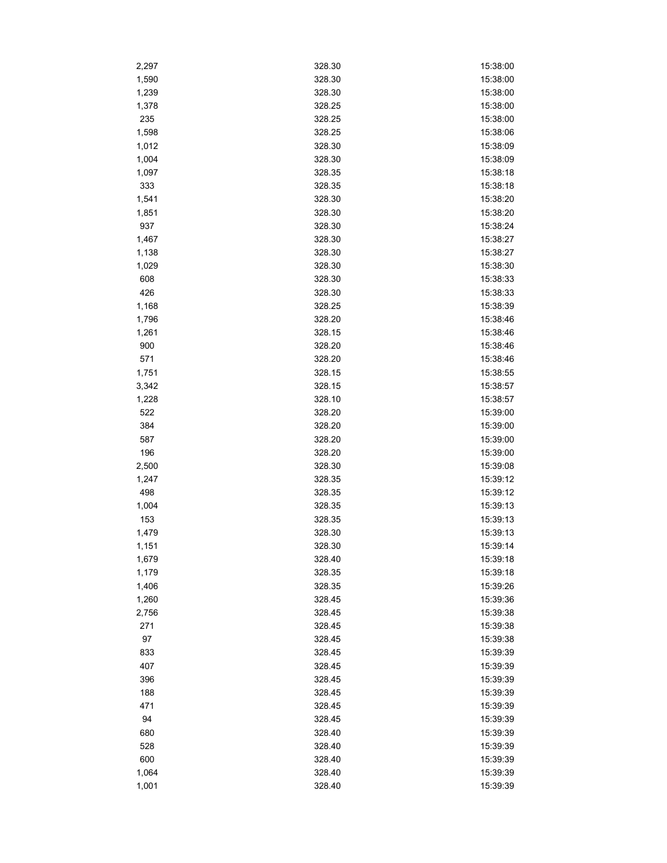| 2,297 | 328.30 | 15:38:00 |
|-------|--------|----------|
| 1,590 | 328.30 | 15:38:00 |
| 1,239 | 328.30 | 15:38:00 |
| 1,378 | 328.25 | 15:38:00 |
| 235   | 328.25 | 15:38:00 |
| 1,598 | 328.25 | 15:38:06 |
| 1,012 | 328.30 | 15:38:09 |
| 1,004 | 328.30 | 15:38:09 |
| 1,097 | 328.35 | 15:38:18 |
| 333   | 328.35 | 15:38:18 |
| 1,541 | 328.30 | 15:38:20 |
| 1,851 | 328.30 | 15:38:20 |
| 937   | 328.30 | 15:38:24 |
| 1,467 | 328.30 | 15:38:27 |
| 1,138 | 328.30 | 15:38:27 |
| 1,029 | 328.30 | 15:38:30 |
| 608   | 328.30 | 15:38:33 |
| 426   | 328.30 | 15:38:33 |
| 1,168 | 328.25 | 15:38:39 |
| 1,796 | 328.20 | 15:38:46 |
| 1,261 | 328.15 | 15:38:46 |
| 900   | 328.20 | 15:38:46 |
| 571   | 328.20 | 15:38:46 |
|       | 328.15 |          |
| 1,751 |        | 15:38:55 |
| 3,342 | 328.15 | 15:38:57 |
| 1,228 | 328.10 | 15:38:57 |
| 522   | 328.20 | 15:39:00 |
| 384   | 328.20 | 15:39:00 |
| 587   | 328.20 | 15:39:00 |
| 196   | 328.20 | 15:39:00 |
| 2,500 | 328.30 | 15:39:08 |
| 1,247 | 328.35 | 15:39:12 |
| 498   | 328.35 | 15:39:12 |
| 1,004 | 328.35 | 15:39:13 |
| 153   | 328.35 | 15:39:13 |
| 1,479 | 328.30 | 15:39:13 |
| 1,151 | 328.30 | 15:39:14 |
| 1,679 | 328.40 | 15:39:18 |
| 1,179 | 328.35 | 15:39:18 |
| 1,406 | 328.35 | 15:39:26 |
| 1,260 | 328.45 | 15:39:36 |
| 2,756 | 328.45 | 15:39:38 |
| 271   | 328.45 | 15:39:38 |
| 97    | 328.45 | 15:39:38 |
| 833   | 328.45 | 15:39:39 |
| 407   | 328.45 | 15:39:39 |
| 396   | 328.45 | 15:39:39 |
| 188   | 328.45 | 15:39:39 |
| 471   | 328.45 | 15:39:39 |
| 94    | 328.45 | 15:39:39 |
| 680   | 328.40 | 15:39:39 |
| 528   | 328.40 | 15:39:39 |
| 600   | 328.40 | 15:39:39 |
| 1,064 | 328.40 | 15:39:39 |
| 1,001 | 328.40 | 15:39:39 |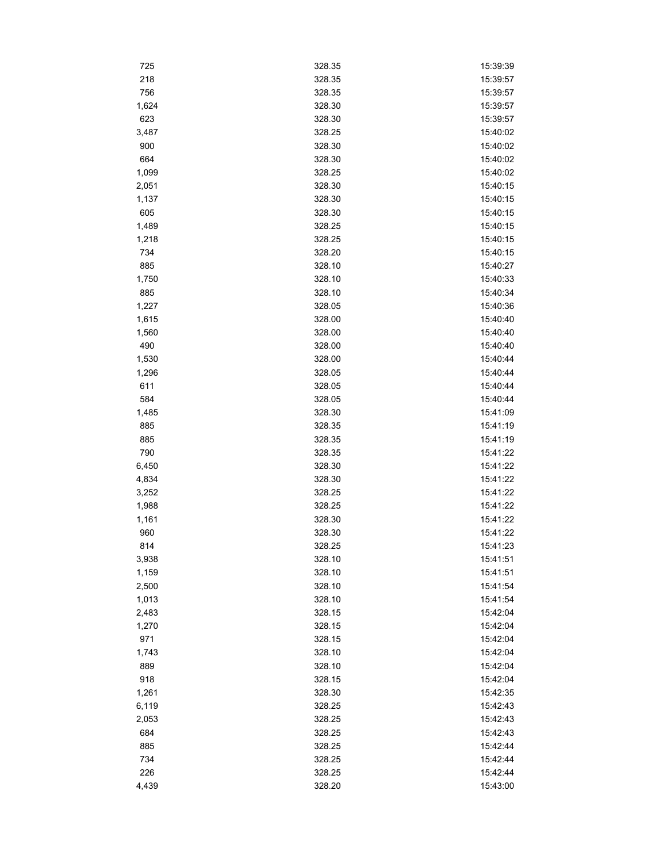| 725   | 328.35 | 15:39:39 |
|-------|--------|----------|
| 218   | 328.35 | 15:39:57 |
| 756   | 328.35 | 15:39:57 |
| 1,624 | 328.30 | 15:39:57 |
| 623   | 328.30 | 15:39:57 |
| 3,487 | 328.25 | 15:40:02 |
| 900   | 328.30 | 15:40:02 |
| 664   | 328.30 | 15:40:02 |
| 1,099 | 328.25 | 15:40:02 |
| 2,051 | 328.30 | 15:40:15 |
| 1,137 | 328.30 | 15:40:15 |
| 605   | 328.30 | 15:40:15 |
| 1,489 | 328.25 | 15:40:15 |
| 1,218 | 328.25 | 15:40:15 |
| 734   | 328.20 | 15:40:15 |
| 885   | 328.10 | 15:40:27 |
| 1,750 | 328.10 | 15:40:33 |
| 885   | 328.10 | 15:40:34 |
| 1,227 | 328.05 | 15:40:36 |
| 1,615 | 328.00 | 15:40:40 |
| 1,560 | 328.00 | 15:40:40 |
| 490   | 328.00 | 15:40:40 |
| 1,530 | 328.00 | 15:40:44 |
| 1,296 | 328.05 | 15:40:44 |
| 611   | 328.05 | 15:40:44 |
| 584   |        | 15:40:44 |
|       | 328.05 |          |
| 1,485 | 328.30 | 15:41:09 |
| 885   | 328.35 | 15:41:19 |
| 885   | 328.35 | 15:41:19 |
| 790   | 328.35 | 15:41:22 |
| 6,450 | 328.30 | 15:41:22 |
| 4,834 | 328.30 | 15:41:22 |
| 3,252 | 328.25 | 15:41:22 |
| 1,988 | 328.25 | 15:41:22 |
| 1,161 | 328.30 | 15:41:22 |
| 960   | 328.30 | 15:41:22 |
| 814   | 328 25 | 15:41:23 |
| 3,938 | 328.10 | 15:41:51 |
| 1,159 | 328.10 | 15:41:51 |
| 2,500 | 328.10 | 15:41:54 |
| 1,013 | 328.10 | 15:41:54 |
| 2,483 | 328.15 | 15:42:04 |
| 1,270 | 328.15 | 15:42:04 |
| 971   | 328.15 | 15:42:04 |
| 1,743 | 328.10 | 15:42:04 |
| 889   | 328.10 | 15:42:04 |
| 918   | 328.15 | 15:42:04 |
| 1,261 | 328.30 | 15:42:35 |
| 6,119 | 328.25 | 15:42:43 |
| 2,053 | 328.25 | 15:42:43 |
| 684   | 328.25 | 15:42:43 |
| 885   | 328.25 | 15:42:44 |
| 734   | 328.25 | 15:42:44 |
| 226   | 328.25 | 15:42:44 |
| 4,439 | 328.20 | 15:43:00 |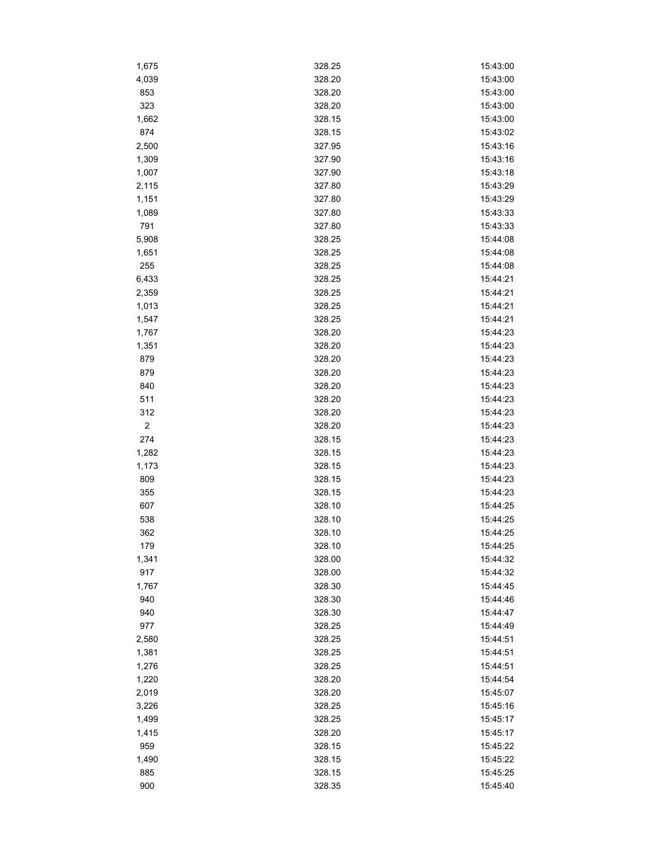| 1,675                   | 328.25           | 15:43:00             |
|-------------------------|------------------|----------------------|
| 4,039                   | 328.20           | 15:43:00             |
| 853                     | 328.20           | 15:43:00             |
| 323                     | 328.20           | 15:43:00             |
| 1,662                   | 328.15           | 15:43:00             |
| 874                     | 328.15           | 15:43:02             |
| 2,500                   | 327.95           | 15:43:16             |
| 1,309                   | 327.90           | 15:43:16             |
| 1,007                   | 327.90           | 15:43:18             |
| 2,115                   | 327.80           | 15:43:29             |
| 1,151                   | 327.80           | 15:43:29             |
| 1,089                   | 327.80           | 15:43:33             |
| 791                     | 327.80           | 15:43:33             |
| 5,908                   | 328.25           | 15:44:08             |
| 1,651                   | 328.25           | 15:44:08             |
| 255                     | 328.25           | 15:44:08             |
| 6,433                   | 328.25           | 15:44:21             |
| 2,359                   | 328.25           | 15:44:21             |
| 1,013                   | 328.25           | 15:44:21             |
| 1,547                   | 328.25           | 15:44:21             |
| 1,767                   | 328.20           | 15:44:23             |
| 1,351                   | 328.20           | 15:44:23             |
| 879                     | 328.20           | 15:44:23             |
| 879                     | 328.20           | 15:44:23             |
| 840                     | 328.20           | 15:44:23             |
| 511                     | 328.20           | 15:44:23             |
| 312                     | 328.20           | 15:44:23             |
| $\overline{\mathbf{c}}$ | 328.20           | 15:44:23             |
| 274                     | 328.15           | 15:44:23             |
| 1,282                   | 328.15           | 15:44:23             |
| 1,173                   | 328.15           | 15:44:23             |
| 809                     | 328.15           | 15:44:23             |
| 355                     | 328.15           | 15:44:23             |
| 607                     | 328.10           | 15:44:25             |
|                         | 328.10           | 15:44:25             |
| 538                     | 328.10           | 15:44:25             |
| 362<br>179              | 328.10           |                      |
| 1,341                   | 328.00           | 15:44:25<br>15:44:32 |
| 917                     |                  | 15:44:32             |
|                         | 328.00<br>328.30 | 15:44:45             |
| 1,767                   |                  |                      |
| 940<br>940              | 328.30<br>328.30 | 15:44:46<br>15:44:47 |
|                         |                  | 15:44:49             |
| 977                     | 328.25           |                      |
| 2,580                   | 328.25           | 15:44:51             |
| 1,381                   | 328.25           | 15:44:51             |
| 1,276                   | 328.25           | 15:44:51             |
| 1,220                   | 328.20           | 15:44:54             |
| 2,019                   | 328.20           | 15:45:07             |
| 3,226                   | 328.25           | 15:45:16             |
| 1,499                   | 328.25           | 15:45:17             |
| 1,415                   | 328.20           | 15:45:17             |
| 959                     | 328.15           | 15:45:22             |
| 1,490                   | 328.15           | 15:45:22             |
| 885                     | 328.15           | 15:45:25             |
| 900                     | 328.35           | 15:45:40             |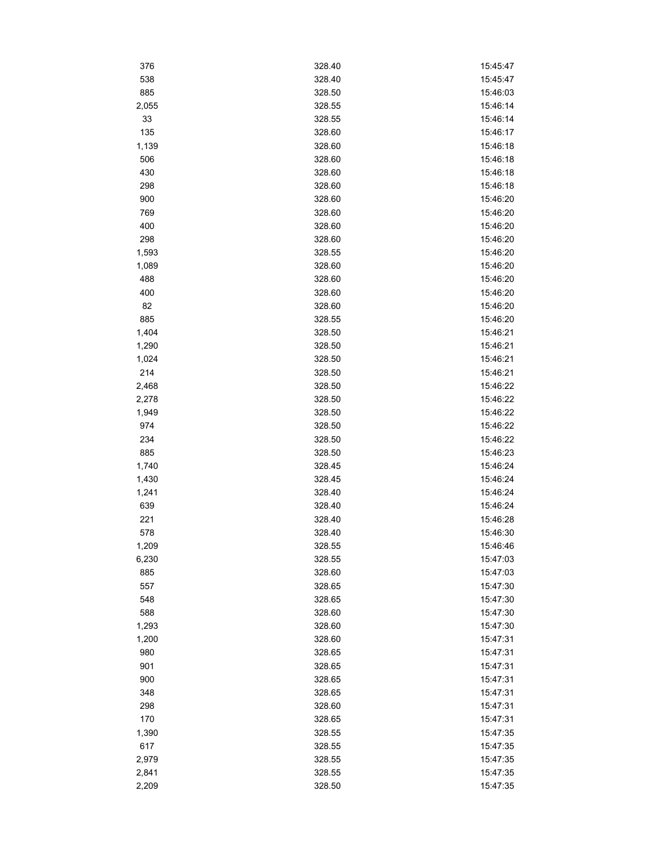| 376   | 328.40 | 15:45:47 |
|-------|--------|----------|
| 538   | 328.40 | 15:45:47 |
| 885   | 328.50 | 15:46:03 |
| 2,055 | 328.55 | 15:46:14 |
| 33    | 328.55 | 15:46:14 |
| 135   | 328.60 | 15:46:17 |
| 1,139 | 328.60 | 15:46:18 |
| 506   | 328.60 | 15:46:18 |
| 430   | 328.60 | 15:46:18 |
| 298   | 328.60 | 15:46:18 |
| 900   | 328.60 | 15:46:20 |
| 769   | 328.60 | 15:46:20 |
| 400   | 328.60 | 15:46:20 |
| 298   | 328.60 | 15:46:20 |
| 1,593 | 328.55 | 15:46:20 |
| 1,089 | 328.60 | 15:46:20 |
| 488   | 328.60 | 15:46:20 |
| 400   | 328.60 | 15:46:20 |
| 82    | 328.60 | 15:46:20 |
| 885   | 328.55 | 15:46:20 |
| 1,404 | 328.50 | 15:46:21 |
| 1,290 | 328.50 | 15:46:21 |
| 1,024 | 328.50 | 15:46:21 |
| 214   | 328.50 | 15:46:21 |
| 2,468 | 328.50 | 15:46:22 |
| 2,278 | 328.50 | 15:46:22 |
| 1,949 | 328.50 | 15:46:22 |
| 974   | 328.50 | 15:46:22 |
| 234   | 328.50 | 15:46:22 |
| 885   | 328.50 | 15:46:23 |
| 1,740 | 328.45 | 15:46:24 |
| 1,430 | 328.45 | 15:46:24 |
| 1,241 | 328.40 | 15:46:24 |
| 639   | 328.40 | 15:46:24 |
| 221   | 328.40 | 15:46:28 |
| 578   | 328.40 | 15:46:30 |
| 1,209 | 328.55 | 15:46:46 |
| 6,230 | 328.55 | 15:47:03 |
| 885   | 328.60 | 15:47:03 |
| 557   | 328.65 | 15:47:30 |
| 548   | 328.65 | 15:47:30 |
| 588   | 328.60 | 15:47:30 |
| 1,293 | 328.60 | 15:47:30 |
| 1,200 | 328.60 | 15:47:31 |
| 980   | 328.65 | 15:47:31 |
| 901   | 328.65 | 15:47:31 |
| 900   | 328.65 | 15:47:31 |
| 348   | 328.65 | 15:47:31 |
| 298   | 328.60 | 15:47:31 |
| 170   | 328.65 | 15:47:31 |
| 1,390 | 328.55 | 15:47:35 |
| 617   | 328.55 | 15:47:35 |
| 2,979 | 328.55 | 15:47:35 |
| 2,841 | 328.55 | 15:47:35 |
| 2,209 | 328.50 | 15:47:35 |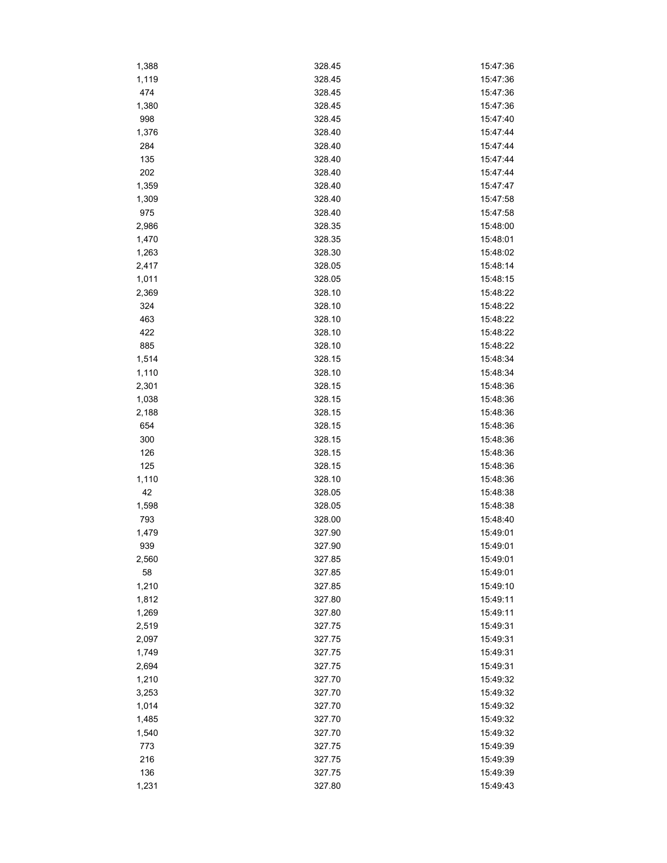| 1,388 | 328.45           | 15:47:36             |
|-------|------------------|----------------------|
| 1,119 | 328.45           | 15:47:36             |
| 474   | 328.45           | 15:47:36             |
| 1,380 | 328.45           | 15:47:36             |
| 998   | 328.45           | 15:47:40             |
| 1,376 | 328.40           | 15:47:44             |
| 284   | 328.40           | 15:47:44             |
| 135   | 328.40           | 15:47:44             |
| 202   | 328.40           | 15:47:44             |
| 1,359 | 328.40           | 15:47:47             |
| 1,309 | 328.40           | 15:47:58             |
| 975   | 328.40           | 15:47:58             |
| 2,986 | 328.35           | 15:48:00             |
| 1,470 | 328.35           | 15:48:01             |
| 1,263 | 328.30           | 15:48:02             |
| 2,417 | 328.05           | 15:48:14             |
| 1,011 | 328.05           | 15:48:15             |
| 2,369 | 328.10           | 15:48:22             |
| 324   | 328.10           | 15:48:22             |
| 463   | 328.10           | 15:48:22             |
| 422   | 328.10           |                      |
|       | 328.10           | 15:48:22<br>15:48:22 |
| 885   |                  |                      |
| 1,514 | 328.15<br>328.10 | 15:48:34             |
| 1,110 |                  | 15:48:34             |
| 2,301 | 328.15           | 15:48:36             |
| 1,038 | 328.15           | 15:48:36             |
| 2,188 | 328.15           | 15:48:36             |
| 654   | 328.15           | 15:48:36             |
| 300   | 328.15           | 15:48:36             |
| 126   | 328.15           | 15:48:36             |
| 125   | 328.15           | 15:48:36             |
| 1,110 | 328.10           | 15:48:36             |
| 42    | 328.05           | 15:48:38             |
| 1,598 | 328.05           | 15:48:38             |
| 793   | 328.00           | 15:48:40             |
| 1,479 | 327.90           | 15:49:01             |
| 939   | 327.90           | 15:49:01             |
| 2,560 | 327.85           | 15:49:01             |
| 58    | 327.85           | 15:49:01             |
| 1,210 | 327.85           | 15:49:10             |
| 1,812 | 327.80           | 15:49:11             |
| 1,269 | 327.80           | 15:49:11             |
| 2,519 | 327.75           | 15:49:31             |
| 2,097 | 327.75           | 15:49:31             |
| 1,749 | 327.75           | 15:49:31             |
| 2,694 | 327.75           | 15:49:31             |
| 1,210 | 327.70           | 15:49:32             |
| 3,253 | 327.70           | 15:49:32             |
| 1,014 | 327.70           | 15:49:32             |
| 1,485 | 327.70           | 15:49:32             |
| 1,540 | 327.70           | 15:49:32             |
| 773   | 327.75           | 15:49:39             |
| 216   | 327.75           | 15:49:39             |
| 136   | 327.75           | 15:49:39             |
| 1,231 | 327.80           | 15:49:43             |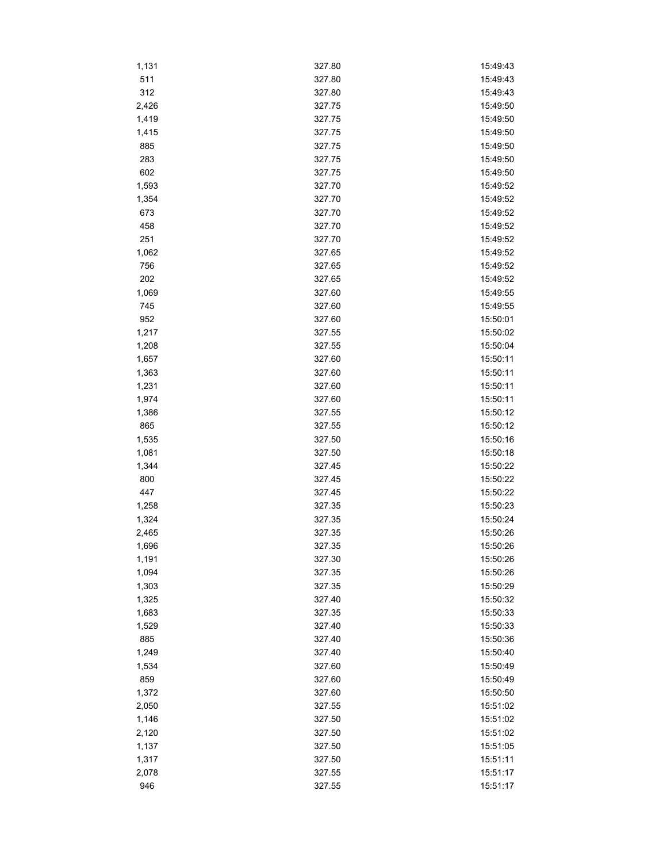| 1,131          | 327.80           | 15:49:43             |
|----------------|------------------|----------------------|
| 511            | 327.80           | 15:49:43             |
| 312            | 327.80           | 15:49:43             |
| 2,426          | 327.75           | 15:49:50             |
| 1,419          | 327.75           | 15:49:50             |
| 1,415          | 327.75           | 15:49:50             |
| 885            | 327.75           | 15:49:50             |
| 283            | 327.75           | 15:49:50             |
| 602            | 327.75           | 15:49:50             |
| 1,593          | 327.70           | 15:49:52             |
| 1,354          | 327.70           | 15:49:52             |
| 673            | 327.70           | 15:49:52             |
| 458            | 327.70           | 15:49:52             |
| 251            | 327.70           | 15:49:52             |
| 1,062          | 327.65           | 15:49:52             |
| 756            | 327.65           | 15:49:52             |
| 202            | 327.65           | 15:49:52             |
| 1,069          | 327.60           | 15:49:55             |
| 745            | 327.60           | 15:49:55             |
| 952            | 327.60           | 15:50:01             |
| 1,217          | 327.55           | 15:50:02             |
| 1,208          | 327.55           | 15:50:04             |
| 1,657          | 327.60           | 15:50:11             |
| 1,363          | 327.60           | 15:50:11             |
| 1,231          | 327.60           | 15:50:11             |
| 1,974          | 327.60           | 15:50:11             |
|                | 327.55           | 15:50:12             |
| 1,386<br>865   | 327.55           | 15:50:12             |
|                | 327.50           | 15:50:16             |
| 1,535<br>1,081 | 327.50           | 15:50:18             |
|                | 327.45           | 15:50:22             |
| 1,344<br>800   | 327.45           | 15:50:22             |
| 447            | 327.45           | 15:50:22             |
|                | 327.35           | 15:50:23             |
| 1,258          | 327.35           | 15:50:24             |
| 1,324          | 327.35           | 15:50:26             |
| 2,465          |                  | 15:50:26             |
| 1,696          | 327.35           |                      |
| 1,191<br>1,094 | 327.30           | 15:50:26             |
|                | 327.35           | 15:50:26             |
| 1,303          | 327.35           | 15:50:29             |
| 1,325          | 327.40<br>327.35 | 15:50:32             |
| 1,683          | 327.40           | 15:50:33             |
| 1,529<br>885   | 327.40           | 15:50:33<br>15:50:36 |
| 1,249          | 327.40           |                      |
|                |                  | 15:50:40             |
| 1,534          | 327.60           | 15:50:49             |
| 859            | 327.60           | 15:50:49             |
| 1,372          | 327.60           | 15:50:50             |
| 2,050          | 327.55           | 15:51:02             |
| 1,146          | 327.50           | 15:51:02             |
| 2,120          | 327.50           | 15:51:02             |
| 1,137          | 327.50           | 15:51:05             |
| 1,317          | 327.50           | 15:51:11             |
| 2,078          | 327.55           | 15:51:17             |
| 946            | 327.55           | 15:51:17             |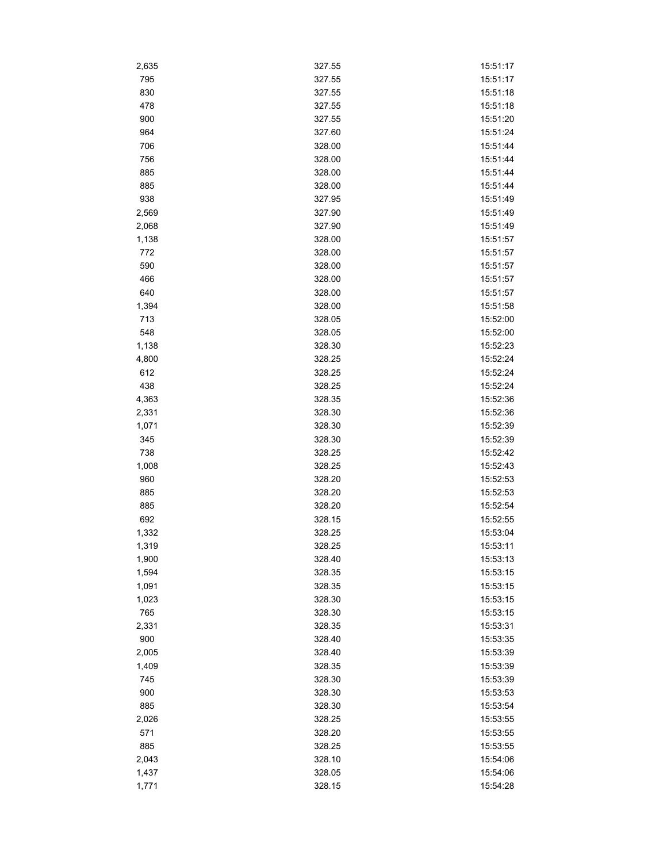| 2,635 | 327.55 | 15:51:17 |
|-------|--------|----------|
| 795   | 327.55 | 15:51:17 |
| 830   | 327.55 | 15:51:18 |
| 478   | 327.55 | 15:51:18 |
| 900   | 327.55 | 15:51:20 |
| 964   | 327.60 | 15:51:24 |
| 706   | 328.00 | 15:51:44 |
| 756   | 328.00 | 15:51:44 |
| 885   | 328.00 | 15:51:44 |
| 885   | 328.00 | 15:51:44 |
| 938   | 327.95 | 15:51:49 |
| 2,569 | 327.90 | 15:51:49 |
| 2,068 | 327.90 | 15:51:49 |
| 1,138 | 328.00 | 15:51:57 |
| 772   | 328.00 | 15:51:57 |
| 590   | 328.00 | 15:51:57 |
| 466   | 328.00 | 15:51:57 |
| 640   | 328.00 | 15:51:57 |
| 1,394 | 328.00 | 15:51:58 |
| 713   | 328.05 | 15:52:00 |
| 548   | 328.05 | 15:52:00 |
| 1,138 | 328.30 | 15:52:23 |
| 4,800 | 328.25 | 15:52:24 |
| 612   | 328.25 | 15:52:24 |
| 438   | 328.25 | 15:52:24 |
|       |        |          |
| 4,363 | 328.35 | 15:52:36 |
| 2,331 | 328.30 | 15:52:36 |
| 1,071 | 328.30 | 15:52:39 |
| 345   | 328.30 | 15:52:39 |
| 738   | 328.25 | 15:52:42 |
| 1,008 | 328.25 | 15:52:43 |
| 960   | 328.20 | 15:52:53 |
| 885   | 328.20 | 15:52:53 |
| 885   | 328.20 | 15:52:54 |
| 692   | 328.15 | 15:52:55 |
| 1,332 | 328.25 | 15:53:04 |
| 1,319 | 328.25 | 15:53:11 |
| 1,900 | 328.40 | 15:53:13 |
| 1,594 | 328.35 | 15:53:15 |
| 1,091 | 328.35 | 15:53:15 |
| 1,023 | 328.30 | 15:53:15 |
| 765   | 328.30 | 15:53:15 |
| 2,331 | 328.35 | 15:53:31 |
| 900   | 328.40 | 15:53:35 |
| 2,005 | 328.40 | 15:53:39 |
| 1,409 | 328.35 | 15:53:39 |
| 745   | 328.30 | 15:53:39 |
| 900   | 328.30 | 15:53:53 |
| 885   | 328.30 | 15:53:54 |
| 2,026 | 328.25 | 15:53:55 |
| 571   | 328.20 | 15:53:55 |
| 885   | 328.25 | 15:53:55 |
| 2,043 | 328.10 | 15:54:06 |
| 1,437 | 328.05 | 15:54:06 |
| 1,771 | 328.15 | 15:54:28 |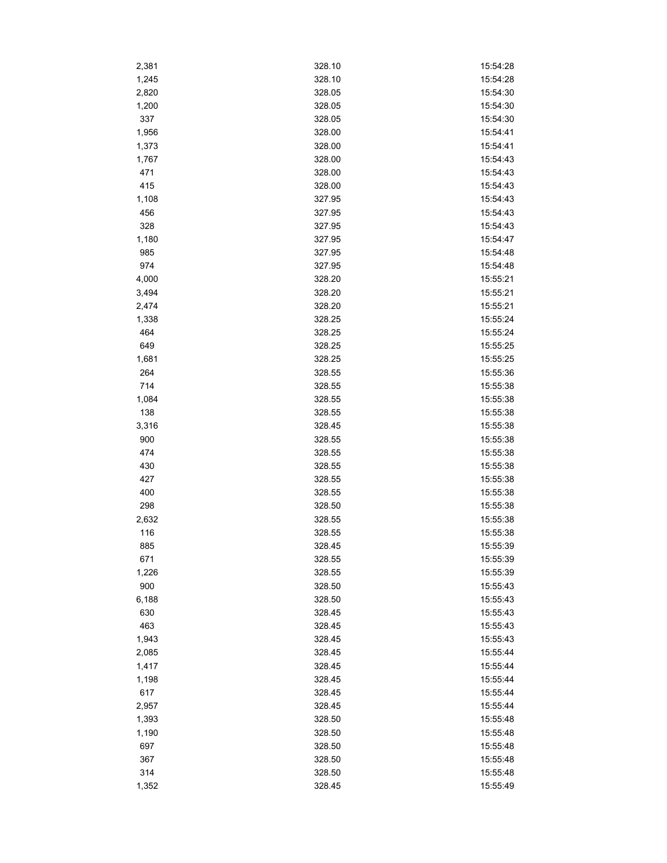| 2,381 | 328.10 | 15:54:28 |
|-------|--------|----------|
| 1,245 | 328.10 | 15:54:28 |
| 2,820 | 328.05 | 15:54:30 |
| 1,200 | 328.05 | 15:54:30 |
| 337   | 328.05 | 15:54:30 |
| 1,956 | 328.00 | 15:54:41 |
| 1,373 | 328.00 | 15:54:41 |
| 1,767 | 328.00 | 15:54:43 |
| 471   | 328.00 | 15:54:43 |
| 415   | 328.00 | 15:54:43 |
| 1,108 | 327.95 | 15:54:43 |
| 456   | 327.95 | 15:54:43 |
| 328   | 327.95 | 15:54:43 |
| 1,180 | 327.95 | 15:54:47 |
| 985   | 327.95 | 15:54:48 |
| 974   | 327.95 | 15:54:48 |
| 4,000 | 328.20 | 15:55:21 |
| 3,494 | 328.20 | 15:55:21 |
| 2,474 | 328.20 | 15:55:21 |
|       | 328.25 | 15:55:24 |
| 1,338 |        |          |
| 464   | 328.25 | 15:55:24 |
| 649   | 328.25 | 15:55:25 |
| 1,681 | 328.25 | 15:55:25 |
| 264   | 328.55 | 15:55:36 |
| 714   | 328.55 | 15:55:38 |
| 1,084 | 328.55 | 15:55:38 |
| 138   | 328.55 | 15:55:38 |
| 3,316 | 328.45 | 15:55:38 |
| 900   | 328.55 | 15:55:38 |
| 474   | 328.55 | 15:55:38 |
| 430   | 328.55 | 15:55:38 |
| 427   | 328.55 | 15:55:38 |
| 400   | 328.55 | 15:55:38 |
| 298   | 328.50 | 15:55:38 |
| 2,632 | 328.55 | 15:55:38 |
| 116   | 328.55 | 15:55:38 |
| 885   | 328.45 | 15:55:39 |
| 671   | 328.55 | 15:55:39 |
| 1,226 | 328.55 | 15:55:39 |
| 900   | 328.50 | 15:55:43 |
| 6,188 | 328.50 | 15:55:43 |
| 630   | 328.45 | 15:55:43 |
| 463   | 328.45 | 15:55:43 |
| 1,943 | 328.45 | 15:55:43 |
| 2,085 | 328.45 | 15:55:44 |
| 1,417 | 328.45 | 15:55:44 |
| 1,198 | 328.45 | 15:55:44 |
| 617   | 328.45 | 15:55:44 |
| 2,957 | 328.45 | 15:55:44 |
| 1,393 | 328.50 | 15:55:48 |
| 1,190 | 328.50 | 15:55:48 |
| 697   | 328.50 | 15:55:48 |
| 367   | 328.50 | 15:55:48 |
| 314   | 328.50 | 15:55:48 |
|       |        |          |
| 1,352 | 328.45 | 15:55:49 |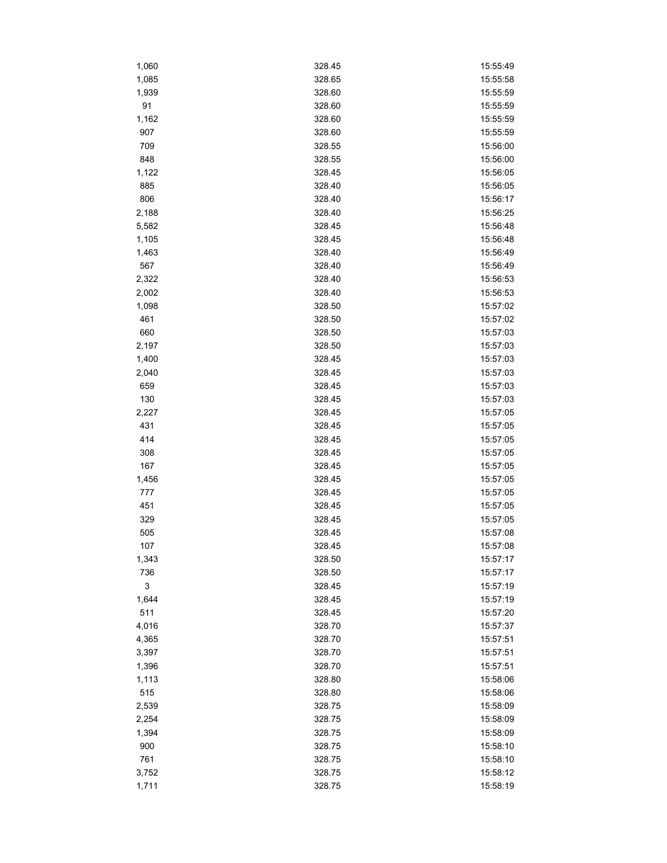| 1,060 | 328.45 | 15:55:49 |
|-------|--------|----------|
| 1,085 | 328.65 | 15:55:58 |
| 1,939 | 328.60 | 15:55:59 |
| 91    | 328.60 | 15:55:59 |
| 1,162 | 328.60 | 15:55:59 |
| 907   | 328.60 | 15:55:59 |
| 709   | 328.55 | 15:56:00 |
| 848   | 328.55 | 15:56:00 |
| 1,122 | 328.45 | 15:56:05 |
| 885   | 328.40 | 15:56:05 |
| 806   | 328.40 | 15:56:17 |
| 2,188 | 328.40 | 15:56:25 |
| 5,582 | 328.45 | 15:56:48 |
| 1,105 | 328.45 | 15:56:48 |
| 1,463 | 328.40 | 15:56:49 |
| 567   | 328.40 | 15:56:49 |
| 2,322 | 328.40 | 15:56:53 |
| 2,002 | 328.40 | 15:56:53 |
| 1,098 | 328.50 | 15:57:02 |
| 461   | 328.50 | 15:57:02 |
| 660   | 328.50 | 15:57:03 |
| 2,197 | 328.50 | 15:57:03 |
| 1,400 | 328.45 | 15:57:03 |
| 2,040 | 328.45 | 15:57:03 |
| 659   | 328.45 | 15:57:03 |
| 130   |        |          |
|       | 328.45 | 15:57:03 |
| 2,227 | 328.45 | 15:57:05 |
| 431   | 328.45 | 15:57:05 |
| 414   | 328.45 | 15:57:05 |
| 308   | 328.45 | 15:57:05 |
| 167   | 328.45 | 15:57:05 |
| 1,456 | 328.45 | 15:57:05 |
| 777   | 328.45 | 15:57:05 |
| 451   | 328.45 | 15:57:05 |
| 329   | 328.45 | 15:57:05 |
| 505   | 328.45 | 15:57:08 |
| 107   | 328.45 | 15:57:08 |
| 1,343 | 328.50 | 15:57:17 |
| 736   | 328.50 | 15:57:17 |
| 3     | 328.45 | 15:57:19 |
| 1,644 | 328.45 | 15:57:19 |
| 511   | 328.45 | 15:57:20 |
| 4,016 | 328.70 | 15:57:37 |
| 4,365 | 328.70 | 15:57:51 |
| 3,397 | 328.70 | 15:57:51 |
| 1,396 | 328.70 | 15:57:51 |
| 1,113 | 328.80 | 15:58:06 |
| 515   | 328.80 | 15:58:06 |
| 2,539 | 328.75 | 15:58:09 |
| 2,254 | 328.75 | 15:58:09 |
| 1,394 | 328.75 | 15:58:09 |
| 900   | 328.75 | 15:58:10 |
| 761   | 328.75 | 15:58:10 |
| 3,752 | 328.75 | 15:58:12 |
| 1,711 | 328.75 | 15:58:19 |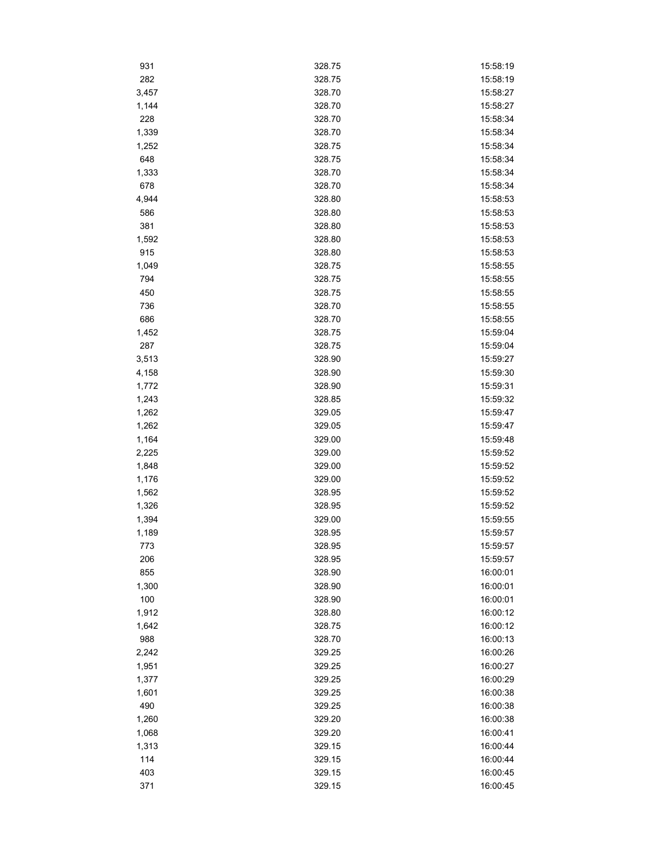| 931   | 328.75 | 15:58:19 |
|-------|--------|----------|
| 282   | 328.75 | 15:58:19 |
| 3,457 | 328.70 | 15:58:27 |
| 1,144 | 328.70 | 15:58:27 |
| 228   | 328.70 | 15:58:34 |
| 1,339 | 328.70 | 15:58:34 |
| 1,252 | 328.75 | 15:58:34 |
| 648   | 328.75 | 15:58:34 |
| 1,333 | 328.70 | 15:58:34 |
| 678   | 328.70 | 15:58:34 |
| 4,944 | 328.80 | 15:58:53 |
| 586   | 328.80 | 15:58:53 |
| 381   | 328.80 | 15:58:53 |
| 1,592 | 328.80 | 15:58:53 |
| 915   | 328.80 | 15:58:53 |
| 1,049 | 328.75 | 15:58:55 |
| 794   | 328.75 | 15:58:55 |
| 450   | 328.75 | 15:58:55 |
| 736   | 328.70 | 15:58:55 |
| 686   | 328.70 | 15:58:55 |
| 1,452 | 328.75 | 15:59:04 |
| 287   | 328.75 | 15:59:04 |
| 3,513 | 328.90 | 15:59:27 |
| 4,158 | 328.90 | 15:59:30 |
| 1,772 | 328.90 | 15:59:31 |
| 1,243 | 328.85 | 15:59:32 |
| 1,262 | 329.05 | 15:59:47 |
| 1,262 | 329.05 | 15:59:47 |
| 1,164 | 329.00 | 15:59:48 |
| 2,225 | 329.00 | 15:59:52 |
| 1,848 | 329.00 | 15:59:52 |
| 1,176 | 329.00 | 15:59:52 |
| 1,562 | 328.95 | 15:59:52 |
| 1,326 | 328.95 | 15:59:52 |
| 1,394 | 329.00 | 15:59:55 |
| 1,189 | 328.95 | 15:59:57 |
| 773   | 328.95 | 15:59:57 |
| 206   | 328.95 | 15:59:57 |
| 855   | 328.90 | 16:00:01 |
| 1,300 | 328.90 | 16:00:01 |
| 100   | 328.90 | 16:00:01 |
| 1,912 | 328.80 | 16:00:12 |
| 1,642 | 328.75 | 16:00:12 |
| 988   | 328.70 | 16:00:13 |
| 2,242 | 329.25 | 16:00:26 |
| 1,951 | 329.25 | 16:00:27 |
| 1,377 | 329.25 | 16:00:29 |
| 1,601 | 329.25 | 16:00:38 |
| 490   | 329.25 | 16:00:38 |
| 1,260 | 329.20 | 16:00:38 |
| 1,068 | 329.20 | 16:00:41 |
| 1,313 | 329.15 | 16:00:44 |
| 114   | 329.15 | 16:00:44 |
| 403   | 329.15 | 16:00:45 |
| 371   | 329.15 | 16:00:45 |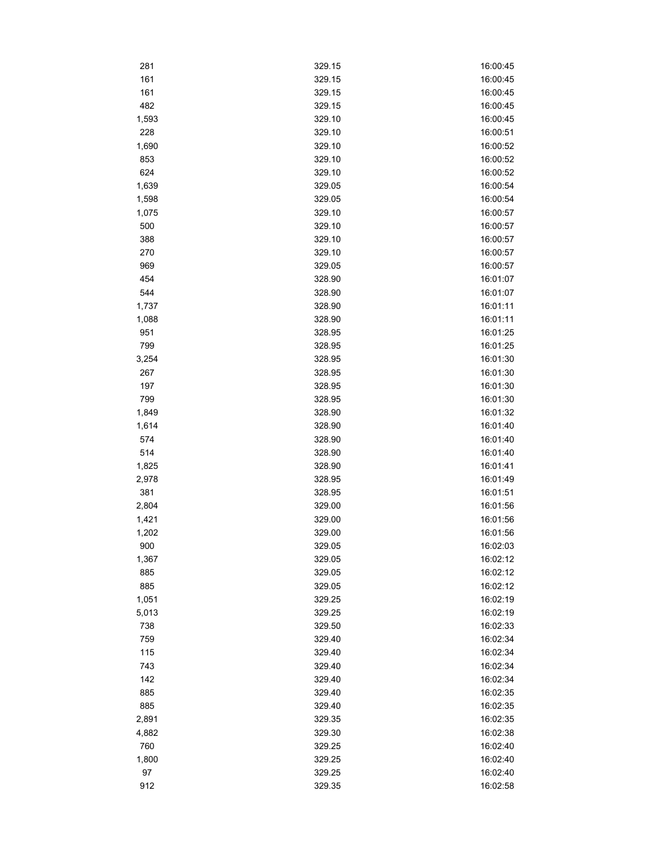| 281          | 329.15           | 16:00:45             |
|--------------|------------------|----------------------|
| 161          | 329.15           | 16:00:45             |
| 161          | 329.15           | 16:00:45             |
| 482          | 329.15           | 16:00:45             |
| 1,593        | 329.10           | 16:00:45             |
| 228          | 329.10           | 16:00:51             |
| 1,690        | 329.10           | 16:00:52             |
| 853          | 329.10           | 16:00:52             |
| 624          | 329.10           | 16:00:52             |
| 1,639        | 329.05           | 16:00:54             |
| 1,598        | 329.05           | 16:00:54             |
| 1,075        | 329.10           | 16:00:57             |
| 500          | 329.10           | 16:00:57             |
| 388          | 329.10           | 16:00:57             |
| 270          | 329.10           | 16:00:57             |
| 969          | 329.05           | 16:00:57             |
| 454          | 328.90           | 16:01:07             |
| 544          | 328.90           | 16:01:07             |
| 1,737        | 328.90           | 16:01:11             |
| 1,088        | 328.90           | 16:01:11             |
| 951          | 328.95           | 16:01:25             |
| 799          | 328.95           | 16:01:25             |
| 3,254        | 328.95           | 16:01:30             |
| 267          | 328.95           | 16:01:30             |
| 197          | 328.95           | 16:01:30             |
| 799          | 328.95           | 16:01:30             |
|              | 328.90           | 16:01:32             |
| 1,849        |                  | 16:01:40             |
| 1,614<br>574 | 328.90<br>328.90 | 16:01:40             |
| 514          | 328.90           | 16:01:40             |
|              | 328.90           | 16:01:41             |
| 1,825        | 328.95           | 16:01:49             |
| 2,978<br>381 | 328.95           | 16:01:51             |
| 2,804        |                  | 16:01:56             |
|              | 329.00           |                      |
| 1,421        | 329.00<br>329.00 | 16:01:56<br>16:01:56 |
| 1,202        |                  |                      |
| 900          | 329.05           | 16:02:03             |
| 1,367        | 329.05           | 16:02:12             |
| 885          | 329.05           | 16:02:12             |
| 885          | 329.05           | 16:02:12             |
| 1,051        | 329.25           | 16:02:19             |
| 5,013        | 329.25           | 16:02:19             |
| 738          | 329.50           | 16:02:33             |
| 759          | 329.40           | 16:02:34             |
| 115          | 329.40           | 16:02:34             |
| 743          | 329.40           | 16:02:34             |
| 142          | 329.40           | 16:02:34             |
| 885          | 329.40           | 16:02:35             |
| 885          | 329.40           | 16:02:35             |
| 2,891        | 329.35           | 16:02:35             |
| 4,882        | 329.30           | 16:02:38             |
| 760          | 329.25           | 16:02:40             |
| 1,800        | 329.25           | 16:02:40             |
| 97           | 329.25           | 16:02:40             |
| 912          | 329.35           | 16:02:58             |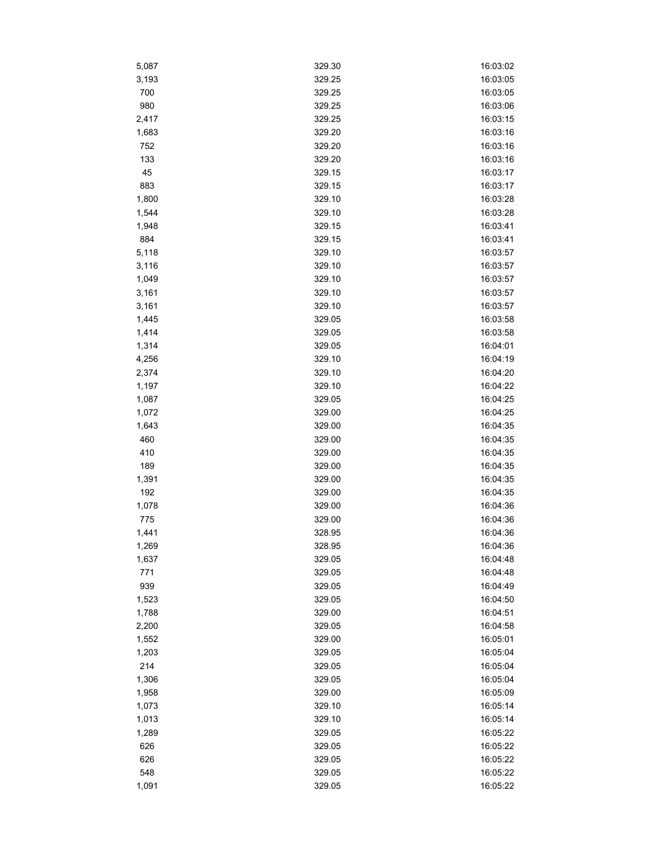| 5,087 | 329.30 | 16:03:02 |
|-------|--------|----------|
| 3,193 | 329.25 | 16:03:05 |
| 700   | 329.25 | 16:03:05 |
| 980   | 329.25 | 16:03:06 |
| 2,417 | 329.25 | 16:03:15 |
| 1,683 | 329.20 | 16:03:16 |
| 752   | 329.20 | 16:03:16 |
| 133   | 329.20 | 16:03:16 |
| 45    | 329.15 | 16:03:17 |
| 883   | 329.15 | 16:03:17 |
| 1,800 | 329.10 | 16:03:28 |
| 1,544 | 329.10 | 16:03:28 |
| 1,948 | 329.15 | 16:03:41 |
| 884   | 329.15 | 16:03:41 |
| 5,118 | 329.10 | 16:03:57 |
| 3,116 | 329.10 | 16:03:57 |
| 1,049 | 329.10 | 16:03:57 |
| 3,161 | 329.10 | 16:03:57 |
| 3,161 | 329.10 | 16:03:57 |
| 1,445 | 329.05 | 16:03:58 |
| 1,414 | 329.05 | 16:03:58 |
| 1,314 | 329.05 | 16:04:01 |
| 4,256 | 329.10 | 16:04:19 |
| 2,374 | 329.10 | 16:04:20 |
| 1,197 | 329.10 | 16:04:22 |
|       |        | 16:04:25 |
| 1,087 | 329.05 |          |
| 1,072 | 329.00 | 16:04:25 |
| 1,643 | 329.00 | 16:04:35 |
| 460   | 329.00 | 16:04:35 |
| 410   | 329.00 | 16:04:35 |
| 189   | 329.00 | 16:04:35 |
| 1,391 | 329.00 | 16:04:35 |
| 192   | 329.00 | 16:04:35 |
| 1,078 | 329.00 | 16:04:36 |
| 775   | 329.00 | 16:04:36 |
| 1,441 | 328.95 | 16:04:36 |
| 1,269 | 328.95 | 16:04:36 |
| 1,637 | 329.05 | 16:04:48 |
| 771   | 329.05 | 16:04:48 |
| 939   | 329.05 | 16:04:49 |
| 1,523 | 329.05 | 16:04:50 |
| 1,788 | 329.00 | 16:04:51 |
| 2,200 | 329.05 | 16:04:58 |
| 1,552 | 329.00 | 16:05:01 |
| 1,203 | 329.05 | 16:05:04 |
| 214   | 329.05 | 16:05:04 |
| 1,306 | 329.05 | 16:05:04 |
| 1,958 | 329.00 | 16:05:09 |
| 1,073 | 329.10 | 16:05:14 |
| 1,013 | 329.10 | 16:05:14 |
| 1,289 | 329.05 | 16:05:22 |
| 626   | 329.05 | 16:05:22 |
| 626   | 329.05 | 16:05:22 |
| 548   | 329.05 | 16:05:22 |
| 1,091 | 329.05 | 16:05:22 |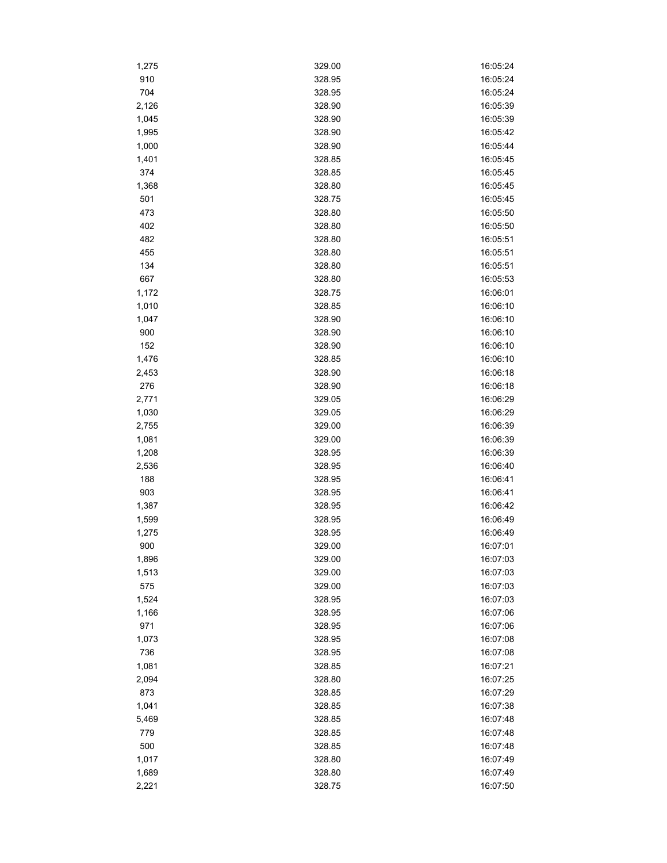| 1,275 | 329.00           | 16:05:24             |
|-------|------------------|----------------------|
| 910   | 328.95           | 16:05:24             |
| 704   | 328.95           | 16:05:24             |
| 2,126 | 328.90           | 16:05:39             |
| 1,045 | 328.90           | 16:05:39             |
| 1,995 | 328.90           | 16:05:42             |
| 1,000 | 328.90           | 16:05:44             |
| 1,401 | 328.85           | 16:05:45             |
| 374   | 328.85           | 16:05:45             |
| 1,368 | 328.80           | 16:05:45             |
| 501   | 328.75           | 16:05:45             |
| 473   | 328.80           | 16:05:50             |
| 402   | 328.80           | 16:05:50             |
| 482   | 328.80           | 16:05:51             |
| 455   | 328.80           | 16:05:51             |
| 134   | 328.80           | 16:05:51             |
| 667   | 328.80           | 16:05:53             |
| 1,172 | 328.75           | 16:06:01             |
| 1,010 | 328.85           | 16:06:10             |
| 1,047 | 328.90           | 16:06:10             |
| 900   | 328.90           | 16:06:10             |
| 152   | 328.90           | 16:06:10             |
| 1,476 | 328.85           | 16:06:10             |
| 2,453 | 328.90           | 16:06:18             |
| 276   | 328.90           | 16:06:18             |
| 2,771 | 329.05           | 16:06:29             |
|       | 329.05           | 16:06:29             |
| 1,030 | 329.00           | 16:06:39             |
| 2,755 |                  |                      |
| 1,081 | 329.00           | 16:06:39             |
| 1,208 | 328.95<br>328.95 | 16:06:39<br>16:06:40 |
| 2,536 |                  |                      |
| 188   | 328.95           | 16:06:41             |
| 903   | 328.95           | 16:06:41             |
| 1,387 | 328.95           | 16:06:42             |
| 1,599 | 328.95           | 16:06:49             |
| 1,275 | 328.95           | 16:06:49             |
| 900   | 329.00           | 16:07:01             |
| 1,896 | 329.00           | 16:07:03             |
| 1,513 | 329.00           | 16:07:03             |
| 575   | 329.00           | 16:07:03             |
| 1,524 | 328.95           | 16:07:03             |
| 1,166 | 328.95           | 16:07:06             |
| 971   | 328.95           | 16:07:06             |
| 1,073 | 328.95           | 16:07:08             |
| 736   | 328.95           | 16:07:08             |
| 1,081 | 328.85           | 16:07:21             |
| 2,094 | 328.80           | 16:07:25             |
| 873   | 328.85           | 16:07:29             |
| 1,041 | 328.85           | 16:07:38             |
| 5,469 | 328.85           | 16:07:48             |
| 779   | 328.85           | 16:07:48             |
| 500   | 328.85           | 16:07:48             |
| 1,017 | 328.80           | 16:07:49             |
| 1,689 | 328.80           | 16:07:49             |
| 2,221 | 328.75           | 16:07:50             |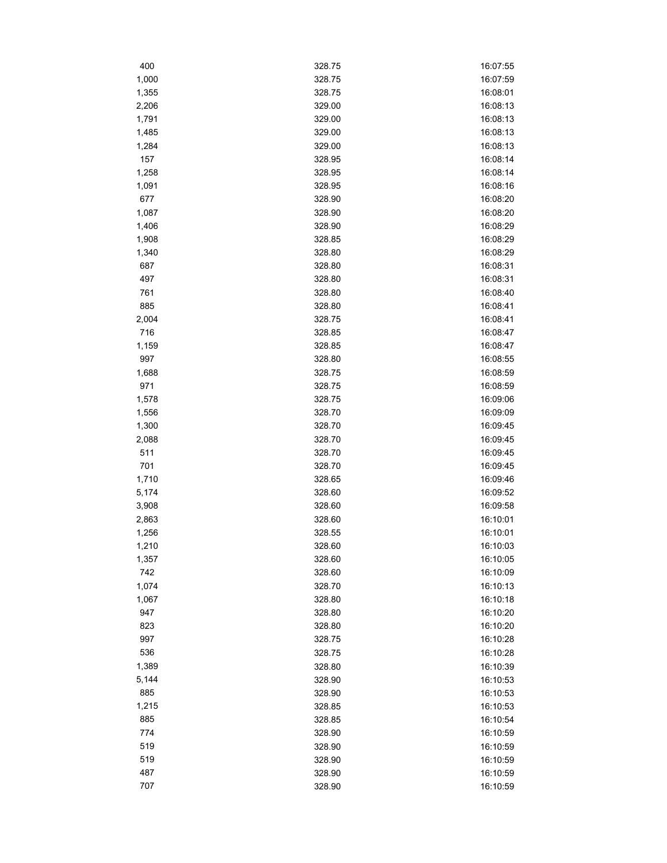| 400          | 328.75           | 16:07:55 |
|--------------|------------------|----------|
| 1,000        | 328.75           | 16:07:59 |
| 1,355        | 328.75           | 16:08:01 |
| 2,206        | 329.00           | 16:08:13 |
| 1,791        | 329.00           | 16:08:13 |
| 1,485        | 329.00           | 16:08:13 |
| 1,284        | 329.00           | 16:08:13 |
| 157          | 328.95           | 16:08:14 |
| 1,258        | 328.95           | 16:08:14 |
| 1,091        | 328.95           | 16:08:16 |
| 677          | 328.90           | 16:08:20 |
| 1,087        | 328.90           | 16:08:20 |
| 1,406        | 328.90           | 16:08:29 |
| 1,908        | 328.85           | 16:08:29 |
| 1,340        | 328.80           | 16:08:29 |
| 687          | 328.80           | 16:08:31 |
| 497          | 328.80           | 16:08:31 |
| 761          | 328.80           | 16:08:40 |
| 885          | 328.80           | 16:08:41 |
| 2,004        | 328.75           | 16:08:41 |
| 716          | 328.85           | 16:08:47 |
| 1,159        | 328.85           | 16:08:47 |
| 997          | 328.80           | 16:08:55 |
| 1,688        | 328.75           | 16:08:59 |
| 971          | 328.75           | 16:08:59 |
| 1,578        | 328.75           | 16:09:06 |
| 1,556        | 328.70           | 16:09:09 |
| 1,300        | 328.70           | 16:09:45 |
| 2,088        | 328.70           | 16:09:45 |
| 511          | 328.70           | 16:09:45 |
| 701          | 328.70           | 16:09:45 |
| 1,710        | 328.65           | 16:09:46 |
| 5,174        | 328.60           | 16:09:52 |
| 3,908        | 328.60           | 16:09:58 |
| 2,863        | 328.60           | 16:10:01 |
| 1,256        | 328.55           | 16:10:01 |
| 1,210        | 328.60           | 16:10:03 |
| 1,357        | 328.60           | 16:10:05 |
| 742          | 328.60           | 16:10:09 |
| 1,074        | 328.70           | 16:10:13 |
|              |                  | 16:10:18 |
| 1,067<br>947 | 328.80<br>328.80 | 16:10:20 |
|              |                  | 16:10:20 |
| 823<br>997   | 328.80<br>328.75 | 16:10:28 |
| 536          |                  |          |
|              | 328.75           | 16:10:28 |
| 1,389        | 328.80           | 16:10:39 |
| 5,144        | 328.90           | 16:10:53 |
| 885          | 328.90           | 16:10:53 |
| 1,215        | 328.85           | 16:10:53 |
| 885          | 328.85           | 16:10:54 |
| 774          | 328.90           | 16:10:59 |
| 519          | 328.90           | 16:10:59 |
| 519          | 328.90           | 16:10:59 |
| 487          | 328.90           | 16:10:59 |
| 707          | 328.90           | 16:10:59 |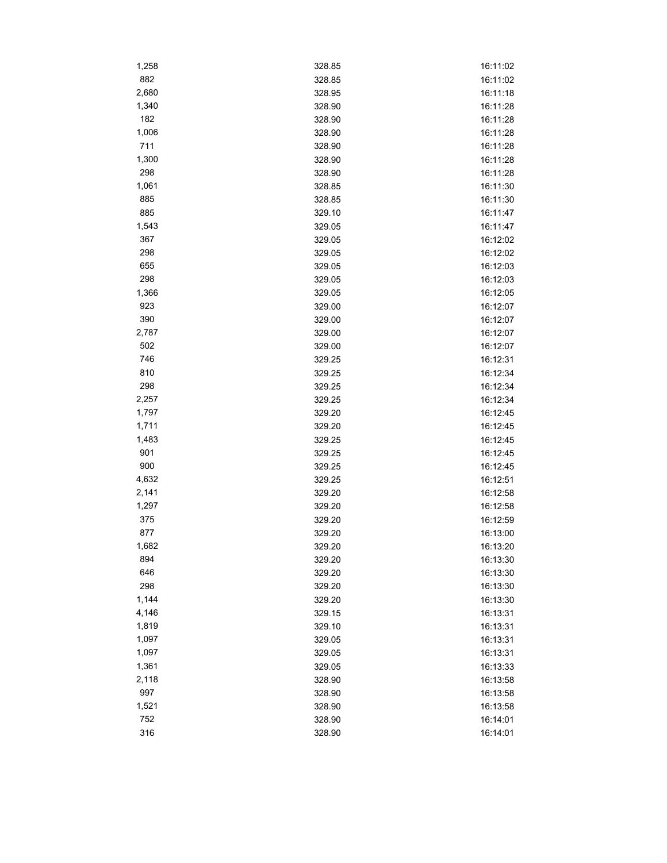| 1,258      | 328.85           | 16:11:02             |
|------------|------------------|----------------------|
| 882        | 328.85           | 16:11:02             |
| 2,680      | 328.95           | 16:11:18             |
| 1,340      | 328.90           | 16:11:28             |
| 182        | 328.90           | 16:11:28             |
| 1,006      | 328.90           | 16:11:28             |
| 711        | 328.90           | 16:11:28             |
| 1,300      | 328.90           | 16:11:28             |
| 298        | 328.90           | 16:11:28             |
| 1,061      | 328.85           | 16:11:30             |
| 885        | 328.85           | 16:11:30             |
| 885        | 329.10           | 16:11:47             |
| 1,543      | 329.05           | 16:11:47             |
| 367        | 329.05           | 16:12:02             |
| 298        | 329.05           | 16:12:02             |
| 655        | 329.05           | 16:12:03             |
| 298        | 329.05           | 16:12:03             |
| 1,366      | 329.05           | 16:12:05             |
| 923        | 329.00           | 16:12:07             |
| 390        | 329.00           | 16:12:07             |
| 2,787      | 329.00           | 16:12:07             |
| 502        | 329.00           | 16:12:07             |
| 746        | 329.25           | 16:12:31             |
| 810        |                  |                      |
| 298        | 329.25<br>329.25 | 16:12:34<br>16:12:34 |
| 2,257      | 329.25           |                      |
| 1,797      | 329.20           | 16:12:34<br>16:12:45 |
| 1,711      |                  |                      |
| 1,483      | 329.20<br>329.25 | 16:12:45<br>16:12:45 |
|            |                  |                      |
| 901<br>900 | 329.25           | 16:12:45<br>16:12:45 |
| 4,632      | 329.25<br>329.25 | 16:12:51             |
| 2,141      |                  |                      |
| 1,297      | 329.20           | 16:12:58<br>16:12:58 |
|            | 329.20           |                      |
| 375<br>877 | 329.20           | 16:12:59             |
| 1,682      | 329.20<br>329.20 | 16:13:00             |
| 894        |                  | 16:13:20             |
| 646        | 329.20           | 16:13:30             |
| 298        | 329.20           | 16:13:30             |
| 1,144      | 329.20           | 16:13:30             |
| 4,146      | 329.20           | 16:13:30             |
| 1,819      | 329.15           | 16:13:31             |
|            | 329.10           | 16:13:31             |
| 1,097      | 329.05           | 16:13:31             |
| 1,097      | 329.05           | 16:13:31             |
| 1,361      | 329.05           | 16:13:33             |
| 2,118      | 328.90           | 16:13:58             |
| 997        | 328.90           | 16:13:58             |
| 1,521      | 328.90           | 16:13:58             |
| 752        | 328.90           | 16:14:01             |
| 316        | 328.90           | 16:14:01             |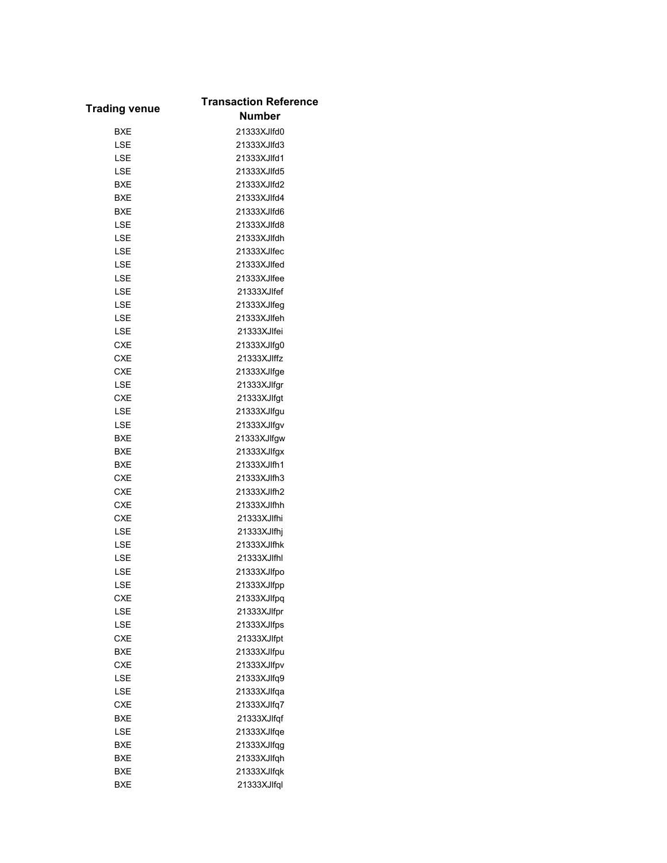| <b>Trading venue</b> | <b>Transaction Reference</b> |
|----------------------|------------------------------|
|                      | <b>Number</b>                |
| <b>BXE</b>           | 21333XJIfd0                  |
| LSE                  | 21333XJIfd3                  |
| LSE                  | 21333XJlfd1                  |
| LSE                  | 21333XJIfd5                  |
| <b>BXE</b>           | 21333XJIfd2                  |
| <b>BXE</b>           | 21333XJIfd4                  |
| <b>BXE</b>           | 21333XJIfd6                  |
| LSE                  | 21333XJIfd8                  |
| LSE                  | 21333XJlfdh                  |
| LSE                  | 21333XJlfec                  |
| LSE                  | 21333XJlfed                  |
| LSE                  | 21333XJlfee                  |
| LSE                  | 21333XJlfef                  |
| LSE                  | 21333XJlfeg                  |
| LSE                  | 21333XJlfeh                  |
| LSE                  | 21333XJlfei                  |
| CXE                  | 21333XJlfg0                  |
| CXE                  | 21333XJIffz                  |
| <b>CXE</b>           | 21333XJlfge                  |
| <b>LSE</b>           |                              |
|                      | 21333XJlfgr                  |
| CXE                  | 21333XJlfgt                  |
| LSE                  | 21333XJlfgu                  |
| LSE                  | 21333XJlfgv                  |
| <b>BXE</b>           | 21333XJIfgw                  |
| <b>BXE</b>           | 21333XJlfgx                  |
| <b>BXE</b>           | 21333XJlfh1                  |
| <b>CXE</b>           | 21333XJlfh3                  |
| <b>CXE</b>           | 21333XJlfh2                  |
| <b>CXE</b>           | 21333XJlfhh                  |
| CXE                  | 21333XJlfhi                  |
| LSE                  | 21333XJlfhj                  |
| LSE                  | 21333XJlfhk                  |
| LSE                  | 21333XJlfhl                  |
| LSE                  | 21333XJlfpo                  |
| LSE                  | 21333XJlfpp                  |
| CXE                  | 21333XJlfpq                  |
| LSE                  | 21333XJlfpr                  |
| LSE                  | 21333XJlfps                  |
| <b>CXE</b>           | 21333XJlfpt                  |
| BXE                  | 21333XJlfpu                  |
| <b>CXE</b>           | 21333XJlfpv                  |
| LSE                  | 21333XJlfq9                  |
| LSE                  | 21333XJlfqa                  |
| <b>CXE</b>           | 21333XJlfq7                  |
| <b>BXE</b>           | 21333XJlfqf                  |
| LSE                  | 21333XJlfqe                  |
| <b>BXE</b>           | 21333XJlfqg                  |
| BXE                  | 21333XJlfqh                  |
| BXE                  | 21333XJlfqk                  |
| <b>BXE</b>           | 21333XJlfql                  |
|                      |                              |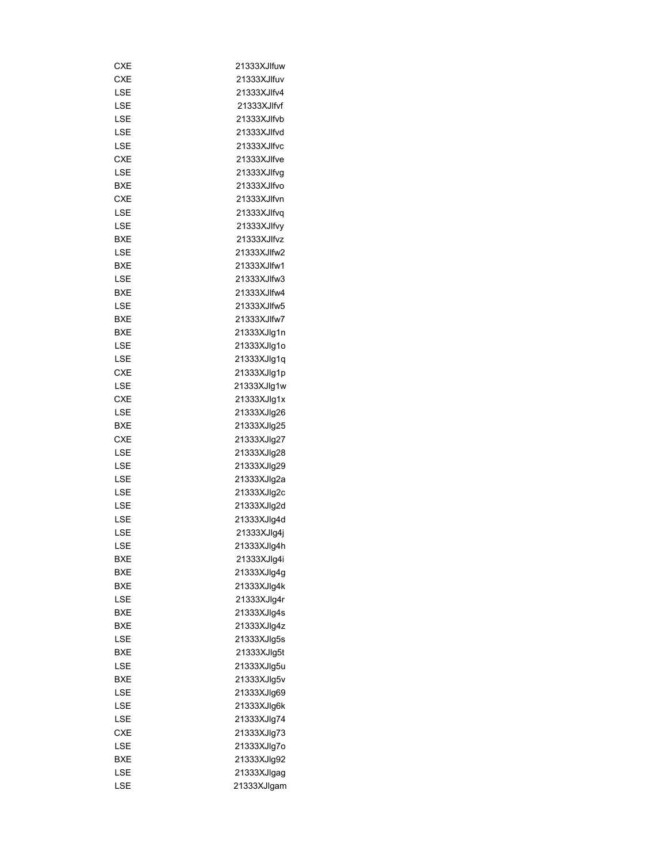| CXE        | 21333XJlfuw |
|------------|-------------|
| <b>CXE</b> | 21333XJlfuv |
| LSE        | 21333XJlfv4 |
| LSE        | 21333XJlfvf |
| LSE        | 21333XJlfvb |
| LSE        | 21333XJlfvd |
| LSE        | 21333XJlfvc |
| <b>CXE</b> | 21333XJlfve |
| LSE        | 21333XJlfvg |
| BXE        | 21333XJlfvo |
| <b>CXE</b> | 21333XJlfvn |
| LSE        | 21333XJlfvq |
| LSE        | 21333XJlfvy |
| BXE        | 21333XJlfvz |
| LSE        | 21333XJlfw2 |
| BXE        | 21333XJlfw1 |
| LSE        | 21333XJlfw3 |
| BXE        | 21333XJIfw4 |
| LSE        | 21333XJlfw5 |
| BXE        | 21333XJIfw7 |
| BXE        | 21333XJlg1n |
| LSE        |             |
|            | 21333XJlg1o |
| LSE        | 21333XJlg1q |
| CXE        | 21333XJlg1p |
| LSE        | 21333XJlg1w |
| CXE        | 21333XJlg1x |
| LSE        | 21333XJlg26 |
| BXE        | 21333XJlg25 |
| CXE        | 21333XJlg27 |
| LSE        | 21333XJlg28 |
| LSE        | 21333XJlg29 |
| LSE        | 21333XJlg2a |
| LSE        | 21333XJlg2c |
| LSE        | 21333XJlg2d |
| LSE        | 21333XJlg4d |
| LSE        | 21333XJlg4j |
| LSE        | 21333XJlg4h |
| BXE        | 21333XJlg4i |
| <b>BXE</b> | 21333XJlg4g |
| BXE        | 21333XJlg4k |
| LSE        | 21333XJlg4r |
| BXE        | 21333XJlg4s |
| BXE        | 21333XJlq4z |
| LSE        | 21333XJlg5s |
| BXE        | 21333XJlg5t |
| LSE        | 21333XJlg5u |
| BXE        | 21333XJlg5v |
| LSE        | 21333XJlg69 |
| LSE        | 21333XJlg6k |
| LSE        | 21333XJlg74 |
| CXE        | 21333XJlg73 |
| LSE        | 21333XJlg7o |
| BXE        | 21333XJlg92 |
| LSE        | 21333XJlgag |
| LSE        | 21333XJlgam |
|            |             |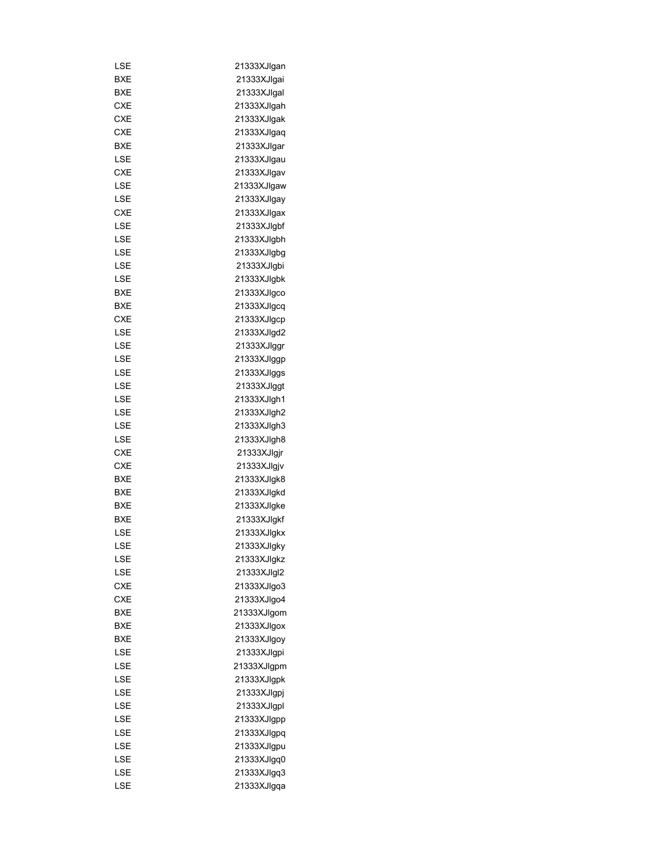| LSE        | 21333XJlgan |
|------------|-------------|
| BXE        | 21333XJlgai |
| <b>BXE</b> | 21333XJlgal |
| CXE        | 21333XJlgah |
| <b>CXE</b> | 21333XJlgak |
| <b>CXE</b> | 21333XJlgaq |
| BXE        | 21333XJlgar |
| LSE        |             |
|            | 21333XJlgau |
| <b>CXE</b> | 21333XJlgav |
| LSE        | 21333XJlgaw |
| LSE        | 21333XJlgay |
| <b>CXE</b> | 21333XJlgax |
| LSE        | 21333XJlgbf |
| LSE        | 21333XJlgbh |
| LSE        | 21333XJlgbg |
| LSE        | 21333XJlgbi |
| LSE        | 21333XJlgbk |
| BXE        | 21333XJlgco |
| <b>BXE</b> | 21333XJlgcq |
| CXE        | 21333XJlgcp |
| LSE        | 21333XJlgd2 |
| LSE        | 21333XJlggr |
| LSE        | 21333XJlggp |
| LSE        | 21333XJlggs |
| LSE        | 21333XJlggt |
| LSE        | 21333XJlgh1 |
| LSE        | 21333XJlgh2 |
| LSE        | 21333XJlgh3 |
| LSE        | 21333XJlgh8 |
| <b>CXE</b> | 21333XJlgjr |
| <b>CXE</b> | 21333XJlgjv |
| BXE        | 21333XJlgk8 |
| <b>BXE</b> | 21333XJlgkd |
| BXE        | 21333XJlgke |
| <b>BXE</b> | 21333XJlgkf |
| LSE        | 21333XJlgkx |
| LSE        | 21333XJlakv |
| LSE        | 21333XJlqkz |
| LSE        | 21333XJlgl2 |
| CXE        | 21333XJIgo3 |
| <b>CXE</b> | 21333XJlgo4 |
| BXE        | 21333XJlgom |
| <b>BXE</b> | 21333XJlgox |
| BXE        | 21333XJlgoy |
| LSE        | 21333XJlgpi |
| LSE        | 21333XJlgpm |
| LSE        | 21333XJlgpk |
| LSE        | 21333XJlgpj |
| LSE        | 21333XJlgpl |
| LSE        | 21333XJlgpp |
|            | 21333XJlgpq |
| LSE        |             |
| LSE        | 21333XJlgpu |
| LSE        | 21333XJlgq0 |
| LSE        | 21333XJlgq3 |
| LSE        | 21333XJlgqa |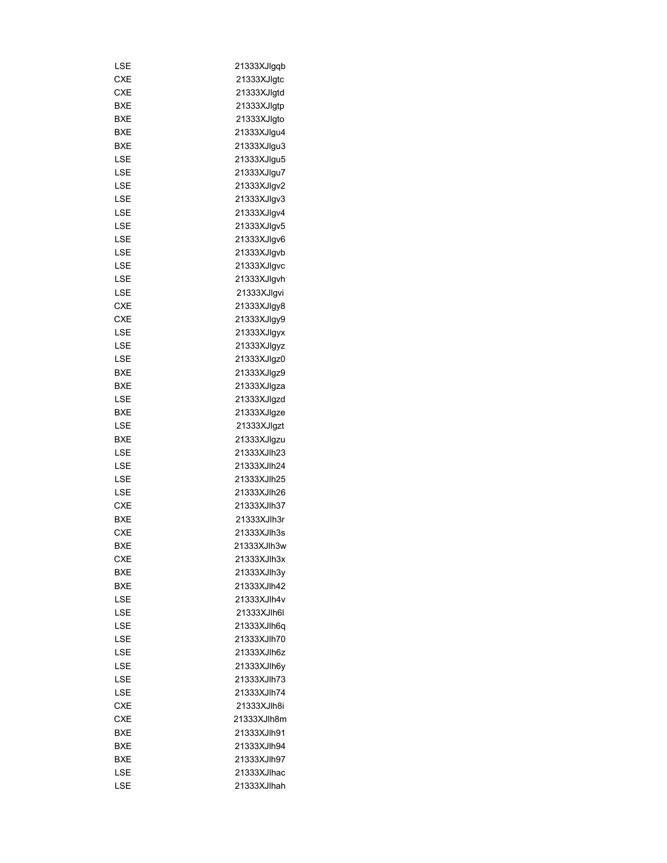| LSE        | 21333XJlgqb |
|------------|-------------|
| <b>CXE</b> | 21333XJlqtc |
| CXE        | 21333XJlgtd |
| BXE        | 21333XJlgtp |
| BXE        | 21333XJlqto |
| BXE        | 21333XJlgu4 |
| BXE        | 21333XJlgu3 |
| LSE        | 21333XJlgu5 |
| LSE        | 21333XJlgu7 |
| LSE        | 21333XJlgv2 |
| LSE        | 21333XJlgv3 |
| LSE        | 21333XJlgv4 |
| LSE        | 21333XJlgv5 |
| LSE        | 21333XJlgv6 |
| LSE        | 21333XJlgvb |
| LSE        | 21333XJlgvc |
| LSE        | 21333XJlgvh |
| LSE        | 21333XJlgvi |
| <b>CXE</b> | 21333XJlgy8 |
| <b>CXE</b> | 21333XJlgy9 |
| LSE        | 21333XJlqyx |
| LSE        | 21333XJlgyz |
| LSE        | 21333XJlgz0 |
|            |             |
| BXE        | 21333XJlgz9 |
| BXE        | 21333XJlgza |
| LSE        | 21333XJlgzd |
| BXE        | 21333XJlgze |
| LSE        | 21333XJlgzt |
| BXE        | 21333XJlgzu |
| LSE        | 21333XJlh23 |
| LSE        | 21333XJlh24 |
| LSE        | 21333XJlh25 |
| LSE        | 21333XJlh26 |
| <b>CXE</b> | 21333XJlh37 |
| <b>BXE</b> | 21333XJlh3r |
| <b>CXE</b> | 21333XJlh3s |
| BXE        | 21333XJlh3w |
| CXE        | 21333XJlh3x |
| BXE        | 21333XJlh3y |
| BXE        | 21333XJlh42 |
| LSE        | 21333XJlh4v |
| LSE        | 21333XJlh6l |
| LSE        | 21333XJlh6q |
| LSE        | 21333XJlh70 |
| LSE        | 21333XJlh6z |
| LSE        | 21333XJlh6y |
| LSE        | 21333XJlh73 |
| LSE        | 21333XJlh74 |
| CXE        | 21333XJlh8i |
| CXE        | 21333XJlh8m |
| BXE        | 21333XJlh91 |
| BXE        | 21333XJlh94 |
| BXE        | 21333XJlh97 |
| LSE        | 21333XJlhac |
| LSE        | 21333XJlhah |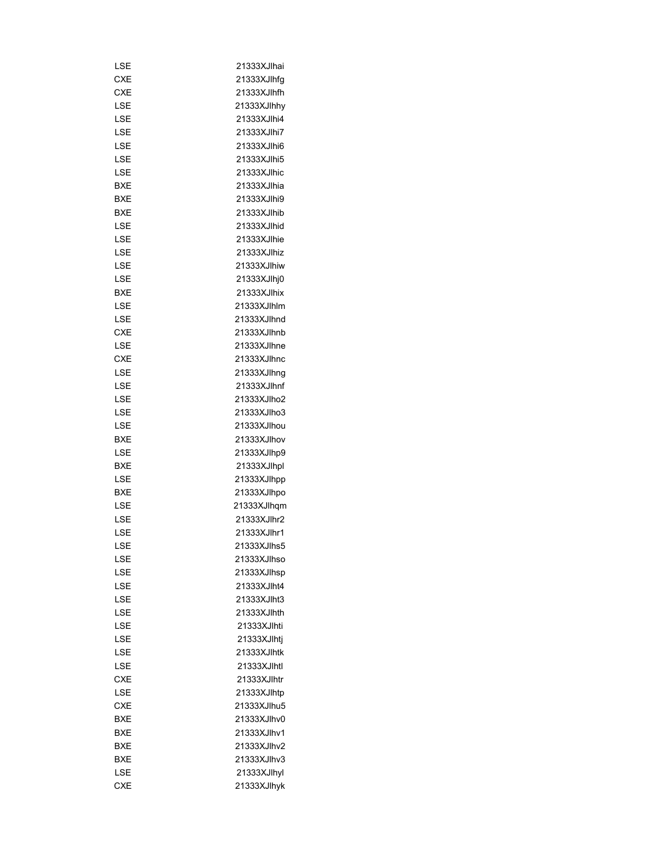| LSE        | 21333XJlhai |
|------------|-------------|
| CXE        | 21333XJlhfg |
| CXE        | 21333XJlhfh |
| LSE        | 21333XJlhhy |
| <b>LSE</b> | 21333XJlhi4 |
| LSE        | 21333XJlhi7 |
| LSE        | 21333XJlhi6 |
| LSE        | 21333XJlhi5 |
| LSE        | 21333XJlhic |
| BXE        | 21333XJlhia |
| <b>BXE</b> | 21333XJlhi9 |
| BXE        | 21333XJlhib |
| LSE        | 21333XJlhid |
| LSE        | 21333XJlhie |
| LSE        | 21333XJlhiz |
| LSE        | 21333XJlhiw |
| LSE        | 21333XJlhj0 |
| BXE        | 21333XJlhix |
| LSE        | 21333XJlhlm |
| LSE        | 21333XJlhnd |
| CXE        | 21333XJlhnb |
|            | 21333XJlhne |
| LSE        |             |
| CXE        | 21333XJlhnc |
| LSE        | 21333XJlhng |
| LSE        | 21333XJlhnf |
| LSE        | 21333XJlho2 |
| LSE        | 21333XJlho3 |
| LSE        | 21333XJlhou |
| BXE        | 21333XJlhov |
| LSE        | 21333XJlhp9 |
| BXE        | 21333XJlhpl |
| LSE        | 21333XJlhpp |
| BXE        | 21333XJlhpo |
| LSE        | 21333XJlhqm |
| LSE        | 21333XJlhr2 |
| LSE        | 21333XJlhr1 |
| LSE        | 21333XJlhs5 |
| LSE        | 21333XJlhso |
| LSE        | 21333XJlhsp |
| LSE        | 21333XJlht4 |
| LSE        | 21333XJlht3 |
| LSE        | 21333XJlhth |
| LSE        | 21333XJlhti |
| LSE        | 21333XJlhtj |
| LSE        | 21333XJlhtk |
| LSE        | 21333XJlhtl |
| <b>CXE</b> | 21333XJlhtr |
| LSE        | 21333XJlhtp |
| <b>CXE</b> | 21333XJlhu5 |
| BXE        | 21333XJlhv0 |
| BXE        | 21333XJlhv1 |
| BXE        | 21333XJlhv2 |
| BXE        | 21333XJlhv3 |
|            |             |
| LSE        | 21333XJlhyl |
| <b>CXE</b> | 21333XJlhyk |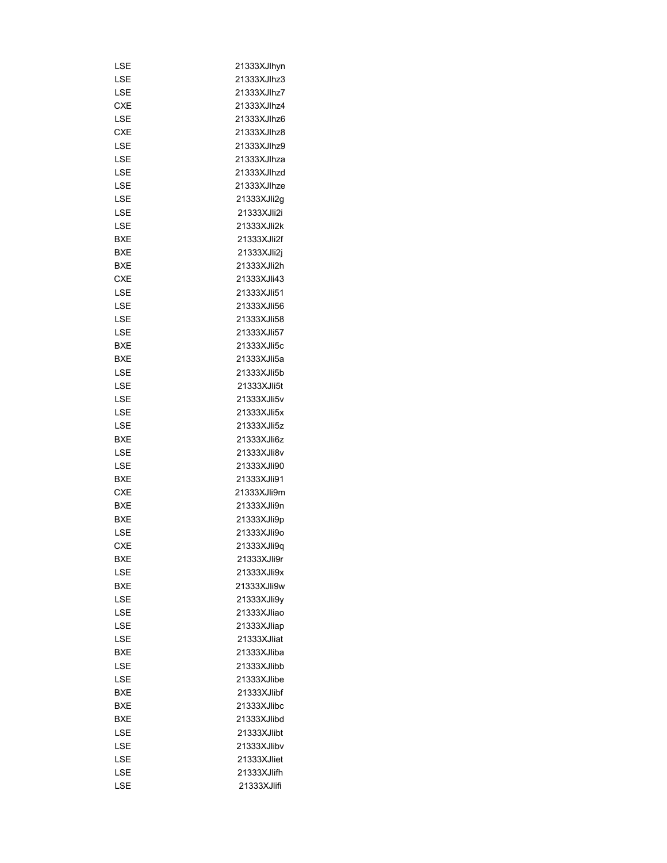| LSE        | 21333XJlhyn |
|------------|-------------|
| LSE        | 21333XJlhz3 |
| LSE        | 21333XJlhz7 |
| CXE        | 21333XJlhz4 |
| LSE        | 21333XJlhz6 |
| CXE        | 21333XJlhz8 |
| LSE        | 21333XJlhz9 |
| LSE        | 21333XJlhza |
| LSE        | 21333XJlhzd |
| LSE        | 21333XJlhze |
| LSE        | 21333XJli2g |
| LSE        | 21333XJIi2i |
| LSE        | 21333XJIi2k |
| BXE        | 21333XJIi2f |
| BXE        | 21333XJIi2j |
| BXE        | 21333XJIi2h |
| <b>CXE</b> | 21333XJIi43 |
| <b>LSE</b> | 21333XJIi51 |
| LSE        | 21333XJIi56 |
| LSE        | 21333XJIi58 |
| LSE        | 21333XJIi57 |
| <b>BXE</b> | 21333XJIi5c |
| BXE        | 21333XJIi5a |
| LSE        | 21333XJIi5b |
| LSE        | 21333XJIi5t |
| LSE        | 21333XJIi5v |
| LSE        | 21333XJIi5x |
| LSE        | 21333XJIi5z |
|            |             |
| BXE        | 21333XJIi6z |
| LSE        | 21333XJIi8v |
| LSE        | 21333XJIi90 |
| BXE        | 21333XJIi91 |
| CXE        | 21333XJIi9m |
| BXE        | 21333XJli9n |
| BXE        | 21333XJli9p |
| LSE        | 21333XJIi9o |
| <b>CXE</b> | 21333XJIi9a |
| BXE        | 21333XJIi9r |
| LSE        | 21333XJIi9x |
| BXE        | 21333XJIi9w |
| LSE        | 21333XJli9y |
| LSE        | 21333XJliao |
| LSE        | 21333XJliap |
| LSE        | 21333XJliat |
| BXE        | 21333XJliba |
| LSE        | 21333XJlibb |
| <b>LSE</b> | 21333XJlibe |
| BXE        | 21333XJlibf |
| BXE        | 21333XJlibc |
| BXE        | 21333XJlibd |
| LSE        | 21333XJlibt |
| LSE        | 21333XJlibv |
| LSE        | 21333XJliet |
| LSE        | 21333XJlifh |
| LSE        | 21333XJlifi |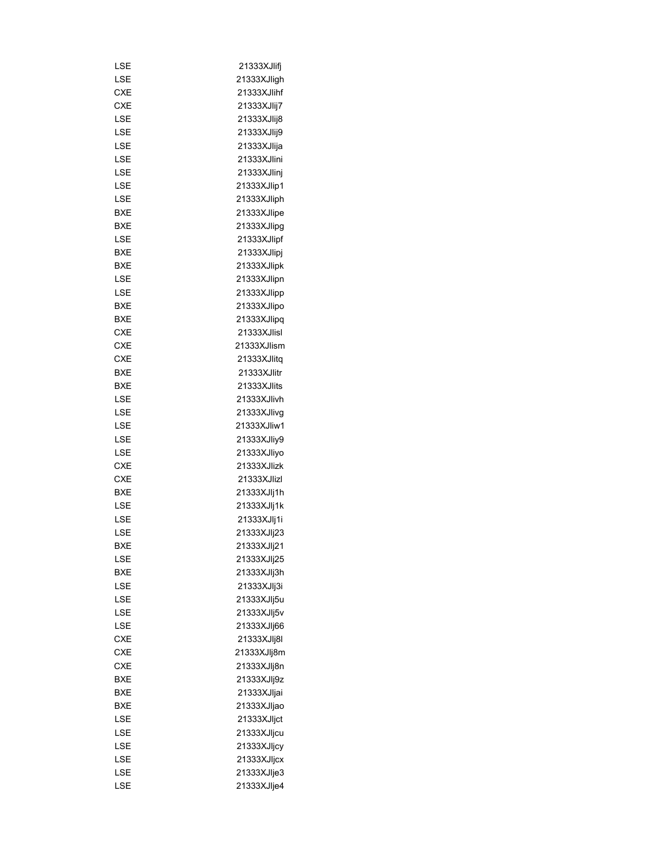| LSE        | 21333XJlifj |
|------------|-------------|
| LSE        | 21333XJligh |
| CXE        | 21333XJlihf |
| CXE        | 21333XJIij7 |
| LSE        | 21333XJlij8 |
| LSE        | 21333XJlij9 |
| LSE        | 21333XJlija |
| LSE        | 21333XJlini |
| LSE        | 21333XJlinj |
| LSE        | 21333XJlip1 |
| LSE        | 21333XJliph |
| BXE        | 21333XJlipe |
| BXE        | 21333XJlipg |
| LSE        | 21333XJlipf |
| BXE        | 21333XJlipj |
| BXE        | 21333XJlipk |
| LSE        | 21333XJlipn |
| LSE        | 21333XJlipp |
| BXE        | 21333XJlipo |
| BXE        | 21333XJlipq |
| <b>CXE</b> | 21333XJlisl |
| <b>CXE</b> |             |
|            | 21333XJlism |
| CXE        | 21333XJlitq |
| BXE        | 21333XJlitr |
| BXE        | 21333XJlits |
| LSE        | 21333XJlivh |
| LSE        | 21333XJlivg |
| LSE        | 21333XJliw1 |
| LSE        | 21333XJliy9 |
| LSE        | 21333XJliyo |
| CXE        | 21333XJlizk |
| <b>CXE</b> | 21333XJIizl |
| <b>BXE</b> | 21333XJlj1h |
| LSE        | 21333XJIj1k |
| LSE        | 21333XJIj1i |
| LSE        | 21333XJIj23 |
| <b>BXE</b> | 21333XJIj21 |
| LSE        | 21333XJIj25 |
| <b>BXE</b> | 21333XJIj3h |
| LSE        | 21333XJIj3i |
| LSE        | 21333XJIj5u |
| LSE        | 21333XJIj5v |
| LSE        | 21333XJIj66 |
| <b>CXE</b> | 21333XJIj8I |
| <b>CXE</b> | 21333XJIj8m |
| <b>CXE</b> | 21333XJlj8n |
| BXE        | 21333XJIj9z |
| BXE        | 21333XJljai |
| <b>BXE</b> | 21333XJIjao |
| LSE        | 21333XJljct |
| LSE        |             |
|            | 21333XJljcu |
| LSE        | 21333XJljcy |
| LSE        | 21333XJljcx |
| LSE        | 21333XJIje3 |
| LSE        | 21333XJIje4 |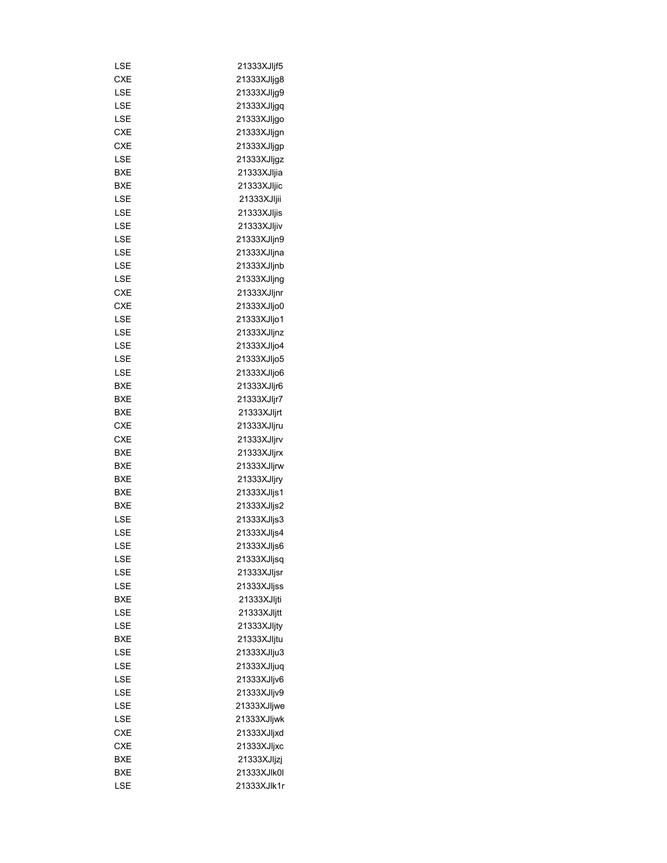| LSE        | 21333XJIjf5 |
|------------|-------------|
| <b>CXE</b> | 21333XJljg8 |
| LSE        | 21333XJljg9 |
| LSE        | 21333XJljgq |
| LSE        | 21333XJljgo |
| CXE        | 21333XJljgn |
| <b>CXE</b> | 21333XJljgp |
| LSE        | 21333XJljgz |
| BXE        | 21333XJIjia |
| BXE        | 21333XJljic |
| LSE        | 21333XJIjii |
| LSE        | 21333XJIjis |
| LSE        | 21333XJljiv |
| LSE        | 21333XJljn9 |
|            |             |
| LSE        | 21333XJljna |
| LSE        | 21333XJljnb |
| LSE        | 21333XJljng |
| CXE        | 21333XJljnr |
| CXE        | 21333XJIjo0 |
| LSE        | 21333XJljo1 |
| LSE        | 21333XJljnz |
| LSE        | 21333XJIjo4 |
| LSE        | 21333XJIjo5 |
| LSE        | 21333XJIjo6 |
| BXE        | 21333XJljr6 |
| BXE        | 21333XJljr7 |
| BXE        | 21333XJljrt |
| CXE        | 21333XJljru |
| CXE        | 21333XJljrv |
| BXE        | 21333XJIjrx |
| BXE        | 21333XJljrw |
| BXE        | 21333XJljry |
| BXE        | 21333XJIjs1 |
| BXE        | 21333XJIjs2 |
| LSE        | 21333XJIjs3 |
| LSE        | 21333XJljs4 |
| LSE        | 21333XJIjs6 |
| LSE        | 21333XJljsq |
| LSE        | 21333XJljsr |
| LSE        | 21333XJIjss |
| <b>BXE</b> | 21333XJIjti |
| LSE        | 21333XJljtt |
| LSE        | 21333XJljty |
| BXE        | 21333XJljtu |
| LSE        | 21333XJlju3 |
| LSE        | 21333XJljuq |
| LSE        | 21333XJIjv6 |
| LSE        | 21333XJIjv9 |
| LSE        | 21333XJljwe |
| LSE        | 21333XJljwk |
| <b>CXE</b> | 21333XJljxd |
| <b>CXE</b> | 21333XJljxc |
|            |             |
| BXE        | 21333XJIjzj |
| BXE        | 21333XJlk0l |
| LSE        | 21333XJlk1r |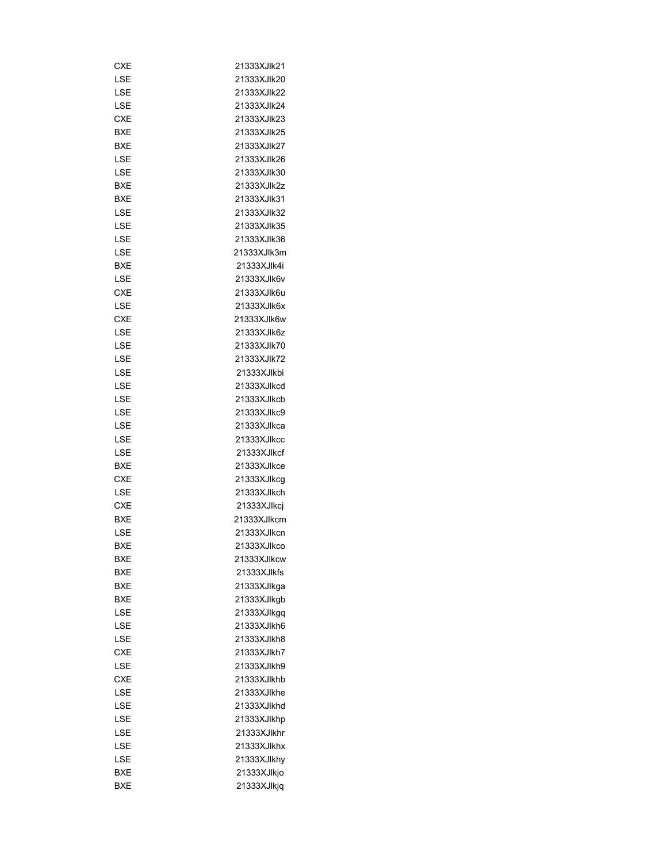| CXE        | 21333XJlk21 |
|------------|-------------|
| LSE        | 21333XJlk20 |
| <b>LSE</b> | 21333XJlk22 |
| LSE        | 21333XJlk24 |
| <b>CXE</b> | 21333XJlk23 |
| BXE        | 21333XJlk25 |
| BXE        | 21333XJlk27 |
| LSE        | 21333XJlk26 |
| <b>LSE</b> | 21333XJlk30 |
| BXE        | 21333XJlk2z |
| BXE        | 21333XJlk31 |
| <b>LSE</b> | 21333XJlk32 |
| LSE        | 21333XJlk35 |
| LSE        | 21333XJlk36 |
|            |             |
| LSE        | 21333XJlk3m |
| BXE        | 21333XJlk4i |
| LSE        | 21333XJlk6v |
| <b>CXE</b> | 21333XJlk6u |
| LSE        | 21333XJlk6x |
| <b>CXE</b> | 21333XJlk6w |
| <b>LSE</b> | 21333XJlk6z |
| LSE        | 21333XJlk70 |
| LSE        | 21333XJlk72 |
| <b>LSE</b> | 21333XJlkbi |
| LSE        | 21333XJlkcd |
| LSE        | 21333XJlkcb |
| LSE        | 21333XJlkc9 |
| LSE        | 21333XJlkca |
| LSE        | 21333XJlkcc |
| LSE        | 21333XJlkcf |
| <b>BXE</b> | 21333XJlkce |
| <b>CXE</b> | 21333XJlkcq |
| LSE        | 21333XJlkch |
| CXE        | 21333XJlkcj |
| BXE        | 21333XJlkcm |
| LSE        | 21333XJlkcn |
| <b>BXE</b> | 21333XJlkco |
| BXE        | 21333XJlkcw |
| BXE        | 21333XJlkfs |
| BXE        | 21333XJlkga |
| BXE        | 21333XJlkgb |
| LSE        | 21333XJlkgq |
| LSE        | 21333XJlkh6 |
| LSE        | 21333XJlkh8 |
| <b>CXE</b> | 21333XJlkh7 |
| LSE        | 21333XJlkh9 |
| <b>CXE</b> | 21333XJlkhb |
| LSE        | 21333XJlkhe |
| LSE        | 21333XJlkhd |
| LSE        | 21333XJlkhp |
| LSE        | 21333XJlkhr |
| LSE        | 21333XJlkhx |
| LSE        | 21333XJlkhy |
| BXE        | 21333XJlkjo |
| <b>BXE</b> | 21333XJlkjq |
|            |             |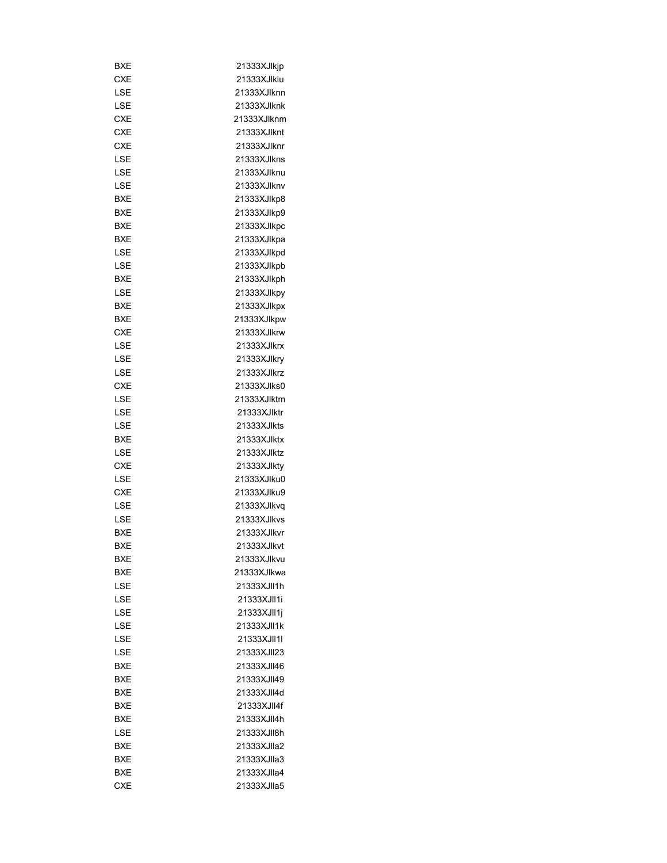| BXE        | 21333XJlkjp |
|------------|-------------|
| CXE        | 21333XJlklu |
| LSE        | 21333XJlknn |
| LSE        | 21333XJlknk |
| <b>CXE</b> | 21333XJlknm |
| CXE        | 21333XJlknt |
| <b>CXE</b> | 21333XJlknr |
| LSE        | 21333XJlkns |
| LSE        | 21333XJlknu |
| LSE        | 21333XJlknv |
| BXE        | 21333XJlkp8 |
| BXE        | 21333XJlkp9 |
| BXE        | 21333XJlkpc |
| BXE        | 21333XJlkpa |
| LSE        | 21333XJlkpd |
| LSE        | 21333XJlkpb |
| BXE        | 21333XJlkph |
| LSE        |             |
|            | 21333XJlkpy |
| BXE        | 21333XJlkpx |
| BXE        | 21333XJlkpw |
| <b>CXE</b> | 21333XJlkrw |
| LSE        | 21333XJlkrx |
| LSE        | 21333XJlkry |
| LSE        | 21333XJlkrz |
| CXE        | 21333XJlks0 |
| LSE        | 21333XJlktm |
| LSE        | 21333XJlktr |
| LSE        | 21333XJlkts |
| BXE        | 21333XJlktx |
| LSE        | 21333XJlktz |
| CXE        | 21333XJlkty |
| LSE        | 21333XJlku0 |
| CXE        | 21333XJlku9 |
| LSE        | 21333XJlkvq |
| LSE        | 21333XJlkvs |
| <b>BXE</b> | 21333XJlkvr |
| <b>BXE</b> | 21333XJlkvt |
| BXE        | 21333XJlkvu |
| BXE        | 21333XJlkwa |
| LSE        | 21333XJII1h |
| LSE        | 21333XJII1i |
| LSE        | 21333XJII1j |
| LSE        | 21333XJII1k |
| LSE        | 21333XJII1I |
| LSE        | 21333XJII23 |
| BXE        | 21333XJII46 |
| BXE        | 21333XJII49 |
| BXE        | 21333XJII4d |
| BXE        | 21333XJII4f |
| BXE        | 21333XJII4h |
| LSE        | 21333XJII8h |
|            |             |
| BXE        | 21333XJIIa2 |
| <b>BXE</b> | 21333XJlla3 |
| <b>BXE</b> | 21333XJIIa4 |
| CXE        | 21333XJIIa5 |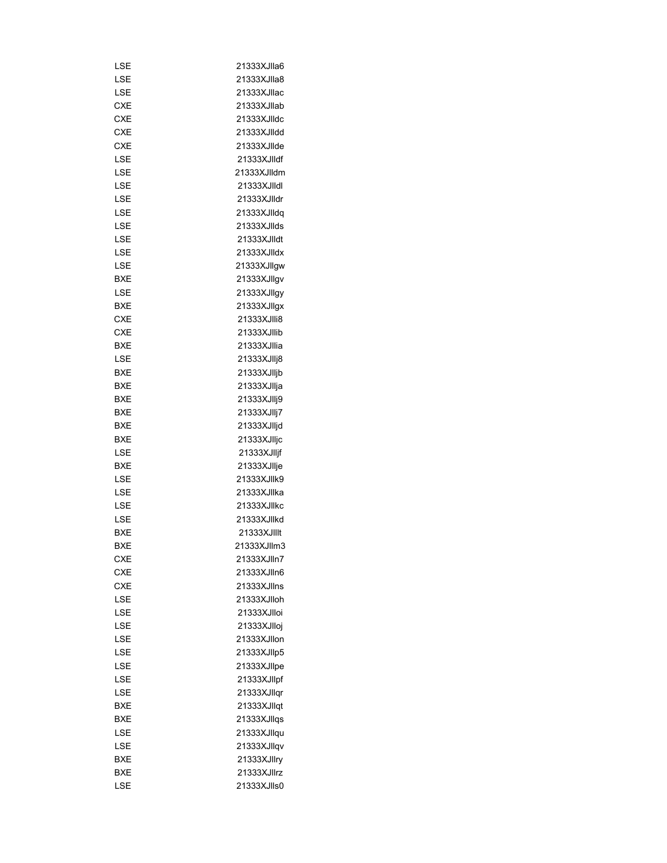| LSE        | 21333XJlla6 |
|------------|-------------|
| LSE        | 21333XJlla8 |
| LSE        | 21333XJllac |
| <b>CXE</b> | 21333XJllab |
| <b>CXE</b> | 21333XJIIdc |
| <b>CXE</b> | 21333XJIIdd |
| <b>CXE</b> | 21333XJIIde |
| LSE        | 21333XJIIdf |
| LSE        | 21333XJlldm |
| LSE        | 21333XJIIdI |
| LSE        | 21333XJlldr |
| LSE        | 21333XJlldg |
| LSE        | 21333XJIIds |
| LSE        | 21333XJIIdt |
| LSE        | 21333XJIIdx |
| LSE        | 21333XJllgw |
| BXE        | 21333XJllqv |
| LSE        | 21333XJllgy |
| BXE        | 21333XJllgx |
| CXE        | 21333XJIIi8 |
| <b>CXE</b> | 21333XJIIib |
| <b>BXE</b> | 21333XJllia |
| LSE        | 21333XJIIj8 |
| BXE        | 21333XJlljb |
| BXE        | 21333XJllja |
|            |             |
| BXE        | 21333XJIIj9 |
| BXE        | 21333XJIIj7 |
| BXE        | 21333XJlljd |
| BXE        | 21333XJIIjc |
| LSE        | 21333XJlljf |
| BXE        | 21333XJllje |
| LSE        | 21333XJIIk9 |
| LSE        | 21333XJllka |
| LSE        | 21333XJIIkc |
| LSE        | 21333XJIIkd |
| <b>BXE</b> | 21333XJIIIt |
| BXE        | 21333XJllm3 |
| <b>CXE</b> | 21333XJlln7 |
| <b>CXE</b> | 21333XJlln6 |
| <b>CXE</b> | 21333XJllns |
| LSE        | 21333XJlloh |
| LSE        | 21333XJlloi |
| LSE        | 21333XJlloj |
| LSE        | 21333XJllon |
| LSE        | 21333XJllp5 |
| LSE        | 21333XJllpe |
| LSE        | 21333XJllpf |
| LSE        | 21333XJllqr |
| BXE        | 21333XJllqt |
| BXE        | 21333XJllqs |
| LSE        | 21333XJllqu |
| LSE        | 21333XJllqv |
| BXE        | 21333XJllry |
| BXE        | 21333XJIIrz |
| LSE        | 21333XJIIs0 |
|            |             |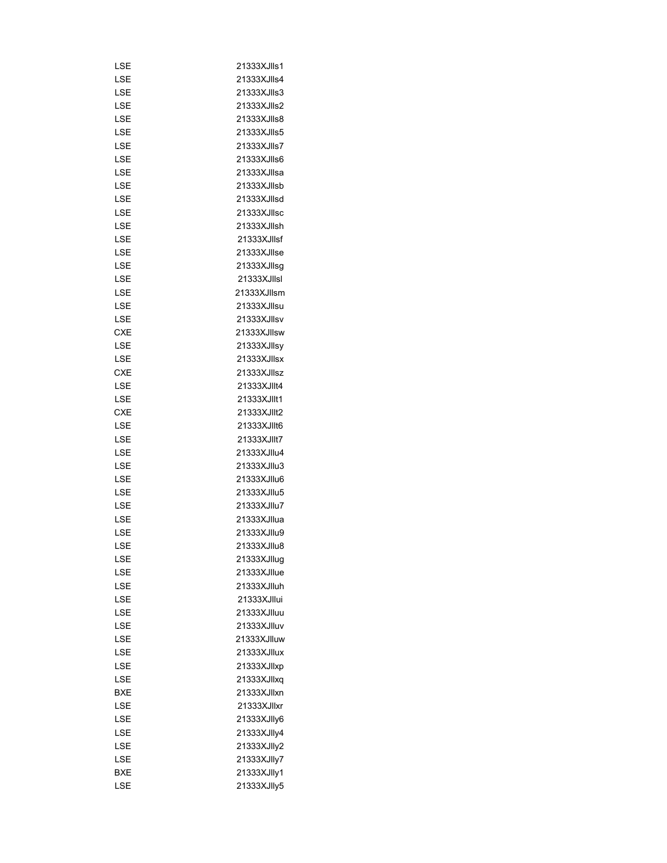| LSE        | 21333XJIIs1 |
|------------|-------------|
| LSE        | 21333XJIIs4 |
| LSE        | 21333XJIIs3 |
| LSE        | 21333XJIIs2 |
| LSE        | 21333XJIIs8 |
| LSE        | 21333XJIIs5 |
| LSE        | 21333XJIIs7 |
| LSE        | 21333XJIIs6 |
| LSE        | 21333XJllsa |
| LSE        | 21333XJllsb |
| LSE        | 21333XJllsd |
| LSE        | 21333XJllsc |
| LSE        | 21333XJllsh |
| LSE        | 21333XJllsf |
| LSE        | 21333XJllse |
| LSE        | 21333XJllsg |
| LSE        | 21333XJIIsI |
| LSE        | 21333XJllsm |
| LSE        | 21333XJllsu |
| LSE        | 21333XJllsv |
| CXE        | 21333XJllsw |
| LSE        | 21333XJllsy |
| LSE        | 21333XJllsx |
| CXE        | 21333XJIIsz |
| LSE        | 21333XJIIt4 |
| LSE        | 21333XJIIt1 |
| CXE        | 21333XJIIt2 |
| LSE        | 21333XJIIt6 |
| LSE        | 21333XJIIt7 |
| LSE        | 21333XJIIu4 |
| LSE        | 21333XJIIu3 |
| LSE        | 21333XJIIu6 |
| LSE        | 21333XJIIu5 |
| LSE        | 21333XJIIu7 |
|            | 21333XJllua |
| LSE<br>LSE |             |
|            | 21333XJIIu9 |
| LSE        | 21333XJIIu8 |
| LSE        | 21333XJlluq |
| LSE        | 21333XJllue |
| LSE        | 21333XJlluh |
| LSE        | 21333XJllui |
| LSE        | 21333XJlluu |
| LSE        | 21333XJlluv |
| LSE        | 21333XJlluw |
| LSE        | 21333XJllux |
| LSE        | 21333XJllxp |
| LSE        | 21333XJllxq |
| BXE        | 21333XJllxn |
| LSE        | 21333XJllxr |
| LSE        | 21333XJIIy6 |
| LSE        | 21333XJIIy4 |
| LSE        | 21333XJIIy2 |
| LSE        | 21333XJlly7 |
| BXE        | 21333XJlly1 |
| LSE        | 21333XJlly5 |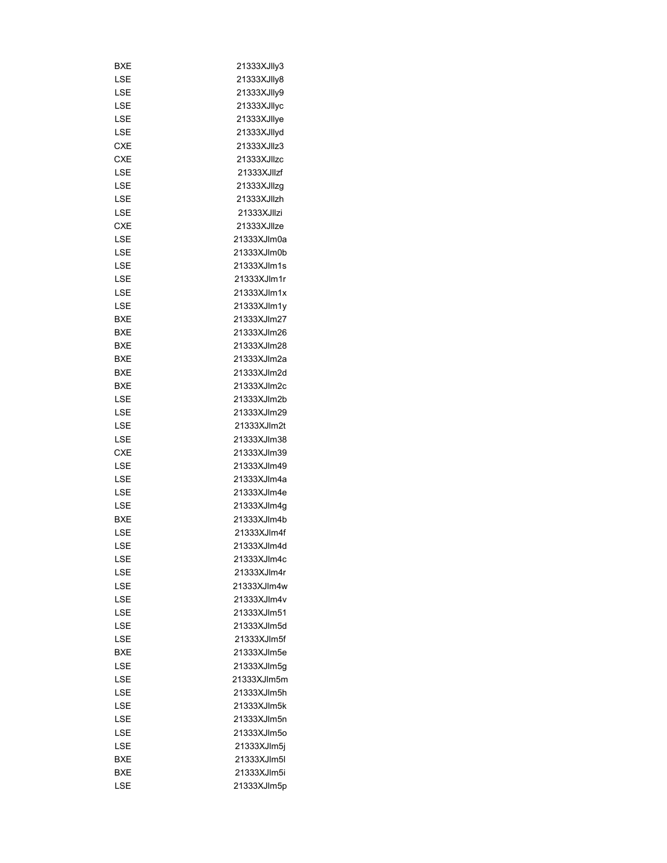| BXE        | 21333XJIIy3 |
|------------|-------------|
| LSE        |             |
| LSE        | 21333XJIIy8 |
|            | 21333XJIIy9 |
| LSE        | 21333XJIIyc |
| LSE        | 21333XJllye |
| LSE        | 21333XJllyd |
| <b>CXE</b> | 21333XJIIz3 |
| CXE        | 21333XJIIzc |
| LSE        | 21333XJIIzf |
| LSE        | 21333XJllzg |
| LSE        | 21333XJllzh |
| LSE        | 21333XJIIzi |
| CXE        | 21333XJIIze |
| LSE        | 21333XJlm0a |
| LSE        | 21333XJlm0b |
| LSE        | 21333XJlm1s |
| LSE        | 21333XJlm1r |
| LSE        | 21333XJlm1x |
| LSE        | 21333XJlm1y |
| BXE        | 21333XJlm27 |
| BXE        | 21333XJlm26 |
| BXE        | 21333XJlm28 |
| BXE        | 21333XJlm2a |
| <b>BXE</b> | 21333XJlm2d |
| <b>BXE</b> | 21333XJIm2c |
| LSE        | 21333XJlm2b |
| LSE        | 21333XJlm29 |
| LSE        | 21333XJlm2t |
| LSE        | 21333XJlm38 |
| <b>CXE</b> | 21333XJlm39 |
| LSE        | 21333XJlm49 |
| LSE        | 21333XJlm4a |
| LSE        | 21333XJlm4e |
| LSE        | 21333XJlm4g |
| BXE        | 21333XJlm4b |
| LSE        | 21333XJIm4f |
| LSE        | 21333XJlm4d |
| LSE        | 21333XJIm4c |
| LSE        | 21333XJIm4r |
| LSE        | 21333XJlm4w |
| LSE        | 21333XJlm4v |
| LSE        | 21333XJlm51 |
|            |             |
| LSE        | 21333XJlm5d |
| LSE        | 21333XJlm5f |
| BXE        | 21333XJlm5e |
| LSE        | 21333XJlm5g |
| LSE        | 21333XJlm5m |
| LSE        | 21333XJlm5h |
| LSE        | 21333XJlm5k |
| LSE        | 21333XJlm5n |
| LSE        | 21333XJlm5o |
| LSE        | 21333XJlm5j |
| BXE        | 21333XJlm5l |
| BXE        | 21333XJlm5i |
| LSE        | 21333XJlm5p |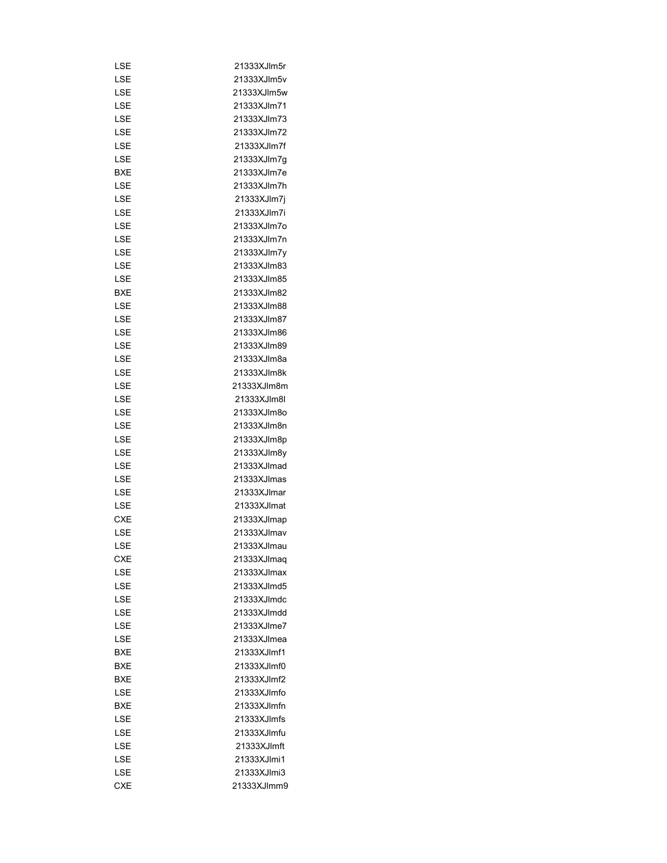| LSE        | 21333XJlm5r |
|------------|-------------|
| LSE        | 21333XJIm5v |
| LSE        | 21333XJlm5w |
| LSE        | 21333XJlm71 |
| LSE        | 21333XJlm73 |
| LSE        | 21333XJlm72 |
| LSE        | 21333XJlm7f |
| LSE        | 21333XJlm7g |
| BXE        | 21333XJlm7e |
| LSE        | 21333XJlm7h |
| LSE        | 21333XJlm7j |
| LSE        | 21333XJlm7i |
| LSE        | 21333XJlm7o |
| LSE        | 21333XJlm7n |
| LSE        | 21333XJIm7y |
| LSE        | 21333XJlm83 |
| LSE        | 21333XJlm85 |
| BXE        | 21333XJlm82 |
| LSE        | 21333XJlm88 |
| LSE        | 21333XJlm87 |
|            |             |
| LSE        | 21333XJlm86 |
| LSE        | 21333XJlm89 |
| LSE        | 21333XJlm8a |
| LSE        | 21333XJlm8k |
| LSE        | 21333XJlm8m |
| LSE        | 21333XJlm8l |
| LSE        | 21333XJlm8o |
| LSE        | 21333XJlm8n |
| LSE        | 21333XJlm8p |
| LSE        | 21333XJIm8y |
| LSE        | 21333XJlmad |
| LSE        | 21333XJlmas |
| LSE        | 21333XJlmar |
| LSE        | 21333XJlmat |
| <b>CXE</b> | 21333XJlmap |
| LSE        | 21333XJlmav |
| LSE        | 21333XJlmau |
| CXE        | 21333XJlmaq |
| LSE        | 21333XJlmax |
| LSE        | 21333XJlmd5 |
| LSE        | 21333XJlmdc |
| LSE        | 21333XJlmdd |
| LSE        | 21333XJlme7 |
| LSE        | 21333XJlmea |
| BXE        | 21333XJlmf1 |
| BXE        | 21333XJlmf0 |
| BXE        | 21333XJlmf2 |
| LSE        | 21333XJlmfo |
| BXE        | 21333XJlmfn |
| LSE        | 21333XJImfs |
| LSE        | 21333XJlmfu |
| LSE        | 21333XJlmft |
| LSE        | 21333XJlmi1 |
| LSE        | 21333XJlmi3 |
| <b>CXE</b> | 21333XJlmm9 |
|            |             |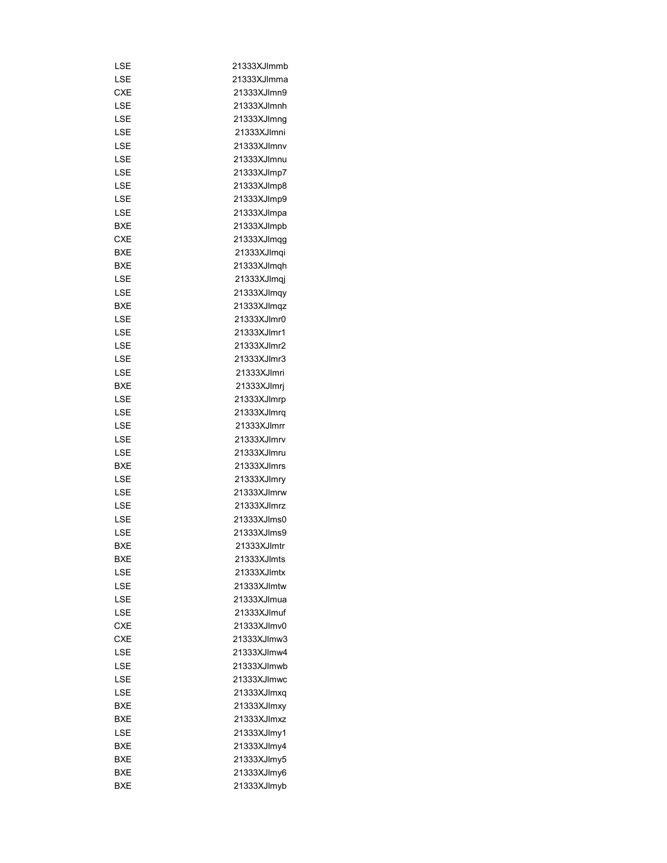| LSE        | 21333XJlmmb  |
|------------|--------------|
| LSE        | 21333XJlmma  |
| CXE        | 21333XJlmn9  |
| LSE        | 21333XJlmnh  |
| LSE        | 21333XJlmnq  |
| LSE        | 21333XJlmni  |
| LSE        | 21333XJlmnv  |
| LSE        | 21333XJlmnu  |
| LSE        | 21333XJImp7  |
| LSE        | 21333XJlmp8  |
| LSE        | 21333XJImp9  |
| LSE        | 21333XJImpa  |
| BXE        | 21333XJImpb  |
| <b>CXE</b> | 21333XJImqg  |
| BXE        | 21333XJlmqi  |
| BXE        | 21333XJlmqh  |
| LSE        | 21333XJlmqj  |
| LSE        | 21333XJImqy  |
| BXE        | 21333XJImqz  |
| LSE        | 21333XJlmr0  |
| LSE        | 21333XJlmr1  |
|            |              |
| LSE        | 21333XJlmr2  |
| LSE        | 21333XJlmr3  |
| LSE        | 21333XJlmri  |
| BXE        | 21333XJlmrj  |
| LSE        | 21333XJImrp  |
| LSE        | 21333XJImrq  |
| LSE        | 21333XJlmrr  |
| LSE        | 21333XJImrv  |
| LSE        | 21333XJImru  |
| BXE        | 21333XJImrs  |
| LSE        | 21333XJImry  |
| LSE        | 21333XJlmrw  |
| LSE        | 21333XJImrz  |
| LSE        | 21333XJlms0  |
| LSE        | 21333XJIms9  |
| <b>BXE</b> | 21333XJlmtr  |
| BXE        | 21333XJlmts  |
| LSE        | 21333XJlmtx  |
| LSE        | 21333XJlmtw  |
| LSE        | 21333XJlmua  |
| LSE        | 21333X.llmuf |
| <b>CXE</b> | 21333XJlmv0  |
| <b>CXE</b> | 21333XJlmw3  |
| LSE        | 21333XJlmw4  |
| LSE        | 21333XJlmwb  |
| LSE        | 21333XJlmwc  |
| LSE        | 21333XJlmxq  |
| BXE        | 21333XJlmxy  |
| BXE        | 21333XJlmxz  |
| LSE        | 21333XJlmy1  |
| BXE        | 21333XJlmy4  |
| BXE        | 21333XJlmy5  |
| BXE        | 21333XJlmy6  |
| BXE        | 21333XJlmyb  |
|            |              |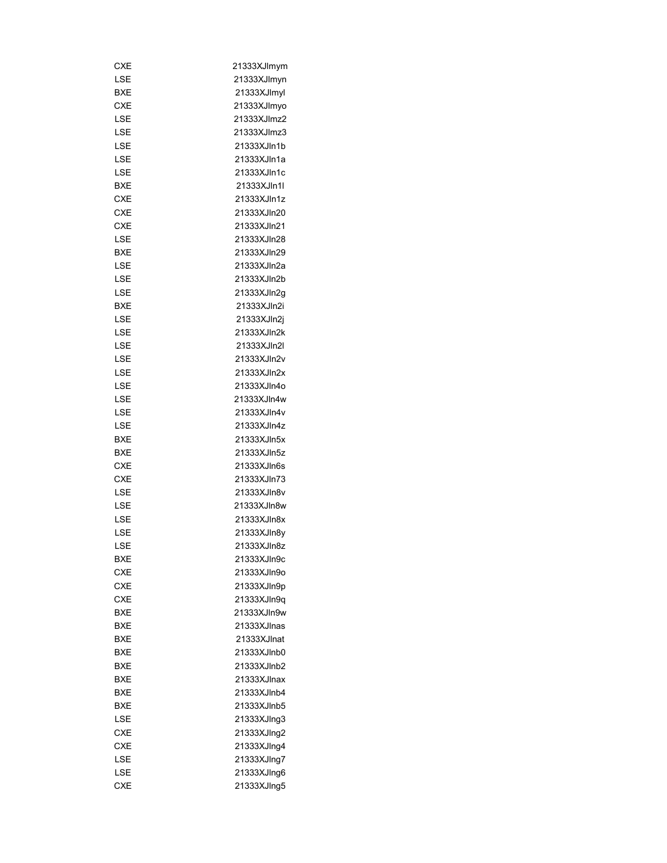| CXE        | 21333XJlmym |
|------------|-------------|
| LSE        | 21333XJlmyn |
| BXE        | 21333XJlmyl |
| CXE        | 21333XJImyo |
| LSE        | 21333XJImz2 |
| LSE        | 21333XJImz3 |
| LSE        | 21333XJIn1b |
| LSE        | 21333XJIn1a |
| LSE        | 21333XJIn1c |
| <b>BXE</b> | 21333XJln1l |
| <b>CXE</b> | 21333XJln1z |
| CXE        | 21333XJln20 |
| CXE        | 21333XJln21 |
| LSE        | 21333XJIn28 |
| BXE        | 21333XJln29 |
| LSE        | 21333XJln2a |
| LSE        | 21333XJln2b |
| LSE        | 21333XJln2q |
| BXE        | 21333XJln2i |
| LSE        | 21333XJln2j |
| <b>LSE</b> | 21333XJln2k |
|            | 21333XJln2l |
| LSE        | 21333XJln2v |
| LSE        |             |
| LSE        | 21333XJln2x |
| LSE        | 21333XJIn4o |
| LSE        | 21333XJIn4w |
| LSE        | 21333XJIn4v |
| LSE        | 21333XJIn4z |
| BXE        | 21333XJln5x |
| BXE        | 21333XJln5z |
| CXE        | 21333XJIn6s |
| <b>CXE</b> | 21333XJln73 |
| LSE        | 21333XJIn8v |
| LSE        | 21333XJln8w |
| LSE        | 21333XJIn8x |
| LSE        | 21333XJIn8y |
| LSE        | 21333XJIn8z |
| BXE        | 21333XJIn9c |
| CXE        | 21333XJIn9o |
| CXE        | 21333XJIn9p |
| <b>CXE</b> | 21333XJIn9q |
| BXE        | 21333XJIn9w |
| BXE        | 21333XJlnas |
| BXE        | 21333XJlnat |
| BXE        | 21333XJInb0 |
| BXE        | 21333XJInb2 |
| BXE        | 21333XJlnax |
| BXE        | 21333XJInb4 |
| BXE        | 21333XJlnb5 |
| LSE        | 21333XJIng3 |
| CXE        | 21333XJIng2 |
| CXE        | 21333XJIng4 |
| LSE        | 21333XJIng7 |
| LSE        | 21333XJIng6 |
| <b>CXE</b> | 21333XJIng5 |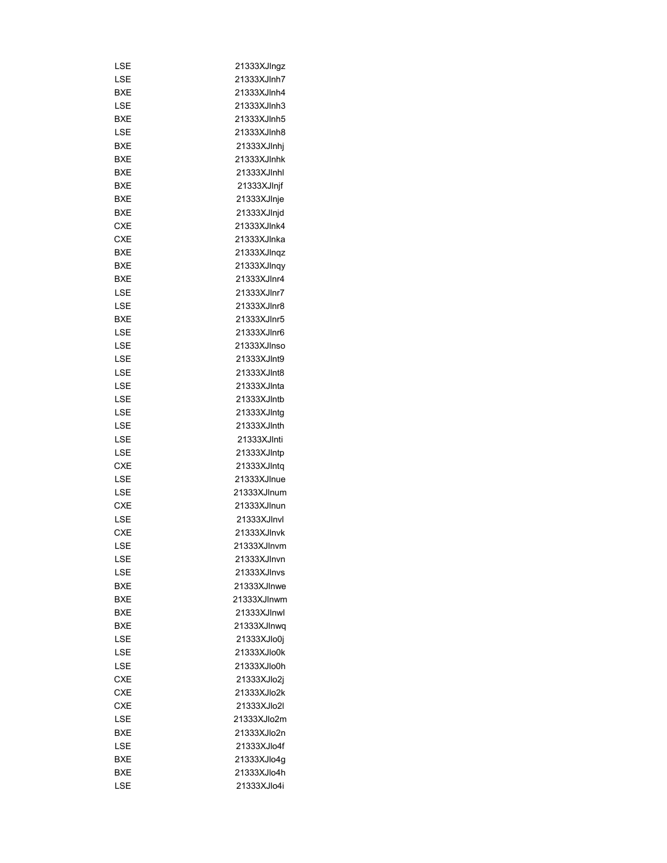| LSE        | 21333XJIngz |
|------------|-------------|
| LSE        | 21333XJInh7 |
| <b>BXE</b> | 21333XJInh4 |
| LSE        | 21333XJInh3 |
| BXE        | 21333XJlnh5 |
| LSE        | 21333XJInh8 |
| BXE        |             |
| BXE        | 21333XJlnhj |
|            | 21333XJInhk |
| BXE        | 21333XJlnhl |
| BXE        | 21333XJlnjf |
| BXE        | 21333XJlnje |
| <b>BXE</b> | 21333XJlnjd |
| <b>CXE</b> | 21333XJlnk4 |
| <b>CXE</b> | 21333XJlnka |
| BXE        | 21333XJInqz |
| BXE        | 21333XJInqy |
| BXE        | 21333XJInr4 |
| LSE        | 21333XJInr7 |
| LSE        | 21333XJlnr8 |
| BXE        | 21333XJInr5 |
| LSE        | 21333XJInr6 |
| LSE        | 21333XJInso |
| LSE        | 21333XJInt9 |
| LSE        | 21333XJInt8 |
| LSE        | 21333XJInta |
| LSE        | 21333XJIntb |
| LSE        | 21333XJIntg |
| LSE        | 21333XJInth |
| LSE        | 21333XJInti |
| LSE        | 21333XJIntp |
| <b>CXE</b> | 21333XJIntq |
| LSE        | 21333XJInue |
| LSE        | 21333XJlnum |
| CXE        | 21333XJlnun |
| LSE        | 21333XJInvl |
| <b>CXE</b> | 21333XJlnvk |
| LSE        | 21333XJInvm |
| LSE        | 21333XJInvn |
| LSE        | 21333XJInvs |
| BXE        | 21333XJInwe |
| BXE        | 21333XJlnwm |
| BXE        | 21333XJlnwl |
| BXE        | 21333XJInwq |
| LSE        | 21333XJlo0j |
| LSE        | 21333XJlo0k |
| LSE        | 21333XJlo0h |
| <b>CXE</b> | 21333XJlo2j |
| <b>CXE</b> | 21333XJlo2k |
| <b>CXE</b> | 21333XJlo2l |
| LSE        | 21333XJlo2m |
| BXE        | 21333XJlo2n |
| LSE        | 21333XJlo4f |
| BXE        |             |
|            | 21333XJlo4g |
| BXE        | 21333XJlo4h |
| LSE        | 21333XJlo4i |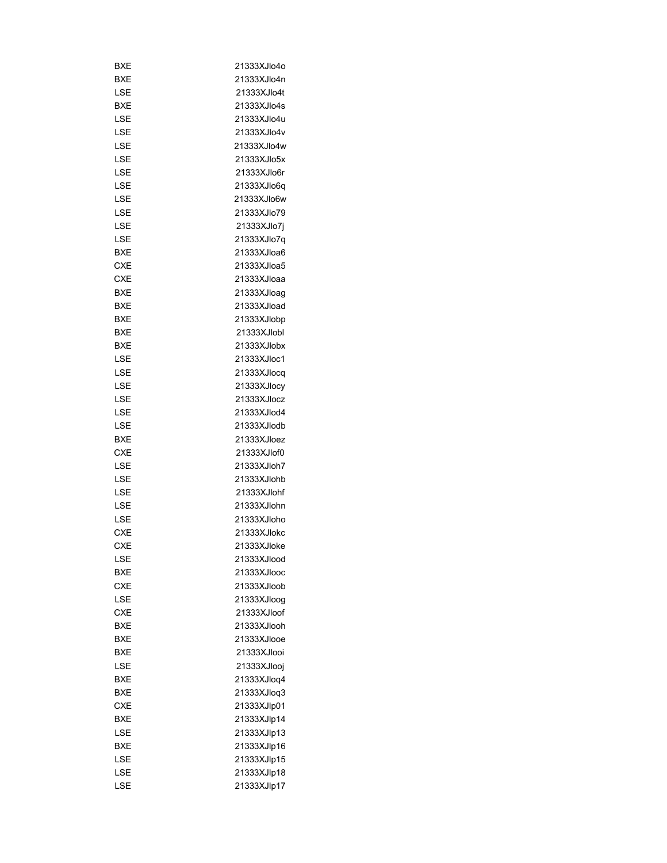| BXE        | 21333XJlo4o  |
|------------|--------------|
| <b>BXE</b> | 21333XJlo4n  |
| LSE        | 21333XJlo4t  |
| BXE        | 21333XJlo4s  |
| LSE        | 21333XJlo4u  |
| LSE        | 21333XJlo4v  |
| LSE        | 21333XJlo4w  |
| LSE        | 21333XJlo5x  |
| LSE        | 21333XJlo6r  |
| LSE        | 21333XJlo6q  |
| LSE        | 21333XJlo6w  |
| LSE        | 21333XJlo79  |
| LSE        | 21333XJlo7j  |
| LSE        | 21333XJlo7q  |
| BXE        | 21333XJloa6  |
| CXE        | 21333XJloa5  |
| <b>CXE</b> | 21333XJloaa  |
| BXE        | 21333XJloag  |
| BXE        | 21333XJload  |
| BXE        | 21333XJlobp  |
| BXE        | 21333XJlobl  |
| BXE        | 21333XJlobx  |
| LSE        | 21333XJloc1  |
| LSE        | 21333XJlocq  |
| LSE        | 21333XJlocy  |
| LSE        |              |
|            | 21333XJlocz  |
| LSE        | 21333XJlod4  |
| LSE        | 21333XJlodb  |
| BXE        | 21333XJloez  |
| <b>CXE</b> | 21333XJlof0  |
| LSE        | 21333XJloh7  |
| LSE        | 21333XJlohb  |
| LSE        | 21333XJlohf  |
| LSE        | 21333XJlohn  |
| LSE        | 21333XJloho  |
| CXE        | 21333XJlokc  |
| CXF        | 21333X.IIoke |
| LSE        | 21333XJlood  |
| BXE        | 21333XJlooc  |
| <b>CXE</b> | 21333XJloob  |
| LSE        | 21333XJloog  |
| <b>CXE</b> | 21333XJloof  |
| BXE        | 21333XJlooh  |
| BXE        | 21333XJlooe  |
| BXE        | 21333XJlooi  |
| LSE        | 21333XJlooj  |
| BXE        | 21333XJloq4  |
| BXE        | 21333XJloq3  |
| CXE        | 21333XJlp01  |
| BXE        | 21333XJlp14  |
| LSE        | 21333XJlp13  |
| BXE        | 21333XJlp16  |
| LSE        | 21333XJlp15  |
| LSE        | 21333XJlp18  |
| LSE        | 21333XJlp17  |
|            |              |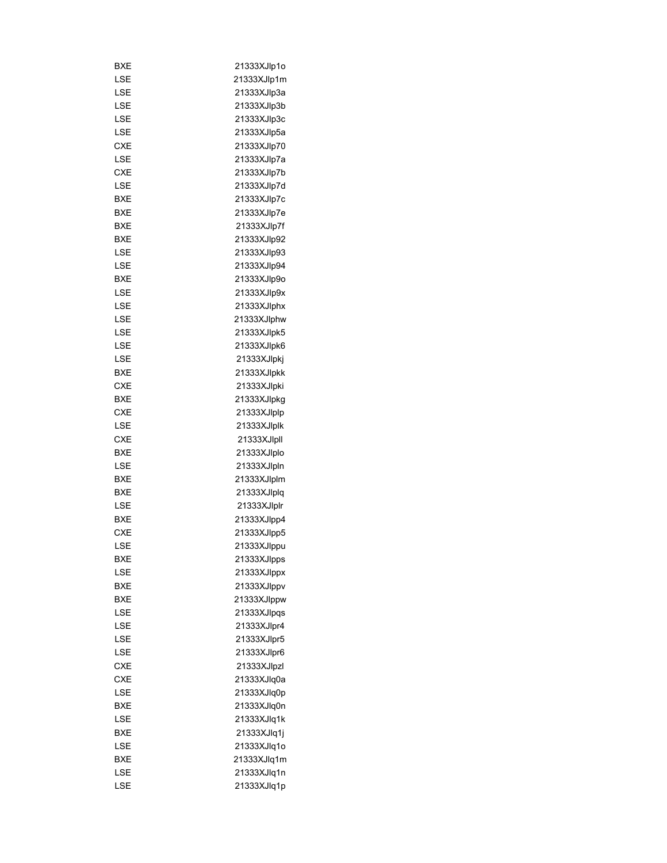| BXE        | 21333XJlp1o |
|------------|-------------|
| LSE        | 21333XJlp1m |
| LSE        | 21333XJlp3a |
| LSE        | 21333XJlp3b |
| LSE        | 21333XJlp3c |
| LSE        | 21333XJlp5a |
| <b>CXE</b> | 21333XJlp70 |
| LSE        | 21333XJlp7a |
| <b>CXE</b> | 21333XJlp7b |
| LSE        | 21333XJlp7d |
| BXE        | 21333XJlp7c |
| BXE        | 21333XJlp7e |
| BXE        | 21333XJlp7f |
| BXE        | 21333XJlp92 |
| LSE        | 21333XJlp93 |
| LSE        | 21333XJlp94 |
| BXE        | 21333XJlp9o |
| LSE        | 21333XJlp9x |
|            |             |
| LSE        | 21333XJlphx |
| LSE        | 21333XJlphw |
| LSE        | 21333XJlpk5 |
| LSE        | 21333XJlpk6 |
| LSE        | 21333XJlpkj |
| BXE        | 21333XJlpkk |
| <b>CXE</b> | 21333XJlpki |
| BXE        | 21333XJlpkg |
| <b>CXE</b> | 21333XJlplp |
| LSE        | 21333XJlplk |
| CXE        | 21333XJlpll |
| <b>BXE</b> | 21333XJlplo |
| LSE        | 21333XJlpln |
| BXE        | 21333XJlplm |
| <b>BXE</b> | 21333XJlplq |
| LSE        | 21333XJlplr |
| <b>BXE</b> | 21333XJlpp4 |
| <b>CXE</b> | 21333XJlpp5 |
| LSE        | 21333XJIppu |
| BXE        | 21333XJlpps |
| LSE        | 21333XJlppx |
| BXE        | 21333XJlppv |
| BXE        | 21333XJlppw |
| LSE        | 21333XJlpqs |
| LSE        | 21333XJlpr4 |
| LSE        | 21333XJlpr5 |
| LSE        | 21333XJlpr6 |
| CXE        | 21333XJlpzl |
| CXE        | 21333XJlq0a |
| LSE        | 21333XJlq0p |
| BXE        | 21333XJlq0n |
| LSE        | 21333XJlq1k |
|            |             |
| BXE        | 21333XJlq1j |
| LSE        | 21333XJlq1o |
| BXE        | 21333XJlq1m |
| LSE        | 21333XJlq1n |
| LSE        | 21333XJlq1p |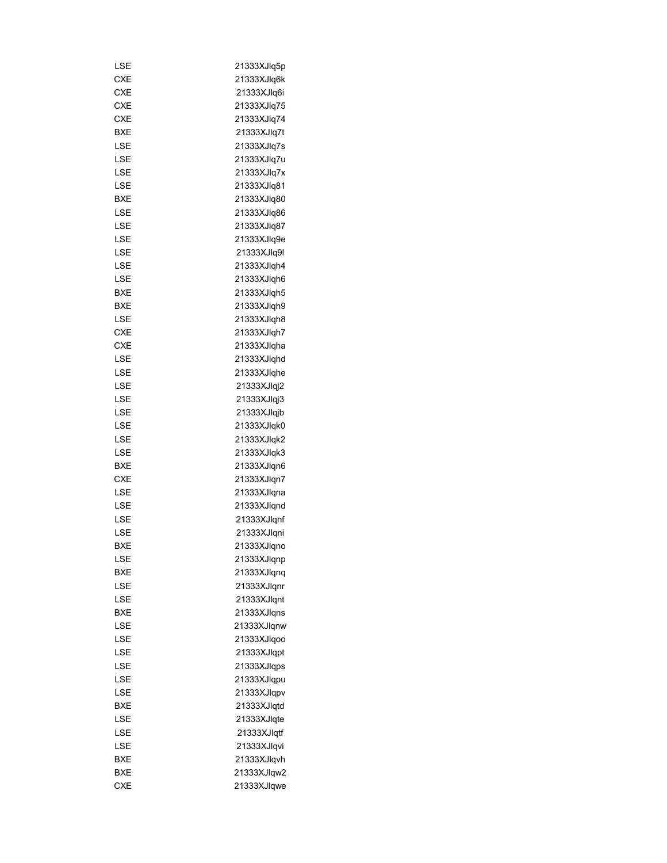| LSE        | 21333XJlq5p |
|------------|-------------|
| CXE        | 21333XJlq6k |
| CXE        | 21333XJlq6i |
| CXE        | 21333XJlq75 |
| <b>CXE</b> | 21333XJlq74 |
| BXE        | 21333XJlq7t |
| LSE        | 21333XJlq7s |
| LSE        | 21333XJlq7u |
| LSE        | 21333XJlq7x |
| LSE        | 21333XJlq81 |
| BXE        | 21333XJlq80 |
| LSE        | 21333XJlq86 |
| LSE        | 21333XJlq87 |
|            |             |
| LSE        | 21333XJlq9e |
| LSE        | 21333XJlq9l |
| LSE        | 21333XJlqh4 |
| LSE        | 21333XJlqh6 |
| BXE        | 21333XJlqh5 |
| BXE        | 21333XJlqh9 |
| LSE        | 21333XJlqh8 |
| <b>CXE</b> | 21333XJlgh7 |
| <b>CXE</b> | 21333XJlqha |
| LSE        | 21333XJlqhd |
| LSE        | 21333XJlqhe |
| LSE        | 21333XJlqj2 |
| LSE        | 21333XJlqj3 |
| LSE        | 21333XJlqjb |
| LSE        | 21333XJlqk0 |
| LSE        | 21333XJlqk2 |
| LSE        | 21333XJlqk3 |
| BXE        | 21333XJlqn6 |
| CXE        | 21333XJlqn7 |
| LSE        | 21333XJlqna |
| LSE        | 21333XJlqnd |
| LSE        | 21333XJlqnf |
| LSE        | 21333XJlqni |
| <b>BXE</b> | 21333XJlqno |
| LSE        | 21333XJlqnp |
| BXE        | 21333XJlqnq |
| LSE        | 21333XJlqnr |
| LSE        | 21333XJlqnt |
| BXE        | 21333XJlqns |
| LSE        | 21333XJlqnw |
| LSE        | 21333XJlqoo |
| LSE        | 21333XJlqpt |
| LSE        | 21333XJlqps |
| LSE        | 21333XJlqpu |
|            |             |
| LSE        | 21333XJlqpv |
| BXE        | 21333XJlqtd |
| LSE        | 21333XJlqte |
| LSE        | 21333XJlqtf |
| LSE        | 21333XJlqvi |
| BXE        | 21333XJlqvh |
| BXE        | 21333XJlqw2 |
| <b>CXE</b> | 21333XJlqwe |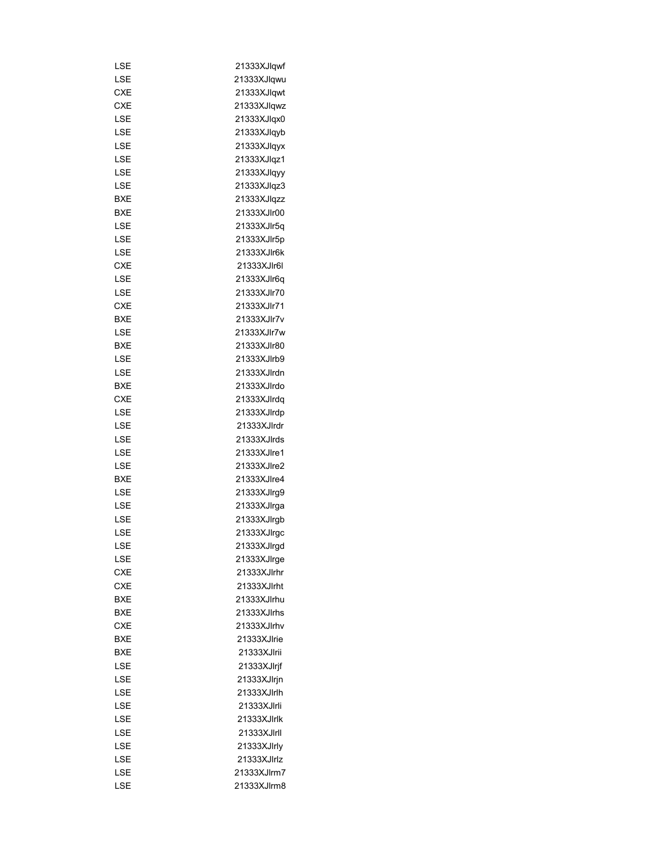| LSE        | 21333XJlqwf |
|------------|-------------|
| LSE        | 21333XJlqwu |
| <b>CXE</b> | 21333XJlqwt |
| CXE        | 21333XJlqwz |
| LSE        | 21333XJlqx0 |
| LSE        | 21333XJlqyb |
| LSE        | 21333XJlqyx |
| LSE        | 21333XJlqz1 |
| LSE        | 21333XJlqyy |
| LSE        | 21333XJlqz3 |
| BXE        | 21333XJlqzz |
| <b>BXE</b> | 21333XJlr00 |
| LSE        | 21333XJlr5q |
| LSE        | 21333XJlr5p |
| LSE        | 21333XJlr6k |
| CXE        | 21333XJlr6I |
| LSE        | 21333XJlr6q |
| LSE        | 21333XJlr70 |
| <b>CXE</b> | 21333XJlr71 |
|            |             |
| BXE        | 21333XJlr7v |
| LSE        | 21333XJlr7w |
| BXE        | 21333XJlr80 |
| LSE        | 21333XJlrb9 |
| LSE        | 21333XJlrdn |
| BXE        | 21333XJlrdo |
| CXE        | 21333XJlrdq |
| LSE        | 21333XJlrdp |
| LSE        | 21333XJlrdr |
| LSE        | 21333XJlrds |
| LSE        | 21333XJlre1 |
| LSE        | 21333XJlre2 |
| BXE        | 21333XJlre4 |
| LSE        | 21333XJlrg9 |
| LSE        | 21333XJlrga |
| LSE        | 21333XJlrgb |
| LSE        | 21333XJlrgc |
| LSE        | 21333XJlrgd |
| LSE        | 21333XJlrge |
| <b>CXE</b> | 21333XJlrhr |
| CXE        | 21333XJlrht |
| <b>BXE</b> | 21333XJlrhu |
| <b>BXE</b> | 21333XJlrhs |
| CXE        | 21333XJlrhv |
| BXE        | 21333XJlrie |
| BXE        | 21333XJlrii |
| LSE        | 21333XJlrjf |
| LSE        | 21333XJlrjn |
| LSE        | 21333XJlrlh |
| LSE        | 21333XJlrli |
| LSE        | 21333XJlrlk |
| LSE        | 21333XJlrll |
| LSE        | 21333XJlrly |
| LSE        | 21333XJlrlz |
| LSE        | 21333XJlrm7 |
| LSE        | 21333XJlrm8 |
|            |             |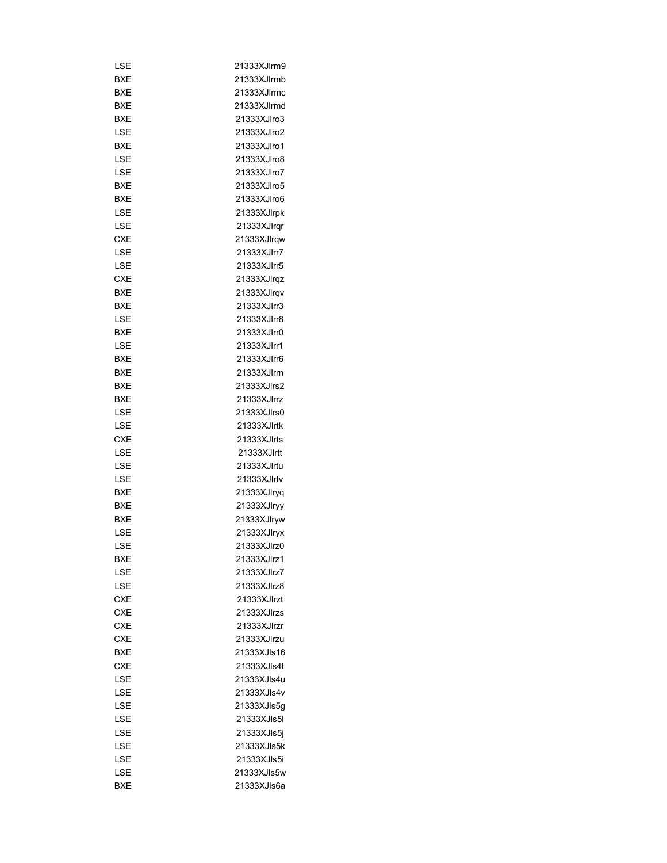| LSE        | 21333XJlrm9 |
|------------|-------------|
| BXE        | 21333XJlrmb |
| <b>BXE</b> | 21333XJlrmc |
| BXE        | 21333XJlrmd |
| BXE        | 21333XJIro3 |
| LSE        | 21333XJlro2 |
| BXE        | 21333XJlro1 |
| LSE        | 21333XJlro8 |
| LSE        | 21333XJlro7 |
| BXE        | 21333XJIro5 |
| BXE        | 21333XJIro6 |
| LSE        | 21333XJlrpk |
| LSE        | 21333XJlrqr |
| <b>CXE</b> | 21333XJlrqw |
| LSE        | 21333XJlrr7 |
| LSE        | 21333XJlrr5 |
| CXE        | 21333XJlrqz |
| BXE        | 21333XJlrqv |
| <b>BXE</b> | 21333XJIrr3 |
|            |             |
| LSE        | 21333XJlrr8 |
| BXE        | 21333XJlrr0 |
| LSE        | 21333XJlrr1 |
| BXE        | 21333XJIrr6 |
| BXE        | 21333XJlrrn |
| BXE        | 21333XJlrs2 |
| <b>BXE</b> | 21333XJIrrz |
| LSE        | 21333XJlrs0 |
| LSE        | 21333XJlrtk |
| CXE        | 21333XJlrts |
| LSE        | 21333XJlrtt |
| LSE        | 21333XJlrtu |
| LSE        | 21333XJlrtv |
| <b>BXE</b> | 21333XJlryq |
| BXE        | 21333XJlryy |
| <b>BXE</b> | 21333XJlryw |
| LSE        | 21333XJIryx |
| LSE        | 21333XJlrz0 |
| BXE        | 21333XJlrz1 |
| LSE        | 21333XJlrz7 |
| LSE        | 21333XJlrz8 |
| <b>CXE</b> | 21333XJlrzt |
| <b>CXE</b> | 21333XJlrzs |
| <b>CXE</b> | 21333XJlrzr |
| <b>CXE</b> | 21333XJlrzu |
| BXE        | 21333XJls16 |
| <b>CXE</b> | 21333XJIs4t |
| LSE        | 21333XJls4u |
| LSE        | 21333XJIs4v |
| LSE        | 21333XJls5g |
| LSE        | 21333XJIs5I |
| LSE        | 21333XJls5j |
|            |             |
| LSE        | 21333XJIs5k |
| LSE        | 21333XJIs5i |
| LSE        | 21333XJIs5w |
| BXE        | 21333XJls6a |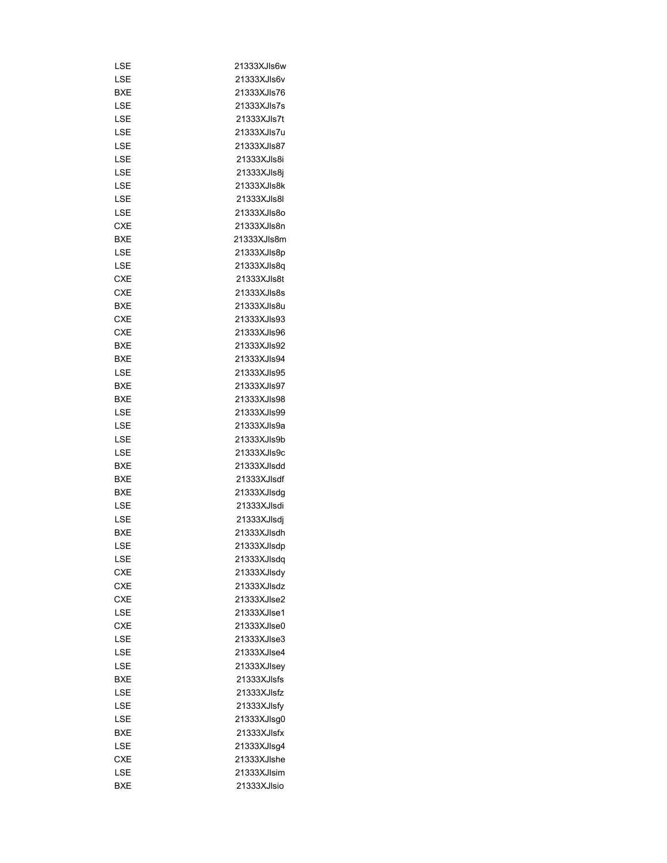| LSE        | 21333XJIs6w |
|------------|-------------|
| LSE        | 21333XJIs6v |
| BXE        | 21333XJls76 |
| LSE        | 21333XJls7s |
| LSE        | 21333XJls7t |
| LSE        | 21333XJls7u |
| LSE        | 21333XJIs87 |
| LSE        | 21333XJIs8i |
| LSE        | 21333XJls8j |
| LSE        | 21333XJls8k |
| LSE        | 21333XJIs8I |
| LSE        | 21333XJIs8o |
| <b>CXE</b> | 21333XJls8n |
| BXE        | 21333XJIs8m |
| LSE        | 21333XJls8p |
| LSE        | 21333XJls8q |
| <b>CXE</b> | 21333XJls8t |
| <b>CXE</b> | 21333XJls8s |
| BXE        | 21333XJls8u |
| <b>CXE</b> | 21333XJIs93 |
| <b>CXE</b> | 21333XJIs96 |
| BXE        | 21333XJIs92 |
| BXE        | 21333XJIs94 |
| LSE        | 21333XJIs95 |
| BXE        | 21333XJIs97 |
|            |             |
| BXE        | 21333XJIs98 |
| LSE        | 21333XJIs99 |
| LSE        | 21333XJls9a |
| LSE        | 21333XJIs9b |
| LSE        | 21333XJIs9c |
| BXE        | 21333XJlsdd |
| BXE        | 21333XJIsdf |
| BXE        | 21333XJlsdg |
| LSE        | 21333XJlsdi |
| LSE        | 21333XJlsdj |
| BXE        | 21333XJlsdh |
| LSE        | 21333XJlsdp |
| LSE        | 21333XJlsdq |
| <b>CXE</b> | 21333XJlsdy |
| <b>CXE</b> | 21333XJlsdz |
| <b>CXE</b> | 21333XJIse2 |
| LSE        | 21333XJlse1 |
| <b>CXE</b> | 21333XJIse0 |
| LSE        | 21333XJIse3 |
| LSE        | 21333XJIse4 |
| LSE        | 21333XJIsey |
| <b>BXE</b> | 21333XJIsfs |
| LSE        | 21333XJIsfz |
| LSE        | 21333XJlsfy |
| LSE        | 21333XJlsg0 |
| BXE        | 21333XJIsfx |
| LSE        | 21333XJlsg4 |
| <b>CXE</b> | 21333XJlshe |
| LSE        | 21333XJlsim |
| <b>BXE</b> | 21333XJIsio |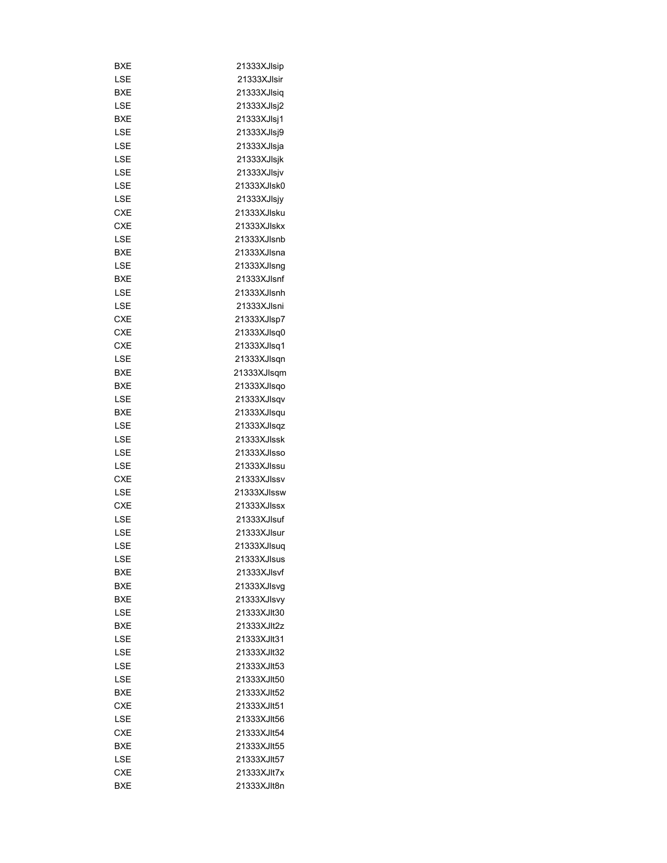| BXE        | 21333XJIsip |
|------------|-------------|
| LSE        | 21333XJlsir |
| BXE        | 21333XJIsiq |
| LSE        | 21333XJlsj2 |
| <b>BXE</b> | 21333XJlsj1 |
| LSE        | 21333XJlsj9 |
| LSE        | 21333XJlsja |
| LSE        | 21333XJlsjk |
| LSE        | 21333XJlsjv |
| LSE        | 21333XJlsk0 |
| LSE        | 21333XJIsjy |
| CXE        | 21333XJlsku |
| <b>CXE</b> | 21333XJlskx |
| LSE        | 21333XJIsnb |
| BXE        | 21333XJlsna |
| LSE        | 21333XJlsng |
| BXE        | 21333XJIsnf |
| LSE        | 21333XJlsnh |
| LSE        | 21333XJlsni |
| CXE        |             |
|            | 21333XJlsp7 |
| CXE        | 21333XJlsq0 |
| <b>CXE</b> | 21333XJlsq1 |
| LSE        | 21333XJlsqn |
| BXE        | 21333XJlsqm |
| BXE        | 21333XJlsqo |
| LSE        | 21333XJlsqv |
| BXE        | 21333XJlsqu |
| LSE        | 21333XJlsqz |
| LSE        | 21333XJlssk |
| LSE        | 21333XJIsso |
| LSE        | 21333XJlssu |
| CXE        | 21333XJIssv |
| LSE        | 21333XJIssw |
| CXE        | 21333XJIssx |
| LSE        | 21333XJIsuf |
| LSE        | 21333XJlsur |
| LSE        | 21333XJlsuq |
| LSE        | 21333XJlsus |
| BXE        | 21333XJlsvf |
| BXE        | 21333XJlsvg |
| BXE        | 21333XJlsvy |
| LSE        | 21333XJlt30 |
| <b>BXE</b> | 21333XJlt2z |
| LSE        | 21333XJlt31 |
| LSE        | 21333XJIt32 |
| LSE        | 21333XJIt53 |
| LSE        | 21333XJlt50 |
| BXE        | 21333XJIt52 |
| <b>CXE</b> | 21333XJIt51 |
| LSE        | 21333XJIt56 |
|            |             |
| <b>CXE</b> | 21333XJIt54 |
| BXE        | 21333XJlt55 |
| LSE        | 21333XJlt57 |
| CXE        | 21333XJlt7x |
| BXE        | 21333XJlt8n |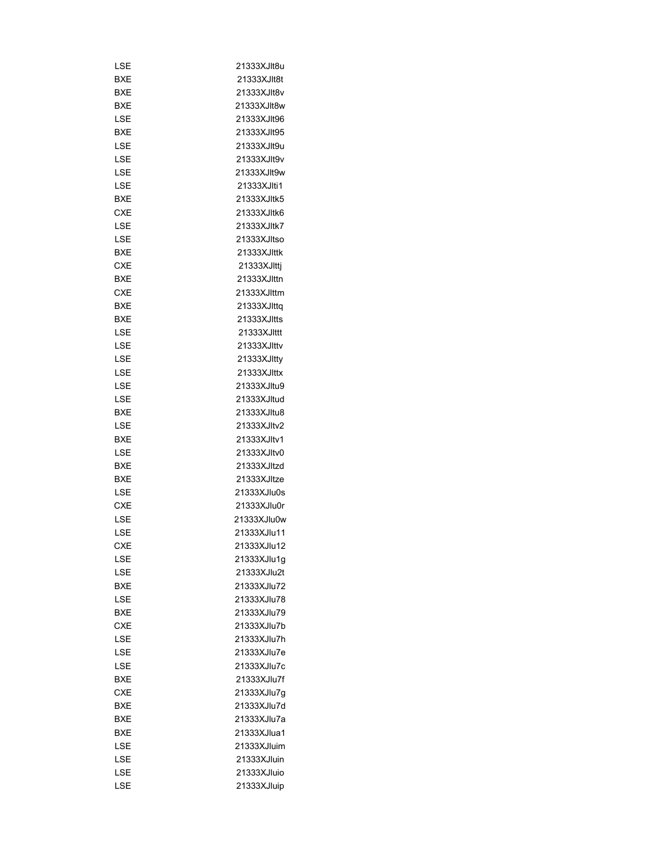| LSE        | 21333XJlt8u |
|------------|-------------|
| BXE        | 21333XJlt8t |
| BXE        | 21333XJIt8v |
| BXE        | 21333XJlt8w |
| LSE        | 21333XJIt96 |
| <b>BXE</b> | 21333XJIt95 |
| LSE        | 21333XJlt9u |
| LSE        | 21333XJIt9v |
| LSE        | 21333XJIt9w |
| LSE        | 21333XJlti1 |
| <b>BXE</b> | 21333XJltk5 |
| <b>CXE</b> | 21333XJltk6 |
| LSE        | 21333XJltk7 |
| LSE        | 21333XJltso |
| BXE        | 21333XJIttk |
|            |             |
| CXE        | 21333XJlttj |
| BXE        | 21333XJlttn |
| <b>CXE</b> | 21333XJlttm |
| BXE        | 21333XJlttq |
| BXE        | 21333XJItts |
| LSE        | 21333XJIttt |
| LSE        | 21333XJlttv |
| LSE        | 21333XJItty |
| LSE        | 21333XJlttx |
| LSE        | 21333XJItu9 |
| LSE        | 21333XJltud |
| BXE        | 21333XJltu8 |
| LSE        | 21333XJltv2 |
| BXE        | 21333XJltv1 |
| LSE        | 21333XJltv0 |
| BXE        | 21333XJltzd |
| BXE        | 21333XJltze |
| LSE        | 21333XJlu0s |
| <b>CXE</b> | 21333XJlu0r |
| LSE        | 21333XJlu0w |
| LSE        | 21333XJlu11 |
| <b>CXE</b> | 21333XJlu12 |
| LSE        | 21333XJlu1g |
| LSE        | 21333XJlu2t |
| BXE        | 21333XJlu72 |
| LSE        | 21333XJlu78 |
| BXE        | 21333XJlu79 |
| <b>CXE</b> | 21333XJlu7b |
| LSE        | 21333XJlu7h |
| LSE        | 21333XJlu7e |
| LSE        | 21333XJlu7c |
| BXE        | 21333XJlu7f |
| <b>CXE</b> |             |
|            | 21333XJlu7g |
| BXE        | 21333XJlu7d |
| BXE        | 21333XJlu7a |
| BXE        | 21333XJlua1 |
| LSE        | 21333XJluim |
| LSE        | 21333XJluin |
| LSE        | 21333XJluio |
| LSE        | 21333XJluip |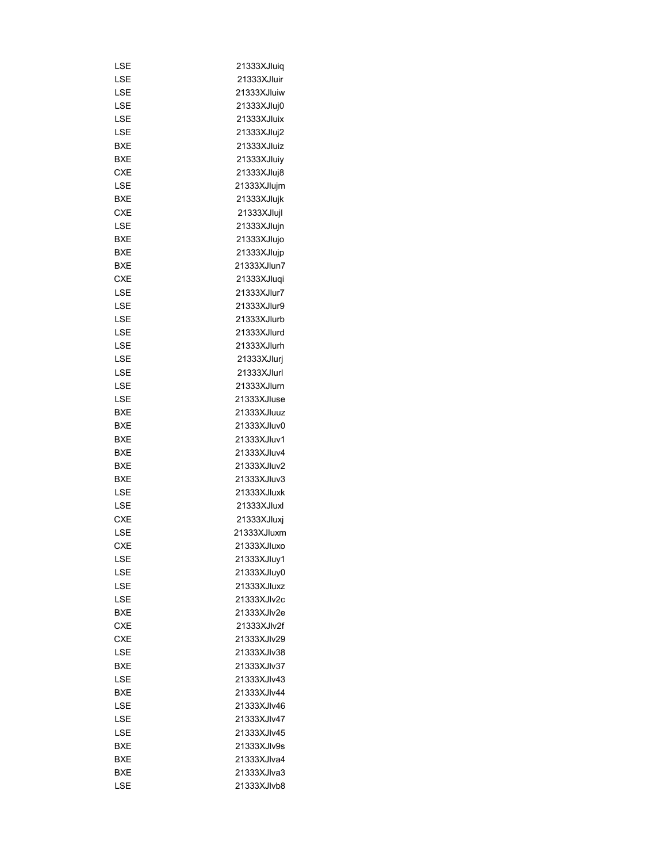| LSE        | 21333XJluiq |
|------------|-------------|
| <b>LSE</b> | 21333XJluir |
| LSE        | 21333XJluiw |
| LSE        | 21333XJluj0 |
| LSE        | 21333XJluix |
| LSE        | 21333XJluj2 |
| BXE        | 21333XJluiz |
| BXE        | 21333XJluiy |
| <b>CXE</b> | 21333XJluj8 |
| LSE        | 21333XJlujm |
| <b>BXE</b> | 21333XJlujk |
| <b>CXE</b> | 21333XJlujl |
| LSE        | 21333XJlujn |
| BXE        | 21333XJlujo |
| BXE        | 21333XJlujp |
| BXE        | 21333XJlun7 |
| <b>CXE</b> | 21333XJluqi |
| LSE        | 21333XJlur7 |
| LSE        | 21333XJlur9 |
|            |             |
| LSE        | 21333XJlurb |
| LSE        | 21333XJlurd |
| LSE        | 21333XJlurh |
| LSE        | 21333XJlurj |
| LSE        | 21333XJlurl |
| LSE        | 21333XJlurn |
| LSE        | 21333XJluse |
| BXE        | 21333XJluuz |
| BXE        | 21333XJluv0 |
| BXE        | 21333XJluv1 |
| BXE        | 21333XJluv4 |
| BXE        | 21333XJluv2 |
| BXE        | 21333XJluv3 |
| LSE        | 21333XJluxk |
| LSE        | 21333XJluxl |
| CXE        | 21333XJluxj |
| LSE        | 21333XJluxm |
| <b>CXE</b> | 21333XJluxo |
| LSE        | 21333XJluy1 |
| LSE        | 21333XJluy0 |
| LSE        | 21333XJluxz |
| LSE        | 21333XJlv2c |
| BXE        | 21333XJIv2e |
| <b>CXE</b> | 21333XJIv2f |
| <b>CXE</b> | 21333XJIv29 |
| LSE        | 21333XJIv38 |
| BXE        | 21333XJIv37 |
| LSE        | 21333XJIv43 |
| BXE        | 21333XJIv44 |
| LSE        | 21333XJIv46 |
| LSE        | 21333XJIv47 |
| LSE        | 21333XJIv45 |
|            |             |
| BXE        | 21333XJIv9s |
| BXE        | 21333XJIva4 |
| BXE        | 21333XJIva3 |
| LSE        | 21333XJIvb8 |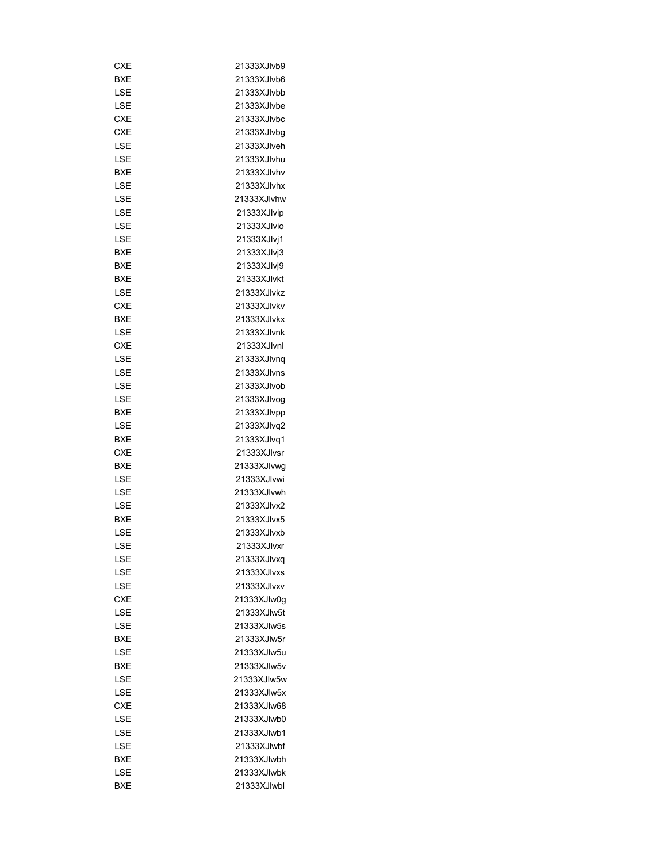| CXE        | 21333XJlvb9 |
|------------|-------------|
| <b>BXE</b> | 21333XJIvb6 |
| LSE        | 21333XJIvbb |
| LSE        | 21333XJIvbe |
| <b>CXE</b> | 21333XJlvbc |
| CXE        | 21333XJlvbq |
| LSE        | 21333XJIveh |
| LSE        | 21333XJlvhu |
| BXE        | 21333XJlvhv |
| LSE        | 21333XJlvhx |
| LSE        | 21333XJlvhw |
| LSE        | 21333XJlvip |
| LSE        | 21333XJIvio |
| LSE        | 21333XJlvj1 |
| BXE        | 21333XJlvj3 |
| BXE        | 21333XJlvj9 |
| BXE        | 21333XJlvkt |
| LSE        | 21333XJlvkz |
| CXE        | 21333XJlvkv |
| BXE        | 21333XJlvkx |
|            | 21333XJlvnk |
| LSE        |             |
| CXE        | 21333XJIvnl |
| LSE        | 21333XJlvng |
| LSE        | 21333XJlvns |
| LSE        | 21333XJIvob |
| LSE        | 21333XJIvog |
| BXE        | 21333XJlvpp |
| LSE        | 21333XJlvq2 |
| BXE        | 21333XJlvq1 |
| CXE        | 21333XJIvsr |
| BXE        | 21333XJIvwg |
| LSE        | 21333XJlvwi |
| LSE        | 21333XJIvwh |
| LSE        | 21333XJlvx2 |
| BXE        | 21333XJlvx5 |
| LSE        | 21333XJlvxb |
| LSE        | 21333XJIvxr |
| LSE        | 21333XJlvxq |
| LSE        | 21333XJlvxs |
| LSE        | 21333XJlvxv |
| <b>CXE</b> | 21333XJIw0q |
| LSE        | 21333XJIw5t |
| LSE        | 21333XJIw5s |
| BXE        | 21333XJIw5r |
| LSE        | 21333XJIw5u |
| BXE        | 21333XJIw5v |
| LSE        | 21333XJIw5w |
| LSE        | 21333XJIw5x |
| CXE        | 21333XJIw68 |
| LSE        | 21333XJIwb0 |
| LSE        | 21333XJIwb1 |
| LSE        | 21333XJIwbf |
| <b>BXE</b> | 21333XJlwbh |
| LSE        | 21333XJIwbk |
| BXE        | 21333XJlwbl |
|            |             |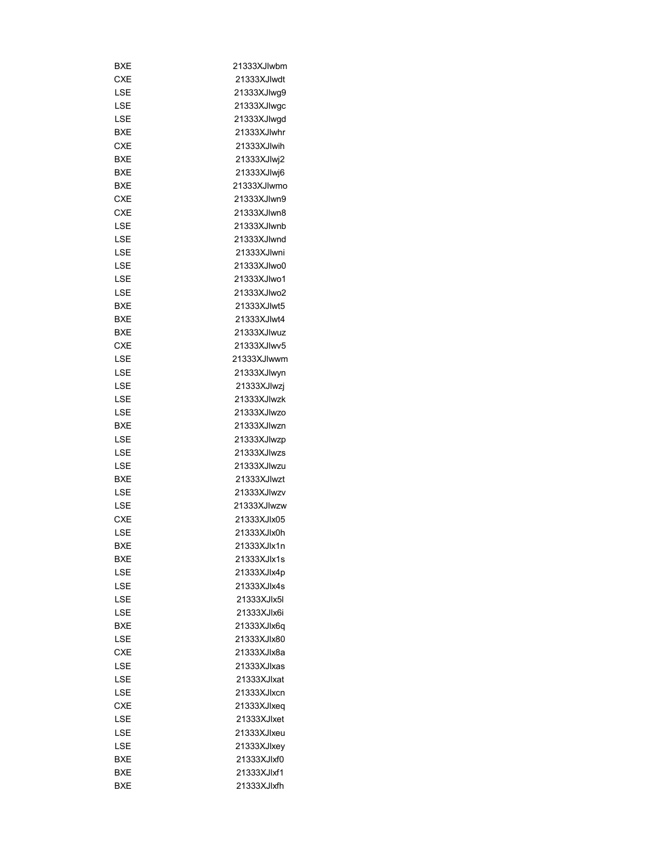| BXE        | 21333XJlwbm  |
|------------|--------------|
| CXE        | 21333XJIwdt  |
| LSE        | 21333XJIwq9  |
| LSE        | 21333XJIwgc  |
| LSE        | 21333XJlwgd  |
| <b>BXE</b> | 21333XJlwhr  |
| <b>CXE</b> | 21333XJlwih  |
| BXE        | 21333XJlwj2  |
| BXE        | 21333XJlwj6  |
| BXE        | 21333XJIwmo  |
| CXE        | 21333XJlwn9  |
| CXE        | 21333XJlwn8  |
| LSE        | 21333XJIwnb  |
| LSE        | 21333XJIwnd  |
| LSE        | 21333XJlwni  |
| LSE        | 21333XJIwo0  |
| LSE        | 21333XJIwo1  |
| LSE        | 21333XJIwo2  |
| BXE        | 21333XJIwt5  |
|            |              |
| BXE        | 21333XJIwt4  |
| BXE        | 21333XJIwuz  |
| CXE        | 21333XJIwv5  |
| LSE        | 21333XJIwwm  |
| LSE        | 21333XJIwyn  |
| LSE        | 21333XJIwzj  |
| LSE        | 21333XJIwzk  |
| LSE        | 21333XJIwzo  |
| <b>BXE</b> | 21333XJIwzn  |
| LSE        | 21333XJIwzp  |
| LSE        | 21333XJIwzs  |
| LSE        | 21333XJIwzu  |
| BXE        | 21333XJIwzt  |
| LSE        | 21333XJIwzv  |
| LSE        | 21333XJIwzw  |
| <b>CXE</b> | 21333XJIx05  |
| LSE        | 21333XJlx0h  |
| BXE        | 21333X.llx1n |
| BXE        | 21333XJlx1s  |
| LSE        | 21333XJIx4p  |
| LSE        | 21333XJlx4s  |
| LSE        | 21333XJIx5I  |
| LSE        | 21333XJIx6i  |
| <b>BXE</b> | 21333XJIx6a  |
| LSE        | 21333XJIx80  |
| CXE        | 21333XJlx8a  |
| LSE        | 21333XJlxas  |
| LSE        | 21333XJlxat  |
| LSE        | 21333XJlxcn  |
| CXE        | 21333XJlxeq  |
| LSE        | 21333XJIxet  |
| LSE        | 21333XJIxeu  |
| LSE        | 21333XJIxey  |
| BXE        | 21333XJIxf0  |
| BXE        | 21333XJIxf1  |
| BXE        | 21333XJlxfh  |
|            |              |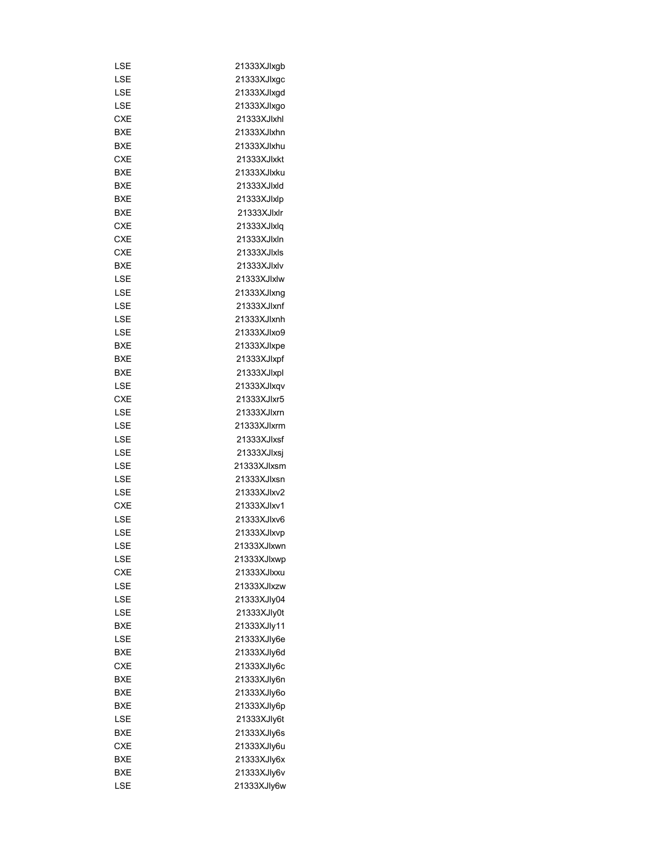| LSE        | 21333XJlxgb |
|------------|-------------|
| LSE        | 21333XJlxgc |
| LSE        | 21333XJlxgd |
| LSE        | 21333XJIxgo |
| <b>CXE</b> | 21333XJlxhl |
| BXE        | 21333XJlxhn |
| BXE        | 21333XJlxhu |
| CXE        | 21333XJIxkt |
| <b>BXE</b> | 21333XJlxku |
| <b>BXE</b> | 21333XJIxld |
| BXE        | 21333XJlxlp |
| BXE        | 21333XJlxlr |
| CXE        | 21333XJlxlq |
| <b>CXE</b> | 21333XJlxln |
| CXE        | 21333XJlxls |
| BXE        | 21333XJlxlv |
| LSE        | 21333XJlxlw |
| LSE        | 21333XJlxnq |
| LSE        | 21333XJlxnf |
| LSE        | 21333XJlxnh |
| LSE        | 21333XJIxo9 |
| BXE        | 21333XJlxpe |
|            | 21333XJlxpf |
| BXE        |             |
| BXE        | 21333XJlxpl |
| LSE        | 21333XJlxqv |
| CXE        | 21333XJlxr5 |
| LSE        | 21333XJlxrn |
| LSE        | 21333XJlxrm |
| LSE        | 21333XJlxsf |
| LSE        | 21333XJlxsj |
| LSE        | 21333XJlxsm |
| LSE        | 21333XJlxsn |
| LSE        | 21333XJIxv2 |
| <b>CXE</b> | 21333XJlxv1 |
| LSE        | 21333XJlxv6 |
| LSE        | 21333XJlxvp |
| LSE        | 21333XJIxwn |
| LSE        | 21333XJlxwp |
| <b>CXE</b> | 21333XJlxxu |
| LSE        | 21333XJIxzw |
| LSE        | 21333XJIy04 |
| LSE        | 21333XJly0t |
| <b>BXE</b> | 21333XJly11 |
| LSE        | 21333XJIy6e |
| BXE        | 21333XJIy6d |
| <b>CXE</b> | 21333XJIy6c |
| <b>BXE</b> | 21333XJly6n |
| BXE        | 21333XJly6o |
| BXE        | 21333XJly6p |
| LSE        | 21333XJly6t |
| BXE        | 21333XJIy6s |
| CXE        | 21333XJly6u |
| BXE        | 21333XJly6x |
| <b>BXE</b> | 21333XJIy6v |
| LSE        | 21333XJly6w |
|            |             |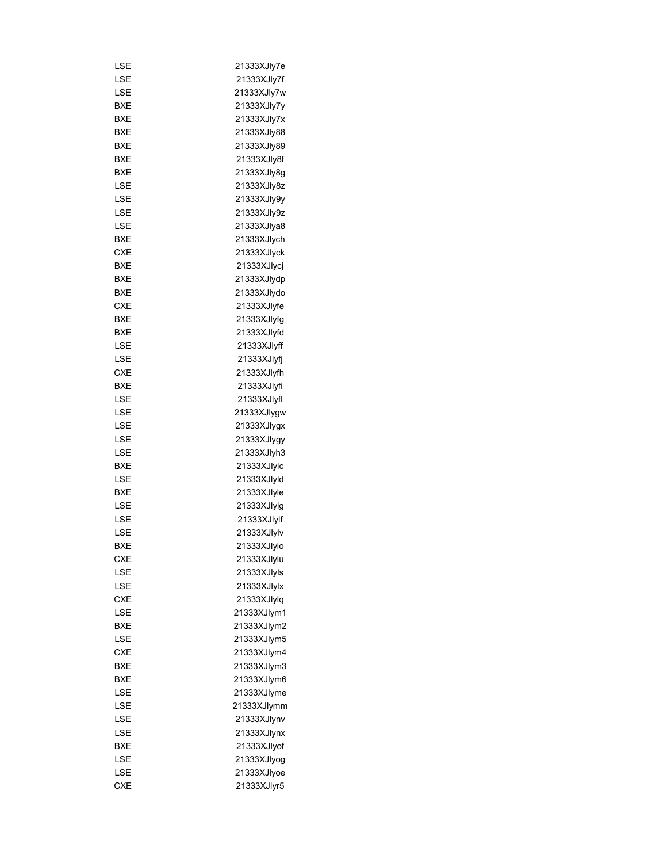| LSE        | 21333XJIy7e |
|------------|-------------|
| LSE        | 21333XJly7f |
| LSE        | 21333XJly7w |
| BXE        | 21333XJly7y |
| BXE        | 21333XJly7x |
| BXE        | 21333XJIy88 |
| BXE        | 21333XJIy89 |
| BXE        | 21333XJly8f |
| BXE        | 21333XJly8g |
| LSE        | 21333XJIy8z |
| LSE        | 21333XJly9y |
| LSE        | 21333XJIy9z |
| LSE        | 21333XJIya8 |
| BXE        | 21333XJlych |
| <b>CXE</b> | 21333XJlyck |
| BXE        | 21333XJIycj |
| <b>BXE</b> | 21333XJlydp |
| BXE        | 21333XJlydo |
| CXE        | 21333XJlyfe |
| BXE        | 21333XJlyfg |
| BXE        | 21333XJlyfd |
| LSE        | 21333XJlyff |
| LSE        | 21333XJIyfj |
| CXE        | 21333XJlyfh |
| BXE        | 21333XJlyfi |
| LSE        | 21333XJlyfl |
|            |             |
| LSE        | 21333XJlygw |
| LSE        | 21333XJlygx |
| LSE        | 21333XJlygy |
| LSE        | 21333XJlyh3 |
| BXE        | 21333XJlylc |
| LSE        | 21333XJlyId |
| BXE        | 21333XJlyle |
| LSE        | 21333XJlylq |
| LSE        | 21333XJlylf |
| LSE        | 21333XJlylv |
| BXE        | 21333XJlylo |
| CXE        | 21333XJIylu |
| LSE        | 21333XJlyls |
| LSE        | 21333XJIylx |
| <b>CXE</b> | 21333XJlylq |
| LSE        | 21333XJlym1 |
| BXE        | 21333XJlym2 |
| LSE        | 21333XJlym5 |
| CXE        | 21333XJIym4 |
| BXE        | 21333XJlym3 |
| BXE        | 21333XJlym6 |
| LSE        | 21333XJIyme |
| LSE        | 21333XJlymm |
| LSE        | 21333XJlynv |
| LSE        | 21333XJIynx |
| BXE        | 21333XJIyof |
| LSE        | 21333XJIyog |
| LSE        | 21333XJIyoe |
| <b>CXE</b> | 21333XJlyr5 |
|            |             |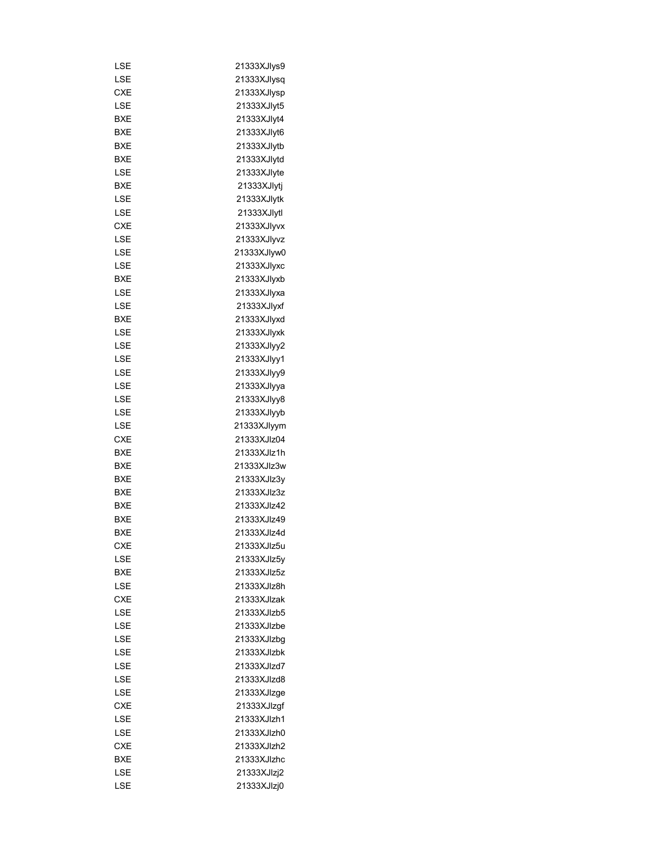| LSE        | 21333XJlys9 |
|------------|-------------|
| LSE        | 21333XJlysq |
| CXE        | 21333XJlysp |
| LSE        | 21333XJlyt5 |
| <b>BXE</b> | 21333XJIyt4 |
| BXE        | 21333XJIyt6 |
| BXE        | 21333XJlytb |
| BXE        | 21333XJlytd |
| LSE        | 21333XJlyte |
| BXE        | 21333XJIyti |
| LSE        | 21333XJlytk |
| LSE        | 21333XJlytl |
| CXE        | 21333XJIyvx |
| LSE        | 21333XJIyvz |
| LSE        | 21333XJIyw0 |
| LSE        | 21333XJIyxc |
| BXE        | 21333XJlyxb |
| LSE        | 21333XJlyxa |
| LSE        | 21333XJlyxf |
| BXE        | 21333XJlyxd |
| LSE        | 21333XJlyxk |
| LSE        | 21333XJIyy2 |
| LSE        | 21333XJlyy1 |
| LSE        | 21333XJIyy9 |
| LSE        | 21333XJlyya |
| LSE        | 21333XJlyy8 |
| LSE        | 21333XJlyyb |
| LSE        | 21333XJlyym |
| CXE        | 21333XJIz04 |
| BXE        | 21333XJlz1h |
| BXE        | 21333XJIz3w |
| BXE        | 21333XJIz3y |
| BXE        | 21333XJIz3z |
| <b>BXE</b> | 21333XJlz42 |
| <b>BXE</b> | 21333XJlz49 |
| <b>BXE</b> | 21333XJlz4d |
| <b>CXE</b> |             |
|            | 21333XJlz5u |
| LSE        | 21333XJIz5v |
| BXE        | 21333XJlz5z |
| LSE        | 21333XJlz8h |
| <b>CXE</b> | 21333XJlzak |
| LSE        | 21333XJlzb5 |
| LSE        | 21333XJlzbe |
| LSE        | 21333XJlzbg |
| LSE        | 21333XJlzbk |
| LSE        | 21333XJIzd7 |
| LSE        | 21333XJIzd8 |
| LSE        | 21333XJlzge |
| <b>CXE</b> | 21333XJlzgf |
| LSE        | 21333XJlzh1 |
| LSE        | 21333XJlzh0 |
| CXE        | 21333XJlzh2 |
| BXE        | 21333XJlzhc |
| LSE        | 21333XJlzj2 |
| LSE        | 21333XJlzj0 |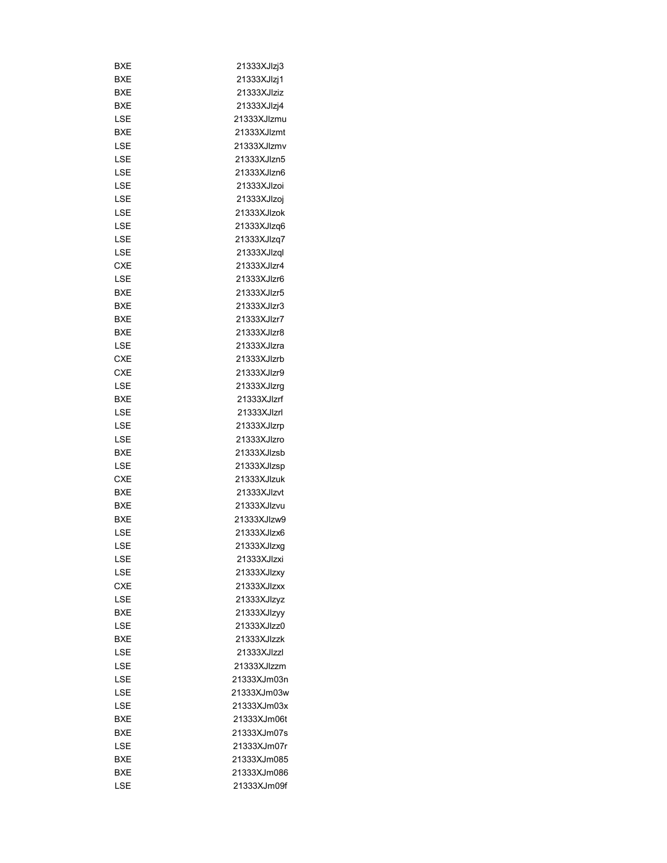| BXE        | 21333XJlzj3 |
|------------|-------------|
| BXE        | 21333XJlzj1 |
| BXE        | 21333XJIziz |
| BXE        | 21333XJlzj4 |
| LSE        | 21333XJIzmu |
| BXE        | 21333XJlzmt |
| LSE        | 21333XJIzmv |
| LSE        | 21333XJIzn5 |
| LSE        | 21333XJIzn6 |
| LSE        | 21333XJIzoi |
| LSE        | 21333XJIzoj |
| LSE        | 21333XJlzok |
| LSE        | 21333XJlzq6 |
| LSE        | 21333XJlzq7 |
| LSE        | 21333XJlzql |
| <b>CXE</b> | 21333XJlzr4 |
| LSE        | 21333XJlzr6 |
| BXE        | 21333XJlzr5 |
| BXE        | 21333XJlzr3 |
| BXE        | 21333XJlzr7 |
| BXE        | 21333XJlzr8 |
|            |             |
| LSE        | 21333XJlzra |
| CXE        | 21333XJlzrb |
| CXE        | 21333XJlzr9 |
| LSE        | 21333XJlzrg |
| BXE        | 21333XJlzrf |
| LSE        | 21333XJlzrl |
| LSE        | 21333XJlzrp |
| LSE        | 21333XJIzro |
| BXE        | 21333XJlzsb |
| LSE        | 21333XJlzsp |
| <b>CXE</b> | 21333XJlzuk |
| BXE        | 21333XJlzvt |
| BXE        | 21333XJIzvu |
| BXE        | 21333XJIzw9 |
| LSE        | 21333XJlzx6 |
| LSE        | 21333XJlzxg |
| LSE        | 21333XJlzxi |
| LSE        | 21333XJIzxy |
| <b>CXE</b> | 21333XJlzxx |
| LSE        | 21333XJlzyz |
| BXE        | 21333XJIzyy |
| LSE        | 21333XJlzz0 |
| BXE        | 21333XJlzzk |
| LSE        | 21333XJlzzl |
| LSE        | 21333XJIzzm |
| LSE        | 21333XJm03n |
| LSE        | 21333XJm03w |
| LSE        | 21333XJm03x |
| <b>BXE</b> | 21333XJm06t |
| BXE        | 21333XJm07s |
| LSE        | 21333XJm07r |
| BXE        | 21333XJm085 |
| BXE        | 21333XJm086 |
| LSE        | 21333XJm09f |
|            |             |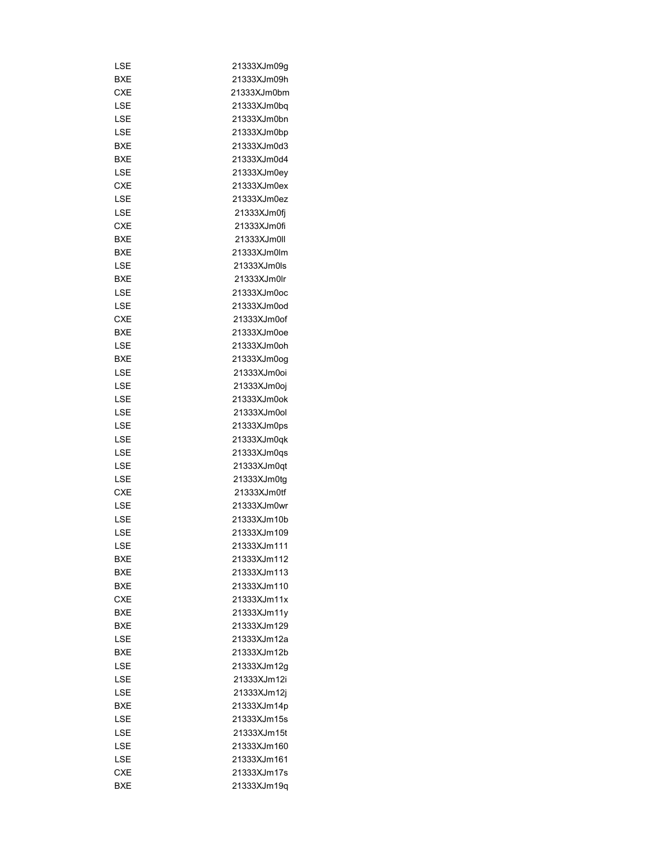| LSE        | 21333XJm09g  |
|------------|--------------|
| BXE        | 21333XJm09h  |
| <b>CXE</b> | 21333XJm0bm  |
| LSE        | 21333XJm0bq  |
| LSE        | 21333XJm0bn  |
| LSE        | 21333XJm0bp  |
| BXE        | 21333XJm0d3  |
| BXE        | 21333XJm0d4  |
| LSE        | 21333XJm0ey  |
| <b>CXE</b> | 21333XJm0ex  |
| LSE        | 21333XJm0ez  |
| LSE        | 21333XJm0fi  |
| <b>CXE</b> | 21333XJm0fi  |
| BXE        | 21333XJm0II  |
| BXE        | 21333XJm0lm  |
| LSE        | 21333XJm0ls  |
| BXE        | 21333XJm0lr  |
|            | 21333XJm0oc  |
| LSE        |              |
| LSE        | 21333XJm0od  |
| CXE        | 21333XJm0of  |
| <b>BXE</b> | 21333XJm0oe  |
| LSE        | 21333XJm0oh  |
| BXE        | 21333XJm0og  |
| LSE        | 21333XJm0oi  |
| LSE        | 21333XJm0oj  |
| LSE        | 21333XJm0ok  |
| LSE        | 21333XJm0ol  |
| LSE        | 21333XJm0ps  |
| LSE        | 21333XJm0qk  |
| LSE        | 21333XJm0qs  |
| LSE        | 21333XJm0qt  |
| LSE        | 21333XJm0tg  |
| <b>CXE</b> | 21333XJm0tf  |
| LSE        | 21333XJm0wr  |
| LSE        | 21333XJm10b  |
| LSE        | 21333XJm109  |
| LSE        | 21333XJm111  |
| BXE        | 21333XJm112  |
| BXE        | 21333X.Jm113 |
| <b>BXE</b> | 21333XJm110  |
| <b>CXE</b> | 21333XJm11x  |
| BXE        | 21333XJm11y  |
| <b>BXE</b> | 21333XJm129  |
| LSE        | 21333XJm12a  |
| BXE        | 21333XJm12b  |
| LSE        | 21333XJm12q  |
| LSE        | 21333XJm12i  |
| LSE        | 21333XJm12j  |
|            |              |
| BXE        | 21333XJm14p  |
| LSE        | 21333XJm15s  |
| LSE        | 21333XJm15t  |
| LSE        | 21333XJm160  |
| LSE        | 21333XJm161  |
| CXE        | 21333XJm17s  |
| BXE        | 21333XJm19q  |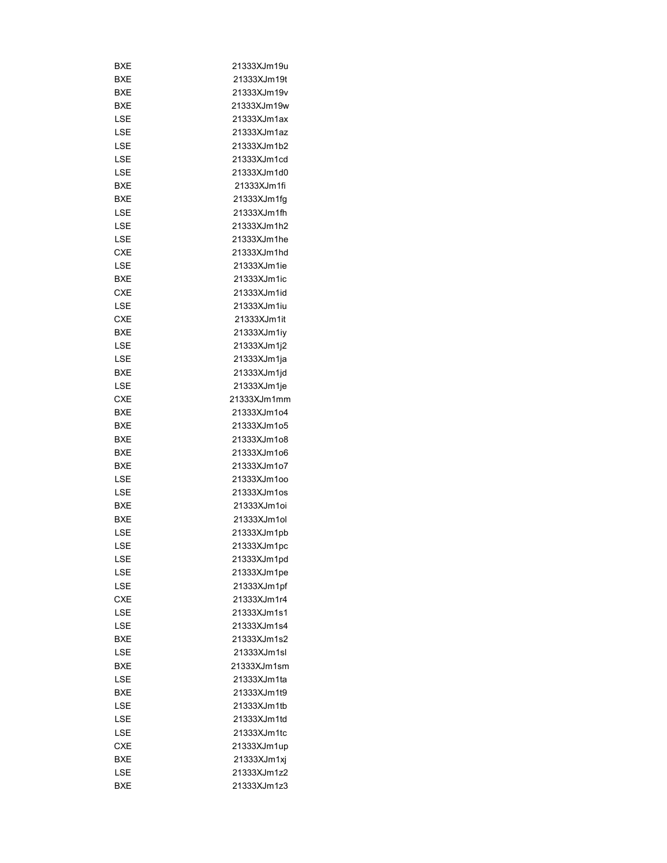| BXE        | 21333XJm19u |
|------------|-------------|
| BXE        | 21333XJm19t |
| BXE        | 21333XJm19v |
| BXE        | 21333XJm19w |
| LSE        | 21333XJm1ax |
| LSE        | 21333XJm1az |
| LSE        | 21333XJm1b2 |
| LSE        | 21333XJm1cd |
| LSE        | 21333XJm1d0 |
| BXE        | 21333XJm1fi |
| BXE        | 21333XJm1fq |
| LSE        | 21333XJm1fh |
| LSE        | 21333XJm1h2 |
| LSE        | 21333XJm1he |
| CXE        | 21333XJm1hd |
| LSE        | 21333XJm1ie |
| BXE        | 21333XJm1ic |
| <b>CXE</b> | 21333XJm1id |
| LSE        | 21333XJm1iu |
|            | 21333XJm1it |
| <b>CXE</b> |             |
| BXE        | 21333XJm1iy |
| LSE        | 21333XJm1j2 |
| LSE        | 21333XJm1ja |
| BXE        | 21333XJm1jd |
| LSE        | 21333XJm1je |
| <b>CXE</b> | 21333XJm1mm |
| BXE        | 21333XJm1o4 |
| BXE        | 21333XJm1o5 |
| BXE        | 21333XJm1o8 |
| BXE        | 21333XJm1o6 |
| BXE        | 21333XJm1o7 |
| LSE        | 21333XJm1oo |
| LSE        | 21333XJm1os |
| BXE        | 21333XJm1oi |
| BXE        | 21333XJm1ol |
| LSE        | 21333XJm1pb |
| LSE        | 21333XJm1pc |
| LSE        | 21333XJm1pd |
| LSE        | 21333XJm1pe |
| LSE        | 21333XJm1pf |
| <b>CXE</b> | 21333XJm1r4 |
| LSE        | 21333XJm1s1 |
| LSE        | 21333XJm1s4 |
| BXE        | 21333XJm1s2 |
| LSE        | 21333XJm1sl |
| BXE        | 21333XJm1sm |
| LSE        | 21333XJm1ta |
| BXE        | 21333XJm1t9 |
| LSE        | 21333XJm1tb |
| LSE        | 21333XJm1td |
| LSE        | 21333XJm1tc |
| CXE        | 21333XJm1up |
| BXE        |             |
|            | 21333XJm1xj |
| LSE        | 21333XJm1z2 |
| <b>BXE</b> | 21333XJm1z3 |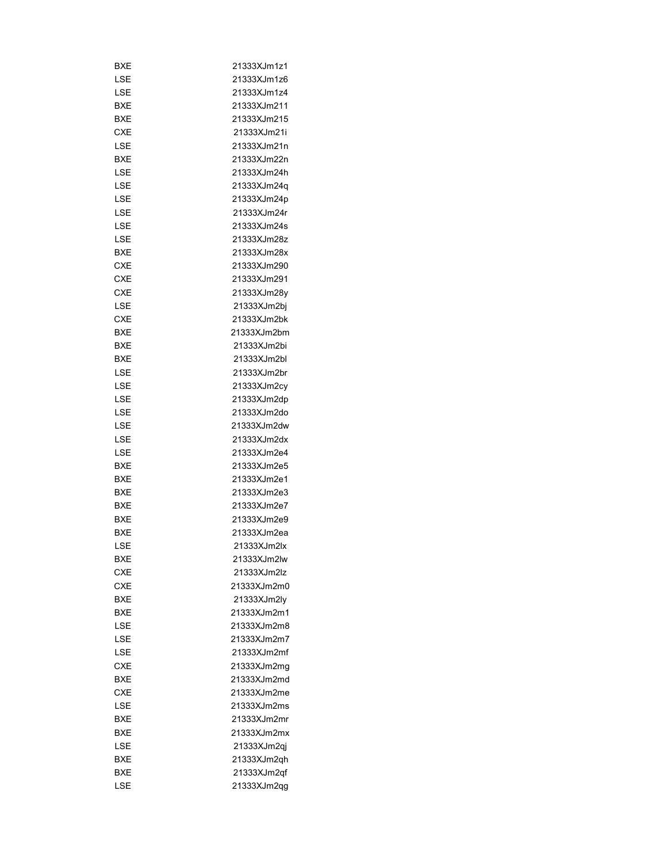| BXE        | 21333XJm1z1 |
|------------|-------------|
| LSE        | 21333XJm1z6 |
| LSE        | 21333XJm1z4 |
| BXE        | 21333XJm211 |
| BXE        | 21333XJm215 |
| CXE        | 21333XJm21i |
| LSE        | 21333XJm21n |
| BXE        | 21333XJm22n |
| LSE        | 21333XJm24h |
| LSE        | 21333XJm24q |
| LSE        | 21333XJm24p |
| LSE        | 21333XJm24r |
| LSE        | 21333XJm24s |
| LSE        | 21333XJm28z |
| BXE        | 21333XJm28x |
| CXE        | 21333XJm290 |
| CXE        | 21333XJm291 |
| CXE        | 21333XJm28y |
| LSE        | 21333XJm2bj |
| <b>CXE</b> | 21333XJm2bk |
| <b>BXE</b> | 21333XJm2bm |
|            |             |
| BXE        | 21333XJm2bi |
| BXE        | 21333XJm2bl |
| LSE        | 21333XJm2br |
| LSE        | 21333XJm2cy |
| LSE        | 21333XJm2dp |
| LSE        | 21333XJm2do |
| LSE        | 21333XJm2dw |
| LSE        | 21333XJm2dx |
| LSE        | 21333XJm2e4 |
| <b>BXE</b> | 21333XJm2e5 |
| BXE        | 21333XJm2e1 |
| <b>BXE</b> | 21333XJm2e3 |
| BXE        | 21333XJm2e7 |
| <b>BXE</b> | 21333XJm2e9 |
| <b>BXE</b> | 21333XJm2ea |
| LSE        | 21333XJm2lx |
| BXE        | 21333XJm2lw |
| <b>CXE</b> | 21333XJm2lz |
| CXE        | 21333XJm2m0 |
| <b>BXE</b> | 21333XJm2ly |
| BXE        | 21333XJm2m1 |
| LSE        | 21333XJm2m8 |
| LSE        | 21333XJm2m7 |
| LSE        | 21333XJm2mf |
| <b>CXE</b> | 21333XJm2mq |
| BXE        | 21333XJm2md |
| <b>CXE</b> | 21333XJm2me |
| LSE        | 21333XJm2ms |
| BXE        | 21333XJm2mr |
| BXE        | 21333XJm2mx |
| LSE        | 21333XJm2qj |
| BXE        | 21333XJm2qh |
| BXE        | 21333XJm2qf |
| LSE        | 21333XJm2qg |
|            |             |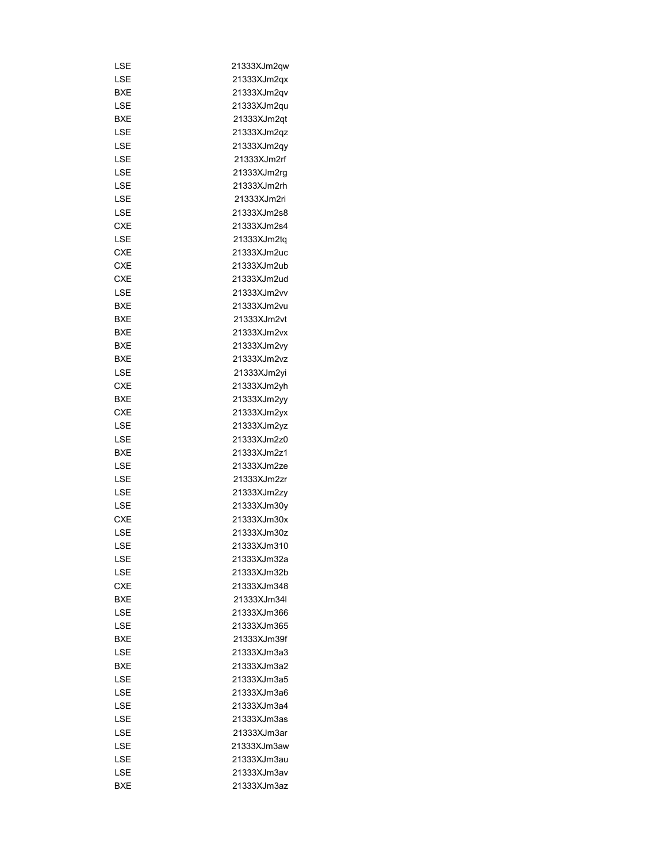| LSE        | 21333XJm2qw  |
|------------|--------------|
| LSE        | 21333XJm2qx  |
| BXE        | 21333XJm2qv  |
| LSE        | 21333XJm2qu  |
| <b>BXE</b> | 21333XJm2qt  |
| LSE        | 21333XJm2qz  |
| LSE        | 21333XJm2qy  |
| LSE        | 21333XJm2rf  |
| LSE        | 21333XJm2rg  |
| LSE        | 21333XJm2rh  |
| LSE        | 21333XJm2ri  |
| LSE        | 21333XJm2s8  |
| CXE        | 21333XJm2s4  |
| LSE        | 21333XJm2tq  |
| CXE        | 21333XJm2uc  |
| <b>CXE</b> | 21333XJm2ub  |
| CXE        | 21333XJm2ud  |
| LSE        | 21333XJm2vv  |
| BXE        | 21333XJm2vu  |
| BXE        | 21333XJm2vt  |
| BXE        | 21333XJm2vx  |
| BXE        | 21333XJm2vy  |
| BXE        | 21333XJm2vz  |
| LSE        | 21333XJm2yi  |
| CXE        | 21333XJm2yh  |
| BXE        |              |
|            | 21333XJm2yy  |
| CXE        | 21333XJm2yx  |
| LSE        | 21333XJm2yz  |
| LSE        | 21333XJm2z0  |
| BXE        | 21333XJm2z1  |
| LSE        | 21333XJm2ze  |
| LSE        | 21333XJm2zr  |
| LSE        | 21333XJm2zy  |
| LSE        | 21333XJm30y  |
| <b>CXE</b> | 21333XJm30x  |
| LSE        | 21333XJm30z  |
| LSE        | 21333XJm310  |
| LSE        | 21333XJm32a  |
| LSE        | 21333XJm32b  |
| <b>CXE</b> | 21333XJm348  |
| BXE        | 21333XJm34I  |
| LSE        | 21333XJm366  |
| LSE        | 21333XJm365  |
| BXE        | 21333XJm39f  |
| LSE        | 21333XJm3a3  |
| BXE        | 21333X.Im3a2 |
| LSE        | 21333XJm3a5  |
| LSE        | 21333XJm3a6  |
| LSE        | 21333XJm3a4  |
| LSE        | 21333XJm3as  |
| LSE        | 21333XJm3ar  |
| LSE        | 21333XJm3aw  |
| LSE        | 21333XJm3au  |
| LSE        | 21333XJm3av  |
| BXE        | 21333XJm3az  |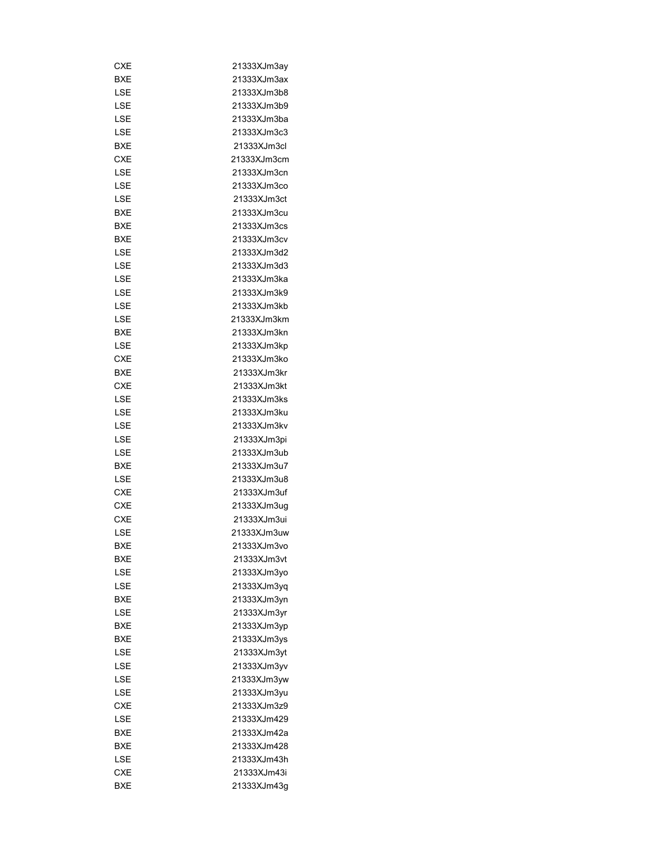| CXE               | 21333XJm3ay |
|-------------------|-------------|
| BXE               | 21333XJm3ax |
| LSE               | 21333XJm3b8 |
| LSE               | 21333XJm3b9 |
| LSE               | 21333XJm3ba |
| LSE               | 21333XJm3c3 |
| BXE               | 21333XJm3cl |
| <b>CXE</b>        | 21333XJm3cm |
| LSE               | 21333XJm3cn |
| LSE               | 21333XJm3co |
| LSE               | 21333XJm3ct |
| BXE               | 21333XJm3cu |
| BXE               | 21333XJm3cs |
| BXE               | 21333XJm3cv |
| LSE               | 21333XJm3d2 |
| LSE               | 21333XJm3d3 |
| LSE               | 21333XJm3ka |
| LSE               | 21333XJm3k9 |
| LSE               | 21333XJm3kb |
| LSE               | 21333XJm3km |
| BXE               | 21333XJm3kn |
| LSE               | 21333XJm3kp |
| CXE               | 21333XJm3ko |
|                   |             |
| BXE<br><b>CXE</b> | 21333XJm3kr |
|                   | 21333XJm3kt |
| LSE               | 21333XJm3ks |
| LSE               | 21333XJm3ku |
| LSE               | 21333XJm3kv |
| LSE               | 21333XJm3pi |
| LSE               | 21333XJm3ub |
| BXE               | 21333XJm3u7 |
| LSE               | 21333XJm3u8 |
| <b>CXE</b>        | 21333XJm3uf |
| <b>CXE</b>        | 21333XJm3ug |
| <b>CXE</b>        | 21333XJm3ui |
| LSE               | 21333XJm3uw |
| BXE               | 21333XJm3vo |
| <b>BXE</b>        | 21333XJm3vt |
| LSE               | 21333XJm3yo |
| LSE               | 21333XJm3yq |
| BXE               | 21333XJm3yn |
| LSE               | 21333XJm3yr |
| <b>BXE</b>        | 21333XJm3yp |
| <b>BXE</b>        | 21333XJm3ys |
| LSE               | 21333XJm3yt |
| LSE               | 21333XJm3yv |
| LSE               | 21333XJm3yw |
| LSE               | 21333XJm3yu |
| <b>CXE</b>        | 21333XJm3z9 |
| LSE               | 21333XJm429 |
| BXE               | 21333XJm42a |
| BXE               | 21333XJm428 |
| LSE               | 21333XJm43h |
| <b>CXE</b>        | 21333XJm43i |
| <b>BXE</b>        | 21333XJm43g |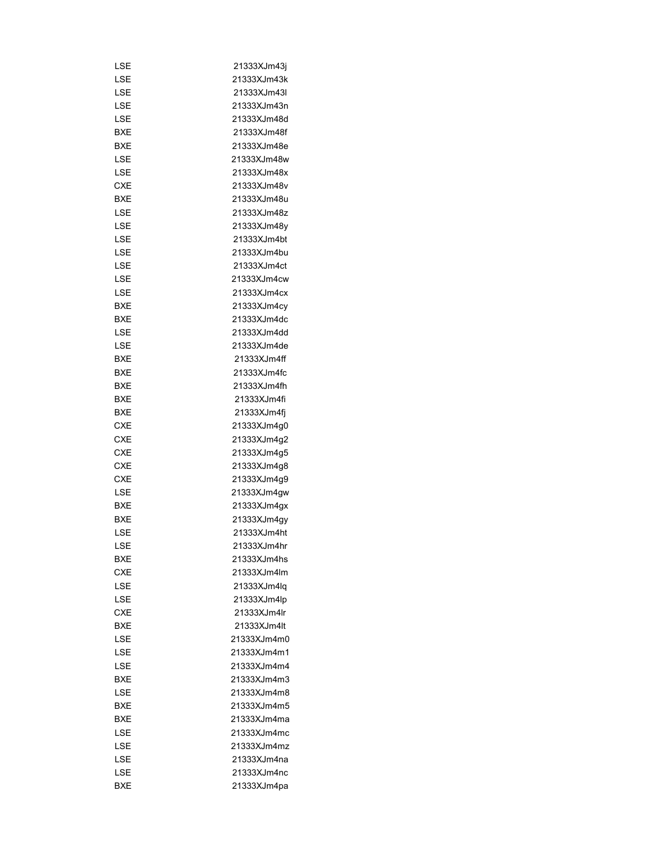| LSE        | 21333XJm43j |
|------------|-------------|
| LSE        | 21333XJm43k |
| LSE        | 21333XJm43I |
| LSE        | 21333XJm43n |
| LSE        | 21333XJm48d |
| <b>BXE</b> | 21333XJm48f |
| BXE        | 21333XJm48e |
| LSE        | 21333XJm48w |
| LSE        | 21333XJm48x |
| <b>CXE</b> | 21333XJm48v |
| <b>BXE</b> | 21333XJm48u |
| LSE        | 21333XJm48z |
| LSE        | 21333XJm48y |
| LSE        | 21333XJm4bt |
| LSE        | 21333XJm4bu |
| LSE        | 21333XJm4ct |
| LSE        | 21333XJm4cw |
| LSE        | 21333XJm4cx |
| BXE        | 21333XJm4cy |
| BXE        | 21333XJm4dc |
| LSE        | 21333XJm4dd |
| LSE        | 21333XJm4de |
|            | 21333XJm4ff |
| BXE        | 21333XJm4fc |
| BXE        |             |
| BXE        | 21333XJm4fh |
| BXE        | 21333XJm4fi |
| BXE        | 21333XJm4fj |
| <b>CXE</b> | 21333XJm4g0 |
| <b>CXE</b> | 21333XJm4g2 |
| CXE        | 21333XJm4g5 |
| <b>CXE</b> | 21333XJm4g8 |
| <b>CXE</b> | 21333XJm4g9 |
| LSE        | 21333XJm4gw |
| BXE        | 21333XJm4gx |
| <b>BXE</b> | 21333XJm4qy |
| LSE        | 21333XJm4ht |
| LSE        | 21333XJm4hr |
| BXE        | 21333XJm4hs |
| <b>CXE</b> | 21333XJm4lm |
| LSE        | 21333XJm4lq |
| LSE        | 21333XJm4lp |
| <b>CXE</b> | 21333XJm4lr |
| <b>BXE</b> | 21333XJm4lt |
| LSE        | 21333XJm4m0 |
| LSE        | 21333XJm4m1 |
| LSE        | 21333XJm4m4 |
| BXE        | 21333XJm4m3 |
| LSE        | 21333XJm4m8 |
| <b>BXE</b> | 21333XJm4m5 |
| BXE        | 21333XJm4ma |
| LSE        | 21333XJm4mc |
| LSE        | 21333XJm4mz |
| LSE        | 21333XJm4na |
| LSE        | 21333XJm4nc |
| <b>BXE</b> | 21333XJm4pa |
|            |             |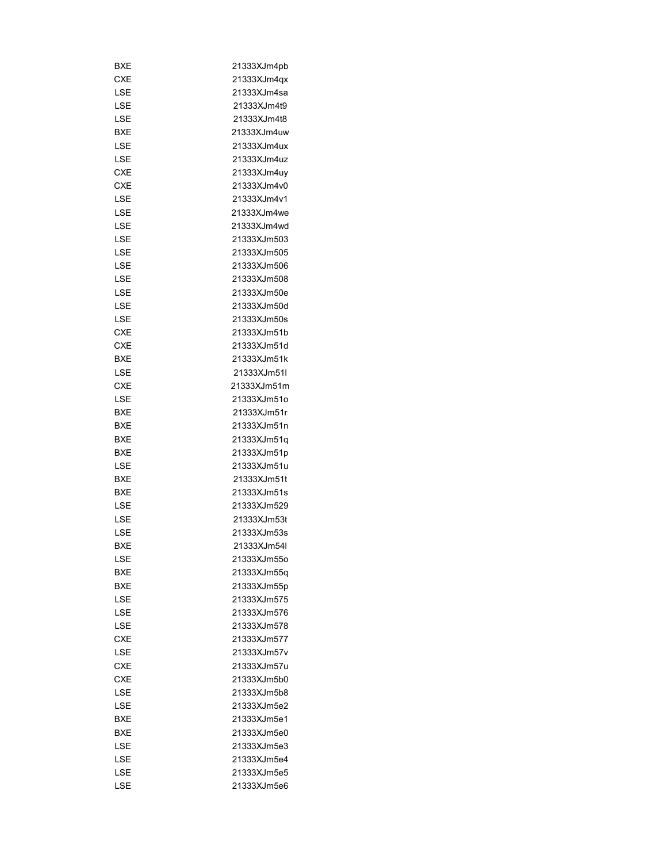| BXE        | 21333XJm4pb |
|------------|-------------|
| CXE        | 21333XJm4qx |
| LSE        | 21333XJm4sa |
| LSE        | 21333XJm4t9 |
| LSE        | 21333XJm4t8 |
| BXE        | 21333XJm4uw |
| LSE        | 21333XJm4ux |
| LSE        | 21333XJm4uz |
| <b>CXE</b> | 21333XJm4uy |
| <b>CXE</b> | 21333XJm4v0 |
| LSE        | 21333XJm4v1 |
| LSE        | 21333XJm4we |
| LSE        | 21333XJm4wd |
| LSE        | 21333XJm503 |
| LSE        | 21333XJm505 |
| LSE        | 21333XJm506 |
| LSE        | 21333XJm508 |
| LSE        | 21333XJm50e |
| LSE        | 21333XJm50d |
| LSE        | 21333XJm50s |
| <b>CXE</b> | 21333XJm51b |
| <b>CXE</b> | 21333XJm51d |
| BXE        | 21333XJm51k |
| LSE        | 21333XJm51I |
| <b>CXE</b> | 21333XJm51m |
|            |             |
| LSE        | 21333XJm51o |
| BXE        | 21333XJm51r |
| BXE        | 21333XJm51n |
| BXE        | 21333XJm51q |
| BXE        | 21333XJm51p |
| LSE        | 21333XJm51u |
| BXE        | 21333XJm51t |
| BXE        | 21333XJm51s |
| LSE        | 21333XJm529 |
| LSE        | 21333XJm53t |
| LSE        | 21333XJm53s |
| BXE        | 21333XJm54I |
| LSE        | 21333XJm55o |
| BXE        | 21333XJm55q |
| BXE        | 21333XJm55p |
| LSE        | 21333XJm575 |
| LSE        | 21333XJm576 |
| LSE        | 21333XJm578 |
| <b>CXE</b> | 21333XJm577 |
| LSE        | 21333XJm57v |
| <b>CXE</b> | 21333XJm57u |
| <b>CXE</b> | 21333XJm5b0 |
| LSE        | 21333XJm5b8 |
| LSE        | 21333XJm5e2 |
| BXE        | 21333XJm5e1 |
| BXE        | 21333XJm5e0 |
| LSE        | 21333XJm5e3 |
| LSE        | 21333XJm5e4 |
| LSE        | 21333XJm5e5 |
| LSE        | 21333XJm5e6 |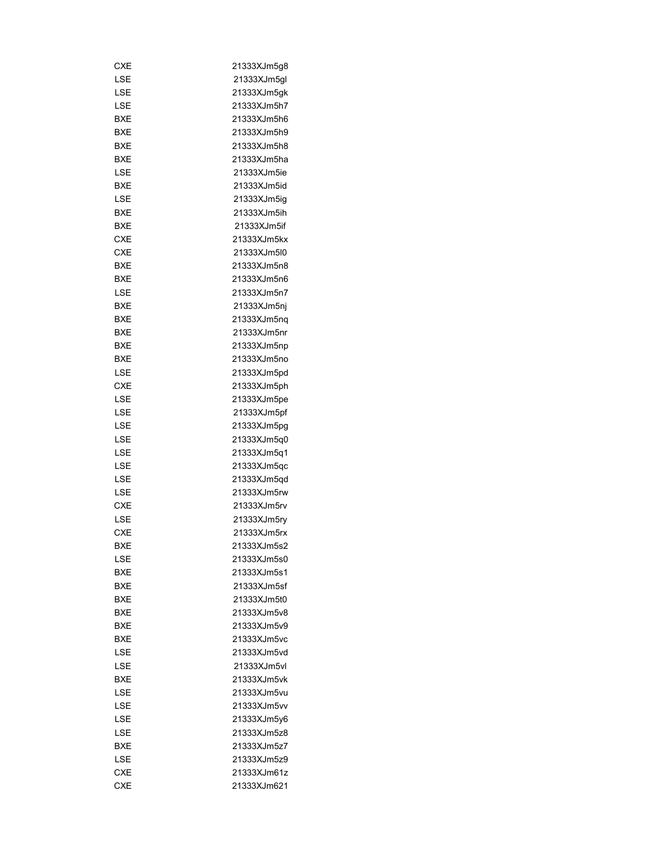| CXE        | 21333XJm5g8 |
|------------|-------------|
| LSE        | 21333XJm5gl |
| LSE        | 21333XJm5gk |
| LSE        | 21333XJm5h7 |
| <b>BXE</b> | 21333XJm5h6 |
| BXE        | 21333XJm5h9 |
| BXE        | 21333XJm5h8 |
| BXE        | 21333XJm5ha |
| LSE        | 21333XJm5ie |
| <b>BXE</b> | 21333XJm5id |
| LSE        | 21333XJm5iq |
| BXE        | 21333XJm5ih |
| BXE        | 21333XJm5if |
| <b>CXE</b> | 21333XJm5kx |
| CXE        | 21333XJm5l0 |
| BXE        | 21333XJm5n8 |
| BXE        | 21333XJm5n6 |
| LSE        | 21333XJm5n7 |
| BXE        | 21333XJm5nj |
|            | 21333XJm5nq |
| BXE        |             |
| BXE        | 21333XJm5nr |
| BXE        | 21333XJm5np |
| BXE        | 21333XJm5no |
| LSE        | 21333XJm5pd |
| CXE        | 21333XJm5ph |
| LSE        | 21333XJm5pe |
| LSE        | 21333XJm5pf |
| LSE        | 21333XJm5pg |
| LSE        | 21333XJm5q0 |
| LSE        | 21333XJm5q1 |
| LSE        | 21333XJm5qc |
| LSE        | 21333XJm5qd |
| LSE        | 21333XJm5rw |
| CXE        | 21333XJm5rv |
| LSE        | 21333XJm5ry |
| <b>CXE</b> | 21333XJm5rx |
| BXE        | 21333XJm5s2 |
| LSE        | 21333XJm5s0 |
| BXE        | 21333XJm5s1 |
| BXE        | 21333XJm5sf |
| BXE        | 21333XJm5t0 |
| BXE        | 21333XJm5v8 |
| BXE        | 21333XJm5v9 |
| BXE        | 21333XJm5vc |
| LSE        | 21333XJm5vd |
| LSE        | 21333XJm5vl |
| <b>BXE</b> | 21333XJm5vk |
| LSE        | 21333XJm5vu |
| LSE        | 21333XJm5vv |
| LSE        | 21333XJm5y6 |
| LSE        | 21333XJm5z8 |
|            |             |
| BXE        | 21333XJm5z7 |
| LSE        | 21333XJm5z9 |
| CXE        | 21333XJm61z |
| <b>CXE</b> | 21333XJm621 |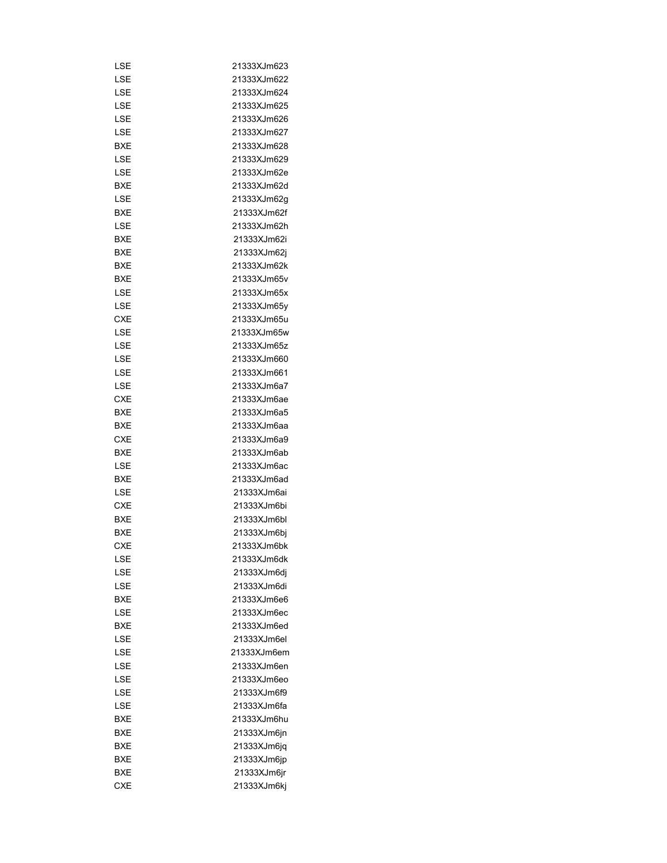| LSE        | 21333XJm623 |
|------------|-------------|
| LSE        | 21333XJm622 |
| LSE        | 21333XJm624 |
| LSE        | 21333XJm625 |
| LSE        | 21333XJm626 |
| LSE        | 21333XJm627 |
| BXE        | 21333XJm628 |
| LSE        | 21333XJm629 |
| LSE        | 21333XJm62e |
| BXE        | 21333XJm62d |
| LSE        | 21333XJm62g |
| BXE        | 21333XJm62f |
| LSE        | 21333XJm62h |
| BXE        | 21333XJm62i |
| BXE        | 21333XJm62j |
| BXE        | 21333XJm62k |
| BXE        | 21333XJm65v |
| LSE        | 21333XJm65x |
| LSE        | 21333XJm65y |
| <b>CXE</b> | 21333XJm65u |
| LSE        | 21333XJm65w |
| LSE        | 21333XJm65z |
| LSE        | 21333XJm660 |
|            |             |
| LSE        | 21333XJm661 |
| LSE        | 21333XJm6a7 |
| CXE        | 21333XJm6ae |
| BXE        | 21333XJm6a5 |
| BXE        | 21333XJm6aa |
| <b>CXE</b> | 21333XJm6a9 |
| <b>BXE</b> | 21333XJm6ab |
| LSE        | 21333XJm6ac |
| BXE        | 21333XJm6ad |
| LSE        | 21333XJm6ai |
| <b>CXE</b> | 21333XJm6bi |
| <b>BXE</b> | 21333XJm6bl |
| BXE        | 21333XJm6bj |
| <b>CXE</b> | 21333XJm6bk |
| LSE        | 21333XJm6dk |
| LSE        | 21333XJm6dj |
| LSE        | 21333XJm6di |
| BXE        | 21333XJm6e6 |
| LSE        | 21333XJm6ec |
| BXE        | 21333XJm6ed |
| LSE        | 21333XJm6el |
| LSE        | 21333XJm6em |
| LSE        | 21333XJm6en |
| LSE        | 21333XJm6eo |
| LSE        | 21333XJm6f9 |
| LSE        | 21333XJm6fa |
| BXE        | 21333XJm6hu |
| BXE        | 21333XJm6jn |
| <b>BXE</b> | 21333XJm6jq |
| BXE        | 21333XJm6jp |
| BXE        | 21333XJm6jr |
| <b>CXE</b> | 21333XJm6kj |
|            |             |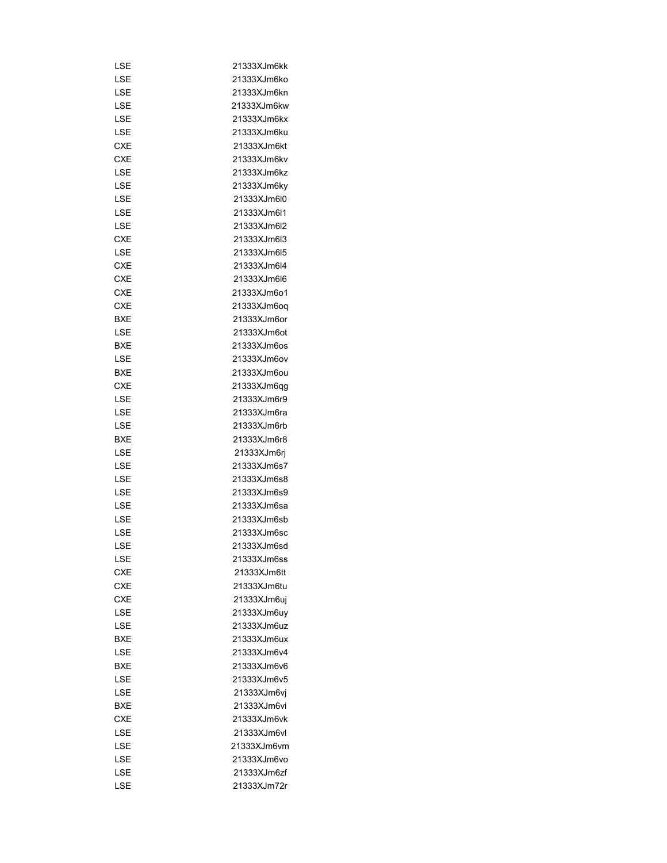| LSE        | 21333XJm6kk |
|------------|-------------|
| LSE        | 21333XJm6ko |
| LSE        | 21333XJm6kn |
| LSE        | 21333XJm6kw |
| LSE        | 21333XJm6kx |
| LSE        | 21333XJm6ku |
| <b>CXE</b> | 21333XJm6kt |
| CXE        | 21333XJm6kv |
| LSE        | 21333XJm6kz |
| LSE        | 21333XJm6ky |
| LSE        | 21333XJm6l0 |
| LSE        | 21333XJm6l1 |
| LSE        | 21333XJm6I2 |
| <b>CXE</b> | 21333XJm6l3 |
| LSE        | 21333XJm6l5 |
| <b>CXE</b> | 21333XJm6l4 |
| <b>CXE</b> | 21333XJm6l6 |
| CXE        | 21333XJm6o1 |
| <b>CXE</b> | 21333XJm6oq |
| BXE        | 21333XJm6or |
| LSE        | 21333XJm6ot |
| BXE        | 21333XJm6os |
| LSE        | 21333XJm6ov |
| <b>BXE</b> |             |
|            | 21333XJm6ou |
| CXE        | 21333XJm6qg |
| LSE        | 21333XJm6r9 |
| LSE        | 21333XJm6ra |
| LSE        | 21333XJm6rb |
| BXE        | 21333XJm6r8 |
| LSE        | 21333XJm6rj |
| LSE        | 21333XJm6s7 |
| LSE        | 21333XJm6s8 |
| LSE        | 21333XJm6s9 |
| LSE        | 21333XJm6sa |
| LSE        | 21333XJm6sb |
| LSE        | 21333XJm6sc |
| LSE        | 21333XJm6sd |
| LSE        | 21333XJm6ss |
| <b>CXE</b> | 21333XJm6tt |
| <b>CXE</b> | 21333XJm6tu |
| <b>CXE</b> | 21333XJm6uj |
| LSE        | 21333XJm6uy |
| LSE        | 21333XJm6uz |
| BXE        | 21333XJm6ux |
| LSE        | 21333XJm6v4 |
| <b>BXE</b> | 21333XJm6v6 |
| LSE        | 21333XJm6v5 |
| LSE        | 21333XJm6vj |
| BXE        | 21333XJm6vi |
| <b>CXE</b> | 21333XJm6vk |
| LSE        | 21333XJm6vl |
| LSE        | 21333XJm6vm |
| LSE        | 21333XJm6vo |
| LSE        | 21333XJm6zf |
| LSE        | 21333XJm72r |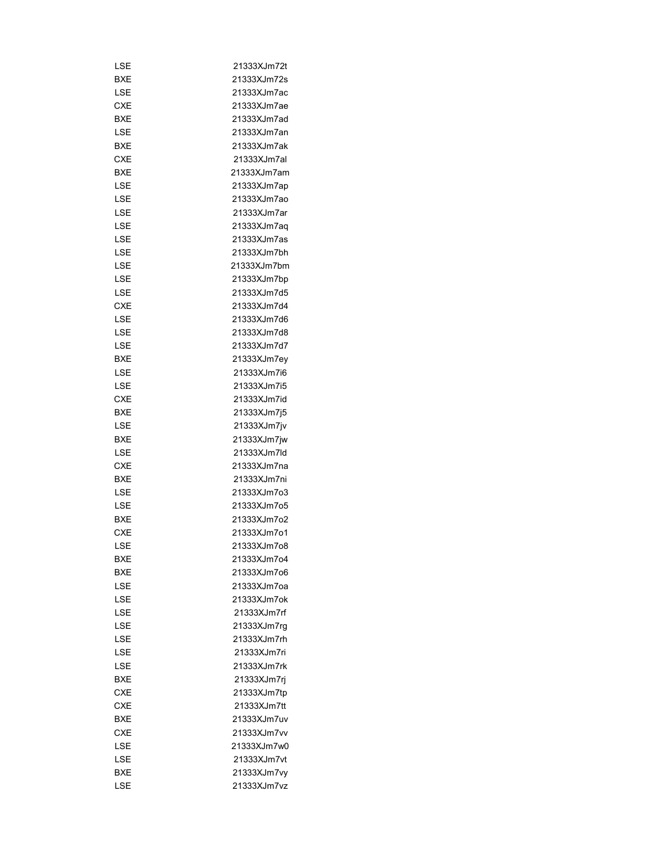| LSE        | 21333XJm72t                |
|------------|----------------------------|
| BXE        | 21333XJm72s                |
| LSE        | 21333XJm7ac                |
| CXE        | 21333XJm7ae                |
| <b>BXE</b> | 21333XJm7ad                |
| LSE        | 21333XJm7an                |
| BXE        | 21333XJm7ak                |
| <b>CXE</b> | 21333XJm7al                |
| BXE        | 21333XJm7am                |
| LSE        | 21333XJm7ap                |
| LSE        | 21333XJm7ao                |
| LSE        | 21333XJm7ar                |
| LSE        | 21333XJm7aq                |
| LSE        | 21333XJm7as                |
| LSE        | 21333XJm7bh                |
| LSE        | 21333XJm7bm                |
| LSE        | 21333XJm7bp                |
| LSE        | 21333XJm7d5                |
| <b>CXE</b> | 21333XJm7d4                |
| LSE        | 21333XJm7d6                |
| LSE        | 21333XJm7d8                |
|            | 21333XJm7d7                |
| LSE        |                            |
| BXE        | 21333XJm7ey                |
| LSE        | 21333XJm7i6<br>21333XJm7i5 |
| LSE        |                            |
| CXE        | 21333XJm7id                |
| BXE        | 21333XJm7j5                |
| LSE        | 21333XJm7jv                |
| BXE        | 21333XJm7jw                |
| LSE        | 21333XJm7ld                |
| CXE        | 21333XJm7na                |
| BXE        | 21333XJm7ni                |
| LSE        | 21333XJm7o3                |
| LSE        | 21333XJm7o5                |
| BXE        | 21333XJm7o2                |
| <b>CXE</b> | 21333XJm7o1                |
| LSE        | 21333XJm7o8                |
| BXE        | 21333XJm7o4                |
| BXE        | 21333XJm7o6                |
| LSE        | 21333XJm7oa                |
| LSE        | 21333X.Im7ok               |
| LSE        | 21333XJm7rf                |
| LSE        | 21333XJm7rq                |
| LSE        | 21333XJm7rh                |
| LSE        | 21333XJm7ri                |
| LSE        | 21333XJm7rk                |
| BXE        | 21333XJm7rj                |
| <b>CXE</b> | 21333XJm7tp                |
| <b>CXE</b> | 21333XJm7tt                |
| BXE        | 21333XJm7uv                |
| <b>CXE</b> | 21333XJm7vv                |
| LSE        | 21333XJm7w0                |
| LSE        | 21333XJm7vt                |
| BXE        | 21333XJm7vy                |
| LSE        | 21333XJm7vz                |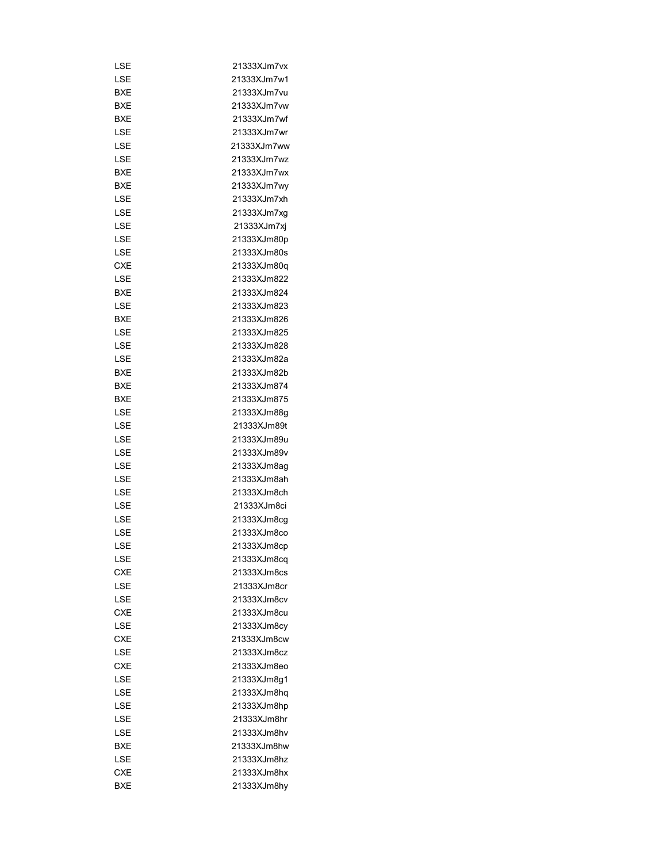| LSE        | 21333XJm7vx |
|------------|-------------|
| LSE        | 21333XJm7w1 |
| <b>BXE</b> | 21333XJm7vu |
| BXE        | 21333XJm7vw |
| <b>BXE</b> | 21333XJm7wf |
| LSE        | 21333XJm7wr |
| LSE        | 21333XJm7ww |
| LSE        | 21333XJm7wz |
| BXE        | 21333XJm7wx |
| BXE        | 21333XJm7wy |
| LSE        | 21333XJm7xh |
| LSE        | 21333XJm7xg |
| LSE        | 21333XJm7xj |
| LSE        | 21333XJm80p |
| LSE        | 21333XJm80s |
| <b>CXE</b> | 21333XJm80q |
| LSE        | 21333XJm822 |
| <b>BXE</b> | 21333XJm824 |
| LSE        | 21333XJm823 |
| <b>BXE</b> | 21333XJm826 |
| LSE        | 21333XJm825 |
| LSE        | 21333XJm828 |
|            | 21333XJm82a |
| LSE        |             |
| BXE        | 21333XJm82b |
| BXE        | 21333XJm874 |
| BXE        | 21333XJm875 |
| LSE        | 21333XJm88g |
| LSE        | 21333XJm89t |
| LSE        | 21333XJm89u |
| LSE        | 21333XJm89v |
| LSE        | 21333XJm8ag |
| LSE        | 21333XJm8ah |
| LSE        | 21333XJm8ch |
| LSE        | 21333XJm8ci |
| LSE        | 21333XJm8cq |
| LSE        | 21333XJm8co |
| LSE        | 21333XJm8cp |
| LSE        | 21333XJm8cq |
| <b>CXE</b> | 21333XJm8cs |
| LSE        | 21333XJm8cr |
| LSE        | 21333XJm8cv |
| <b>CXE</b> | 21333XJm8cu |
| LSE        | 21333XJm8cy |
| <b>CXE</b> | 21333XJm8cw |
| LSE        | 21333XJm8cz |
| <b>CXE</b> | 21333XJm8eo |
| LSE        | 21333XJm8g1 |
| LSE        | 21333XJm8hq |
| LSE        | 21333XJm8hp |
| LSE        | 21333XJm8hr |
| LSE        | 21333XJm8hv |
| BXE        | 21333XJm8hw |
| LSE        | 21333XJm8hz |
| CXE        | 21333XJm8hx |
| BXE        | 21333XJm8hy |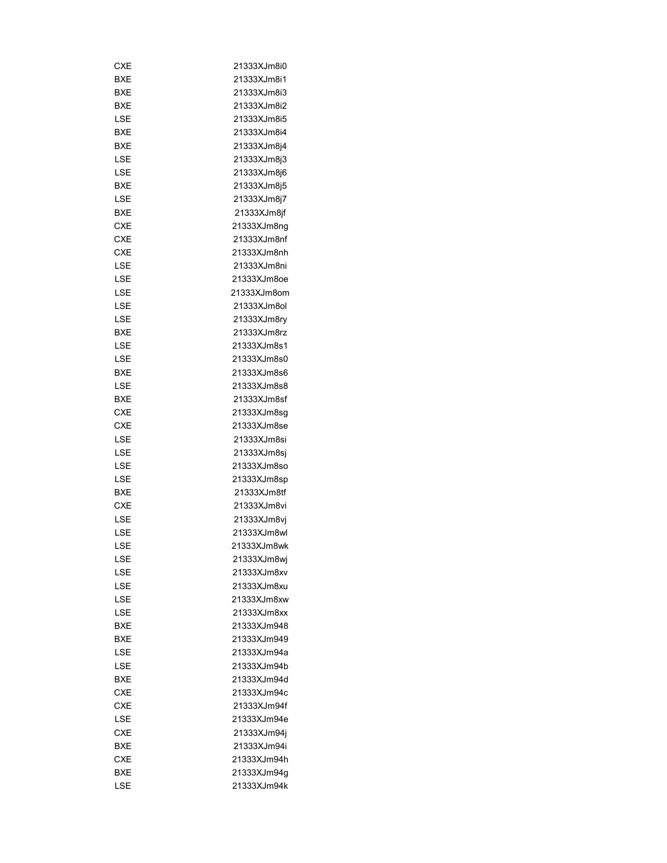| CXE        | 21333XJm8i0 |
|------------|-------------|
| BXE        | 21333XJm8i1 |
| BXE        | 21333XJm8i3 |
| BXE        | 21333XJm8i2 |
| LSE        | 21333XJm8i5 |
| BXE        | 21333XJm8i4 |
| BXE        | 21333XJm8j4 |
| LSE        | 21333XJm8j3 |
| LSE        | 21333XJm8j6 |
| <b>BXE</b> | 21333XJm8j5 |
| LSE        | 21333XJm8j7 |
| BXE        | 21333XJm8jf |
| CXE        | 21333XJm8ng |
| CXE        | 21333XJm8nf |
| CXE        | 21333XJm8nh |
| LSE        | 21333XJm8ni |
| LSE        | 21333XJm8oe |
| LSE        | 21333XJm8om |
| LSE        | 21333XJm8ol |
|            |             |
| LSE        | 21333XJm8ry |
| BXE        | 21333XJm8rz |
| LSE        | 21333XJm8s1 |
| LSE        | 21333XJm8s0 |
| BXE        | 21333XJm8s6 |
| LSE        | 21333XJm8s8 |
| BXE        | 21333XJm8sf |
| CXE        | 21333XJm8sg |
| <b>CXE</b> | 21333XJm8se |
| LSE        | 21333XJm8si |
| LSE        | 21333XJm8sj |
| LSE        | 21333XJm8so |
| LSE        | 21333XJm8sp |
| BXE        | 21333XJm8tf |
| CXE        | 21333XJm8vi |
| LSE        | 21333XJm8vj |
| LSE        | 21333XJm8wl |
| LSE        | 21333XJm8wk |
| LSE        | 21333XJm8wj |
| LSE        | 21333XJm8xv |
| LSE        | 21333XJm8xu |
| LSE        | 21333XJm8xw |
| LSE        | 21333XJm8xx |
| BXE        | 21333XJm948 |
| BXE        | 21333XJm949 |
| LSE        | 21333XJm94a |
| LSE        | 21333XJm94b |
| <b>BXE</b> | 21333XJm94d |
| <b>CXE</b> | 21333XJm94c |
| <b>CXE</b> | 21333XJm94f |
| LSE        | 21333XJm94e |
| <b>CXE</b> | 21333XJm94j |
| BXE        | 21333XJm94i |
| CXE        | 21333XJm94h |
| BXE        | 21333XJm94g |
| LSE        | 21333XJm94k |
|            |             |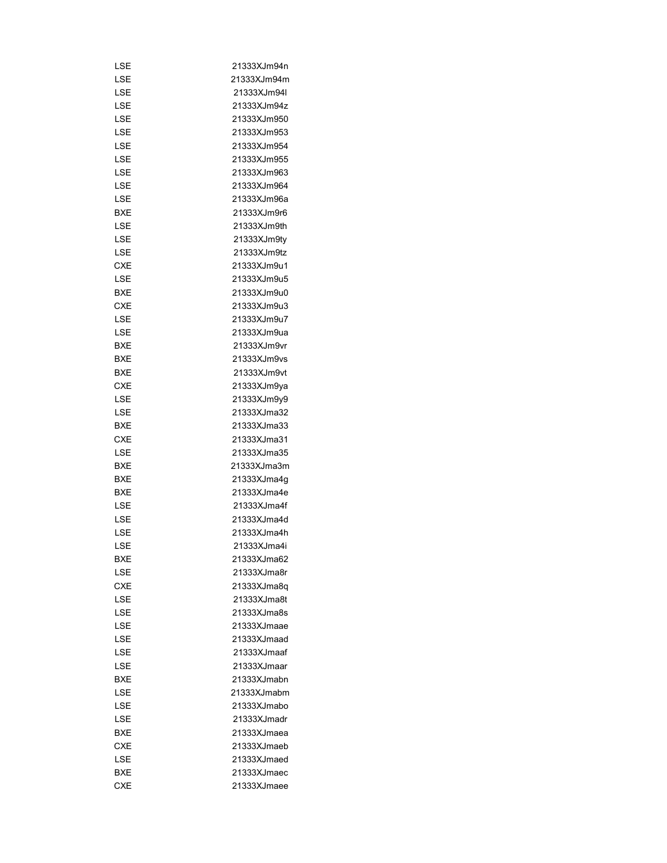| LSE        | 21333XJm94n |
|------------|-------------|
| LSE        | 21333XJm94m |
| LSE        | 21333XJm94I |
| LSE        | 21333XJm94z |
| LSE        | 21333XJm950 |
| LSE        | 21333XJm953 |
| LSE        | 21333XJm954 |
| LSE        | 21333XJm955 |
| LSE        | 21333XJm963 |
| LSE        | 21333XJm964 |
| LSE        | 21333XJm96a |
| BXE        | 21333XJm9r6 |
| LSE        | 21333XJm9th |
| LSE        | 21333XJm9ty |
| LSE        | 21333XJm9tz |
| <b>CXE</b> | 21333XJm9u1 |
| LSE        | 21333XJm9u5 |
| BXE        | 21333XJm9u0 |
| <b>CXE</b> | 21333XJm9u3 |
| LSE        | 21333XJm9u7 |
| LSE        | 21333XJm9ua |
| BXE        | 21333XJm9vr |
| BXE        | 21333XJm9vs |
| <b>BXE</b> | 21333XJm9vt |
| <b>CXE</b> | 21333XJm9ya |
|            |             |
| LSE        | 21333XJm9y9 |
| LSE        | 21333XJma32 |
| BXE        | 21333XJma33 |
| CXE        | 21333XJma31 |
| LSE        | 21333XJma35 |
| BXE        | 21333XJma3m |
| BXE        | 21333XJma4g |
| BXE        | 21333XJma4e |
| LSE        | 21333XJma4f |
| LSE        | 21333XJma4d |
| LSE        | 21333XJma4h |
| LSE        | 21333XJma4i |
| BXE        | 21333XJma62 |
| LSE        | 21333XJma8r |
| <b>CXE</b> | 21333XJma8q |
| LSE        | 21333XJma8t |
| LSE        | 21333XJma8s |
| I SF       | 21333XJmaae |
| LSE        | 21333XJmaad |
| LSE        | 21333XJmaaf |
| LSE        | 21333XJmaar |
| BXE        | 21333XJmabn |
| LSE        | 21333XJmabm |
| LSE        | 21333XJmabo |
| LSE        | 21333XJmadr |
| BXE        | 21333XJmaea |
| <b>CXE</b> | 21333XJmaeb |
| LSE        | 21333XJmaed |
| BXE        | 21333XJmaec |
| <b>CXE</b> | 21333XJmaee |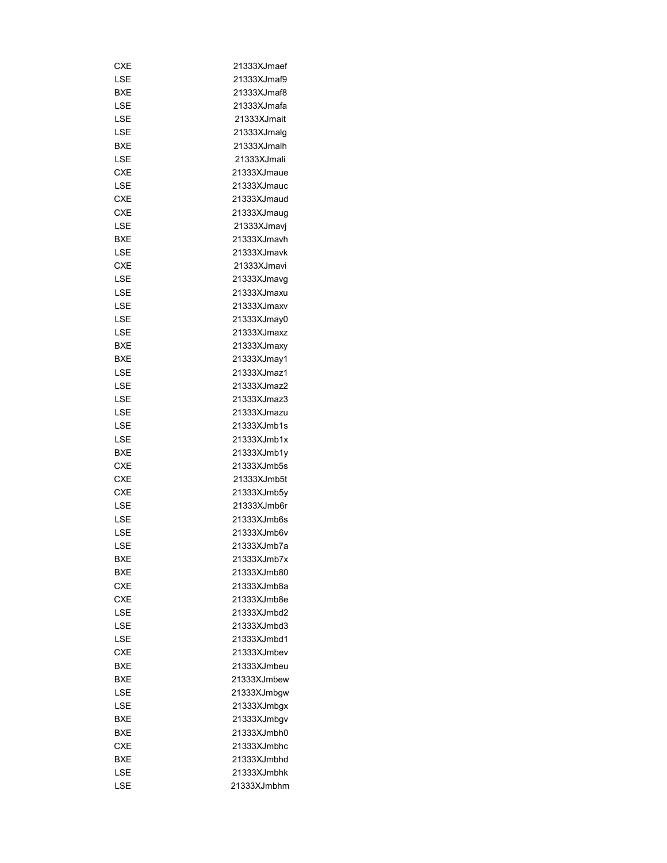| CXE        | 21333XJmaef |
|------------|-------------|
| LSE        | 21333XJmaf9 |
| BXE        | 21333XJmaf8 |
| LSE        | 21333XJmafa |
| LSE        | 21333XJmait |
| LSE        | 21333XJmalq |
| BXE        | 21333XJmalh |
| LSE        | 21333XJmali |
| <b>CXE</b> | 21333XJmaue |
| LSE        | 21333XJmauc |
| <b>CXE</b> | 21333XJmaud |
| <b>CXE</b> | 21333XJmaug |
| LSE        | 21333XJmavj |
| BXE        | 21333XJmavh |
| LSE        | 21333XJmavk |
| <b>CXE</b> | 21333XJmavi |
| LSE        | 21333XJmavg |
| LSE        | 21333XJmaxu |
| LSE        | 21333XJmaxv |
|            |             |
| LSE        | 21333XJmay0 |
| LSE        | 21333XJmaxz |
| BXE        | 21333XJmaxy |
| BXE        | 21333XJmay1 |
| LSE        | 21333XJmaz1 |
| LSE        | 21333XJmaz2 |
| LSE        | 21333XJmaz3 |
| LSE        | 21333XJmazu |
| LSE        | 21333XJmb1s |
| LSE        | 21333XJmb1x |
| BXE        | 21333XJmb1y |
| CXE        | 21333XJmb5s |
| <b>CXE</b> | 21333XJmb5t |
| CXE        | 21333XJmb5y |
| LSE        | 21333XJmb6r |
| LSE        | 21333XJmb6s |
| LSE        | 21333XJmb6v |
| LSE        | 21333XJmb7a |
| BXE        | 21333XJmb7x |
| BXE        | 21333XJmb80 |
| CXE        | 21333XJmb8a |
| <b>CXE</b> | 21333XJmb8e |
| LSE        | 21333XJmbd2 |
| LSE        | 21333XJmbd3 |
| LSE        | 21333XJmbd1 |
| <b>CXE</b> | 21333XJmbev |
| <b>BXE</b> | 21333XJmbeu |
| BXE        | 21333XJmbew |
| LSE        | 21333XJmbgw |
| LSE        | 21333XJmbgx |
| BXE        | 21333XJmbgv |
| BXE        | 21333XJmbh0 |
|            |             |
| CXE        | 21333XJmbhc |
| BXE        | 21333XJmbhd |
| LSE        | 21333XJmbhk |
| LSE        | 21333XJmbhm |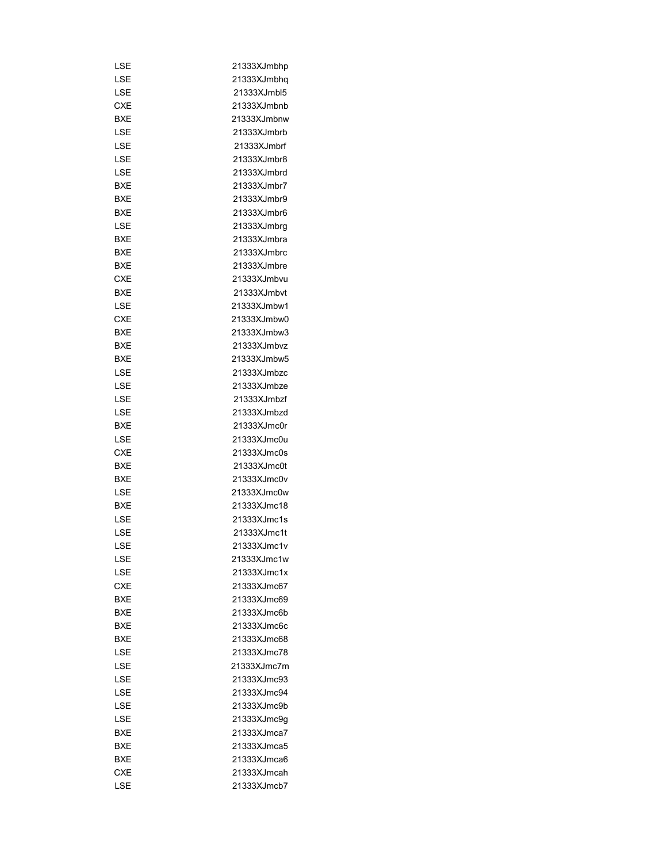| LSE        | 21333XJmbhp |
|------------|-------------|
| LSE        | 21333XJmbhq |
| LSE        | 21333XJmbl5 |
| CXE        | 21333XJmbnb |
| <b>BXE</b> | 21333XJmbnw |
| LSE        | 21333XJmbrb |
|            |             |
| LSE        | 21333XJmbrf |
| LSE        | 21333XJmbr8 |
| LSE        | 21333XJmbrd |
| <b>BXE</b> | 21333XJmbr7 |
| BXE        | 21333XJmbr9 |
| BXE        | 21333XJmbr6 |
| LSE        | 21333XJmbrq |
| BXE        | 21333XJmbra |
| BXE        | 21333XJmbrc |
| BXE        | 21333XJmbre |
| <b>CXE</b> | 21333XJmbvu |
| BXE        | 21333XJmbvt |
| LSE        | 21333XJmbw1 |
| <b>CXE</b> | 21333XJmbw0 |
| BXE        | 21333XJmbw3 |
| BXE        | 21333XJmbvz |
| <b>BXE</b> | 21333XJmbw5 |
| LSE        | 21333XJmbzc |
| LSE        | 21333XJmbze |
| LSE        | 21333XJmbzf |
| LSE        | 21333XJmbzd |
| BXE        | 21333XJmc0r |
| LSE        | 21333XJmc0u |
| <b>CXE</b> | 21333XJmc0s |
| <b>BXE</b> | 21333XJmc0t |
| <b>BXE</b> | 21333XJmc0v |
| LSE        | 21333XJmc0w |
| <b>BXE</b> | 21333XJmc18 |
| LSE        | 21333XJmc1s |
| LSE        | 21333XJmc1t |
| LSE        | 21333XJmc1v |
| LSE        | 21333XJmc1w |
| LSE        | 21333XJmc1x |
| <b>CXE</b> | 21333XJmc67 |
| <b>BXE</b> | 21333XJmc69 |
| <b>BXE</b> | 21333XJmc6b |
| <b>BXE</b> | 21333XJmc6c |
| BXE        | 21333XJmc68 |
| LSE        | 21333XJmc78 |
| LSE        | 21333XJmc7m |
| LSE        | 21333XJmc93 |
| LSE        | 21333XJmc94 |
|            |             |
| LSE        | 21333XJmc9b |
| LSE        | 21333XJmc9g |
| BXE        | 21333XJmca7 |
| <b>BXE</b> | 21333XJmca5 |
| BXE        | 21333XJmca6 |
| <b>CXE</b> | 21333XJmcah |
| LSE        | 21333XJmcb7 |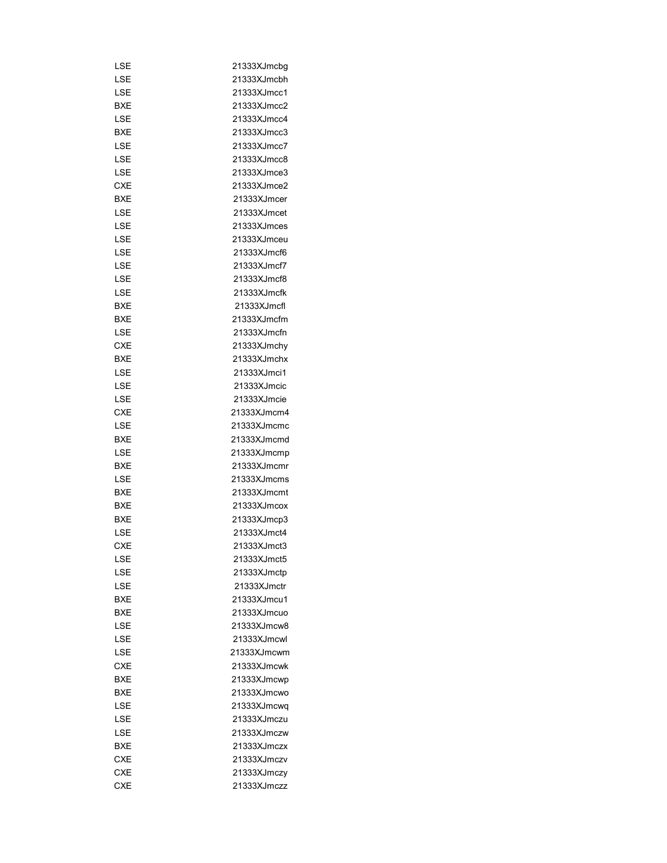| LSE        | 21333XJmcbg |
|------------|-------------|
| LSE        | 21333XJmcbh |
| LSE        | 21333XJmcc1 |
| BXE        | 21333XJmcc2 |
| LSE        | 21333XJmcc4 |
| BXE        | 21333XJmcc3 |
| LSE        | 21333XJmcc7 |
| LSE        | 21333XJmcc8 |
| LSE        | 21333XJmce3 |
| <b>CXE</b> | 21333XJmce2 |
|            |             |
| <b>BXE</b> | 21333XJmcer |
| LSE        | 21333XJmcet |
| LSE        | 21333XJmces |
| LSE        | 21333XJmceu |
| LSE        | 21333XJmcf6 |
| LSE        | 21333XJmcf7 |
| LSE        | 21333XJmcf8 |
| LSE        | 21333XJmcfk |
| BXE        | 21333XJmcfl |
| BXE        | 21333XJmcfm |
| LSE        | 21333XJmcfn |
| <b>CXE</b> | 21333XJmchy |
| BXE        | 21333XJmchx |
| LSE        | 21333XJmci1 |
| LSE        | 21333XJmcic |
| LSE        | 21333XJmcie |
| <b>CXE</b> | 21333XJmcm4 |
| LSE        | 21333XJmcmc |
| <b>BXE</b> | 21333XJmcmd |
| LSE        | 21333XJmcmp |
| <b>BXE</b> | 21333XJmcmr |
| LSE        | 21333XJmcms |
| BXE        | 21333XJmcmt |
| BXE        | 21333XJmcox |
| <b>BXE</b> | 21333XJmcp3 |
| LSE        | 21333XJmct4 |
| <b>CXE</b> | 21333XJmct3 |
| LSE        | 21333XJmct5 |
| LSE        | 21333XJmctp |
| LSE        | 21333XJmctr |
| <b>BXE</b> | 21333XJmcu1 |
| BXE        | 21333XJmcuo |
| LSE        | 21333XJmcw8 |
| LSE        | 21333XJmcwl |
| LSE        | 21333XJmcwm |
| <b>CXE</b> | 21333XJmcwk |
| <b>BXE</b> | 21333XJmcwp |
| BXE        | 21333XJmcwo |
| LSE        | 21333XJmcwq |
| LSE        | 21333XJmczu |
| LSE        | 21333XJmczw |
| BXE        | 21333XJmczx |
| <b>CXE</b> | 21333XJmczv |
| <b>CXE</b> | 21333XJmczy |
| <b>CXE</b> | 21333XJmczz |
|            |             |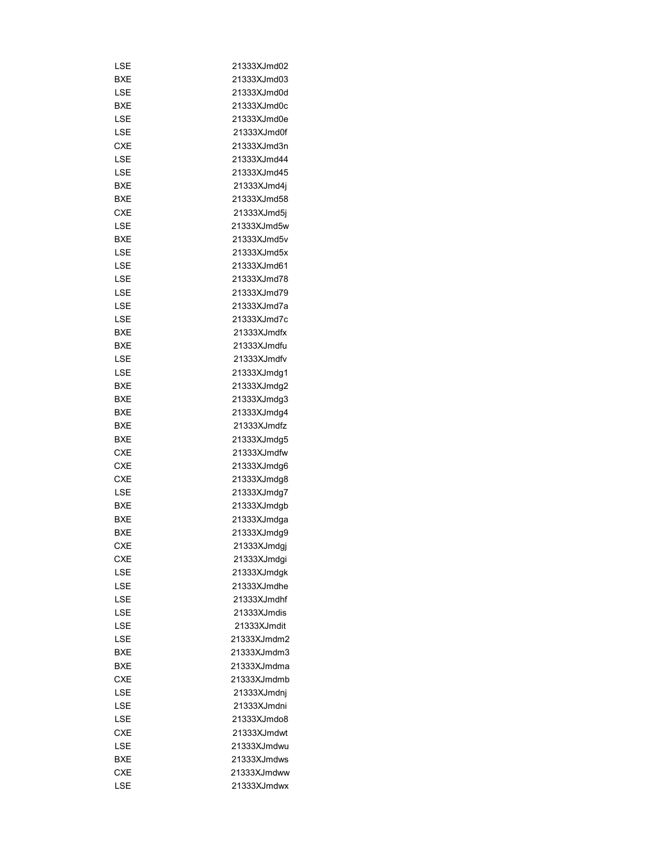| LSE        | 21333XJmd02                |
|------------|----------------------------|
| BXE        | 21333XJmd03                |
| LSE        | 21333XJmd0d                |
| BXE        | 21333XJmd0c                |
| LSE        | 21333XJmd0e                |
| LSE        | 21333XJmd0f                |
| CXE        | 21333XJmd3n                |
| LSE        | 21333XJmd44                |
| LSE        | 21333XJmd45                |
| BXE        | 21333XJmd4j                |
| BXE        | 21333XJmd58                |
| <b>CXE</b> | 21333XJmd5j                |
| LSE        | 21333XJmd5w                |
| BXE        | 21333XJmd5v                |
| LSE        | 21333XJmd5x                |
| LSE        | 21333XJmd61                |
| LSE        | 21333XJmd78                |
| LSE        | 21333XJmd79                |
| LSE        | 21333XJmd7a                |
| LSE        | 21333XJmd7c                |
|            | 21333XJmdfx                |
| BXE        |                            |
| BXE        | 21333XJmdfu<br>21333XJmdfv |
| LSE        |                            |
| LSE        | 21333XJmdg1                |
| BXE        | 21333XJmdg2                |
| BXE        | 21333XJmdg3                |
| BXE        | 21333XJmdg4                |
| BXE        | 21333XJmdfz                |
| BXE        | 21333XJmdg5                |
| CXE        | 21333XJmdfw                |
| CXE        | 21333XJmdg6                |
| <b>CXE</b> | 21333XJmdg8                |
| LSE        | 21333XJmdg7                |
| BXE        | 21333XJmdgb                |
| BXE        | 21333XJmdga                |
| BXE        | 21333XJmdg9                |
| <b>CXE</b> | 21333XJmdgj                |
| CXE        | 21333XJmdgi                |
| LSE        | 21333XJmdgk                |
| LSE        | 21333XJmdhe                |
| LSE        | 21333XJmdhf                |
| LSE        | 21333XJmdis                |
| LSE        | 21333XJmdit                |
| LSE        | 21333XJmdm2                |
| BXE        | 21333XJmdm3                |
| BXE        | 21333XJmdma                |
| CXE        | 21333XJmdmb                |
| LSE        | 21333XJmdnj                |
| LSE        | 21333XJmdni                |
| LSE        | 21333XJmdo8                |
| CXE        | 21333XJmdwt                |
| LSE        | 21333XJmdwu                |
| BXE        | 21333XJmdws                |
| CXE        | 21333XJmdww                |
| LSE        | 21333XJmdwx                |
|            |                            |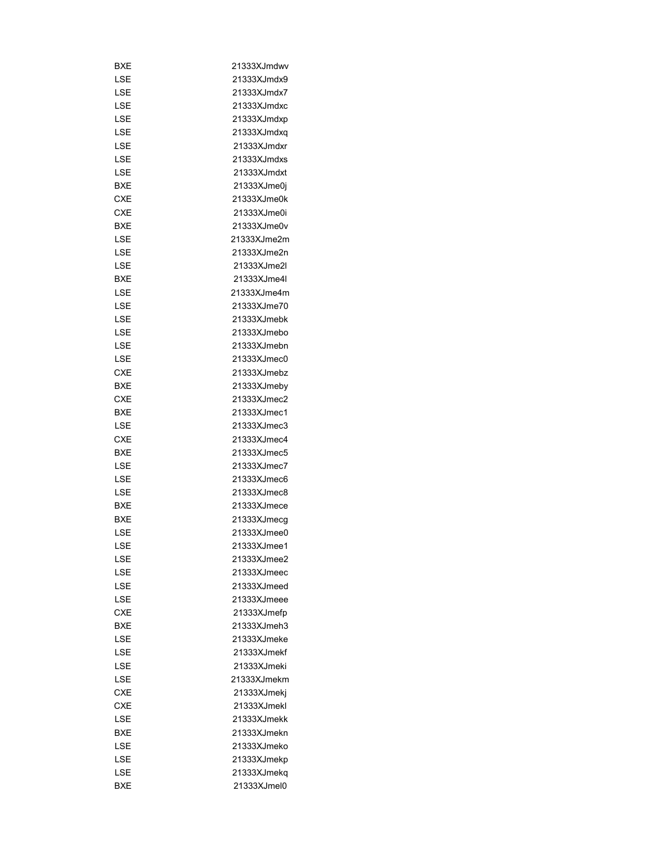| BXE        | 21333XJmdwv |
|------------|-------------|
| LSE        | 21333XJmdx9 |
| LSE        | 21333XJmdx7 |
| LSE        | 21333XJmdxc |
| LSE        | 21333XJmdxp |
| LSE        | 21333XJmdxq |
| LSE        | 21333XJmdxr |
| LSE        | 21333XJmdxs |
| LSE        | 21333XJmdxt |
| <b>BXE</b> | 21333XJme0j |
| <b>CXE</b> | 21333XJme0k |
| <b>CXE</b> | 21333XJme0i |
| BXE        | 21333XJme0v |
| LSE        | 21333XJme2m |
| LSE        | 21333XJme2n |
| LSE        | 21333XJme2l |
| <b>BXE</b> | 21333XJme4I |
| LSE        | 21333XJme4m |
| LSE        | 21333XJme70 |
| LSE        | 21333XJmebk |
| LSE        | 21333XJmebo |
|            | 21333XJmebn |
| LSE        |             |
| LSE        | 21333XJmec0 |
| CXE        | 21333XJmebz |
| BXE        | 21333XJmeby |
| <b>CXE</b> | 21333XJmec2 |
| BXE        | 21333XJmec1 |
| LSE        | 21333XJmec3 |
| <b>CXE</b> | 21333XJmec4 |
| <b>BXE</b> | 21333XJmec5 |
| LSE        | 21333XJmec7 |
| LSE        | 21333XJmec6 |
| LSE        | 21333XJmec8 |
| BXE        | 21333XJmece |
| <b>BXE</b> | 21333XJmecg |
| LSE        | 21333XJmee0 |
| LSE        | 21333XJmee1 |
| LSE        | 21333XJmee2 |
| LSE        | 21333XJmeec |
| LSE        | 21333XJmeed |
| LSE        | 21333XJmeee |
| <b>CXE</b> | 21333XJmefp |
| <b>BXE</b> | 21333XJmeh3 |
| LSE        | 21333XJmeke |
| LSE        | 21333XJmekf |
| LSE        | 21333XJmeki |
| LSE        | 21333XJmekm |
| <b>CXE</b> | 21333XJmekj |
| <b>CXE</b> | 21333XJmekl |
| LSE        | 21333XJmekk |
| BXE        | 21333XJmekn |
| LSE        | 21333XJmeko |
| LSE        | 21333XJmekp |
| LSE        | 21333XJmekq |
| <b>BXE</b> | 21333XJmel0 |
|            |             |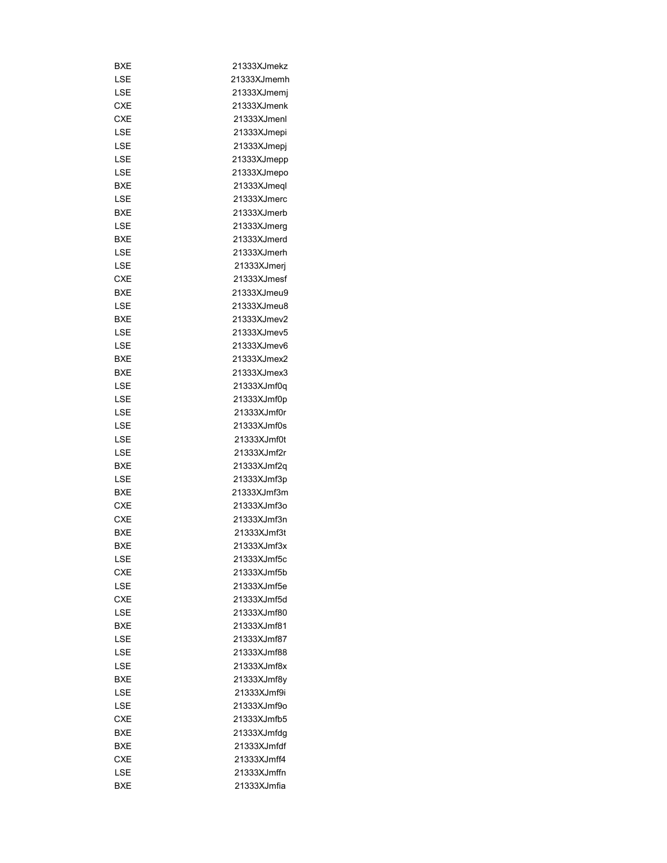| BXE        | 21333XJmekz  |
|------------|--------------|
| LSE        | 21333XJmemh  |
| LSE        | 21333XJmemi  |
| CXE        | 21333XJmenk  |
| <b>CXE</b> | 21333XJmenl  |
| LSE        | 21333XJmepi  |
| LSE        | 21333XJmepj  |
| LSE        | 21333XJmepp  |
| LSE        | 21333XJmepo  |
| BXE        | 21333XJmeql  |
| LSE        | 21333XJmerc  |
| <b>BXE</b> | 21333XJmerb  |
| LSE        | 21333XJmerg  |
| BXE        | 21333XJmerd  |
| LSE        | 21333XJmerh  |
| LSE        | 21333XJmerj  |
| CXE        | 21333XJmesf  |
| BXE        | 21333XJmeu9  |
| LSE        | 21333XJmeu8  |
| BXE        | 21333XJmev2  |
| LSE        | 21333XJmev5  |
|            |              |
| LSE        | 21333XJmev6  |
| BXE        | 21333XJmex2  |
| BXE        | 21333XJmex3  |
| LSE        | 21333XJmf0q  |
| LSE        | 21333XJmf0p  |
| LSE        | 21333XJmf0r  |
| LSE        | 21333XJmf0s  |
| LSE        | 21333XJmf0t  |
| LSE        | 21333XJmf2r  |
| BXE        | 21333XJmf2q  |
| LSE        | 21333XJmf3p  |
| <b>BXE</b> | 21333XJmf3m  |
| CXE        | 21333XJmf3o  |
| <b>CXE</b> | 21333XJmf3n  |
| <b>BXE</b> | 21333XJmf3t  |
| BXE        | 21333XJmf3x  |
| LSE        | 21333XJmf5c  |
| <b>CXE</b> | 21333XJmf5b  |
| LSE        | 21333XJmf5e  |
| <b>CXE</b> | 21333X.Jmf5d |
| LSE        | 21333XJmf80  |
| <b>BXE</b> | 21333XJmf81  |
| LSE        | 21333XJmf87  |
| LSE        | 21333XJmf88  |
| LSE        | 21333XJmf8x  |
| BXE        | 21333XJmf8y  |
| LSE        | 21333XJmf9i  |
| LSE        | 21333XJmf9o  |
| <b>CXE</b> | 21333XJmfb5  |
| BXE        | 21333XJmfdg  |
| BXE        | 21333XJmfdf  |
| CXE        | 21333XJmff4  |
| LSE        | 21333XJmffn  |
| BXE        | 21333XJmfia  |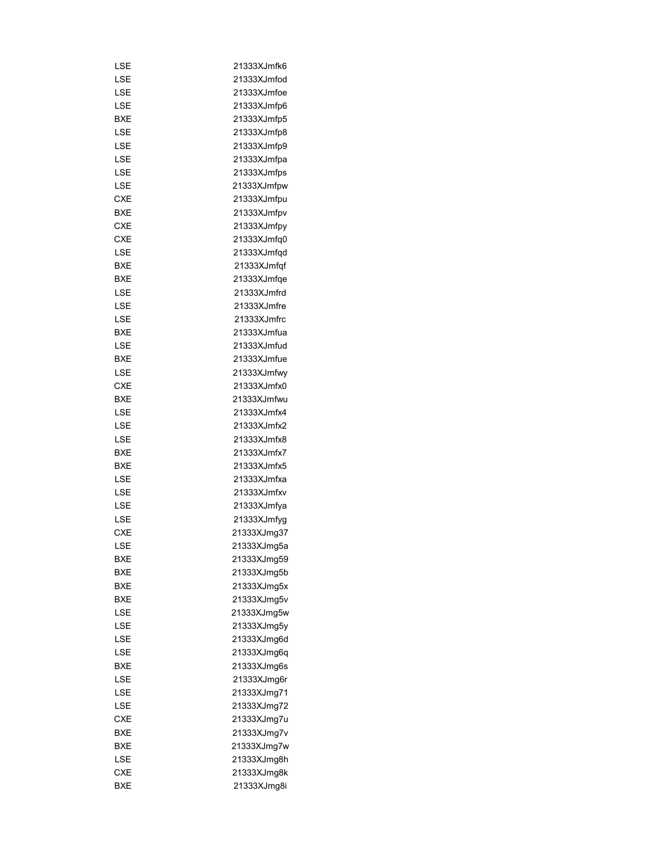| LSE        | 21333XJmfk6 |
|------------|-------------|
| LSE        | 21333XJmfod |
| LSE        | 21333XJmfoe |
| LSE        | 21333XJmfp6 |
| <b>BXE</b> | 21333XJmfp5 |
| LSE        | 21333XJmfp8 |
| LSE        | 21333XJmfp9 |
| LSE        | 21333XJmfpa |
| LSE        | 21333XJmfps |
| LSE        | 21333XJmfpw |
| <b>CXE</b> | 21333XJmfpu |
| <b>BXE</b> | 21333XJmfpv |
| <b>CXE</b> | 21333XJmfpy |
| <b>CXE</b> | 21333XJmfq0 |
| LSE        | 21333XJmfqd |
| BXE        | 21333XJmfqf |
| <b>BXE</b> | 21333XJmfqe |
| LSE        | 21333XJmfrd |
| LSE        | 21333XJmfre |
| LSE        | 21333XJmfrc |
| BXE        | 21333XJmfua |
| LSE        | 21333XJmfud |
|            | 21333XJmfue |
| BXE        |             |
| LSE        | 21333XJmfwy |
| <b>CXE</b> | 21333XJmfx0 |
| <b>BXE</b> | 21333XJmfwu |
| LSE        | 21333XJmfx4 |
| LSE        | 21333XJmfx2 |
| LSE        | 21333XJmfx8 |
| <b>BXE</b> | 21333XJmfx7 |
| BXE        | 21333XJmfx5 |
| LSE        | 21333XJmfxa |
| LSE        | 21333XJmfxv |
| LSE        | 21333XJmfya |
| LSE        | 21333XJmfyg |
| <b>CXE</b> | 21333XJmg37 |
| LSE        | 21333XJmq5a |
| BXE        | 21333XJmg59 |
| BXE        | 21333XJmg5b |
| BXE        | 21333XJmg5x |
| BXE        | 21333XJmg5v |
| LSE        | 21333XJmg5w |
| LSE        | 21333XJmg5y |
| LSE        | 21333XJmg6d |
| LSE        | 21333XJmq6q |
| BXE        | 21333XJmg6s |
| LSE        | 21333XJmg6r |
| LSE        | 21333XJmg71 |
| LSE        | 21333XJmg72 |
| <b>CXE</b> | 21333XJmg7u |
| BXE        | 21333XJmg7v |
| BXE        | 21333XJmg7w |
| LSE        | 21333XJmg8h |
| CXE        | 21333XJmg8k |
| <b>BXE</b> | 21333XJmg8i |
|            |             |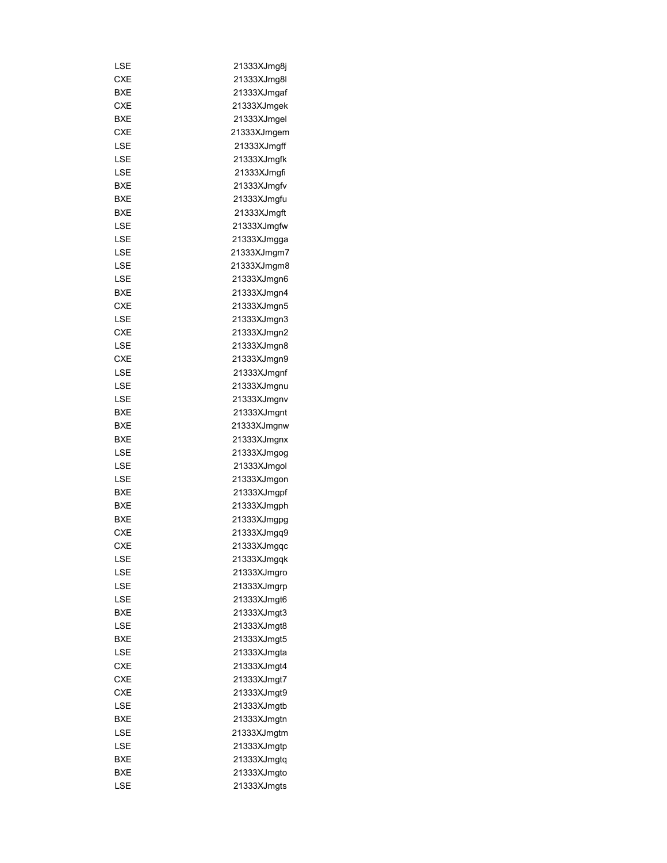| LSE        | 21333XJmg8j |
|------------|-------------|
| <b>CXE</b> | 21333XJmg8l |
| BXE        | 21333XJmgaf |
| CXE        | 21333XJmgek |
| BXE        | 21333XJmgel |
| CXE        | 21333XJmgem |
| LSE        | 21333XJmgff |
| LSE        | 21333XJmgfk |
| LSE        | 21333XJmgfi |
| BXE        | 21333XJmqfv |
| BXE        | 21333XJmgfu |
| <b>BXE</b> | 21333XJmgft |
| LSE        | 21333XJmgfw |
| LSE        | 21333XJmgga |
| LSE        | 21333XJmgm7 |
| LSE        | 21333XJmgm8 |
| LSE        | 21333XJmgn6 |
| BXE        | 21333XJmgn4 |
| CXE        | 21333XJmgn5 |
| LSE        | 21333XJmgn3 |
| <b>CXE</b> | 21333XJmgn2 |
| LSE        |             |
|            | 21333XJmgn8 |
| CXE        | 21333XJmgn9 |
| LSE        | 21333XJmgnf |
| LSE        | 21333XJmgnu |
| LSE        | 21333XJmgnv |
| BXE        | 21333XJmgnt |
| BXE        | 21333XJmgnw |
| BXE        | 21333XJmgnx |
| LSE        | 21333XJmgog |
| LSE        | 21333XJmgol |
| LSE        | 21333XJmgon |
| <b>BXE</b> | 21333XJmgpf |
| BXE        | 21333XJmgph |
| BXE        | 21333XJmgpg |
| <b>CXE</b> | 21333XJmgq9 |
| <b>CXE</b> | 21333XJmqqc |
| LSE        | 21333XJmgqk |
| LSE        | 21333XJmgro |
| LSE        | 21333XJmgrp |
| LSE        | 21333XJmgt6 |
| BXE        | 21333XJmgt3 |
| LSE        | 21333XJmgt8 |
| BXE        | 21333XJmgt5 |
| LSE        | 21333XJmgta |
| <b>CXE</b> | 21333XJmqt4 |
| <b>CXE</b> | 21333XJmgt7 |
| CXE        | 21333XJmgt9 |
| LSE        | 21333XJmgtb |
| BXE        | 21333XJmgtn |
| LSE        | 21333XJmgtm |
| LSE        | 21333XJmgtp |
| BXE        | 21333XJmgtq |
| BXE        | 21333XJmgto |
| LSE        | 21333XJmgts |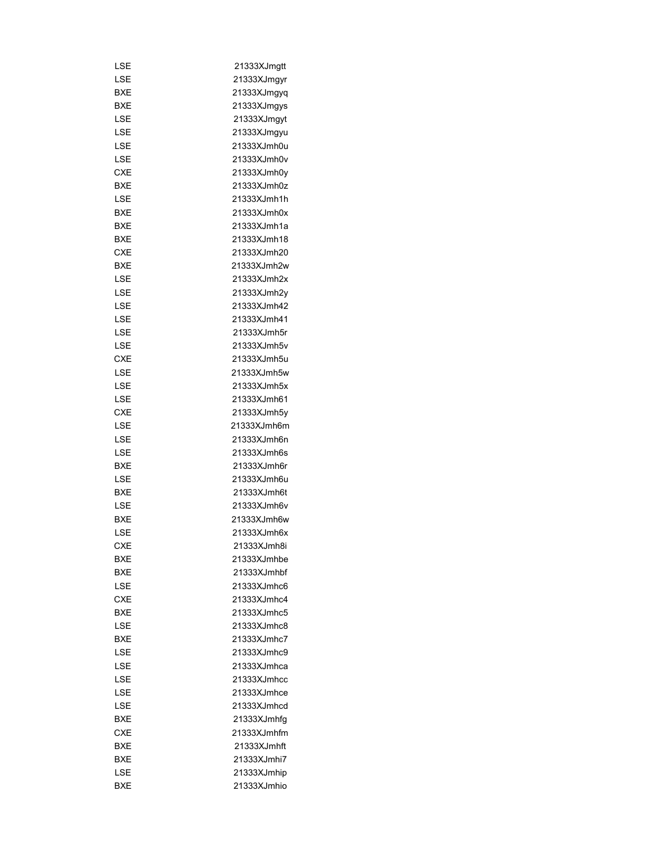| LSE        | 21333XJmgtt  |
|------------|--------------|
| LSE        | 21333XJmgyr  |
| <b>BXE</b> | 21333XJmgyq  |
| BXE        | 21333XJmgys  |
| LSE        | 21333XJmgyt  |
| LSE        | 21333XJmgyu  |
| LSE        | 21333XJmh0u  |
| LSE        | 21333XJmh0v  |
| <b>CXE</b> | 21333XJmh0y  |
| BXE        | 21333XJmh0z  |
| LSE        | 21333XJmh1h  |
| BXE        | 21333XJmh0x  |
| BXE        | 21333XJmh1a  |
| BXE        | 21333XJmh18  |
| CXE        | 21333XJmh20  |
| BXE        | 21333XJmh2w  |
| LSE        | 21333XJmh2x  |
| LSE        | 21333XJmh2y  |
| LSE        | 21333XJmh42  |
|            | 21333XJmh41  |
| LSE        | 21333XJmh5r  |
| LSE        |              |
| LSE        | 21333XJmh5v  |
| CXE        | 21333XJmh5u  |
| LSE        | 21333XJmh5w  |
| LSE        | 21333XJmh5x  |
| LSE        | 21333XJmh61  |
| CXE        | 21333XJmh5y  |
| LSE        | 21333XJmh6m  |
| LSE        | 21333XJmh6n  |
| LSE        | 21333XJmh6s  |
| BXE        | 21333XJmh6r  |
| LSE        | 21333XJmh6u  |
| <b>BXE</b> | 21333XJmh6t  |
| LSE        | 21333XJmh6v  |
| BXE        | 21333XJmh6w  |
| LSE        | 21333XJmh6x  |
| <b>CXE</b> | 21333XJmh8i  |
| <b>BXE</b> | 21333XJmhbe  |
| BXE        | 21333XJmhbf  |
| LSE        | 21333XJmhc6  |
| <b>CXE</b> | 21333X.Imhc4 |
| <b>BXF</b> | 21333XJmhc5  |
| LSE        | 21333XJmhc8  |
| <b>BXE</b> | 21333XJmhc7  |
| LSE        | 21333XJmhc9  |
| LSE        | 21333XJmhca  |
| LSE        | 21333XJmhcc  |
| LSE        | 21333XJmhce  |
| LSE        | 21333XJmhcd  |
| BXE        | 21333XJmhfg  |
| <b>CXE</b> | 21333XJmhfm  |
| BXE        | 21333XJmhft  |
| BXE        | 21333XJmhi7  |
|            |              |
| LSE        | 21333XJmhip  |
| BXE        | 21333XJmhio  |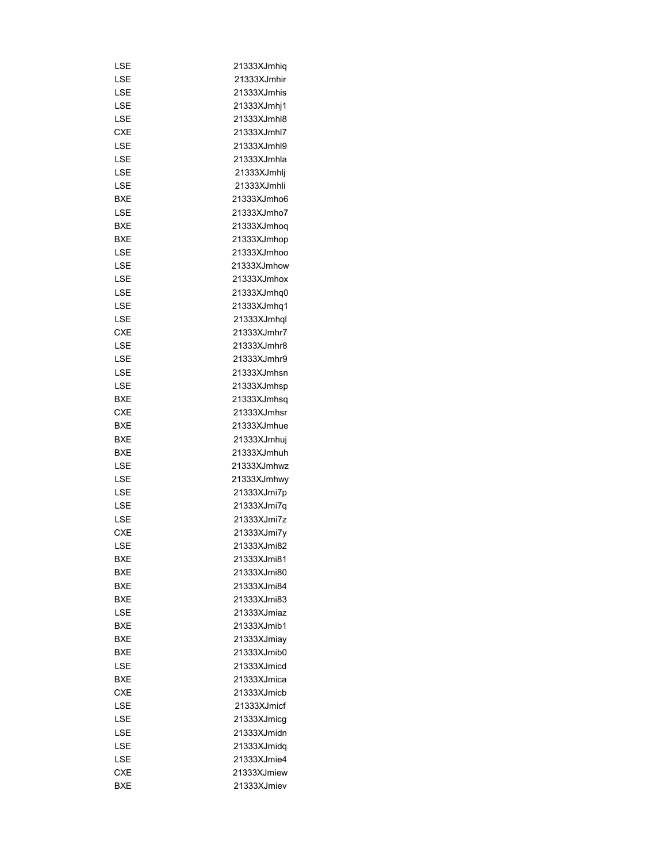| LSE        | 21333XJmhiq |
|------------|-------------|
| LSE        | 21333XJmhir |
| LSE        | 21333XJmhis |
| LSE        | 21333XJmhj1 |
| LSE        | 21333XJmhl8 |
| <b>CXE</b> | 21333XJmhl7 |
| LSE        | 21333XJmhl9 |
| LSE        | 21333XJmhla |
| LSE        | 21333XJmhlj |
| LSE        | 21333XJmhli |
| BXE        | 21333XJmho6 |
| LSE        | 21333XJmho7 |
| BXE        | 21333XJmhoq |
| BXE        | 21333XJmhop |
| LSE        | 21333XJmhoo |
| LSE        | 21333XJmhow |
| LSE        | 21333XJmhox |
| LSE        | 21333XJmhq0 |
| LSE        | 21333XJmhq1 |
|            |             |
| LSE        | 21333XJmhql |
| CXE        | 21333XJmhr7 |
| LSE        | 21333XJmhr8 |
| LSE        | 21333XJmhr9 |
| LSE        | 21333XJmhsn |
| LSE        | 21333XJmhsp |
| BXE        | 21333XJmhsq |
| CXE        | 21333XJmhsr |
| BXE        | 21333XJmhue |
| BXE        | 21333XJmhuj |
| BXE        | 21333XJmhuh |
| LSE        | 21333XJmhwz |
| LSE        | 21333XJmhwy |
| LSE        | 21333XJmi7p |
| LSE        | 21333XJmi7q |
| LSE        | 21333XJmi7z |
| <b>CXE</b> | 21333XJmi7y |
| LSE        | 21333XJmi82 |
| BXE        | 21333XJmi81 |
| BXE        | 21333XJmi80 |
| BXE        | 21333XJmi84 |
| BXE        | 21333XJmi83 |
| LSE        | 21333XJmiaz |
| BXE        | 21333XJmib1 |
| BXE        | 21333XJmiay |
| BXE        | 21333XJmib0 |
| LSE        | 21333XJmicd |
| BXE        | 21333XJmica |
| <b>CXE</b> | 21333XJmicb |
| LSE        | 21333XJmicf |
| LSE        | 21333XJmicg |
| LSE        | 21333XJmidn |
|            |             |
| LSE        | 21333XJmidq |
| LSE        | 21333XJmie4 |
| CXE        | 21333XJmiew |
| BXE        | 21333XJmiev |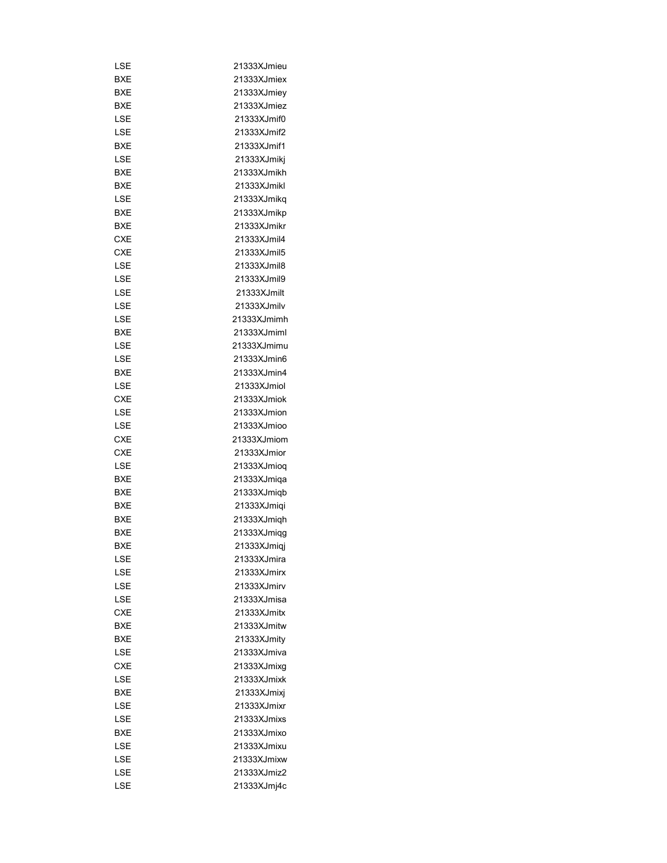| LSE        | 21333XJmieu                |
|------------|----------------------------|
| BXE        | 21333XJmiex                |
| BXE        | 21333XJmiev                |
| BXE        | 21333XJmiez                |
| LSE        | 21333XJmif0                |
| LSE        | 21333XJmif2                |
| BXE        | 21333XJmif1                |
| LSE        | 21333XJmikj                |
| BXE        | 21333XJmikh                |
| BXE        | 21333XJmikl                |
| LSE        | 21333XJmikq                |
| BXE        | 21333XJmikp                |
| BXE        | 21333XJmikr                |
| CXE        | 21333XJmil4                |
| CXE        | 21333XJmil5                |
| LSE        | 21333XJmil8                |
| LSE        | 21333XJmil9                |
| LSE        | 21333XJmilt                |
| LSE        | 21333XJmily                |
| LSE        | 21333XJmimh                |
| <b>BXE</b> | 21333XJmiml                |
| LSE        | 21333XJmimu                |
| LSE        | 21333XJmin6                |
| BXE        | 21333XJmin4                |
| LSE        | 21333XJmiol                |
| CXE        | 21333XJmiok                |
| LSE        | 21333XJmion                |
| LSE        | 21333XJmioo                |
| CXE        | 21333XJmiom                |
| <b>CXE</b> | 21333XJmior                |
| LSE        | 21333XJmioq                |
| BXE        | 21333XJmiqa                |
| BXE        | 21333XJmiqb                |
| <b>BXE</b> | 21333XJmiqi                |
| BXE        | 21333XJmiqh                |
| <b>BXE</b> | 21333XJmiqg                |
| BXE        | 21333XJmiai                |
| LSE        | 21333XJmira                |
| LSE        | 21333XJmirx                |
| LSE        | 21333XJmirv                |
| LSE        | 21333XJmisa                |
| <b>CXE</b> | 21333XJmitx                |
| BXE        | 21333XJmitw                |
| BXE        | 21333XJmity                |
| LSE        | 21333XJmiva                |
| <b>CXE</b> |                            |
| LSE        | 21333XJmixg<br>21333XJmixk |
|            |                            |
| <b>BXE</b> | 21333XJmixj                |
| LSE        | 21333XJmixr                |
| LSE        | 21333XJmixs                |
| BXE        | 21333XJmixo                |
| LSE        | 21333XJmixu                |
| LSE        | 21333XJmixw                |
| LSE        | 21333XJmiz2                |
| LSE        | 21333XJmj4c                |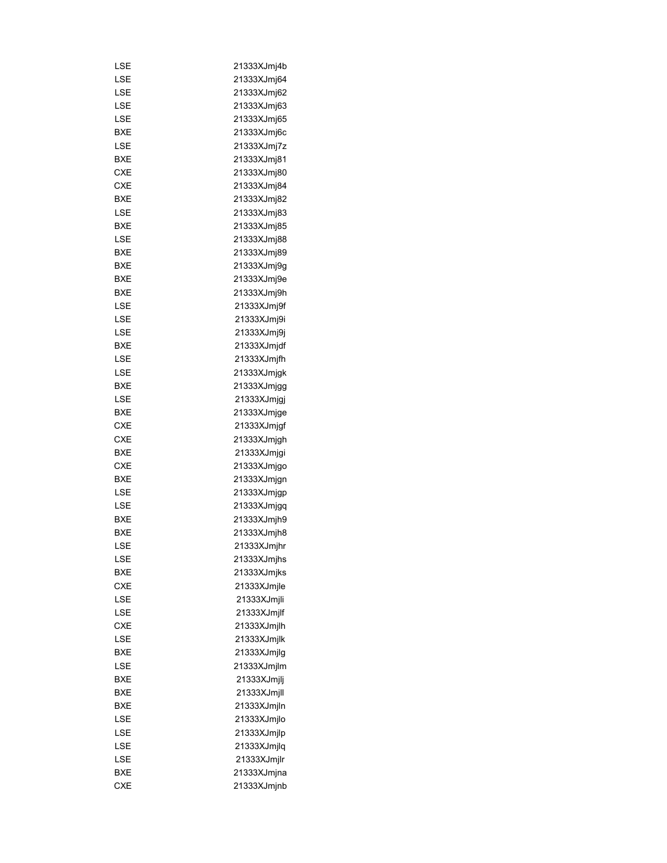| LSE        | 21333XJmj4b                |
|------------|----------------------------|
| LSE        | 21333XJmj64                |
| LSE        | 21333XJmj62                |
| LSE        | 21333XJmj63                |
| LSE        | 21333XJmj65                |
| BXE        | 21333XJmj6c                |
| LSE        | 21333XJmj7z                |
| BXE        | 21333XJmj81                |
| <b>CXE</b> | 21333XJmj80                |
| <b>CXE</b> | 21333XJmj84                |
| BXE        | 21333XJmj82                |
| LSE        | 21333XJmj83                |
| BXE        | 21333XJmj85                |
| LSE        | 21333XJmj88                |
| BXE        | 21333XJmj89                |
| BXE        | 21333XJmj9g                |
| BXE        | 21333XJmj9e                |
| BXE        | 21333XJmj9h                |
| LSE        | 21333XJmj9f                |
| LSE        | 21333XJmj9i                |
| LSE        | 21333XJmj9j                |
| BXE        | 21333XJmjdf                |
| LSE        |                            |
|            | 21333XJmjfh<br>21333XJmjqk |
| LSE        |                            |
| BXE        | 21333XJmjgg                |
| LSE        | 21333XJmjgj                |
| BXE        | 21333XJmjge                |
| CXE        | 21333XJmjgf                |
| <b>CXE</b> | 21333XJmjgh                |
| BXE        | 21333XJmjgi                |
| CXE        | 21333XJmjgo                |
| BXE        | 21333XJmjgn                |
| LSE        | 21333XJmjgp                |
| LSE        | 21333XJmjgq                |
| BXE        | 21333XJmjh9                |
| BXE        | 21333XJmjh8                |
| LSE        | 21333XJmjhr                |
| LSE        | 21333XJmjhs                |
| BXE        | 21333XJmjks                |
| <b>CXE</b> | 21333XJmjle                |
| LSE        | 21333XJmjli                |
| LSE        | 21333XJmjlf                |
| <b>CXE</b> | 21333XJmjlh                |
| LSE        | 21333XJmjlk                |
| <b>BXE</b> | 21333XJmjlg                |
| LSE        | 21333XJmjlm                |
| <b>BXE</b> | 21333XJmjlj                |
| BXE        | 21333XJmjll                |
| BXE        | 21333XJmjln                |
| LSE        | 21333XJmjlo                |
| LSE        | 21333XJmjlp                |
| LSE        | 21333XJmjlq                |
| LSE        | 21333XJmjlr                |
| BXE        | 21333XJmjna                |
| <b>CXE</b> | 21333XJmjnb                |
|            |                            |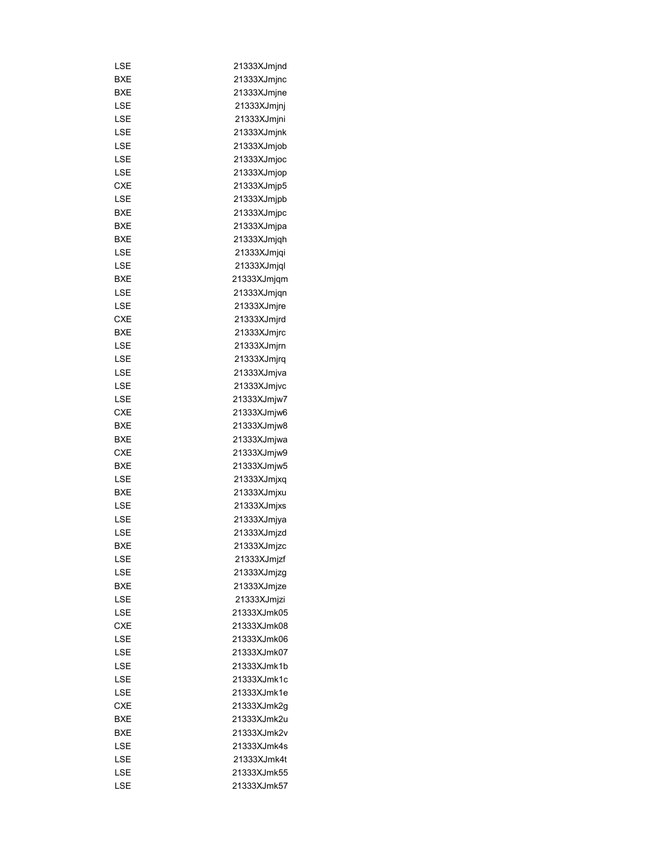| LSE        | 21333XJmjnd |
|------------|-------------|
| BXE        | 21333XJmjnc |
| BXE        | 21333XJmjne |
| LSE        | 21333XJmjnj |
| LSE        | 21333XJmjni |
| LSE        | 21333XJmjnk |
| LSE        | 21333XJmjob |
| LSE        | 21333XJmjoc |
| LSE        | 21333XJmjop |
| <b>CXE</b> | 21333XJmjp5 |
| LSE        | 21333XJmjpb |
| BXE        | 21333XJmjpc |
| BXE        | 21333XJmjpa |
|            |             |
| BXE        | 21333XJmjqh |
| LSE        | 21333XJmjqi |
| LSE        | 21333XJmjql |
| <b>BXE</b> | 21333XJmjqm |
| LSE        | 21333XJmjqn |
| LSE        | 21333XJmjre |
| CXE        | 21333XJmjrd |
| BXE        | 21333XJmirc |
| LSE        | 21333XJmjrn |
| LSE        | 21333XJmjrq |
| LSE        | 21333XJmjva |
| LSE        | 21333XJmjvc |
| LSE        | 21333XJmjw7 |
| <b>CXE</b> | 21333XJmjw6 |
| BXE        | 21333XJmjw8 |
| BXE        | 21333XJmjwa |
| <b>CXE</b> | 21333XJmjw9 |
| BXE        | 21333XJmjw5 |
| LSE        | 21333XJmjxq |
| BXE        | 21333XJmjxu |
| LSE        | 21333XJmjxs |
| LSE        | 21333XJmjya |
| LSE        | 21333XJmjzd |
| <b>BXE</b> | 21333XJmjzc |
| LSE        | 21333XJmjzf |
| LSE        | 21333XJmjzg |
| BXE        | 21333XJmjze |
| LSE        | 21333XJmjzi |
| LSE        | 21333XJmk05 |
| <b>CXE</b> | 21333XJmk08 |
| LSE        | 21333XJmk06 |
| LSE        | 21333XJmk07 |
| LSE        | 21333XJmk1b |
| LSE        | 21333XJmk1c |
| LSE        | 21333XJmk1e |
| <b>CXE</b> | 21333XJmk2g |
| BXE        | 21333XJmk2u |
| BXE        | 21333XJmk2v |
| LSE        | 21333XJmk4s |
|            | 21333XJmk4t |
| LSE        |             |
| LSE        | 21333XJmk55 |
| LSE        | 21333XJmk57 |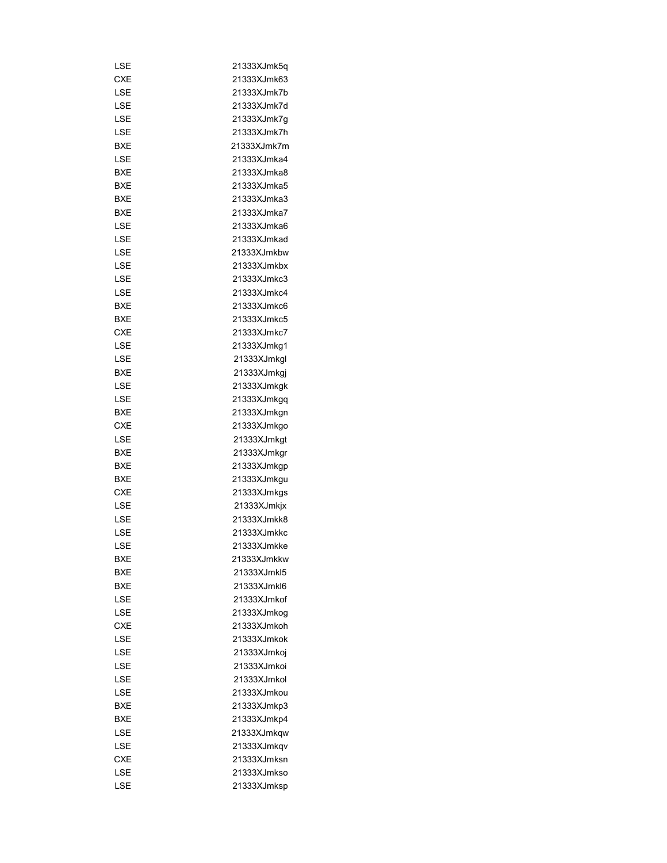| LSE        | 21333XJmk5q |
|------------|-------------|
| CXE        | 21333XJmk63 |
| LSE        | 21333XJmk7b |
| LSE        | 21333XJmk7d |
| LSE        | 21333XJmk7a |
| LSE        | 21333XJmk7h |
| BXE        | 21333XJmk7m |
| LSE        | 21333XJmka4 |
| BXE        | 21333XJmka8 |
| BXE        | 21333XJmka5 |
| <b>BXE</b> | 21333XJmka3 |
| <b>BXE</b> | 21333XJmka7 |
| LSE        | 21333XJmka6 |
| LSE        | 21333XJmkad |
| LSE        | 21333XJmkbw |
| LSE        | 21333XJmkbx |
| LSE        | 21333XJmkc3 |
| LSE        | 21333XJmkc4 |
| BXE        | 21333XJmkc6 |
| <b>BXE</b> | 21333XJmkc5 |
| <b>CXE</b> | 21333XJmkc7 |
| LSE        | 21333XJmkg1 |
| LSE        | 21333XJmkgl |
| BXE        | 21333XJmkgj |
|            |             |
| LSE        | 21333XJmkgk |
| LSE        | 21333XJmkgq |
| BXE        | 21333XJmkgn |
| <b>CXE</b> | 21333XJmkgo |
| LSE        | 21333XJmkgt |
| BXE        | 21333XJmkgr |
| BXE        | 21333XJmkgp |
| BXE        | 21333XJmkgu |
| <b>CXE</b> | 21333XJmkgs |
| LSE        | 21333XJmkjx |
| LSE        | 21333XJmkk8 |
| LSE        | 21333XJmkkc |
| LSE        | 21333XJmkke |
| BXE        | 21333XJmkkw |
| BXE        | 21333XJmkl5 |
| BXE        | 21333XJmkl6 |
| LSE        | 21333XJmkof |
| LSE        | 21333XJmkoa |
| <b>CXE</b> | 21333XJmkoh |
| LSE        | 21333XJmkok |
| LSE        | 21333XJmkoj |
| LSE        | 21333XJmkoi |
| LSE        | 21333XJmkol |
| LSE        | 21333XJmkou |
| BXE        | 21333XJmkp3 |
| BXE        | 21333XJmkp4 |
| LSE        | 21333XJmkqw |
| LSE        | 21333XJmkqv |
| <b>CXE</b> | 21333XJmksn |
| LSE        | 21333XJmkso |
| LSE        | 21333XJmksp |
|            |             |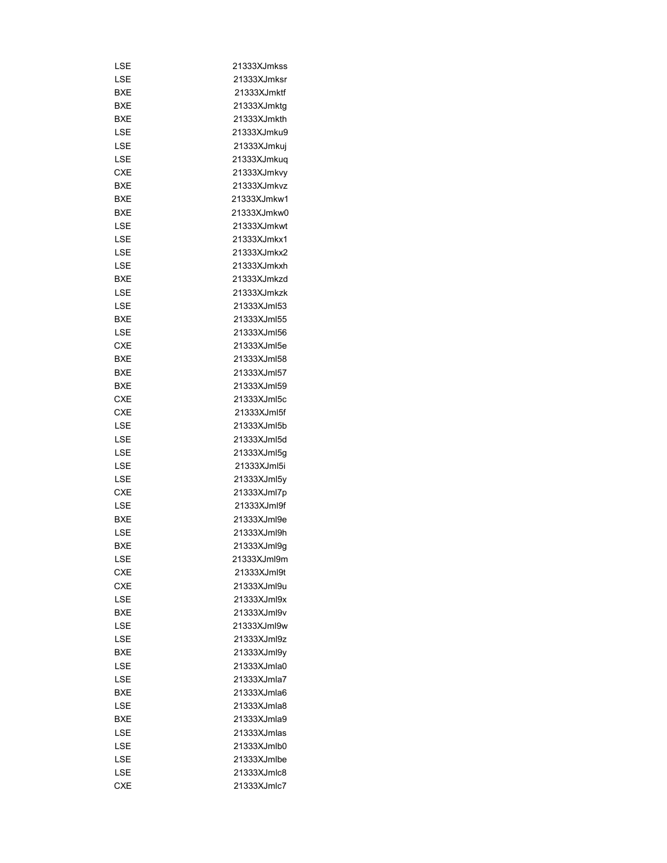| LSE        | 21333XJmkss |
|------------|-------------|
| LSE        | 21333XJmksr |
| BXE        | 21333XJmktf |
| BXE        | 21333XJmktg |
| BXE        | 21333XJmkth |
| LSE        | 21333XJmku9 |
| LSE        | 21333XJmkuj |
| LSE        | 21333XJmkuq |
| <b>CXE</b> | 21333XJmkvy |
| BXE        | 21333XJmkvz |
| BXE        | 21333XJmkw1 |
| BXE        | 21333XJmkw0 |
| LSE        | 21333XJmkwt |
| LSE        | 21333XJmkx1 |
| LSE        | 21333XJmkx2 |
| LSE        | 21333XJmkxh |
| BXE        | 21333XJmkzd |
| LSE        | 21333XJmkzk |
| LSE        | 21333XJml53 |
| BXE        | 21333XJml55 |
| LSE        | 21333XJml56 |
| CXE        | 21333XJml5e |
| BXE        | 21333XJml58 |
| BXE        | 21333XJml57 |
|            | 21333XJml59 |
| BXE        |             |
| CXE        | 21333XJml5c |
| CXE        | 21333XJml5f |
| LSE        | 21333XJml5b |
| LSE        | 21333XJml5d |
| LSE        | 21333XJml5g |
| LSE        | 21333XJml5i |
| LSE        | 21333XJml5y |
| CXE        | 21333XJml7p |
| LSE        | 21333XJml9f |
| BXE        | 21333XJml9e |
| LSE        | 21333XJml9h |
| <b>BXE</b> | 21333XJml9a |
| LSE        | 21333XJml9m |
| <b>CXE</b> | 21333XJml9t |
| CXE        | 21333XJml9u |
| LSE        | 21333XJml9x |
| <b>BXE</b> | 21333XJml9v |
| LSE        | 21333XJml9w |
| LSE        | 21333XJml9z |
| BXE        | 21333XJml9y |
| LSE        | 21333XJmla0 |
| LSE        | 21333XJmla7 |
| BXE        | 21333XJmla6 |
| LSE        | 21333XJmla8 |
| BXE        | 21333XJmla9 |
| LSE        | 21333XJmlas |
| LSE        | 21333XJmlb0 |
| LSE        | 21333XJmlbe |
| LSE        | 21333XJmlc8 |
| CXE        | 21333XJmlc7 |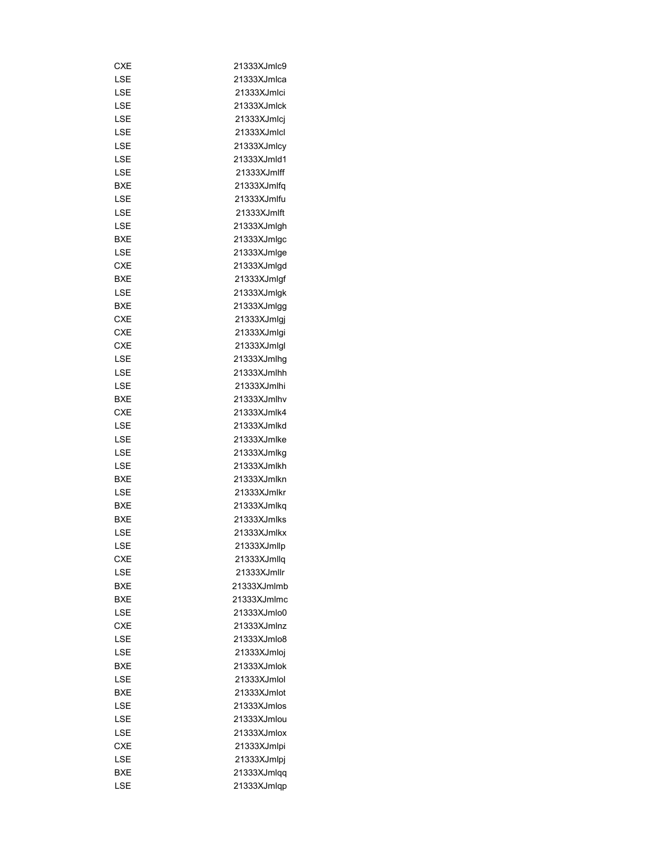| CXE        | 21333XJmlc9 |
|------------|-------------|
| LSE        | 21333XJmlca |
| LSE        | 21333XJmlci |
| LSE        | 21333XJmlck |
| LSE        | 21333XJmlcj |
| LSE        | 21333XJmlcl |
| LSE        | 21333XJmlcy |
| LSE        | 21333XJmld1 |
| LSE        | 21333XJmlff |
| BXE        | 21333XJmlfg |
| LSE        | 21333XJmlfu |
| LSE        | 21333XJmlft |
| LSE        | 21333XJmlgh |
| BXE        | 21333XJmlgc |
| LSE        | 21333XJmlge |
| CXE        | 21333XJmlgd |
| <b>BXE</b> | 21333XJmlgf |
| LSE        | 21333XJmlgk |
| BXE        | 21333XJmlgg |
| CXE        | 21333XJmlgj |
|            |             |
| CXE        | 21333XJmlgi |
| CXE        | 21333XJmlgl |
| LSE        | 21333XJmlhg |
| LSE        | 21333XJmlhh |
| LSE        | 21333XJmlhi |
| BXE        | 21333XJmlhv |
| CXE        | 21333XJmlk4 |
| LSE        | 21333XJmlkd |
| LSE        | 21333XJmlke |
| LSE        | 21333XJmlkg |
| LSE        | 21333XJmlkh |
| BXE        | 21333XJmlkn |
| LSE        | 21333XJmlkr |
| <b>BXE</b> | 21333XJmlkq |
| BXE        | 21333XJmlks |
| LSE        | 21333XJmlkx |
| LSE        | 21333XJmllp |
| CXE        | 21333XJmllq |
| LSE        | 21333XJmllr |
| BXE        | 21333XJmlmb |
| <b>BXE</b> | 21333XJmlmc |
| LSE        | 21333XJmlo0 |
| CXE        | 21333XJmlnz |
| LSE        | 21333XJmlo8 |
| LSE        | 21333XJmloj |
| BXE        | 21333XJmlok |
| LSE        | 21333XJmlol |
| BXE        | 21333XJmlot |
| LSE        | 21333XJmlos |
| LSE        | 21333XJmlou |
| LSE        | 21333XJmlox |
| CXE        | 21333XJmlpi |
| LSE        |             |
|            | 21333XJmlpj |
| BXE        | 21333XJmlqq |
| LSE        | 21333XJmlqp |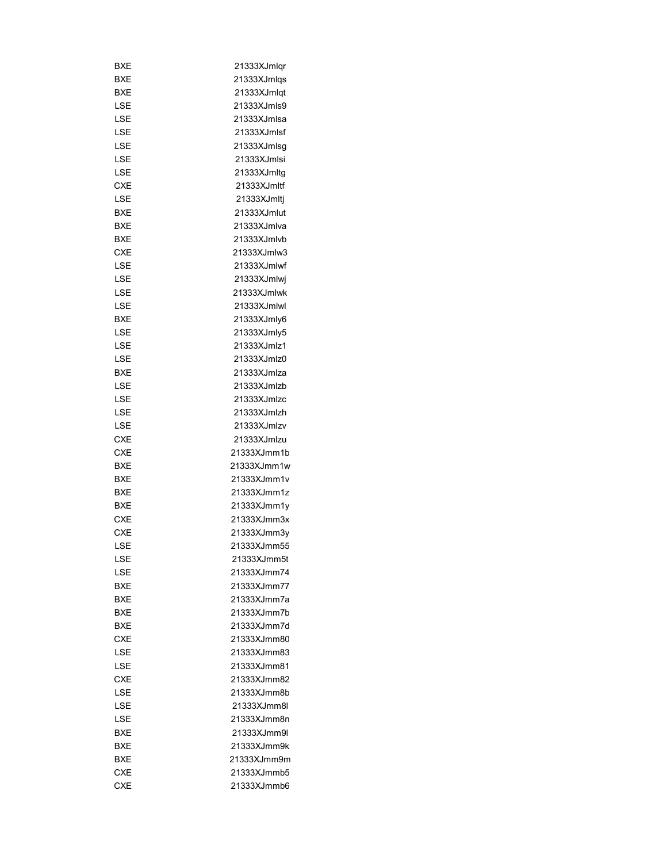| BXE        | 21333XJmlgr |
|------------|-------------|
| BXE        | 21333XJmlqs |
| BXE        | 21333XJmlqt |
| LSE        | 21333XJmls9 |
| LSE        | 21333XJmlsa |
| LSE        | 21333XJmlsf |
| LSE        | 21333XJmlsg |
| LSE        | 21333XJmlsi |
| LSE        | 21333XJmltg |
| <b>CXE</b> | 21333XJmltf |
| LSE        | 21333XJmltj |
| BXE        | 21333XJmlut |
| BXE        | 21333XJmlva |
| BXE        | 21333XJmlvb |
| CXE        | 21333XJmlw3 |
| LSE        | 21333XJmlwf |
| LSE        | 21333XJmlwj |
| LSE        | 21333XJmlwk |
| LSE        | 21333XJmlwl |
| BXE        | 21333XJmly6 |
|            | 21333XJmly5 |
| LSE        |             |
| LSE        | 21333XJmlz1 |
| LSE        | 21333XJmlz0 |
| BXE        | 21333XJmlza |
| LSE        | 21333XJmlzb |
| LSE        | 21333XJmlzc |
| LSE        | 21333XJmlzh |
| LSE        | 21333XJmlzv |
| CXE        | 21333XJmlzu |
| <b>CXE</b> | 21333XJmm1b |
| BXE        | 21333XJmm1w |
| BXE        | 21333XJmm1v |
| <b>BXE</b> | 21333XJmm1z |
| BXE        | 21333XJmm1y |
| <b>CXE</b> | 21333XJmm3x |
| <b>CXE</b> | 21333XJmm3y |
| LSE        | 21333XJmm55 |
| LSE        | 21333XJmm5t |
| LSE        | 21333XJmm74 |
| <b>BXE</b> | 21333XJmm77 |
| BXE        | 21333XJmm7a |
| BXE        | 21333XJmm7b |
| BXE        | 21333XJmm7d |
| <b>CXE</b> | 21333XJmm80 |
| LSE        | 21333XJmm83 |
| LSE        | 21333XJmm81 |
| <b>CXE</b> | 21333XJmm82 |
| LSE        | 21333XJmm8b |
| LSE        | 21333XJmm8l |
| LSE        | 21333XJmm8n |
| BXE        | 21333XJmm9l |
| BXE        | 21333XJmm9k |
| BXE        | 21333XJmm9m |
| <b>CXE</b> | 21333XJmmb5 |
| <b>CXE</b> | 21333XJmmb6 |
|            |             |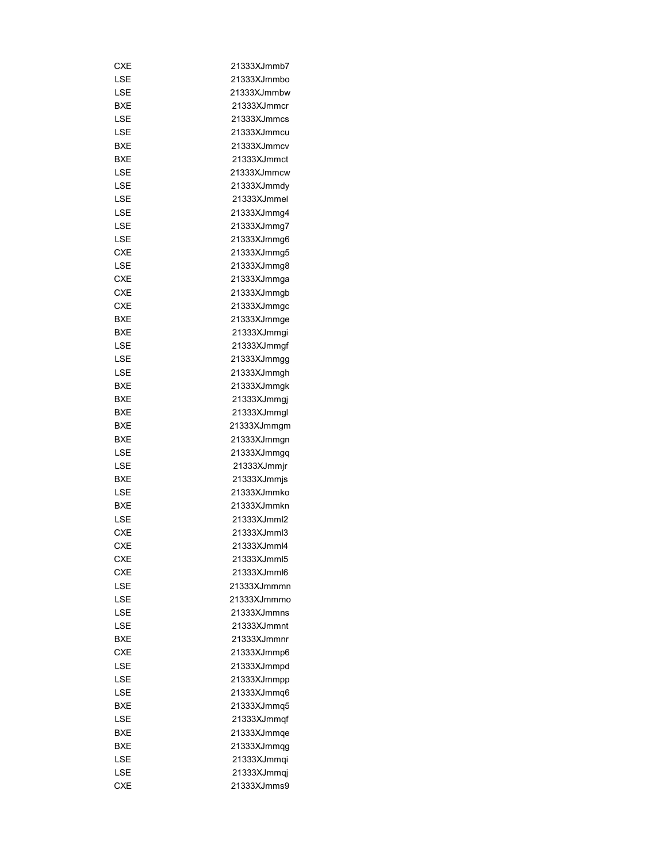| CXE        | 21333XJmmb7 |
|------------|-------------|
| LSE        | 21333XJmmbo |
| LSE        | 21333XJmmbw |
| <b>BXE</b> | 21333XJmmcr |
| LSE        | 21333XJmmcs |
| LSE        | 21333XJmmcu |
| <b>BXE</b> | 21333XJmmcv |
| BXE        | 21333XJmmct |
| LSE        | 21333XJmmcw |
| LSE        | 21333XJmmdy |
| LSE        | 21333XJmmel |
| LSE        | 21333XJmmg4 |
| LSE        | 21333XJmmg7 |
| LSE        | 21333XJmmg6 |
| <b>CXE</b> | 21333XJmmg5 |
| LSE        | 21333XJmmg8 |
| <b>CXE</b> | 21333XJmmga |
| <b>CXE</b> | 21333XJmmgb |
| <b>CXE</b> | 21333XJmmgc |
| <b>BXE</b> |             |
|            | 21333XJmmge |
| <b>BXE</b> | 21333XJmmqi |
| LSE        | 21333XJmmgf |
| LSE        | 21333XJmmgg |
| LSE        | 21333XJmmgh |
| BXE        | 21333XJmmgk |
| BXE        | 21333XJmmgj |
| <b>BXE</b> | 21333XJmmgl |
| BXE        | 21333XJmmgm |
| <b>BXE</b> | 21333XJmmgn |
| LSE        | 21333XJmmgq |
| LSE        | 21333XJmmjr |
| <b>BXE</b> | 21333XJmmjs |
| LSE        | 21333XJmmko |
| <b>BXE</b> | 21333XJmmkn |
| LSE        | 21333XJmml2 |
| <b>CXE</b> | 21333XJmml3 |
| <b>CXE</b> | 21333XJmml4 |
| CXE        | 21333XJmml5 |
| <b>CXE</b> | 21333XJmml6 |
| LSE        | 21333XJmmmn |
| LSE        | 21333XJmmmo |
| LSE        | 21333XJmmns |
| LSE        | 21333XJmmnt |
| BXE        | 21333XJmmnr |
| <b>CXE</b> | 21333XJmmp6 |
| LSE        | 21333XJmmpd |
| LSE        | 21333XJmmpp |
| LSE        | 21333XJmmq6 |
| BXE        | 21333XJmmq5 |
| LSE        | 21333XJmmqf |
| BXE        | 21333XJmmqe |
|            |             |
| BXE        | 21333XJmmqg |
| LSE        | 21333XJmmqi |
| LSE        | 21333XJmmqj |
| <b>CXE</b> | 21333XJmms9 |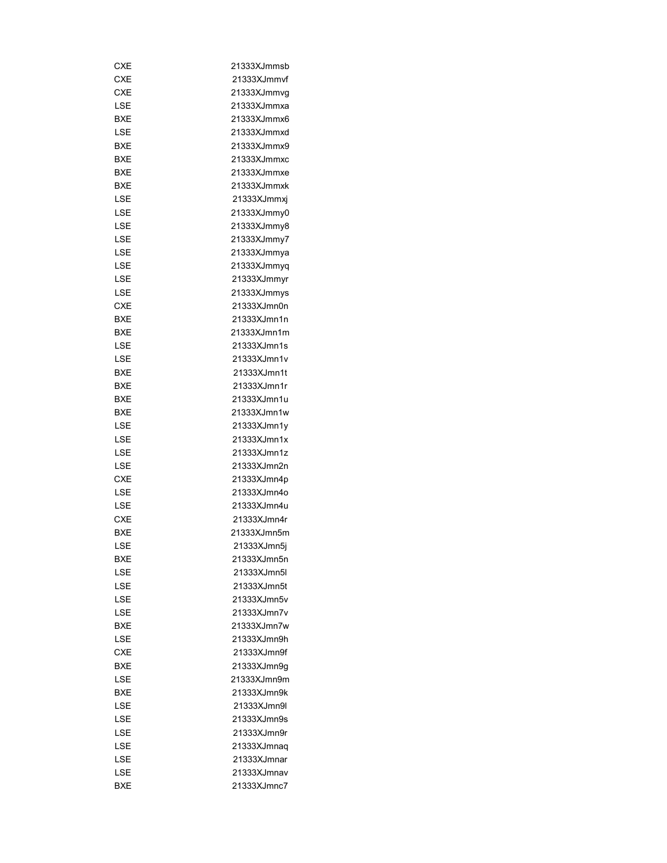| CXE        | 21333XJmmsb |
|------------|-------------|
| <b>CXE</b> | 21333XJmmvf |
| <b>CXE</b> | 21333XJmmvg |
| LSE        | 21333XJmmxa |
| <b>BXE</b> | 21333XJmmx6 |
| LSE        | 21333XJmmxd |
| <b>BXE</b> | 21333XJmmx9 |
| BXE        | 21333XJmmxc |
| <b>BXE</b> | 21333XJmmxe |
| <b>BXE</b> | 21333XJmmxk |
| LSE        | 21333XJmmxj |
| LSE        | 21333XJmmy0 |
| LSE        | 21333XJmmy8 |
| LSE        | 21333XJmmy7 |
| LSE        | 21333XJmmya |
| LSE        | 21333XJmmyq |
| LSE        | 21333XJmmyr |
| LSE        | 21333XJmmys |
| <b>CXE</b> | 21333XJmn0n |
| BXE        | 21333XJmn1n |
| <b>BXE</b> | 21333XJmn1m |
| LSE        | 21333XJmn1s |
| LSE        |             |
|            | 21333XJmn1v |
| BXE        | 21333XJmn1t |
| BXE        | 21333XJmn1r |
| <b>BXE</b> | 21333XJmn1u |
| <b>BXE</b> | 21333XJmn1w |
| LSE        | 21333XJmn1y |
| LSE        | 21333XJmn1x |
| LSE        | 21333XJmn1z |
| LSE        | 21333XJmn2n |
| <b>CXE</b> | 21333XJmn4p |
| LSE        | 21333XJmn4o |
| LSE        | 21333XJmn4u |
| <b>CXE</b> | 21333XJmn4r |
| <b>BXE</b> | 21333XJmn5m |
| LSE        | 21333XJmn5i |
| BXE        | 21333XJmn5n |
| LSE        | 21333XJmn5l |
| LSE        | 21333XJmn5t |
| LSE        | 21333XJmn5v |
| LSE        | 21333XJmn7v |
| BXE        | 21333XJmn7w |
| LSE        | 21333XJmn9h |
| <b>CXE</b> | 21333XJmn9f |
| BXE        | 21333XJmn9g |
| LSE        | 21333XJmn9m |
| BXE        | 21333XJmn9k |
| LSE        | 21333XJmn9l |
| LSE        | 21333XJmn9s |
| LSE        | 21333XJmn9r |
| LSE        | 21333XJmnaq |
| LSE        | 21333XJmnar |
| LSE        | 21333XJmnav |
| <b>BXE</b> | 21333XJmnc7 |
|            |             |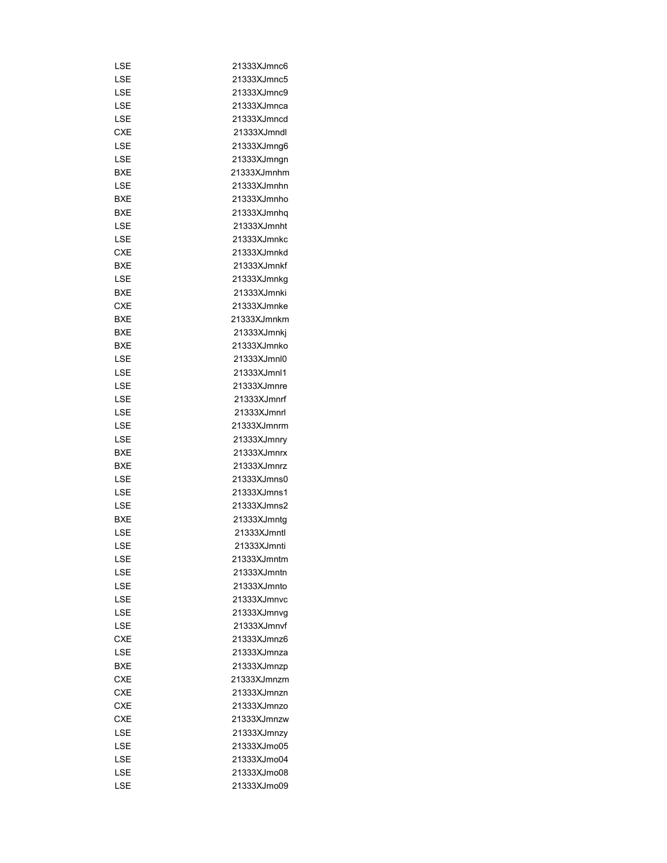| LSE        | 21333XJmnc6  |
|------------|--------------|
| LSE        | 21333XJmnc5  |
| LSE        | 21333XJmnc9  |
| LSE        | 21333XJmnca  |
| LSE        | 21333XJmncd  |
| <b>CXE</b> | 21333XJmndl  |
| LSE        | 21333XJmng6  |
| LSE        | 21333XJmngn  |
| BXE        | 21333XJmnhm  |
| LSE        | 21333XJmnhn  |
| BXE        | 21333XJmnho  |
| BXE        | 21333XJmnhq  |
| LSE        | 21333XJmnht  |
| LSE        | 21333XJmnkc  |
| <b>CXE</b> | 21333XJmnkd  |
| BXE        | 21333XJmnkf  |
| LSE        | 21333XJmnkg  |
| BXE        | 21333XJmnki  |
| <b>CXE</b> | 21333XJmnke  |
| <b>BXE</b> | 21333XJmnkm  |
| <b>BXE</b> | 21333XJmnkj  |
| BXE        | 21333XJmnko  |
| LSE        | 21333XJmnl0  |
| LSE        | 21333XJmnl1  |
| LSE        | 21333XJmnre  |
|            |              |
| LSE        | 21333XJmnrf  |
| LSE        | 21333XJmnrl  |
| LSE        | 21333XJmnrm  |
| LSE        | 21333XJmnry  |
| <b>BXE</b> | 21333XJmnrx  |
| <b>BXE</b> | 21333XJmnrz  |
| LSE        | 21333XJmns0  |
| LSE        | 21333XJmns1  |
| LSE        | 21333XJmns2  |
| <b>BXE</b> | 21333XJmntg  |
| LSE        | 21333XJmntl  |
| LSE        | 21333XJmnti  |
| LSE        | 21333XJmntm  |
| LSE        | 21333XJmntn  |
| LSE        | 21333XJmnto  |
| LSE        | 21333XJmnvc  |
| LSE        | 21333XJmnvq  |
| LSE        | 21333XJmnvf  |
| <b>CXE</b> | 21333X.Imnz6 |
| LSE        | 21333XJmnza  |
| <b>BXE</b> | 21333XJmnzp  |
| <b>CXE</b> | 21333XJmnzm  |
| <b>CXE</b> | 21333XJmnzn  |
| <b>CXE</b> | 21333XJmnzo  |
| <b>CXE</b> | 21333XJmnzw  |
| LSE        | 21333XJmnzy  |
| LSE        | 21333XJmo05  |
| LSE        | 21333XJmo04  |
| LSE        | 21333XJmo08  |
| LSE        | 21333XJmo09  |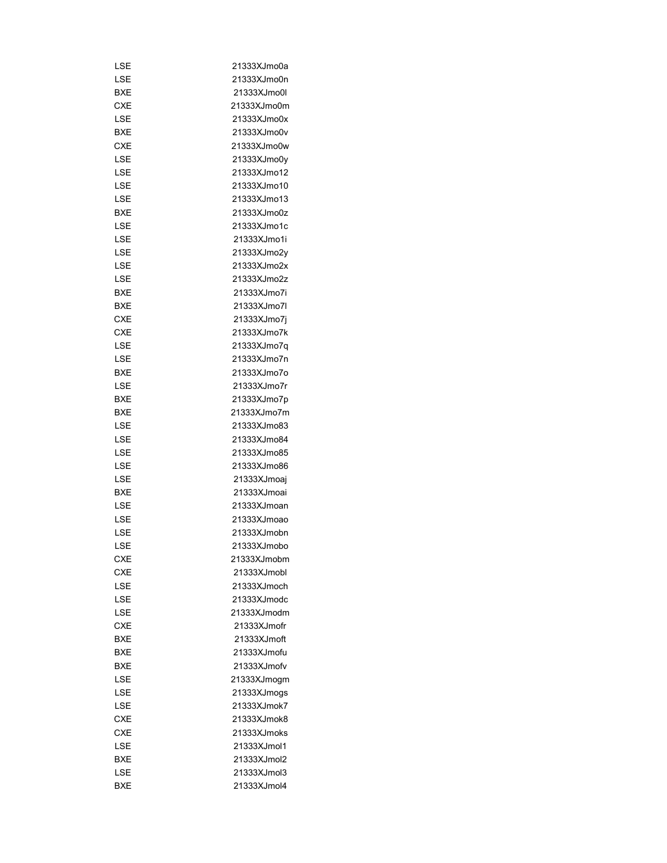| LSE        | 21333XJmo0a |
|------------|-------------|
| LSE        | 21333XJmo0n |
| <b>BXE</b> | 21333XJmo0l |
| CXE        | 21333XJmo0m |
| LSE        | 21333XJmo0x |
| BXE        | 21333XJmo0v |
| <b>CXE</b> | 21333XJmo0w |
| LSE        | 21333XJmo0y |
| LSE        | 21333XJmo12 |
| LSE        | 21333XJmo10 |
| LSE        | 21333XJmo13 |
| BXE        | 21333XJmo0z |
| LSE        | 21333XJmo1c |
| LSE        | 21333XJmo1i |
| LSE        | 21333XJmo2y |
| LSE        | 21333XJmo2x |
| LSE        | 21333XJmo2z |
| BXE        | 21333XJmo7i |
| BXE        | 21333XJmo7l |
| CXE        | 21333XJmo7j |
| <b>CXE</b> | 21333XJmo7k |
|            |             |
| LSE        | 21333XJmo7q |
| LSE        | 21333XJmo7n |
| BXE        | 21333XJmo7o |
| LSE        | 21333XJmo7r |
| BXE        | 21333XJmo7p |
| BXE        | 21333XJmo7m |
| LSE        | 21333XJmo83 |
| LSE        | 21333XJmo84 |
| LSE        | 21333XJmo85 |
| LSE        | 21333XJmo86 |
| LSE        | 21333XJmoaj |
| BXE        | 21333XJmoai |
| LSE        | 21333XJmoan |
| LSE        | 21333XJmoao |
| LSE        | 21333XJmobn |
| LSE        | 21333XJmobo |
| <b>CXE</b> | 21333XJmobm |
| <b>CXE</b> | 21333XJmobl |
| LSE        | 21333XJmoch |
| LSE        | 21333XJmodc |
| LSE        | 21333XJmodm |
| <b>CXE</b> | 21333XJmofr |
| <b>BXE</b> | 21333XJmoft |
| BXE        | 21333XJmofu |
| BXE        | 21333XJmofv |
| LSE        | 21333XJmogm |
| LSE        | 21333XJmogs |
| LSE        | 21333XJmok7 |
| <b>CXE</b> | 21333XJmok8 |
| <b>CXE</b> | 21333XJmoks |
| LSE        | 21333XJmol1 |
| BXE        | 21333XJmol2 |
| LSE        | 21333XJmol3 |
| BXE        | 21333XJmol4 |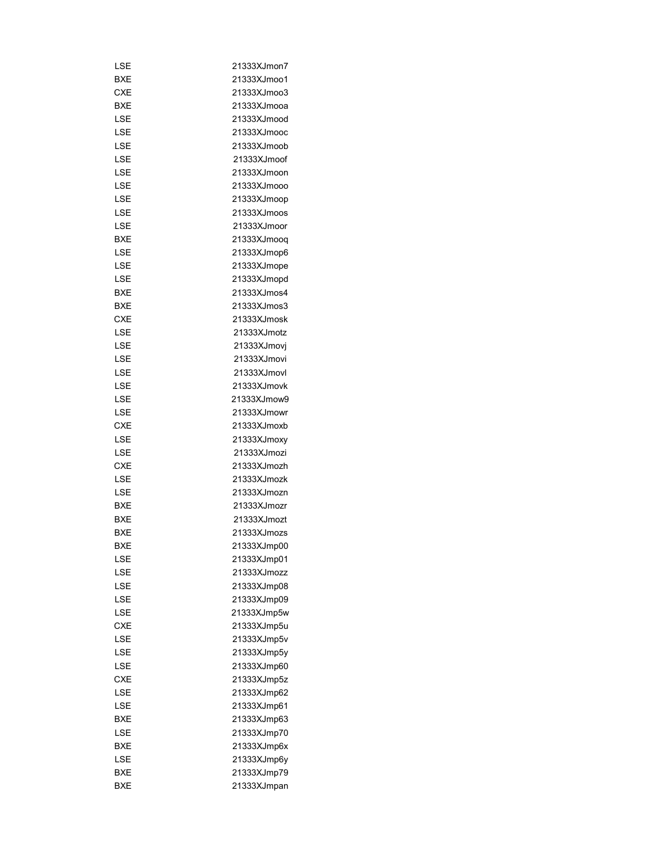| LSE        | 21333XJmon7                |
|------------|----------------------------|
| BXE        | 21333XJmoo1                |
| <b>CXE</b> | 21333XJmoo3                |
| BXE        | 21333XJmooa                |
| LSE        | 21333XJmood                |
| LSE        | 21333XJmooc                |
| LSE        | 21333XJmoob                |
| LSE        | 21333XJmoof                |
| LSE        | 21333XJmoon                |
| LSE        | 21333XJmooo                |
| LSE        | 21333XJmoop                |
| LSE        | 21333XJmoos                |
| LSE        | 21333XJmoor                |
| BXE        | 21333XJmooq                |
| LSE        | 21333XJmop6                |
| LSE        | 21333XJmope                |
| LSE        | 21333XJmopd                |
| <b>BXE</b> | 21333XJmos4                |
| BXE        | 21333XJmos3                |
| <b>CXE</b> | 21333XJmosk                |
| LSE        | 21333XJmotz                |
| LSE        |                            |
| LSE        | 21333XJmovj<br>21333XJmovi |
|            | 21333XJmovl                |
| LSE        | 21333XJmovk                |
| LSE        |                            |
| LSE        | 21333XJmow9                |
| LSE        | 21333XJmowr                |
| <b>CXE</b> | 21333XJmoxb                |
| LSE        | 21333XJmoxy                |
| LSE        | 21333XJmozi                |
| <b>CXE</b> | 21333XJmozh                |
| LSE        | 21333XJmozk                |
| LSE        | 21333XJmozn                |
| BXE        | 21333XJmozr                |
| <b>BXE</b> | 21333XJmozt                |
| <b>BXE</b> | 21333XJmozs                |
| BXE        | 21333XJmp00                |
| LSE        | 21333XJmp01                |
| LSE        | 21333XJmozz                |
| LSE        | 21333XJmp08                |
| LSE        | 21333XJmp09                |
| LSE        | 21333XJmp5w                |
| <b>CXE</b> | 21333XJmp5u                |
| LSE        | 21333XJmp5v                |
| LSE        | 21333XJmp5y                |
| LSE        | 21333XJmp60                |
| CXE        | 21333XJmp5z                |
| LSE        | 21333XJmp62                |
| LSE        | 21333XJmp61                |
| BXE        | 21333XJmp63                |
| LSE        | 21333XJmp70                |
| BXE        | 21333XJmp6x                |
| LSE        | 21333XJmp6y                |
| BXE        | 21333XJmp79                |
| <b>BXE</b> | 21333XJmpan                |
|            |                            |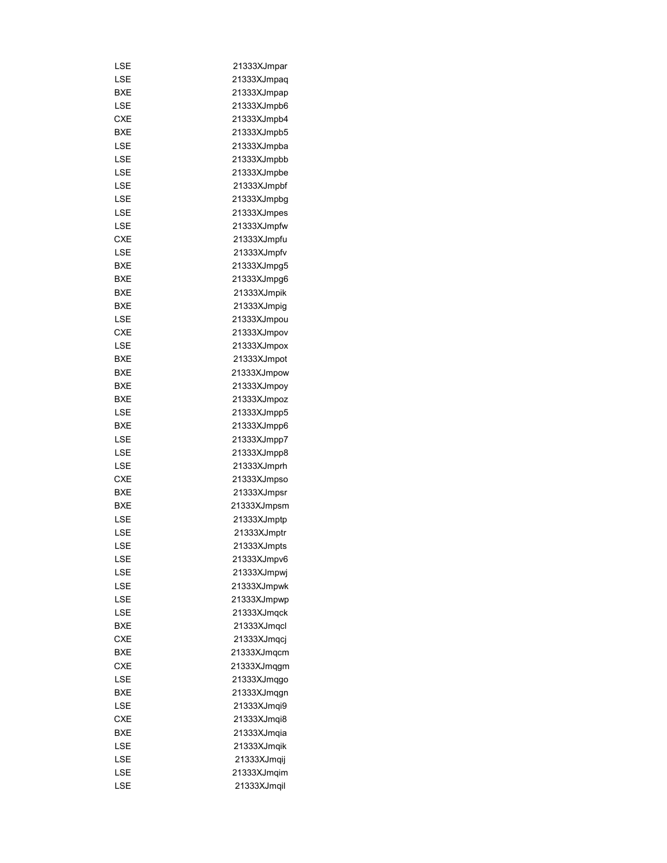| LSE        | 21333XJmpar |
|------------|-------------|
| LSE        | 21333XJmpaq |
| BXE        | 21333XJmpap |
| LSE        | 21333XJmpb6 |
| <b>CXE</b> | 21333XJmpb4 |
| BXE        | 21333XJmpb5 |
| LSE        | 21333XJmpba |
| LSE        | 21333XJmpbb |
| LSE        | 21333XJmpbe |
| LSE        | 21333XJmpbf |
| LSE        | 21333XJmpbg |
| LSE        | 21333XJmpes |
| LSE        | 21333XJmpfw |
| <b>CXE</b> | 21333XJmpfu |
| LSE        | 21333XJmpfv |
| BXE        | 21333XJmpg5 |
| BXE        | 21333XJmpg6 |
| BXE        | 21333XJmpik |
| BXE        | 21333XJmpig |
| LSE        | 21333XJmpou |
| <b>CXE</b> | 21333XJmpov |
| LSE        | 21333XJmpox |
| BXE        | 21333XJmpot |
| <b>BXE</b> | 21333XJmpow |
|            |             |
| BXE        | 21333XJmpoy |
| BXE        | 21333XJmpoz |
| LSE        | 21333XJmpp5 |
| BXE        | 21333XJmpp6 |
| LSE        | 21333XJmpp7 |
| LSE        | 21333XJmpp8 |
| LSE        | 21333XJmprh |
| CXE        | 21333XJmpso |
| BXE        | 21333XJmpsr |
| BXE        | 21333XJmpsm |
| LSE        | 21333XJmptp |
| LSE        | 21333XJmptr |
| LSE        | 21333XJmpts |
| LSE        | 21333XJmpv6 |
| LSE        | 21333XJmpwj |
| LSE        | 21333XJmpwk |
| LSE        | 21333XJmpwp |
| LSE        | 21333XJmqck |
| BXE        | 21333XJmqcl |
| <b>CXE</b> | 21333XJmqcj |
| BXE        | 21333XJmqcm |
| <b>CXE</b> | 21333XJmqgm |
| LSE        | 21333XJmqgo |
| BXE        | 21333XJmqgn |
| LSE        | 21333XJmqi9 |
| <b>CXE</b> | 21333XJmqi8 |
| BXE        | 21333XJmqia |
| LSE        | 21333XJmqik |
| LSE        | 21333XJmqij |
| LSE        | 21333XJmqim |
| LSE        | 21333XJmqil |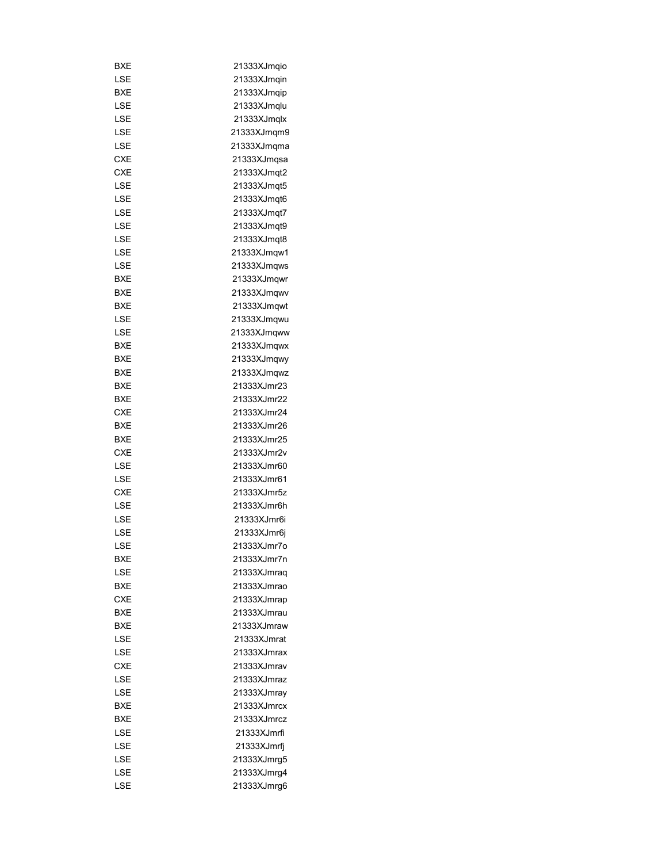| BXE        | 21333XJmqio |
|------------|-------------|
| LSE        | 21333XJmgin |
| BXE        | 21333XJmqip |
| LSE        | 21333XJmqlu |
| LSE        | 21333XJmqlx |
| LSE        | 21333XJmqm9 |
| LSE        | 21333XJmqma |
| <b>CXE</b> | 21333XJmqsa |
| <b>CXE</b> | 21333XJmqt2 |
| LSE        | 21333XJmqt5 |
| LSE        | 21333XJmqt6 |
| LSE        | 21333XJmqt7 |
| LSE        | 21333XJmqt9 |
| LSE        | 21333XJmqt8 |
| LSE        | 21333XJmqw1 |
| LSE        | 21333XJmqws |
| BXE        | 21333XJmqwr |
| BXE        | 21333XJmqwv |
| BXE        |             |
| LSE        | 21333XJmqwt |
|            | 21333XJmqwu |
| LSE        | 21333XJmqww |
| BXE        | 21333XJmqwx |
| <b>BXE</b> | 21333XJmqwy |
| <b>BXE</b> | 21333XJmqwz |
| BXE        | 21333XJmr23 |
| BXE        | 21333XJmr22 |
| <b>CXE</b> | 21333XJmr24 |
| BXE        | 21333XJmr26 |
| BXE        | 21333XJmr25 |
| <b>CXE</b> | 21333XJmr2v |
| LSE        | 21333XJmr60 |
| LSE        | 21333XJmr61 |
| <b>CXE</b> | 21333XJmr5z |
| LSE        | 21333XJmr6h |
| LSE        | 21333XJmr6i |
| LSE        | 21333XJmr6j |
| LSE        | 21333XJmr7o |
| BXE        | 21333XJmr7n |
| LSE        | 21333XJmraq |
| BXE        | 21333XJmrao |
| <b>CXE</b> | 21333XJmrap |
| BXE        | 21333XJmrau |
| <b>BXE</b> | 21333XJmraw |
| LSE        | 21333XJmrat |
| LSE        | 21333XJmrax |
| <b>CXE</b> | 21333XJmrav |
| LSE        | 21333XJmraz |
| LSE        | 21333XJmray |
| BXE        | 21333XJmrcx |
| BXE        | 21333XJmrcz |
| LSE        | 21333XJmrfi |
| LSE        | 21333XJmrfj |
| LSE        | 21333XJmrg5 |
| LSE        | 21333XJmrg4 |
| LSE        | 21333XJmrg6 |
|            |             |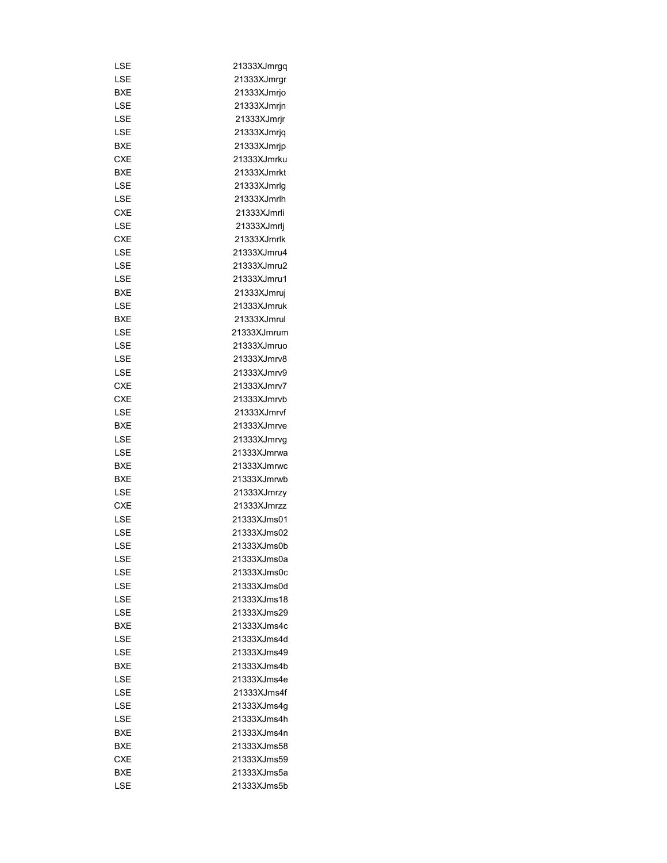| LSE        | 21333XJmrgq |
|------------|-------------|
| LSE        | 21333XJmrgr |
| BXE        | 21333XJmrjo |
| LSE        | 21333XJmrjn |
| LSE        | 21333XJmrjr |
| LSE        | 21333XJmrjq |
| BXE        | 21333XJmrjp |
| <b>CXE</b> | 21333XJmrku |
| BXE        | 21333XJmrkt |
| LSE        | 21333XJmrlg |
| LSE        | 21333XJmrlh |
| <b>CXE</b> | 21333XJmrli |
| LSE        | 21333XJmrlj |
| <b>CXE</b> | 21333XJmrlk |
| LSE        | 21333XJmru4 |
| LSE        | 21333XJmru2 |
| LSE        | 21333XJmru1 |
| <b>BXE</b> | 21333XJmruj |
| LSE        | 21333XJmruk |
| BXE        | 21333XJmrul |
| LSE        | 21333XJmrum |
| LSE        | 21333XJmruo |
|            | 21333XJmrv8 |
| LSE        | 21333XJmrv9 |
| LSE        |             |
| <b>CXE</b> | 21333XJmrv7 |
| <b>CXE</b> | 21333XJmrvb |
| LSE        | 21333XJmrvf |
| BXE        | 21333XJmrve |
| LSE        | 21333XJmrvg |
| LSE        | 21333XJmrwa |
| BXE        | 21333XJmrwc |
| BXE        | 21333XJmrwb |
| LSE        | 21333XJmrzy |
| <b>CXE</b> | 21333XJmrzz |
| LSE        | 21333XJms01 |
| LSE        | 21333XJms02 |
| LSE        | 21333XJms0b |
| LSE        | 21333XJms0a |
| LSE        | 21333XJms0c |
| LSE        | 21333XJms0d |
| LSE        | 21333XJms18 |
| LSE        | 21333XJms29 |
| BXE        | 21333XJms4c |
| LSE        | 21333XJms4d |
| LSE        | 21333XJms49 |
| BXE        | 21333XJms4b |
| LSE        | 21333XJms4e |
| LSE        | 21333XJms4f |
| LSE        | 21333XJms4g |
| LSE        | 21333XJms4h |
| BXE        | 21333XJms4n |
| BXE        | 21333XJms58 |
| CXE        | 21333XJms59 |
| <b>BXE</b> | 21333XJms5a |
| LSE        | 21333XJms5b |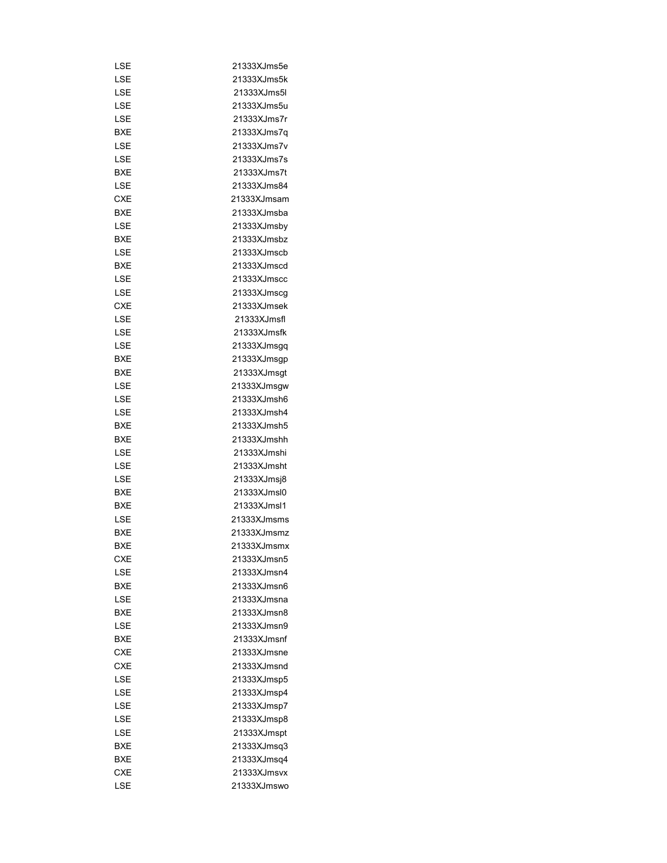| LSE        | 21333XJms5e                |
|------------|----------------------------|
| LSE        | 21333XJms5k                |
|            |                            |
| LSE        | 21333XJms5l                |
| LSE        | 21333XJms5u                |
| LSE        | 21333XJms7r                |
| <b>BXE</b> | 21333XJms7q                |
| LSE        | 21333XJms7v                |
| LSE        | 21333XJms7s                |
| BXE        | 21333XJms7t                |
| LSE        | 21333XJms84                |
| <b>CXE</b> | 21333XJmsam                |
| <b>BXE</b> | 21333XJmsba                |
| LSE        | 21333XJmsby                |
| BXE        | 21333XJmsbz                |
| LSE        | 21333XJmscb                |
| BXE        | 21333XJmscd                |
| LSE        | 21333XJmscc                |
| LSE        | 21333XJmscg                |
|            |                            |
| CXE        | 21333XJmsek                |
| LSE        | 21333XJmsfl                |
| LSE        | 21333XJmsfk                |
| LSE        | 21333XJmsgq                |
| BXE        | 21333XJmsgp                |
| BXE        | 21333XJmsgt                |
| LSE        | 21333XJmsgw                |
| LSE        | 21333XJmsh6                |
| LSE        | 21333XJmsh4                |
| BXE        | 21333XJmsh5                |
| BXE        | 21333XJmshh                |
| LSE        | 21333XJmshi                |
| LSE        | 21333XJmsht                |
| LSE        | 21333XJmsj8                |
| <b>BXE</b> | 21333XJmsl0                |
| <b>BXE</b> | 21333XJmsl1                |
| LSE        | 21333XJmsms                |
| <b>BXE</b> | 21333XJmsmz                |
| BXE        |                            |
|            | 21333XJmsmx<br>21333XJmsn5 |
| CXE        |                            |
| LSE        | 21333XJmsn4                |
| BXE        | 21333XJmsn6                |
| LSE        | 21333XJmsna                |
| <b>BXF</b> | 21333XJmsn8                |
| LSE        | 21333XJmsn9                |
| BXE        | 21333XJmsnf                |
| <b>CXE</b> | 21333XJmsne                |
| <b>CXE</b> | 21333XJmsnd                |
| LSE        | 21333XJmsp5                |
| LSE        | 21333XJmsp4                |
| LSE        | 21333XJmsp7                |
| LSE        | 21333XJmsp8                |
| LSE        | 21333XJmspt                |
| BXE        | 21333XJmsq3                |
| BXE        | 21333XJmsq4                |
| <b>CXE</b> | 21333XJmsvx                |
|            |                            |
| LSE        | 21333XJmswo                |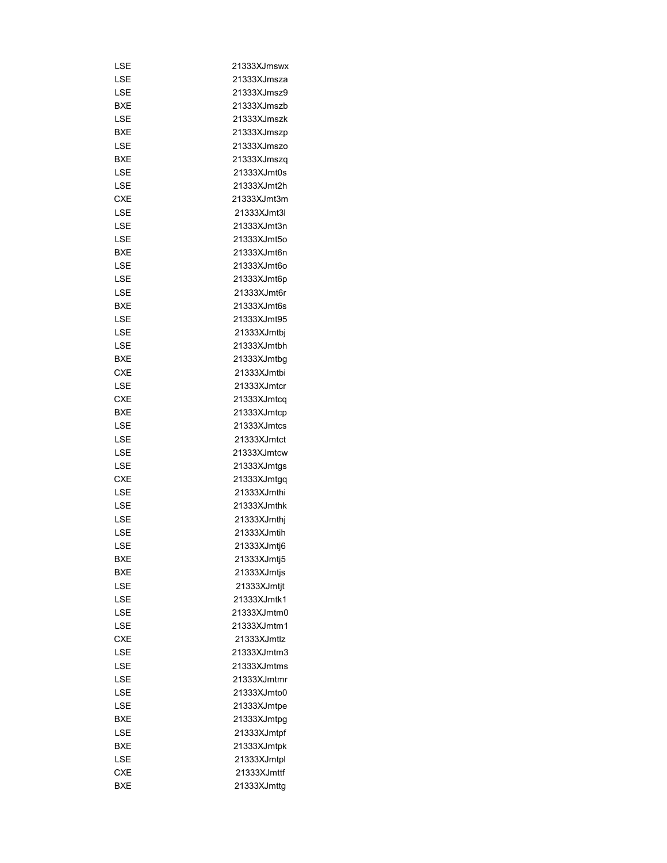| LSE        | 21333XJmswx |
|------------|-------------|
| LSE        | 21333XJmsza |
| LSE        | 21333XJmsz9 |
| BXE        | 21333XJmszb |
| LSE        | 21333XJmszk |
| BXE        | 21333XJmszp |
| LSE        | 21333XJmszo |
| BXE        | 21333XJmszq |
| LSE        | 21333XJmt0s |
| LSE        | 21333XJmt2h |
| <b>CXE</b> | 21333XJmt3m |
| LSE        | 21333XJmt3l |
| LSE        | 21333XJmt3n |
| LSE        | 21333XJmt5o |
| BXE        | 21333XJmt6n |
| LSE        | 21333XJmt6o |
| LSE        | 21333XJmt6p |
| LSE        | 21333XJmt6r |
| BXE        | 21333XJmt6s |
| LSE        | 21333XJmt95 |
| LSE        | 21333XJmtbj |
|            | 21333XJmtbh |
| LSE        |             |
| <b>BXE</b> | 21333XJmtbg |
| CXE        | 21333XJmtbi |
| LSE        | 21333XJmtcr |
| CXE        | 21333XJmtcq |
| BXE        | 21333XJmtcp |
| LSE        | 21333XJmtcs |
| LSE        | 21333XJmtct |
| LSE        | 21333XJmtcw |
| LSE        | 21333XJmtgs |
| CXE        | 21333XJmtgq |
| LSE        | 21333XJmthi |
| LSE        | 21333XJmthk |
| LSE        | 21333XJmthj |
| LSE        | 21333XJmtih |
| LSE        | 21333XJmtj6 |
| BXE        | 21333XJmtj5 |
| BXE        | 21333XJmtjs |
| LSE        | 21333XJmtjt |
| LSE        | 21333XJmtk1 |
| LSE        | 21333XJmtm0 |
| LSE        | 21333XJmtm1 |
| CXE        | 21333XJmtlz |
| LSE        | 21333XJmtm3 |
| LSE        | 21333XJmtms |
| LSE        | 21333XJmtmr |
| LSE        | 21333XJmto0 |
| LSE        | 21333XJmtpe |
| BXE        | 21333XJmtpg |
| LSE        | 21333XJmtpf |
| BXE        | 21333XJmtpk |
| LSE        | 21333XJmtpl |
| CXE        | 21333XJmttf |
| BXE        | 21333XJmttg |
|            |             |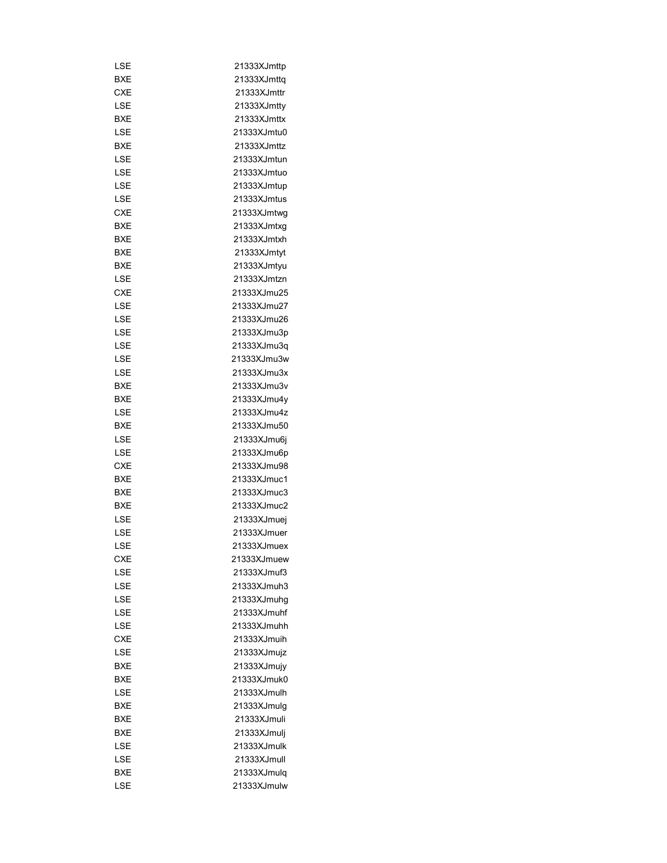| LSE        | 21333XJmttp |
|------------|-------------|
| BXE        | 21333XJmttq |
| <b>CXE</b> | 21333XJmttr |
| LSE        | 21333XJmtty |
| BXE        | 21333XJmttx |
| LSE        | 21333XJmtu0 |
| BXE        | 21333XJmttz |
| LSE        | 21333XJmtun |
| LSE        | 21333XJmtuo |
| LSE        | 21333XJmtup |
| LSE        | 21333XJmtus |
| <b>CXE</b> | 21333XJmtwg |
| BXE        | 21333XJmtxg |
| BXE        | 21333XJmtxh |
| <b>BXE</b> | 21333XJmtyt |
| BXE        | 21333XJmtyu |
| LSE        | 21333XJmtzn |
| <b>CXE</b> | 21333XJmu25 |
| LSE        | 21333XJmu27 |
| LSE        | 21333XJmu26 |
| LSE        | 21333XJmu3p |
| LSE        | 21333XJmu3q |
| LSE        | 21333XJmu3w |
| LSE        | 21333XJmu3x |
| <b>BXE</b> | 21333XJmu3v |
| BXE        | 21333XJmu4y |
|            | 21333XJmu4z |
| LSE<br>BXE | 21333XJmu50 |
|            |             |
| LSE        | 21333XJmu6j |
| LSE        | 21333XJmu6p |
| CXE        | 21333XJmu98 |
| BXE        | 21333XJmuc1 |
| <b>BXE</b> | 21333XJmuc3 |
| BXE        | 21333XJmuc2 |
| LSE        | 21333XJmuej |
| LSE        | 21333XJmuer |
| LSE        | 21333XJmuex |
| CXE        | 21333XJmuew |
| LSE        | 21333XJmuf3 |
| LSE        | 21333XJmuh3 |
| LSE        | 21333XJmuhg |
| LSE        | 21333XJmuhf |
| LSE        | 21333XJmuhh |
| <b>CXE</b> | 21333XJmuih |
| LSE        | 21333XJmujz |
| BXE        | 21333XJmujy |
| BXE        | 21333XJmuk0 |
| LSE        | 21333XJmulh |
| BXE        | 21333XJmulg |
| BXE        | 21333XJmuli |
| BXE        | 21333XJmulj |
| LSE        | 21333XJmulk |
| LSE        | 21333XJmull |
| BXE        | 21333XJmulq |
| LSE        | 21333XJmulw |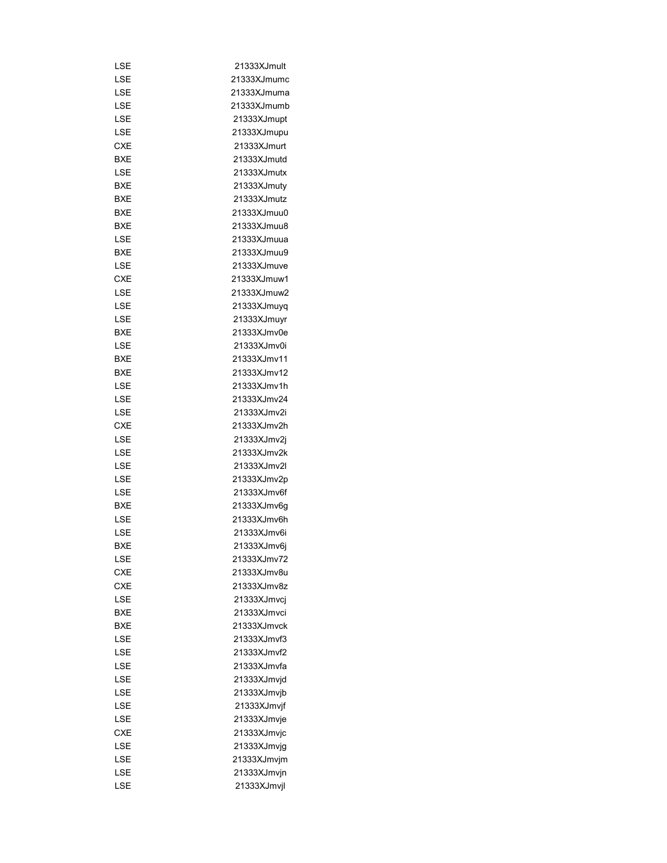| LSE        | 21333XJmult |
|------------|-------------|
| LSE        | 21333XJmumc |
| LSE        | 21333XJmuma |
| LSE        | 21333XJmumb |
| LSE        | 21333XJmupt |
| LSE        | 21333XJmupu |
| <b>CXE</b> | 21333XJmurt |
| BXE        | 21333XJmutd |
| LSE        | 21333XJmutx |
| BXE        | 21333XJmuty |
| BXE        | 21333XJmutz |
| BXE        | 21333XJmuu0 |
| BXE        | 21333XJmuu8 |
| LSE        | 21333XJmuua |
| BXE        | 21333XJmuu9 |
| LSE        | 21333XJmuve |
| CXE        | 21333XJmuw1 |
| LSE        | 21333XJmuw2 |
| LSE        | 21333XJmuyq |
| LSE        | 21333XJmuyr |
| BXE        | 21333XJmv0e |
| LSE        | 21333XJmv0i |
|            |             |
| BXE        | 21333XJmv11 |
| BXE        | 21333XJmv12 |
| LSE        | 21333XJmv1h |
| LSE        | 21333XJmv24 |
| LSE        | 21333XJmv2i |
| <b>CXE</b> | 21333XJmv2h |
| LSE        | 21333XJmv2j |
| LSE        | 21333XJmv2k |
| LSE        | 21333XJmv2l |
| LSE        | 21333XJmv2p |
| LSE        | 21333XJmv6f |
| BXE        | 21333XJmv6g |
| LSE        | 21333XJmv6h |
| LSE        | 21333XJmv6i |
| BXE        | 21333XJmv6i |
| LSE        | 21333XJmv72 |
| <b>CXE</b> | 21333XJmv8u |
| CXE        | 21333XJmv8z |
| LSE        | 21333XJmvci |
| BXE        | 21333XJmvci |
| BXE        | 21333XJmvck |
| LSE        | 21333XJmvf3 |
| LSE        | 21333XJmvf2 |
| LSE        | 21333XJmvfa |
| LSE        | 21333XJmvjd |
| LSE        | 21333XJmvjb |
| LSE        | 21333XJmvjf |
| LSE        | 21333XJmvje |
| CXE        | 21333XJmvjc |
| LSE        | 21333XJmvjg |
| LSE        | 21333XJmvjm |
| LSE        | 21333XJmvjn |
| LSE        | 21333XJmvjl |
|            |             |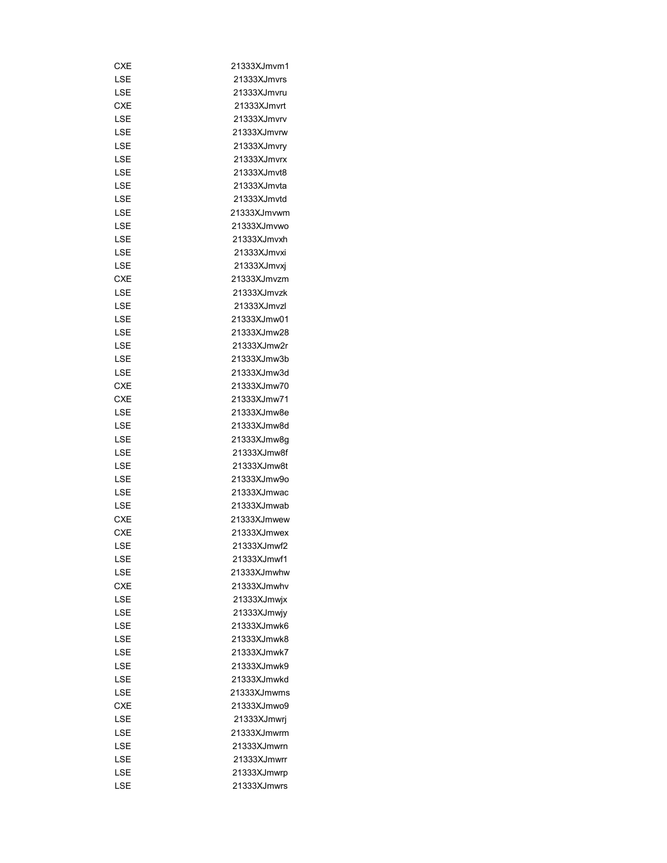| CXE        | 21333XJmvm1 |
|------------|-------------|
| LSE        | 21333XJmvrs |
| LSE        | 21333XJmvru |
| CXE        | 21333XJmvrt |
| LSE        | 21333XJmvrv |
| LSE        | 21333XJmvrw |
| LSE        | 21333XJmvry |
| LSE        | 21333XJmvrx |
| LSE        | 21333XJmvt8 |
| LSE        | 21333XJmvta |
| LSE        | 21333XJmvtd |
| LSE        | 21333XJmvwm |
| LSE        | 21333XJmvwo |
| LSE        | 21333XJmvxh |
| LSE        | 21333XJmvxi |
| LSE        | 21333XJmvxj |
| <b>CXE</b> | 21333XJmvzm |
| LSE        | 21333XJmvzk |
| LSE        | 21333XJmvzl |
| LSE        | 21333XJmw01 |
|            |             |
| LSE        | 21333XJmw28 |
| LSE        | 21333XJmw2r |
| LSE        | 21333XJmw3b |
| LSE        | 21333XJmw3d |
| <b>CXE</b> | 21333XJmw70 |
| <b>CXE</b> | 21333XJmw71 |
| LSE        | 21333XJmw8e |
| LSE        | 21333XJmw8d |
| LSE        | 21333XJmw8g |
| LSE        | 21333XJmw8f |
| LSE        | 21333XJmw8t |
| LSE        | 21333XJmw9o |
| LSE        | 21333XJmwac |
| LSE        | 21333XJmwab |
| <b>CXE</b> | 21333XJmwew |
| <b>CXE</b> | 21333XJmwex |
| LSE        | 21333XJmwf2 |
| LSE        | 21333XJmwf1 |
| LSE        | 21333XJmwhw |
| <b>CXE</b> | 21333XJmwhv |
| LSE        | 21333XJmwjx |
| LSE        | 21333XJmwjy |
| LSE        | 21333XJmwk6 |
| LSE        | 21333XJmwk8 |
| LSE        | 21333XJmwk7 |
| LSE        | 21333XJmwk9 |
| LSE        | 21333XJmwkd |
| LSE        | 21333XJmwms |
| <b>CXE</b> | 21333XJmwo9 |
| LSE        | 21333XJmwrj |
| LSE        | 21333XJmwrm |
|            |             |
| LSE        | 21333XJmwrn |
| LSE        | 21333XJmwrr |
| LSE        | 21333XJmwrp |
| LSE        | 21333XJmwrs |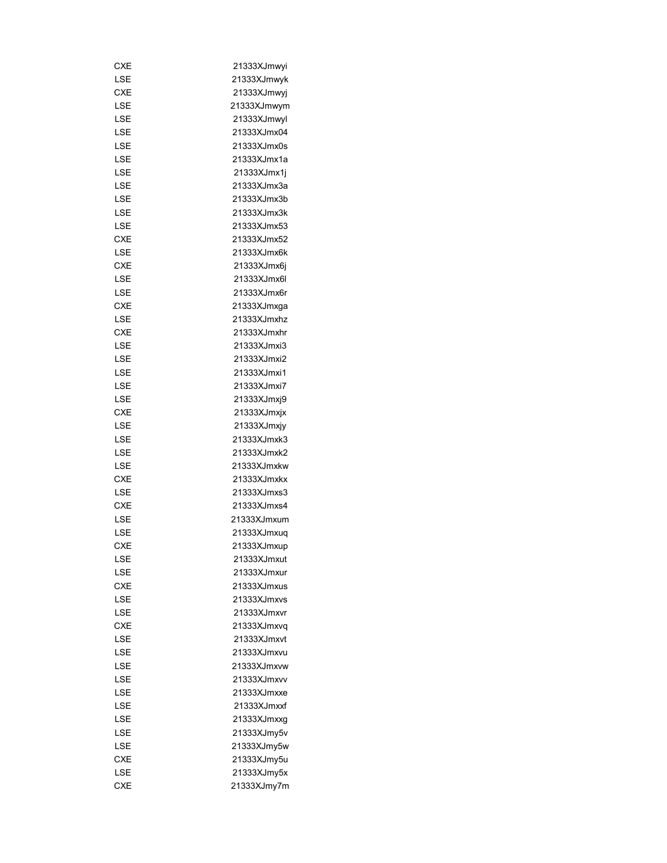| CXE        | 21333XJmwyi |
|------------|-------------|
| LSE        | 21333XJmwyk |
| CXE        | 21333XJmwyi |
| LSE        | 21333XJmwym |
| LSE        | 21333XJmwyl |
| LSE        | 21333XJmx04 |
| LSE        | 21333XJmx0s |
| LSE        | 21333XJmx1a |
| LSE        | 21333XJmx1j |
| LSE        | 21333XJmx3a |
| LSE        | 21333XJmx3b |
| LSE        | 21333XJmx3k |
| LSE        | 21333XJmx53 |
| <b>CXE</b> | 21333XJmx52 |
| LSE        | 21333XJmx6k |
| CXE        | 21333XJmx6j |
| LSE        | 21333XJmx6l |
| LSE        | 21333XJmx6r |
| CXE        | 21333XJmxga |
| LSE        | 21333XJmxhz |
|            |             |
| <b>CXE</b> | 21333XJmxhr |
| LSE        | 21333XJmxi3 |
| LSE        | 21333XJmxi2 |
| LSE        | 21333XJmxi1 |
| LSE        | 21333XJmxi7 |
| LSE        | 21333XJmxj9 |
| CXE        | 21333XJmxjx |
| LSE        | 21333XJmxjy |
| LSE        | 21333XJmxk3 |
| LSE        | 21333XJmxk2 |
| LSE        | 21333XJmxkw |
| <b>CXE</b> | 21333XJmxkx |
| LSE        | 21333XJmxs3 |
| <b>CXE</b> | 21333XJmxs4 |
| LSE        | 21333XJmxum |
| LSE        | 21333XJmxuq |
| CXE        | 21333XJmxup |
| LSE        | 21333XJmxut |
| LSE        | 21333XJmxur |
| CXE        | 21333XJmxus |
| LSE        | 21333XJmxvs |
| LSE        | 21333XJmxvr |
| CXE        | 21333XJmxva |
| LSE        | 21333XJmxvt |
| LSE        | 21333XJmxvu |
| LSE        | 21333XJmxvw |
| LSE        | 21333XJmxvv |
| LSE        | 21333XJmxxe |
| LSE        | 21333XJmxxf |
| LSE        | 21333XJmxxg |
| LSE        | 21333XJmy5v |
| LSE        | 21333XJmy5w |
| CXE        |             |
|            | 21333XJmy5u |
| LSE        | 21333XJmy5x |
| CXE        | 21333XJmy7m |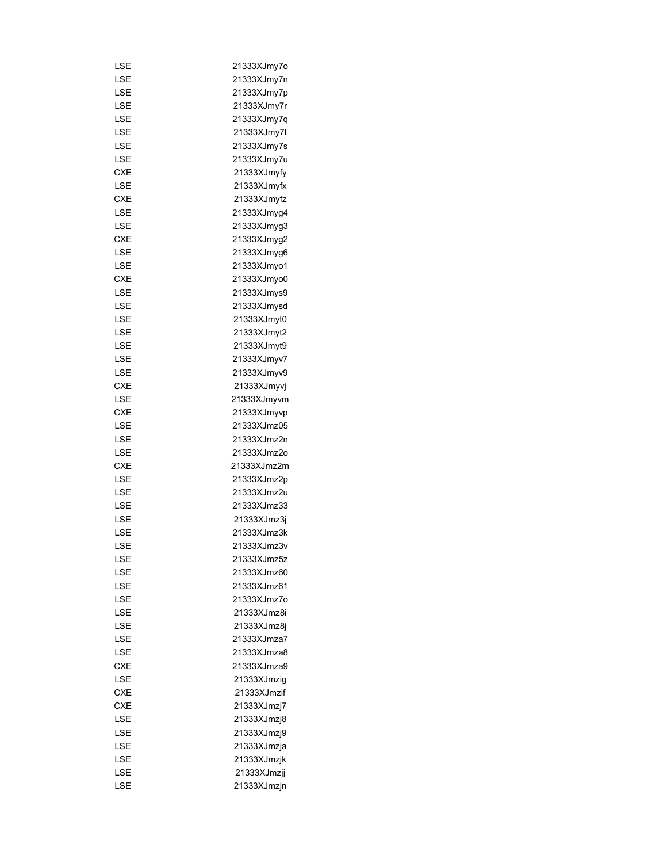| LSE        | 21333XJmy7o |
|------------|-------------|
| LSE        | 21333XJmy7n |
| LSE        | 21333XJmy7p |
| LSE        | 21333XJmy7r |
| LSE        | 21333XJmy7q |
| LSE        | 21333XJmy7t |
| LSE        | 21333XJmy7s |
| LSE        | 21333XJmy7u |
| <b>CXE</b> | 21333XJmyfy |
| LSE        | 21333XJmyfx |
| <b>CXE</b> | 21333XJmyfz |
| LSE        | 21333XJmyg4 |
| LSE        | 21333XJmyg3 |
| <b>CXE</b> | 21333XJmyg2 |
| LSE        | 21333XJmyg6 |
| LSE        | 21333XJmyo1 |
| <b>CXE</b> | 21333XJmyo0 |
| LSE        | 21333XJmys9 |
| LSE        | 21333XJmysd |
| LSE        | 21333XJmyt0 |
| LSE        | 21333XJmyt2 |
| LSE        | 21333XJmyt9 |
|            |             |
| LSE        | 21333XJmyv7 |
| LSE        | 21333XJmyv9 |
| CXE        | 21333XJmyvj |
| LSE        | 21333XJmyvm |
| <b>CXE</b> | 21333XJmyvp |
| LSE        | 21333XJmz05 |
| LSE        | 21333XJmz2n |
| LSE        | 21333XJmz2o |
| CXE        | 21333XJmz2m |
| LSE        | 21333XJmz2p |
| LSE        | 21333XJmz2u |
| LSE        | 21333XJmz33 |
| LSE        | 21333XJmz3j |
| LSE        | 21333XJmz3k |
| LSE        | 21333XJmz3v |
| LSE        | 21333XJmz5z |
| LSE        | 21333XJmz60 |
| LSE        | 21333XJmz61 |
| LSE        | 21333XJmz7o |
| LSE        | 21333XJmz8i |
| LSE        | 21333XJmz8j |
| LSE        | 21333XJmza7 |
| LSE        | 21333XJmza8 |
| <b>CXE</b> | 21333XJmza9 |
| LSE        | 21333XJmzig |
| <b>CXE</b> | 21333XJmzif |
| <b>CXE</b> | 21333XJmzj7 |
| LSE        | 21333XJmzj8 |
| LSE        | 21333XJmzj9 |
| LSE        | 21333XJmzja |
| LSE        | 21333XJmzjk |
| LSE        | 21333XJmzjj |
| LSE        | 21333XJmzjn |
|            |             |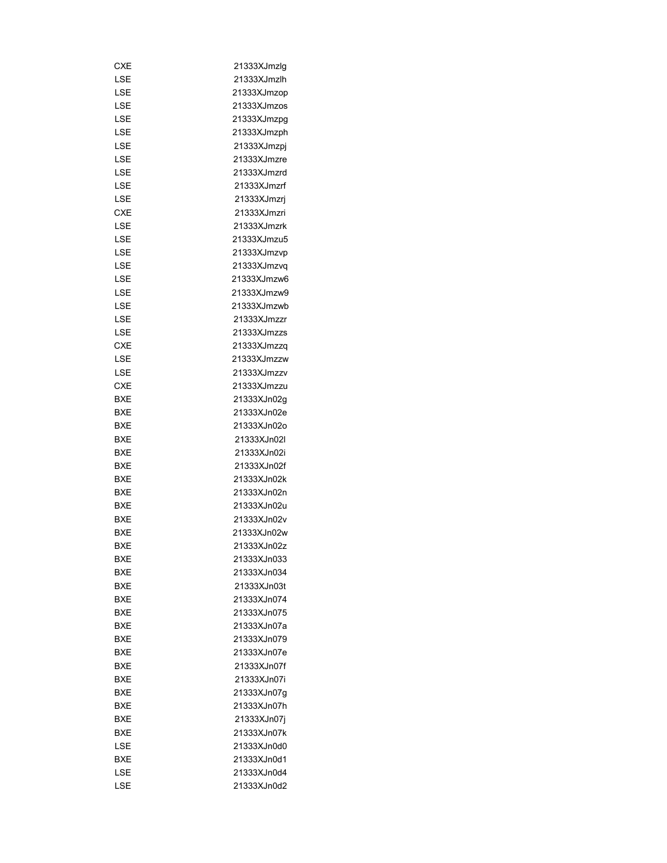| CXE        | 21333XJmzlg |
|------------|-------------|
| LSE        | 21333XJmzlh |
| LSE        | 21333XJmzop |
| LSE        | 21333XJmzos |
| LSE        | 21333XJmzpg |
| LSE        | 21333XJmzph |
| LSE        | 21333XJmzpj |
| LSE        | 21333XJmzre |
| LSE        | 21333XJmzrd |
| LSE        | 21333XJmzrf |
| LSE        | 21333XJmzrj |
| <b>CXE</b> | 21333XJmzri |
| LSE        | 21333XJmzrk |
| LSE        | 21333XJmzu5 |
| LSE        | 21333XJmzvp |
| LSE        | 21333XJmzvq |
| LSE        | 21333XJmzw6 |
| LSE        | 21333XJmzw9 |
| LSE        | 21333XJmzwb |
| LSE        | 21333XJmzzr |
| LSE        | 21333XJmzzs |
| <b>CXE</b> | 21333XJmzzq |
| LSE        | 21333XJmzzw |
| LSE        | 21333XJmzzv |
| CXE        | 21333XJmzzu |
|            |             |
| BXE        | 21333XJn02g |
| BXE        | 21333XJn02e |
| BXE        | 21333XJn02o |
| BXE        | 21333XJn02l |
| BXE        | 21333XJn02i |
| BXE        | 21333XJn02f |
| BXE        | 21333XJn02k |
| <b>BXE</b> | 21333XJn02n |
| <b>BXE</b> | 21333XJn02u |
| BXE        | 21333XJn02v |
| <b>BXE</b> | 21333XJn02w |
| <b>BXE</b> | 21333XJn02z |
| BXE        | 21333XJn033 |
| BXE        | 21333XJn034 |
| BXE        | 21333XJn03t |
| BXE        | 21333XJn074 |
| BXE        | 21333XJn075 |
| BXE        | 21333XJn07a |
| BXE        | 21333XJn079 |
| BXE        | 21333XJn07e |
| BXE        | 21333XJn07f |
| BXE        | 21333XJn07i |
| BXE        | 21333XJn07g |
| BXE        | 21333XJn07h |
| BXE        | 21333XJn07j |
| BXE        | 21333XJn07k |
| LSE        | 21333XJn0d0 |
| <b>BXE</b> | 21333XJn0d1 |
| LSE        | 21333XJn0d4 |
| LSE        | 21333XJn0d2 |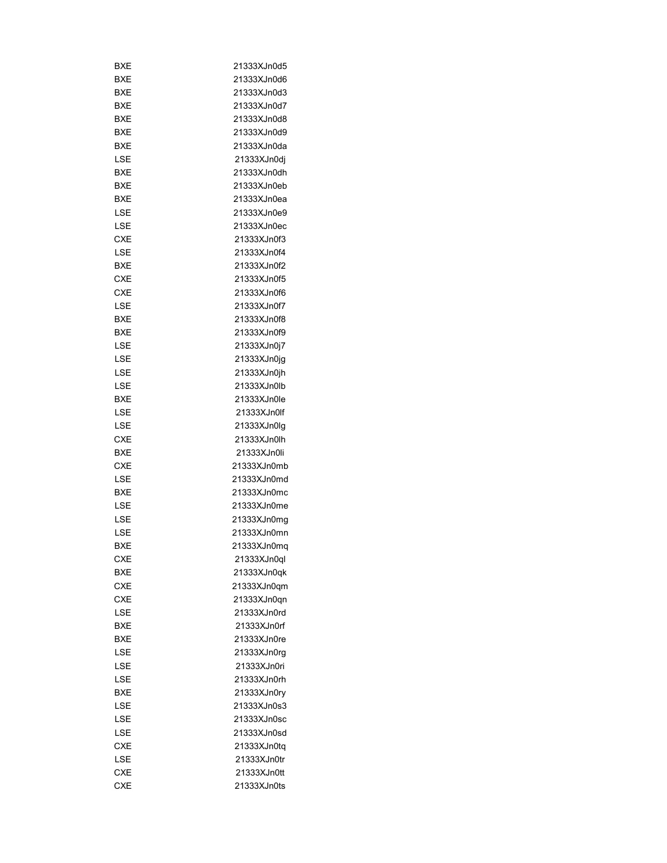| BXE        | 21333XJn0d5 |
|------------|-------------|
| BXE        | 21333XJn0d6 |
| BXE        | 21333XJn0d3 |
| BXE        | 21333XJn0d7 |
| BXE        | 21333XJn0d8 |
| BXE        | 21333XJn0d9 |
| BXE        | 21333XJn0da |
| LSE        | 21333XJn0dj |
| BXE        | 21333XJn0dh |
| BXE        | 21333XJn0eb |
| <b>BXE</b> | 21333XJn0ea |
| LSE        | 21333XJn0e9 |
| LSE        | 21333XJn0ec |
| <b>CXE</b> | 21333XJn0f3 |
| LSE        | 21333XJn0f4 |
| BXE        | 21333XJn0f2 |
| CXE        | 21333XJn0f5 |
| CXE        | 21333XJn0f6 |
| LSE        | 21333XJn0f7 |
| BXE        | 21333XJn0f8 |
| BXE        | 21333XJn0f9 |
| LSE        | 21333XJn0j7 |
| LSE        | 21333XJn0jg |
|            |             |
| LSE        | 21333XJn0jh |
| LSE        | 21333XJn0lb |
| BXE        | 21333XJn0le |
| LSE        | 21333XJn0lf |
| LSE        | 21333XJn0lg |
| CXE        | 21333XJn0lh |
| BXE        | 21333XJn0li |
| CXE        | 21333XJn0mb |
| LSE        | 21333XJn0md |
| BXE        | 21333XJn0mc |
| LSE        | 21333XJn0me |
| LSE        | 21333XJn0mq |
| LSE        | 21333XJn0mn |
| BXE        | 21333XJn0mq |
| <b>CXE</b> | 21333XJn0ql |
| <b>BXE</b> | 21333XJn0qk |
| <b>CXE</b> | 21333XJn0qm |
| <b>CXE</b> | 21333XJn0qn |
| LSE        | 21333XJn0rd |
| BXE        | 21333XJn0rf |
| BXE        | 21333XJn0re |
| LSE        | 21333XJn0rg |
| LSE        | 21333XJn0ri |
| LSE        | 21333XJn0rh |
| BXE        | 21333XJn0ry |
| LSE        | 21333XJn0s3 |
| LSE        | 21333XJn0sc |
| LSE        | 21333XJn0sd |
| CXE        | 21333XJn0tq |
| LSE        | 21333XJn0tr |
| CXE        | 21333XJn0tt |
| <b>CXE</b> | 21333XJn0ts |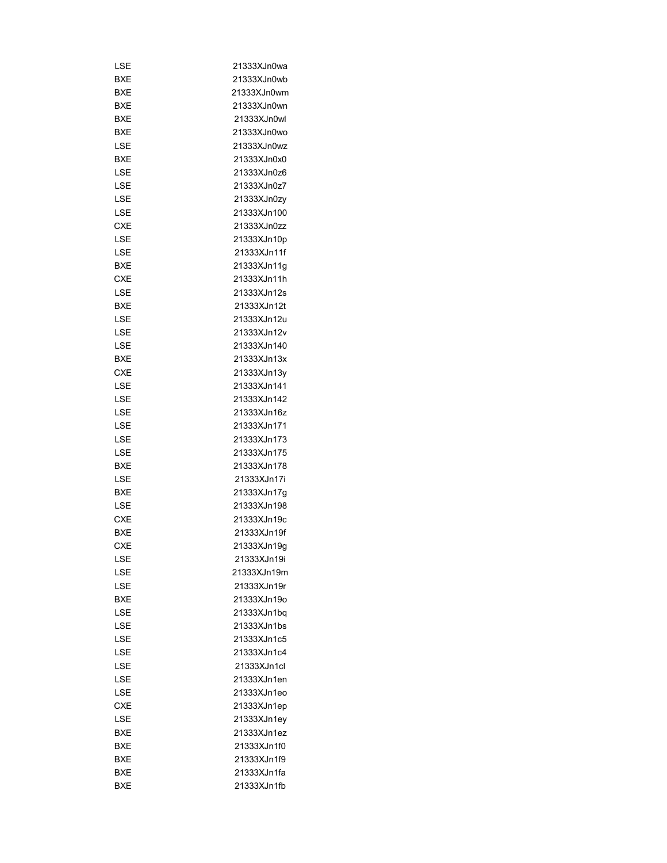| LSE        | 21333XJn0wa |
|------------|-------------|
| <b>BXE</b> | 21333XJn0wb |
| BXE        | 21333XJn0wm |
| BXE        | 21333XJn0wn |
| <b>BXE</b> | 21333XJn0wl |
| BXE        | 21333XJn0wo |
| LSE        | 21333XJn0wz |
| BXE        | 21333XJn0x0 |
| LSE        | 21333XJn0z6 |
| LSE        | 21333XJn0z7 |
| LSE        | 21333XJn0zy |
| LSE        | 21333XJn100 |
| <b>CXE</b> | 21333XJn0zz |
| LSE        | 21333XJn10p |
| LSE        | 21333XJn11f |
| BXE        | 21333XJn11g |
| CXE        | 21333XJn11h |
| LSE        | 21333XJn12s |
| BXE        | 21333XJn12t |
| LSE        | 21333XJn12u |
| LSE        | 21333XJn12v |
| LSE        | 21333XJn140 |
| BXE        | 21333XJn13x |
| CXE        | 21333XJn13y |
|            | 21333XJn141 |
| LSE        |             |
| LSE        | 21333XJn142 |
| LSE        | 21333XJn16z |
| LSE        | 21333XJn171 |
| LSE        | 21333XJn173 |
| LSE        | 21333XJn175 |
| BXE        | 21333XJn178 |
| LSE        | 21333XJn17i |
| <b>BXE</b> | 21333XJn17q |
| LSE        | 21333XJn198 |
| CXE        | 21333XJn19c |
| <b>BXE</b> | 21333XJn19f |
| <b>CXE</b> | 21333XJn19q |
| LSE        | 21333XJn19i |
| LSE        | 21333XJn19m |
| LSE        | 21333XJn19r |
| <b>BXE</b> | 21333XJn19o |
| LSE        | 21333XJn1bq |
| LSE        | 21333XJn1bs |
| LSE        | 21333XJn1c5 |
| LSE        | 21333XJn1c4 |
| LSE        | 21333XJn1cl |
| LSE        | 21333XJn1en |
| LSE        | 21333XJn1eo |
| CXE        | 21333XJn1ep |
| LSE        | 21333XJn1ey |
| BXE        | 21333XJn1ez |
| BXE        | 21333XJn1f0 |
| BXE        | 21333XJn1f9 |
| <b>BXE</b> | 21333XJn1fa |
| BXE        | 21333XJn1fb |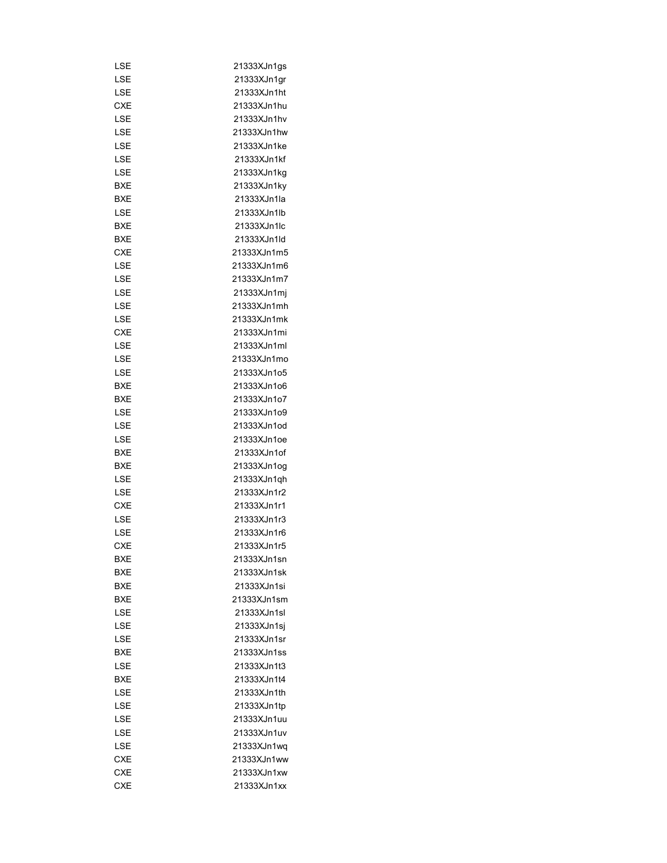| LSE        | 21333XJn1gs |
|------------|-------------|
| LSE        | 21333XJn1gr |
| LSE        | 21333XJn1ht |
| CXE        | 21333XJn1hu |
| LSE        | 21333XJn1hv |
| LSE        | 21333XJn1hw |
| LSE        | 21333XJn1ke |
| LSE        | 21333XJn1kf |
| LSE        | 21333XJn1kg |
|            |             |
| <b>BXE</b> | 21333XJn1ky |
| BXE        | 21333XJn1la |
| LSE        | 21333XJn1lb |
| BXE        | 21333XJn1lc |
| BXE        | 21333XJn1ld |
| CXE        | 21333XJn1m5 |
| LSE        | 21333XJn1m6 |
| LSE        | 21333XJn1m7 |
| LSE        | 21333XJn1mj |
| LSE        | 21333XJn1mh |
| LSE        | 21333XJn1mk |
| CXE        | 21333XJn1mi |
| LSE        | 21333XJn1ml |
| LSE        | 21333XJn1mo |
| LSE        | 21333XJn1o5 |
| BXE        | 21333XJn1o6 |
| BXE        | 21333XJn1o7 |
| LSE        | 21333XJn1o9 |
| LSE        | 21333XJn1od |
| LSE        | 21333XJn1oe |
| BXE        | 21333XJn1of |
| BXE        | 21333XJn1og |
| LSE        | 21333XJn1qh |
| LSE        | 21333XJn1r2 |
| <b>CXE</b> | 21333XJn1r1 |
| LSE        | 21333XJn1r3 |
| LSE        | 21333XJn1r6 |
| <b>CXE</b> | 21333XJn1r5 |
| BXE        | 21333XJn1sn |
| BXE        | 21333XJn1sk |
| BXE        | 21333XJn1si |
| BXE        | 21333XJn1sm |
| LSE        | 21333XJn1sl |
| LSE        | 21333XJn1sj |
| LSE        | 21333XJn1sr |
| BXE        | 21333XJn1ss |
|            | 21333XJn1t3 |
| LSE<br>BXE | 21333XJn1t4 |
|            |             |
| LSE        | 21333XJn1th |
| LSE        | 21333XJn1tp |
| LSE        | 21333XJn1uu |
| LSE        | 21333XJn1uv |
| LSE        | 21333XJn1wq |
| CXE        | 21333XJn1ww |
| <b>CXE</b> | 21333XJn1xw |
| <b>CXE</b> | 21333XJn1xx |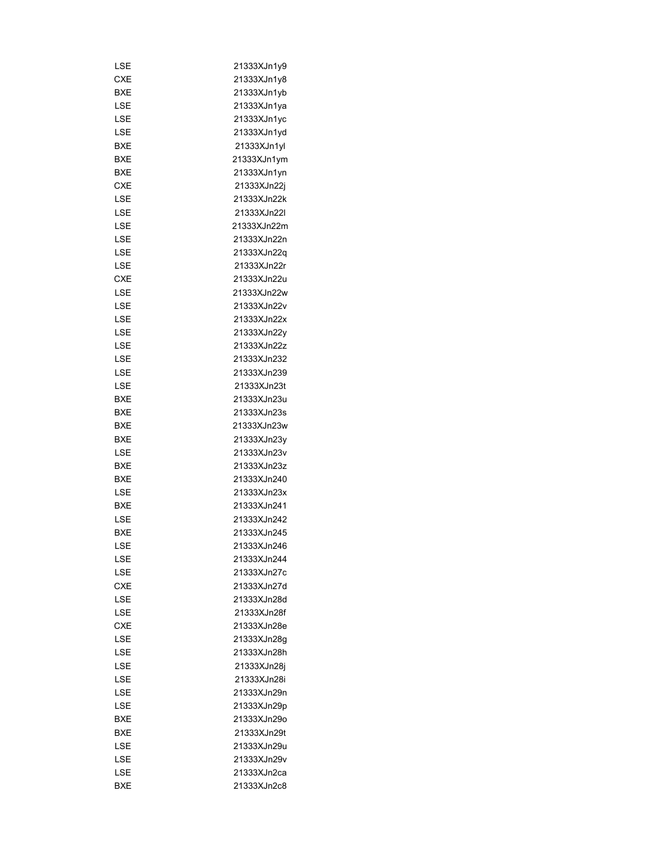| LSE        | 21333XJn1y9 |
|------------|-------------|
| CXE        | 21333XJn1y8 |
| BXE        | 21333XJn1yb |
| LSE        | 21333XJn1ya |
| LSE        | 21333XJn1yc |
| LSE        | 21333XJn1yd |
| BXE        | 21333XJn1yl |
| BXE        | 21333XJn1ym |
| BXE        | 21333XJn1yn |
| <b>CXE</b> | 21333XJn22j |
| LSE        | 21333XJn22k |
| LSE        | 21333XJn22l |
| LSE        | 21333XJn22m |
| LSE        | 21333XJn22n |
| LSE        | 21333XJn22q |
| LSE        | 21333XJn22r |
| <b>CXE</b> | 21333XJn22u |
| LSE        | 21333XJn22w |
| LSE        | 21333XJn22v |
| LSE        | 21333XJn22x |
| LSE        | 21333XJn22y |
|            | 21333XJn22z |
| LSE        | 21333XJn232 |
| LSE        |             |
| LSE        | 21333XJn239 |
| LSE        | 21333XJn23t |
| BXE        | 21333XJn23u |
| BXE        | 21333XJn23s |
| BXE        | 21333XJn23w |
| BXE        | 21333XJn23y |
| LSE        | 21333XJn23v |
| BXE        | 21333XJn23z |
| BXE        | 21333XJn240 |
| LSE        | 21333XJn23x |
| <b>BXE</b> | 21333XJn241 |
| LSE        | 21333XJn242 |
| BXE        | 21333XJn245 |
| LSE        | 21333XJn246 |
| LSE        | 21333XJn244 |
| LSE        | 21333XJn27c |
| <b>CXE</b> | 21333XJn27d |
| LSE        | 21333XJn28d |
| LSE        | 21333XJn28f |
| <b>CXE</b> | 21333XJn28e |
| LSE        | 21333XJn28q |
| LSE        | 21333XJn28h |
| LSE        | 21333XJn28i |
| LSE        | 21333XJn28i |
| LSE        | 21333XJn29n |
| LSE        | 21333XJn29p |
| BXE        | 21333XJn29o |
| BXE        | 21333XJn29t |
| LSE        | 21333XJn29u |
| LSE        | 21333XJn29v |
| LSE        | 21333XJn2ca |
| <b>BXE</b> | 21333XJn2c8 |
|            |             |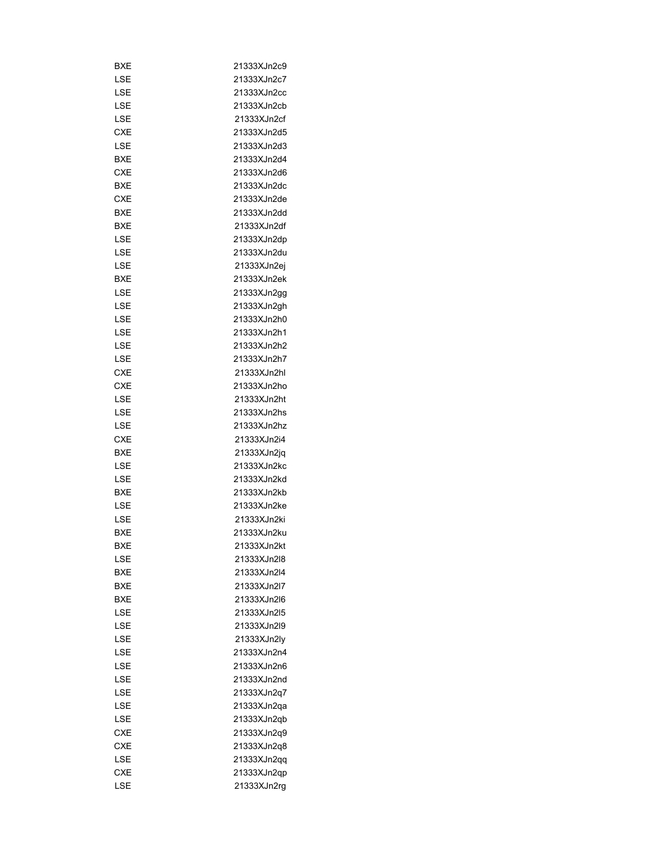| BXE        | 21333XJn2c9 |
|------------|-------------|
| LSE        | 21333XJn2c7 |
| LSE        | 21333XJn2cc |
| LSE        | 21333XJn2cb |
| LSE        | 21333XJn2cf |
| <b>CXE</b> | 21333XJn2d5 |
| LSE        | 21333XJn2d3 |
| <b>BXE</b> | 21333XJn2d4 |
| CXE        | 21333XJn2d6 |
| BXE        | 21333XJn2dc |
| <b>CXE</b> | 21333XJn2de |
| BXE        | 21333XJn2dd |
| BXE        | 21333XJn2df |
| LSE        | 21333XJn2dp |
| LSE        | 21333XJn2du |
| LSE        | 21333XJn2ej |
| BXE        | 21333XJn2ek |
| LSE        | 21333XJn2gg |
| LSE        | 21333XJn2gh |
| LSE        | 21333XJn2h0 |
| LSE        | 21333XJn2h1 |
| LSE        | 21333XJn2h2 |
| LSE        | 21333XJn2h7 |
| CXE        | 21333XJn2hl |
| CXE        | 21333XJn2ho |
|            |             |
| LSE        | 21333XJn2ht |
| LSE        | 21333XJn2hs |
| LSE        | 21333XJn2hz |
| <b>CXE</b> | 21333XJn2i4 |
| BXE        | 21333XJn2jq |
| LSE        | 21333XJn2kc |
| LSE        | 21333XJn2kd |
| <b>BXE</b> | 21333XJn2kb |
| LSE        | 21333XJn2ke |
| LSE        | 21333XJn2ki |
| <b>BXE</b> | 21333XJn2ku |
| BXE        | 21333XJn2kt |
| LSE        | 21333XJn2l8 |
| BXE        | 21333XJn2l4 |
| BXE        | 21333XJn2l7 |
| BXE        | 21333XJn2l6 |
| LSE        | 21333XJn2l5 |
| LSE        | 21333XJn2l9 |
| LSE        | 21333XJn2ly |
| LSE        | 21333XJn2n4 |
| LSE        | 21333XJn2n6 |
| LSE        | 21333XJn2nd |
| LSE        | 21333XJn2q7 |
| LSE        | 21333XJn2qa |
| LSE        | 21333XJn2qb |
| <b>CXE</b> | 21333XJn2q9 |
| CXE        | 21333XJn2q8 |
| LSE        | 21333XJn2qq |
| CXE        | 21333XJn2qp |
| LSE        | 21333XJn2rg |
|            |             |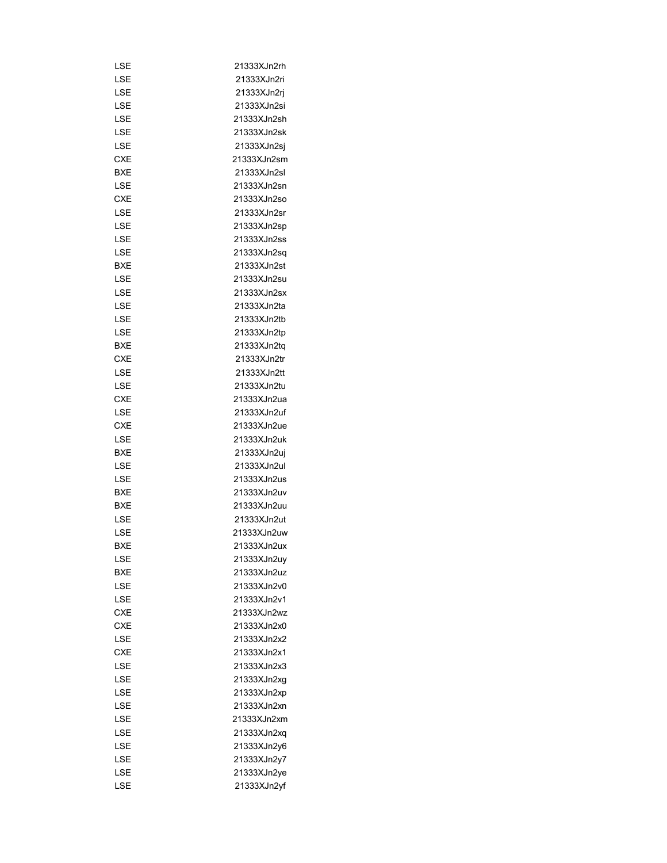| LSE        | 21333XJn2rh |
|------------|-------------|
| LSE        | 21333XJn2ri |
| LSE        | 21333XJn2rj |
| LSE        | 21333XJn2si |
| LSE        | 21333XJn2sh |
| LSE        | 21333XJn2sk |
| LSE        | 21333XJn2sj |
| CXE        | 21333XJn2sm |
| BXE        | 21333XJn2sl |
| LSE        | 21333XJn2sn |
| <b>CXE</b> | 21333XJn2so |
| LSE        | 21333XJn2sr |
| LSE        | 21333XJn2sp |
| LSE        | 21333XJn2ss |
| LSE        | 21333XJn2sq |
|            |             |
| <b>BXE</b> | 21333XJn2st |
| LSE        | 21333XJn2su |
| LSE        | 21333XJn2sx |
| LSE        | 21333XJn2ta |
| LSE        | 21333XJn2tb |
| LSE        | 21333XJn2tp |
| <b>BXE</b> | 21333XJn2tq |
| <b>CXE</b> | 21333XJn2tr |
| LSE        | 21333XJn2tt |
| LSE        | 21333XJn2tu |
| CXE        | 21333XJn2ua |
| LSE        | 21333XJn2uf |
| CXE        | 21333XJn2ue |
| LSE        | 21333XJn2uk |
| BXE        | 21333XJn2uj |
| LSE        | 21333XJn2ul |
| LSE        | 21333XJn2us |
| BXE        | 21333XJn2uv |
| <b>BXE</b> | 21333XJn2uu |
| LSE        | 21333XJn2ut |
| LSE        | 21333XJn2uw |
| BXE        | 21333XJn2ux |
| LSE        | 21333XJn2uy |
| BXE        | 21333XJn2uz |
| LSE        | 21333XJn2v0 |
| LSE        | 21333XJn2v1 |
| <b>CXE</b> | 21333XJn2wz |
| <b>CXE</b> | 21333XJn2x0 |
| LSE        | 21333XJn2x2 |
| <b>CXE</b> | 21333XJn2x1 |
| LSE        | 21333XJn2x3 |
| LSE        | 21333XJn2xg |
| LSE        | 21333XJn2xp |
| LSE        | 21333XJn2xn |
| LSE        | 21333XJn2xm |
| LSE        | 21333XJn2xq |
| LSE        | 21333XJn2y6 |
| LSE        | 21333XJn2y7 |
| LSE        | 21333XJn2ye |
| LSE        | 21333XJn2yf |
|            |             |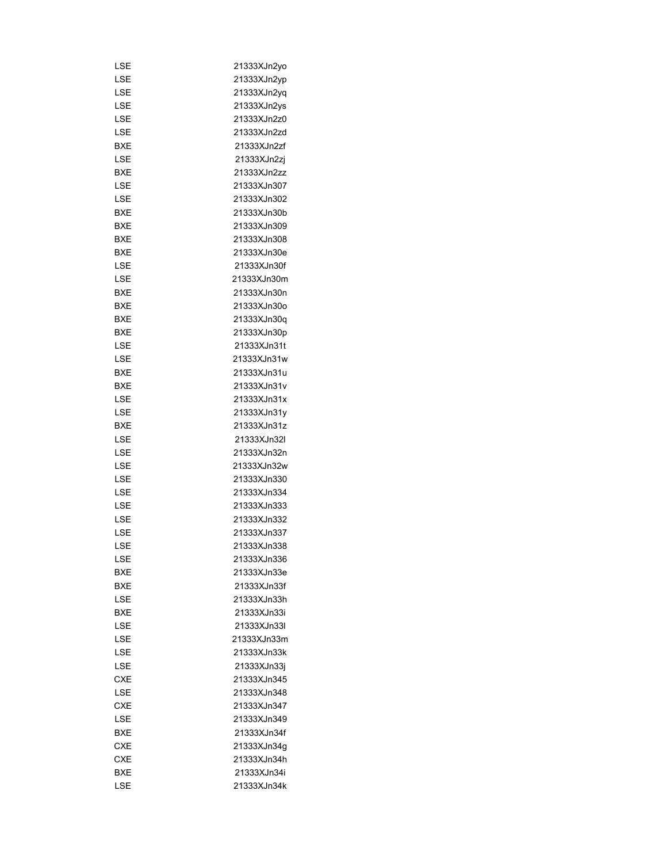| LSE        | 21333XJn2yo |
|------------|-------------|
| LSE        | 21333XJn2yp |
| LSE        | 21333XJn2yq |
| LSE        | 21333XJn2ys |
| LSE        | 21333XJn2z0 |
| LSE        | 21333XJn2zd |
| BXE        | 21333XJn2zf |
| LSE        | 21333XJn2zj |
| <b>BXE</b> | 21333XJn2zz |
| LSE        | 21333XJn307 |
| LSE        | 21333XJn302 |
| BXE        | 21333XJn30b |
| BXE        | 21333XJn309 |
| BXE        | 21333XJn308 |
| BXE        | 21333XJn30e |
| LSE        | 21333XJn30f |
| LSE        | 21333XJn30m |
| BXE        | 21333XJn30n |
| BXE        | 21333XJn30o |
| BXE        | 21333XJn30q |
| BXE        | 21333XJn30p |
| LSE        | 21333XJn31t |
|            | 21333XJn31w |
| LSE        |             |
| BXE        | 21333XJn31u |
| BXE        | 21333XJn31v |
| LSE        | 21333XJn31x |
| LSE        | 21333XJn31y |
| BXE        | 21333XJn31z |
| LSE        | 21333XJn32l |
| LSE        | 21333XJn32n |
| LSE        | 21333XJn32w |
| LSE        | 21333XJn330 |
| LSE        | 21333XJn334 |
| LSE        | 21333XJn333 |
| LSE        | 21333XJn332 |
| LSE        | 21333XJn337 |
| LSE        | 21333XJn338 |
| LSE        | 21333XJn336 |
| <b>BXE</b> | 21333XJn33e |
| BXE        | 21333XJn33f |
| LSE        | 21333XJn33h |
| <b>BXE</b> | 21333XJn33i |
| LSE        | 21333XJn33I |
| LSE        | 21333XJn33m |
| LSE        | 21333XJn33k |
| LSE        | 21333XJn33j |
| <b>CXE</b> | 21333XJn345 |
| LSE        | 21333XJn348 |
| <b>CXE</b> | 21333XJn347 |
| <b>LSE</b> | 21333XJn349 |
| BXE        | 21333XJn34f |
| <b>CXE</b> | 21333XJn34g |
| CXE        | 21333XJn34h |
| BXE        | 21333XJn34i |
| LSE        | 21333XJn34k |
|            |             |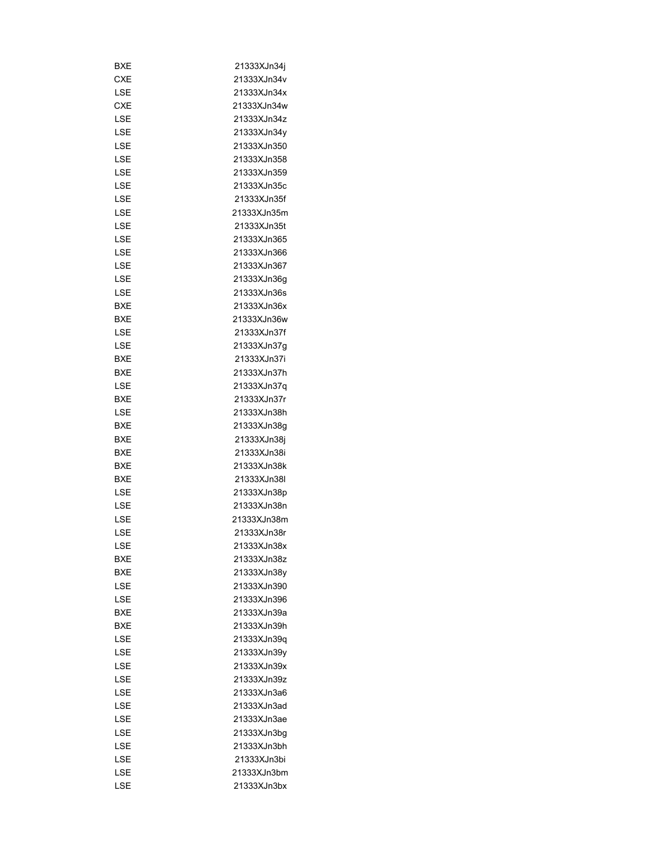| BXE        | 21333XJn34j |
|------------|-------------|
| <b>CXE</b> | 21333XJn34v |
| LSE        | 21333XJn34x |
| <b>CXE</b> | 21333XJn34w |
| LSE        | 21333XJn34z |
| LSE        | 21333XJn34y |
| LSE        | 21333XJn350 |
| LSE        | 21333XJn358 |
| LSE        | 21333XJn359 |
| LSE        | 21333XJn35c |
| LSE        | 21333XJn35f |
| LSE        | 21333XJn35m |
| LSE        | 21333XJn35t |
| LSE        | 21333XJn365 |
| LSE        | 21333XJn366 |
| LSE        | 21333XJn367 |
| LSE        | 21333XJn36g |
| LSE        | 21333XJn36s |
|            |             |
| BXE        | 21333XJn36x |
| BXE        | 21333XJn36w |
| LSE        | 21333XJn37f |
| LSE        | 21333XJn37g |
| BXE        | 21333XJn37i |
| BXE        | 21333XJn37h |
| LSE        | 21333XJn37q |
| BXE        | 21333XJn37r |
| LSE        | 21333XJn38h |
| BXE        | 21333XJn38g |
| <b>BXE</b> | 21333XJn38j |
| BXE        | 21333XJn38i |
| BXE        | 21333XJn38k |
| BXE        | 21333XJn38I |
| LSE        | 21333XJn38p |
| LSE        | 21333XJn38n |
| LSE        | 21333XJn38m |
| LSE        | 21333XJn38r |
| LSE        | 21333XJn38x |
| BXE        | 21333XJn38z |
| BXE        | 21333XJn38y |
| LSE        | 21333XJn390 |
| LSE        | 21333XJn396 |
| BXE        | 21333XJn39a |
| BXE        | 21333XJn39h |
| LSE        | 21333XJn39q |
| LSE        | 21333XJn39v |
| LSE        | 21333XJn39x |
| LSE        | 21333XJn39z |
| LSE        | 21333XJn3a6 |
| LSE        | 21333XJn3ad |
| LSE        | 21333XJn3ae |
| LSE        | 21333XJn3bg |
|            |             |
| LSE        | 21333XJn3bh |
| LSE        | 21333XJn3bi |
| LSE        | 21333XJn3bm |
| LSE        | 21333XJn3bx |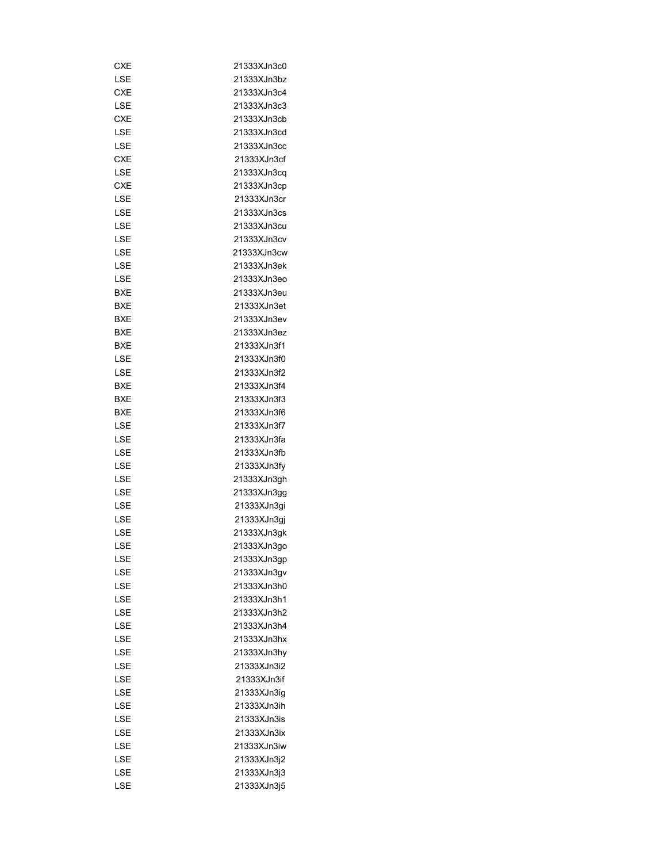| CXE        | 21333XJn3c0 |
|------------|-------------|
| LSE        | 21333XJn3bz |
| CXE        | 21333XJn3c4 |
| LSE        | 21333XJn3c3 |
| CXE        | 21333XJn3cb |
| LSE        | 21333XJn3cd |
| LSE        | 21333XJn3cc |
| <b>CXE</b> | 21333XJn3cf |
| LSE        | 21333XJn3cq |
| CXE        | 21333XJn3cp |
| LSE        | 21333XJn3cr |
| LSE        | 21333XJn3cs |
| LSE        | 21333XJn3cu |
| LSE        | 21333XJn3cv |
| LSE        | 21333XJn3cw |
| LSE        | 21333XJn3ek |
| LSE        | 21333XJn3eo |
| BXE        | 21333XJn3eu |
| BXE        | 21333XJn3et |
| BXE        | 21333XJn3ev |
| BXE        | 21333XJn3ez |
| BXE        | 21333XJn3f1 |
| LSE        | 21333XJn3f0 |
| LSE        | 21333XJn3f2 |
|            | 21333XJn3f4 |
| BXE        |             |
| BXE        | 21333XJn3f3 |
| BXE        | 21333XJn3f6 |
| LSE        | 21333XJn3f7 |
| LSE        | 21333XJn3fa |
| LSE        | 21333XJn3fb |
| LSE        | 21333XJn3fy |
| LSE        | 21333XJn3gh |
| LSE        | 21333XJn3gg |
| LSE        | 21333XJn3qi |
| LSE        | 21333XJn3gj |
| LSE        | 21333XJn3gk |
| LSE        | 21333XJn3go |
| LSE        | 21333XJn3gp |
| LSE        | 21333XJn3gv |
| LSE        | 21333XJn3h0 |
| LSE        | 21333XJn3h1 |
| LSE        | 21333XJn3h2 |
| LSE        | 21333XJn3h4 |
| LSE        | 21333XJn3hx |
| LSE        | 21333XJn3hy |
| LSE        | 21333XJn3i2 |
| LSE        | 21333XJn3if |
| LSE        | 21333XJn3ig |
| LSE        | 21333XJn3ih |
| LSE        | 21333XJn3is |
| LSE        | 21333XJn3ix |
| LSE        | 21333XJn3iw |
| LSE        | 21333XJn3j2 |
| LSE        | 21333XJn3j3 |
| LSE        | 21333XJn3j5 |
|            |             |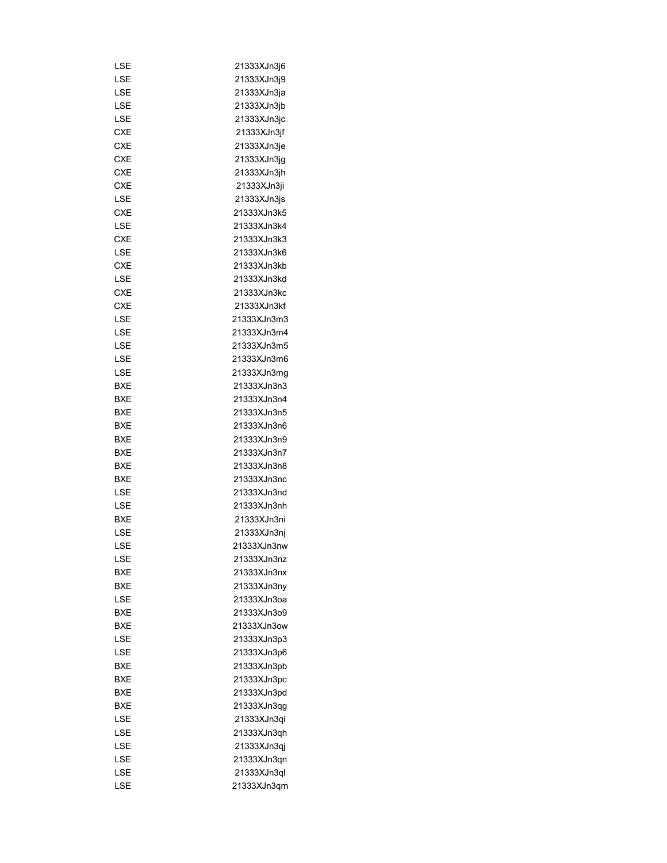| LSE        | 21333XJn3j6 |
|------------|-------------|
| LSE        | 21333XJn3j9 |
| LSE        | 21333XJn3ja |
| LSE        | 21333XJn3jb |
| LSE        | 21333XJn3jc |
| CXE        | 21333XJn3jf |
| CXE        | 21333XJn3je |
| CXE        | 21333XJn3jg |
| CXE        | 21333XJn3jh |
| <b>CXE</b> | 21333XJn3ji |
| LSE        | 21333XJn3js |
| <b>CXE</b> | 21333XJn3k5 |
| LSE        | 21333XJn3k4 |
| CXE        | 21333XJn3k3 |
| LSE        | 21333XJn3k6 |
| CXE        | 21333XJn3kb |
| LSE        | 21333XJn3kd |
| <b>CXE</b> | 21333XJn3kc |
| CXE        | 21333XJn3kf |
| LSE        | 21333XJn3m3 |
| LSE        | 21333XJn3m4 |
| LSE        | 21333XJn3m5 |
|            |             |
| LSE        | 21333XJn3m6 |
| LSE        | 21333XJn3mg |
| BXE        | 21333XJn3n3 |
| BXE        | 21333XJn3n4 |
| BXE        | 21333XJn3n5 |
| BXE        | 21333XJn3n6 |
| BXE        | 21333XJn3n9 |
| BXE        | 21333XJn3n7 |
| BXE        | 21333XJn3n8 |
| BXE        | 21333XJn3nc |
| LSE        | 21333XJn3nd |
| LSE        | 21333XJn3nh |
| BXE        | 21333XJn3ni |
| LSE        | 21333XJn3nj |
| LSE        | 21333XJn3nw |
| LSE        | 21333XJn3nz |
| BXE        | 21333XJn3nx |
| <b>BXE</b> | 21333XJn3ny |
| LSE        | 21333XJn3oa |
| BXE        | 21333XJn3o9 |
| BXE        | 21333XJn3ow |
| LSE        | 21333XJn3p3 |
| LSE        | 21333XJn3p6 |
| <b>BXE</b> | 21333XJn3pb |
| BXE        | 21333XJn3pc |
| BXE        | 21333XJn3pd |
| BXE        | 21333XJn3qg |
| LSE        | 21333XJn3qi |
| LSE        | 21333XJn3qh |
| LSE        | 21333XJn3qj |
| LSE        | 21333XJn3qn |
| LSE        | 21333XJn3ql |
|            |             |
| LSE        | 21333XJn3qm |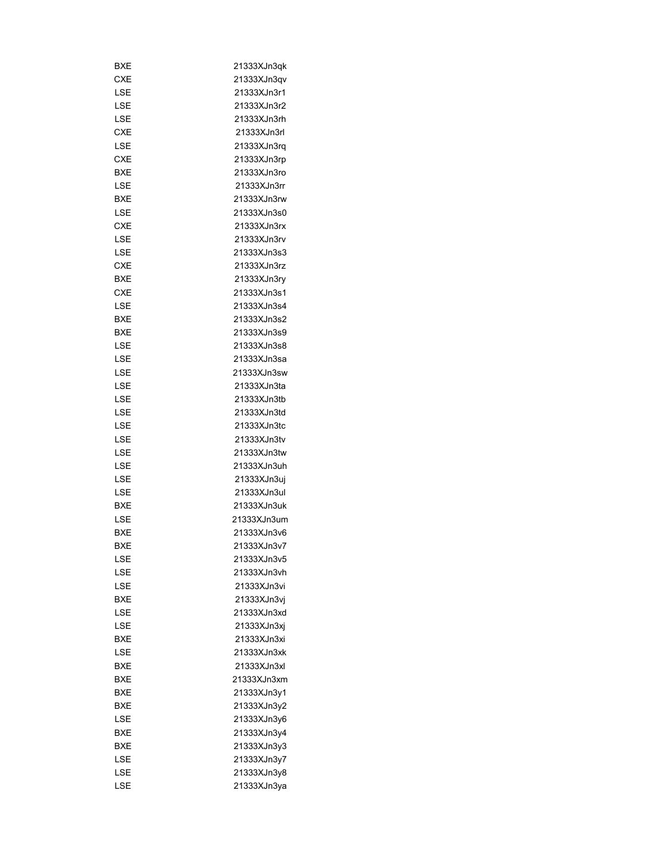| BXE        | 21333XJn3qk |
|------------|-------------|
| CXE        | 21333XJn3qv |
| LSE        | 21333XJn3r1 |
| LSE        | 21333XJn3r2 |
| <b>LSE</b> | 21333XJn3rh |
| <b>CXE</b> | 21333XJn3rl |
| LSE        | 21333XJn3rq |
| CXE        | 21333XJn3rp |
| BXE        | 21333XJn3ro |
| LSE        | 21333XJn3rr |
| <b>BXE</b> | 21333XJn3rw |
| LSE        | 21333XJn3s0 |
| <b>CXE</b> | 21333XJn3rx |
| LSE        | 21333XJn3rv |
| LSE        | 21333XJn3s3 |
| <b>CXE</b> | 21333XJn3rz |
| BXE        | 21333XJn3ry |
| CXE        | 21333XJn3s1 |
| LSE        | 21333XJn3s4 |
| BXE        | 21333XJn3s2 |
| BXE        | 21333XJn3s9 |
| LSE        | 21333XJn3s8 |
| LSE        | 21333XJn3sa |
| LSE        | 21333XJn3sw |
| LSE        | 21333XJn3ta |
|            | 21333XJn3tb |
| LSE        |             |
| LSE        | 21333XJn3td |
| LSE        | 21333XJn3tc |
| LSE        | 21333XJn3tv |
| LSE        | 21333XJn3tw |
| LSE        | 21333XJn3uh |
| LSE        | 21333XJn3uj |
| LSE        | 21333XJn3ul |
| BXE        | 21333XJn3uk |
| LSE        | 21333XJn3um |
| BXE        | 21333XJn3v6 |
| <b>BXE</b> | 21333XJn3v7 |
| LSE        | 21333XJn3v5 |
| LSE        | 21333XJn3vh |
| LSE        | 21333XJn3vi |
| <b>BXE</b> | 21333XJn3vi |
| LSE        | 21333XJn3xd |
| LSE        | 21333XJn3xj |
| <b>BXE</b> | 21333XJn3xi |
| LSE        | 21333XJn3xk |
| BXE        | 21333XJn3xl |
| BXE        | 21333XJn3xm |
| BXE        | 21333XJn3y1 |
| BXE        | 21333XJn3y2 |
| LSE        | 21333XJn3y6 |
| BXE        | 21333XJn3y4 |
| BXE        | 21333XJn3y3 |
| LSE        | 21333XJn3y7 |
| LSE        | 21333XJn3y8 |
| LSE        | 21333XJn3ya |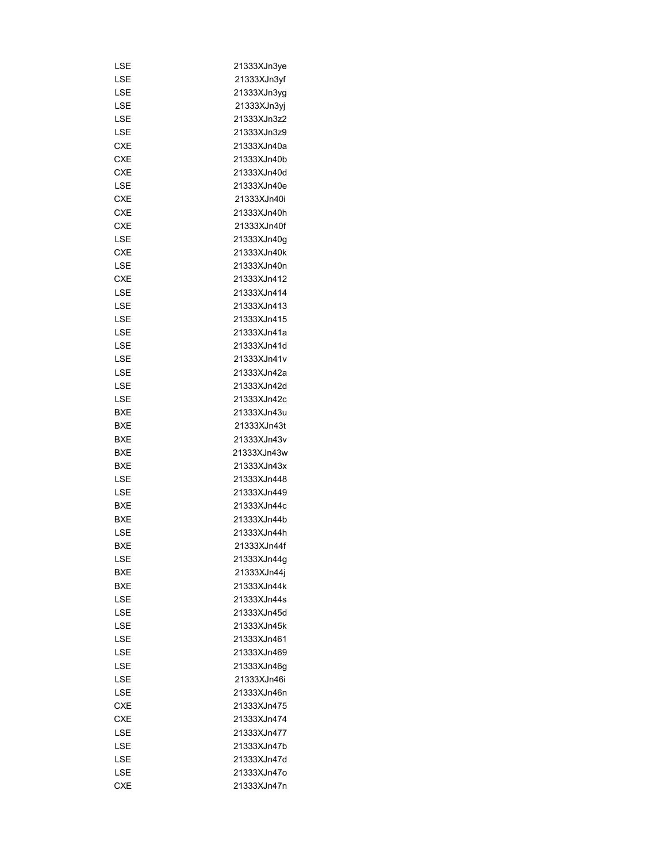| LSE        | 21333XJn3ye |
|------------|-------------|
| LSE        | 21333XJn3yf |
| LSE        | 21333XJn3yg |
| LSE        | 21333XJn3yj |
| LSE        | 21333XJn3z2 |
| LSE        | 21333XJn3z9 |
| CXE        | 21333XJn40a |
| CXE        | 21333XJn40b |
| <b>CXE</b> | 21333XJn40d |
| LSE        | 21333XJn40e |
| CXE        | 21333XJn40i |
| <b>CXE</b> | 21333XJn40h |
| <b>CXE</b> | 21333XJn40f |
| LSE        | 21333XJn40g |
| <b>CXE</b> | 21333XJn40k |
| LSE        | 21333XJn40n |
| <b>CXE</b> | 21333XJn412 |
| LSE        | 21333XJn414 |
| LSE        | 21333XJn413 |
| LSE        | 21333XJn415 |
| LSE        | 21333XJn41a |
| LSE        | 21333XJn41d |
| LSE        | 21333XJn41v |
| LSE        | 21333XJn42a |
|            | 21333XJn42d |
| LSE        |             |
| LSE        | 21333XJn42c |
| BXE        | 21333XJn43u |
| BXE        | 21333XJn43t |
| BXE        | 21333XJn43v |
| BXE        | 21333XJn43w |
| <b>BXE</b> | 21333XJn43x |
| LSE        | 21333XJn448 |
| LSE        | 21333XJn449 |
| BXE        | 21333XJn44c |
| <b>BXE</b> | 21333XJn44b |
| LSE        | 21333XJn44h |
| <b>BXE</b> | 21333XJn44f |
| LSE        | 21333XJn44g |
| BXE        | 21333XJn44j |
| <b>BXE</b> | 21333XJn44k |
| LSE        | 21333XJn44s |
| LSE        | 21333XJn45d |
| LSE        | 21333XJn45k |
| LSE        | 21333XJn461 |
| LSE        | 21333XJn469 |
| LSE        | 21333XJn46g |
| LSE        | 21333XJn46i |
| LSE        | 21333XJn46n |
| <b>CXE</b> | 21333XJn475 |
| <b>CXE</b> | 21333XJn474 |
| LSE        | 21333XJn477 |
| LSE        | 21333XJn47b |
| LSE        | 21333XJn47d |
| LSE        | 21333XJn47o |
| <b>CXE</b> | 21333XJn47n |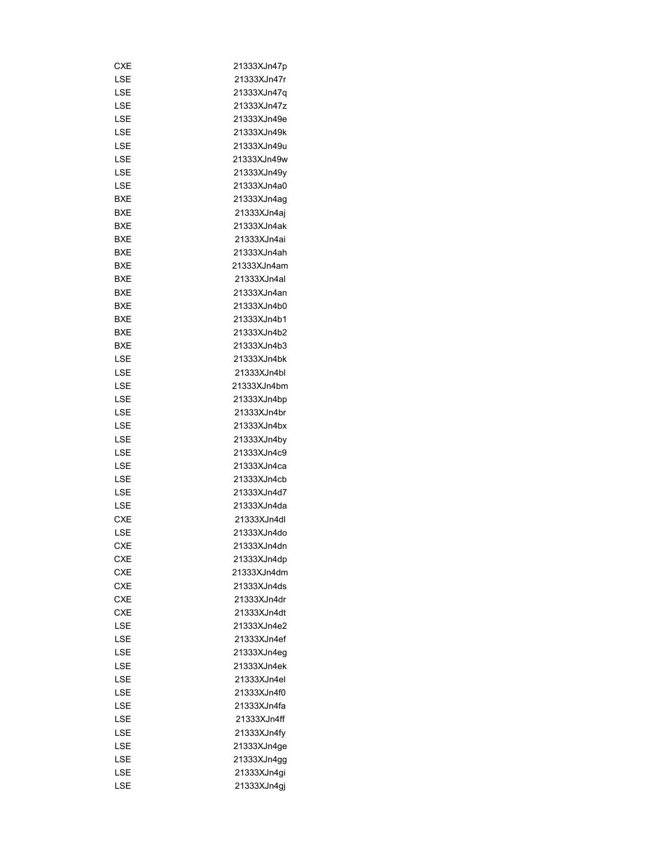| CXE        | 21333XJn47p |
|------------|-------------|
| LSE        | 21333XJn47r |
| LSE        | 21333XJn47q |
| LSE        | 21333XJn47z |
| LSE        | 21333XJn49e |
| LSE        | 21333XJn49k |
| LSE        | 21333XJn49u |
| LSE        | 21333XJn49w |
| LSE        | 21333XJn49y |
| LSE        | 21333XJn4a0 |
| BXE        | 21333XJn4ag |
| BXE        | 21333XJn4aj |
| BXE        | 21333XJn4ak |
| BXE        | 21333XJn4ai |
| BXE        | 21333XJn4ah |
| BXE        | 21333XJn4am |
| BXE        | 21333XJn4al |
| BXE        | 21333XJn4an |
| BXE        | 21333XJn4b0 |
| BXE        | 21333XJn4b1 |
|            |             |
| BXE        | 21333XJn4b2 |
| BXE        | 21333XJn4b3 |
| LSE        | 21333XJn4bk |
| LSE        | 21333XJn4bl |
| LSE        | 21333XJn4bm |
| LSE        | 21333XJn4bp |
| LSE        | 21333XJn4br |
| LSE        | 21333XJn4bx |
| LSE        | 21333XJn4by |
| LSE        | 21333XJn4c9 |
| LSE        | 21333XJn4ca |
| LSE        | 21333XJn4cb |
| LSE        | 21333XJn4d7 |
| LSE        | 21333XJn4da |
| CXE        | 21333XJn4dl |
| LSE        | 21333XJn4do |
| CXF        | 21333XJn4dn |
| CXE        | 21333XJn4dp |
| <b>CXE</b> | 21333XJn4dm |
| CXE        | 21333XJn4ds |
| CXE        | 21333XJn4dr |
| CXE        | 21333XJn4dt |
| LSE        | 21333XJn4e2 |
| LSE        | 21333XJn4ef |
| LSE        | 21333XJn4eg |
| LSE        | 21333XJn4ek |
| LSE        | 21333XJn4el |
| LSE        | 21333XJn4f0 |
| LSE        | 21333XJn4fa |
| LSE        | 21333XJn4ff |
| LSE        | 21333XJn4fy |
| LSE        | 21333XJn4ge |
| LSE        | 21333XJn4gg |
| LSE        | 21333XJn4gi |
| LSE        | 21333XJn4gj |
|            |             |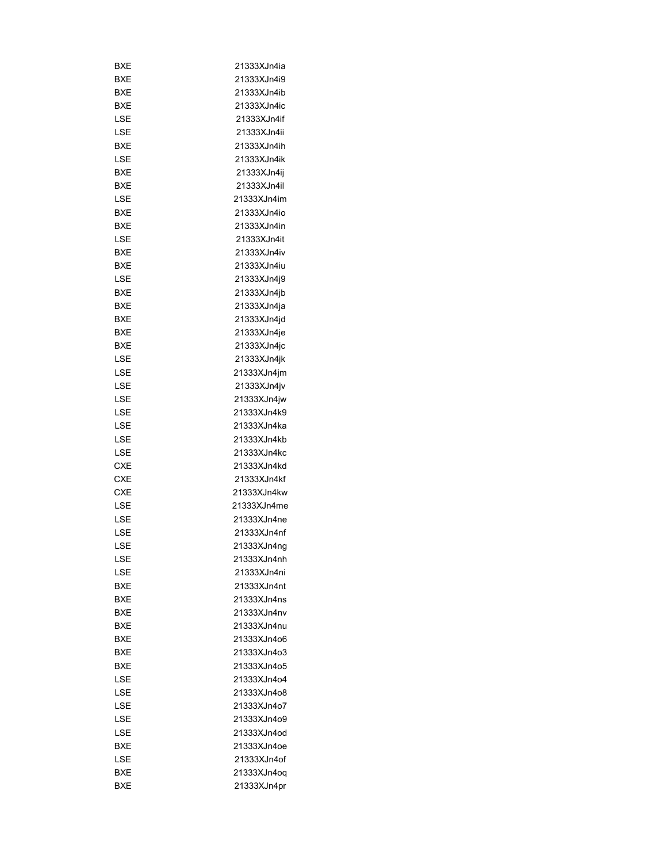| BXE        | 21333XJn4ia |
|------------|-------------|
| BXE        | 21333XJn4i9 |
| BXE        | 21333XJn4ib |
| BXE        | 21333XJn4ic |
| LSE        | 21333XJn4if |
| LSE        | 21333XJn4ii |
| BXE        | 21333XJn4ih |
| LSE        | 21333XJn4ik |
| BXE        | 21333XJn4ij |
| BXE        | 21333XJn4il |
| LSE        | 21333XJn4im |
| BXE        | 21333XJn4io |
| BXE        | 21333XJn4in |
| LSE        | 21333XJn4it |
| BXE        | 21333XJn4iv |
| BXE        | 21333XJn4iu |
| LSE        | 21333XJn4j9 |
| BXE        | 21333XJn4jb |
| BXE        | 21333XJn4ja |
| BXE        | 21333XJn4jd |
| <b>BXE</b> | 21333XJn4je |
| BXE        | 21333XJn4jc |
| LSE        | 21333XJn4jk |
|            |             |
| LSE        | 21333XJn4jm |
| LSE        | 21333XJn4jv |
| LSE        | 21333XJn4jw |
| LSE        | 21333XJn4k9 |
| LSE        | 21333XJn4ka |
| LSE        | 21333XJn4kb |
| LSE        | 21333XJn4kc |
| CXE        | 21333XJn4kd |
| <b>CXE</b> | 21333XJn4kf |
| <b>CXE</b> | 21333XJn4kw |
| LSE        | 21333XJn4me |
| LSE        | 21333XJn4ne |
| LSE        | 21333XJn4nf |
| LSE        | 21333XJn4nq |
| LSE        | 21333XJn4nh |
| LSE        | 21333XJn4ni |
| BXE        | 21333XJn4nt |
| BXE        | 21333XJn4ns |
| BXE        | 21333XJn4nv |
| BXE        | 21333XJn4nu |
| BXE        | 21333XJn4o6 |
| <b>BXE</b> | 21333XJn4o3 |
| <b>BXE</b> | 21333XJn4o5 |
| LSE        | 21333XJn4o4 |
| LSE        | 21333XJn4o8 |
| LSE        | 21333XJn4o7 |
| LSE        | 21333XJn4o9 |
| LSE        | 21333XJn4od |
| BXE        | 21333XJn4oe |
| LSE        | 21333XJn4of |
| BXE        | 21333XJn4oq |
| <b>BXE</b> | 21333XJn4pr |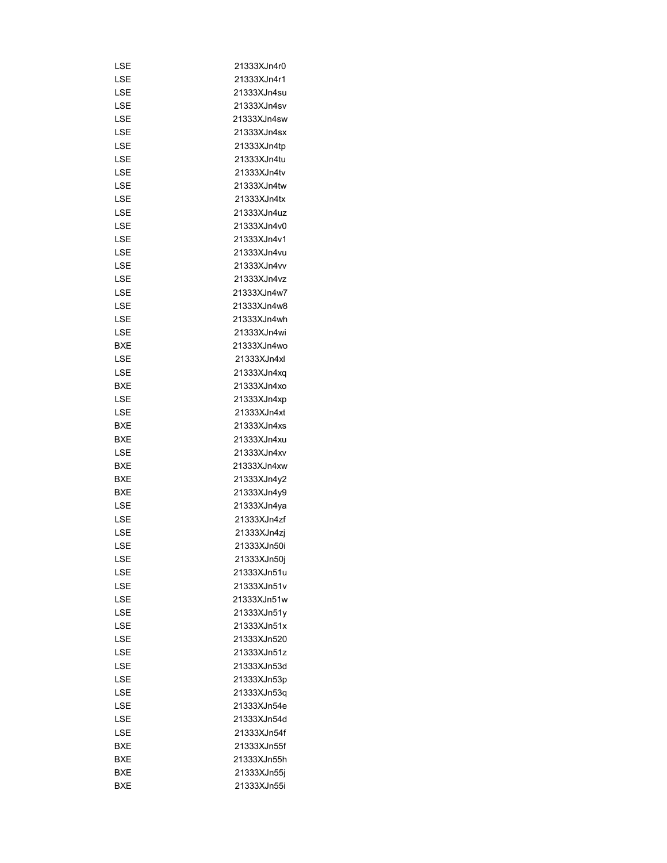| LSE        | 21333XJn4r0 |
|------------|-------------|
| LSE        | 21333XJn4r1 |
| LSE        | 21333XJn4su |
| LSE        | 21333XJn4sv |
| LSE        | 21333XJn4sw |
| LSE        | 21333XJn4sx |
| LSE        | 21333XJn4tp |
| LSE        | 21333XJn4tu |
| LSE        | 21333XJn4tv |
|            |             |
| LSE        | 21333XJn4tw |
| LSE        | 21333XJn4tx |
| LSE        | 21333XJn4uz |
| LSE        | 21333XJn4v0 |
| LSE        | 21333XJn4v1 |
| LSE        | 21333XJn4vu |
| LSE        | 21333XJn4vv |
| LSE        | 21333XJn4vz |
| LSE        | 21333XJn4w7 |
| LSE        | 21333XJn4w8 |
| LSE        | 21333XJn4wh |
| LSE        | 21333XJn4wi |
| BXE        | 21333XJn4wo |
| LSE        | 21333XJn4xl |
| LSE        | 21333XJn4xq |
| BXE        | 21333XJn4xo |
| LSE        | 21333XJn4xp |
| LSE        | 21333XJn4xt |
| BXE        | 21333XJn4xs |
| BXE        | 21333XJn4xu |
| LSE        | 21333XJn4xv |
| BXE        | 21333XJn4xw |
| BXE        | 21333XJn4y2 |
| <b>BXE</b> | 21333XJn4y9 |
| LSE        | 21333XJn4ya |
| LSE        | 21333XJn4zf |
| LSE        | 21333XJn4zi |
| LSE        | 21333XJn50i |
| LSE        | 21333XJn50j |
| LSE        | 21333XJn51u |
| LSE        | 21333XJn51v |
| LSE        | 21333XJn51w |
| LSE        | 21333XJn51y |
| LSE        | 21333XJn51x |
| LSE        | 21333XJn520 |
| LSE        | 21333XJn51z |
| LSE        | 21333XJn53d |
| LSE        |             |
|            | 21333XJn53p |
| LSE        | 21333XJn53q |
| LSE        | 21333XJn54e |
| LSE        | 21333XJn54d |
| LSE        | 21333XJn54f |
| BXE        | 21333XJn55f |
| BXE        | 21333XJn55h |
| BXE        | 21333XJn55j |
| <b>BXE</b> | 21333XJn55i |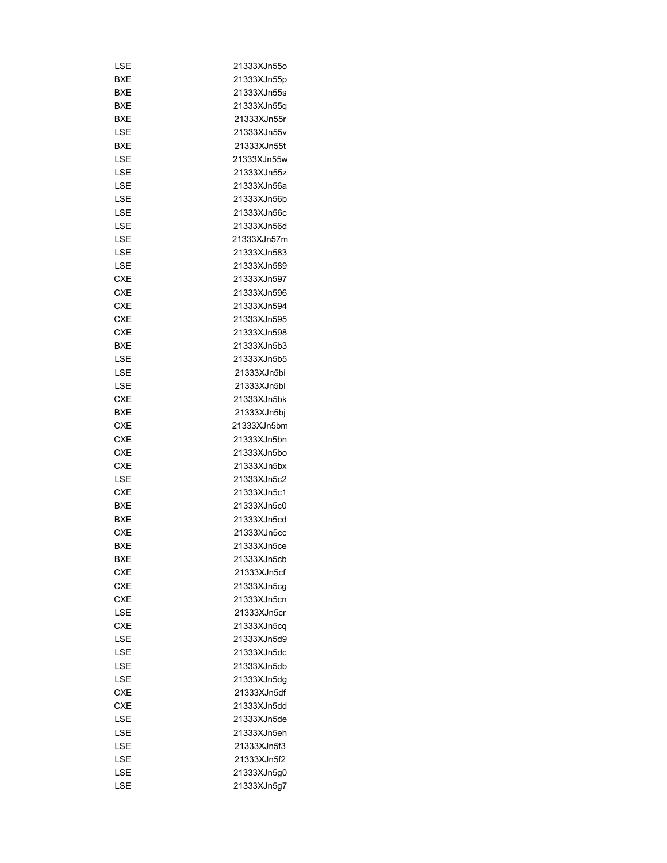| LSE        | 21333XJn55o |
|------------|-------------|
| BXE        | 21333XJn55p |
| BXE        | 21333XJn55s |
| BXE        | 21333XJn55q |
| BXE        | 21333XJn55r |
| LSE        | 21333XJn55v |
| BXE        | 21333XJn55t |
| LSE        | 21333XJn55w |
| LSE        | 21333XJn55z |
| <b>LSE</b> | 21333XJn56a |
| LSE        | 21333XJn56b |
|            | 21333XJn56c |
| LSE        |             |
| LSE        | 21333XJn56d |
| LSE        | 21333XJn57m |
| LSE        | 21333XJn583 |
| LSE        | 21333XJn589 |
| <b>CXE</b> | 21333XJn597 |
| CXE        | 21333XJn596 |
| CXE        | 21333XJn594 |
| CXE        | 21333XJn595 |
| <b>CXE</b> | 21333XJn598 |
| <b>BXE</b> | 21333XJn5b3 |
| LSE        | 21333XJn5b5 |
| LSE        | 21333XJn5bi |
| LSE        | 21333XJn5bl |
| CXE        | 21333XJn5bk |
| BXE        | 21333XJn5bj |
| CXE        | 21333XJn5bm |
| CXE        | 21333XJn5bn |
| <b>CXE</b> | 21333XJn5bo |
| CXE        | 21333XJn5bx |
| LSE        | 21333XJn5c2 |
| CXE        | 21333XJn5c1 |
| BXE        | 21333XJn5c0 |
| <b>BXE</b> | 21333XJn5cd |
|            |             |
| <b>CXE</b> | 21333XJn5cc |
| BXE        | 21333XJn5ce |
| <b>BXE</b> | 21333XJn5cb |
| <b>CXE</b> | 21333XJn5cf |
| <b>CXE</b> | 21333XJn5cg |
| <b>CXE</b> | 21333XJn5cn |
| LSE        | 21333XJn5cr |
| <b>CXE</b> | 21333XJn5cq |
| LSE        | 21333XJn5d9 |
| LSE        | 21333XJn5dc |
| LSE        | 21333XJn5db |
| LSE        | 21333XJn5dq |
| CXE        | 21333XJn5df |
| <b>CXE</b> | 21333XJn5dd |
| LSE        | 21333XJn5de |
| LSE        | 21333XJn5eh |
| LSE        | 21333XJn5f3 |
| LSE        | 21333XJn5f2 |
| LSE        | 21333XJn5g0 |
| LSE        | 21333XJn5g7 |
|            |             |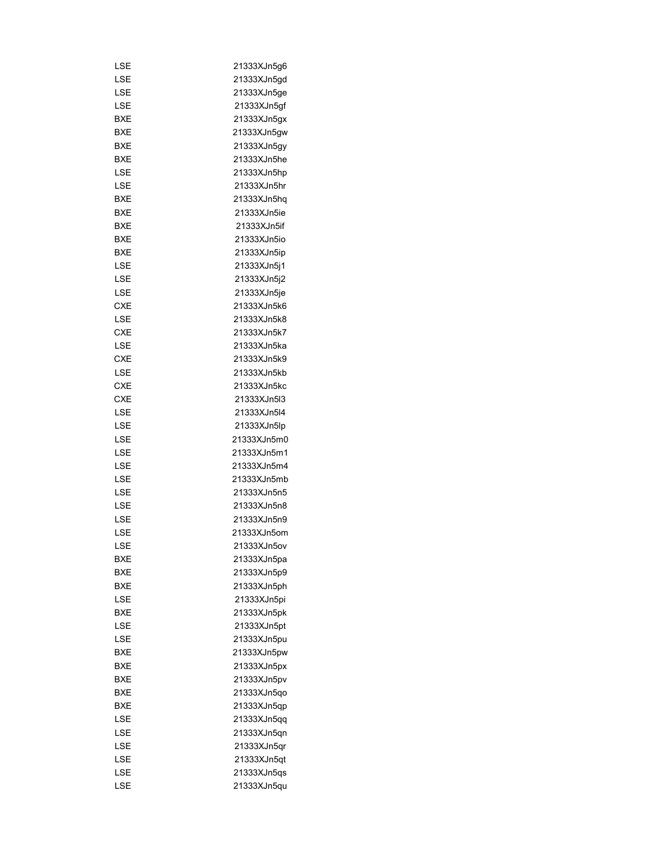| LSE        | 21333XJn5g6                |
|------------|----------------------------|
| LSE        | 21333XJn5gd                |
| LSE        | 21333XJn5ge                |
| LSE        | 21333XJn5gf                |
| BXE        | 21333XJn5gx                |
| BXE        | 21333XJn5gw                |
| BXE        | 21333XJn5gy                |
| BXE        | 21333XJn5he                |
| LSE        | 21333XJn5hp                |
| LSE        | 21333XJn5hr                |
| BXE        | 21333XJn5hq                |
| BXE        | 21333XJn5ie                |
| BXE        | 21333XJn5if                |
| BXE        | 21333XJn5io                |
| BXE        | 21333XJn5ip                |
| LSE        | 21333XJn5j1                |
| LSE        | 21333XJn5j2                |
| LSE        | 21333XJn5je                |
| <b>CXE</b> | 21333XJn5k6                |
| LSE        | 21333XJn5k8                |
| CXE        | 21333XJn5k7                |
| LSE        | 21333XJn5ka                |
| <b>CXE</b> | 21333XJn5k9                |
| LSE        | 21333XJn5kb                |
| <b>CXE</b> | 21333XJn5kc                |
| CXE        | 21333XJn5I3                |
| LSE        | 21333XJn5l4                |
| LSE        | 21333XJn5lp                |
| LSE        | 21333XJn5m0                |
| LSE        | 21333XJn5m1                |
| LSE        | 21333XJn5m4                |
| LSE        | 21333XJn5mb                |
| LSE        | 21333XJn5n5                |
| LSE        | 21333XJn5n8                |
| LSE        | 21333XJn5n9                |
| LSE        | 21333XJn5om                |
| LSE        | 21333XJn5ov                |
|            |                            |
| BXE<br>BXE | 21333XJn5pa<br>21333XJn5p9 |
| BXE        | 21333XJn5ph                |
| LSE        |                            |
|            | 21333XJn5pi                |
| BXE        | 21333XJn5pk                |
| LSE        | 21333XJn5pt                |
| LSE        | 21333XJn5pu                |
| <b>BXE</b> | 21333XJn5pw                |
| BXE        | 21333XJn5px                |
| BXE        | 21333XJn5pv                |
| BXE        | 21333XJn5qo                |
| BXE        | 21333XJn5qp                |
| LSE        | 21333XJn5qq                |
| LSE        | 21333XJn5qn                |
| LSE        | 21333XJn5qr                |
| LSE        | 21333XJn5qt                |
| LSE        | 21333XJn5qs                |
| LSE        | 21333XJn5qu                |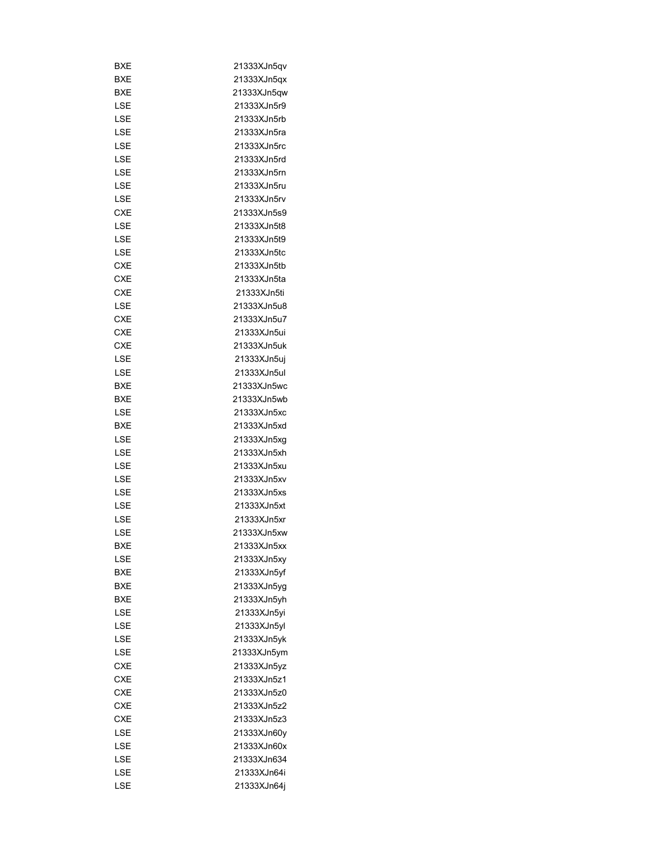| BXE        | 21333XJn5qv |
|------------|-------------|
| BXE        | 21333XJn5qx |
| BXE        | 21333XJn5qw |
| LSE        | 21333XJn5r9 |
| LSE        | 21333XJn5rb |
| LSE        | 21333XJn5ra |
| LSE        | 21333XJn5rc |
| LSE        | 21333XJn5rd |
| LSE        | 21333XJn5rn |
| LSE        | 21333XJn5ru |
| LSE        | 21333XJn5rv |
| <b>CXE</b> | 21333XJn5s9 |
| LSE        | 21333XJn5t8 |
| LSE        | 21333XJn5t9 |
| LSE        | 21333XJn5tc |
| <b>CXE</b> | 21333XJn5tb |
| <b>CXE</b> | 21333XJn5ta |
| <b>CXE</b> | 21333XJn5ti |
| LSE        |             |
|            | 21333XJn5u8 |
| CXE        | 21333XJn5u7 |
| <b>CXE</b> | 21333XJn5ui |
| <b>CXE</b> | 21333XJn5uk |
| LSE        | 21333XJn5uj |
| LSE        | 21333XJn5ul |
| BXE        | 21333XJn5wc |
| BXE        | 21333XJn5wb |
| LSE        | 21333XJn5xc |
| BXE        | 21333XJn5xd |
| LSE        | 21333XJn5xg |
| LSE        | 21333XJn5xh |
| LSE        | 21333XJn5xu |
| LSE        | 21333XJn5xv |
| LSE        | 21333XJn5xs |
| LSE        | 21333XJn5xt |
| LSE        | 21333XJn5xr |
| LSE        | 21333XJn5xw |
| <b>BXE</b> | 21333XJn5xx |
| LSE        | 21333XJn5xy |
| <b>BXE</b> | 21333XJn5yf |
| BXE        | 21333XJn5yq |
| BXE        | 21333XJn5yh |
| LSE        | 21333XJn5yi |
| LSE        | 21333XJn5yl |
| LSE        | 21333XJn5yk |
| LSE        | 21333XJn5ym |
| <b>CXE</b> | 21333XJn5yz |
| <b>CXE</b> | 21333XJn5z1 |
| <b>CXE</b> | 21333XJn5z0 |
| <b>CXE</b> | 21333XJn5z2 |
| <b>CXE</b> | 21333XJn5z3 |
|            |             |
| LSE        | 21333XJn60y |
| LSE        | 21333XJn60x |
| LSE        | 21333XJn634 |
| LSE        | 21333XJn64i |
| LSE        | 21333XJn64j |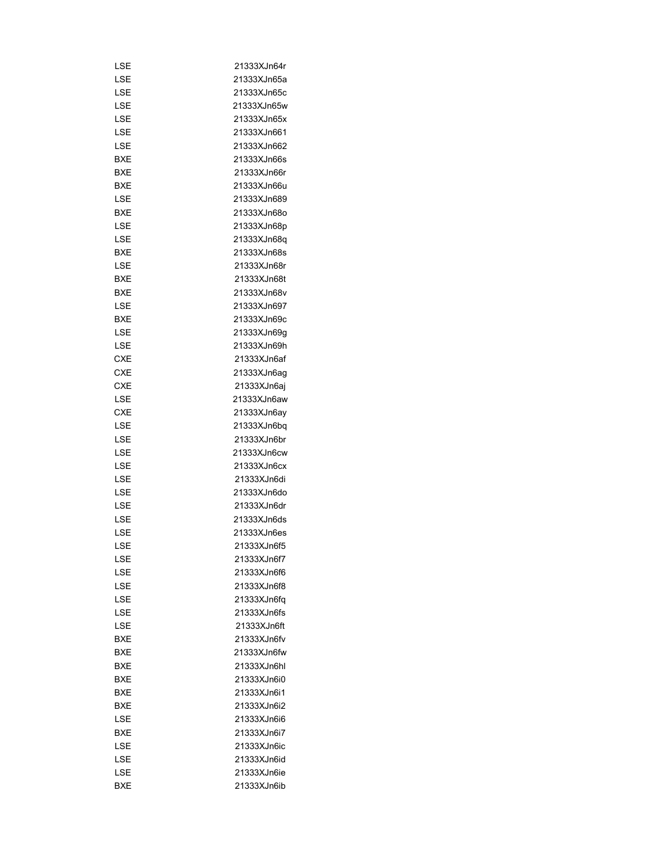| LSE        | 21333XJn64r |
|------------|-------------|
| LSE        | 21333XJn65a |
| LSE        | 21333XJn65c |
|            |             |
| LSE        | 21333XJn65w |
| LSE        | 21333XJn65x |
| LSE        | 21333XJn661 |
| LSE        | 21333XJn662 |
| BXE        | 21333XJn66s |
| <b>BXE</b> | 21333XJn66r |
| BXE        | 21333XJn66u |
| LSE        | 21333XJn689 |
| BXE        | 21333XJn68o |
| LSE        | 21333XJn68p |
| LSE        | 21333XJn68q |
| BXE        | 21333XJn68s |
| LSE        | 21333XJn68r |
| BXE        | 21333XJn68t |
| BXE        | 21333XJn68v |
| LSE        | 21333XJn697 |
| BXE        | 21333XJn69c |
|            |             |
| LSE        | 21333XJn69g |
| LSE        | 21333XJn69h |
| CXE        | 21333XJn6af |
| <b>CXE</b> | 21333XJn6ag |
| <b>CXE</b> | 21333XJn6aj |
| LSE        | 21333XJn6aw |
| CXE        | 21333XJn6ay |
| LSE        | 21333XJn6bq |
| LSE        | 21333XJn6br |
| LSE        | 21333XJn6cw |
| LSE        | 21333XJn6cx |
| LSE        | 21333XJn6di |
| LSE        | 21333XJn6do |
| LSE        | 21333XJn6dr |
| LSE        | 21333XJn6ds |
| LSE        | 21333XJn6es |
| LSE        | 21333XJn6f5 |
| LSE        | 21333XJn6f7 |
| LSE        | 21333XJn6f6 |
| LSE        | 21333XJn6f8 |
|            |             |
| LSE        | 21333XJn6fa |
| LSE        | 21333XJn6fs |
| LSE        | 21333XJn6ft |
| BXE        | 21333XJn6fv |
| BXE        | 21333XJn6fw |
| BXE        | 21333XJn6hl |
| <b>BXE</b> | 21333XJn6i0 |
| BXE        | 21333XJn6i1 |
| BXE        | 21333XJn6i2 |
| LSE        | 21333XJn6i6 |
| BXE        | 21333XJn6i7 |
| LSE        | 21333XJn6ic |
| LSE        | 21333XJn6id |
| LSE        | 21333XJn6ie |
| BXE        | 21333XJn6ib |
|            |             |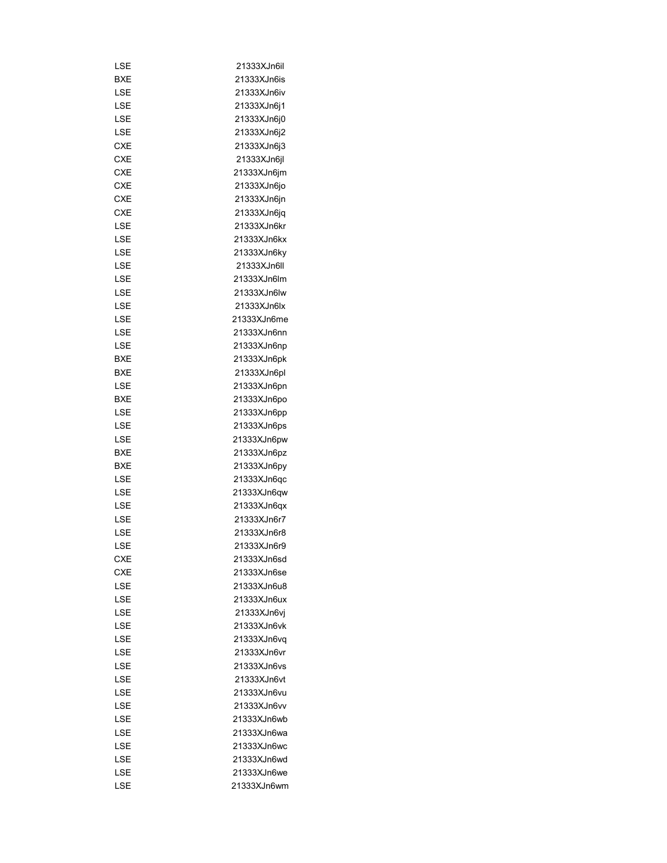| LSE        | 21333XJn6il |
|------------|-------------|
| BXE        | 21333XJn6is |
| LSE        | 21333XJn6iv |
| LSE        | 21333XJn6j1 |
| LSE        | 21333XJn6j0 |
| LSE        | 21333XJn6j2 |
| CXE        | 21333XJn6j3 |
| <b>CXE</b> | 21333XJn6jl |
| CXE        | 21333XJn6jm |
| <b>CXE</b> | 21333XJn6jo |
| CXE        | 21333XJn6jn |
| CXE        | 21333XJn6jq |
| LSE        | 21333XJn6kr |
| LSE        | 21333XJn6kx |
| LSE        | 21333XJn6ky |
| LSE        | 21333XJn6II |
| LSE        | 21333XJn6lm |
| LSE        | 21333XJn6lw |
| LSE        | 21333XJn6lx |
|            |             |
| LSE        | 21333XJn6me |
| LSE        | 21333XJn6nn |
| LSE        | 21333XJn6np |
| BXE        | 21333XJn6pk |
| BXE        | 21333XJn6pl |
| LSE        | 21333XJn6pn |
| BXE        | 21333XJn6po |
| LSE        | 21333XJn6pp |
| LSE        | 21333XJn6ps |
| LSE        | 21333XJn6pw |
| BXE        | 21333XJn6pz |
| BXE        | 21333XJn6py |
| LSE        | 21333XJn6qc |
| LSE        | 21333XJn6qw |
| LSE        | 21333XJn6qx |
| LSE        | 21333XJn6r7 |
| LSE        | 21333XJn6r8 |
| LSE        | 21333XJn6r9 |
| CXE        | 21333XJn6sd |
| <b>CXE</b> | 21333XJn6se |
| LSE        | 21333XJn6u8 |
| LSE        | 21333XJn6ux |
| LSE        | 21333XJn6vi |
| LSE        | 21333XJn6vk |
| LSE        | 21333XJn6vq |
| LSE        | 21333XJn6vr |
| LSE        | 21333XJn6vs |
| LSE        | 21333XJn6vt |
| LSE        | 21333XJn6vu |
| LSE        | 21333XJn6vv |
| LSE        | 21333XJn6wb |
| LSE        | 21333XJn6wa |
|            |             |
| LSE        | 21333XJn6wc |
| LSE        | 21333XJn6wd |
| LSE        | 21333XJn6we |
| LSE        | 21333XJn6wm |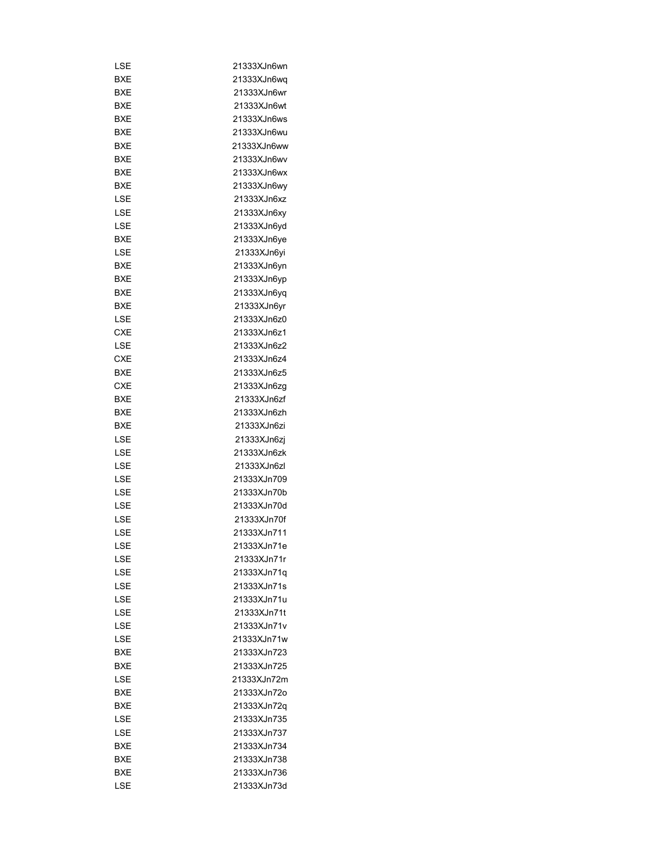| LSE        | 21333XJn6wn |
|------------|-------------|
| BXE        | 21333XJn6wq |
| BXE        | 21333XJn6wr |
| BXE        | 21333XJn6wt |
| BXE        | 21333XJn6ws |
| BXE        | 21333XJn6wu |
| BXE        | 21333XJn6ww |
| BXE        | 21333XJn6wv |
| BXE        | 21333XJn6wx |
| BXE        | 21333XJn6wy |
| LSE        | 21333XJn6xz |
| LSE        | 21333XJn6xy |
| LSE        | 21333XJn6yd |
| <b>BXE</b> | 21333XJn6ye |
| LSE        | 21333XJn6yi |
| <b>BXE</b> | 21333XJn6yn |
| BXE        | 21333XJn6yp |
| BXE        | 21333XJn6yq |
| BXE        | 21333XJn6yr |
| LSE        | 21333XJn6z0 |
| CXE        | 21333XJn6z1 |
| LSE        | 21333XJn6z2 |
| CXE        | 21333XJn6z4 |
| <b>BXE</b> |             |
|            | 21333XJn6z5 |
| CXE        | 21333XJn6zg |
| BXE        | 21333XJn6zf |
| BXE        | 21333XJn6zh |
| BXE        | 21333XJn6zi |
| LSE        | 21333XJn6zj |
| LSE        | 21333XJn6zk |
| LSE        | 21333XJn6zl |
| LSE        | 21333XJn709 |
| LSE        | 21333XJn70b |
| LSE        | 21333XJn70d |
| LSE        | 21333XJn70f |
| LSE        | 21333XJn711 |
| LSE        | 21333XJn71e |
| LSE        | 21333XJn71r |
| LSE        | 21333XJn71q |
| LSE        | 21333XJn71s |
| LSE        | 21333XJn71u |
| LSE        | 21333XJn71t |
| LSE        | 21333XJn71v |
| LSE        | 21333XJn71w |
| <b>BXE</b> | 21333XJn723 |
| BXE        | 21333XJn725 |
| LSE        | 21333XJn72m |
| BXE        | 21333XJn72o |
| BXE        | 21333XJn72q |
| LSE        | 21333XJn735 |
| LSE        | 21333XJn737 |
| BXE        | 21333XJn734 |
| BXE        | 21333XJn738 |
| BXE        | 21333XJn736 |
| LSE        | 21333XJn73d |
|            |             |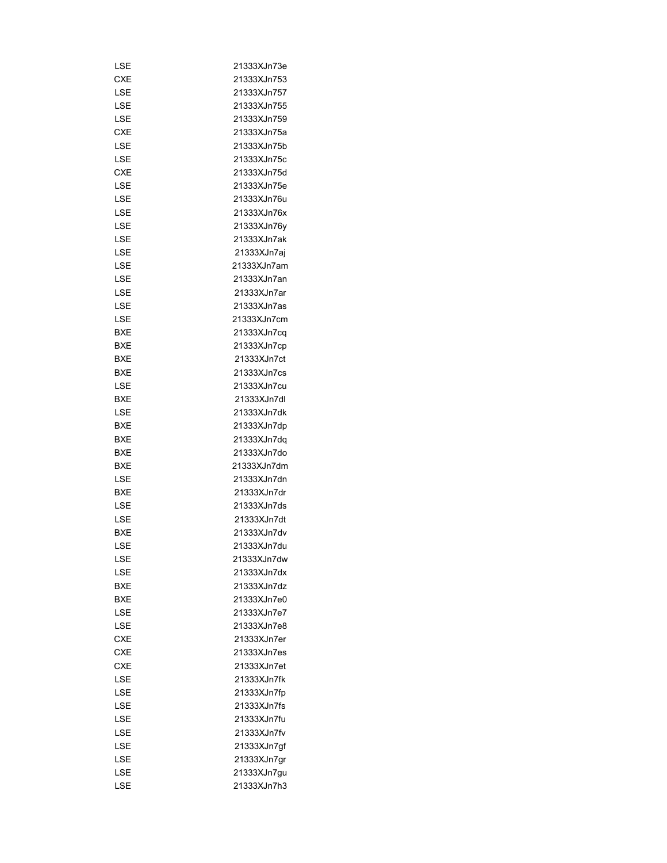| LSE        | 21333XJn73e |
|------------|-------------|
| <b>CXE</b> | 21333XJn753 |
|            | 21333XJn757 |
| LSE        |             |
| LSE        | 21333XJn755 |
| LSE        | 21333XJn759 |
| CXE        | 21333XJn75a |
| LSE        | 21333XJn75b |
| LSE        | 21333XJn75c |
| CXE        | 21333XJn75d |
| LSE        | 21333XJn75e |
| LSE        | 21333XJn76u |
| LSE        | 21333XJn76x |
| LSE        | 21333XJn76y |
| LSE        | 21333XJn7ak |
| LSE        | 21333XJn7aj |
| LSE        | 21333XJn7am |
| LSE        | 21333XJn7an |
| LSE        | 21333XJn7ar |
| LSE        | 21333XJn7as |
| LSE        | 21333XJn7cm |
| BXE        | 21333XJn7cq |
| BXE        |             |
|            | 21333XJn7cp |
| BXE        | 21333XJn7ct |
| BXE        | 21333XJn7cs |
| LSE        | 21333XJn7cu |
| BXE        | 21333XJn7dl |
| LSE        | 21333XJn7dk |
| BXE        | 21333XJn7dp |
| BXE        | 21333XJn7dq |
| BXE        | 21333XJn7do |
| BXE        | 21333XJn7dm |
| LSE        | 21333XJn7dn |
| BXE        | 21333XJn7dr |
| LSE        | 21333XJn7ds |
| LSE        | 21333XJn7dt |
| <b>BXE</b> | 21333XJn7dv |
| LSE        | 21333XJn7du |
| LSE        | 21333XJn7dw |
| LSE        | 21333XJn7dx |
| <b>BXE</b> | 21333XJn7dz |
| BXE        | 21333XJn7e0 |
| LSE        | 21333XJn7e7 |
| LSE        | 21333XJn7e8 |
| CXE        | 21333XJn7er |
| <b>CXE</b> | 21333XJn7es |
| <b>CXE</b> |             |
|            | 21333XJn7et |
| LSE        | 21333XJn7fk |
| LSE        | 21333XJn7fp |
| LSE        | 21333XJn7fs |
| LSE        | 21333XJn7fu |
| LSE        | 21333XJn7fv |
| LSE        | 21333XJn7gf |
| LSE        | 21333XJn7gr |
| LSE        | 21333XJn7gu |
| LSE        | 21333XJn7h3 |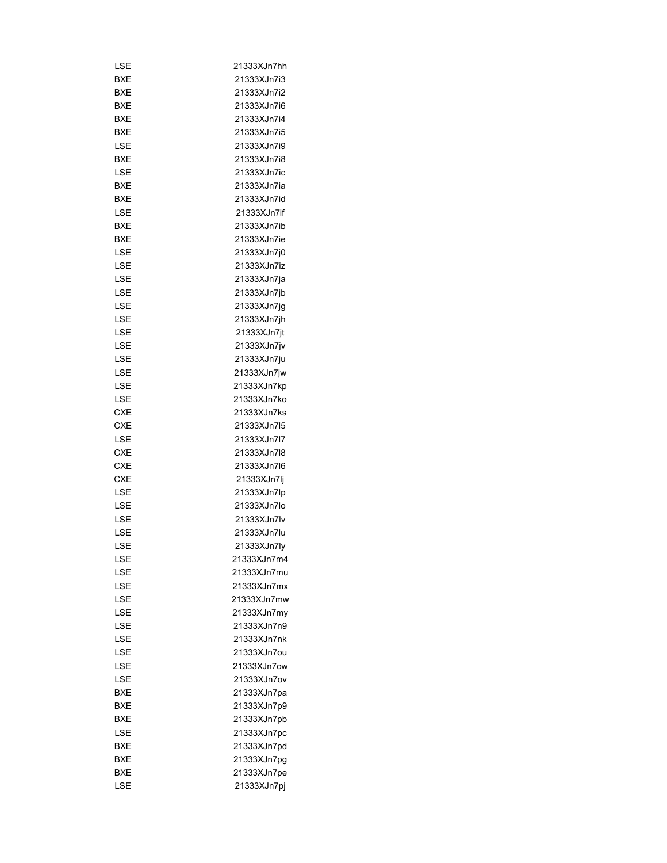| LSE        | 21333XJn7hh |
|------------|-------------|
| BXE        | 21333XJn7i3 |
| <b>BXE</b> | 21333XJn7i2 |
| BXE        | 21333XJn7i6 |
| BXE        | 21333XJn7i4 |
| BXE        | 21333XJn7i5 |
| LSE        | 21333XJn7i9 |
| BXE        | 21333XJn7i8 |
| LSE        | 21333XJn7ic |
| BXE        | 21333XJn7ia |
| BXE        | 21333XJn7id |
| LSE        | 21333XJn7if |
| BXE        | 21333XJn7ib |
| BXE        | 21333XJn7ie |
| LSE        | 21333XJn7j0 |
| LSE        | 21333XJn7iz |
| LSE        | 21333XJn7ja |
| LSE        | 21333XJn7jb |
| LSE        | 21333XJn7jg |
|            |             |
| LSE        | 21333XJn7jh |
| LSE        | 21333XJn7jt |
| LSE        | 21333XJn7jv |
| LSE        | 21333XJn7ju |
| LSE        | 21333XJn7jw |
| LSE        | 21333XJn7kp |
| LSE        | 21333XJn7ko |
| CXE        | 21333XJn7ks |
| CXE        | 21333XJn7l5 |
| LSE        | 21333XJn7l7 |
| CXE        | 21333XJn7l8 |
| CXE        | 21333XJn7l6 |
| <b>CXE</b> | 21333XJn7lj |
| LSE        | 21333XJn7lp |
| LSE        | 21333XJn7lo |
| LSE        | 21333XJn7lv |
| LSE        | 21333XJn7lu |
| LSE        | 21333XJn7ly |
| LSE        | 21333XJn7m4 |
| LSE        | 21333XJn7mu |
| LSE        | 21333XJn7mx |
| LSE        | 21333XJn7mw |
| LSE        | 21333XJn7my |
| LSE        | 21333XJn7n9 |
| LSE        | 21333XJn7nk |
| LSE        | 21333XJn7ou |
| LSE        | 21333XJn7ow |
| LSE        | 21333XJn7ov |
| BXE        | 21333XJn7pa |
| BXE        | 21333XJn7p9 |
| <b>BXE</b> | 21333XJn7pb |
| LSE        | 21333XJn7pc |
| BXE        | 21333XJn7pd |
| BXE        | 21333XJn7pg |
| BXE        |             |
|            | 21333XJn7pe |
| LSE        | 21333XJn7pj |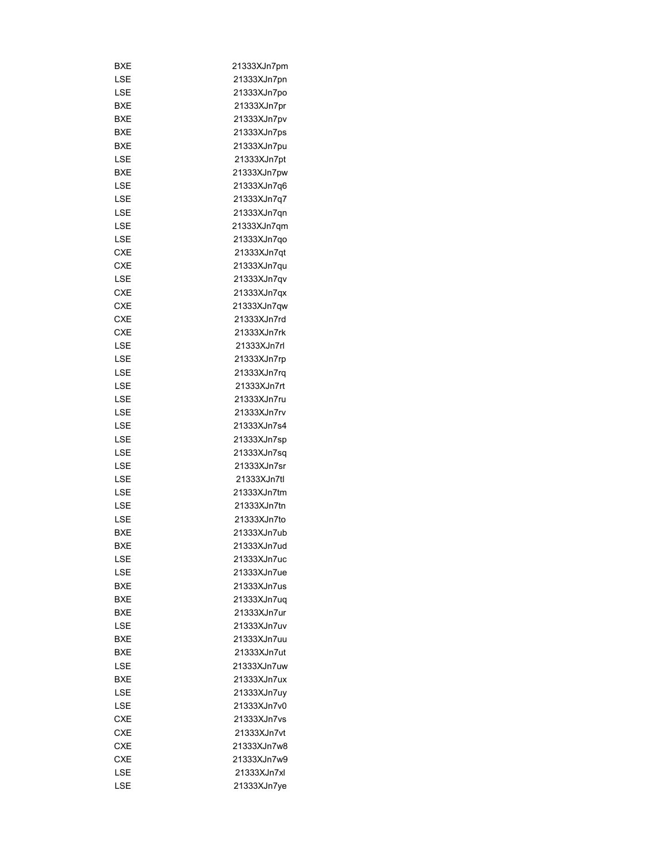| BXE        | 21333XJn7pm |
|------------|-------------|
| LSE        | 21333XJn7pn |
| LSE        | 21333XJn7po |
| BXE        | 21333XJn7pr |
| <b>BXE</b> | 21333XJn7pv |
| BXE        | 21333XJn7ps |
| BXE        | 21333XJn7pu |
| LSE        | 21333XJn7pt |
| BXE        | 21333XJn7pw |
| LSE        | 21333XJn7q6 |
| LSE        | 21333XJn7q7 |
| LSE        | 21333XJn7qn |
| LSE        | 21333XJn7qm |
| LSE        | 21333XJn7qo |
| CXE        | 21333XJn7qt |
| CXE        | 21333XJn7qu |
| LSE        | 21333XJn7qv |
|            |             |
| CXE        | 21333XJn7qx |
| CXE        | 21333XJn7qw |
| CXE        | 21333XJn7rd |
| <b>CXE</b> | 21333XJn7rk |
| LSE        | 21333XJn7rl |
| LSE        | 21333XJn7rp |
| LSE        | 21333XJn7rq |
| LSE        | 21333XJn7rt |
| LSE        | 21333XJn7ru |
| LSE        | 21333XJn7rv |
| LSE        | 21333XJn7s4 |
| LSE        | 21333XJn7sp |
| LSE        | 21333XJn7sq |
| LSE        | 21333XJn7sr |
| LSE        | 21333XJn7tl |
| LSE        | 21333XJn7tm |
| LSE        | 21333XJn7tn |
| LSE        | 21333XJn7to |
| BXE        | 21333XJn7ub |
| BXE        | 21333XJn7ud |
| LSE        | 21333XJn7uc |
| LSE        | 21333XJn7ue |
| <b>BXE</b> | 21333XJn7us |
| BXE        | 21333XJn7uq |
| BXE        | 21333XJn7ur |
| LSE        | 21333XJn7uv |
| BXE        | 21333XJn7uu |
| BXE        | 21333XJn7ut |
| LSE        | 21333XJn7uw |
| BXE        | 21333XJn7ux |
| LSE        | 21333XJn7uy |
| LSE        | 21333XJn7v0 |
| <b>CXE</b> | 21333XJn7vs |
| <b>CXE</b> | 21333XJn7vt |
|            |             |
| <b>CXE</b> | 21333XJn7w8 |
| CXE        | 21333XJn7w9 |
| LSE        | 21333XJn7xl |
| LSE        | 21333XJn7ye |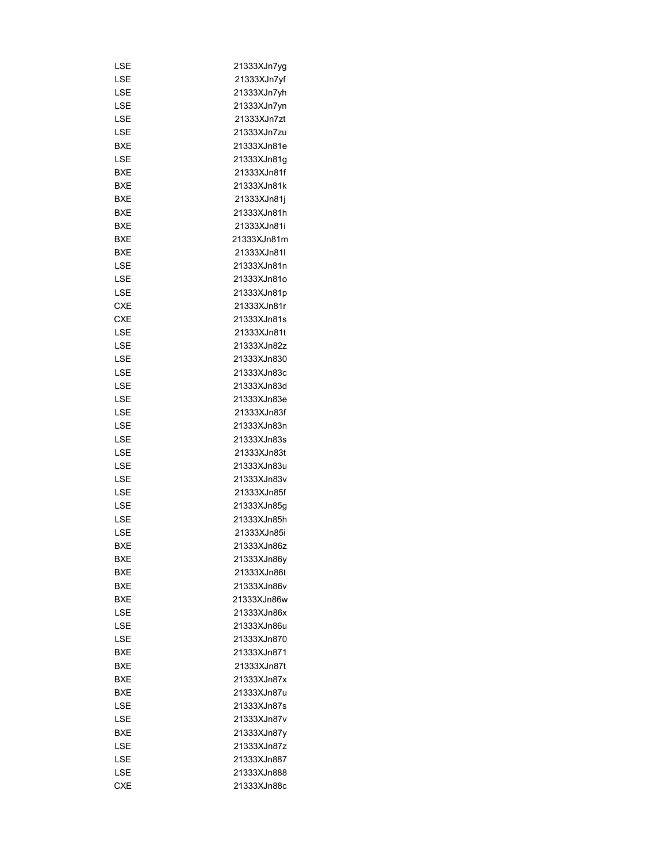| LSE        | 21333XJn7yg |
|------------|-------------|
| LSE        | 21333XJn7yf |
| LSE        | 21333XJn7yh |
| LSE        | 21333XJn7yn |
| LSE        | 21333XJn7zt |
| LSE        | 21333XJn7zu |
| BXE        | 21333XJn81e |
| LSE        | 21333XJn81g |
| BXE        | 21333XJn81f |
| <b>BXE</b> | 21333XJn81k |
| <b>BXE</b> | 21333XJn81j |
| BXE        | 21333XJn81h |
| BXE        | 21333XJn81i |
| BXE        | 21333XJn81m |
| BXE        | 21333XJn81I |
| LSE        | 21333XJn81n |
| LSE        | 21333XJn81o |
| LSE        | 21333XJn81p |
| CXE        | 21333XJn81r |
| CXE        | 21333XJn81s |
|            |             |
| LSE        | 21333XJn81t |
| LSE        | 21333XJn82z |
| LSE        | 21333XJn830 |
| LSE        | 21333XJn83c |
| LSE        | 21333XJn83d |
| LSE        | 21333XJn83e |
| LSE        | 21333XJn83f |
| LSE        | 21333XJn83n |
| LSE        | 21333XJn83s |
| LSE        | 21333XJn83t |
| LSE        | 21333XJn83u |
| LSE        | 21333XJn83v |
| LSE        | 21333XJn85f |
| LSE        | 21333XJn85g |
| LSE        | 21333XJn85h |
| LSE        | 21333XJn85i |
| BXE        | 21333XJn86z |
| BXE        | 21333XJn86y |
| BXE        | 21333XJn86t |
| <b>BXE</b> | 21333XJn86v |
| BXE        | 21333XJn86w |
| LSE        | 21333XJn86x |
| LSE        | 21333XJn86u |
| LSE        | 21333XJn870 |
| <b>BXE</b> | 21333XJn871 |
| BXE        | 21333XJn87t |
| BXE        | 21333XJn87x |
| BXE        | 21333XJn87u |
| LSE        | 21333XJn87s |
| LSE        | 21333XJn87v |
| BXE        | 21333XJn87y |
|            |             |
| LSE        | 21333XJn87z |
| LSE        | 21333XJn887 |
| LSE        | 21333XJn888 |
| <b>CXE</b> | 21333XJn88c |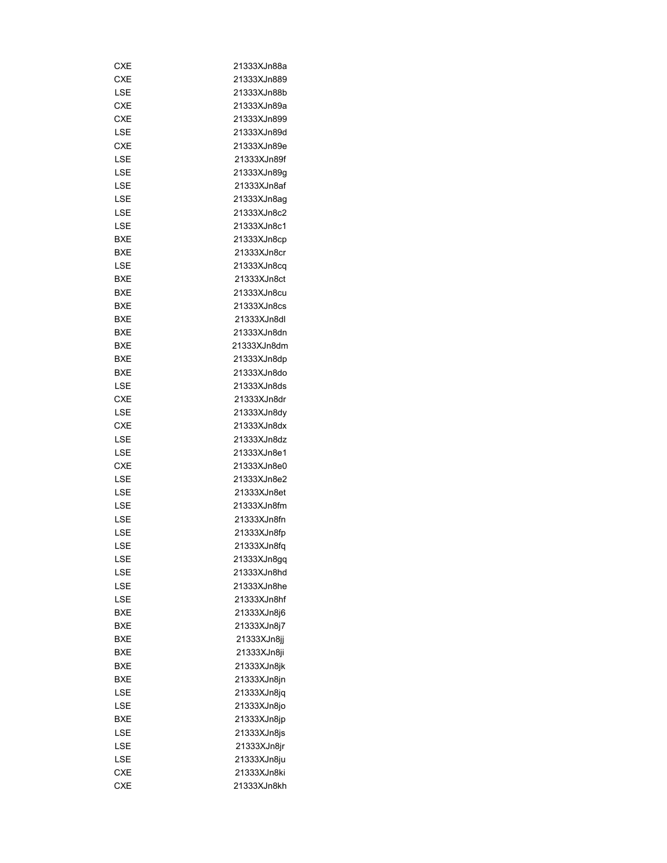| CXE        | 21333XJn88a |
|------------|-------------|
| CXE        | 21333XJn889 |
| LSE        | 21333XJn88b |
| <b>CXE</b> | 21333XJn89a |
| CXE        | 21333XJn899 |
| LSE        | 21333XJn89d |
| <b>CXE</b> | 21333XJn89e |
| LSE        | 21333XJn89f |
| LSE        | 21333XJn89g |
| LSE        | 21333XJn8af |
| LSE        | 21333XJn8ag |
| LSE        | 21333XJn8c2 |
| LSE        | 21333XJn8c1 |
| BXE        | 21333XJn8cp |
| BXE        | 21333XJn8cr |
| LSE        | 21333XJn8cq |
| BXE        | 21333XJn8ct |
| BXE        | 21333XJn8cu |
| BXE        | 21333XJn8cs |
| BXE        | 21333XJn8dl |
| BXE        | 21333XJn8dn |
| BXE        | 21333XJn8dm |
| BXE        | 21333XJn8dp |
|            | 21333XJn8do |
| BXE        |             |
| LSE        | 21333XJn8ds |
| CXE        | 21333XJn8dr |
| LSE        | 21333XJn8dy |
| CXE        | 21333XJn8dx |
| LSE        | 21333XJn8dz |
| LSE        | 21333XJn8e1 |
| CXE        | 21333XJn8e0 |
| LSE        | 21333XJn8e2 |
| LSE        | 21333XJn8et |
| LSE        | 21333XJn8fm |
| LSE        | 21333XJn8fn |
| LSE        | 21333XJn8fp |
| LSE        | 21333XJn8fq |
| LSE        | 21333XJn8gq |
| LSE        | 21333XJn8hd |
| LSE        | 21333XJn8he |
| LSE        | 21333XJn8hf |
| BXE        | 21333XJn8j6 |
| BXE        | 21333XJn8j7 |
| BXE        | 21333XJn8jj |
| BXE        | 21333XJn8ji |
| BXE        | 21333XJn8jk |
| BXE        | 21333XJn8jn |
| LSE        | 21333XJn8jq |
| LSE        | 21333XJn8jo |
| BXE        | 21333XJn8jp |
| LSE        | 21333XJn8js |
| LSE        | 21333XJn8jr |
| LSE        | 21333XJn8ju |
| <b>CXE</b> | 21333XJn8ki |
| <b>CXE</b> | 21333XJn8kh |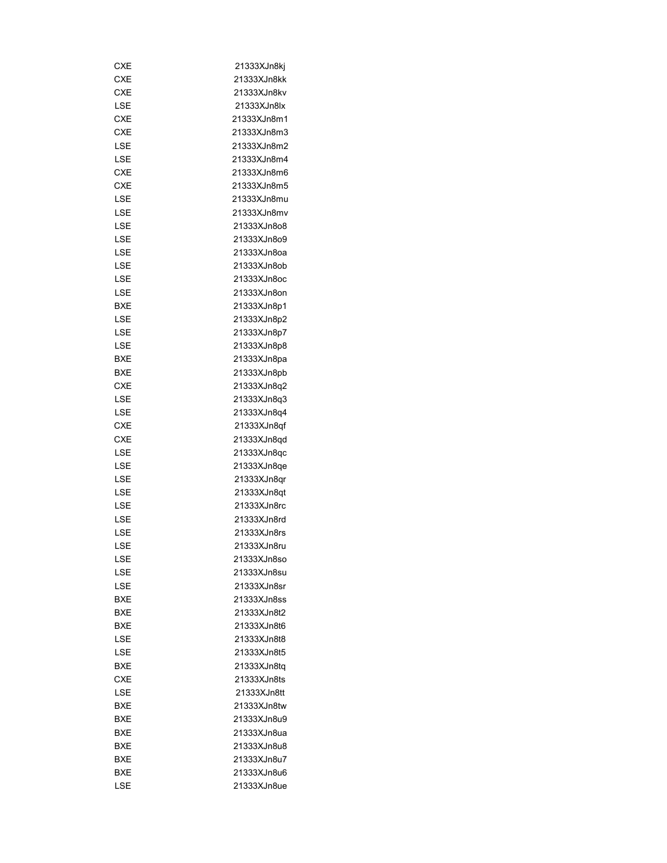| CXE        | 21333XJn8kj |
|------------|-------------|
| CXE        | 21333XJn8kk |
| <b>CXE</b> | 21333XJn8kv |
| LSE        | 21333XJn8lx |
| <b>CXE</b> | 21333XJn8m1 |
| CXE        | 21333XJn8m3 |
| LSE        | 21333XJn8m2 |
| LSE        | 21333XJn8m4 |
| CXE        | 21333XJn8m6 |
| <b>CXE</b> | 21333XJn8m5 |
| LSE        | 21333XJn8mu |
| LSE        | 21333XJn8mv |
| LSE        | 21333XJn8o8 |
| LSE        | 21333XJn8o9 |
| LSE        | 21333XJn8oa |
| LSE        | 21333XJn8ob |
| LSE        | 21333XJn8oc |
| LSE        | 21333XJn8on |
| BXE        | 21333XJn8p1 |
| LSE        | 21333XJn8p2 |
| LSE        |             |
| LSE        | 21333XJn8p7 |
|            | 21333XJn8p8 |
| BXE        | 21333XJn8pa |
| BXE        | 21333XJn8pb |
| CXE        | 21333XJn8q2 |
| LSE        | 21333XJn8q3 |
| LSE        | 21333XJn8q4 |
| <b>CXE</b> | 21333XJn8qf |
| CXE        | 21333XJn8qd |
| LSE        | 21333XJn8qc |
| LSE        | 21333XJn8qe |
| LSE        | 21333XJn8qr |
| LSE        | 21333XJn8qt |
| LSE        | 21333XJn8rc |
| LSE        | 21333XJn8rd |
| LSE        | 21333XJn8rs |
| LSE        | 21333XJn8ru |
| LSE        | 21333XJn8so |
| LSE        | 21333XJn8su |
| LSE        | 21333XJn8sr |
| <b>BXE</b> | 21333XJn8ss |
| <b>BXE</b> | 21333XJn8t2 |
| BXE        | 21333XJn8t6 |
| LSE        | 21333XJn8t8 |
| LSE        | 21333XJn8t5 |
| BXE        | 21333XJn8tq |
| <b>CXE</b> | 21333XJn8ts |
| LSE        | 21333XJn8tt |
| BXE        | 21333XJn8tw |
| BXE        | 21333XJn8u9 |
| BXE        | 21333XJn8ua |
| BXE        | 21333XJn8u8 |
| BXE        | 21333XJn8u7 |
| BXE        | 21333XJn8u6 |
| LSE        | 21333XJn8ue |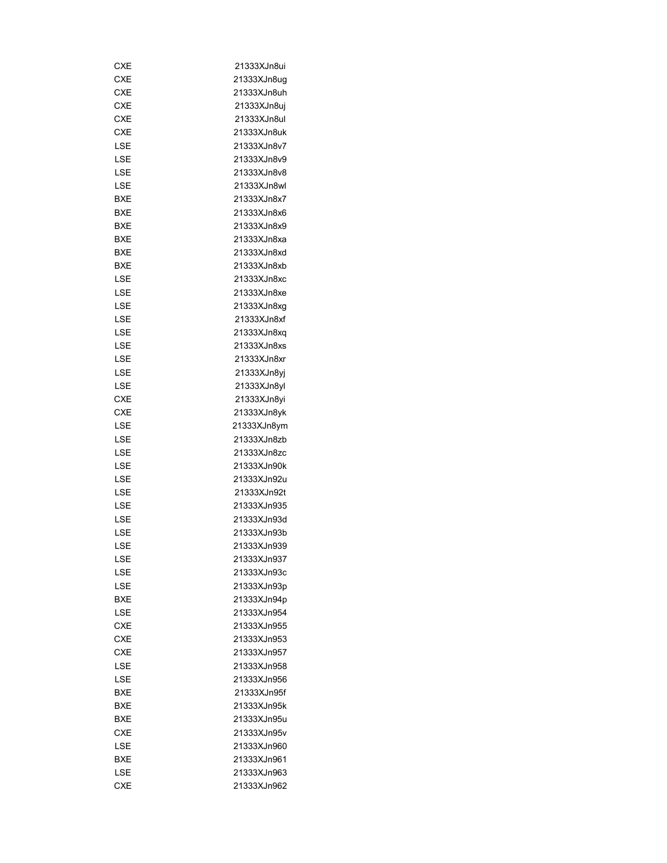| CXE        | 21333XJn8ui |
|------------|-------------|
| <b>CXE</b> | 21333XJn8ug |
| <b>CXE</b> | 21333XJn8uh |
| CXE        | 21333XJn8uj |
| CXE        | 21333XJn8ul |
| CXE        | 21333XJn8uk |
| LSE        | 21333XJn8v7 |
| LSE        | 21333XJn8v9 |
| LSE        | 21333XJn8v8 |
| LSE        | 21333XJn8wl |
| BXE        | 21333XJn8x7 |
| BXE        | 21333XJn8x6 |
| BXE        | 21333XJn8x9 |
| BXE        | 21333XJn8xa |
| BXE        | 21333XJn8xd |
| BXE        | 21333XJn8xb |
| LSE        | 21333XJn8xc |
| LSE        | 21333XJn8xe |
| LSE        | 21333XJn8xg |
| LSE        | 21333XJn8xf |
| LSE        |             |
|            | 21333XJn8xq |
| LSE        | 21333XJn8xs |
| LSE        | 21333XJn8xr |
| LSE        | 21333XJn8yj |
| LSE        | 21333XJn8yl |
| <b>CXE</b> | 21333XJn8yi |
| CXE        | 21333XJn8yk |
| LSE        | 21333XJn8ym |
| LSE        | 21333XJn8zb |
| LSE        | 21333XJn8zc |
| LSE        | 21333XJn90k |
| LSE        | 21333XJn92u |
| LSE        | 21333XJn92t |
| LSE        | 21333XJn935 |
| LSE        | 21333XJn93d |
| LSE        | 21333XJn93b |
| LSE        | 21333XJn939 |
| LSE        | 21333XJn937 |
| LSE        | 21333XJn93c |
| LSE        | 21333XJn93p |
| <b>BXE</b> | 21333XJn94p |
| LSE        | 21333XJn954 |
| CXE        | 21333XJn955 |
| <b>CXE</b> | 21333XJn953 |
| CXE        | 21333XJn957 |
| LSE        | 21333XJn958 |
| LSE        | 21333XJn956 |
| BXE        | 21333XJn95f |
| BXE        | 21333XJn95k |
| BXE        | 21333XJn95u |
| CXE        | 21333XJn95v |
| LSE        | 21333XJn960 |
| <b>BXE</b> | 21333XJn961 |
| LSE        | 21333XJn963 |
| <b>CXE</b> | 21333XJn962 |
|            |             |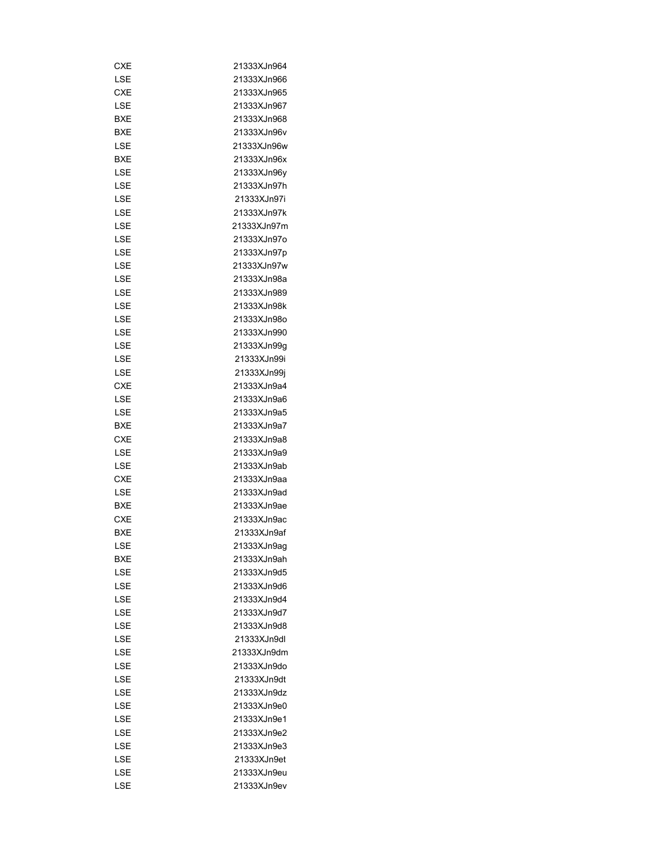| CXE        | 21333XJn964 |
|------------|-------------|
| LSE        | 21333XJn966 |
| <b>CXE</b> | 21333XJn965 |
| LSE        | 21333XJn967 |
| <b>BXE</b> | 21333XJn968 |
| BXE        | 21333XJn96v |
| LSE        | 21333XJn96w |
| BXE        | 21333XJn96x |
|            |             |
| LSE        | 21333XJn96y |
| LSE        | 21333XJn97h |
| LSE        | 21333XJn97i |
| LSE        | 21333XJn97k |
| LSE        | 21333XJn97m |
| LSE        | 21333XJn97o |
| LSE        | 21333XJn97p |
| LSE        | 21333XJn97w |
| LSE        | 21333XJn98a |
| LSE        | 21333XJn989 |
| LSE        | 21333XJn98k |
| LSE        | 21333XJn98o |
| LSE        | 21333XJn990 |
| LSE        | 21333XJn99g |
| LSE        | 21333XJn99i |
| LSE        | 21333XJn99j |
| <b>CXE</b> | 21333XJn9a4 |
| LSE        | 21333XJn9a6 |
| LSE        | 21333XJn9a5 |
| BXE        | 21333XJn9a7 |
| <b>CXE</b> | 21333XJn9a8 |
| LSE        | 21333XJn9a9 |
| LSE        | 21333XJn9ab |
| <b>CXE</b> | 21333XJn9aa |
| LSE        | 21333XJn9ad |
| BXE        | 21333XJn9ae |
| CXE        | 21333XJn9ac |
| BXE        | 21333XJn9af |
| LSE        | 21333XJn9aq |
| BXE        | 21333XJn9ah |
| LSE        | 21333XJn9d5 |
| LSE        | 21333XJn9d6 |
| LSE        | 21333XJn9d4 |
| LSE        | 21333XJn9d7 |
| LSE        | 21333XJn9d8 |
| LSE        | 21333XJn9dl |
| LSE        | 21333XJn9dm |
|            |             |
| LSE        | 21333XJn9do |
| LSE        | 21333XJn9dt |
| LSE        | 21333XJn9dz |
| LSE        | 21333XJn9e0 |
| LSE        | 21333XJn9e1 |
| LSE        | 21333XJn9e2 |
| LSE        | 21333XJn9e3 |
| LSE        | 21333XJn9et |
| LSE        | 21333XJn9eu |
| LSE        | 21333XJn9ev |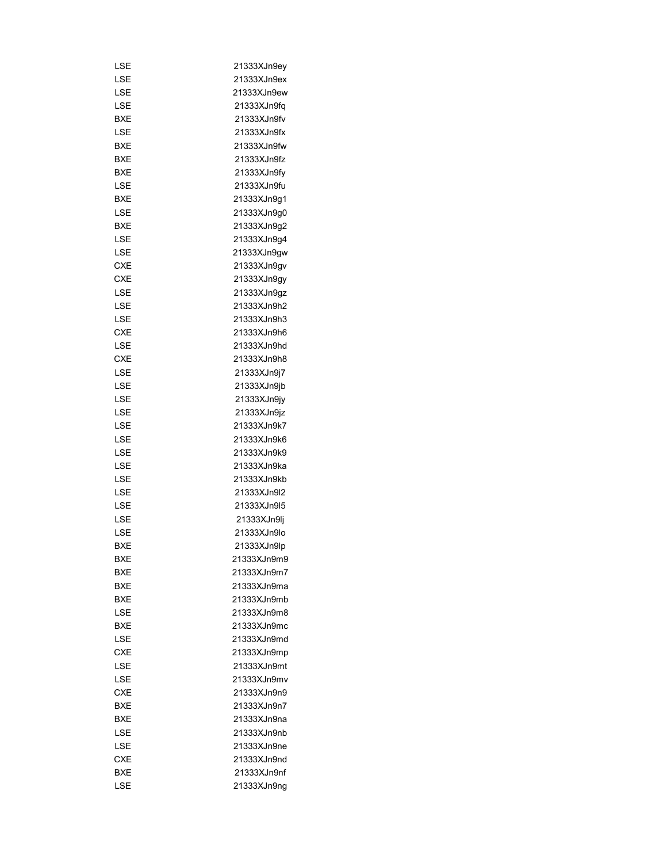| LSE        | 21333XJn9ey |
|------------|-------------|
| LSE        | 21333XJn9ex |
| LSE        | 21333XJn9ew |
| LSE        | 21333XJn9fq |
| BXE        | 21333XJn9fv |
| LSE        | 21333XJn9fx |
| BXE        | 21333XJn9fw |
| BXE        | 21333XJn9fz |
| BXE        | 21333XJn9fy |
| LSE        | 21333XJn9fu |
| BXE        | 21333XJn9q1 |
| LSE        | 21333XJn9g0 |
| BXE        | 21333XJn9g2 |
| LSE        | 21333XJn9g4 |
| LSE        | 21333XJn9gw |
| <b>CXE</b> | 21333XJn9gv |
| <b>CXE</b> | 21333XJn9gy |
| LSE        | 21333XJn9gz |
| LSE        | 21333XJn9h2 |
| LSE        | 21333XJn9h3 |
| CXE        | 21333XJn9h6 |
| LSE        | 21333XJn9hd |
| <b>CXE</b> | 21333XJn9h8 |
| LSE        | 21333XJn9j7 |
| LSE        | 21333XJn9jb |
| LSE        | 21333XJn9jy |
|            |             |
| LSE        | 21333XJn9jz |
| LSE        | 21333XJn9k7 |
| LSE        | 21333XJn9k6 |
| LSE        | 21333XJn9k9 |
| LSE        | 21333XJn9ka |
| LSE        | 21333XJn9kb |
| LSE        | 21333XJn9I2 |
| LSE        | 21333XJn9l5 |
| LSE        | 21333XJn9lj |
| LSE        | 21333XJn9lo |
| <b>BXE</b> | 21333XJn9lp |
| BXE        | 21333XJn9m9 |
| BXE        | 21333XJn9m7 |
| BXE        | 21333XJn9ma |
| <b>BXE</b> | 21333XJn9mb |
| LSE        | 21333XJn9m8 |
| BXE        | 21333XJn9mc |
| LSE        | 21333XJn9md |
| <b>CXE</b> | 21333XJn9mp |
| LSE        | 21333XJn9mt |
| LSE        | 21333XJn9mv |
| <b>CXE</b> | 21333XJn9n9 |
| BXE        | 21333XJn9n7 |
| BXE        | 21333XJn9na |
| LSE        | 21333XJn9nb |
| LSE        | 21333XJn9ne |
| <b>CXE</b> | 21333XJn9nd |
| BXE        | 21333XJn9nf |
| LSE        | 21333XJn9ng |
|            |             |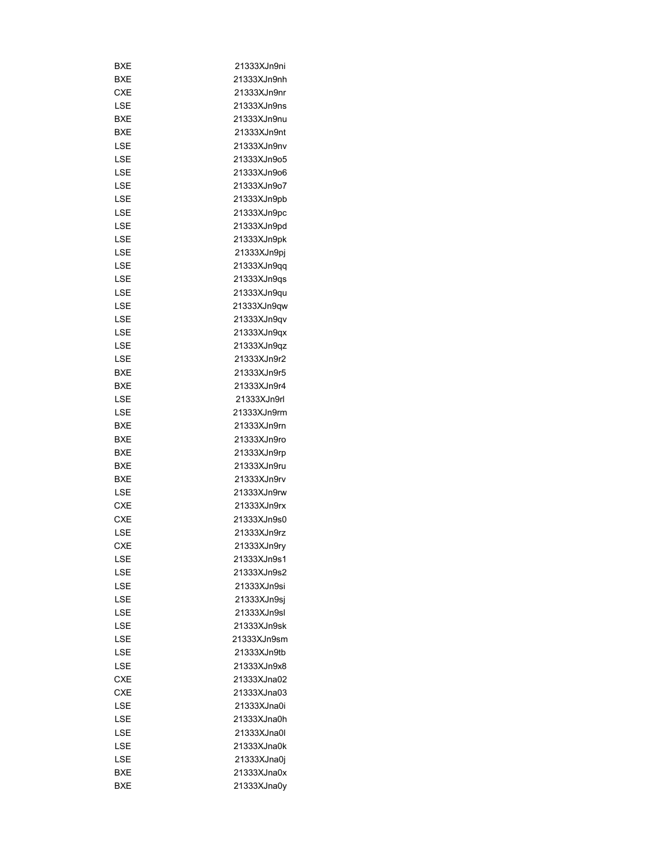| BXE        | 21333XJn9ni |
|------------|-------------|
| BXE        | 21333XJn9nh |
| CXE        | 21333XJn9nr |
| LSE        | 21333XJn9ns |
| <b>BXE</b> | 21333XJn9nu |
| <b>BXE</b> | 21333XJn9nt |
| LSE        | 21333XJn9nv |
| LSE        | 21333XJn9o5 |
| LSE        | 21333XJn9o6 |
| LSE        | 21333XJn9o7 |
| LSE        | 21333XJn9pb |
| LSE        | 21333XJn9pc |
| LSE        | 21333XJn9pd |
| LSE        | 21333XJn9pk |
| LSE        | 21333XJn9pj |
| LSE        | 21333XJn9qq |
| LSE        | 21333XJn9qs |
| LSE        | 21333XJn9qu |
| LSE        | 21333XJn9qw |
| LSE        | 21333XJn9qv |
| LSE        | 21333XJn9qx |
|            |             |
| LSE        | 21333XJn9qz |
| LSE        | 21333XJn9r2 |
| BXE        | 21333XJn9r5 |
| BXE        | 21333XJn9r4 |
| LSE        | 21333XJn9rl |
| LSE        | 21333XJn9rm |
| BXE        | 21333XJn9rn |
| BXE        | 21333XJn9ro |
| BXE        | 21333XJn9rp |
| BXE        | 21333XJn9ru |
| BXE        | 21333XJn9rv |
| LSE        | 21333XJn9rw |
| <b>CXE</b> | 21333XJn9rx |
| <b>CXE</b> | 21333XJn9s0 |
| LSE        | 21333XJn9rz |
| CXE        | 21333XJn9ry |
| LSE        | 21333XJn9s1 |
| LSE        | 21333XJn9s2 |
| LSE        | 21333XJn9si |
| LSE        | 21333XJn9sj |
| LSE        | 21333XJn9sl |
| LSE        | 21333XJn9sk |
| LSE        | 21333XJn9sm |
| LSE        | 21333XJn9tb |
| LSE        | 21333XJn9x8 |
| CXE        | 21333XJna02 |
| CXE        | 21333XJna03 |
| LSE        | 21333XJna0i |
| LSE        | 21333XJna0h |
| LSE        | 21333XJna0l |
| LSE        | 21333XJna0k |
| LSE        | 21333XJna0j |
| <b>BXE</b> | 21333XJna0x |
| BXE        | 21333XJna0y |
|            |             |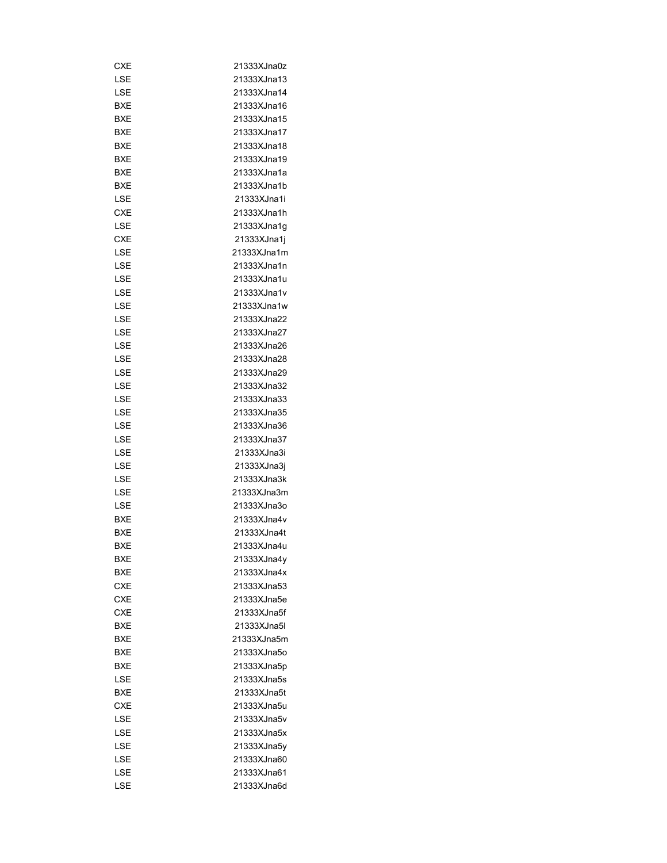| 21333XJna0z |
|-------------|
| 21333XJna13 |
| 21333XJna14 |
|             |
| 21333XJna16 |
| 21333XJna15 |
| 21333XJna17 |
| 21333XJna18 |
| 21333XJna19 |
| 21333XJna1a |
| 21333XJna1b |
| 21333XJna1i |
| 21333XJna1h |
| 21333XJna1g |
| 21333XJna1j |
| 21333XJna1m |
| 21333XJna1n |
| 21333XJna1u |
| 21333XJna1v |
| 21333XJna1w |
| 21333XJna22 |
| 21333XJna27 |
| 21333XJna26 |
| 21333XJna28 |
| 21333XJna29 |
| 21333XJna32 |
| 21333XJna33 |
| 21333XJna35 |
| 21333XJna36 |
| 21333XJna37 |
| 21333XJna3i |
| 21333XJna3j |
| 21333XJna3k |
| 21333XJna3m |
|             |
| 21333XJna3o |
| 21333XJna4v |
| 21333XJna4t |
| 21333XJna4u |
| 21333XJna4y |
| 21333XJna4x |
| 21333XJna53 |
| 21333XJna5e |
| 21333XJna5f |
| 21333XJna5l |
| 21333XJna5m |
| 21333XJna5o |
| 21333XJna5p |
| 21333XJna5s |
| 21333XJna5t |
| 21333XJna5u |
| 21333XJna5v |
| 21333XJna5x |
| 21333XJna5y |
| 21333XJna60 |
| 21333XJna61 |
|             |
|             |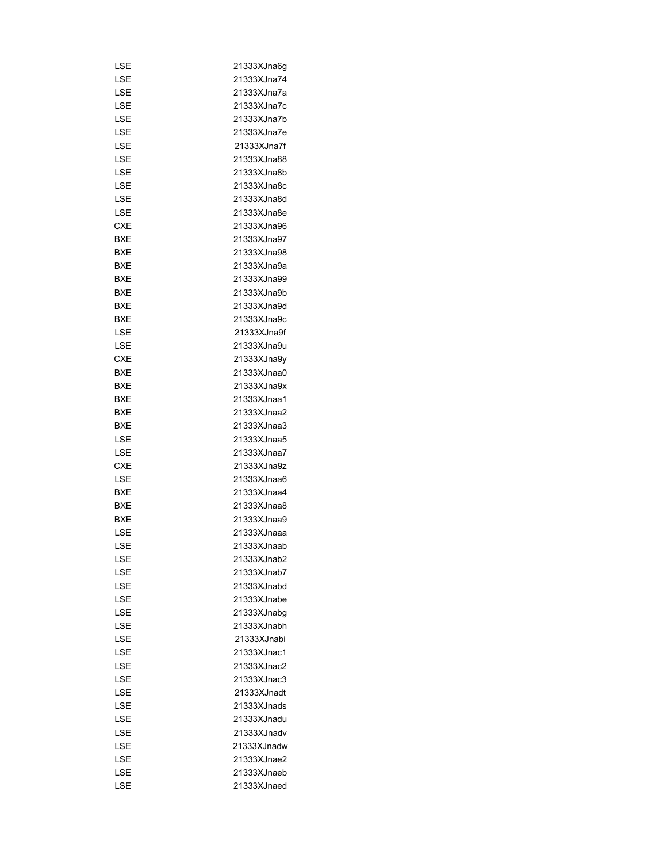| LSE        | 21333XJna6q |
|------------|-------------|
| LSE        | 21333XJna74 |
| LSE        | 21333XJna7a |
| LSE        | 21333XJna7c |
| LSE        | 21333XJna7b |
| LSE        | 21333XJna7e |
| LSE        | 21333XJna7f |
| LSE        | 21333XJna88 |
| LSE        | 21333XJna8b |
| LSE        | 21333XJna8c |
| LSE        | 21333XJna8d |
| LSE        | 21333XJna8e |
| <b>CXE</b> | 21333XJna96 |
| BXE        | 21333XJna97 |
| BXE        | 21333XJna98 |
| BXE        | 21333XJna9a |
| BXE        | 21333XJna99 |
| BXE        | 21333XJna9b |
|            |             |
| BXE        | 21333XJna9d |
| BXE        | 21333XJna9c |
| LSE        | 21333XJna9f |
| LSE        | 21333XJna9u |
| CXE        | 21333XJna9y |
| BXE        | 21333XJnaa0 |
| BXE        | 21333XJna9x |
| BXE        | 21333XJnaa1 |
| BXE        | 21333XJnaa2 |
| BXE        | 21333XJnaa3 |
| LSE        | 21333XJnaa5 |
| LSE        | 21333XJnaa7 |
| CXE        | 21333XJna9z |
| LSE        | 21333XJnaa6 |
| BXE        | 21333XJnaa4 |
| <b>BXE</b> | 21333XJnaa8 |
| <b>BXE</b> | 21333XJnaa9 |
| LSE        | 21333XJnaaa |
| LSE        | 21333XJnaab |
| LSE        | 21333XJnab2 |
| LSE        | 21333XJnab7 |
| LSE        | 21333XJnabd |
| LSE        | 21333XJnabe |
|            |             |
| LSE        | 21333XJnabg |
| LSE        | 21333XJnabh |
| LSE        | 21333XJnabi |
| LSE        | 21333XJnac1 |
| LSE        | 21333XJnac2 |
| LSE        | 21333XJnac3 |
| LSE        | 21333XJnadt |
| LSE        | 21333XJnads |
| LSE        | 21333XJnadu |
| LSE        | 21333XJnadv |
| LSE        | 21333XJnadw |
| LSE        | 21333XJnae2 |
| LSE        | 21333XJnaeb |
| LSE        | 21333XJnaed |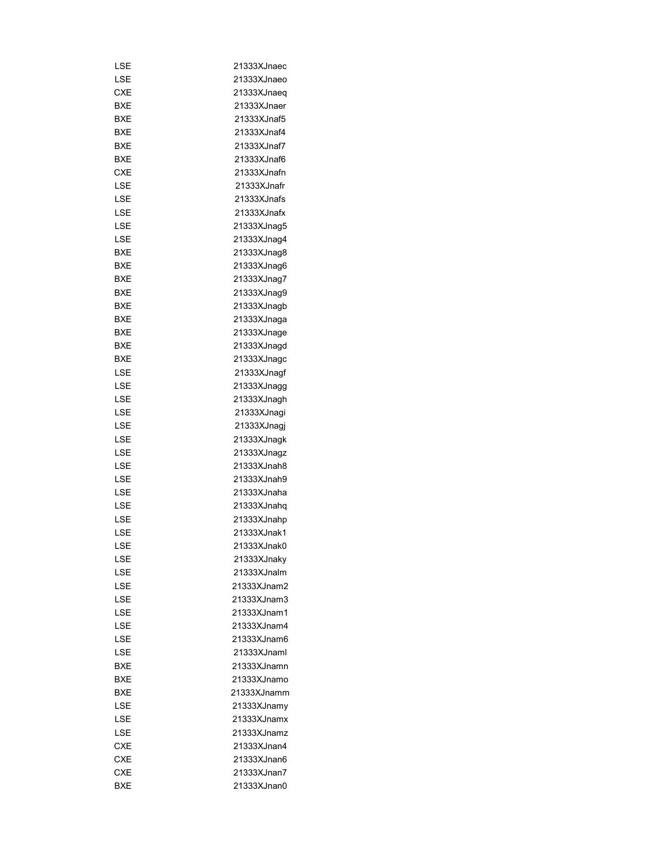| LSE        | 21333XJnaec |
|------------|-------------|
| LSE        | 21333XJnaeo |
|            |             |
| CXE        | 21333XJnaeq |
| BXE        | 21333XJnaer |
| BXE        | 21333XJnaf5 |
| BXE        | 21333XJnaf4 |
| BXE        | 21333XJnaf7 |
| BXE        | 21333XJnaf6 |
| <b>CXE</b> | 21333XJnafn |
| LSE        | 21333XJnafr |
| LSE        | 21333XJnafs |
| LSE        | 21333XJnafx |
| LSE        | 21333XJnag5 |
| LSE        | 21333XJnag4 |
| BXE        | 21333XJnag8 |
| BXE        | 21333XJnag6 |
| BXE        | 21333XJnag7 |
| BXE        | 21333XJnag9 |
| BXE        | 21333XJnagb |
| BXE        | 21333XJnaga |
|            |             |
| <b>BXE</b> | 21333XJnage |
| BXE        | 21333XJnagd |
| BXE        | 21333XJnagc |
| LSE        | 21333XJnagf |
| LSE        | 21333XJnagg |
| LSE        | 21333XJnagh |
| LSE        | 21333XJnagi |
| LSE        | 21333XJnagj |
| LSE        | 21333XJnagk |
| LSE        | 21333XJnagz |
| LSE        | 21333XJnah8 |
| LSE        | 21333XJnah9 |
| LSE        | 21333XJnaha |
| LSE        | 21333XJnahq |
| LSE        | 21333XJnahp |
| LSE        | 21333XJnak1 |
| LSE        | 21333XJnak0 |
| LSE        | 21333XJnaky |
| LSE        | 21333XJnalm |
| LSE        | 21333XJnam2 |
|            | 21333XJnam3 |
| LSE        |             |
| LSE        | 21333XJnam1 |
| LSE        | 21333XJnam4 |
| LSE        | 21333XJnam6 |
| LSE        | 21333XJnaml |
| BXE        | 21333XJnamn |
| BXE        | 21333XJnamo |
| BXE        | 21333XJnamm |
| LSE        | 21333XJnamy |
| LSE        | 21333XJnamx |
| LSE        | 21333XJnamz |
| <b>CXE</b> | 21333XJnan4 |
| <b>CXE</b> | 21333XJnan6 |
| <b>CXE</b> | 21333XJnan7 |
| BXE        | 21333XJnan0 |
|            |             |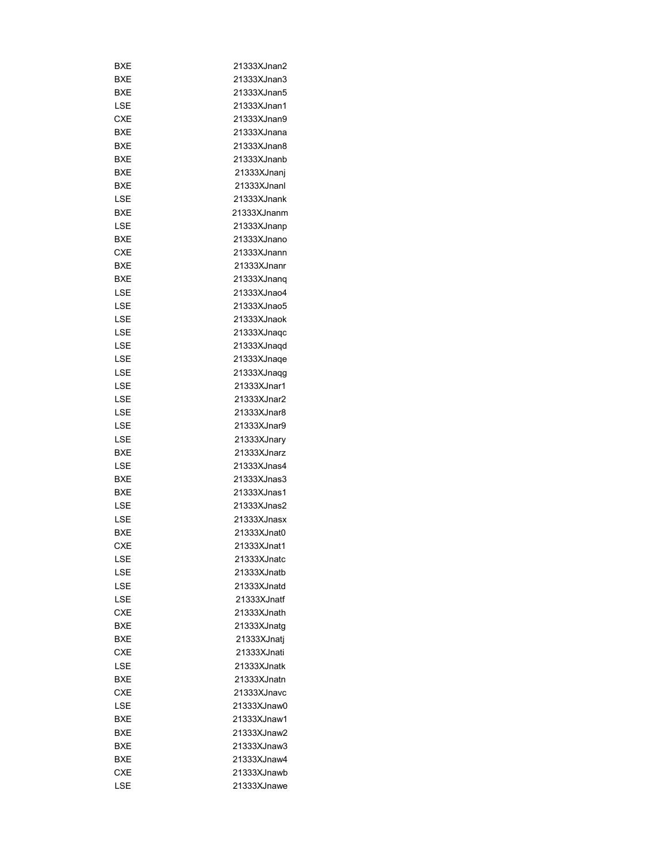| BXE        | 21333XJnan2 |
|------------|-------------|
| BXE        | 21333XJnan3 |
| BXE        | 21333XJnan5 |
| LSE        | 21333XJnan1 |
| <b>CXE</b> | 21333XJnan9 |
| BXE        | 21333XJnana |
| BXE        | 21333XJnan8 |
| BXE        | 21333XJnanb |
| BXE        | 21333XJnanj |
| BXE        | 21333XJnanl |
| LSE        | 21333XJnank |
| BXE        | 21333XJnanm |
| LSE        | 21333XJnanp |
| BXE        | 21333XJnano |
| CXE        | 21333XJnann |
| BXE        | 21333XJnanr |
| <b>BXE</b> | 21333XJnanq |
| LSE        | 21333XJnao4 |
| LSE        | 21333XJnao5 |
| LSE        | 21333XJnaok |
| LSE        | 21333XJnaqc |
| LSE        | 21333XJnaqd |
| LSE        | 21333XJnaqe |
| LSE        | 21333XJnaqg |
| LSE        | 21333XJnar1 |
|            |             |
| LSE        | 21333XJnar2 |
| LSE        | 21333XJnar8 |
| LSE        | 21333XJnar9 |
| LSE        | 21333XJnary |
| BXE        | 21333XJnarz |
| LSE        | 21333XJnas4 |
| BXE        | 21333XJnas3 |
| <b>BXE</b> | 21333XJnas1 |
| LSE        | 21333XJnas2 |
| LSE        | 21333XJnasx |
| BXE        | 21333XJnat0 |
| CXE        | 21333XJnat1 |
| LSE        | 21333XJnatc |
| LSE        | 21333XJnatb |
| LSE        | 21333XJnatd |
| LSE        | 21333XJnatf |
| <b>CXE</b> | 21333XJnath |
| <b>BXE</b> | 21333XJnatq |
| <b>BXE</b> | 21333XJnatj |
| CXE        | 21333XJnati |
| LSE        | 21333XJnatk |
| <b>BXE</b> | 21333XJnatn |
| <b>CXE</b> | 21333XJnavc |
| LSE        | 21333XJnaw0 |
| BXE        | 21333XJnaw1 |
| BXE        | 21333XJnaw2 |
| BXE        | 21333XJnaw3 |
| <b>BXE</b> | 21333XJnaw4 |
| <b>CXE</b> | 21333XJnawb |
| LSE        | 21333XJnawe |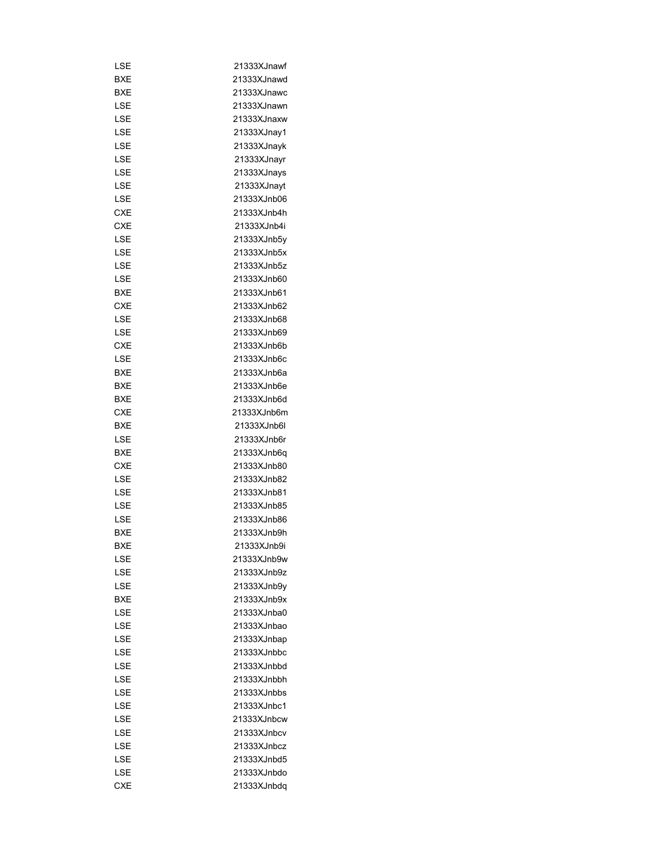| LSE        | 21333XJnawf |
|------------|-------------|
| BXE        | 21333XJnawd |
| BXE        | 21333XJnawc |
| LSE        | 21333XJnawn |
| LSE        | 21333XJnaxw |
| LSE        | 21333XJnay1 |
| LSE        | 21333XJnayk |
| LSE        | 21333XJnayr |
| LSE        | 21333XJnays |
| LSE        | 21333XJnayt |
| LSE        | 21333XJnb06 |
| <b>CXE</b> | 21333XJnb4h |
| CXE        | 21333XJnb4i |
| LSE        | 21333XJnb5y |
| LSE        | 21333XJnb5x |
| LSE        | 21333XJnb5z |
| LSE        | 21333XJnb60 |
| BXE        | 21333XJnb61 |
| CXE        | 21333XJnb62 |
|            | 21333XJnb68 |
| LSE        |             |
| LSE        | 21333XJnb69 |
| <b>CXE</b> | 21333XJnb6b |
| LSE        | 21333XJnb6c |
| BXE        | 21333XJnb6a |
| BXE        | 21333XJnb6e |
| BXE        | 21333XJnb6d |
| CXE        | 21333XJnb6m |
| BXE        | 21333XJnb6l |
| LSE        | 21333XJnb6r |
| BXE        | 21333XJnb6q |
| CXE        | 21333XJnb80 |
| LSE        | 21333XJnb82 |
| LSE        | 21333XJnb81 |
| LSE        | 21333XJnb85 |
| LSE        | 21333XJnb86 |
| <b>BXE</b> | 21333XJnb9h |
| <b>BXE</b> | 21333XJnb9i |
| LSE        | 21333XJnb9w |
| LSE        | 21333XJnb9z |
| LSE        | 21333XJnb9v |
| <b>BXE</b> | 21333XJnb9x |
| LSE        | 21333XJnba0 |
| LSE        | 21333XJnbao |
| LSE        | 21333XJnbap |
| LSE        | 21333XJnbbc |
| LSE        | 21333XJnbbd |
| LSE        | 21333XJnbbh |
| LSE        | 21333XJnbbs |
| LSE        | 21333XJnbc1 |
| LSE        | 21333XJnbcw |
| LSE        | 21333XJnbcv |
|            | 21333XJnbcz |
| LSE        |             |
| LSE        | 21333XJnbd5 |
| LSE        | 21333XJnbdo |
| <b>CXE</b> | 21333XJnbdq |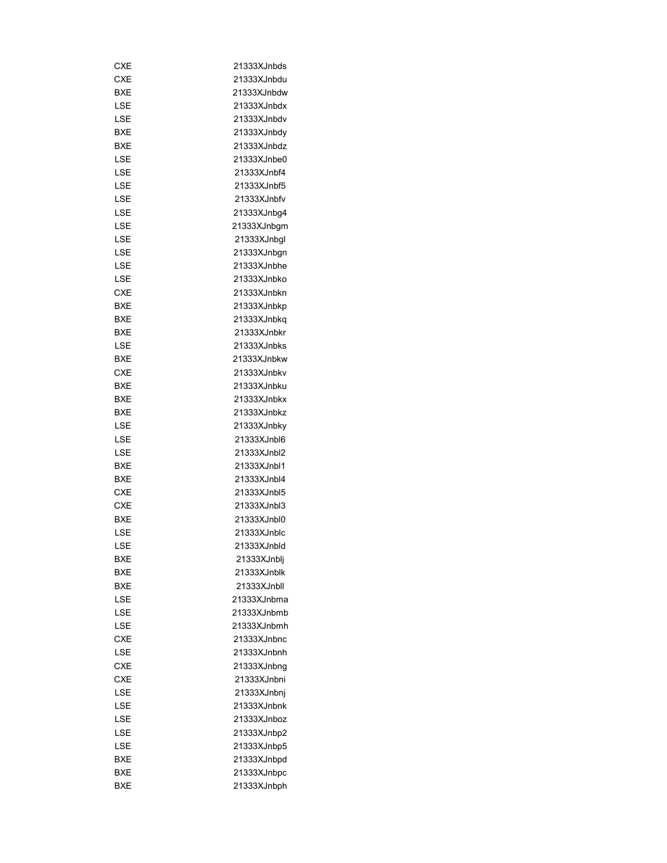| CXE        | 21333XJnbds |
|------------|-------------|
| <b>CXE</b> | 21333XJnbdu |
| <b>BXE</b> | 21333XJnbdw |
| LSE        | 21333XJnbdx |
| LSE        | 21333XJnbdv |
| BXE        | 21333XJnbdy |
| BXE        | 21333XJnbdz |
| LSE        | 21333XJnbe0 |
| LSE        | 21333XJnbf4 |
| LSE        | 21333XJnbf5 |
| LSE        | 21333XJnbfv |
| LSE        | 21333XJnbg4 |
| LSE        | 21333XJnbgm |
| LSE        | 21333XJnbgl |
| LSE        | 21333XJnbgn |
| LSE        | 21333XJnbhe |
| LSE        | 21333XJnbko |
| CXE        | 21333XJnbkn |
| BXE        | 21333XJnbkp |
| BXE        | 21333XJnbkg |
|            |             |
| BXE        | 21333XJnbkr |
| LSE        | 21333XJnbks |
| BXE        | 21333XJnbkw |
| CXE        | 21333XJnbkv |
| BXE        | 21333XJnbku |
| BXE        | 21333XJnbkx |
| BXE        | 21333XJnbkz |
| LSE        | 21333XJnbky |
| LSE        | 21333XJnbl6 |
| LSE        | 21333XJnbl2 |
| BXE        | 21333XJnbl1 |
| <b>BXE</b> | 21333XJnbl4 |
| <b>CXE</b> | 21333XJnbl5 |
| <b>CXE</b> | 21333XJnbl3 |
| BXE        | 21333XJnbl0 |
| LSE        | 21333XJnblc |
| LSE        | 21333XJnbld |
| BXE        | 21333XJnblj |
| BXE        | 21333XJnblk |
| <b>BXE</b> | 21333XJnbll |
| LSE        | 21333XJnbma |
| LSE        | 21333XJnbmb |
| LSE        | 21333XJnbmh |
| <b>CXE</b> | 21333XJnbnc |
| LSE        | 21333XJnbnh |
| <b>CXE</b> | 21333XJnbng |
| CXE        | 21333XJnbni |
| LSE        | 21333XJnbnj |
| LSE        | 21333XJnbnk |
| LSE        | 21333XJnboz |
| LSE        | 21333XJnbp2 |
| LSE        | 21333XJnbp5 |
| BXE        | 21333XJnbpd |
| BXE        | 21333XJnbpc |
| <b>BXE</b> | 21333XJnbph |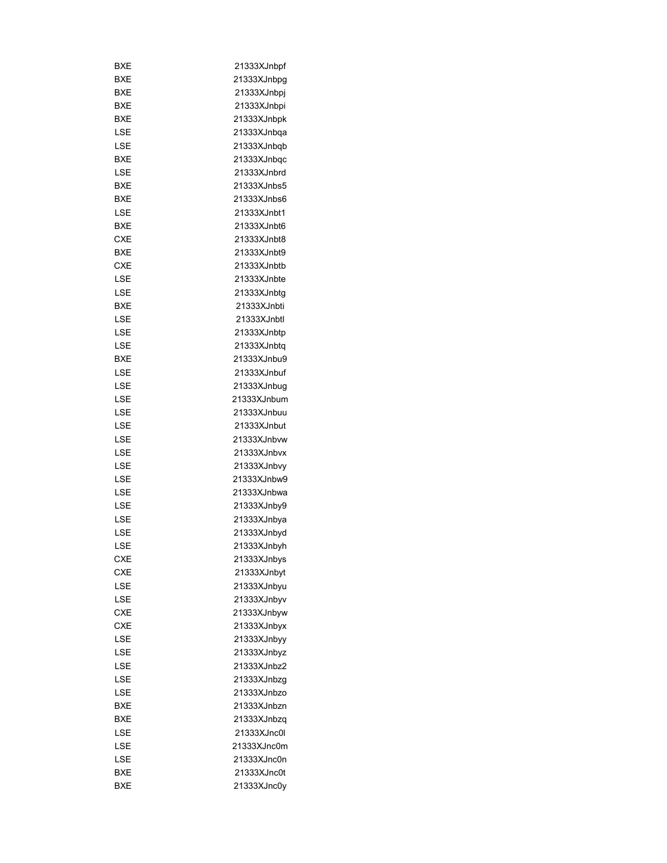| BXE        | 21333XJnbpf |
|------------|-------------|
| BXE        | 21333XJnbpg |
| BXE        | 21333XJnbpj |
| BXE        | 21333XJnbpi |
| BXE        | 21333XJnbpk |
| LSE        | 21333XJnbqa |
| LSE        | 21333XJnbqb |
| BXE        | 21333XJnbqc |
| LSE        | 21333XJnbrd |
| BXE        | 21333XJnbs5 |
| BXE        | 21333XJnbs6 |
| LSE        | 21333XJnbt1 |
| BXE        | 21333XJnbt6 |
| <b>CXE</b> | 21333XJnbt8 |
| BXE        | 21333XJnbt9 |
| <b>CXE</b> | 21333XJnbtb |
| LSE        | 21333XJnbte |
| LSE        | 21333XJnbtg |
| BXE        | 21333XJnbti |
| LSE        | 21333XJnbtl |
| LSE        | 21333XJnbtp |
| LSE        | 21333XJnbtq |
| BXE        | 21333XJnbu9 |
| LSE        | 21333XJnbuf |
|            | 21333XJnbug |
| LSE        |             |
| LSE        | 21333XJnbum |
| LSE        | 21333XJnbuu |
| LSE        | 21333XJnbut |
| LSE        | 21333XJnbvw |
| LSE        | 21333XJnbvx |
| LSE        | 21333XJnbvy |
| LSE        | 21333XJnbw9 |
| LSE        | 21333XJnbwa |
| LSE        | 21333XJnby9 |
| LSE        | 21333XJnbya |
| LSE        | 21333XJnbyd |
| LSE        | 21333XJnbyh |
| CXE        | 21333XJnbys |
| <b>CXE</b> | 21333XJnbyt |
| LSE        | 21333XJnbyu |
| LSE        | 21333XJnbyv |
| <b>CXE</b> | 21333XJnbyw |
| <b>CXE</b> | 21333XJnbyx |
| LSE        | 21333XJnbyy |
| LSE        | 21333XJnbyz |
| LSE        | 21333XJnbz2 |
| LSE        | 21333XJnbzg |
| LSE        | 21333XJnbzo |
| BXE        | 21333XJnbzn |
| BXE        | 21333XJnbzq |
| LSE        | 21333XJnc0l |
| LSE        | 21333XJnc0m |
| LSE        | 21333XJnc0n |
| BXE        | 21333XJnc0t |
| <b>BXE</b> | 21333XJnc0y |
|            |             |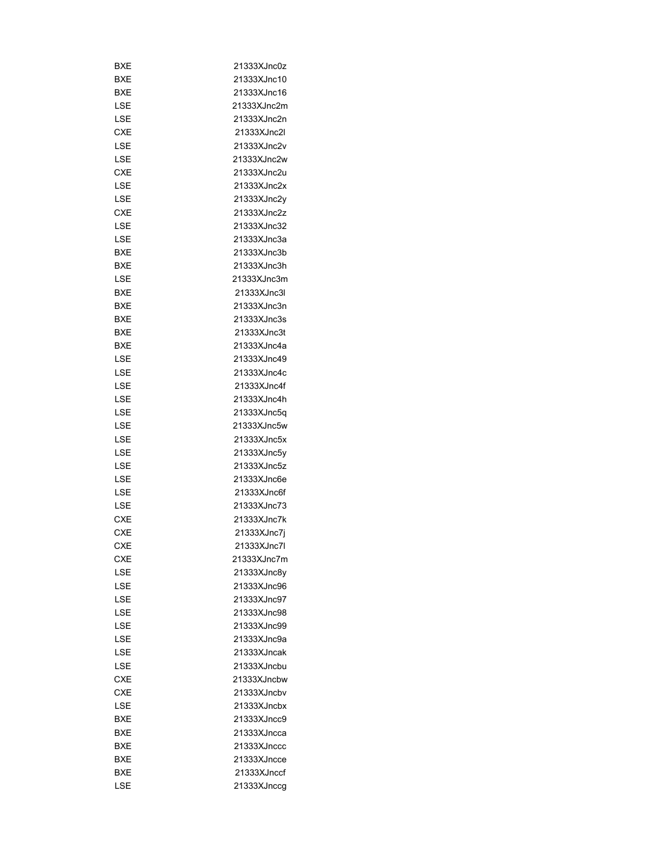| BXE        | 21333XJnc0z |
|------------|-------------|
| <b>BXE</b> | 21333XJnc10 |
| BXE        | 21333XJnc16 |
| LSE        | 21333XJnc2m |
| LSE        | 21333XJnc2n |
| <b>CXE</b> | 21333XJnc2l |
| LSE        | 21333XJnc2v |
| LSE        | 21333XJnc2w |
| <b>CXE</b> | 21333XJnc2u |
| LSE        | 21333XJnc2x |
| LSE        | 21333XJnc2y |
| CXE        | 21333XJnc2z |
| LSE        | 21333XJnc32 |
| LSE        | 21333XJnc3a |
| BXE        | 21333XJnc3b |
| BXE        | 21333XJnc3h |
| LSE        | 21333XJnc3m |
| BXE        | 21333XJnc3l |
| BXE        | 21333XJnc3n |
| <b>BXE</b> | 21333XJnc3s |
| BXE        | 21333XJnc3t |
|            | 21333XJnc4a |
| BXE        |             |
| LSE        | 21333XJnc49 |
| LSE        | 21333XJnc4c |
| LSE        | 21333XJnc4f |
| LSE        | 21333XJnc4h |
| LSE        | 21333XJnc5q |
| LSE        | 21333XJnc5w |
| LSE        | 21333XJnc5x |
| LSE        | 21333XJnc5y |
| LSE        | 21333XJnc5z |
| LSE        | 21333XJnc6e |
| LSE        | 21333XJnc6f |
| LSE        | 21333XJnc73 |
| <b>CXE</b> | 21333XJnc7k |
| CXE        | 21333XJnc7j |
| CXE        | 21333XJnc7l |
| CXE        | 21333XJnc7m |
| LSE        | 21333XJnc8y |
| LSE        | 21333XJnc96 |
| LSE        | 21333XJnc97 |
| LSE        | 21333XJnc98 |
| LSE        | 21333XJnc99 |
| LSE        | 21333XJnc9a |
| LSE        | 21333XJncak |
| LSE        | 21333XJncbu |
| CXE        | 21333XJncbw |
| CXE        | 21333XJncbv |
| LSE        | 21333XJncbx |
| BXE        | 21333XJncc9 |
| BXE        | 21333XJncca |
| BXE        | 21333XJnccc |
| BXE        | 21333XJncce |
| BXE        | 21333XJnccf |
| LSE        | 21333XJnccg |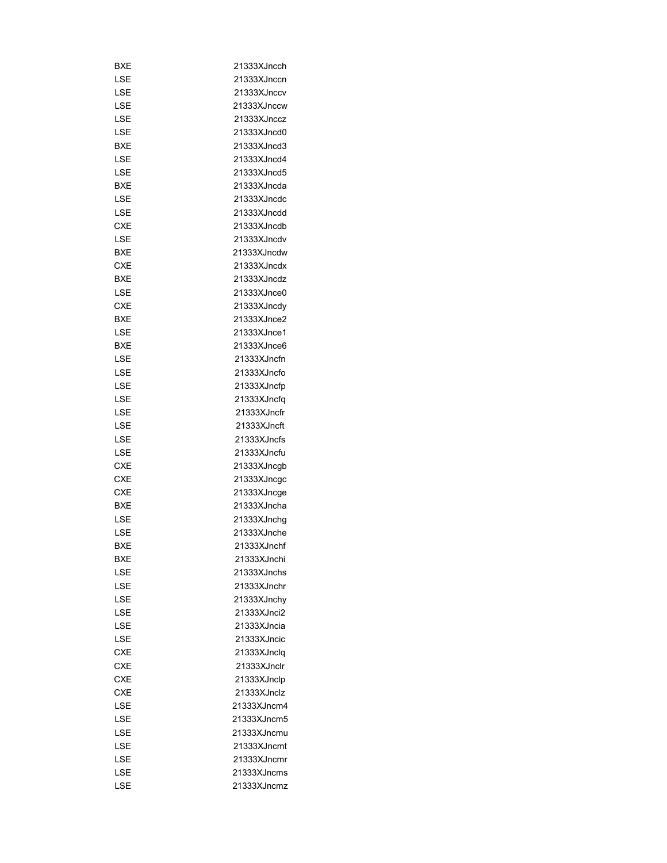| BXE        | 21333XJncch |
|------------|-------------|
| LSE        | 21333XJnccn |
| LSE        | 21333XJnccv |
|            |             |
| LSE        | 21333XJnccw |
| LSE        | 21333XJnccz |
| LSE        | 21333XJncd0 |
| <b>BXE</b> | 21333XJncd3 |
| LSE        | 21333XJncd4 |
| LSE        | 21333XJncd5 |
| <b>BXE</b> | 21333XJncda |
| LSE        | 21333XJncdc |
| LSE        | 21333XJncdd |
| <b>CXE</b> | 21333XJncdb |
| LSE        | 21333XJncdv |
| BXE        | 21333XJncdw |
| CXE        | 21333XJncdx |
| BXE        | 21333XJncdz |
| LSE        | 21333XJnce0 |
| CXE        | 21333XJncdy |
| BXE        | 21333XJnce2 |
| LSE        | 21333XJnce1 |
| <b>BXE</b> | 21333XJnce6 |
| LSE        | 21333XJncfn |
| LSE        | 21333XJncfo |
| LSE        | 21333XJncfp |
|            |             |
| LSE        | 21333XJncfq |
| LSE        | 21333XJncfr |
| LSE        | 21333XJncft |
| LSE        | 21333XJncfs |
| LSE        | 21333XJncfu |
| CXE        | 21333XJncgb |
| <b>CXE</b> | 21333XJncgc |
| CXE        | 21333XJncge |
| <b>BXE</b> | 21333XJncha |
| LSE        | 21333XJnchg |
| LSE        | 21333XJnche |
| <b>BXE</b> | 21333XJnchf |
| BXE        | 21333XJnchi |
| LSE        | 21333XJnchs |
| LSE        | 21333XJnchr |
| LSE        | 21333XJnchy |
| LSE        | 21333XJnci2 |
| LSE        | 21333XJncia |
| LSE        | 21333XJncic |
| <b>CXE</b> | 21333XJnclq |
| <b>CXE</b> | 21333XJnclr |
| <b>CXE</b> | 21333XJnclp |
| CXE        | 21333XJnclz |
| LSE        | 21333XJncm4 |
| LSE        | 21333XJncm5 |
| LSE        | 21333XJncmu |
|            |             |
| LSE        | 21333XJncmt |
| LSE        | 21333XJncmr |
| LSE        | 21333XJncms |
| LSE        | 21333XJncmz |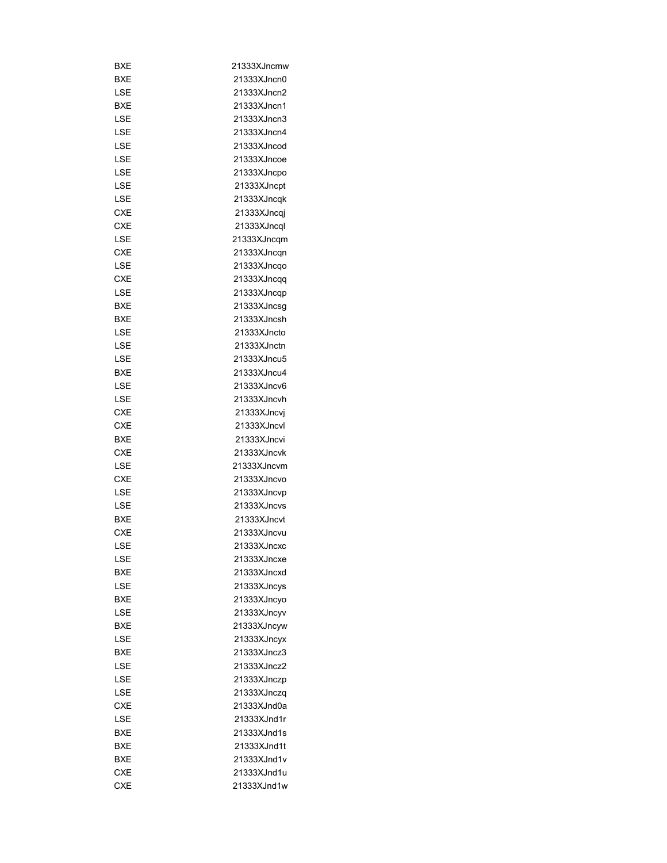| BXE        | 21333XJncmw |
|------------|-------------|
| BXE        | 21333XJncn0 |
| LSE        | 21333XJncn2 |
| BXE        | 21333XJncn1 |
| LSE        | 21333XJncn3 |
| LSE        | 21333XJncn4 |
| LSE        | 21333XJncod |
| LSE        | 21333XJncoe |
| LSE        | 21333XJncpo |
| LSE        | 21333XJncpt |
| LSE        | 21333XJncqk |
| <b>CXE</b> | 21333XJncqj |
| <b>CXE</b> | 21333XJncql |
| LSE        | 21333XJncqm |
| CXE        | 21333XJncqn |
| LSE        | 21333XJncqo |
| CXE        | 21333XJncqq |
|            |             |
| LSE        | 21333XJncqp |
| BXE        | 21333XJncsg |
| BXE        | 21333XJncsh |
| LSE        | 21333XJncto |
| LSE        | 21333XJnctn |
| LSE        | 21333XJncu5 |
| BXE        | 21333XJncu4 |
| LSE        | 21333XJncv6 |
| LSE        | 21333XJncvh |
| CXE        | 21333XJncvj |
| <b>CXE</b> | 21333XJncvl |
| BXE        | 21333XJncvi |
| <b>CXE</b> | 21333XJncvk |
| LSE        | 21333XJncvm |
| <b>CXE</b> | 21333XJncvo |
| LSE        | 21333XJncvp |
| LSE        | 21333XJncvs |
| BXE        | 21333XJncvt |
| <b>CXE</b> | 21333XJncvu |
| LSE        | 21333XJncxc |
| LSE        | 21333XJncxe |
| BXE        | 21333XJncxd |
| LSE        | 21333XJncys |
| BXE        | 21333XJncyo |
| LSE        | 21333XJncyv |
| BXE        | 21333XJncyw |
| LSE        | 21333XJncyx |
| BXE        | 21333XJncz3 |
| LSE        | 21333XJncz2 |
| LSE        | 21333XJnczp |
| LSE        | 21333XJnczq |
| CXE        | 21333XJnd0a |
| LSE        | 21333XJnd1r |
|            |             |
| BXE        | 21333XJnd1s |
| BXE        | 21333XJnd1t |
| BXE        | 21333XJnd1v |
| CXE        | 21333XJnd1u |
| <b>CXE</b> | 21333XJnd1w |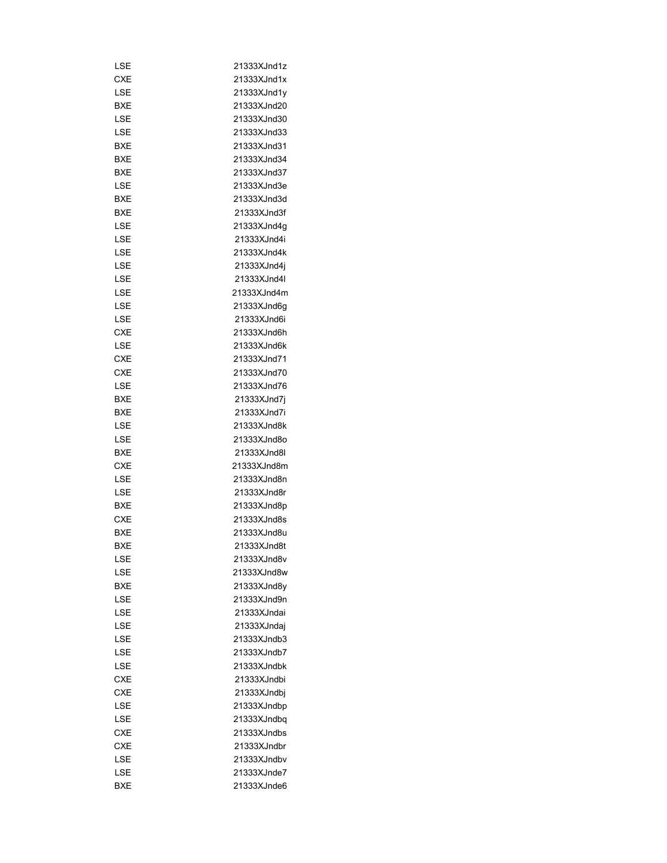| LSE        | 21333XJnd1z |
|------------|-------------|
| CXE        | 21333XJnd1x |
| LSE        | 21333XJnd1y |
| BXE        | 21333XJnd20 |
| LSE        | 21333XJnd30 |
| LSE        | 21333XJnd33 |
| BXE        | 21333XJnd31 |
| BXE        | 21333XJnd34 |
| <b>BXE</b> | 21333XJnd37 |
|            |             |
| LSE        | 21333XJnd3e |
| BXE        | 21333XJnd3d |
| BXE        | 21333XJnd3f |
| LSE        | 21333XJnd4g |
| LSE        | 21333XJnd4i |
| LSE        | 21333XJnd4k |
| LSE        | 21333XJnd4j |
| LSE        | 21333XJnd4l |
| LSE        | 21333XJnd4m |
| LSE        | 21333XJnd6g |
| LSE        | 21333XJnd6i |
| CXE        | 21333XJnd6h |
| LSE        | 21333XJnd6k |
| CXE        | 21333XJnd71 |
| CXE        | 21333XJnd70 |
| LSE        | 21333XJnd76 |
| BXE        | 21333XJnd7j |
| BXE        | 21333XJnd7i |
| LSE        | 21333XJnd8k |
| LSE        | 21333XJnd8o |
| BXE        | 21333XJnd8l |
| CXE        | 21333XJnd8m |
| LSE        | 21333XJnd8n |
| LSE        | 21333XJnd8r |
| <b>BXE</b> | 21333XJnd8p |
| CXE        | 21333XJnd8s |
| <b>BXE</b> | 21333XJnd8u |
| <b>BXE</b> | 21333XJnd8t |
| LSE        | 21333XJnd8v |
| LSE        | 21333XJnd8w |
| <b>BXE</b> | 21333XJnd8y |
|            |             |
| LSE        | 21333XJnd9n |
| LSE        | 21333XJndai |
| LSE        | 21333XJndaj |
| LSE        | 21333XJndb3 |
| LSE        | 21333XJndb7 |
| LSE        | 21333XJndbk |
| <b>CXE</b> | 21333XJndbi |
| CXE        | 21333XJndbj |
| LSE        | 21333XJndbp |
| LSE        | 21333XJndbq |
| CXE        | 21333XJndbs |
| CXE        | 21333XJndbr |
| LSE        | 21333XJndbv |
| LSE        | 21333XJnde7 |
| <b>BXE</b> | 21333XJnde6 |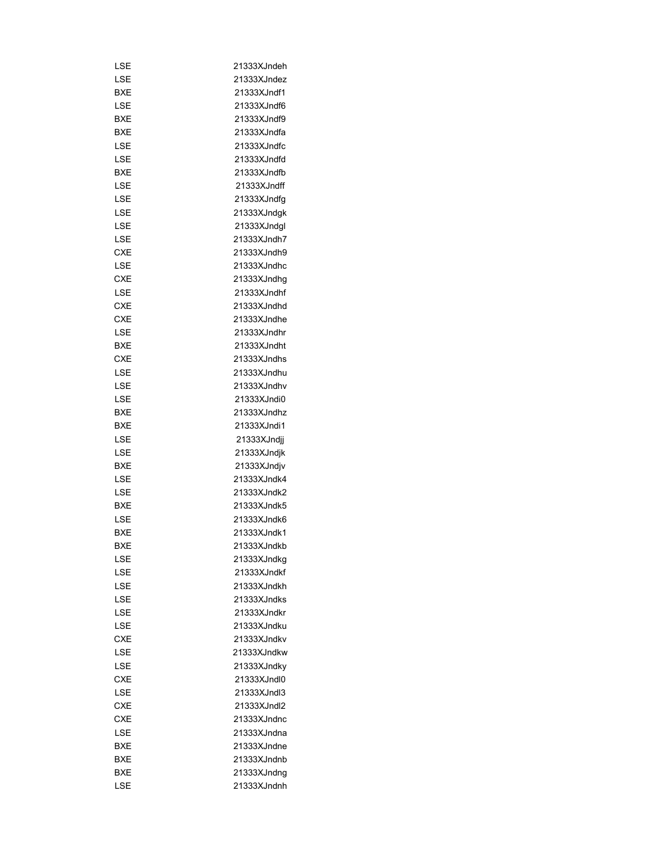| LSE        | 21333XJndeh |
|------------|-------------|
| LSE        | 21333XJndez |
| BXE        | 21333XJndf1 |
|            |             |
| LSE        | 21333XJndf6 |
| BXE        | 21333XJndf9 |
| BXE        | 21333XJndfa |
| LSE        | 21333XJndfc |
| LSE        | 21333XJndfd |
| BXE        | 21333XJndfb |
| LSE        | 21333XJndff |
| LSE        | 21333XJndfg |
| LSE        | 21333XJndgk |
| LSE        | 21333XJndgl |
| LSE        | 21333XJndh7 |
| CXE        | 21333XJndh9 |
| LSE        | 21333XJndhc |
| CXE        | 21333XJndhg |
| LSE        | 21333XJndhf |
| CXE        | 21333XJndhd |
| CXE        | 21333XJndhe |
| LSE        | 21333XJndhr |
| BXE        | 21333XJndht |
| CXE        | 21333XJndhs |
| LSE        | 21333XJndhu |
| LSE        | 21333XJndhv |
| LSE        | 21333XJndi0 |
| BXE        | 21333XJndhz |
| BXE        | 21333XJndi1 |
| LSE        | 21333XJndji |
| LSE        | 21333XJndjk |
| <b>BXE</b> | 21333XJndjv |
| LSE        | 21333XJndk4 |
| LSE        | 21333XJndk2 |
| BXE        | 21333XJndk5 |
| LSE        | 21333XJndk6 |
| <b>BXE</b> | 21333XJndk1 |
| BXE        | 21333XJndkb |
| LSE        | 21333XJndkg |
| LSE        | 21333XJndkf |
| LSE        | 21333XJndkh |
| LSE        | 21333XJndks |
| LSE        | 21333XJndkr |
| LSE        | 21333XJndku |
| <b>CXE</b> | 21333XJndkv |
| LSE        | 21333XJndkw |
| LSE        | 21333XJndky |
| <b>CXE</b> | 21333XJndl0 |
| LSE        | 21333XJndl3 |
| <b>CXE</b> | 21333XJndl2 |
| <b>CXE</b> | 21333XJndnc |
|            | 21333XJndna |
| LSE        | 21333XJndne |
| BXE        |             |
| BXE        | 21333XJndnb |
| BXE        | 21333XJndng |
| LSE        | 21333XJndnh |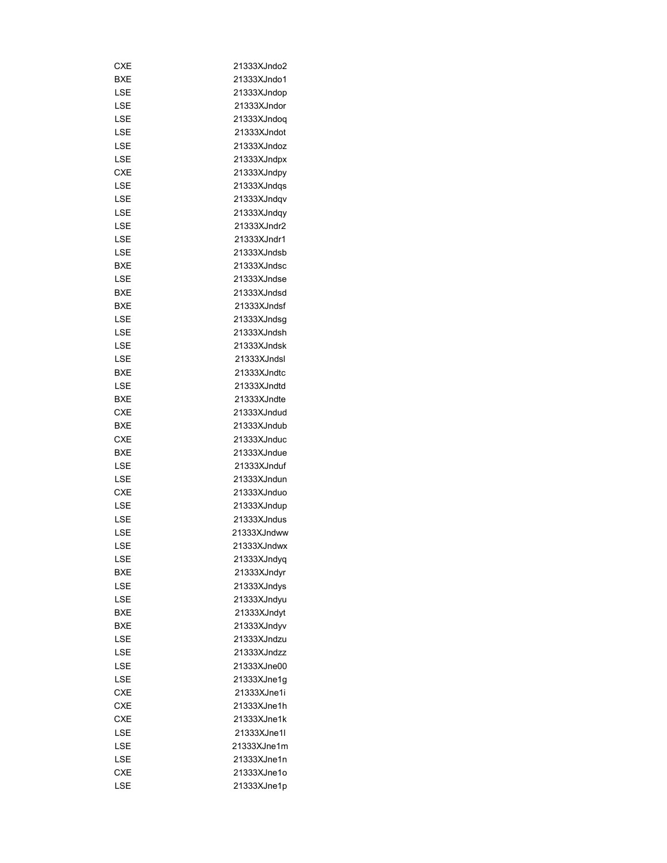| CXE        | 21333XJndo2 |
|------------|-------------|
| BXE        | 21333XJndo1 |
| LSE        | 21333XJndop |
| LSE        | 21333XJndor |
| LSE        | 21333XJndog |
| LSE        | 21333XJndot |
| LSE        | 21333XJndoz |
| LSE        | 21333XJndpx |
| <b>CXE</b> | 21333XJndpy |
| LSE        | 21333XJndqs |
| LSE        | 21333XJndqv |
| LSE        | 21333XJndqy |
| LSE        | 21333XJndr2 |
| LSE        | 21333XJndr1 |
| LSE        | 21333XJndsb |
| <b>BXE</b> | 21333XJndsc |
| LSE        | 21333XJndse |
| BXE        | 21333XJndsd |
| BXE        | 21333XJndsf |
| LSE        | 21333XJndsg |
| LSE        | 21333XJndsh |
| LSE        | 21333XJndsk |
| LSE        | 21333XJndsl |
|            | 21333XJndtc |
| <b>BXE</b> | 21333XJndtd |
| LSE        |             |
| BXE        | 21333XJndte |
| CXE        | 21333XJndud |
| BXE        | 21333XJndub |
| CXE        | 21333XJnduc |
| BXE        | 21333XJndue |
| LSE        | 21333XJnduf |
| LSE        | 21333XJndun |
| CXE        | 21333XJnduo |
| LSE        | 21333XJndup |
| LSE        | 21333XJndus |
| LSE        | 21333XJndww |
| LSE        | 21333XJndwx |
| LSE        | 21333XJndyq |
| BXE        | 21333XJndyr |
| LSE        | 21333XJndys |
| LSE        | 21333XJndyu |
| BXE        | 21333XJndyt |
| <b>BXE</b> | 21333XJndyv |
| LSE        | 21333XJndzu |
| LSE        | 21333XJndzz |
| LSE        | 21333XJne00 |
| LSE        | 21333XJne1g |
| <b>CXE</b> | 21333XJne1i |
| CXE        | 21333XJne1h |
| <b>CXE</b> | 21333XJne1k |
| LSE        | 21333XJne1l |
| LSE        | 21333XJne1m |
| LSE        | 21333XJne1n |
| <b>CXE</b> | 21333XJne1o |
| LSE        | 21333XJne1p |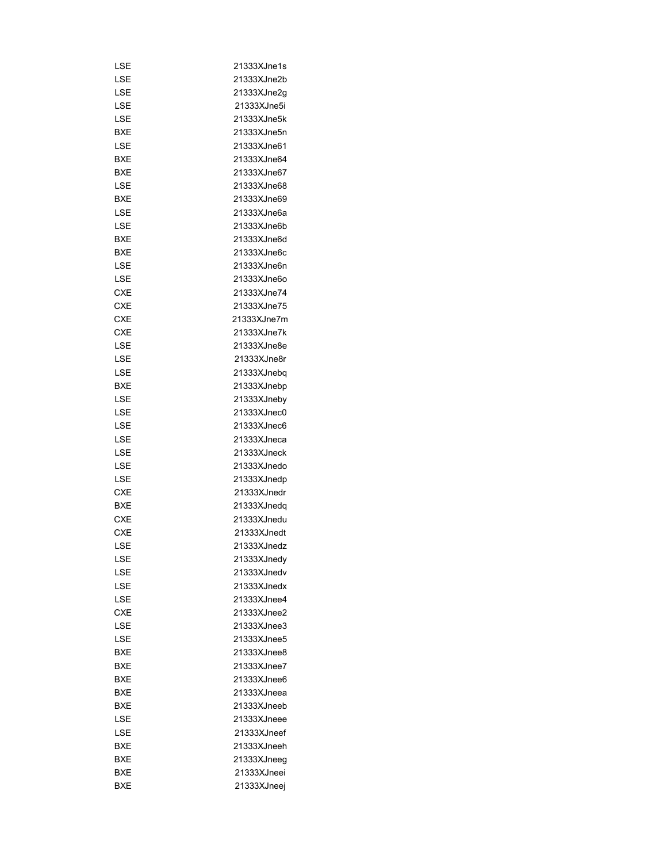| LSE        | 21333XJne1s  |
|------------|--------------|
|            | 21333XJne2b  |
| LSE        |              |
| LSE        | 21333XJne2g  |
| LSE        | 21333XJne5i  |
| LSE        | 21333XJne5k  |
| <b>BXE</b> | 21333XJne5n  |
| LSE        | 21333XJne61  |
| BXE        | 21333XJne64  |
| BXE        | 21333XJne67  |
| LSE        | 21333XJne68  |
| BXE        | 21333XJne69  |
| LSE        | 21333XJne6a  |
| LSE        | 21333XJne6b  |
| <b>BXE</b> | 21333XJne6d  |
| BXE        | 21333XJne6c  |
| LSE        | 21333XJne6n  |
| LSE        | 21333XJne6o  |
| <b>CXE</b> | 21333XJne74  |
| CXE        | 21333XJne75  |
| <b>CXE</b> | 21333XJne7m  |
| <b>CXE</b> | 21333XJne7k  |
|            |              |
| LSE        | 21333XJne8e  |
| LSE        | 21333XJne8r  |
| LSE        | 21333XJnebq  |
| BXE        | 21333XJnebp  |
| LSE        | 21333XJneby  |
| LSE        | 21333XJnec0  |
| LSE        | 21333XJnec6  |
| LSE        | 21333XJneca  |
| LSE        | 21333XJneck  |
| LSE        | 21333XJnedo  |
| LSE        | 21333XJnedp  |
| CXE        | 21333XJnedr  |
| <b>BXE</b> | 21333XJnedq  |
| <b>CXE</b> | 21333XJnedu  |
| <b>CXE</b> | 21333XJnedt  |
| LSE        | 21333XJnedz  |
| LSE        | 21333XJnedy  |
| LSE        | 21333XJnedv  |
| LSE        | 21333XJnedx  |
|            | 21333X.Inee4 |
| LSE        |              |
| <b>CXE</b> | 21333XJnee2  |
| LSE        | 21333XJnee3  |
| LSE        | 21333XJnee5  |
| BXE        | 21333XJnee8  |
| BXE        | 21333XJnee7  |
| BXE        | 21333XJnee6  |
| BXE        | 21333XJneea  |
| BXE        | 21333XJneeb  |
| LSE        | 21333XJneee  |
| LSE        | 21333XJneef  |
| BXE        | 21333XJneeh  |
| BXE        | 21333XJneeg  |
| BXE        | 21333XJneei  |
| BXE        | 21333XJneej  |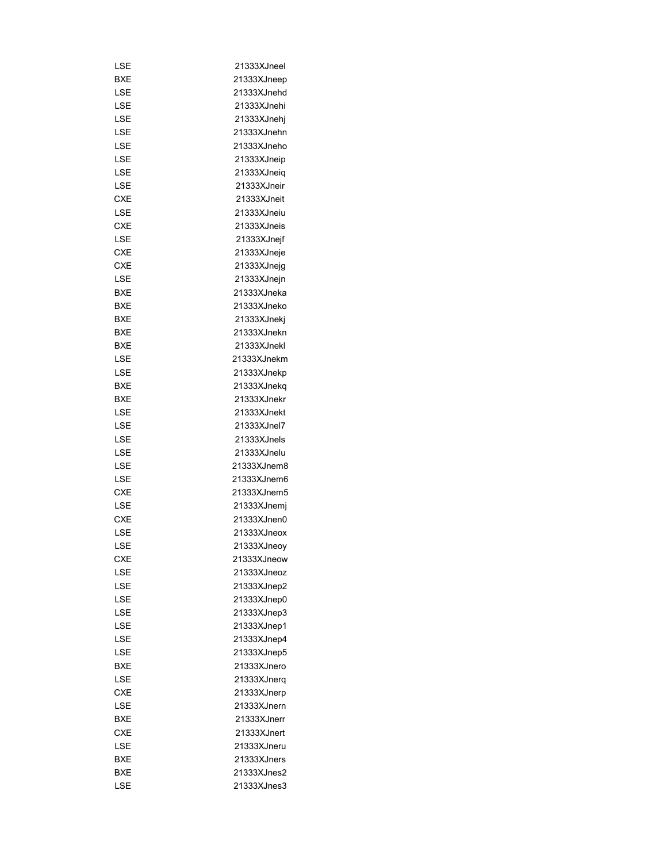| LSE        | 21333XJneel |
|------------|-------------|
| <b>BXE</b> | 21333XJneep |
| LSE        | 21333XJnehd |
| LSE        | 21333XJnehi |
| LSE        | 21333XJnehj |
| LSE        | 21333XJnehn |
| LSE        | 21333XJneho |
| LSE        | 21333XJneip |
| LSE        | 21333XJneiq |
| LSE        | 21333XJneir |
| <b>CXE</b> | 21333XJneit |
| LSE        | 21333XJneiu |
| CXE        | 21333XJneis |
| LSE        | 21333XJnejf |
| CXE        | 21333XJneje |
| CXE        | 21333XJnejg |
| LSE        | 21333XJnejn |
| BXE        | 21333XJneka |
| BXE        | 21333XJneko |
| <b>BXE</b> | 21333XJnekj |
|            | 21333XJnekn |
| BXE        |             |
| BXE        | 21333XJnekl |
| LSE        | 21333XJnekm |
| LSE        | 21333XJnekp |
| BXE        | 21333XJnekq |
| BXE        | 21333XJnekr |
| LSE        | 21333XJnekt |
| LSE        | 21333XJnel7 |
| LSE        | 21333XJnels |
| LSE        | 21333XJnelu |
| LSE        | 21333XJnem8 |
| LSE        | 21333XJnem6 |
| <b>CXE</b> | 21333XJnem5 |
| LSE        | 21333XJnemj |
| <b>CXE</b> | 21333XJnen0 |
| LSE        | 21333XJneox |
| LSE        | 21333XJneoy |
| CXE        | 21333XJneow |
| LSE        | 21333XJneoz |
| LSE        | 21333XJnep2 |
| LSE        | 21333XJnep0 |
| LSE        | 21333XJnep3 |
| LSE        | 21333XJnep1 |
| LSE        | 21333XJnep4 |
| LSE        | 21333XJnep5 |
| BXE        | 21333XJnero |
| LSE        | 21333XJnerq |
| CXE        | 21333XJnerp |
| LSE        | 21333XJnern |
| BXE        | 21333XJnerr |
| CXE        | 21333XJnert |
| LSE        | 21333XJneru |
| BXE        | 21333XJners |
| BXE        | 21333XJnes2 |
| LSE        | 21333XJnes3 |
|            |             |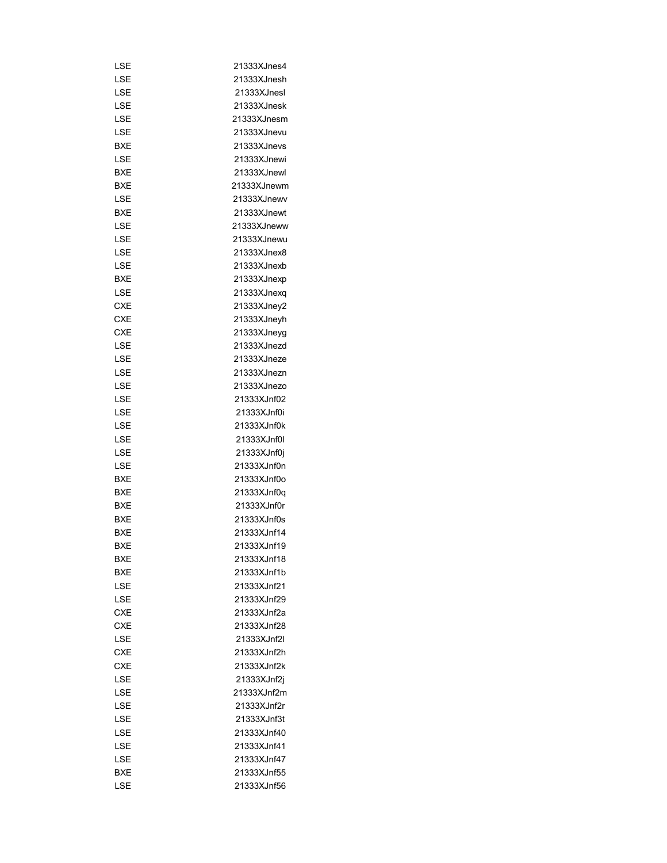| LSE        | 21333XJnes4                |
|------------|----------------------------|
| LSE        | 21333XJnesh                |
| LSE        | 21333XJnesl                |
| LSE        | 21333XJnesk                |
| LSE        | 21333XJnesm                |
| LSE        | 21333XJnevu                |
| BXE        | 21333XJnevs                |
| LSE        | 21333XJnewi                |
| BXE        | 21333XJnewl                |
|            |                            |
| BXE        | 21333XJnewm<br>21333XJnewy |
| LSE        |                            |
| BXE        | 21333XJnewt                |
| LSE        | 21333XJneww                |
| LSE        | 21333XJnewu                |
| LSE        | 21333XJnex8                |
| LSE        | 21333XJnexb                |
| BXE        | 21333XJnexp                |
| LSE        | 21333XJnexq                |
| <b>CXE</b> | 21333XJney2                |
| CXE        | 21333XJneyh                |
| CXE        | 21333XJneyg                |
| LSE        | 21333XJnezd                |
| LSE        | 21333XJneze                |
| LSE        | 21333XJnezn                |
| LSE        | 21333XJnezo                |
| LSE        | 21333XJnf02                |
| LSE        | 21333XJnf0i                |
| LSE        | 21333XJnf0k                |
| LSE        | 21333XJnf0l                |
| LSE        | 21333XJnf0j                |
| LSE        | 21333XJnf0n                |
| BXE        | 21333XJnf0o                |
| <b>BXE</b> | 21333XJnf0q                |
| BXE        | 21333XJnf0r                |
| <b>BXE</b> | 21333XJnf0s                |
| <b>BXE</b> | 21333XJnf14                |
| <b>BXE</b> | 21333XJnf19                |
| BXE        | 21333XJnf18                |
| BXE        | 21333XJnf1b                |
| LSE        | 21333XJnf21                |
| LSE        | 21333X.Inf29               |
| <b>CXE</b> | 21333XJnf2a                |
| <b>CXE</b> | 21333XJnf28                |
| LSE        | 21333XJnf2l                |
| <b>CXE</b> | 21333XJnf2h                |
| <b>CXE</b> | 21333XJnf2k                |
| LSE        |                            |
|            | 21333XJnf2j                |
| LSE        | 21333XJnf2m                |
| LSE        | 21333XJnf2r                |
| LSE        | 21333XJnf3t                |
| LSE        | 21333XJnf40                |
| LSE        | 21333XJnf41                |
| LSE        | 21333XJnf47                |
| BXE        | 21333XJnf55                |
| LSE        | 21333XJnf56                |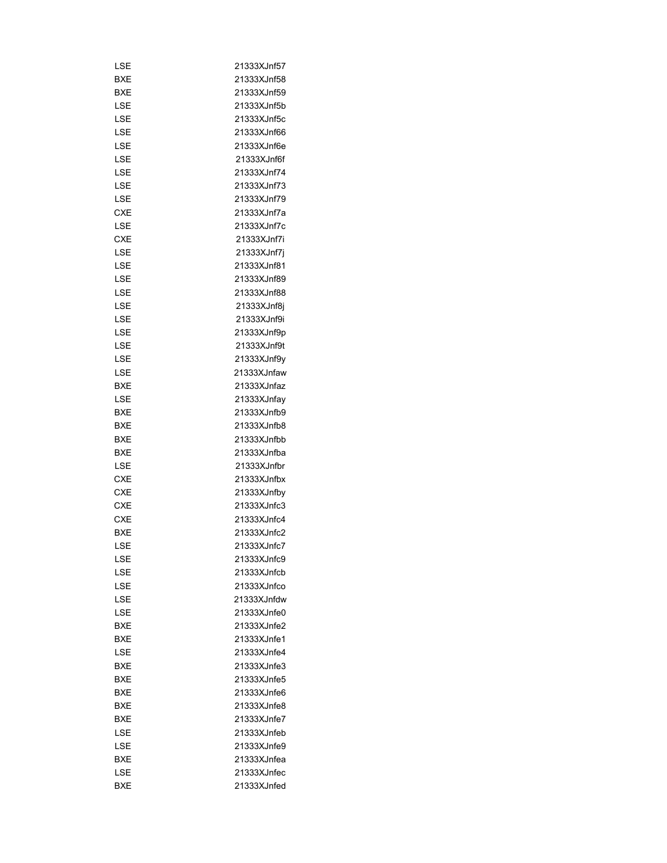| LSE        | 21333XJnf57  |
|------------|--------------|
| BXE        | 21333XJnf58  |
| BXE        | 21333XJnf59  |
| LSE        | 21333XJnf5b  |
| LSE        | 21333XJnf5c  |
|            |              |
| LSE        | 21333XJnf66  |
| LSE        | 21333XJnf6e  |
| LSE        | 21333XJnf6f  |
| LSE        | 21333XJnf74  |
| LSE        | 21333XJnf73  |
| LSE        | 21333XJnf79  |
| <b>CXE</b> | 21333XJnf7a  |
| LSE        | 21333XJnf7c  |
| <b>CXE</b> | 21333XJnf7i  |
| LSE        | 21333XJnf7j  |
| LSE        | 21333XJnf81  |
| LSE        | 21333XJnf89  |
| LSE        | 21333XJnf88  |
| LSE        | 21333XJnf8j  |
| LSE        | 21333XJnf9i  |
| LSE        | 21333XJnf9p  |
| LSE        | 21333XJnf9t  |
| LSE        | 21333XJnf9y  |
| LSE        | 21333XJnfaw  |
| BXE        | 21333XJnfaz  |
| LSE        | 21333XJnfay  |
| BXE        | 21333XJnfb9  |
|            |              |
| BXE        | 21333XJnfb8  |
| BXE        | 21333XJnfbb  |
| BXE        | 21333XJnfba  |
| LSE        | 21333XJnfbr  |
| CXE        | 21333XJnfbx  |
| CXE        | 21333XJnfby  |
| <b>CXE</b> | 21333XJnfc3  |
| <b>CXE</b> | 21333XJnfc4  |
| <b>BXE</b> | 21333XJnfc2  |
| LSE        | 21333XJnfc7  |
| LSE        | 21333XJnfc9  |
| LSE        | 21333XJnfcb  |
| LSE        | 21333XJnfco  |
| I SF       | 21333X.Infdw |
| LSE        | 21333XJnfe0  |
| <b>BXE</b> | 21333XJnfe2  |
| <b>BXE</b> | 21333XJnfe1  |
| LSE        | 21333XJnfe4  |
| BXE        | 21333XJnfe3  |
| BXE        | 21333XJnfe5  |
| BXE        | 21333XJnfe6  |
| BXE        | 21333XJnfe8  |
| BXE        | 21333XJnfe7  |
| LSE        | 21333XJnfeb  |
| LSE        | 21333XJnfe9  |
| BXE        | 21333XJnfea  |
| LSE        | 21333XJnfec  |
|            |              |
| BXE        | 21333XJnfed  |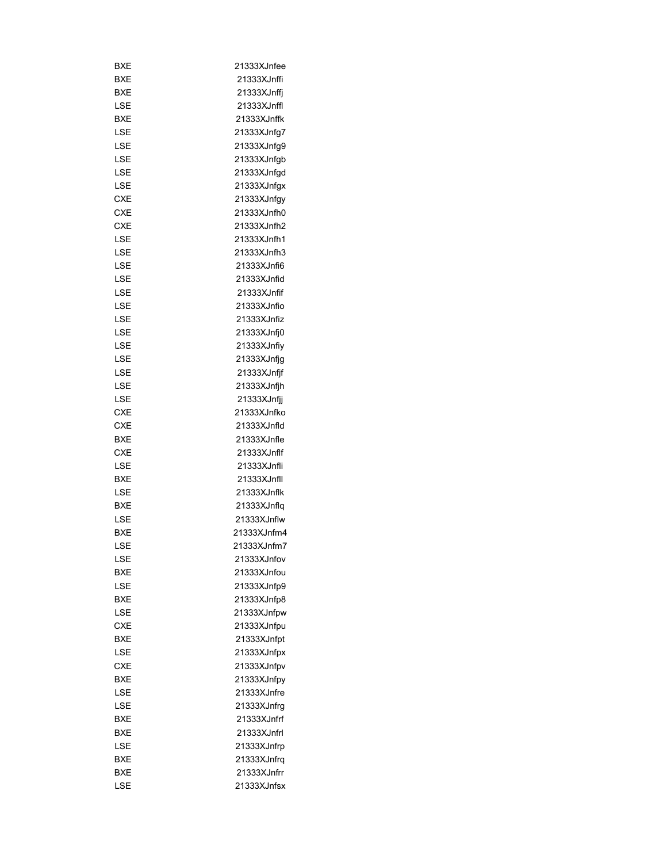| BXE        | 21333XJnfee |
|------------|-------------|
| BXE        | 21333XJnffi |
| BXE        | 21333XJnffj |
| LSE        | 21333XJnffl |
| BXE        | 21333XJnffk |
| LSE        | 21333XJnfg7 |
| LSE        | 21333XJnfg9 |
| LSE        | 21333XJnfgb |
| LSE        | 21333XJnfgd |
| LSE        | 21333XJnfgx |
| <b>CXE</b> | 21333XJnfgy |
| CXE        | 21333XJnfh0 |
| <b>CXE</b> | 21333XJnfh2 |
| LSE        | 21333XJnfh1 |
| LSE        | 21333XJnfh3 |
| LSE        | 21333XJnfi6 |
| LSE        | 21333XJnfid |
| LSE        | 21333XJnfif |
| LSE        | 21333XJnfio |
| LSE        | 21333XJnfiz |
| LSE        | 21333XJnfj0 |
| LSE        | 21333XJnfiy |
| LSE        | 21333XJnfjg |
| LSE        | 21333XJnfjf |
| LSE        | 21333XJnfjh |
| LSE        |             |
|            | 21333XJnfjj |
| CXE        | 21333XJnfko |
| CXE        | 21333XJnfld |
| BXE        | 21333XJnfle |
| CXE        | 21333XJnflf |
| LSE        | 21333XJnfli |
| <b>BXE</b> | 21333XJnfll |
| LSE        | 21333XJnflk |
| BXE        | 21333XJnflq |
| LSE        | 21333XJnflw |
| <b>BXE</b> | 21333XJnfm4 |
| LSE        | 21333XJnfm7 |
| LSE        | 21333XJnfov |
| BXE        | 21333XJnfou |
| LSE        | 21333XJnfp9 |
| BXE        | 21333XJnfp8 |
| LSE        | 21333XJnfpw |
| <b>CXE</b> | 21333XJnfpu |
| <b>BXE</b> | 21333XJnfpt |
| LSE        | 21333XJnfpx |
| <b>CXE</b> | 21333XJnfpv |
| BXE        | 21333XJnfpy |
| LSE        | 21333XJnfre |
| LSE        | 21333XJnfrg |
| BXE        | 21333XJnfrf |
| BXE        | 21333XJnfrl |
| LSE        | 21333XJnfrp |
| BXE        | 21333XJnfrq |
| BXE        | 21333XJnfrr |
| LSE        | 21333XJnfsx |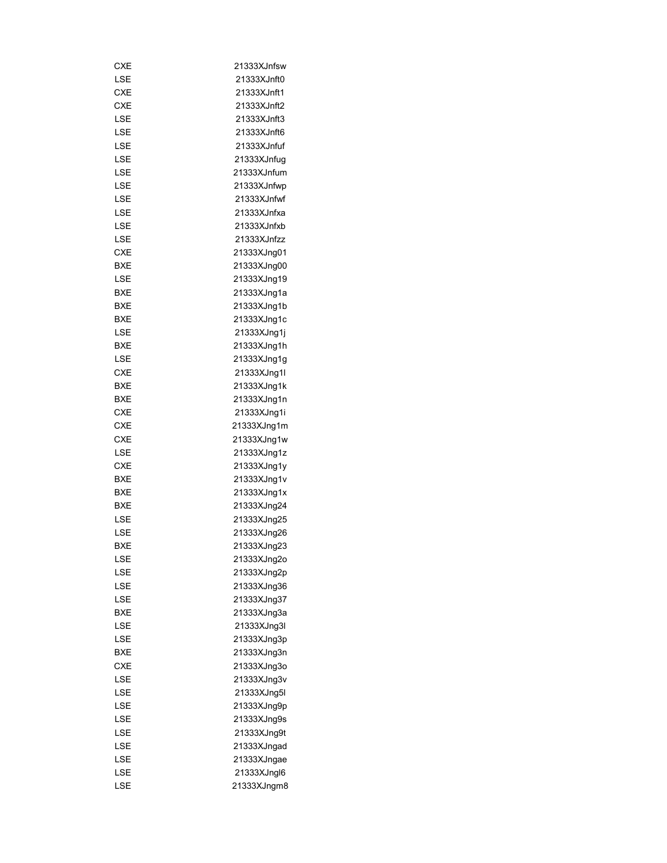| CXE        | 21333XJnfsw |
|------------|-------------|
| LSE        | 21333XJnft0 |
| <b>CXE</b> | 21333XJnft1 |
| CXE        | 21333XJnft2 |
| LSE        | 21333XJnft3 |
| LSE        | 21333XJnft6 |
| LSE        | 21333XJnfuf |
| LSE        | 21333XJnfug |
| LSE        | 21333XJnfum |
| LSE        | 21333XJnfwp |
| LSE        | 21333XJnfwf |
| LSE        | 21333XJnfxa |
| LSE        | 21333XJnfxb |
| LSE        | 21333XJnfzz |
| <b>CXE</b> | 21333XJng01 |
| BXE        | 21333XJng00 |
| LSE        | 21333XJng19 |
| BXE        | 21333XJng1a |
| <b>BXE</b> | 21333XJng1b |
| BXE        | 21333XJng1c |
| LSE        | 21333XJng1j |
|            |             |
| BXE        | 21333XJng1h |
| LSE        | 21333XJng1g |
| CXE        | 21333XJng1l |
| BXE        | 21333XJng1k |
| BXE        | 21333XJng1n |
| CXE        | 21333XJng1i |
| <b>CXE</b> | 21333XJng1m |
| <b>CXE</b> | 21333XJng1w |
| LSE        | 21333XJng1z |
| CXE        | 21333XJng1y |
| BXE        | 21333XJng1v |
| <b>BXE</b> | 21333XJng1x |
| BXE        | 21333XJng24 |
| LSE        | 21333XJng25 |
| LSE        | 21333XJng26 |
| BXE        | 21333XJnq23 |
| LSE        | 21333XJng2o |
| LSE        | 21333XJng2p |
| LSE        | 21333XJng36 |
| LSE        | 21333XJng37 |
| <b>BXE</b> | 21333XJng3a |
| LSE        | 21333XJng3l |
| LSE        | 21333XJng3p |
| BXE        | 21333XJng3n |
| CXE        | 21333XJng3o |
| LSE        | 21333XJng3v |
| LSE        | 21333XJng5l |
| LSE        | 21333XJng9p |
| LSE        | 21333XJng9s |
| LSE        | 21333XJng9t |
| LSE        | 21333XJngad |
| LSE        | 21333XJngae |
| LSE        | 21333XJngl6 |
|            |             |
| LSE        | 21333XJngm8 |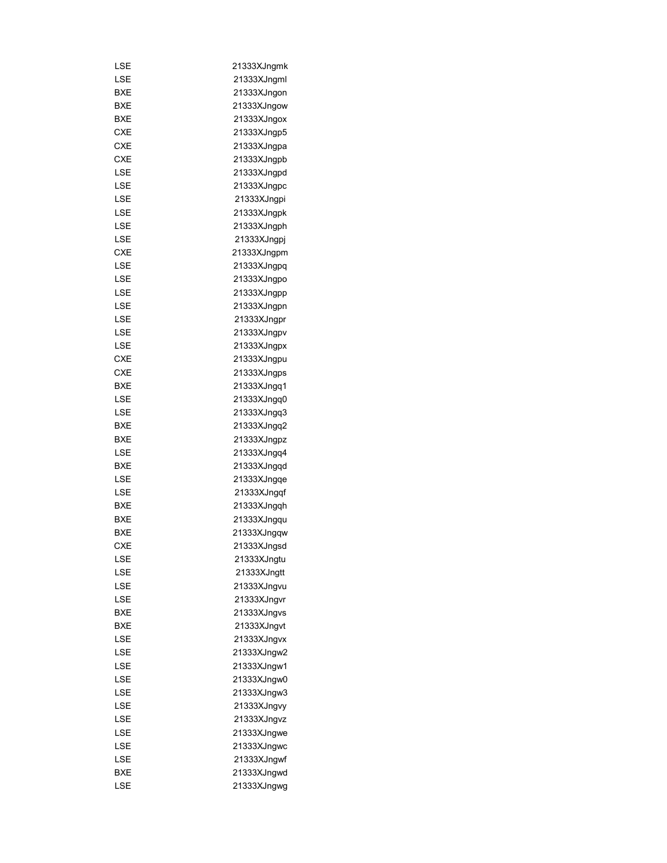| LSE        | 21333XJngmk |
|------------|-------------|
| LSE        | 21333XJngml |
| BXE        | 21333XJngon |
| BXE        | 21333XJngow |
| <b>BXE</b> | 21333XJngox |
| <b>CXE</b> | 21333XJngp5 |
| <b>CXE</b> | 21333XJngpa |
| <b>CXE</b> | 21333XJngpb |
| LSE        | 21333XJngpd |
| LSE        | 21333XJngpc |
| LSE        | 21333XJngpi |
| LSE        | 21333XJngpk |
| LSE        | 21333XJngph |
| LSE        | 21333XJngpj |
| CXE        | 21333XJngpm |
| LSE        | 21333XJngpq |
| LSE        | 21333XJngpo |
| LSE        | 21333XJngpp |
| LSE        | 21333XJngpn |
| LSE        | 21333XJngpr |
|            |             |
| LSE        | 21333XJngpv |
| LSE        | 21333XJngpx |
| <b>CXE</b> | 21333XJngpu |
| <b>CXE</b> | 21333XJngps |
| BXE        | 21333XJngq1 |
| LSE        | 21333XJngq0 |
| LSE        | 21333XJngq3 |
| BXE        | 21333XJngq2 |
| BXE        | 21333XJngpz |
| LSE        | 21333XJngq4 |
| BXE        | 21333XJngqd |
| LSE        | 21333XJngqe |
| LSE        | 21333XJngqf |
| BXE        | 21333XJngqh |
| <b>BXE</b> | 21333XJngqu |
| <b>BXE</b> | 21333XJngqw |
| CXE        | 21333XJngsd |
| LSE        | 21333XJngtu |
| LSE        | 21333XJngtt |
| LSE        | 21333XJngvu |
| LSE        | 21333XJngvr |
| BXE        | 21333XJngvs |
| BXE        | 21333XJngvt |
| LSE        | 21333XJngvx |
| LSE        | 21333XJngw2 |
| LSE        | 21333XJngw1 |
| LSE        | 21333XJngw0 |
| LSE        | 21333XJngw3 |
| LSE        | 21333XJngvy |
| LSE        | 21333XJngvz |
| LSE        | 21333XJngwe |
| LSE        | 21333XJngwc |
| LSE        |             |
|            | 21333XJngwf |
| BXE        | 21333XJngwd |
| LSE        | 21333XJngwg |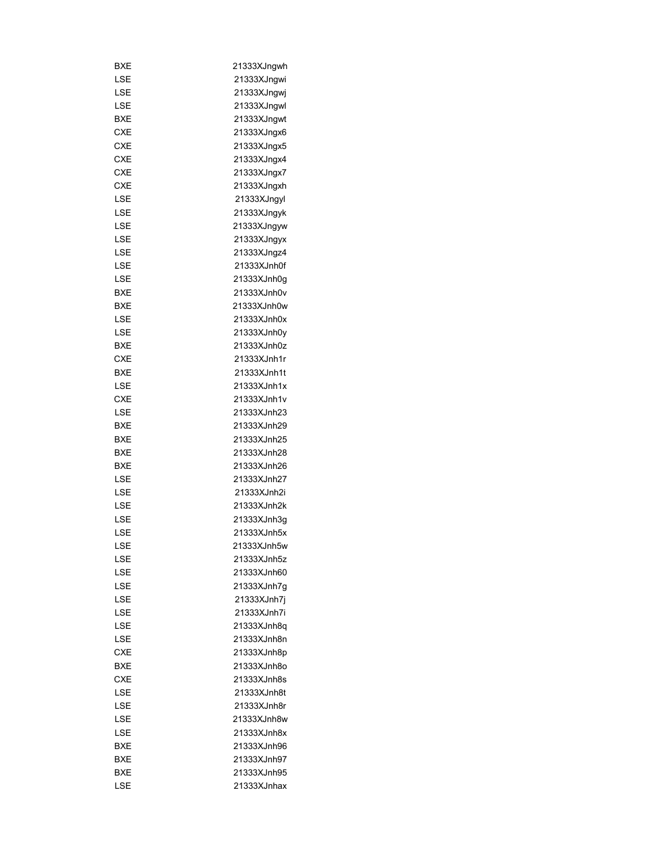| BXE        | 21333XJngwh |
|------------|-------------|
| LSE        | 21333XJngwi |
| LSE        | 21333XJngwj |
| LSE        | 21333XJngwl |
| BXE        | 21333XJngwt |
| <b>CXE</b> | 21333XJngx6 |
| <b>CXE</b> | 21333XJngx5 |
| <b>CXE</b> | 21333XJngx4 |
| <b>CXE</b> | 21333XJngx7 |
| <b>CXE</b> | 21333XJngxh |
| LSE        | 21333XJngyl |
| LSE        | 21333XJngyk |
| LSE        | 21333XJngyw |
| LSE        | 21333XJngyx |
| LSE        | 21333XJngz4 |
| LSE        | 21333XJnh0f |
| LSE        | 21333XJnh0g |
| BXE        | 21333XJnh0v |
| BXE        | 21333XJnh0w |
| LSE        | 21333XJnh0x |
| LSE        | 21333XJnh0y |
| BXE        | 21333XJnh0z |
|            | 21333XJnh1r |
| CXE        |             |
| BXE        | 21333XJnh1t |
| LSE        | 21333XJnh1x |
| <b>CXE</b> | 21333XJnh1v |
| LSE        | 21333XJnh23 |
| BXE        | 21333XJnh29 |
| BXE        | 21333XJnh25 |
| BXE        | 21333XJnh28 |
| BXE        | 21333XJnh26 |
| LSE        | 21333XJnh27 |
| LSE        | 21333XJnh2i |
| LSE        | 21333XJnh2k |
| LSE        | 21333XJnh3g |
| LSE        | 21333XJnh5x |
| LSE        | 21333XJnh5w |
| LSE        | 21333XJnh5z |
| LSE        | 21333XJnh60 |
| LSE        | 21333XJnh7q |
| LSE        | 21333XJnh7j |
| LSE        | 21333XJnh7i |
| LSE        | 21333XJnh8q |
| LSE        | 21333XJnh8n |
| CXE        | 21333XJnh8p |
| BXE        | 21333XJnh8o |
| <b>CXE</b> | 21333XJnh8s |
| LSE        | 21333XJnh8t |
| LSE        | 21333XJnh8r |
| LSE        | 21333XJnh8w |
| LSE        | 21333XJnh8x |
| <b>BXE</b> | 21333XJnh96 |
| BXE        | 21333XJnh97 |
| BXE        | 21333XJnh95 |
| LSE        | 21333XJnhax |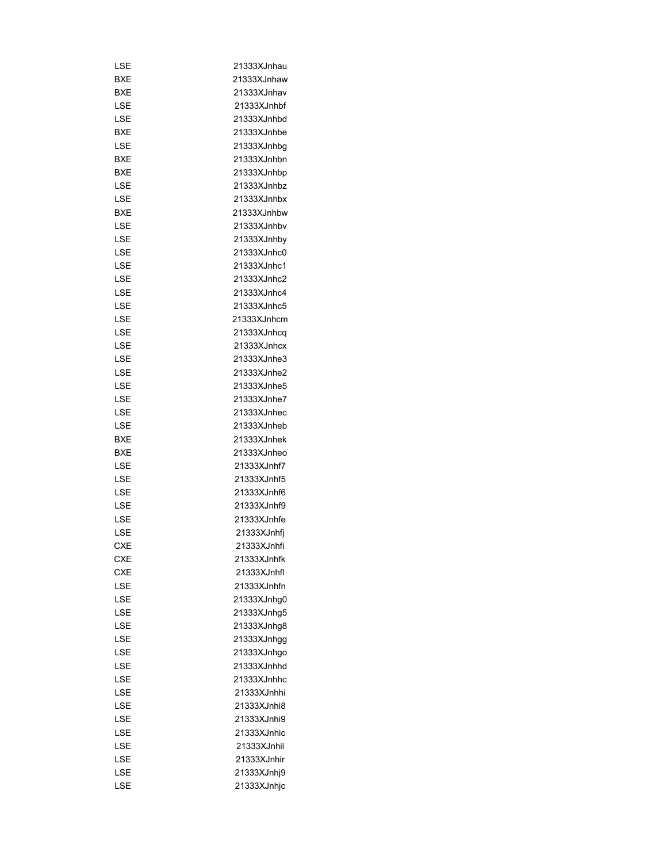| LSE               | 21333XJnhau                |
|-------------------|----------------------------|
| BXE               | 21333XJnhaw                |
| BXE               | 21333XJnhav                |
| LSE               | 21333XJnhbf                |
| LSE               | 21333XJnhbd                |
| <b>BXE</b>        | 21333XJnhbe                |
| LSE               | 21333XJnhbg                |
| BXE               | 21333XJnhbn                |
| BXE               | 21333XJnhbp                |
| <b>LSE</b>        | 21333XJnhbz                |
| <b>LSE</b>        | 21333XJnhbx                |
| BXE               | 21333XJnhbw                |
| LSE               | 21333XJnhbv                |
| LSE               | 21333XJnhby                |
| LSE               | 21333XJnhc0                |
| LSE               | 21333XJnhc1                |
| LSE               | 21333XJnhc2                |
| LSE               | 21333XJnhc4                |
|                   |                            |
| LSE               | 21333XJnhc5                |
| LSE               | 21333XJnhcm                |
| LSE<br>LSE        | 21333XJnhcq<br>21333XJnhcx |
|                   |                            |
| LSE               | 21333XJnhe3                |
| LSE               | 21333XJnhe2                |
| LSE               | 21333XJnhe5                |
| LSE               | 21333XJnhe7                |
| LSE               | 21333XJnhec                |
| LSE               | 21333XJnheb<br>21333XJnhek |
| BXE<br>BXE        |                            |
| LSE               | 21333XJnheo<br>21333XJnhf7 |
| LSE               | 21333XJnhf5                |
| LSE               | 21333XJnhf6                |
| LSE               | 21333XJnhf9                |
| LSE               | 21333XJnhfe                |
| LSE               | 21333XJnhfj                |
|                   |                            |
| CXE<br><b>CXE</b> | 21333XJnhfi                |
| <b>CXE</b>        | 21333XJnhfk                |
|                   | 21333XJnhfl                |
| LSE               | 21333XJnhfn                |
| LSE               | 21333XJnhg0                |
| LSE               | 21333XJnhg5                |
| LSE               | 21333XJnhg8                |
| LSE               | 21333XJnhgg                |
| LSE               | 21333XJnhqo                |
| LSE               | 21333XJnhhd                |
| LSE               | 21333XJnhhc                |
| LSE               | 21333XJnhhi                |
| LSE               | 21333XJnhi8                |
| LSE               | 21333XJnhi9                |
| LSE               | 21333XJnhic                |
| LSE               | 21333XJnhil                |
| LSE               | 21333XJnhir                |
| LSE               | 21333XJnhj9                |
| LSE               | 21333XJnhjc                |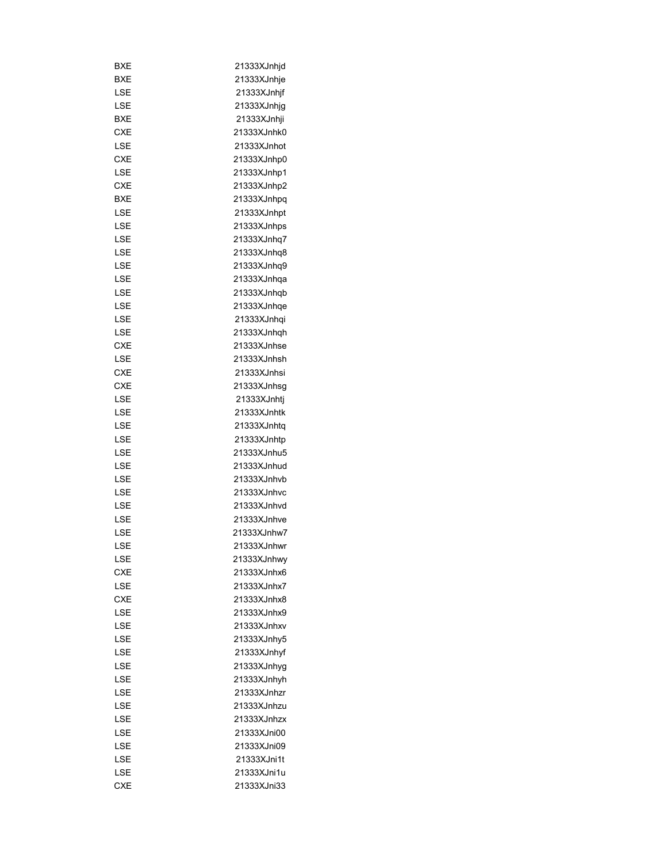| BXE        | 21333XJnhjd  |
|------------|--------------|
| BXE        | 21333XJnhje  |
| LSE        | 21333XJnhjf  |
| LSE        | 21333XJnhjg  |
| BXE        | 21333XJnhji  |
| CXE        | 21333XJnhk0  |
| LSE        | 21333XJnhot  |
| CXE        | 21333XJnhp0  |
| LSE        | 21333XJnhp1  |
| <b>CXE</b> | 21333XJnhp2  |
| <b>BXE</b> | 21333XJnhpq  |
| LSE        | 21333XJnhpt  |
| LSE        | 21333XJnhps  |
| LSE        | 21333XJnhq7  |
| LSE        | 21333XJnhq8  |
| LSE        | 21333XJnhq9  |
| LSE        | 21333XJnhqa  |
| LSE        | 21333XJnhqb  |
| LSE        | 21333XJnhqe  |
| LSE        | 21333XJnhqi  |
| LSE        | 21333XJnhqh  |
| <b>CXE</b> | 21333XJnhse  |
| LSE        | 21333XJnhsh  |
| CXE        | 21333XJnhsi  |
| CXE        | 21333XJnhsg  |
|            |              |
| LSE        | 21333XJnhtj  |
| LSE        | 21333XJnhtk  |
| LSE        | 21333XJnhtq  |
| LSE        | 21333XJnhtp  |
| LSE        | 21333XJnhu5  |
| LSE        | 21333XJnhud  |
| LSE        | 21333XJnhvb  |
| LSE        | 21333XJnhvc  |
| LSE        | 21333XJnhvd  |
| LSE        | 21333XJnhve  |
| LSE        | 21333XJnhw7  |
| LSE        | 21333XJnhwr  |
| LSE        | 21333XJnhwy  |
| <b>CXE</b> | 21333XJnhx6  |
| LSE        | 21333XJnhx7  |
| <b>CXE</b> | 21333X.Inhx8 |
| LSE        | 21333XJnhx9  |
| LSE        | 21333XJnhxv  |
| LSE        | 21333XJnhy5  |
| LSE        | 21333XJnhyf  |
| LSE        | 21333XJnhyg  |
| LSE        | 21333XJnhyh  |
| LSE        | 21333XJnhzr  |
| LSE        | 21333XJnhzu  |
| LSE        | 21333XJnhzx  |
| LSE        | 21333XJni00  |
| LSE        | 21333XJni09  |
| LSE        | 21333XJni1t  |
| LSE        | 21333XJni1u  |
| <b>CXE</b> | 21333XJni33  |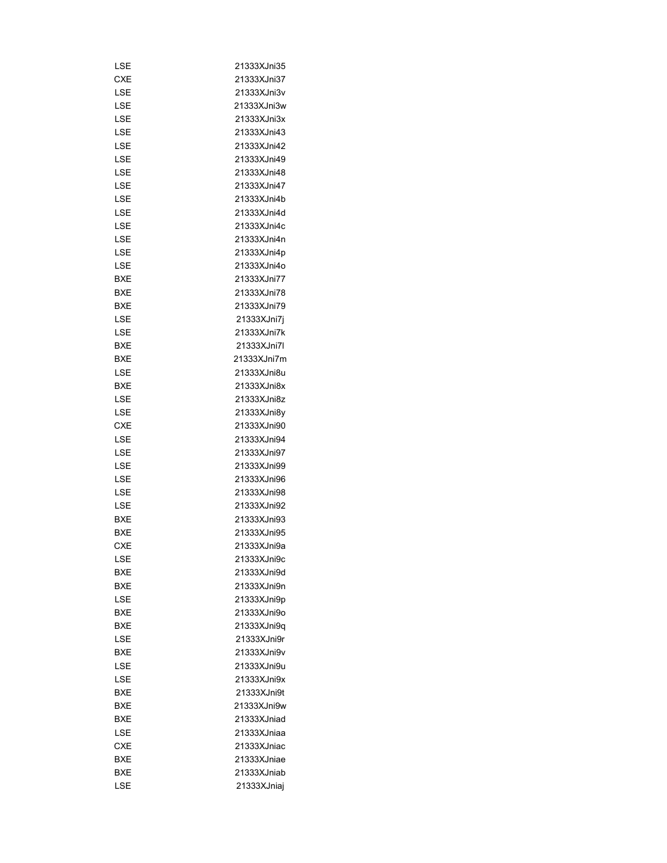| LSE        | 21333XJni35                |
|------------|----------------------------|
| <b>CXE</b> | 21333XJni37                |
| LSE        | 21333XJni3v                |
| LSE        | 21333XJni3w                |
| LSE        | 21333XJni3x                |
| LSE        | 21333XJni43                |
| LSE        | 21333XJni42                |
| LSE        | 21333XJni49                |
| LSE        | 21333XJni48                |
| LSE        | 21333XJni47                |
| LSE        | 21333XJni4b                |
| LSE        | 21333XJni4d                |
| LSE        | 21333XJni4c                |
| LSE        | 21333XJni4n                |
| LSE        | 21333XJni4p                |
| LSE        | 21333XJni4o                |
| BXE        | 21333XJni77                |
| BXE        | 21333XJni78                |
| BXE        | 21333XJni79                |
| LSE        | 21333XJni7j                |
| LSE        | 21333XJni7k                |
| BXE        | 21333XJni7l                |
| BXE        | 21333XJni7m                |
| LSE        | 21333XJni8u                |
| BXE        | 21333XJni8x                |
| LSE        | 21333XJni8z                |
| LSE        | 21333XJni8y                |
| CXE        | 21333XJni90                |
| LSE        | 21333XJni94                |
| LSE        | 21333XJni97                |
| LSE        | 21333XJni99                |
| LSE        | 21333XJni96                |
| LSE        | 21333XJni98                |
| LSE        | 21333XJni92                |
| BXE        | 21333XJni93                |
| BXE        | 21333XJni95                |
| <b>CXE</b> | 21333XJni9a                |
| LSE        | 21333XJni9c                |
| BXE        | 21333XJni9d                |
| <b>BXE</b> | 21333XJni9n                |
| LSE        | 21333XJni9p                |
| BXE        | 21333XJni9o                |
| <b>BXE</b> |                            |
| LSE        | 21333XJni9q<br>21333XJni9r |
|            |                            |
| BXE        | 21333XJni9v                |
| LSE        | 21333XJni9u                |
| LSE        | 21333XJni9x                |
| BXE        | 21333XJni9t                |
| BXE        | 21333XJni9w                |
| BXE        | 21333XJniad                |
| LSE        | 21333XJniaa                |
| <b>CXE</b> | 21333XJniac                |
| BXE        | 21333XJniae                |
| BXE        | 21333XJniab                |
| LSE        | 21333XJniaj                |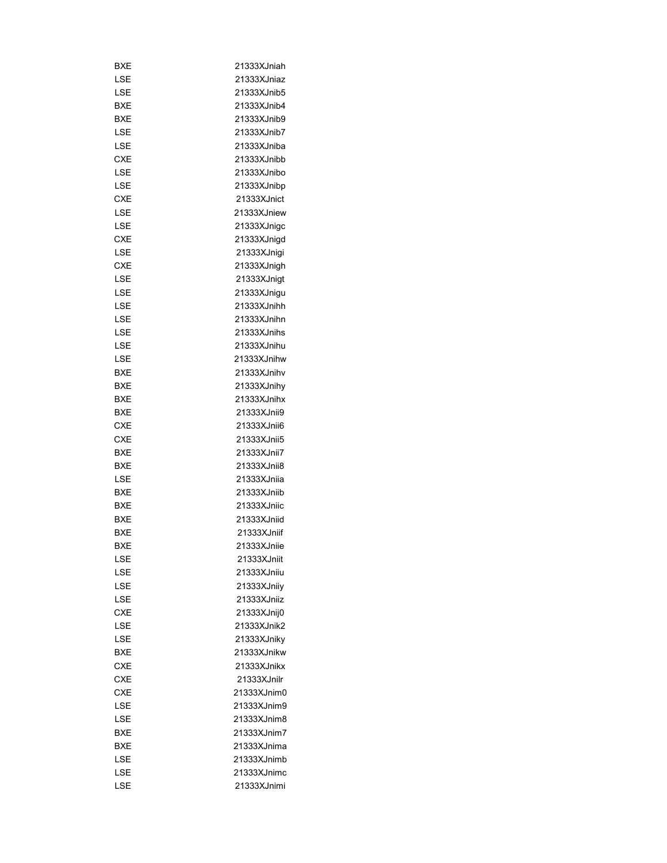| BXE        | 21333XJniah |
|------------|-------------|
| LSE        | 21333XJniaz |
| LSE        | 21333XJnib5 |
| BXE        | 21333XJnib4 |
| BXE        | 21333XJnib9 |
| LSE        | 21333XJnib7 |
| LSE        | 21333XJniba |
| CXE        | 21333XJnibb |
| LSE        | 21333XJnibo |
| LSE        | 21333XJnibp |
| <b>CXE</b> | 21333XJnict |
| LSE        | 21333XJniew |
| LSE        | 21333XJnigc |
| <b>CXE</b> | 21333XJnigd |
| LSE        | 21333XJnigi |
| CXE        | 21333XJnigh |
| LSE        | 21333XJnigt |
| LSE        | 21333XJnigu |
| LSE        | 21333XJnihh |
| LSE        | 21333XJnihn |
| LSE        | 21333XJnihs |
| LSE        | 21333XJnihu |
| LSE        | 21333XJnihw |
|            | 21333XJnihv |
| BXE        |             |
| BXE        | 21333XJnihy |
| BXE        | 21333XJnihx |
| BXE        | 21333XJnii9 |
| CXE        | 21333XJnii6 |
| <b>CXE</b> | 21333XJnii5 |
| BXE        | 21333XJnii7 |
| BXE        | 21333XJnii8 |
| LSE        | 21333XJniia |
| <b>BXE</b> | 21333XJniib |
| BXE        | 21333XJniic |
| BXE        | 21333XJniid |
| <b>BXE</b> | 21333XJniif |
| <b>BXE</b> | 21333XJniie |
| LSE        | 21333XJniit |
| LSE        | 21333XJniju |
| LSE        | 21333XJniiy |
| LSE        | 21333XJniiz |
| <b>CXE</b> | 21333XJnij0 |
| LSE        | 21333XJnik2 |
| LSE        | 21333XJniky |
| <b>BXE</b> | 21333XJnikw |
| <b>CXE</b> | 21333XJnikx |
| <b>CXE</b> | 21333XJnilr |
| <b>CXE</b> | 21333XJnim0 |
| LSE        | 21333XJnim9 |
| LSE        | 21333XJnim8 |
| BXE        | 21333XJnim7 |
| BXE        | 21333XJnima |
| LSE        | 21333XJnimb |
| LSE        | 21333XJnimc |
| LSE        | 21333XJnimi |
|            |             |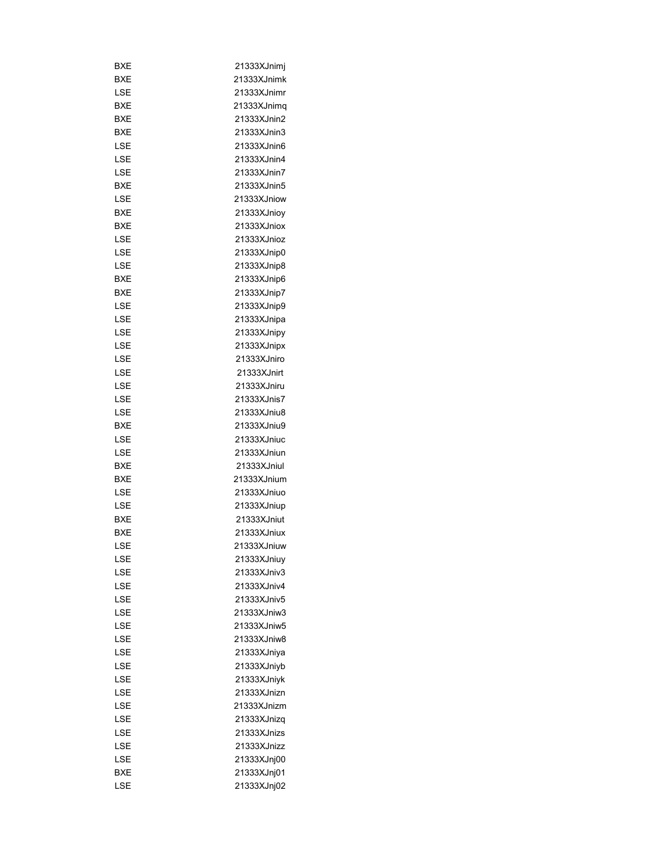| BXE        | 21333XJnimj |
|------------|-------------|
| BXE        | 21333XJnimk |
| LSE        | 21333XJnimr |
| BXE        | 21333XJnimq |
| BXE        | 21333XJnin2 |
| BXE        | 21333XJnin3 |
| LSE        | 21333XJnin6 |
| LSE        | 21333XJnin4 |
| <b>LSE</b> | 21333XJnin7 |
| <b>BXE</b> | 21333XJnin5 |
| LSE        | 21333XJniow |
| BXE        | 21333XJniov |
| BXE        | 21333XJniox |
| LSE        | 21333XJnioz |
|            |             |
| LSE        | 21333XJnip0 |
| LSE        | 21333XJnip8 |
| BXE        | 21333XJnip6 |
| BXE        | 21333XJnip7 |
| LSE        | 21333XJnip9 |
| LSE        | 21333XJnipa |
| LSE        | 21333XJnipy |
| LSE        | 21333XJnipx |
| LSE        | 21333XJniro |
| LSE        | 21333XJnirt |
| LSE        | 21333XJniru |
| LSE        | 21333XJnis7 |
| LSE        | 21333XJniu8 |
| BXE        | 21333XJniu9 |
| LSE        | 21333XJniuc |
| LSE        | 21333XJniun |
| BXE        | 21333XJniul |
| BXE        | 21333XJnium |
| LSE        | 21333XJniuo |
| <b>LSE</b> | 21333XJniup |
| <b>BXE</b> | 21333XJniut |
| BXE        | 21333XJniux |
| LSE        | 21333XJniuw |
| LSE        | 21333XJniuy |
| <b>LSE</b> | 21333XJniv3 |
| LSE        | 21333XJniv4 |
| LSE        | 21333XJniv5 |
| LSE        | 21333XJniw3 |
| LSE        | 21333XJniw5 |
|            |             |
| LSE        | 21333XJniw8 |
| LSE        | 21333XJniya |
| LSE        | 21333XJniyb |
| LSE        | 21333XJniyk |
| LSE        | 21333XJnizn |
| LSE        | 21333XJnizm |
| LSE        | 21333XJnizq |
| LSE        | 21333XJnizs |
| LSE        | 21333XJnizz |
| LSE        | 21333XJnj00 |
| BXE        | 21333XJnj01 |
| LSE        | 21333XJnj02 |
|            |             |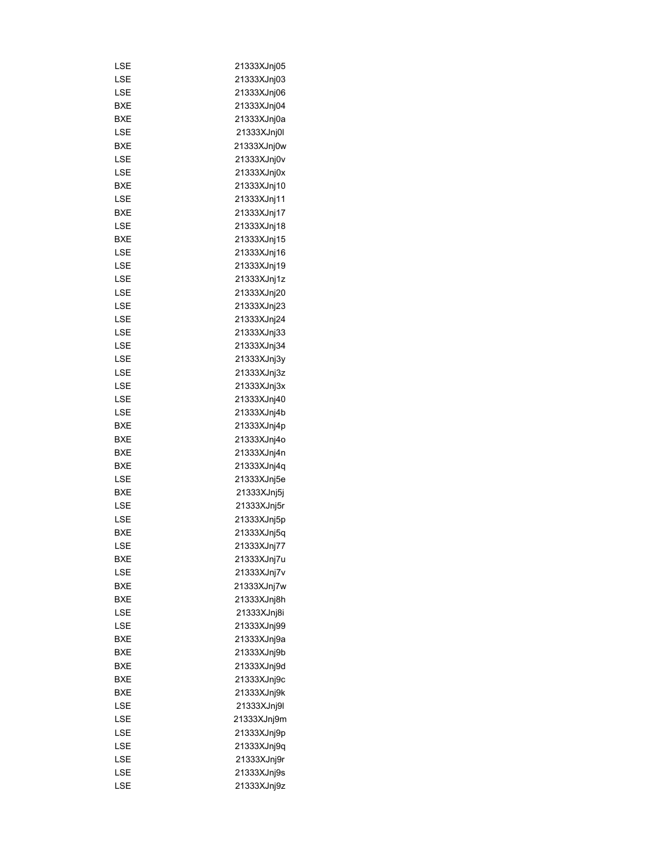| LSE        | 21333XJnj05 |
|------------|-------------|
| LSE        | 21333XJnj03 |
| LSE        | 21333XJnj06 |
| BXE        | 21333XJnj04 |
| BXE        | 21333XJnj0a |
| LSE        | 21333XJnj0l |
| BXE        | 21333XJnj0w |
| LSE        | 21333XJnj0v |
| LSE        | 21333XJnj0x |
| BXE        | 21333XJnj10 |
| LSE        | 21333XJnj11 |
| <b>BXE</b> |             |
|            | 21333XJnj17 |
| LSE        | 21333XJnj18 |
| BXE        | 21333XJnj15 |
| LSE        | 21333XJnj16 |
| LSE        | 21333XJnj19 |
| LSE        | 21333XJnj1z |
| LSE        | 21333XJnj20 |
| LSE        | 21333XJnj23 |
| LSE        | 21333XJnj24 |
| LSE        | 21333XJnj33 |
| LSE        | 21333XJnj34 |
| LSE        | 21333XJnj3y |
| LSE        | 21333XJnj3z |
| LSE        | 21333XJnj3x |
| LSE        | 21333XJnj40 |
| LSE        | 21333XJnj4b |
| <b>BXE</b> | 21333XJnj4p |
| BXE        | 21333XJnj4o |
| BXE        | 21333XJnj4n |
| <b>BXE</b> | 21333XJnj4q |
| LSE        | 21333XJnj5e |
| <b>BXE</b> |             |
|            | 21333XJnj5j |
| LSE        | 21333XJnj5r |
| LSE        | 21333XJnj5p |
| <b>BXE</b> | 21333XJnj5q |
| LSE        | 21333XJnj77 |
| BXE        | 21333XJnj7u |
| LSE        | 21333XJnj7v |
| BXE        | 21333XJnj7w |
| <b>BXE</b> | 21333XJnj8h |
| LSE        | 21333XJnj8i |
| LSE        | 21333XJnj99 |
| BXE        | 21333XJnj9a |
| BXE        | 21333XJnj9b |
| <b>BXE</b> | 21333XJnj9d |
| <b>BXE</b> | 21333XJnj9c |
| BXE        | 21333XJnj9k |
| LSE        | 21333XJnj9l |
| LSE        | 21333XJnj9m |
| LSE        | 21333XJnj9p |
| LSE        | 21333XJnj9q |
| LSE        | 21333XJnj9r |
| LSE        | 21333XJnj9s |
|            |             |
| LSE        | 21333XJnj9z |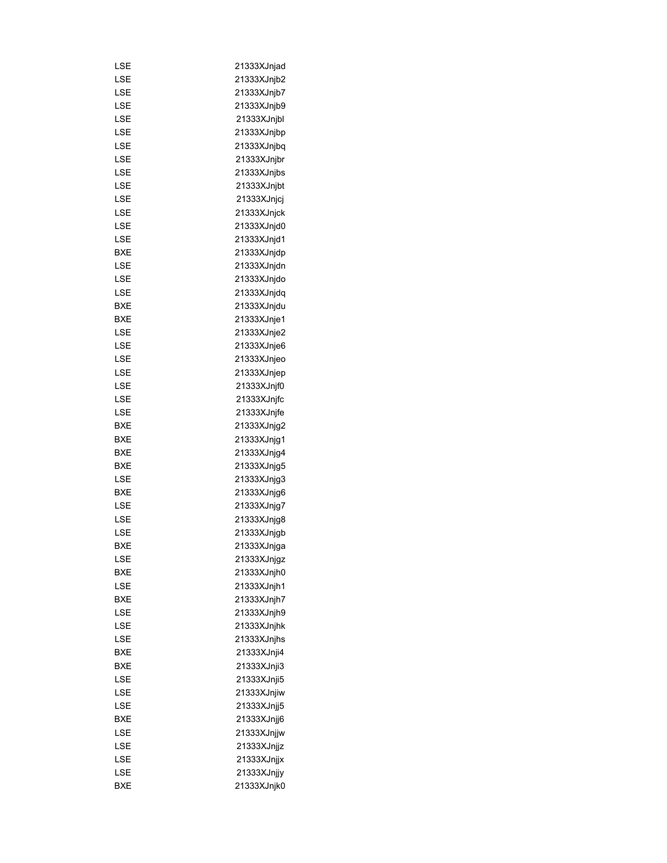| LSE        | 21333XJnjad |
|------------|-------------|
| LSE        | 21333XJnjb2 |
| LSE        | 21333XJnjb7 |
| LSE        | 21333XJnjb9 |
| <b>LSE</b> | 21333XJnjbl |
| LSE        | 21333XJnjbp |
| LSE        | 21333XJnjbq |
| LSE        | 21333XJnjbr |
| LSE        | 21333XJnjbs |
| LSE        | 21333XJnjbt |
| LSE        | 21333XJnjcj |
| <b>LSE</b> | 21333XJnjck |
|            |             |
| LSE        | 21333XJnjd0 |
| LSE        | 21333XJnjd1 |
| BXE        | 21333XJnjdp |
| LSE        | 21333XJnjdn |
| LSE        | 21333XJnjdo |
| LSE        | 21333XJnjdq |
| BXE        | 21333XJnjdu |
| BXE        | 21333XJnje1 |
| LSE        | 21333XJnje2 |
| LSE        | 21333XJnje6 |
| LSE        | 21333XJnjeo |
| LSE        | 21333XJnjep |
| LSE        | 21333XJnjf0 |
| LSE        | 21333XJnjfc |
| LSE        | 21333XJnjfe |
| BXE        | 21333XJnjg2 |
| BXE        | 21333XJnjg1 |
| BXE        | 21333XJnjg4 |
| BXE        | 21333XJnjg5 |
| LSE        | 21333XJnjg3 |
| BXE        | 21333XJnjg6 |
| LSE        | 21333XJnjg7 |
| LSE        | 21333XJnjg8 |
| LSE        | 21333XJnjgb |
| BXE        | 21333XJnjga |
| LSE        | 21333XJnjgz |
| BXE        | 21333XJnjh0 |
| LSE        | 21333XJnjh1 |
| BXE        | 21333XJnjh7 |
| LSE        | 21333XJnjh9 |
| LSE        | 21333XJnjhk |
| LSE        | 21333XJnjhs |
| BXE        | 21333XJnji4 |
| BXE        | 21333XJnji3 |
| LSE        | 21333XJnji5 |
| LSE        | 21333XJnjiw |
| LSE        | 21333XJnjj5 |
| BXE        | 21333XJnjj6 |
| LSE        | 21333XJnjjw |
| LSE        | 21333XJnjjz |
|            |             |
| LSE        | 21333XJnjjx |
| LSE        | 21333XJnjjy |
| <b>BXE</b> | 21333XJnjk0 |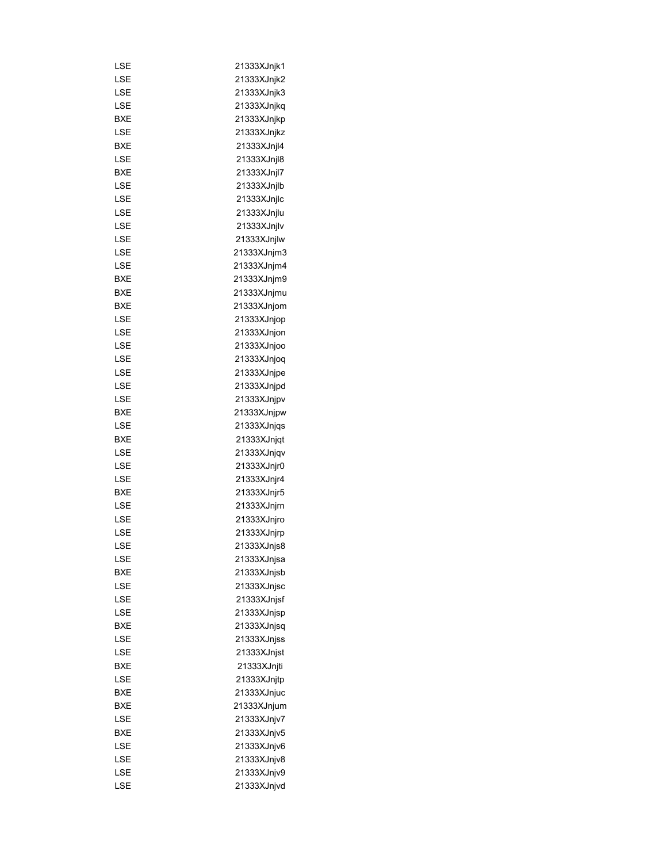| LSE        | 21333XJnjk1 |
|------------|-------------|
| LSE        | 21333XJnjk2 |
| LSE        | 21333XJnjk3 |
| LSE        | 21333XJnjkq |
| <b>BXE</b> | 21333XJnjkp |
| LSE        | 21333XJnjkz |
| BXE        | 21333XJnjl4 |
| LSE        | 21333XJnjl8 |
| BXE        | 21333XJnjl7 |
| LSE        | 21333XJnjlb |
| LSE        | 21333XJnjlc |
| LSE        | 21333XJnjlu |
| LSE        | 21333XJnjlv |
| LSE        | 21333XJnjlw |
| LSE        | 21333XJnjm3 |
| LSE        | 21333XJnjm4 |
| BXE        | 21333XJnjm9 |
| BXE        | 21333XJnjmu |
| BXE        | 21333XJnjom |
| LSE        | 21333XJnjop |
| LSE        | 21333XJnjon |
| LSE        | 21333XJnjoo |
| LSE        | 21333XJnjog |
| LSE        | 21333XJnjpe |
| LSE        | 21333XJnjpd |
| LSE        | 21333XJnjpv |
|            |             |
| <b>BXE</b> | 21333XJnjpw |
| LSE        | 21333XJnjqs |
| <b>BXE</b> | 21333XJnjqt |
| LSE        | 21333XJnjqv |
| LSE        | 21333XJnjr0 |
| LSE        | 21333XJnjr4 |
| <b>BXE</b> | 21333XJnjr5 |
| LSE        | 21333XJnjrn |
| LSE        | 21333XJnjro |
| LSE        | 21333XJnjrp |
| LSE        | 21333XJnjs8 |
| LSE        | 21333XJnjsa |
| BXE        | 21333XJnjsb |
| LSE        | 21333XJnjsc |
| LSE        | 21333XJnjsf |
| LSE        | 21333XJnjsp |
| BXE        | 21333XJnjsq |
| LSE        | 21333XJnjss |
| LSE        | 21333XJnjst |
| BXE        | 21333XJnjti |
| LSE        | 21333XJnjtp |
| BXE        | 21333XJnjuc |
| BXE        | 21333XJnjum |
| LSE        | 21333XJnjv7 |
| BXE        | 21333XJnjv5 |
| LSE        | 21333XJnjv6 |
| LSE        | 21333XJnjv8 |
| LSE        | 21333XJnjv9 |
| LSE        | 21333XJnjvd |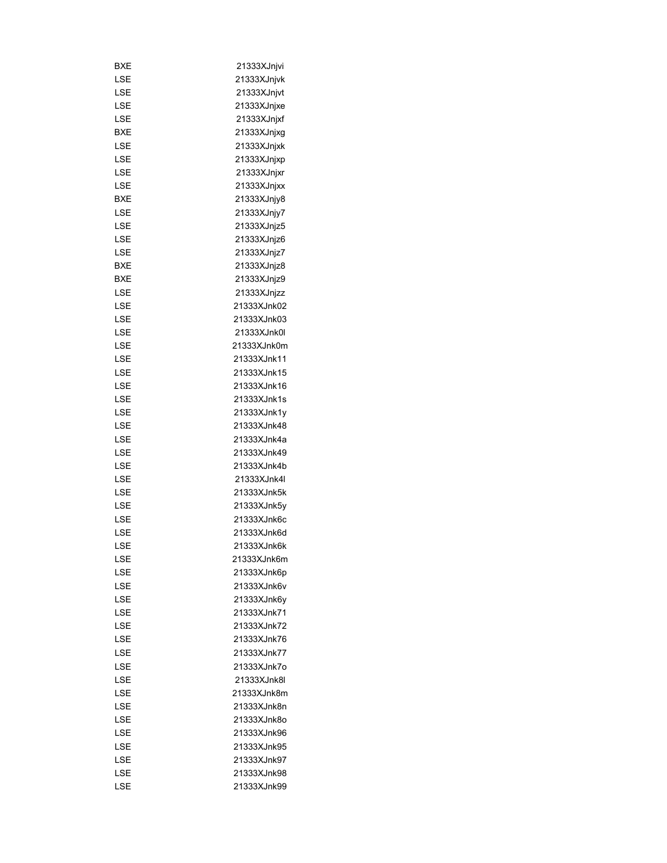| BXE | 21333XJnjvi |
|-----|-------------|
| LSE | 21333XJnjvk |
| LSE | 21333XJnjvt |
| LSE | 21333XJnjxe |
| LSE | 21333XJnjxf |
| BXE | 21333XJnjxg |
| LSE | 21333XJnjxk |
| LSE | 21333XJnjxp |
| LSE | 21333XJnjxr |
| LSE | 21333XJnjxx |
| BXE | 21333XJnjy8 |
| LSE | 21333XJnjy7 |
| LSE | 21333XJnjz5 |
| LSE | 21333XJnjz6 |
| LSE | 21333XJnjz7 |
| BXE | 21333XJnjz8 |
| BXE | 21333XJnjz9 |
| LSE | 21333XJnjzz |
| LSE | 21333XJnk02 |
| LSE | 21333XJnk03 |
| LSE | 21333XJnk0l |
| LSE | 21333XJnk0m |
| LSE | 21333XJnk11 |
| LSE | 21333XJnk15 |
| LSE | 21333XJnk16 |
|     | 21333XJnk1s |
| LSE |             |
| LSE | 21333XJnk1y |
| LSE | 21333XJnk48 |
| LSE | 21333XJnk4a |
| LSE | 21333XJnk49 |
| LSE | 21333XJnk4b |
| LSE | 21333XJnk4l |
| LSE | 21333XJnk5k |
| LSE | 21333XJnk5y |
| LSE | 21333XJnk6c |
| LSE | 21333XJnk6d |
| LSE | 21333XJnk6k |
| LSE | 21333XJnk6m |
| LSE | 21333XJnk6p |
| LSE | 21333XJnk6v |
| LSE | 21333XJnk6y |
| LSE | 21333XJnk71 |
| LSE | 21333XJnk72 |
| LSE | 21333XJnk76 |
| LSE | 21333XJnk77 |
| LSE | 21333XJnk7o |
| LSE | 21333XJnk8l |
| LSE | 21333XJnk8m |
| LSE | 21333XJnk8n |
| LSE | 21333XJnk8o |
| LSE | 21333XJnk96 |
| LSE | 21333XJnk95 |
| LSE | 21333XJnk97 |
| LSE | 21333XJnk98 |
| LSE | 21333XJnk99 |